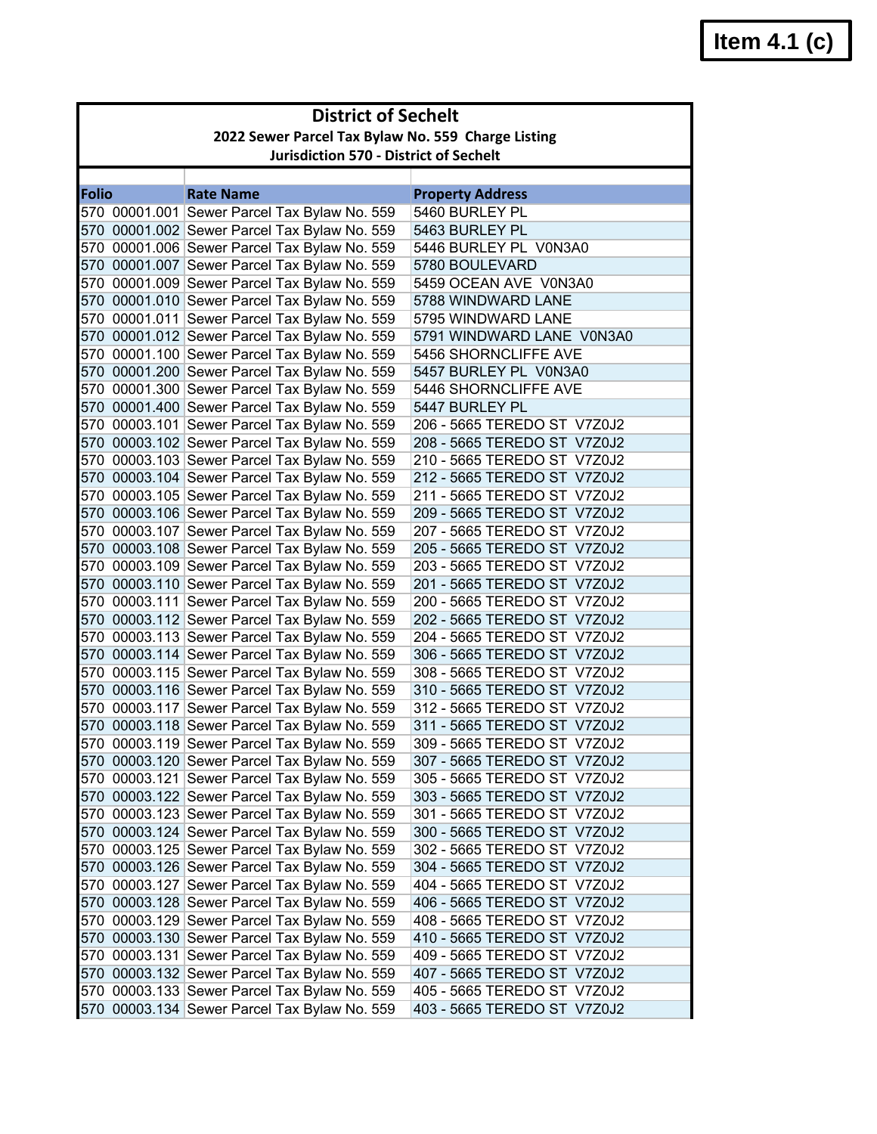|       | <b>District of Sechelt</b>                         |                                                                                              |                             |  |
|-------|----------------------------------------------------|----------------------------------------------------------------------------------------------|-----------------------------|--|
|       | 2022 Sewer Parcel Tax Bylaw No. 559 Charge Listing |                                                                                              |                             |  |
|       |                                                    | <b>Jurisdiction 570 - District of Sechelt</b>                                                |                             |  |
|       |                                                    |                                                                                              |                             |  |
| Folio |                                                    | <b>Rate Name</b>                                                                             | <b>Property Address</b>     |  |
|       |                                                    | 570 00001.001 Sewer Parcel Tax Bylaw No. 559                                                 | 5460 BURLEY PL              |  |
|       |                                                    | 570 00001.002 Sewer Parcel Tax Bylaw No. 559                                                 | 5463 BURLEY PL              |  |
|       |                                                    | 570 00001.006 Sewer Parcel Tax Bylaw No. 559                                                 | 5446 BURLEY PL V0N3A0       |  |
|       |                                                    | 570 00001.007 Sewer Parcel Tax Bylaw No. 559                                                 | 5780 BOULEVARD              |  |
|       |                                                    | 570 00001.009 Sewer Parcel Tax Bylaw No. 559                                                 | 5459 OCEAN AVE V0N3A0       |  |
|       |                                                    | 570 00001.010 Sewer Parcel Tax Bylaw No. 559                                                 | 5788 WINDWARD LANE          |  |
|       |                                                    | 570 00001.011 Sewer Parcel Tax Bylaw No. 559                                                 | 5795 WINDWARD LANE          |  |
|       |                                                    | 570 00001.012 Sewer Parcel Tax Bylaw No. 559                                                 | 5791 WINDWARD LANE V0N3A0   |  |
|       |                                                    | 570 00001.100 Sewer Parcel Tax Bylaw No. 559                                                 | 5456 SHORNCLIFFE AVE        |  |
|       |                                                    | 570 00001.200 Sewer Parcel Tax Bylaw No. 559                                                 | 5457 BURLEY PL V0N3A0       |  |
|       |                                                    | 570 00001.300 Sewer Parcel Tax Bylaw No. 559                                                 | 5446 SHORNCLIFFE AVE        |  |
|       |                                                    | 570 00001.400 Sewer Parcel Tax Bylaw No. 559                                                 | 5447 BURLEY PL              |  |
|       |                                                    | 570 00003.101 Sewer Parcel Tax Bylaw No. 559                                                 | 206 - 5665 TEREDO ST V7Z0J2 |  |
|       |                                                    | 570 00003.102 Sewer Parcel Tax Bylaw No. 559                                                 | 208 - 5665 TEREDO ST V7Z0J2 |  |
|       |                                                    | 570 00003.103 Sewer Parcel Tax Bylaw No. 559                                                 | 210 - 5665 TEREDO ST V7Z0J2 |  |
|       |                                                    | 570 00003.104 Sewer Parcel Tax Bylaw No. 559                                                 | 212 - 5665 TEREDO ST V7Z0J2 |  |
|       |                                                    | 570 00003.105 Sewer Parcel Tax Bylaw No. 559                                                 | 211 - 5665 TEREDO ST V7Z0J2 |  |
|       |                                                    | 570 00003.106 Sewer Parcel Tax Bylaw No. 559                                                 | 209 - 5665 TEREDO ST V7Z0J2 |  |
|       |                                                    | 570 00003.107 Sewer Parcel Tax Bylaw No. 559                                                 | 207 - 5665 TEREDO ST V7Z0J2 |  |
|       |                                                    | 570 00003.108 Sewer Parcel Tax Bylaw No. 559                                                 | 205 - 5665 TEREDO ST V7Z0J2 |  |
|       |                                                    | 570 00003.109 Sewer Parcel Tax Bylaw No. 559                                                 | 203 - 5665 TEREDO ST V7Z0J2 |  |
|       |                                                    | 570 00003.110 Sewer Parcel Tax Bylaw No. 559                                                 | 201 - 5665 TEREDO ST V7Z0J2 |  |
|       |                                                    | 570 00003.111 Sewer Parcel Tax Bylaw No. 559                                                 | 200 - 5665 TEREDO ST V7Z0J2 |  |
|       |                                                    | 570 00003.112 Sewer Parcel Tax Bylaw No. 559                                                 | 202 - 5665 TEREDO ST V7Z0J2 |  |
|       |                                                    | 570 00003.113 Sewer Parcel Tax Bylaw No. 559                                                 | 204 - 5665 TEREDO ST V7Z0J2 |  |
|       |                                                    | 570 00003.114 Sewer Parcel Tax Bylaw No. 559                                                 | 306 - 5665 TEREDO ST V7Z0J2 |  |
|       |                                                    | 570 00003.115 Sewer Parcel Tax Bylaw No. 559                                                 | 308 - 5665 TEREDO ST V7Z0J2 |  |
|       |                                                    | 570 00003.116 Sewer Parcel Tax Bylaw No. 559                                                 | 310 - 5665 TEREDO ST V7Z0J2 |  |
|       |                                                    | 570 00003.117 Sewer Parcel Tax Bylaw No. 559                                                 | 312 - 5665 TEREDO ST V7Z0J2 |  |
|       |                                                    | 570 00003.118 Sewer Parcel Tax Bylaw No. 559                                                 | 311 - 5665 TEREDO ST V7Z0J2 |  |
|       |                                                    |                                                                                              | 309 - 5665 TEREDO ST V7Z0J2 |  |
|       |                                                    | 570 00003.119 Sewer Parcel Tax Bylaw No. 559<br>570 00003.120 Sewer Parcel Tax Bylaw No. 559 |                             |  |
|       |                                                    |                                                                                              | 307 - 5665 TEREDO ST V7Z0J2 |  |
|       |                                                    | 570 00003.121 Sewer Parcel Tax Bylaw No. 559<br>570 00003.122 Sewer Parcel Tax Bylaw No. 559 | 305 - 5665 TEREDO ST V7Z0J2 |  |
|       |                                                    |                                                                                              | 303 - 5665 TEREDO ST V7Z0J2 |  |
|       |                                                    | 570 00003.123 Sewer Parcel Tax Bylaw No. 559                                                 | 301 - 5665 TEREDO ST V7Z0J2 |  |
|       |                                                    | 570 00003.124 Sewer Parcel Tax Bylaw No. 559                                                 | 300 - 5665 TEREDO ST V7Z0J2 |  |
|       |                                                    | 570 00003.125 Sewer Parcel Tax Bylaw No. 559                                                 | 302 - 5665 TEREDO ST V7Z0J2 |  |
|       |                                                    | 570 00003.126 Sewer Parcel Tax Bylaw No. 559                                                 | 304 - 5665 TEREDO ST V7Z0J2 |  |
|       |                                                    | 570 00003.127 Sewer Parcel Tax Bylaw No. 559                                                 | 404 - 5665 TEREDO ST V7Z0J2 |  |
|       |                                                    | 570 00003.128 Sewer Parcel Tax Bylaw No. 559                                                 | 406 - 5665 TEREDO ST V7Z0J2 |  |
|       |                                                    | 570 00003.129 Sewer Parcel Tax Bylaw No. 559                                                 | 408 - 5665 TEREDO ST V7Z0J2 |  |
|       |                                                    | 570 00003.130 Sewer Parcel Tax Bylaw No. 559                                                 | 410 - 5665 TEREDO ST V7Z0J2 |  |
|       |                                                    | 570 00003.131 Sewer Parcel Tax Bylaw No. 559                                                 | 409 - 5665 TEREDO ST V7Z0J2 |  |
|       |                                                    | 570 00003.132 Sewer Parcel Tax Bylaw No. 559                                                 | 407 - 5665 TEREDO ST V7Z0J2 |  |
|       |                                                    | 570 00003.133 Sewer Parcel Tax Bylaw No. 559                                                 | 405 - 5665 TEREDO ST V7Z0J2 |  |
|       |                                                    | 570 00003.134 Sewer Parcel Tax Bylaw No. 559                                                 | 403 - 5665 TEREDO ST V7Z0J2 |  |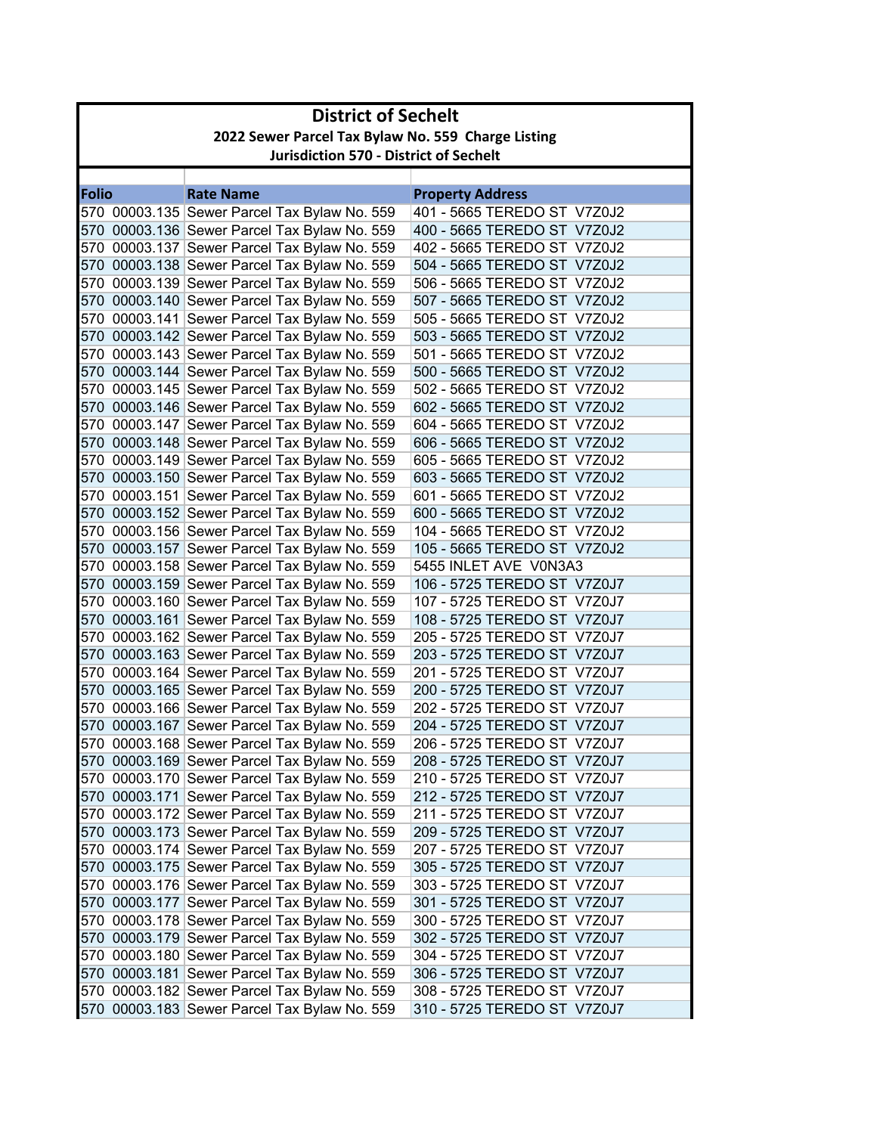|              | <b>District of Sechelt</b>                         |                                               |                             |  |  |
|--------------|----------------------------------------------------|-----------------------------------------------|-----------------------------|--|--|
|              | 2022 Sewer Parcel Tax Bylaw No. 559 Charge Listing |                                               |                             |  |  |
|              |                                                    | <b>Jurisdiction 570 - District of Sechelt</b> |                             |  |  |
|              |                                                    |                                               |                             |  |  |
| <b>Folio</b> |                                                    | <b>Rate Name</b>                              | <b>Property Address</b>     |  |  |
|              |                                                    | 570 00003.135 Sewer Parcel Tax Bylaw No. 559  | 401 - 5665 TEREDO ST V7Z0J2 |  |  |
|              |                                                    | 570 00003.136 Sewer Parcel Tax Bylaw No. 559  | 400 - 5665 TEREDO ST V7Z0J2 |  |  |
|              |                                                    | 570 00003.137 Sewer Parcel Tax Bylaw No. 559  | 402 - 5665 TEREDO ST V7Z0J2 |  |  |
|              |                                                    | 570 00003.138 Sewer Parcel Tax Bylaw No. 559  | 504 - 5665 TEREDO ST V7Z0J2 |  |  |
|              |                                                    | 570 00003.139 Sewer Parcel Tax Bylaw No. 559  | 506 - 5665 TEREDO ST V7Z0J2 |  |  |
|              |                                                    | 570 00003.140 Sewer Parcel Tax Bylaw No. 559  | 507 - 5665 TEREDO ST V7Z0J2 |  |  |
|              |                                                    | 570 00003.141 Sewer Parcel Tax Bylaw No. 559  | 505 - 5665 TEREDO ST V7Z0J2 |  |  |
|              |                                                    | 570 00003.142 Sewer Parcel Tax Bylaw No. 559  | 503 - 5665 TEREDO ST V7Z0J2 |  |  |
|              |                                                    | 570 00003.143 Sewer Parcel Tax Bylaw No. 559  | 501 - 5665 TEREDO ST V7Z0J2 |  |  |
|              |                                                    | 570 00003.144 Sewer Parcel Tax Bylaw No. 559  | 500 - 5665 TEREDO ST V7Z0J2 |  |  |
|              |                                                    | 570 00003.145 Sewer Parcel Tax Bylaw No. 559  | 502 - 5665 TEREDO ST V7Z0J2 |  |  |
|              |                                                    | 570 00003.146 Sewer Parcel Tax Bylaw No. 559  | 602 - 5665 TEREDO ST V7Z0J2 |  |  |
|              |                                                    | 570 00003.147 Sewer Parcel Tax Bylaw No. 559  | 604 - 5665 TEREDO ST V7Z0J2 |  |  |
|              |                                                    | 570 00003.148 Sewer Parcel Tax Bylaw No. 559  | 606 - 5665 TEREDO ST V7Z0J2 |  |  |
|              |                                                    | 570 00003.149 Sewer Parcel Tax Bylaw No. 559  | 605 - 5665 TEREDO ST V7Z0J2 |  |  |
|              |                                                    | 570 00003.150 Sewer Parcel Tax Bylaw No. 559  | 603 - 5665 TEREDO ST V7Z0J2 |  |  |
|              |                                                    | 570 00003.151 Sewer Parcel Tax Bylaw No. 559  | 601 - 5665 TEREDO ST V7Z0J2 |  |  |
|              |                                                    | 570 00003.152 Sewer Parcel Tax Bylaw No. 559  | 600 - 5665 TEREDO ST V7Z0J2 |  |  |
|              |                                                    | 570 00003.156 Sewer Parcel Tax Bylaw No. 559  | 104 - 5665 TEREDO ST V7Z0J2 |  |  |
|              |                                                    | 570 00003.157 Sewer Parcel Tax Bylaw No. 559  | 105 - 5665 TEREDO ST V7Z0J2 |  |  |
|              |                                                    | 570 00003.158 Sewer Parcel Tax Bylaw No. 559  | 5455 INLET AVE V0N3A3       |  |  |
|              |                                                    | 570 00003.159 Sewer Parcel Tax Bylaw No. 559  | 106 - 5725 TEREDO ST V7Z0J7 |  |  |
|              |                                                    | 570 00003.160 Sewer Parcel Tax Bylaw No. 559  | 107 - 5725 TEREDO ST V7Z0J7 |  |  |
|              |                                                    | 570 00003.161 Sewer Parcel Tax Bylaw No. 559  | 108 - 5725 TEREDO ST V7Z0J7 |  |  |
|              |                                                    | 570 00003.162 Sewer Parcel Tax Bylaw No. 559  | 205 - 5725 TEREDO ST V7Z0J7 |  |  |
|              |                                                    | 570 00003.163 Sewer Parcel Tax Bylaw No. 559  | 203 - 5725 TEREDO ST V7Z0J7 |  |  |
|              |                                                    | 570 00003.164 Sewer Parcel Tax Bylaw No. 559  | 201 - 5725 TEREDO ST V7Z0J7 |  |  |
|              |                                                    | 570 00003.165 Sewer Parcel Tax Bylaw No. 559  | 200 - 5725 TEREDO ST V7Z0J7 |  |  |
|              |                                                    | 570 00003.166 Sewer Parcel Tax Bylaw No. 559  | 202 - 5725 TEREDO ST V7Z0J7 |  |  |
|              |                                                    | 570 00003.167 Sewer Parcel Tax Bylaw No. 559  | 204 - 5725 TEREDO ST V7Z0J7 |  |  |
|              |                                                    | 570 00003.168 Sewer Parcel Tax Bylaw No. 559  | 206 - 5725 TEREDO ST V7Z0J7 |  |  |
|              |                                                    | 570 00003.169 Sewer Parcel Tax Bylaw No. 559  | 208 - 5725 TEREDO ST V7Z0J7 |  |  |
|              |                                                    | 570 00003.170 Sewer Parcel Tax Bylaw No. 559  | 210 - 5725 TEREDO ST V7Z0J7 |  |  |
|              |                                                    | 570 00003.171 Sewer Parcel Tax Bylaw No. 559  | 212 - 5725 TEREDO ST V7Z0J7 |  |  |
|              |                                                    | 570 00003.172 Sewer Parcel Tax Bylaw No. 559  | 211 - 5725 TEREDO ST V7Z0J7 |  |  |
|              |                                                    | 570 00003.173 Sewer Parcel Tax Bylaw No. 559  | 209 - 5725 TEREDO ST V7Z0J7 |  |  |
|              |                                                    | 570 00003.174 Sewer Parcel Tax Bylaw No. 559  | 207 - 5725 TEREDO ST V7Z0J7 |  |  |
|              |                                                    | 570 00003.175 Sewer Parcel Tax Bylaw No. 559  | 305 - 5725 TEREDO ST V7Z0J7 |  |  |
|              |                                                    | 570 00003.176 Sewer Parcel Tax Bylaw No. 559  | 303 - 5725 TEREDO ST V7Z0J7 |  |  |
|              |                                                    | 570 00003.177 Sewer Parcel Tax Bylaw No. 559  | 301 - 5725 TEREDO ST V7Z0J7 |  |  |
|              |                                                    | 570 00003.178 Sewer Parcel Tax Bylaw No. 559  | 300 - 5725 TEREDO ST V7Z0J7 |  |  |
|              |                                                    | 570 00003.179 Sewer Parcel Tax Bylaw No. 559  | 302 - 5725 TEREDO ST V7Z0J7 |  |  |
|              |                                                    | 570 00003.180 Sewer Parcel Tax Bylaw No. 559  | 304 - 5725 TEREDO ST V7Z0J7 |  |  |
|              |                                                    | 570 00003.181 Sewer Parcel Tax Bylaw No. 559  | 306 - 5725 TEREDO ST V7Z0J7 |  |  |
|              |                                                    | 570 00003.182 Sewer Parcel Tax Bylaw No. 559  | 308 - 5725 TEREDO ST V7Z0J7 |  |  |
|              |                                                    | 570 00003.183 Sewer Parcel Tax Bylaw No. 559  | 310 - 5725 TEREDO ST V7Z0J7 |  |  |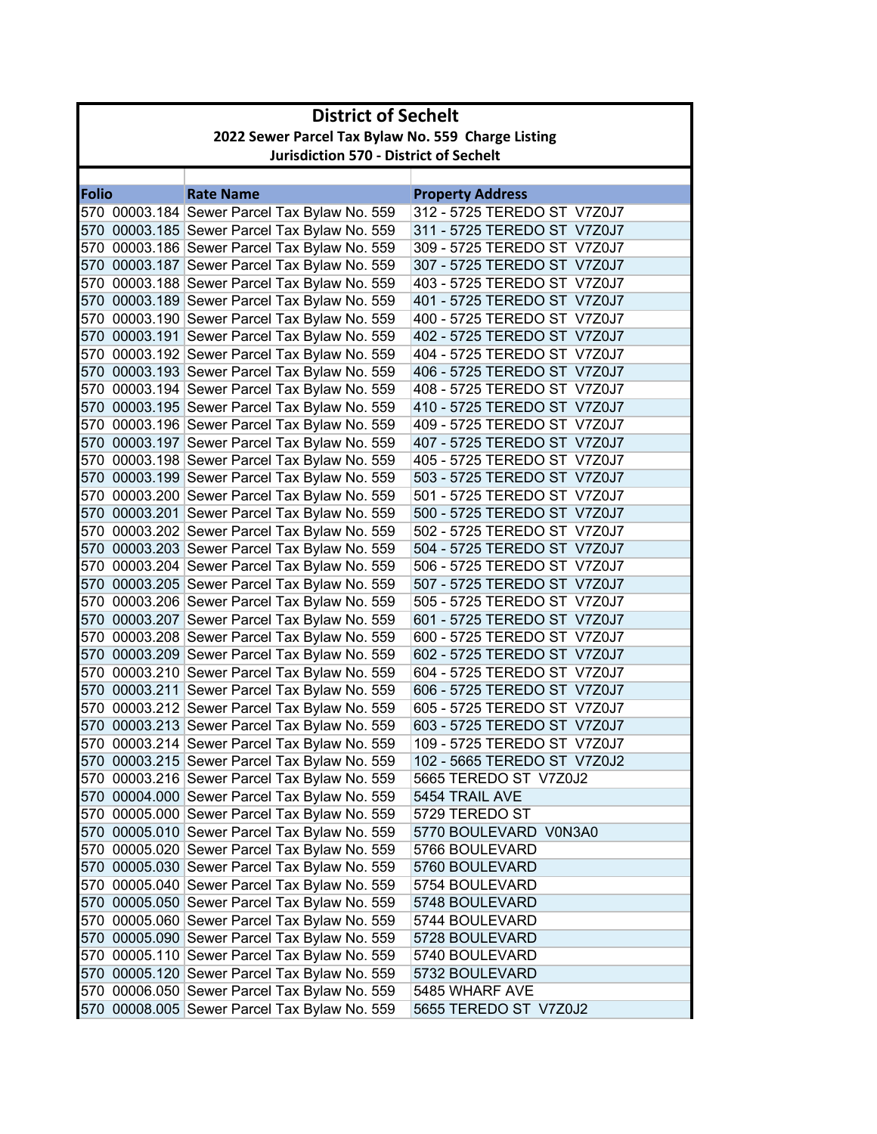| 2022 Sewer Parcel Tax Bylaw No. 559 Charge Listing<br><b>Jurisdiction 570 - District of Sechelt</b><br><b>Folio</b><br><b>Rate Name</b><br><b>Property Address</b><br>570 00003.184 Sewer Parcel Tax Bylaw No. 559<br>312 - 5725 TEREDO ST V7Z0J7<br>570 00003.185 Sewer Parcel Tax Bylaw No. 559<br>311 - 5725 TEREDO ST V7Z0J7<br>570 00003.186 Sewer Parcel Tax Bylaw No. 559<br>309 - 5725 TEREDO ST V7Z0J7<br>570 00003.187 Sewer Parcel Tax Bylaw No. 559<br>307 - 5725 TEREDO ST V7Z0J7<br>570 00003.188 Sewer Parcel Tax Bylaw No. 559<br>403 - 5725 TEREDO ST V7Z0J7<br>570 00003.189 Sewer Parcel Tax Bylaw No. 559<br>401 - 5725 TEREDO ST V7Z0J7<br>570 00003.190 Sewer Parcel Tax Bylaw No. 559<br>400 - 5725 TEREDO ST V7Z0J7<br>570 00003.191 Sewer Parcel Tax Bylaw No. 559<br>402 - 5725 TEREDO ST V7Z0J7<br>570 00003.192 Sewer Parcel Tax Bylaw No. 559<br>404 - 5725 TEREDO ST V7Z0J7<br>570 00003.193 Sewer Parcel Tax Bylaw No. 559<br>406 - 5725 TEREDO ST V7Z0J7<br>570 00003.194 Sewer Parcel Tax Bylaw No. 559<br>408 - 5725 TEREDO ST V7Z0J7<br>570 00003.195 Sewer Parcel Tax Bylaw No. 559<br>410 - 5725 TEREDO ST V7Z0J7<br>570 00003.196 Sewer Parcel Tax Bylaw No. 559<br>409 - 5725 TEREDO ST V7Z0J7<br>570 00003.197 Sewer Parcel Tax Bylaw No. 559<br>407 - 5725 TEREDO ST V7Z0J7<br>570 00003.198 Sewer Parcel Tax Bylaw No. 559<br>405 - 5725 TEREDO ST V7Z0J7<br>570 00003.199 Sewer Parcel Tax Bylaw No. 559<br>503 - 5725 TEREDO ST V7Z0J7<br>501 - 5725 TEREDO ST V7Z0J7<br>570 00003.200 Sewer Parcel Tax Bylaw No. 559<br>570 00003.201 Sewer Parcel Tax Bylaw No. 559<br>500 - 5725 TEREDO ST V7Z0J7<br>570 00003.202 Sewer Parcel Tax Bylaw No. 559<br>502 - 5725 TEREDO ST V7Z0J7<br>570 00003.203 Sewer Parcel Tax Bylaw No. 559<br>504 - 5725 TEREDO ST V7Z0J7<br>570 00003.204 Sewer Parcel Tax Bylaw No. 559<br>506 - 5725 TEREDO ST V7Z0J7<br>570 00003.205 Sewer Parcel Tax Bylaw No. 559<br>507 - 5725 TEREDO ST V7Z0J7<br>570 00003.206 Sewer Parcel Tax Bylaw No. 559<br>505 - 5725 TEREDO ST V7Z0J7<br>570 00003.207 Sewer Parcel Tax Bylaw No. 559<br>601 - 5725 TEREDO ST V7Z0J7<br>600 - 5725 TEREDO ST V7Z0J7<br>570 00003.208 Sewer Parcel Tax Bylaw No. 559<br>602 - 5725 TEREDO ST V7Z0J7<br>570 00003.209 Sewer Parcel Tax Bylaw No. 559<br>570 00003.210 Sewer Parcel Tax Bylaw No. 559<br>604 - 5725 TEREDO ST V7Z0J7<br>570 00003.211 Sewer Parcel Tax Bylaw No. 559<br>606 - 5725 TEREDO ST V7Z0J7<br>570 00003.212 Sewer Parcel Tax Bylaw No. 559<br>605 - 5725 TEREDO ST V7Z0J7<br>570 00003.213 Sewer Parcel Tax Bylaw No. 559<br>603 - 5725 TEREDO ST V7Z0J7<br>570 00003.214 Sewer Parcel Tax Bylaw No. 559<br>109 - 5725 TEREDO ST V7Z0J7<br>570 00003.215 Sewer Parcel Tax Bylaw No. 559<br>102 - 5665 TEREDO ST V7Z0J2<br>570 00003.216 Sewer Parcel Tax Bylaw No. 559<br>5665 TEREDO ST V7Z0J2<br>570 00004.000 Sewer Parcel Tax Bylaw No. 559<br>5454 TRAIL AVE<br>570 00005.000 Sewer Parcel Tax Bylaw No. 559<br>5729 TEREDO ST<br>570 00005.010 Sewer Parcel Tax Bylaw No. 559<br>5770 BOULEVARD V0N3A0<br>570 00005.020 Sewer Parcel Tax Bylaw No. 559<br>5766 BOULEVARD<br>570 00005.030 Sewer Parcel Tax Bylaw No. 559<br>5760 BOULEVARD<br>570 00005.040 Sewer Parcel Tax Bylaw No. 559<br>5754 BOULEVARD<br>570 00005.050 Sewer Parcel Tax Bylaw No. 559<br>5748 BOULEVARD<br>570 00005.060 Sewer Parcel Tax Bylaw No. 559<br>5744 BOULEVARD<br>570 00005.090 Sewer Parcel Tax Bylaw No. 559<br>5728 BOULEVARD<br>570 00005.110 Sewer Parcel Tax Bylaw No. 559<br>5740 BOULEVARD<br>570 00005.120 Sewer Parcel Tax Bylaw No. 559<br>5732 BOULEVARD<br>570 00006.050 Sewer Parcel Tax Bylaw No. 559<br>5485 WHARF AVE<br>570 00008.005 Sewer Parcel Tax Bylaw No. 559<br>5655 TEREDO ST V7Z0J2 | <b>District of Sechelt</b> |  |  |  |  |
|-------------------------------------------------------------------------------------------------------------------------------------------------------------------------------------------------------------------------------------------------------------------------------------------------------------------------------------------------------------------------------------------------------------------------------------------------------------------------------------------------------------------------------------------------------------------------------------------------------------------------------------------------------------------------------------------------------------------------------------------------------------------------------------------------------------------------------------------------------------------------------------------------------------------------------------------------------------------------------------------------------------------------------------------------------------------------------------------------------------------------------------------------------------------------------------------------------------------------------------------------------------------------------------------------------------------------------------------------------------------------------------------------------------------------------------------------------------------------------------------------------------------------------------------------------------------------------------------------------------------------------------------------------------------------------------------------------------------------------------------------------------------------------------------------------------------------------------------------------------------------------------------------------------------------------------------------------------------------------------------------------------------------------------------------------------------------------------------------------------------------------------------------------------------------------------------------------------------------------------------------------------------------------------------------------------------------------------------------------------------------------------------------------------------------------------------------------------------------------------------------------------------------------------------------------------------------------------------------------------------------------------------------------------------------------------------------------------------------------------------------------------------------------------------------------------------------------------------------------------------------------------------------------------------------------------------------------------------------------------------------------------------------------------------------------------------------------------------------------------------------------------------------------------------------------------------------------------------------------------------------------------------------------------------------------------------------------------------------------------------------------------------------------------------------------------------------------------------------------------------------------------------------------------------------------------------------------------------------------------------------------------------------------------------------------------------------------------------------------------------------------------------------------------|----------------------------|--|--|--|--|
|                                                                                                                                                                                                                                                                                                                                                                                                                                                                                                                                                                                                                                                                                                                                                                                                                                                                                                                                                                                                                                                                                                                                                                                                                                                                                                                                                                                                                                                                                                                                                                                                                                                                                                                                                                                                                                                                                                                                                                                                                                                                                                                                                                                                                                                                                                                                                                                                                                                                                                                                                                                                                                                                                                                                                                                                                                                                                                                                                                                                                                                                                                                                                                                                                                                                                                                                                                                                                                                                                                                                                                                                                                                                                                                                                                                     |                            |  |  |  |  |
|                                                                                                                                                                                                                                                                                                                                                                                                                                                                                                                                                                                                                                                                                                                                                                                                                                                                                                                                                                                                                                                                                                                                                                                                                                                                                                                                                                                                                                                                                                                                                                                                                                                                                                                                                                                                                                                                                                                                                                                                                                                                                                                                                                                                                                                                                                                                                                                                                                                                                                                                                                                                                                                                                                                                                                                                                                                                                                                                                                                                                                                                                                                                                                                                                                                                                                                                                                                                                                                                                                                                                                                                                                                                                                                                                                                     |                            |  |  |  |  |
|                                                                                                                                                                                                                                                                                                                                                                                                                                                                                                                                                                                                                                                                                                                                                                                                                                                                                                                                                                                                                                                                                                                                                                                                                                                                                                                                                                                                                                                                                                                                                                                                                                                                                                                                                                                                                                                                                                                                                                                                                                                                                                                                                                                                                                                                                                                                                                                                                                                                                                                                                                                                                                                                                                                                                                                                                                                                                                                                                                                                                                                                                                                                                                                                                                                                                                                                                                                                                                                                                                                                                                                                                                                                                                                                                                                     |                            |  |  |  |  |
|                                                                                                                                                                                                                                                                                                                                                                                                                                                                                                                                                                                                                                                                                                                                                                                                                                                                                                                                                                                                                                                                                                                                                                                                                                                                                                                                                                                                                                                                                                                                                                                                                                                                                                                                                                                                                                                                                                                                                                                                                                                                                                                                                                                                                                                                                                                                                                                                                                                                                                                                                                                                                                                                                                                                                                                                                                                                                                                                                                                                                                                                                                                                                                                                                                                                                                                                                                                                                                                                                                                                                                                                                                                                                                                                                                                     |                            |  |  |  |  |
|                                                                                                                                                                                                                                                                                                                                                                                                                                                                                                                                                                                                                                                                                                                                                                                                                                                                                                                                                                                                                                                                                                                                                                                                                                                                                                                                                                                                                                                                                                                                                                                                                                                                                                                                                                                                                                                                                                                                                                                                                                                                                                                                                                                                                                                                                                                                                                                                                                                                                                                                                                                                                                                                                                                                                                                                                                                                                                                                                                                                                                                                                                                                                                                                                                                                                                                                                                                                                                                                                                                                                                                                                                                                                                                                                                                     |                            |  |  |  |  |
|                                                                                                                                                                                                                                                                                                                                                                                                                                                                                                                                                                                                                                                                                                                                                                                                                                                                                                                                                                                                                                                                                                                                                                                                                                                                                                                                                                                                                                                                                                                                                                                                                                                                                                                                                                                                                                                                                                                                                                                                                                                                                                                                                                                                                                                                                                                                                                                                                                                                                                                                                                                                                                                                                                                                                                                                                                                                                                                                                                                                                                                                                                                                                                                                                                                                                                                                                                                                                                                                                                                                                                                                                                                                                                                                                                                     |                            |  |  |  |  |
|                                                                                                                                                                                                                                                                                                                                                                                                                                                                                                                                                                                                                                                                                                                                                                                                                                                                                                                                                                                                                                                                                                                                                                                                                                                                                                                                                                                                                                                                                                                                                                                                                                                                                                                                                                                                                                                                                                                                                                                                                                                                                                                                                                                                                                                                                                                                                                                                                                                                                                                                                                                                                                                                                                                                                                                                                                                                                                                                                                                                                                                                                                                                                                                                                                                                                                                                                                                                                                                                                                                                                                                                                                                                                                                                                                                     |                            |  |  |  |  |
|                                                                                                                                                                                                                                                                                                                                                                                                                                                                                                                                                                                                                                                                                                                                                                                                                                                                                                                                                                                                                                                                                                                                                                                                                                                                                                                                                                                                                                                                                                                                                                                                                                                                                                                                                                                                                                                                                                                                                                                                                                                                                                                                                                                                                                                                                                                                                                                                                                                                                                                                                                                                                                                                                                                                                                                                                                                                                                                                                                                                                                                                                                                                                                                                                                                                                                                                                                                                                                                                                                                                                                                                                                                                                                                                                                                     |                            |  |  |  |  |
|                                                                                                                                                                                                                                                                                                                                                                                                                                                                                                                                                                                                                                                                                                                                                                                                                                                                                                                                                                                                                                                                                                                                                                                                                                                                                                                                                                                                                                                                                                                                                                                                                                                                                                                                                                                                                                                                                                                                                                                                                                                                                                                                                                                                                                                                                                                                                                                                                                                                                                                                                                                                                                                                                                                                                                                                                                                                                                                                                                                                                                                                                                                                                                                                                                                                                                                                                                                                                                                                                                                                                                                                                                                                                                                                                                                     |                            |  |  |  |  |
|                                                                                                                                                                                                                                                                                                                                                                                                                                                                                                                                                                                                                                                                                                                                                                                                                                                                                                                                                                                                                                                                                                                                                                                                                                                                                                                                                                                                                                                                                                                                                                                                                                                                                                                                                                                                                                                                                                                                                                                                                                                                                                                                                                                                                                                                                                                                                                                                                                                                                                                                                                                                                                                                                                                                                                                                                                                                                                                                                                                                                                                                                                                                                                                                                                                                                                                                                                                                                                                                                                                                                                                                                                                                                                                                                                                     |                            |  |  |  |  |
|                                                                                                                                                                                                                                                                                                                                                                                                                                                                                                                                                                                                                                                                                                                                                                                                                                                                                                                                                                                                                                                                                                                                                                                                                                                                                                                                                                                                                                                                                                                                                                                                                                                                                                                                                                                                                                                                                                                                                                                                                                                                                                                                                                                                                                                                                                                                                                                                                                                                                                                                                                                                                                                                                                                                                                                                                                                                                                                                                                                                                                                                                                                                                                                                                                                                                                                                                                                                                                                                                                                                                                                                                                                                                                                                                                                     |                            |  |  |  |  |
|                                                                                                                                                                                                                                                                                                                                                                                                                                                                                                                                                                                                                                                                                                                                                                                                                                                                                                                                                                                                                                                                                                                                                                                                                                                                                                                                                                                                                                                                                                                                                                                                                                                                                                                                                                                                                                                                                                                                                                                                                                                                                                                                                                                                                                                                                                                                                                                                                                                                                                                                                                                                                                                                                                                                                                                                                                                                                                                                                                                                                                                                                                                                                                                                                                                                                                                                                                                                                                                                                                                                                                                                                                                                                                                                                                                     |                            |  |  |  |  |
|                                                                                                                                                                                                                                                                                                                                                                                                                                                                                                                                                                                                                                                                                                                                                                                                                                                                                                                                                                                                                                                                                                                                                                                                                                                                                                                                                                                                                                                                                                                                                                                                                                                                                                                                                                                                                                                                                                                                                                                                                                                                                                                                                                                                                                                                                                                                                                                                                                                                                                                                                                                                                                                                                                                                                                                                                                                                                                                                                                                                                                                                                                                                                                                                                                                                                                                                                                                                                                                                                                                                                                                                                                                                                                                                                                                     |                            |  |  |  |  |
|                                                                                                                                                                                                                                                                                                                                                                                                                                                                                                                                                                                                                                                                                                                                                                                                                                                                                                                                                                                                                                                                                                                                                                                                                                                                                                                                                                                                                                                                                                                                                                                                                                                                                                                                                                                                                                                                                                                                                                                                                                                                                                                                                                                                                                                                                                                                                                                                                                                                                                                                                                                                                                                                                                                                                                                                                                                                                                                                                                                                                                                                                                                                                                                                                                                                                                                                                                                                                                                                                                                                                                                                                                                                                                                                                                                     |                            |  |  |  |  |
|                                                                                                                                                                                                                                                                                                                                                                                                                                                                                                                                                                                                                                                                                                                                                                                                                                                                                                                                                                                                                                                                                                                                                                                                                                                                                                                                                                                                                                                                                                                                                                                                                                                                                                                                                                                                                                                                                                                                                                                                                                                                                                                                                                                                                                                                                                                                                                                                                                                                                                                                                                                                                                                                                                                                                                                                                                                                                                                                                                                                                                                                                                                                                                                                                                                                                                                                                                                                                                                                                                                                                                                                                                                                                                                                                                                     |                            |  |  |  |  |
|                                                                                                                                                                                                                                                                                                                                                                                                                                                                                                                                                                                                                                                                                                                                                                                                                                                                                                                                                                                                                                                                                                                                                                                                                                                                                                                                                                                                                                                                                                                                                                                                                                                                                                                                                                                                                                                                                                                                                                                                                                                                                                                                                                                                                                                                                                                                                                                                                                                                                                                                                                                                                                                                                                                                                                                                                                                                                                                                                                                                                                                                                                                                                                                                                                                                                                                                                                                                                                                                                                                                                                                                                                                                                                                                                                                     |                            |  |  |  |  |
|                                                                                                                                                                                                                                                                                                                                                                                                                                                                                                                                                                                                                                                                                                                                                                                                                                                                                                                                                                                                                                                                                                                                                                                                                                                                                                                                                                                                                                                                                                                                                                                                                                                                                                                                                                                                                                                                                                                                                                                                                                                                                                                                                                                                                                                                                                                                                                                                                                                                                                                                                                                                                                                                                                                                                                                                                                                                                                                                                                                                                                                                                                                                                                                                                                                                                                                                                                                                                                                                                                                                                                                                                                                                                                                                                                                     |                            |  |  |  |  |
|                                                                                                                                                                                                                                                                                                                                                                                                                                                                                                                                                                                                                                                                                                                                                                                                                                                                                                                                                                                                                                                                                                                                                                                                                                                                                                                                                                                                                                                                                                                                                                                                                                                                                                                                                                                                                                                                                                                                                                                                                                                                                                                                                                                                                                                                                                                                                                                                                                                                                                                                                                                                                                                                                                                                                                                                                                                                                                                                                                                                                                                                                                                                                                                                                                                                                                                                                                                                                                                                                                                                                                                                                                                                                                                                                                                     |                            |  |  |  |  |
|                                                                                                                                                                                                                                                                                                                                                                                                                                                                                                                                                                                                                                                                                                                                                                                                                                                                                                                                                                                                                                                                                                                                                                                                                                                                                                                                                                                                                                                                                                                                                                                                                                                                                                                                                                                                                                                                                                                                                                                                                                                                                                                                                                                                                                                                                                                                                                                                                                                                                                                                                                                                                                                                                                                                                                                                                                                                                                                                                                                                                                                                                                                                                                                                                                                                                                                                                                                                                                                                                                                                                                                                                                                                                                                                                                                     |                            |  |  |  |  |
|                                                                                                                                                                                                                                                                                                                                                                                                                                                                                                                                                                                                                                                                                                                                                                                                                                                                                                                                                                                                                                                                                                                                                                                                                                                                                                                                                                                                                                                                                                                                                                                                                                                                                                                                                                                                                                                                                                                                                                                                                                                                                                                                                                                                                                                                                                                                                                                                                                                                                                                                                                                                                                                                                                                                                                                                                                                                                                                                                                                                                                                                                                                                                                                                                                                                                                                                                                                                                                                                                                                                                                                                                                                                                                                                                                                     |                            |  |  |  |  |
|                                                                                                                                                                                                                                                                                                                                                                                                                                                                                                                                                                                                                                                                                                                                                                                                                                                                                                                                                                                                                                                                                                                                                                                                                                                                                                                                                                                                                                                                                                                                                                                                                                                                                                                                                                                                                                                                                                                                                                                                                                                                                                                                                                                                                                                                                                                                                                                                                                                                                                                                                                                                                                                                                                                                                                                                                                                                                                                                                                                                                                                                                                                                                                                                                                                                                                                                                                                                                                                                                                                                                                                                                                                                                                                                                                                     |                            |  |  |  |  |
|                                                                                                                                                                                                                                                                                                                                                                                                                                                                                                                                                                                                                                                                                                                                                                                                                                                                                                                                                                                                                                                                                                                                                                                                                                                                                                                                                                                                                                                                                                                                                                                                                                                                                                                                                                                                                                                                                                                                                                                                                                                                                                                                                                                                                                                                                                                                                                                                                                                                                                                                                                                                                                                                                                                                                                                                                                                                                                                                                                                                                                                                                                                                                                                                                                                                                                                                                                                                                                                                                                                                                                                                                                                                                                                                                                                     |                            |  |  |  |  |
|                                                                                                                                                                                                                                                                                                                                                                                                                                                                                                                                                                                                                                                                                                                                                                                                                                                                                                                                                                                                                                                                                                                                                                                                                                                                                                                                                                                                                                                                                                                                                                                                                                                                                                                                                                                                                                                                                                                                                                                                                                                                                                                                                                                                                                                                                                                                                                                                                                                                                                                                                                                                                                                                                                                                                                                                                                                                                                                                                                                                                                                                                                                                                                                                                                                                                                                                                                                                                                                                                                                                                                                                                                                                                                                                                                                     |                            |  |  |  |  |
|                                                                                                                                                                                                                                                                                                                                                                                                                                                                                                                                                                                                                                                                                                                                                                                                                                                                                                                                                                                                                                                                                                                                                                                                                                                                                                                                                                                                                                                                                                                                                                                                                                                                                                                                                                                                                                                                                                                                                                                                                                                                                                                                                                                                                                                                                                                                                                                                                                                                                                                                                                                                                                                                                                                                                                                                                                                                                                                                                                                                                                                                                                                                                                                                                                                                                                                                                                                                                                                                                                                                                                                                                                                                                                                                                                                     |                            |  |  |  |  |
|                                                                                                                                                                                                                                                                                                                                                                                                                                                                                                                                                                                                                                                                                                                                                                                                                                                                                                                                                                                                                                                                                                                                                                                                                                                                                                                                                                                                                                                                                                                                                                                                                                                                                                                                                                                                                                                                                                                                                                                                                                                                                                                                                                                                                                                                                                                                                                                                                                                                                                                                                                                                                                                                                                                                                                                                                                                                                                                                                                                                                                                                                                                                                                                                                                                                                                                                                                                                                                                                                                                                                                                                                                                                                                                                                                                     |                            |  |  |  |  |
|                                                                                                                                                                                                                                                                                                                                                                                                                                                                                                                                                                                                                                                                                                                                                                                                                                                                                                                                                                                                                                                                                                                                                                                                                                                                                                                                                                                                                                                                                                                                                                                                                                                                                                                                                                                                                                                                                                                                                                                                                                                                                                                                                                                                                                                                                                                                                                                                                                                                                                                                                                                                                                                                                                                                                                                                                                                                                                                                                                                                                                                                                                                                                                                                                                                                                                                                                                                                                                                                                                                                                                                                                                                                                                                                                                                     |                            |  |  |  |  |
|                                                                                                                                                                                                                                                                                                                                                                                                                                                                                                                                                                                                                                                                                                                                                                                                                                                                                                                                                                                                                                                                                                                                                                                                                                                                                                                                                                                                                                                                                                                                                                                                                                                                                                                                                                                                                                                                                                                                                                                                                                                                                                                                                                                                                                                                                                                                                                                                                                                                                                                                                                                                                                                                                                                                                                                                                                                                                                                                                                                                                                                                                                                                                                                                                                                                                                                                                                                                                                                                                                                                                                                                                                                                                                                                                                                     |                            |  |  |  |  |
|                                                                                                                                                                                                                                                                                                                                                                                                                                                                                                                                                                                                                                                                                                                                                                                                                                                                                                                                                                                                                                                                                                                                                                                                                                                                                                                                                                                                                                                                                                                                                                                                                                                                                                                                                                                                                                                                                                                                                                                                                                                                                                                                                                                                                                                                                                                                                                                                                                                                                                                                                                                                                                                                                                                                                                                                                                                                                                                                                                                                                                                                                                                                                                                                                                                                                                                                                                                                                                                                                                                                                                                                                                                                                                                                                                                     |                            |  |  |  |  |
|                                                                                                                                                                                                                                                                                                                                                                                                                                                                                                                                                                                                                                                                                                                                                                                                                                                                                                                                                                                                                                                                                                                                                                                                                                                                                                                                                                                                                                                                                                                                                                                                                                                                                                                                                                                                                                                                                                                                                                                                                                                                                                                                                                                                                                                                                                                                                                                                                                                                                                                                                                                                                                                                                                                                                                                                                                                                                                                                                                                                                                                                                                                                                                                                                                                                                                                                                                                                                                                                                                                                                                                                                                                                                                                                                                                     |                            |  |  |  |  |
|                                                                                                                                                                                                                                                                                                                                                                                                                                                                                                                                                                                                                                                                                                                                                                                                                                                                                                                                                                                                                                                                                                                                                                                                                                                                                                                                                                                                                                                                                                                                                                                                                                                                                                                                                                                                                                                                                                                                                                                                                                                                                                                                                                                                                                                                                                                                                                                                                                                                                                                                                                                                                                                                                                                                                                                                                                                                                                                                                                                                                                                                                                                                                                                                                                                                                                                                                                                                                                                                                                                                                                                                                                                                                                                                                                                     |                            |  |  |  |  |
|                                                                                                                                                                                                                                                                                                                                                                                                                                                                                                                                                                                                                                                                                                                                                                                                                                                                                                                                                                                                                                                                                                                                                                                                                                                                                                                                                                                                                                                                                                                                                                                                                                                                                                                                                                                                                                                                                                                                                                                                                                                                                                                                                                                                                                                                                                                                                                                                                                                                                                                                                                                                                                                                                                                                                                                                                                                                                                                                                                                                                                                                                                                                                                                                                                                                                                                                                                                                                                                                                                                                                                                                                                                                                                                                                                                     |                            |  |  |  |  |
|                                                                                                                                                                                                                                                                                                                                                                                                                                                                                                                                                                                                                                                                                                                                                                                                                                                                                                                                                                                                                                                                                                                                                                                                                                                                                                                                                                                                                                                                                                                                                                                                                                                                                                                                                                                                                                                                                                                                                                                                                                                                                                                                                                                                                                                                                                                                                                                                                                                                                                                                                                                                                                                                                                                                                                                                                                                                                                                                                                                                                                                                                                                                                                                                                                                                                                                                                                                                                                                                                                                                                                                                                                                                                                                                                                                     |                            |  |  |  |  |
|                                                                                                                                                                                                                                                                                                                                                                                                                                                                                                                                                                                                                                                                                                                                                                                                                                                                                                                                                                                                                                                                                                                                                                                                                                                                                                                                                                                                                                                                                                                                                                                                                                                                                                                                                                                                                                                                                                                                                                                                                                                                                                                                                                                                                                                                                                                                                                                                                                                                                                                                                                                                                                                                                                                                                                                                                                                                                                                                                                                                                                                                                                                                                                                                                                                                                                                                                                                                                                                                                                                                                                                                                                                                                                                                                                                     |                            |  |  |  |  |
|                                                                                                                                                                                                                                                                                                                                                                                                                                                                                                                                                                                                                                                                                                                                                                                                                                                                                                                                                                                                                                                                                                                                                                                                                                                                                                                                                                                                                                                                                                                                                                                                                                                                                                                                                                                                                                                                                                                                                                                                                                                                                                                                                                                                                                                                                                                                                                                                                                                                                                                                                                                                                                                                                                                                                                                                                                                                                                                                                                                                                                                                                                                                                                                                                                                                                                                                                                                                                                                                                                                                                                                                                                                                                                                                                                                     |                            |  |  |  |  |
|                                                                                                                                                                                                                                                                                                                                                                                                                                                                                                                                                                                                                                                                                                                                                                                                                                                                                                                                                                                                                                                                                                                                                                                                                                                                                                                                                                                                                                                                                                                                                                                                                                                                                                                                                                                                                                                                                                                                                                                                                                                                                                                                                                                                                                                                                                                                                                                                                                                                                                                                                                                                                                                                                                                                                                                                                                                                                                                                                                                                                                                                                                                                                                                                                                                                                                                                                                                                                                                                                                                                                                                                                                                                                                                                                                                     |                            |  |  |  |  |
|                                                                                                                                                                                                                                                                                                                                                                                                                                                                                                                                                                                                                                                                                                                                                                                                                                                                                                                                                                                                                                                                                                                                                                                                                                                                                                                                                                                                                                                                                                                                                                                                                                                                                                                                                                                                                                                                                                                                                                                                                                                                                                                                                                                                                                                                                                                                                                                                                                                                                                                                                                                                                                                                                                                                                                                                                                                                                                                                                                                                                                                                                                                                                                                                                                                                                                                                                                                                                                                                                                                                                                                                                                                                                                                                                                                     |                            |  |  |  |  |
|                                                                                                                                                                                                                                                                                                                                                                                                                                                                                                                                                                                                                                                                                                                                                                                                                                                                                                                                                                                                                                                                                                                                                                                                                                                                                                                                                                                                                                                                                                                                                                                                                                                                                                                                                                                                                                                                                                                                                                                                                                                                                                                                                                                                                                                                                                                                                                                                                                                                                                                                                                                                                                                                                                                                                                                                                                                                                                                                                                                                                                                                                                                                                                                                                                                                                                                                                                                                                                                                                                                                                                                                                                                                                                                                                                                     |                            |  |  |  |  |
|                                                                                                                                                                                                                                                                                                                                                                                                                                                                                                                                                                                                                                                                                                                                                                                                                                                                                                                                                                                                                                                                                                                                                                                                                                                                                                                                                                                                                                                                                                                                                                                                                                                                                                                                                                                                                                                                                                                                                                                                                                                                                                                                                                                                                                                                                                                                                                                                                                                                                                                                                                                                                                                                                                                                                                                                                                                                                                                                                                                                                                                                                                                                                                                                                                                                                                                                                                                                                                                                                                                                                                                                                                                                                                                                                                                     |                            |  |  |  |  |
|                                                                                                                                                                                                                                                                                                                                                                                                                                                                                                                                                                                                                                                                                                                                                                                                                                                                                                                                                                                                                                                                                                                                                                                                                                                                                                                                                                                                                                                                                                                                                                                                                                                                                                                                                                                                                                                                                                                                                                                                                                                                                                                                                                                                                                                                                                                                                                                                                                                                                                                                                                                                                                                                                                                                                                                                                                                                                                                                                                                                                                                                                                                                                                                                                                                                                                                                                                                                                                                                                                                                                                                                                                                                                                                                                                                     |                            |  |  |  |  |
|                                                                                                                                                                                                                                                                                                                                                                                                                                                                                                                                                                                                                                                                                                                                                                                                                                                                                                                                                                                                                                                                                                                                                                                                                                                                                                                                                                                                                                                                                                                                                                                                                                                                                                                                                                                                                                                                                                                                                                                                                                                                                                                                                                                                                                                                                                                                                                                                                                                                                                                                                                                                                                                                                                                                                                                                                                                                                                                                                                                                                                                                                                                                                                                                                                                                                                                                                                                                                                                                                                                                                                                                                                                                                                                                                                                     |                            |  |  |  |  |
|                                                                                                                                                                                                                                                                                                                                                                                                                                                                                                                                                                                                                                                                                                                                                                                                                                                                                                                                                                                                                                                                                                                                                                                                                                                                                                                                                                                                                                                                                                                                                                                                                                                                                                                                                                                                                                                                                                                                                                                                                                                                                                                                                                                                                                                                                                                                                                                                                                                                                                                                                                                                                                                                                                                                                                                                                                                                                                                                                                                                                                                                                                                                                                                                                                                                                                                                                                                                                                                                                                                                                                                                                                                                                                                                                                                     |                            |  |  |  |  |
|                                                                                                                                                                                                                                                                                                                                                                                                                                                                                                                                                                                                                                                                                                                                                                                                                                                                                                                                                                                                                                                                                                                                                                                                                                                                                                                                                                                                                                                                                                                                                                                                                                                                                                                                                                                                                                                                                                                                                                                                                                                                                                                                                                                                                                                                                                                                                                                                                                                                                                                                                                                                                                                                                                                                                                                                                                                                                                                                                                                                                                                                                                                                                                                                                                                                                                                                                                                                                                                                                                                                                                                                                                                                                                                                                                                     |                            |  |  |  |  |
|                                                                                                                                                                                                                                                                                                                                                                                                                                                                                                                                                                                                                                                                                                                                                                                                                                                                                                                                                                                                                                                                                                                                                                                                                                                                                                                                                                                                                                                                                                                                                                                                                                                                                                                                                                                                                                                                                                                                                                                                                                                                                                                                                                                                                                                                                                                                                                                                                                                                                                                                                                                                                                                                                                                                                                                                                                                                                                                                                                                                                                                                                                                                                                                                                                                                                                                                                                                                                                                                                                                                                                                                                                                                                                                                                                                     |                            |  |  |  |  |
|                                                                                                                                                                                                                                                                                                                                                                                                                                                                                                                                                                                                                                                                                                                                                                                                                                                                                                                                                                                                                                                                                                                                                                                                                                                                                                                                                                                                                                                                                                                                                                                                                                                                                                                                                                                                                                                                                                                                                                                                                                                                                                                                                                                                                                                                                                                                                                                                                                                                                                                                                                                                                                                                                                                                                                                                                                                                                                                                                                                                                                                                                                                                                                                                                                                                                                                                                                                                                                                                                                                                                                                                                                                                                                                                                                                     |                            |  |  |  |  |
|                                                                                                                                                                                                                                                                                                                                                                                                                                                                                                                                                                                                                                                                                                                                                                                                                                                                                                                                                                                                                                                                                                                                                                                                                                                                                                                                                                                                                                                                                                                                                                                                                                                                                                                                                                                                                                                                                                                                                                                                                                                                                                                                                                                                                                                                                                                                                                                                                                                                                                                                                                                                                                                                                                                                                                                                                                                                                                                                                                                                                                                                                                                                                                                                                                                                                                                                                                                                                                                                                                                                                                                                                                                                                                                                                                                     |                            |  |  |  |  |
|                                                                                                                                                                                                                                                                                                                                                                                                                                                                                                                                                                                                                                                                                                                                                                                                                                                                                                                                                                                                                                                                                                                                                                                                                                                                                                                                                                                                                                                                                                                                                                                                                                                                                                                                                                                                                                                                                                                                                                                                                                                                                                                                                                                                                                                                                                                                                                                                                                                                                                                                                                                                                                                                                                                                                                                                                                                                                                                                                                                                                                                                                                                                                                                                                                                                                                                                                                                                                                                                                                                                                                                                                                                                                                                                                                                     |                            |  |  |  |  |
|                                                                                                                                                                                                                                                                                                                                                                                                                                                                                                                                                                                                                                                                                                                                                                                                                                                                                                                                                                                                                                                                                                                                                                                                                                                                                                                                                                                                                                                                                                                                                                                                                                                                                                                                                                                                                                                                                                                                                                                                                                                                                                                                                                                                                                                                                                                                                                                                                                                                                                                                                                                                                                                                                                                                                                                                                                                                                                                                                                                                                                                                                                                                                                                                                                                                                                                                                                                                                                                                                                                                                                                                                                                                                                                                                                                     |                            |  |  |  |  |
|                                                                                                                                                                                                                                                                                                                                                                                                                                                                                                                                                                                                                                                                                                                                                                                                                                                                                                                                                                                                                                                                                                                                                                                                                                                                                                                                                                                                                                                                                                                                                                                                                                                                                                                                                                                                                                                                                                                                                                                                                                                                                                                                                                                                                                                                                                                                                                                                                                                                                                                                                                                                                                                                                                                                                                                                                                                                                                                                                                                                                                                                                                                                                                                                                                                                                                                                                                                                                                                                                                                                                                                                                                                                                                                                                                                     |                            |  |  |  |  |
|                                                                                                                                                                                                                                                                                                                                                                                                                                                                                                                                                                                                                                                                                                                                                                                                                                                                                                                                                                                                                                                                                                                                                                                                                                                                                                                                                                                                                                                                                                                                                                                                                                                                                                                                                                                                                                                                                                                                                                                                                                                                                                                                                                                                                                                                                                                                                                                                                                                                                                                                                                                                                                                                                                                                                                                                                                                                                                                                                                                                                                                                                                                                                                                                                                                                                                                                                                                                                                                                                                                                                                                                                                                                                                                                                                                     |                            |  |  |  |  |
|                                                                                                                                                                                                                                                                                                                                                                                                                                                                                                                                                                                                                                                                                                                                                                                                                                                                                                                                                                                                                                                                                                                                                                                                                                                                                                                                                                                                                                                                                                                                                                                                                                                                                                                                                                                                                                                                                                                                                                                                                                                                                                                                                                                                                                                                                                                                                                                                                                                                                                                                                                                                                                                                                                                                                                                                                                                                                                                                                                                                                                                                                                                                                                                                                                                                                                                                                                                                                                                                                                                                                                                                                                                                                                                                                                                     |                            |  |  |  |  |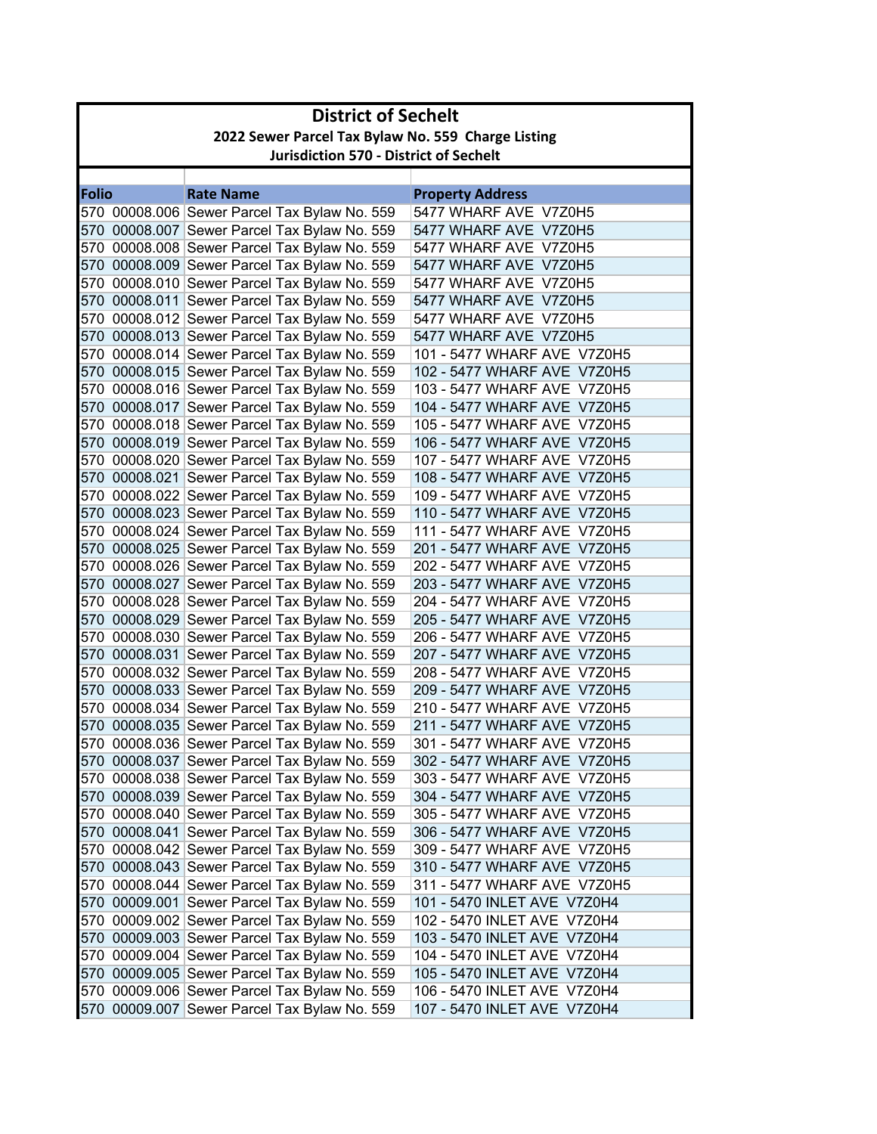|              | <b>District of Sechelt</b>                         |                                                                                              |                                                            |  |
|--------------|----------------------------------------------------|----------------------------------------------------------------------------------------------|------------------------------------------------------------|--|
|              | 2022 Sewer Parcel Tax Bylaw No. 559 Charge Listing |                                                                                              |                                                            |  |
|              |                                                    | <b>Jurisdiction 570 - District of Sechelt</b>                                                |                                                            |  |
|              |                                                    |                                                                                              |                                                            |  |
| <b>Folio</b> |                                                    | <b>Rate Name</b>                                                                             | <b>Property Address</b>                                    |  |
|              |                                                    | 570 00008.006 Sewer Parcel Tax Bylaw No. 559                                                 | 5477 WHARF AVE V7Z0H5                                      |  |
|              |                                                    | 570 00008.007 Sewer Parcel Tax Bylaw No. 559                                                 | 5477 WHARF AVE V7Z0H5                                      |  |
|              |                                                    | 570 00008.008 Sewer Parcel Tax Bylaw No. 559                                                 | 5477 WHARF AVE V7Z0H5                                      |  |
|              |                                                    | 570 00008.009 Sewer Parcel Tax Bylaw No. 559                                                 | 5477 WHARF AVE V7Z0H5                                      |  |
|              |                                                    | 570 00008.010 Sewer Parcel Tax Bylaw No. 559                                                 | 5477 WHARF AVE V7Z0H5                                      |  |
|              |                                                    | 570 00008.011 Sewer Parcel Tax Bylaw No. 559                                                 | 5477 WHARF AVE V7Z0H5                                      |  |
|              |                                                    | 570 00008.012 Sewer Parcel Tax Bylaw No. 559                                                 | 5477 WHARF AVE V7Z0H5                                      |  |
|              |                                                    | 570 00008.013 Sewer Parcel Tax Bylaw No. 559                                                 | 5477 WHARF AVE V7Z0H5                                      |  |
|              |                                                    | 570 00008.014 Sewer Parcel Tax Bylaw No. 559                                                 | 101 - 5477 WHARF AVE V7Z0H5                                |  |
|              |                                                    | 570 00008.015 Sewer Parcel Tax Bylaw No. 559                                                 | 102 - 5477 WHARF AVE V7Z0H5                                |  |
|              |                                                    | 570 00008.016 Sewer Parcel Tax Bylaw No. 559                                                 | 103 - 5477 WHARF AVE V7Z0H5                                |  |
|              |                                                    | 570 00008.017 Sewer Parcel Tax Bylaw No. 559                                                 | 104 - 5477 WHARF AVE V7Z0H5                                |  |
|              |                                                    | 570 00008.018 Sewer Parcel Tax Bylaw No. 559                                                 | 105 - 5477 WHARF AVE V7Z0H5                                |  |
|              |                                                    | 570 00008.019 Sewer Parcel Tax Bylaw No. 559                                                 | 106 - 5477 WHARF AVE V7Z0H5                                |  |
|              |                                                    | 570 00008.020 Sewer Parcel Tax Bylaw No. 559                                                 | 107 - 5477 WHARF AVE V7Z0H5                                |  |
|              |                                                    | 570 00008.021 Sewer Parcel Tax Bylaw No. 559                                                 | 108 - 5477 WHARF AVE V7Z0H5                                |  |
|              |                                                    | 570 00008.022 Sewer Parcel Tax Bylaw No. 559                                                 | 109 - 5477 WHARF AVE V7Z0H5                                |  |
|              |                                                    | 570 00008.023 Sewer Parcel Tax Bylaw No. 559                                                 | 110 - 5477 WHARF AVE V7Z0H5                                |  |
|              |                                                    | 570 00008.024 Sewer Parcel Tax Bylaw No. 559                                                 | 111 - 5477 WHARF AVE V7Z0H5                                |  |
|              |                                                    | 570 00008.025 Sewer Parcel Tax Bylaw No. 559                                                 | 201 - 5477 WHARF AVE V7Z0H5                                |  |
|              |                                                    | 570 00008.026 Sewer Parcel Tax Bylaw No. 559                                                 | 202 - 5477 WHARF AVE V7Z0H5                                |  |
|              |                                                    | 570 00008.027 Sewer Parcel Tax Bylaw No. 559                                                 | 203 - 5477 WHARF AVE V7Z0H5                                |  |
|              |                                                    | 570 00008.028 Sewer Parcel Tax Bylaw No. 559                                                 | 204 - 5477 WHARF AVE V7Z0H5                                |  |
|              |                                                    | 570 00008.029 Sewer Parcel Tax Bylaw No. 559                                                 | 205 - 5477 WHARF AVE V7Z0H5                                |  |
|              |                                                    | 570 00008.030 Sewer Parcel Tax Bylaw No. 559                                                 | 206 - 5477 WHARF AVE V7Z0H5                                |  |
|              |                                                    | 570 00008.031 Sewer Parcel Tax Bylaw No. 559                                                 | 207 - 5477 WHARF AVE V7Z0H5<br>208 - 5477 WHARF AVE V7Z0H5 |  |
|              |                                                    | 570 00008.032 Sewer Parcel Tax Bylaw No. 559<br>570 00008.033 Sewer Parcel Tax Bylaw No. 559 | 209 - 5477 WHARF AVE V7Z0H5                                |  |
|              |                                                    | 570 00008.034 Sewer Parcel Tax Bylaw No. 559                                                 | 210 - 5477 WHARF AVE V7Z0H5                                |  |
|              |                                                    | 570 00008.035 Sewer Parcel Tax Bylaw No. 559                                                 | 211 - 5477 WHARF AVE V7Z0H5                                |  |
|              |                                                    | 570 00008.036 Sewer Parcel Tax Bylaw No. 559                                                 | 301 - 5477 WHARF AVE V7Z0H5                                |  |
|              |                                                    | 570 00008.037 Sewer Parcel Tax Bylaw No. 559                                                 | 302 - 5477 WHARF AVE V7Z0H5                                |  |
|              |                                                    | 570 00008.038 Sewer Parcel Tax Bylaw No. 559                                                 | 303 - 5477 WHARF AVE V7Z0H5                                |  |
|              |                                                    | 570 00008.039 Sewer Parcel Tax Bylaw No. 559                                                 | 304 - 5477 WHARF AVE V7Z0H5                                |  |
|              |                                                    | 570 00008.040 Sewer Parcel Tax Bylaw No. 559                                                 | 305 - 5477 WHARF AVE V7Z0H5                                |  |
|              |                                                    | 570 00008.041 Sewer Parcel Tax Bylaw No. 559                                                 | 306 - 5477 WHARF AVE V7Z0H5                                |  |
|              |                                                    | 570 00008.042 Sewer Parcel Tax Bylaw No. 559                                                 | 309 - 5477 WHARF AVE V7Z0H5                                |  |
|              |                                                    | 570 00008.043 Sewer Parcel Tax Bylaw No. 559                                                 | 310 - 5477 WHARF AVE V7Z0H5                                |  |
|              |                                                    | 570 00008.044 Sewer Parcel Tax Bylaw No. 559                                                 | 311 - 5477 WHARF AVE V7Z0H5                                |  |
|              |                                                    | 570 00009.001 Sewer Parcel Tax Bylaw No. 559                                                 | 101 - 5470 INLET AVE V7Z0H4                                |  |
|              |                                                    | 570 00009.002 Sewer Parcel Tax Bylaw No. 559                                                 | 102 - 5470 INLET AVE V7Z0H4                                |  |
|              |                                                    | 570 00009.003 Sewer Parcel Tax Bylaw No. 559                                                 | 103 - 5470 INLET AVE V7Z0H4                                |  |
|              |                                                    | 570 00009.004 Sewer Parcel Tax Bylaw No. 559                                                 | 104 - 5470 INLET AVE V7Z0H4                                |  |
|              |                                                    | 570 00009.005 Sewer Parcel Tax Bylaw No. 559                                                 | 105 - 5470 INLET AVE V7Z0H4                                |  |
|              |                                                    | 570 00009.006 Sewer Parcel Tax Bylaw No. 559                                                 | 106 - 5470 INLET AVE V7Z0H4                                |  |
|              |                                                    | 570 00009.007 Sewer Parcel Tax Bylaw No. 559                                                 | 107 - 5470 INLET AVE V7Z0H4                                |  |
|              |                                                    |                                                                                              |                                                            |  |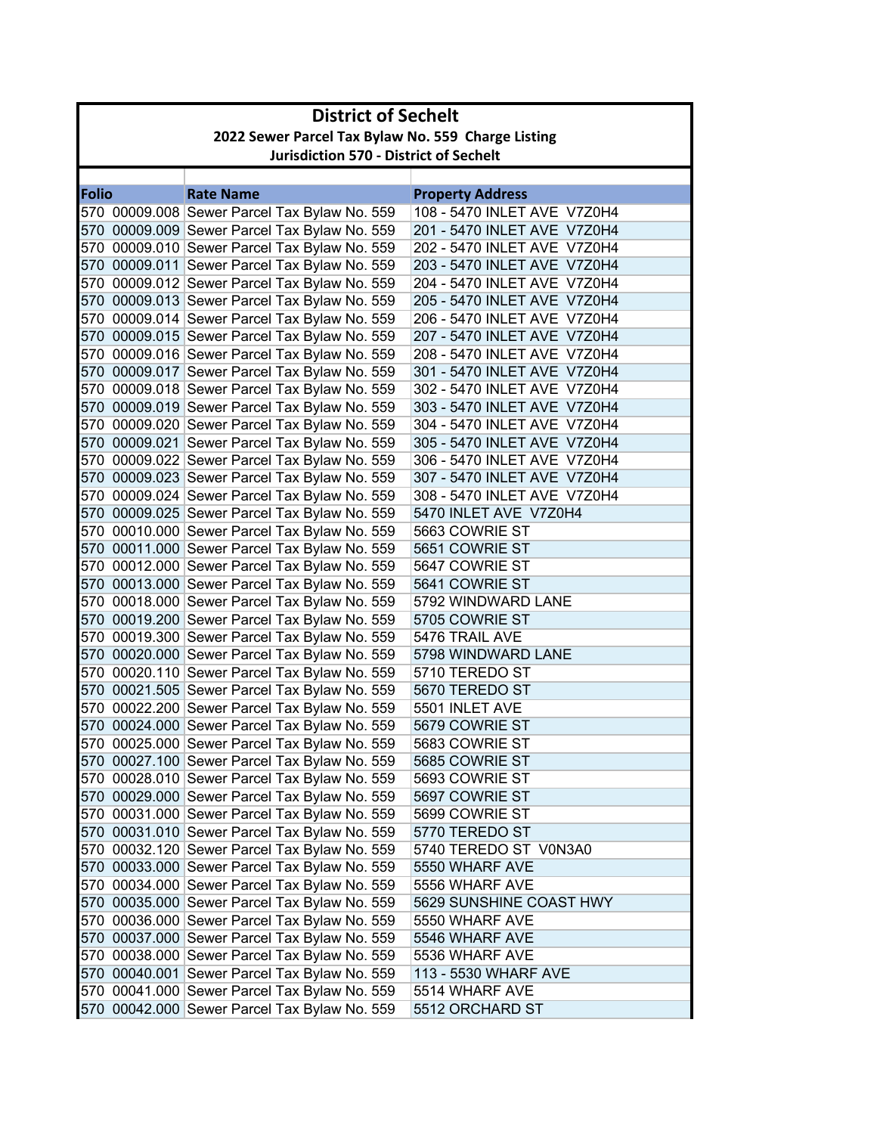|              | <b>District of Sechelt</b>                         |                                                                                              |                                  |  |
|--------------|----------------------------------------------------|----------------------------------------------------------------------------------------------|----------------------------------|--|
|              | 2022 Sewer Parcel Tax Bylaw No. 559 Charge Listing |                                                                                              |                                  |  |
|              |                                                    | <b>Jurisdiction 570 - District of Sechelt</b>                                                |                                  |  |
|              |                                                    |                                                                                              |                                  |  |
| <b>Folio</b> |                                                    | <b>Rate Name</b>                                                                             | <b>Property Address</b>          |  |
|              |                                                    | 570 00009.008 Sewer Parcel Tax Bylaw No. 559                                                 | 108 - 5470 INLET AVE V7Z0H4      |  |
|              |                                                    | 570 00009.009 Sewer Parcel Tax Bylaw No. 559                                                 | 201 - 5470 INLET AVE V7Z0H4      |  |
|              |                                                    | 570 00009.010 Sewer Parcel Tax Bylaw No. 559                                                 | 202 - 5470 INLET AVE V7Z0H4      |  |
|              |                                                    | 570 00009.011 Sewer Parcel Tax Bylaw No. 559                                                 | 203 - 5470 INLET AVE V7Z0H4      |  |
|              |                                                    | 570 00009.012 Sewer Parcel Tax Bylaw No. 559                                                 | 204 - 5470 INLET AVE V7Z0H4      |  |
|              |                                                    | 570 00009.013 Sewer Parcel Tax Bylaw No. 559                                                 | 205 - 5470 INLET AVE V7Z0H4      |  |
|              |                                                    | 570 00009.014 Sewer Parcel Tax Bylaw No. 559                                                 | 206 - 5470 INLET AVE V7Z0H4      |  |
|              |                                                    | 570 00009.015 Sewer Parcel Tax Bylaw No. 559                                                 | 207 - 5470 INLET AVE V7Z0H4      |  |
|              |                                                    | 570 00009.016 Sewer Parcel Tax Bylaw No. 559                                                 | 208 - 5470 INLET AVE V7Z0H4      |  |
|              |                                                    | 570 00009.017 Sewer Parcel Tax Bylaw No. 559                                                 | 301 - 5470 INLET AVE V7Z0H4      |  |
|              |                                                    | 570 00009.018 Sewer Parcel Tax Bylaw No. 559                                                 | 302 - 5470 INLET AVE V7Z0H4      |  |
|              |                                                    | 570 00009.019 Sewer Parcel Tax Bylaw No. 559                                                 | 303 - 5470 INLET AVE V7Z0H4      |  |
|              |                                                    | 570 00009.020 Sewer Parcel Tax Bylaw No. 559                                                 | 304 - 5470 INLET AVE V7Z0H4      |  |
|              |                                                    | 570 00009.021 Sewer Parcel Tax Bylaw No. 559                                                 | 305 - 5470 INLET AVE V7Z0H4      |  |
|              |                                                    | 570 00009.022 Sewer Parcel Tax Bylaw No. 559                                                 | 306 - 5470 INLET AVE V7Z0H4      |  |
|              |                                                    | 570 00009.023 Sewer Parcel Tax Bylaw No. 559                                                 | 307 - 5470 INLET AVE V7Z0H4      |  |
|              |                                                    | 570 00009.024 Sewer Parcel Tax Bylaw No. 559                                                 | 308 - 5470 INLET AVE V7Z0H4      |  |
|              |                                                    | 570 00009.025 Sewer Parcel Tax Bylaw No. 559                                                 | 5470 INLET AVE V7Z0H4            |  |
|              |                                                    | 570 00010.000 Sewer Parcel Tax Bylaw No. 559                                                 | 5663 COWRIE ST                   |  |
|              |                                                    | 570 00011.000 Sewer Parcel Tax Bylaw No. 559                                                 | 5651 COWRIE ST                   |  |
|              |                                                    | 570 00012.000 Sewer Parcel Tax Bylaw No. 559                                                 | 5647 COWRIE ST                   |  |
|              |                                                    | 570 00013.000 Sewer Parcel Tax Bylaw No. 559                                                 | 5641 COWRIE ST                   |  |
|              |                                                    | 570 00018.000 Sewer Parcel Tax Bylaw No. 559                                                 | 5792 WINDWARD LANE               |  |
|              |                                                    | 570 00019.200 Sewer Parcel Tax Bylaw No. 559                                                 | 5705 COWRIE ST                   |  |
|              |                                                    | 570 00019.300 Sewer Parcel Tax Bylaw No. 559                                                 | 5476 TRAIL AVE                   |  |
|              |                                                    | 570 00020.000 Sewer Parcel Tax Bylaw No. 559                                                 | 5798 WINDWARD LANE               |  |
|              |                                                    | 570 00020.110 Sewer Parcel Tax Bylaw No. 559                                                 | 5710 TEREDO ST                   |  |
|              |                                                    | 570 00021.505 Sewer Parcel Tax Bylaw No. 559<br>570 00022.200 Sewer Parcel Tax Bylaw No. 559 | 5670 TEREDO ST<br>5501 INLET AVE |  |
|              |                                                    | 570 00024.000 Sewer Parcel Tax Bylaw No. 559                                                 | 5679 COWRIE ST                   |  |
|              |                                                    | 570 00025.000 Sewer Parcel Tax Bylaw No. 559                                                 | 5683 COWRIE ST                   |  |
|              |                                                    | 570 00027.100 Sewer Parcel Tax Bylaw No. 559                                                 | 5685 COWRIE ST                   |  |
|              |                                                    | 570 00028.010 Sewer Parcel Tax Bylaw No. 559                                                 | 5693 COWRIE ST                   |  |
|              |                                                    | 570 00029.000 Sewer Parcel Tax Bylaw No. 559                                                 | 5697 COWRIE ST                   |  |
|              |                                                    | 570 00031.000 Sewer Parcel Tax Bylaw No. 559                                                 | 5699 COWRIE ST                   |  |
|              |                                                    | 570 00031.010 Sewer Parcel Tax Bylaw No. 559                                                 | 5770 TEREDO ST                   |  |
|              |                                                    | 570 00032.120 Sewer Parcel Tax Bylaw No. 559                                                 | 5740 TEREDO ST V0N3A0            |  |
|              |                                                    | 570 00033.000 Sewer Parcel Tax Bylaw No. 559                                                 | 5550 WHARF AVE                   |  |
|              |                                                    | 570 00034.000 Sewer Parcel Tax Bylaw No. 559                                                 | 5556 WHARF AVE                   |  |
|              |                                                    | 570 00035.000 Sewer Parcel Tax Bylaw No. 559                                                 | 5629 SUNSHINE COAST HWY          |  |
|              |                                                    | 570 00036.000 Sewer Parcel Tax Bylaw No. 559                                                 | 5550 WHARF AVE                   |  |
|              |                                                    | 570 00037.000 Sewer Parcel Tax Bylaw No. 559                                                 | 5546 WHARF AVE                   |  |
|              |                                                    | 570 00038.000 Sewer Parcel Tax Bylaw No. 559                                                 | 5536 WHARF AVE                   |  |
|              |                                                    | 570 00040.001 Sewer Parcel Tax Bylaw No. 559                                                 | 113 - 5530 WHARF AVE             |  |
|              |                                                    | 570 00041.000 Sewer Parcel Tax Bylaw No. 559                                                 | 5514 WHARF AVE                   |  |
|              |                                                    | 570 00042.000 Sewer Parcel Tax Bylaw No. 559                                                 | 5512 ORCHARD ST                  |  |
|              |                                                    |                                                                                              |                                  |  |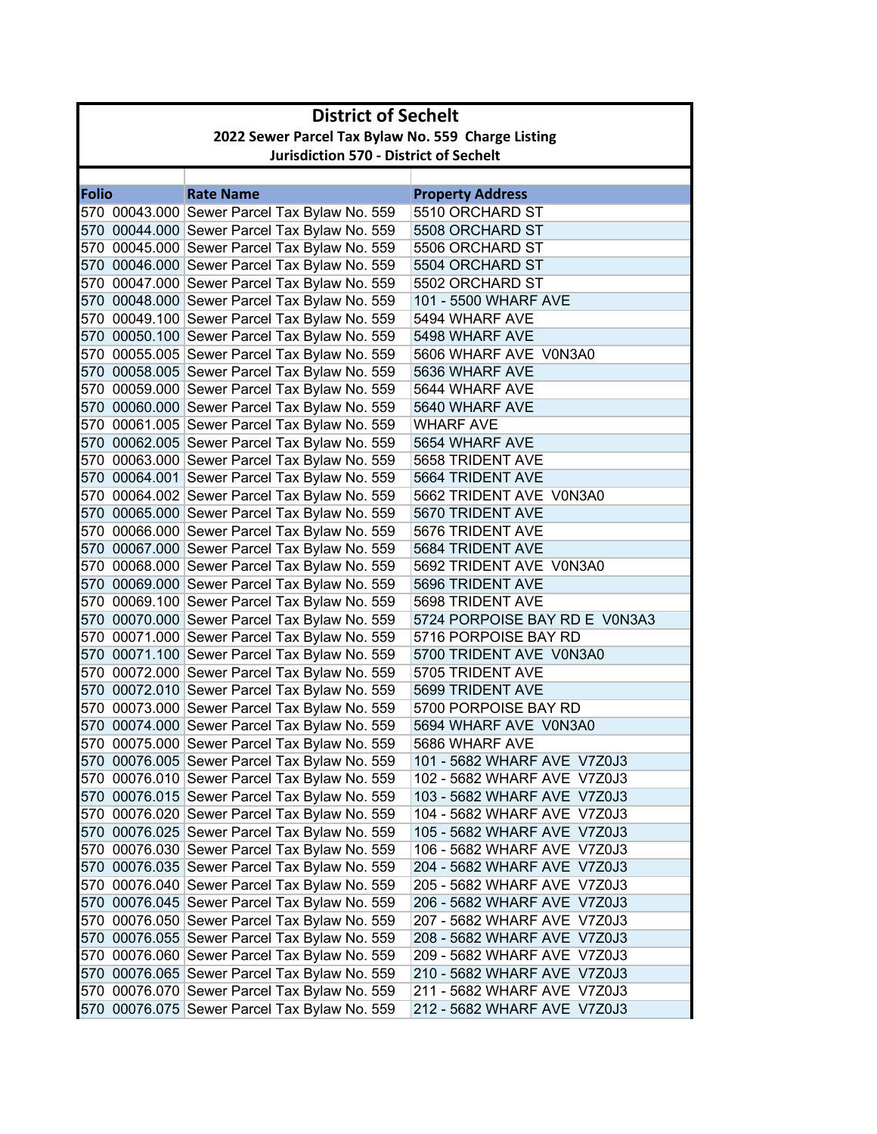|              | <b>District of Sechelt</b>                         |                                                                                              |                                    |  |  |  |
|--------------|----------------------------------------------------|----------------------------------------------------------------------------------------------|------------------------------------|--|--|--|
|              | 2022 Sewer Parcel Tax Bylaw No. 559 Charge Listing |                                                                                              |                                    |  |  |  |
|              | <b>Jurisdiction 570 - District of Sechelt</b>      |                                                                                              |                                    |  |  |  |
|              |                                                    |                                                                                              |                                    |  |  |  |
| <b>Folio</b> |                                                    | <b>Rate Name</b>                                                                             | <b>Property Address</b>            |  |  |  |
|              |                                                    | 570 00043.000 Sewer Parcel Tax Bylaw No. 559                                                 | 5510 ORCHARD ST                    |  |  |  |
|              |                                                    | 570 00044.000 Sewer Parcel Tax Bylaw No. 559                                                 | 5508 ORCHARD ST                    |  |  |  |
|              |                                                    | 570 00045.000 Sewer Parcel Tax Bylaw No. 559                                                 | 5506 ORCHARD ST                    |  |  |  |
|              |                                                    | 570 00046.000 Sewer Parcel Tax Bylaw No. 559                                                 | 5504 ORCHARD ST                    |  |  |  |
|              |                                                    | 570 00047.000 Sewer Parcel Tax Bylaw No. 559                                                 | 5502 ORCHARD ST                    |  |  |  |
|              |                                                    | 570 00048.000 Sewer Parcel Tax Bylaw No. 559                                                 | 101 - 5500 WHARF AVE               |  |  |  |
|              |                                                    | 570 00049.100 Sewer Parcel Tax Bylaw No. 559                                                 | 5494 WHARF AVE                     |  |  |  |
|              |                                                    | 570 00050.100 Sewer Parcel Tax Bylaw No. 559                                                 | 5498 WHARF AVE                     |  |  |  |
|              |                                                    | 570 00055.005 Sewer Parcel Tax Bylaw No. 559                                                 | 5606 WHARF AVE V0N3A0              |  |  |  |
|              |                                                    | 570 00058.005 Sewer Parcel Tax Bylaw No. 559                                                 | 5636 WHARF AVE                     |  |  |  |
|              |                                                    | 570 00059.000 Sewer Parcel Tax Bylaw No. 559                                                 | 5644 WHARF AVE                     |  |  |  |
|              |                                                    | 570 00060.000 Sewer Parcel Tax Bylaw No. 559                                                 | 5640 WHARF AVE                     |  |  |  |
|              |                                                    | 570 00061.005 Sewer Parcel Tax Bylaw No. 559<br>570 00062.005 Sewer Parcel Tax Bylaw No. 559 | <b>WHARF AVE</b><br>5654 WHARF AVE |  |  |  |
|              |                                                    | 570 00063.000 Sewer Parcel Tax Bylaw No. 559                                                 | 5658 TRIDENT AVE                   |  |  |  |
|              |                                                    | 570 00064.001 Sewer Parcel Tax Bylaw No. 559                                                 | 5664 TRIDENT AVE                   |  |  |  |
|              |                                                    | 570 00064.002 Sewer Parcel Tax Bylaw No. 559                                                 | 5662 TRIDENT AVE V0N3A0            |  |  |  |
|              |                                                    | 570 00065.000 Sewer Parcel Tax Bylaw No. 559                                                 | 5670 TRIDENT AVE                   |  |  |  |
|              |                                                    | 570 00066.000 Sewer Parcel Tax Bylaw No. 559                                                 | 5676 TRIDENT AVE                   |  |  |  |
|              |                                                    | 570 00067.000 Sewer Parcel Tax Bylaw No. 559                                                 | 5684 TRIDENT AVE                   |  |  |  |
|              |                                                    | 570 00068.000 Sewer Parcel Tax Bylaw No. 559                                                 | 5692 TRIDENT AVE V0N3A0            |  |  |  |
|              |                                                    | 570 00069.000 Sewer Parcel Tax Bylaw No. 559                                                 | 5696 TRIDENT AVE                   |  |  |  |
|              |                                                    | 570 00069.100 Sewer Parcel Tax Bylaw No. 559                                                 | 5698 TRIDENT AVE                   |  |  |  |
|              |                                                    | 570 00070.000 Sewer Parcel Tax Bylaw No. 559                                                 | 5724 PORPOISE BAY RD E V0N3A3      |  |  |  |
|              |                                                    | 570 00071.000 Sewer Parcel Tax Bylaw No. 559                                                 | 5716 PORPOISE BAY RD               |  |  |  |
|              |                                                    | 570 00071.100 Sewer Parcel Tax Bylaw No. 559                                                 | 5700 TRIDENT AVE V0N3A0            |  |  |  |
|              |                                                    | 570 00072.000 Sewer Parcel Tax Bylaw No. 559                                                 | 5705 TRIDENT AVE                   |  |  |  |
|              |                                                    | 570 00072.010 Sewer Parcel Tax Bylaw No. 559                                                 | 5699 TRIDENT AVE                   |  |  |  |
|              |                                                    | 570 00073.000 Sewer Parcel Tax Bylaw No. 559                                                 | 5700 PORPOISE BAY RD               |  |  |  |
|              |                                                    | 570 00074.000 Sewer Parcel Tax Bylaw No. 559                                                 | 5694 WHARF AVE V0N3A0              |  |  |  |
|              |                                                    | 570 00075.000 Sewer Parcel Tax Bylaw No. 559                                                 | 5686 WHARF AVE                     |  |  |  |
|              |                                                    | 570 00076.005 Sewer Parcel Tax Bylaw No. 559                                                 | 101 - 5682 WHARF AVE V7Z0J3        |  |  |  |
|              |                                                    | 570 00076.010 Sewer Parcel Tax Bylaw No. 559                                                 | 102 - 5682 WHARF AVE V7Z0J3        |  |  |  |
|              |                                                    | 570 00076.015 Sewer Parcel Tax Bylaw No. 559                                                 | 103 - 5682 WHARF AVE V7Z0J3        |  |  |  |
|              |                                                    | 570 00076.020 Sewer Parcel Tax Bylaw No. 559                                                 | 104 - 5682 WHARF AVE V7Z0J3        |  |  |  |
|              |                                                    | 570 00076.025 Sewer Parcel Tax Bylaw No. 559                                                 | 105 - 5682 WHARF AVE V7Z0J3        |  |  |  |
|              |                                                    | 570 00076.030 Sewer Parcel Tax Bylaw No. 559                                                 | 106 - 5682 WHARF AVE V7Z0J3        |  |  |  |
|              |                                                    | 570 00076.035 Sewer Parcel Tax Bylaw No. 559                                                 | 204 - 5682 WHARF AVE V7Z0J3        |  |  |  |
|              |                                                    | 570 00076.040 Sewer Parcel Tax Bylaw No. 559                                                 | 205 - 5682 WHARF AVE V7Z0J3        |  |  |  |
|              |                                                    | 570 00076.045 Sewer Parcel Tax Bylaw No. 559                                                 | 206 - 5682 WHARF AVE V7Z0J3        |  |  |  |
|              |                                                    | 570 00076.050 Sewer Parcel Tax Bylaw No. 559                                                 | 207 - 5682 WHARF AVE V7Z0J3        |  |  |  |
|              |                                                    | 570 00076.055 Sewer Parcel Tax Bylaw No. 559                                                 | 208 - 5682 WHARF AVE V7Z0J3        |  |  |  |
|              |                                                    | 570 00076.060 Sewer Parcel Tax Bylaw No. 559                                                 | 209 - 5682 WHARF AVE V7Z0J3        |  |  |  |
|              |                                                    | 570 00076.065 Sewer Parcel Tax Bylaw No. 559                                                 | 210 - 5682 WHARF AVE V7Z0J3        |  |  |  |
|              |                                                    | 570 00076.070 Sewer Parcel Tax Bylaw No. 559                                                 | 211 - 5682 WHARF AVE V7Z0J3        |  |  |  |
|              |                                                    | 570 00076.075 Sewer Parcel Tax Bylaw No. 559                                                 | 212 - 5682 WHARF AVE V7Z0J3        |  |  |  |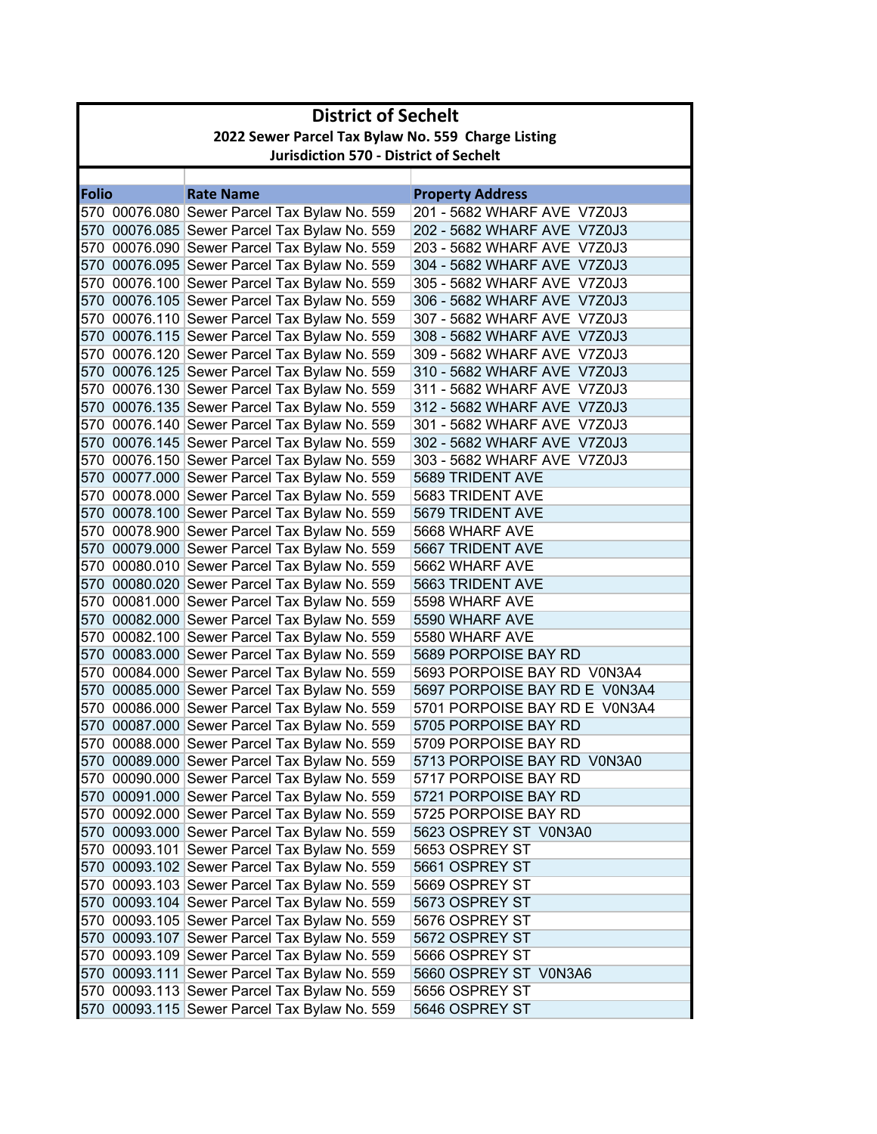| 2022 Sewer Parcel Tax Bylaw No. 559 Charge Listing<br><b>Jurisdiction 570 - District of Sechelt</b><br><b>Folio</b><br><b>Rate Name</b><br><b>Property Address</b><br>570 00076.080 Sewer Parcel Tax Bylaw No. 559<br>201 - 5682 WHARF AVE V7Z0J3<br>570 00076.085 Sewer Parcel Tax Bylaw No. 559<br>202 - 5682 WHARF AVE V7Z0J3<br>570 00076.090 Sewer Parcel Tax Bylaw No. 559<br>203 - 5682 WHARF AVE V7Z0J3<br>570 00076.095 Sewer Parcel Tax Bylaw No. 559<br>304 - 5682 WHARF AVE V7Z0J3<br>570 00076.100 Sewer Parcel Tax Bylaw No. 559<br>305 - 5682 WHARF AVE V7Z0J3<br>570 00076.105 Sewer Parcel Tax Bylaw No. 559<br>306 - 5682 WHARF AVE V7Z0J3<br>570 00076.110 Sewer Parcel Tax Bylaw No. 559<br>307 - 5682 WHARF AVE V7Z0J3<br>570 00076.115 Sewer Parcel Tax Bylaw No. 559<br>308 - 5682 WHARF AVE V7Z0J3<br>570 00076.120 Sewer Parcel Tax Bylaw No. 559<br>309 - 5682 WHARF AVE V7Z0J3<br>570 00076.125 Sewer Parcel Tax Bylaw No. 559<br>310 - 5682 WHARF AVE V7Z0J3<br>570 00076.130 Sewer Parcel Tax Bylaw No. 559<br>311 - 5682 WHARF AVE V7Z0J3<br>570 00076.135 Sewer Parcel Tax Bylaw No. 559<br>312 - 5682 WHARF AVE V7Z0J3<br>570 00076.140 Sewer Parcel Tax Bylaw No. 559<br>301 - 5682 WHARF AVE V7Z0J3<br>570 00076.145 Sewer Parcel Tax Bylaw No. 559<br>302 - 5682 WHARF AVE V7Z0J3<br>570 00076.150 Sewer Parcel Tax Bylaw No. 559<br>303 - 5682 WHARF AVE V7Z0J3<br>570 00077.000 Sewer Parcel Tax Bylaw No. 559<br>5689 TRIDENT AVE<br>570 00078.000 Sewer Parcel Tax Bylaw No. 559<br>5683 TRIDENT AVE<br>570 00078.100 Sewer Parcel Tax Bylaw No. 559<br>5679 TRIDENT AVE<br>570 00078.900 Sewer Parcel Tax Bylaw No. 559<br>5668 WHARF AVE<br>570 00079.000 Sewer Parcel Tax Bylaw No. 559<br>5667 TRIDENT AVE<br>570 00080.010 Sewer Parcel Tax Bylaw No. 559<br>5662 WHARF AVE<br>570 00080.020 Sewer Parcel Tax Bylaw No. 559<br>5663 TRIDENT AVE<br>570 00081.000 Sewer Parcel Tax Bylaw No. 559<br>5598 WHARF AVE<br>570 00082.000 Sewer Parcel Tax Bylaw No. 559<br>5590 WHARF AVE<br>570 00082.100 Sewer Parcel Tax Bylaw No. 559<br>5580 WHARF AVE<br>570 00083.000 Sewer Parcel Tax Bylaw No. 559<br>5689 PORPOISE BAY RD<br>570 00084.000 Sewer Parcel Tax Bylaw No. 559<br>5693 PORPOISE BAY RD V0N3A4<br>570 00085.000 Sewer Parcel Tax Bylaw No. 559<br>5697 PORPOISE BAY RD E V0N3A4<br>570 00086.000 Sewer Parcel Tax Bylaw No. 559<br>5701 PORPOISE BAY RD E V0N3A4<br>570 00087.000 Sewer Parcel Tax Bylaw No. 559<br>5705 PORPOISE BAY RD<br>570 00088.000 Sewer Parcel Tax Bylaw No. 559<br>5709 PORPOISE BAY RD<br>570 00089.000 Sewer Parcel Tax Bylaw No. 559<br>5713 PORPOISE BAY RD V0N3A0<br>570 00090.000 Sewer Parcel Tax Bylaw No. 559<br>5717 PORPOISE BAY RD<br>570 00091.000 Sewer Parcel Tax Bylaw No. 559<br>5721 PORPOISE BAY RD<br>570 00092.000 Sewer Parcel Tax Bylaw No. 559<br>5725 PORPOISE BAY RD<br>570 00093.000 Sewer Parcel Tax Bylaw No. 559<br>5623 OSPREY ST V0N3A0<br>570 00093.101 Sewer Parcel Tax Bylaw No. 559<br>5653 OSPREY ST<br>570 00093.102 Sewer Parcel Tax Bylaw No. 559<br>5661 OSPREY ST<br>570 00093.103 Sewer Parcel Tax Bylaw No. 559<br>5669 OSPREY ST<br>570 00093.104 Sewer Parcel Tax Bylaw No. 559<br>5673 OSPREY ST<br>570 00093.105 Sewer Parcel Tax Bylaw No. 559<br>5676 OSPREY ST<br>570 00093.107 Sewer Parcel Tax Bylaw No. 559 | <b>District of Sechelt</b> |  |                |  |  |  |
|------------------------------------------------------------------------------------------------------------------------------------------------------------------------------------------------------------------------------------------------------------------------------------------------------------------------------------------------------------------------------------------------------------------------------------------------------------------------------------------------------------------------------------------------------------------------------------------------------------------------------------------------------------------------------------------------------------------------------------------------------------------------------------------------------------------------------------------------------------------------------------------------------------------------------------------------------------------------------------------------------------------------------------------------------------------------------------------------------------------------------------------------------------------------------------------------------------------------------------------------------------------------------------------------------------------------------------------------------------------------------------------------------------------------------------------------------------------------------------------------------------------------------------------------------------------------------------------------------------------------------------------------------------------------------------------------------------------------------------------------------------------------------------------------------------------------------------------------------------------------------------------------------------------------------------------------------------------------------------------------------------------------------------------------------------------------------------------------------------------------------------------------------------------------------------------------------------------------------------------------------------------------------------------------------------------------------------------------------------------------------------------------------------------------------------------------------------------------------------------------------------------------------------------------------------------------------------------------------------------------------------------------------------------------------------------------------------------------------------------------------------------------------------------------------------------------------------------------------------------------------------------------------------------------------------------------------------------------------------------------------------------------------------------------------------------------------------------------------------------------------------------------------------------------------------------------------------------------------------------------------------------------------------------------------------------------------------------------------|----------------------------|--|----------------|--|--|--|
|                                                                                                                                                                                                                                                                                                                                                                                                                                                                                                                                                                                                                                                                                                                                                                                                                                                                                                                                                                                                                                                                                                                                                                                                                                                                                                                                                                                                                                                                                                                                                                                                                                                                                                                                                                                                                                                                                                                                                                                                                                                                                                                                                                                                                                                                                                                                                                                                                                                                                                                                                                                                                                                                                                                                                                                                                                                                                                                                                                                                                                                                                                                                                                                                                                                                                                                                                      |                            |  |                |  |  |  |
|                                                                                                                                                                                                                                                                                                                                                                                                                                                                                                                                                                                                                                                                                                                                                                                                                                                                                                                                                                                                                                                                                                                                                                                                                                                                                                                                                                                                                                                                                                                                                                                                                                                                                                                                                                                                                                                                                                                                                                                                                                                                                                                                                                                                                                                                                                                                                                                                                                                                                                                                                                                                                                                                                                                                                                                                                                                                                                                                                                                                                                                                                                                                                                                                                                                                                                                                                      |                            |  |                |  |  |  |
|                                                                                                                                                                                                                                                                                                                                                                                                                                                                                                                                                                                                                                                                                                                                                                                                                                                                                                                                                                                                                                                                                                                                                                                                                                                                                                                                                                                                                                                                                                                                                                                                                                                                                                                                                                                                                                                                                                                                                                                                                                                                                                                                                                                                                                                                                                                                                                                                                                                                                                                                                                                                                                                                                                                                                                                                                                                                                                                                                                                                                                                                                                                                                                                                                                                                                                                                                      |                            |  |                |  |  |  |
|                                                                                                                                                                                                                                                                                                                                                                                                                                                                                                                                                                                                                                                                                                                                                                                                                                                                                                                                                                                                                                                                                                                                                                                                                                                                                                                                                                                                                                                                                                                                                                                                                                                                                                                                                                                                                                                                                                                                                                                                                                                                                                                                                                                                                                                                                                                                                                                                                                                                                                                                                                                                                                                                                                                                                                                                                                                                                                                                                                                                                                                                                                                                                                                                                                                                                                                                                      |                            |  |                |  |  |  |
|                                                                                                                                                                                                                                                                                                                                                                                                                                                                                                                                                                                                                                                                                                                                                                                                                                                                                                                                                                                                                                                                                                                                                                                                                                                                                                                                                                                                                                                                                                                                                                                                                                                                                                                                                                                                                                                                                                                                                                                                                                                                                                                                                                                                                                                                                                                                                                                                                                                                                                                                                                                                                                                                                                                                                                                                                                                                                                                                                                                                                                                                                                                                                                                                                                                                                                                                                      |                            |  |                |  |  |  |
|                                                                                                                                                                                                                                                                                                                                                                                                                                                                                                                                                                                                                                                                                                                                                                                                                                                                                                                                                                                                                                                                                                                                                                                                                                                                                                                                                                                                                                                                                                                                                                                                                                                                                                                                                                                                                                                                                                                                                                                                                                                                                                                                                                                                                                                                                                                                                                                                                                                                                                                                                                                                                                                                                                                                                                                                                                                                                                                                                                                                                                                                                                                                                                                                                                                                                                                                                      |                            |  |                |  |  |  |
|                                                                                                                                                                                                                                                                                                                                                                                                                                                                                                                                                                                                                                                                                                                                                                                                                                                                                                                                                                                                                                                                                                                                                                                                                                                                                                                                                                                                                                                                                                                                                                                                                                                                                                                                                                                                                                                                                                                                                                                                                                                                                                                                                                                                                                                                                                                                                                                                                                                                                                                                                                                                                                                                                                                                                                                                                                                                                                                                                                                                                                                                                                                                                                                                                                                                                                                                                      |                            |  |                |  |  |  |
|                                                                                                                                                                                                                                                                                                                                                                                                                                                                                                                                                                                                                                                                                                                                                                                                                                                                                                                                                                                                                                                                                                                                                                                                                                                                                                                                                                                                                                                                                                                                                                                                                                                                                                                                                                                                                                                                                                                                                                                                                                                                                                                                                                                                                                                                                                                                                                                                                                                                                                                                                                                                                                                                                                                                                                                                                                                                                                                                                                                                                                                                                                                                                                                                                                                                                                                                                      |                            |  |                |  |  |  |
|                                                                                                                                                                                                                                                                                                                                                                                                                                                                                                                                                                                                                                                                                                                                                                                                                                                                                                                                                                                                                                                                                                                                                                                                                                                                                                                                                                                                                                                                                                                                                                                                                                                                                                                                                                                                                                                                                                                                                                                                                                                                                                                                                                                                                                                                                                                                                                                                                                                                                                                                                                                                                                                                                                                                                                                                                                                                                                                                                                                                                                                                                                                                                                                                                                                                                                                                                      |                            |  |                |  |  |  |
|                                                                                                                                                                                                                                                                                                                                                                                                                                                                                                                                                                                                                                                                                                                                                                                                                                                                                                                                                                                                                                                                                                                                                                                                                                                                                                                                                                                                                                                                                                                                                                                                                                                                                                                                                                                                                                                                                                                                                                                                                                                                                                                                                                                                                                                                                                                                                                                                                                                                                                                                                                                                                                                                                                                                                                                                                                                                                                                                                                                                                                                                                                                                                                                                                                                                                                                                                      |                            |  |                |  |  |  |
|                                                                                                                                                                                                                                                                                                                                                                                                                                                                                                                                                                                                                                                                                                                                                                                                                                                                                                                                                                                                                                                                                                                                                                                                                                                                                                                                                                                                                                                                                                                                                                                                                                                                                                                                                                                                                                                                                                                                                                                                                                                                                                                                                                                                                                                                                                                                                                                                                                                                                                                                                                                                                                                                                                                                                                                                                                                                                                                                                                                                                                                                                                                                                                                                                                                                                                                                                      |                            |  |                |  |  |  |
|                                                                                                                                                                                                                                                                                                                                                                                                                                                                                                                                                                                                                                                                                                                                                                                                                                                                                                                                                                                                                                                                                                                                                                                                                                                                                                                                                                                                                                                                                                                                                                                                                                                                                                                                                                                                                                                                                                                                                                                                                                                                                                                                                                                                                                                                                                                                                                                                                                                                                                                                                                                                                                                                                                                                                                                                                                                                                                                                                                                                                                                                                                                                                                                                                                                                                                                                                      |                            |  |                |  |  |  |
|                                                                                                                                                                                                                                                                                                                                                                                                                                                                                                                                                                                                                                                                                                                                                                                                                                                                                                                                                                                                                                                                                                                                                                                                                                                                                                                                                                                                                                                                                                                                                                                                                                                                                                                                                                                                                                                                                                                                                                                                                                                                                                                                                                                                                                                                                                                                                                                                                                                                                                                                                                                                                                                                                                                                                                                                                                                                                                                                                                                                                                                                                                                                                                                                                                                                                                                                                      |                            |  |                |  |  |  |
|                                                                                                                                                                                                                                                                                                                                                                                                                                                                                                                                                                                                                                                                                                                                                                                                                                                                                                                                                                                                                                                                                                                                                                                                                                                                                                                                                                                                                                                                                                                                                                                                                                                                                                                                                                                                                                                                                                                                                                                                                                                                                                                                                                                                                                                                                                                                                                                                                                                                                                                                                                                                                                                                                                                                                                                                                                                                                                                                                                                                                                                                                                                                                                                                                                                                                                                                                      |                            |  |                |  |  |  |
|                                                                                                                                                                                                                                                                                                                                                                                                                                                                                                                                                                                                                                                                                                                                                                                                                                                                                                                                                                                                                                                                                                                                                                                                                                                                                                                                                                                                                                                                                                                                                                                                                                                                                                                                                                                                                                                                                                                                                                                                                                                                                                                                                                                                                                                                                                                                                                                                                                                                                                                                                                                                                                                                                                                                                                                                                                                                                                                                                                                                                                                                                                                                                                                                                                                                                                                                                      |                            |  |                |  |  |  |
|                                                                                                                                                                                                                                                                                                                                                                                                                                                                                                                                                                                                                                                                                                                                                                                                                                                                                                                                                                                                                                                                                                                                                                                                                                                                                                                                                                                                                                                                                                                                                                                                                                                                                                                                                                                                                                                                                                                                                                                                                                                                                                                                                                                                                                                                                                                                                                                                                                                                                                                                                                                                                                                                                                                                                                                                                                                                                                                                                                                                                                                                                                                                                                                                                                                                                                                                                      |                            |  |                |  |  |  |
|                                                                                                                                                                                                                                                                                                                                                                                                                                                                                                                                                                                                                                                                                                                                                                                                                                                                                                                                                                                                                                                                                                                                                                                                                                                                                                                                                                                                                                                                                                                                                                                                                                                                                                                                                                                                                                                                                                                                                                                                                                                                                                                                                                                                                                                                                                                                                                                                                                                                                                                                                                                                                                                                                                                                                                                                                                                                                                                                                                                                                                                                                                                                                                                                                                                                                                                                                      |                            |  |                |  |  |  |
|                                                                                                                                                                                                                                                                                                                                                                                                                                                                                                                                                                                                                                                                                                                                                                                                                                                                                                                                                                                                                                                                                                                                                                                                                                                                                                                                                                                                                                                                                                                                                                                                                                                                                                                                                                                                                                                                                                                                                                                                                                                                                                                                                                                                                                                                                                                                                                                                                                                                                                                                                                                                                                                                                                                                                                                                                                                                                                                                                                                                                                                                                                                                                                                                                                                                                                                                                      |                            |  |                |  |  |  |
|                                                                                                                                                                                                                                                                                                                                                                                                                                                                                                                                                                                                                                                                                                                                                                                                                                                                                                                                                                                                                                                                                                                                                                                                                                                                                                                                                                                                                                                                                                                                                                                                                                                                                                                                                                                                                                                                                                                                                                                                                                                                                                                                                                                                                                                                                                                                                                                                                                                                                                                                                                                                                                                                                                                                                                                                                                                                                                                                                                                                                                                                                                                                                                                                                                                                                                                                                      |                            |  |                |  |  |  |
|                                                                                                                                                                                                                                                                                                                                                                                                                                                                                                                                                                                                                                                                                                                                                                                                                                                                                                                                                                                                                                                                                                                                                                                                                                                                                                                                                                                                                                                                                                                                                                                                                                                                                                                                                                                                                                                                                                                                                                                                                                                                                                                                                                                                                                                                                                                                                                                                                                                                                                                                                                                                                                                                                                                                                                                                                                                                                                                                                                                                                                                                                                                                                                                                                                                                                                                                                      |                            |  |                |  |  |  |
|                                                                                                                                                                                                                                                                                                                                                                                                                                                                                                                                                                                                                                                                                                                                                                                                                                                                                                                                                                                                                                                                                                                                                                                                                                                                                                                                                                                                                                                                                                                                                                                                                                                                                                                                                                                                                                                                                                                                                                                                                                                                                                                                                                                                                                                                                                                                                                                                                                                                                                                                                                                                                                                                                                                                                                                                                                                                                                                                                                                                                                                                                                                                                                                                                                                                                                                                                      |                            |  |                |  |  |  |
|                                                                                                                                                                                                                                                                                                                                                                                                                                                                                                                                                                                                                                                                                                                                                                                                                                                                                                                                                                                                                                                                                                                                                                                                                                                                                                                                                                                                                                                                                                                                                                                                                                                                                                                                                                                                                                                                                                                                                                                                                                                                                                                                                                                                                                                                                                                                                                                                                                                                                                                                                                                                                                                                                                                                                                                                                                                                                                                                                                                                                                                                                                                                                                                                                                                                                                                                                      |                            |  |                |  |  |  |
|                                                                                                                                                                                                                                                                                                                                                                                                                                                                                                                                                                                                                                                                                                                                                                                                                                                                                                                                                                                                                                                                                                                                                                                                                                                                                                                                                                                                                                                                                                                                                                                                                                                                                                                                                                                                                                                                                                                                                                                                                                                                                                                                                                                                                                                                                                                                                                                                                                                                                                                                                                                                                                                                                                                                                                                                                                                                                                                                                                                                                                                                                                                                                                                                                                                                                                                                                      |                            |  |                |  |  |  |
|                                                                                                                                                                                                                                                                                                                                                                                                                                                                                                                                                                                                                                                                                                                                                                                                                                                                                                                                                                                                                                                                                                                                                                                                                                                                                                                                                                                                                                                                                                                                                                                                                                                                                                                                                                                                                                                                                                                                                                                                                                                                                                                                                                                                                                                                                                                                                                                                                                                                                                                                                                                                                                                                                                                                                                                                                                                                                                                                                                                                                                                                                                                                                                                                                                                                                                                                                      |                            |  |                |  |  |  |
|                                                                                                                                                                                                                                                                                                                                                                                                                                                                                                                                                                                                                                                                                                                                                                                                                                                                                                                                                                                                                                                                                                                                                                                                                                                                                                                                                                                                                                                                                                                                                                                                                                                                                                                                                                                                                                                                                                                                                                                                                                                                                                                                                                                                                                                                                                                                                                                                                                                                                                                                                                                                                                                                                                                                                                                                                                                                                                                                                                                                                                                                                                                                                                                                                                                                                                                                                      |                            |  |                |  |  |  |
|                                                                                                                                                                                                                                                                                                                                                                                                                                                                                                                                                                                                                                                                                                                                                                                                                                                                                                                                                                                                                                                                                                                                                                                                                                                                                                                                                                                                                                                                                                                                                                                                                                                                                                                                                                                                                                                                                                                                                                                                                                                                                                                                                                                                                                                                                                                                                                                                                                                                                                                                                                                                                                                                                                                                                                                                                                                                                                                                                                                                                                                                                                                                                                                                                                                                                                                                                      |                            |  |                |  |  |  |
|                                                                                                                                                                                                                                                                                                                                                                                                                                                                                                                                                                                                                                                                                                                                                                                                                                                                                                                                                                                                                                                                                                                                                                                                                                                                                                                                                                                                                                                                                                                                                                                                                                                                                                                                                                                                                                                                                                                                                                                                                                                                                                                                                                                                                                                                                                                                                                                                                                                                                                                                                                                                                                                                                                                                                                                                                                                                                                                                                                                                                                                                                                                                                                                                                                                                                                                                                      |                            |  |                |  |  |  |
|                                                                                                                                                                                                                                                                                                                                                                                                                                                                                                                                                                                                                                                                                                                                                                                                                                                                                                                                                                                                                                                                                                                                                                                                                                                                                                                                                                                                                                                                                                                                                                                                                                                                                                                                                                                                                                                                                                                                                                                                                                                                                                                                                                                                                                                                                                                                                                                                                                                                                                                                                                                                                                                                                                                                                                                                                                                                                                                                                                                                                                                                                                                                                                                                                                                                                                                                                      |                            |  |                |  |  |  |
|                                                                                                                                                                                                                                                                                                                                                                                                                                                                                                                                                                                                                                                                                                                                                                                                                                                                                                                                                                                                                                                                                                                                                                                                                                                                                                                                                                                                                                                                                                                                                                                                                                                                                                                                                                                                                                                                                                                                                                                                                                                                                                                                                                                                                                                                                                                                                                                                                                                                                                                                                                                                                                                                                                                                                                                                                                                                                                                                                                                                                                                                                                                                                                                                                                                                                                                                                      |                            |  |                |  |  |  |
|                                                                                                                                                                                                                                                                                                                                                                                                                                                                                                                                                                                                                                                                                                                                                                                                                                                                                                                                                                                                                                                                                                                                                                                                                                                                                                                                                                                                                                                                                                                                                                                                                                                                                                                                                                                                                                                                                                                                                                                                                                                                                                                                                                                                                                                                                                                                                                                                                                                                                                                                                                                                                                                                                                                                                                                                                                                                                                                                                                                                                                                                                                                                                                                                                                                                                                                                                      |                            |  |                |  |  |  |
|                                                                                                                                                                                                                                                                                                                                                                                                                                                                                                                                                                                                                                                                                                                                                                                                                                                                                                                                                                                                                                                                                                                                                                                                                                                                                                                                                                                                                                                                                                                                                                                                                                                                                                                                                                                                                                                                                                                                                                                                                                                                                                                                                                                                                                                                                                                                                                                                                                                                                                                                                                                                                                                                                                                                                                                                                                                                                                                                                                                                                                                                                                                                                                                                                                                                                                                                                      |                            |  |                |  |  |  |
|                                                                                                                                                                                                                                                                                                                                                                                                                                                                                                                                                                                                                                                                                                                                                                                                                                                                                                                                                                                                                                                                                                                                                                                                                                                                                                                                                                                                                                                                                                                                                                                                                                                                                                                                                                                                                                                                                                                                                                                                                                                                                                                                                                                                                                                                                                                                                                                                                                                                                                                                                                                                                                                                                                                                                                                                                                                                                                                                                                                                                                                                                                                                                                                                                                                                                                                                                      |                            |  |                |  |  |  |
|                                                                                                                                                                                                                                                                                                                                                                                                                                                                                                                                                                                                                                                                                                                                                                                                                                                                                                                                                                                                                                                                                                                                                                                                                                                                                                                                                                                                                                                                                                                                                                                                                                                                                                                                                                                                                                                                                                                                                                                                                                                                                                                                                                                                                                                                                                                                                                                                                                                                                                                                                                                                                                                                                                                                                                                                                                                                                                                                                                                                                                                                                                                                                                                                                                                                                                                                                      |                            |  |                |  |  |  |
|                                                                                                                                                                                                                                                                                                                                                                                                                                                                                                                                                                                                                                                                                                                                                                                                                                                                                                                                                                                                                                                                                                                                                                                                                                                                                                                                                                                                                                                                                                                                                                                                                                                                                                                                                                                                                                                                                                                                                                                                                                                                                                                                                                                                                                                                                                                                                                                                                                                                                                                                                                                                                                                                                                                                                                                                                                                                                                                                                                                                                                                                                                                                                                                                                                                                                                                                                      |                            |  |                |  |  |  |
|                                                                                                                                                                                                                                                                                                                                                                                                                                                                                                                                                                                                                                                                                                                                                                                                                                                                                                                                                                                                                                                                                                                                                                                                                                                                                                                                                                                                                                                                                                                                                                                                                                                                                                                                                                                                                                                                                                                                                                                                                                                                                                                                                                                                                                                                                                                                                                                                                                                                                                                                                                                                                                                                                                                                                                                                                                                                                                                                                                                                                                                                                                                                                                                                                                                                                                                                                      |                            |  |                |  |  |  |
|                                                                                                                                                                                                                                                                                                                                                                                                                                                                                                                                                                                                                                                                                                                                                                                                                                                                                                                                                                                                                                                                                                                                                                                                                                                                                                                                                                                                                                                                                                                                                                                                                                                                                                                                                                                                                                                                                                                                                                                                                                                                                                                                                                                                                                                                                                                                                                                                                                                                                                                                                                                                                                                                                                                                                                                                                                                                                                                                                                                                                                                                                                                                                                                                                                                                                                                                                      |                            |  |                |  |  |  |
|                                                                                                                                                                                                                                                                                                                                                                                                                                                                                                                                                                                                                                                                                                                                                                                                                                                                                                                                                                                                                                                                                                                                                                                                                                                                                                                                                                                                                                                                                                                                                                                                                                                                                                                                                                                                                                                                                                                                                                                                                                                                                                                                                                                                                                                                                                                                                                                                                                                                                                                                                                                                                                                                                                                                                                                                                                                                                                                                                                                                                                                                                                                                                                                                                                                                                                                                                      |                            |  |                |  |  |  |
|                                                                                                                                                                                                                                                                                                                                                                                                                                                                                                                                                                                                                                                                                                                                                                                                                                                                                                                                                                                                                                                                                                                                                                                                                                                                                                                                                                                                                                                                                                                                                                                                                                                                                                                                                                                                                                                                                                                                                                                                                                                                                                                                                                                                                                                                                                                                                                                                                                                                                                                                                                                                                                                                                                                                                                                                                                                                                                                                                                                                                                                                                                                                                                                                                                                                                                                                                      |                            |  |                |  |  |  |
|                                                                                                                                                                                                                                                                                                                                                                                                                                                                                                                                                                                                                                                                                                                                                                                                                                                                                                                                                                                                                                                                                                                                                                                                                                                                                                                                                                                                                                                                                                                                                                                                                                                                                                                                                                                                                                                                                                                                                                                                                                                                                                                                                                                                                                                                                                                                                                                                                                                                                                                                                                                                                                                                                                                                                                                                                                                                                                                                                                                                                                                                                                                                                                                                                                                                                                                                                      |                            |  |                |  |  |  |
|                                                                                                                                                                                                                                                                                                                                                                                                                                                                                                                                                                                                                                                                                                                                                                                                                                                                                                                                                                                                                                                                                                                                                                                                                                                                                                                                                                                                                                                                                                                                                                                                                                                                                                                                                                                                                                                                                                                                                                                                                                                                                                                                                                                                                                                                                                                                                                                                                                                                                                                                                                                                                                                                                                                                                                                                                                                                                                                                                                                                                                                                                                                                                                                                                                                                                                                                                      |                            |  |                |  |  |  |
|                                                                                                                                                                                                                                                                                                                                                                                                                                                                                                                                                                                                                                                                                                                                                                                                                                                                                                                                                                                                                                                                                                                                                                                                                                                                                                                                                                                                                                                                                                                                                                                                                                                                                                                                                                                                                                                                                                                                                                                                                                                                                                                                                                                                                                                                                                                                                                                                                                                                                                                                                                                                                                                                                                                                                                                                                                                                                                                                                                                                                                                                                                                                                                                                                                                                                                                                                      |                            |  |                |  |  |  |
|                                                                                                                                                                                                                                                                                                                                                                                                                                                                                                                                                                                                                                                                                                                                                                                                                                                                                                                                                                                                                                                                                                                                                                                                                                                                                                                                                                                                                                                                                                                                                                                                                                                                                                                                                                                                                                                                                                                                                                                                                                                                                                                                                                                                                                                                                                                                                                                                                                                                                                                                                                                                                                                                                                                                                                                                                                                                                                                                                                                                                                                                                                                                                                                                                                                                                                                                                      |                            |  |                |  |  |  |
|                                                                                                                                                                                                                                                                                                                                                                                                                                                                                                                                                                                                                                                                                                                                                                                                                                                                                                                                                                                                                                                                                                                                                                                                                                                                                                                                                                                                                                                                                                                                                                                                                                                                                                                                                                                                                                                                                                                                                                                                                                                                                                                                                                                                                                                                                                                                                                                                                                                                                                                                                                                                                                                                                                                                                                                                                                                                                                                                                                                                                                                                                                                                                                                                                                                                                                                                                      |                            |  |                |  |  |  |
|                                                                                                                                                                                                                                                                                                                                                                                                                                                                                                                                                                                                                                                                                                                                                                                                                                                                                                                                                                                                                                                                                                                                                                                                                                                                                                                                                                                                                                                                                                                                                                                                                                                                                                                                                                                                                                                                                                                                                                                                                                                                                                                                                                                                                                                                                                                                                                                                                                                                                                                                                                                                                                                                                                                                                                                                                                                                                                                                                                                                                                                                                                                                                                                                                                                                                                                                                      |                            |  |                |  |  |  |
|                                                                                                                                                                                                                                                                                                                                                                                                                                                                                                                                                                                                                                                                                                                                                                                                                                                                                                                                                                                                                                                                                                                                                                                                                                                                                                                                                                                                                                                                                                                                                                                                                                                                                                                                                                                                                                                                                                                                                                                                                                                                                                                                                                                                                                                                                                                                                                                                                                                                                                                                                                                                                                                                                                                                                                                                                                                                                                                                                                                                                                                                                                                                                                                                                                                                                                                                                      |                            |  |                |  |  |  |
|                                                                                                                                                                                                                                                                                                                                                                                                                                                                                                                                                                                                                                                                                                                                                                                                                                                                                                                                                                                                                                                                                                                                                                                                                                                                                                                                                                                                                                                                                                                                                                                                                                                                                                                                                                                                                                                                                                                                                                                                                                                                                                                                                                                                                                                                                                                                                                                                                                                                                                                                                                                                                                                                                                                                                                                                                                                                                                                                                                                                                                                                                                                                                                                                                                                                                                                                                      |                            |  | 5672 OSPREY ST |  |  |  |
| 570 00093.109 Sewer Parcel Tax Bylaw No. 559<br>5666 OSPREY ST                                                                                                                                                                                                                                                                                                                                                                                                                                                                                                                                                                                                                                                                                                                                                                                                                                                                                                                                                                                                                                                                                                                                                                                                                                                                                                                                                                                                                                                                                                                                                                                                                                                                                                                                                                                                                                                                                                                                                                                                                                                                                                                                                                                                                                                                                                                                                                                                                                                                                                                                                                                                                                                                                                                                                                                                                                                                                                                                                                                                                                                                                                                                                                                                                                                                                       |                            |  |                |  |  |  |
| 570 00093.111 Sewer Parcel Tax Bylaw No. 559<br>5660 OSPREY ST V0N3A6                                                                                                                                                                                                                                                                                                                                                                                                                                                                                                                                                                                                                                                                                                                                                                                                                                                                                                                                                                                                                                                                                                                                                                                                                                                                                                                                                                                                                                                                                                                                                                                                                                                                                                                                                                                                                                                                                                                                                                                                                                                                                                                                                                                                                                                                                                                                                                                                                                                                                                                                                                                                                                                                                                                                                                                                                                                                                                                                                                                                                                                                                                                                                                                                                                                                                |                            |  |                |  |  |  |
| 570 00093.113 Sewer Parcel Tax Bylaw No. 559<br>5656 OSPREY ST                                                                                                                                                                                                                                                                                                                                                                                                                                                                                                                                                                                                                                                                                                                                                                                                                                                                                                                                                                                                                                                                                                                                                                                                                                                                                                                                                                                                                                                                                                                                                                                                                                                                                                                                                                                                                                                                                                                                                                                                                                                                                                                                                                                                                                                                                                                                                                                                                                                                                                                                                                                                                                                                                                                                                                                                                                                                                                                                                                                                                                                                                                                                                                                                                                                                                       |                            |  |                |  |  |  |
| 570 00093.115 Sewer Parcel Tax Bylaw No. 559<br>5646 OSPREY ST                                                                                                                                                                                                                                                                                                                                                                                                                                                                                                                                                                                                                                                                                                                                                                                                                                                                                                                                                                                                                                                                                                                                                                                                                                                                                                                                                                                                                                                                                                                                                                                                                                                                                                                                                                                                                                                                                                                                                                                                                                                                                                                                                                                                                                                                                                                                                                                                                                                                                                                                                                                                                                                                                                                                                                                                                                                                                                                                                                                                                                                                                                                                                                                                                                                                                       |                            |  |                |  |  |  |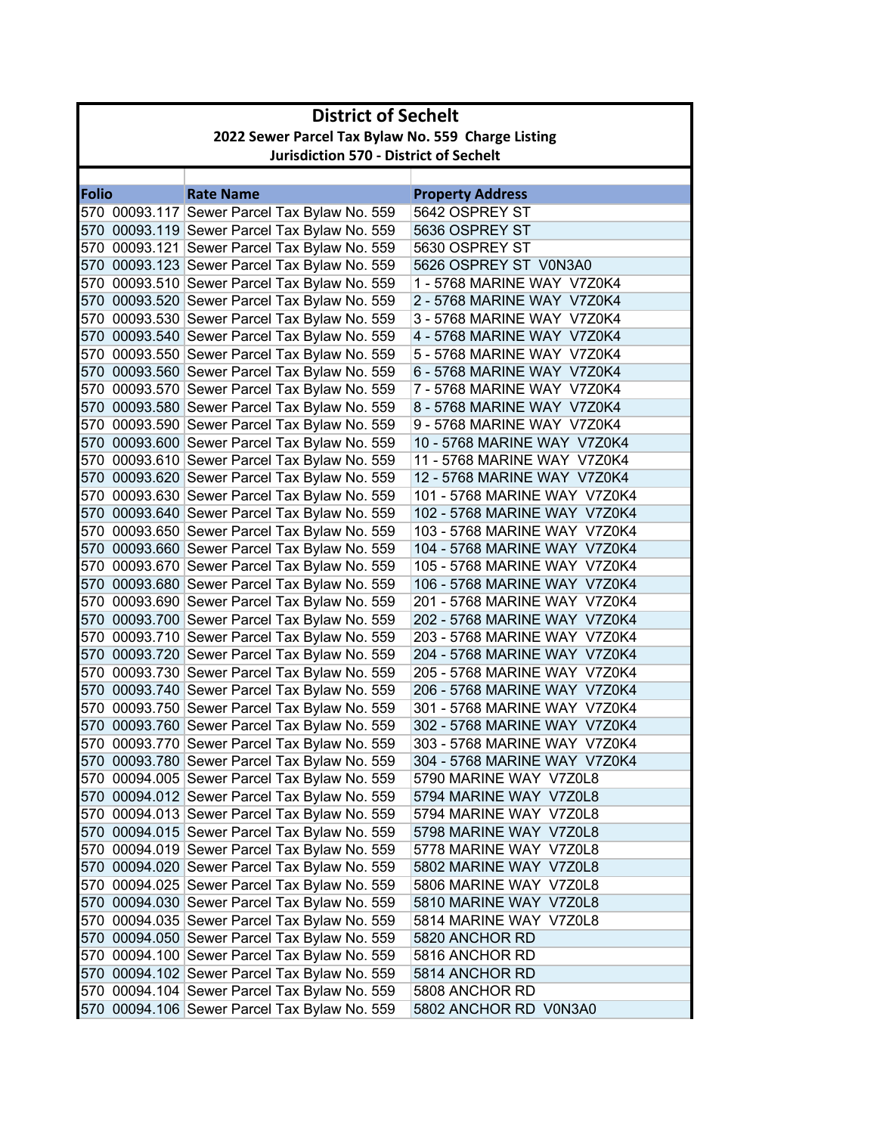| 2022 Sewer Parcel Tax Bylaw No. 559 Charge Listing<br><b>Jurisdiction 570 - District of Sechelt</b><br><b>Folio</b><br><b>Rate Name</b><br><b>Property Address</b><br>5642 OSPREY ST<br>570 00093.117 Sewer Parcel Tax Bylaw No. 559<br>570 00093.119 Sewer Parcel Tax Bylaw No. 559<br>5636 OSPREY ST<br>570 00093.121 Sewer Parcel Tax Bylaw No. 559<br>5630 OSPREY ST<br>570 00093.123 Sewer Parcel Tax Bylaw No. 559<br>5626 OSPREY ST V0N3A0<br>570 00093.510 Sewer Parcel Tax Bylaw No. 559<br>1 - 5768 MARINE WAY V7Z0K4<br>570 00093.520 Sewer Parcel Tax Bylaw No. 559<br>2 - 5768 MARINE WAY V7Z0K4<br>570 00093.530 Sewer Parcel Tax Bylaw No. 559<br>3 - 5768 MARINE WAY V7Z0K4<br>570 00093.540 Sewer Parcel Tax Bylaw No. 559<br>4 - 5768 MARINE WAY V7Z0K4<br>570 00093.550 Sewer Parcel Tax Bylaw No. 559<br>5 - 5768 MARINE WAY V7Z0K4<br>570 00093.560 Sewer Parcel Tax Bylaw No. 559<br>6 - 5768 MARINE WAY V7Z0K4<br>570 00093.570 Sewer Parcel Tax Bylaw No. 559<br>7 - 5768 MARINE WAY V7Z0K4<br>570 00093.580 Sewer Parcel Tax Bylaw No. 559<br>8 - 5768 MARINE WAY V7Z0K4<br>570 00093.590 Sewer Parcel Tax Bylaw No. 559<br>9 - 5768 MARINE WAY V7Z0K4<br>570 00093.600 Sewer Parcel Tax Bylaw No. 559<br>10 - 5768 MARINE WAY V7Z0K4<br>570 00093.610 Sewer Parcel Tax Bylaw No. 559<br>11 - 5768 MARINE WAY V7Z0K4<br>570 00093.620 Sewer Parcel Tax Bylaw No. 559<br>12 - 5768 MARINE WAY V7Z0K4<br>570 00093.630 Sewer Parcel Tax Bylaw No. 559<br>101 - 5768 MARINE WAY V7Z0K4<br>570 00093.640 Sewer Parcel Tax Bylaw No. 559<br>102 - 5768 MARINE WAY V7Z0K4<br>570 00093.650 Sewer Parcel Tax Bylaw No. 559<br>103 - 5768 MARINE WAY V7Z0K4<br>570 00093.660 Sewer Parcel Tax Bylaw No. 559<br>104 - 5768 MARINE WAY V7Z0K4<br>570 00093.670 Sewer Parcel Tax Bylaw No. 559<br>105 - 5768 MARINE WAY V7Z0K4<br>570 00093.680 Sewer Parcel Tax Bylaw No. 559<br>106 - 5768 MARINE WAY V7Z0K4<br>570 00093.690 Sewer Parcel Tax Bylaw No. 559<br>201 - 5768 MARINE WAY V7Z0K4<br>570 00093.700 Sewer Parcel Tax Bylaw No. 559<br>202 - 5768 MARINE WAY V7Z0K4<br>570 00093.710 Sewer Parcel Tax Bylaw No. 559<br>203 - 5768 MARINE WAY V7Z0K4<br>570 00093.720 Sewer Parcel Tax Bylaw No. 559<br>204 - 5768 MARINE WAY V7Z0K4<br>570 00093.730 Sewer Parcel Tax Bylaw No. 559<br>205 - 5768 MARINE WAY V7Z0K4<br>570 00093.740 Sewer Parcel Tax Bylaw No. 559<br>206 - 5768 MARINE WAY V7Z0K4<br>570 00093.750 Sewer Parcel Tax Bylaw No. 559<br>301 - 5768 MARINE WAY V7Z0K4<br>570 00093.760 Sewer Parcel Tax Bylaw No. 559<br>302 - 5768 MARINE WAY V7Z0K4<br>570 00093.770 Sewer Parcel Tax Bylaw No. 559<br>303 - 5768 MARINE WAY V7Z0K4<br>570 00093.780 Sewer Parcel Tax Bylaw No. 559<br>304 - 5768 MARINE WAY V7Z0K4<br>570 00094.005 Sewer Parcel Tax Bylaw No. 559<br>5790 MARINE WAY V7Z0L8<br>570 00094.012 Sewer Parcel Tax Bylaw No. 559<br>5794 MARINE WAY V7Z0L8<br>570 00094.013 Sewer Parcel Tax Bylaw No. 559<br>5794 MARINE WAY V7Z0L8<br>570 00094.015 Sewer Parcel Tax Bylaw No. 559<br>5798 MARINE WAY V7Z0L8<br>570 00094.019 Sewer Parcel Tax Bylaw No. 559<br>5778 MARINE WAY V7Z0L8<br>570 00094.020 Sewer Parcel Tax Bylaw No. 559<br>5802 MARINE WAY V7Z0L8<br>570 00094.025 Sewer Parcel Tax Bylaw No. 559<br>5806 MARINE WAY V7Z0L8<br>570 00094.030 Sewer Parcel Tax Bylaw No. 559<br>5810 MARINE WAY V7Z0L8<br>570 00094.035 Sewer Parcel Tax Bylaw No. 559<br>5814 MARINE WAY V7Z0L8<br>570 00094.050 Sewer Parcel Tax Bylaw No. 559<br>5820 ANCHOR RD<br>570 00094.100 Sewer Parcel Tax Bylaw No. 559<br>5816 ANCHOR RD<br>570 00094.102 Sewer Parcel Tax Bylaw No. 559 | <b>District of Sechelt</b> |  |                |  |  |  |
|--------------------------------------------------------------------------------------------------------------------------------------------------------------------------------------------------------------------------------------------------------------------------------------------------------------------------------------------------------------------------------------------------------------------------------------------------------------------------------------------------------------------------------------------------------------------------------------------------------------------------------------------------------------------------------------------------------------------------------------------------------------------------------------------------------------------------------------------------------------------------------------------------------------------------------------------------------------------------------------------------------------------------------------------------------------------------------------------------------------------------------------------------------------------------------------------------------------------------------------------------------------------------------------------------------------------------------------------------------------------------------------------------------------------------------------------------------------------------------------------------------------------------------------------------------------------------------------------------------------------------------------------------------------------------------------------------------------------------------------------------------------------------------------------------------------------------------------------------------------------------------------------------------------------------------------------------------------------------------------------------------------------------------------------------------------------------------------------------------------------------------------------------------------------------------------------------------------------------------------------------------------------------------------------------------------------------------------------------------------------------------------------------------------------------------------------------------------------------------------------------------------------------------------------------------------------------------------------------------------------------------------------------------------------------------------------------------------------------------------------------------------------------------------------------------------------------------------------------------------------------------------------------------------------------------------------------------------------------------------------------------------------------------------------------------------------------------------------------------------------------------------------------------------------------------------------------------------------------------------------------------------------------------------------------------------------------------------------------------------------------------------------------------------------------------------------------------------------------------------------------------------------------------------------------------------------------------------------------------------------------------------------|----------------------------|--|----------------|--|--|--|
|                                                                                                                                                                                                                                                                                                                                                                                                                                                                                                                                                                                                                                                                                                                                                                                                                                                                                                                                                                                                                                                                                                                                                                                                                                                                                                                                                                                                                                                                                                                                                                                                                                                                                                                                                                                                                                                                                                                                                                                                                                                                                                                                                                                                                                                                                                                                                                                                                                                                                                                                                                                                                                                                                                                                                                                                                                                                                                                                                                                                                                                                                                                                                                                                                                                                                                                                                                                                                                                                                                                                                                                                                                            |                            |  |                |  |  |  |
|                                                                                                                                                                                                                                                                                                                                                                                                                                                                                                                                                                                                                                                                                                                                                                                                                                                                                                                                                                                                                                                                                                                                                                                                                                                                                                                                                                                                                                                                                                                                                                                                                                                                                                                                                                                                                                                                                                                                                                                                                                                                                                                                                                                                                                                                                                                                                                                                                                                                                                                                                                                                                                                                                                                                                                                                                                                                                                                                                                                                                                                                                                                                                                                                                                                                                                                                                                                                                                                                                                                                                                                                                                            |                            |  |                |  |  |  |
|                                                                                                                                                                                                                                                                                                                                                                                                                                                                                                                                                                                                                                                                                                                                                                                                                                                                                                                                                                                                                                                                                                                                                                                                                                                                                                                                                                                                                                                                                                                                                                                                                                                                                                                                                                                                                                                                                                                                                                                                                                                                                                                                                                                                                                                                                                                                                                                                                                                                                                                                                                                                                                                                                                                                                                                                                                                                                                                                                                                                                                                                                                                                                                                                                                                                                                                                                                                                                                                                                                                                                                                                                                            |                            |  |                |  |  |  |
|                                                                                                                                                                                                                                                                                                                                                                                                                                                                                                                                                                                                                                                                                                                                                                                                                                                                                                                                                                                                                                                                                                                                                                                                                                                                                                                                                                                                                                                                                                                                                                                                                                                                                                                                                                                                                                                                                                                                                                                                                                                                                                                                                                                                                                                                                                                                                                                                                                                                                                                                                                                                                                                                                                                                                                                                                                                                                                                                                                                                                                                                                                                                                                                                                                                                                                                                                                                                                                                                                                                                                                                                                                            |                            |  |                |  |  |  |
|                                                                                                                                                                                                                                                                                                                                                                                                                                                                                                                                                                                                                                                                                                                                                                                                                                                                                                                                                                                                                                                                                                                                                                                                                                                                                                                                                                                                                                                                                                                                                                                                                                                                                                                                                                                                                                                                                                                                                                                                                                                                                                                                                                                                                                                                                                                                                                                                                                                                                                                                                                                                                                                                                                                                                                                                                                                                                                                                                                                                                                                                                                                                                                                                                                                                                                                                                                                                                                                                                                                                                                                                                                            |                            |  |                |  |  |  |
|                                                                                                                                                                                                                                                                                                                                                                                                                                                                                                                                                                                                                                                                                                                                                                                                                                                                                                                                                                                                                                                                                                                                                                                                                                                                                                                                                                                                                                                                                                                                                                                                                                                                                                                                                                                                                                                                                                                                                                                                                                                                                                                                                                                                                                                                                                                                                                                                                                                                                                                                                                                                                                                                                                                                                                                                                                                                                                                                                                                                                                                                                                                                                                                                                                                                                                                                                                                                                                                                                                                                                                                                                                            |                            |  |                |  |  |  |
|                                                                                                                                                                                                                                                                                                                                                                                                                                                                                                                                                                                                                                                                                                                                                                                                                                                                                                                                                                                                                                                                                                                                                                                                                                                                                                                                                                                                                                                                                                                                                                                                                                                                                                                                                                                                                                                                                                                                                                                                                                                                                                                                                                                                                                                                                                                                                                                                                                                                                                                                                                                                                                                                                                                                                                                                                                                                                                                                                                                                                                                                                                                                                                                                                                                                                                                                                                                                                                                                                                                                                                                                                                            |                            |  |                |  |  |  |
|                                                                                                                                                                                                                                                                                                                                                                                                                                                                                                                                                                                                                                                                                                                                                                                                                                                                                                                                                                                                                                                                                                                                                                                                                                                                                                                                                                                                                                                                                                                                                                                                                                                                                                                                                                                                                                                                                                                                                                                                                                                                                                                                                                                                                                                                                                                                                                                                                                                                                                                                                                                                                                                                                                                                                                                                                                                                                                                                                                                                                                                                                                                                                                                                                                                                                                                                                                                                                                                                                                                                                                                                                                            |                            |  |                |  |  |  |
|                                                                                                                                                                                                                                                                                                                                                                                                                                                                                                                                                                                                                                                                                                                                                                                                                                                                                                                                                                                                                                                                                                                                                                                                                                                                                                                                                                                                                                                                                                                                                                                                                                                                                                                                                                                                                                                                                                                                                                                                                                                                                                                                                                                                                                                                                                                                                                                                                                                                                                                                                                                                                                                                                                                                                                                                                                                                                                                                                                                                                                                                                                                                                                                                                                                                                                                                                                                                                                                                                                                                                                                                                                            |                            |  |                |  |  |  |
|                                                                                                                                                                                                                                                                                                                                                                                                                                                                                                                                                                                                                                                                                                                                                                                                                                                                                                                                                                                                                                                                                                                                                                                                                                                                                                                                                                                                                                                                                                                                                                                                                                                                                                                                                                                                                                                                                                                                                                                                                                                                                                                                                                                                                                                                                                                                                                                                                                                                                                                                                                                                                                                                                                                                                                                                                                                                                                                                                                                                                                                                                                                                                                                                                                                                                                                                                                                                                                                                                                                                                                                                                                            |                            |  |                |  |  |  |
|                                                                                                                                                                                                                                                                                                                                                                                                                                                                                                                                                                                                                                                                                                                                                                                                                                                                                                                                                                                                                                                                                                                                                                                                                                                                                                                                                                                                                                                                                                                                                                                                                                                                                                                                                                                                                                                                                                                                                                                                                                                                                                                                                                                                                                                                                                                                                                                                                                                                                                                                                                                                                                                                                                                                                                                                                                                                                                                                                                                                                                                                                                                                                                                                                                                                                                                                                                                                                                                                                                                                                                                                                                            |                            |  |                |  |  |  |
|                                                                                                                                                                                                                                                                                                                                                                                                                                                                                                                                                                                                                                                                                                                                                                                                                                                                                                                                                                                                                                                                                                                                                                                                                                                                                                                                                                                                                                                                                                                                                                                                                                                                                                                                                                                                                                                                                                                                                                                                                                                                                                                                                                                                                                                                                                                                                                                                                                                                                                                                                                                                                                                                                                                                                                                                                                                                                                                                                                                                                                                                                                                                                                                                                                                                                                                                                                                                                                                                                                                                                                                                                                            |                            |  |                |  |  |  |
|                                                                                                                                                                                                                                                                                                                                                                                                                                                                                                                                                                                                                                                                                                                                                                                                                                                                                                                                                                                                                                                                                                                                                                                                                                                                                                                                                                                                                                                                                                                                                                                                                                                                                                                                                                                                                                                                                                                                                                                                                                                                                                                                                                                                                                                                                                                                                                                                                                                                                                                                                                                                                                                                                                                                                                                                                                                                                                                                                                                                                                                                                                                                                                                                                                                                                                                                                                                                                                                                                                                                                                                                                                            |                            |  |                |  |  |  |
|                                                                                                                                                                                                                                                                                                                                                                                                                                                                                                                                                                                                                                                                                                                                                                                                                                                                                                                                                                                                                                                                                                                                                                                                                                                                                                                                                                                                                                                                                                                                                                                                                                                                                                                                                                                                                                                                                                                                                                                                                                                                                                                                                                                                                                                                                                                                                                                                                                                                                                                                                                                                                                                                                                                                                                                                                                                                                                                                                                                                                                                                                                                                                                                                                                                                                                                                                                                                                                                                                                                                                                                                                                            |                            |  |                |  |  |  |
|                                                                                                                                                                                                                                                                                                                                                                                                                                                                                                                                                                                                                                                                                                                                                                                                                                                                                                                                                                                                                                                                                                                                                                                                                                                                                                                                                                                                                                                                                                                                                                                                                                                                                                                                                                                                                                                                                                                                                                                                                                                                                                                                                                                                                                                                                                                                                                                                                                                                                                                                                                                                                                                                                                                                                                                                                                                                                                                                                                                                                                                                                                                                                                                                                                                                                                                                                                                                                                                                                                                                                                                                                                            |                            |  |                |  |  |  |
|                                                                                                                                                                                                                                                                                                                                                                                                                                                                                                                                                                                                                                                                                                                                                                                                                                                                                                                                                                                                                                                                                                                                                                                                                                                                                                                                                                                                                                                                                                                                                                                                                                                                                                                                                                                                                                                                                                                                                                                                                                                                                                                                                                                                                                                                                                                                                                                                                                                                                                                                                                                                                                                                                                                                                                                                                                                                                                                                                                                                                                                                                                                                                                                                                                                                                                                                                                                                                                                                                                                                                                                                                                            |                            |  |                |  |  |  |
|                                                                                                                                                                                                                                                                                                                                                                                                                                                                                                                                                                                                                                                                                                                                                                                                                                                                                                                                                                                                                                                                                                                                                                                                                                                                                                                                                                                                                                                                                                                                                                                                                                                                                                                                                                                                                                                                                                                                                                                                                                                                                                                                                                                                                                                                                                                                                                                                                                                                                                                                                                                                                                                                                                                                                                                                                                                                                                                                                                                                                                                                                                                                                                                                                                                                                                                                                                                                                                                                                                                                                                                                                                            |                            |  |                |  |  |  |
|                                                                                                                                                                                                                                                                                                                                                                                                                                                                                                                                                                                                                                                                                                                                                                                                                                                                                                                                                                                                                                                                                                                                                                                                                                                                                                                                                                                                                                                                                                                                                                                                                                                                                                                                                                                                                                                                                                                                                                                                                                                                                                                                                                                                                                                                                                                                                                                                                                                                                                                                                                                                                                                                                                                                                                                                                                                                                                                                                                                                                                                                                                                                                                                                                                                                                                                                                                                                                                                                                                                                                                                                                                            |                            |  |                |  |  |  |
|                                                                                                                                                                                                                                                                                                                                                                                                                                                                                                                                                                                                                                                                                                                                                                                                                                                                                                                                                                                                                                                                                                                                                                                                                                                                                                                                                                                                                                                                                                                                                                                                                                                                                                                                                                                                                                                                                                                                                                                                                                                                                                                                                                                                                                                                                                                                                                                                                                                                                                                                                                                                                                                                                                                                                                                                                                                                                                                                                                                                                                                                                                                                                                                                                                                                                                                                                                                                                                                                                                                                                                                                                                            |                            |  |                |  |  |  |
|                                                                                                                                                                                                                                                                                                                                                                                                                                                                                                                                                                                                                                                                                                                                                                                                                                                                                                                                                                                                                                                                                                                                                                                                                                                                                                                                                                                                                                                                                                                                                                                                                                                                                                                                                                                                                                                                                                                                                                                                                                                                                                                                                                                                                                                                                                                                                                                                                                                                                                                                                                                                                                                                                                                                                                                                                                                                                                                                                                                                                                                                                                                                                                                                                                                                                                                                                                                                                                                                                                                                                                                                                                            |                            |  |                |  |  |  |
|                                                                                                                                                                                                                                                                                                                                                                                                                                                                                                                                                                                                                                                                                                                                                                                                                                                                                                                                                                                                                                                                                                                                                                                                                                                                                                                                                                                                                                                                                                                                                                                                                                                                                                                                                                                                                                                                                                                                                                                                                                                                                                                                                                                                                                                                                                                                                                                                                                                                                                                                                                                                                                                                                                                                                                                                                                                                                                                                                                                                                                                                                                                                                                                                                                                                                                                                                                                                                                                                                                                                                                                                                                            |                            |  |                |  |  |  |
|                                                                                                                                                                                                                                                                                                                                                                                                                                                                                                                                                                                                                                                                                                                                                                                                                                                                                                                                                                                                                                                                                                                                                                                                                                                                                                                                                                                                                                                                                                                                                                                                                                                                                                                                                                                                                                                                                                                                                                                                                                                                                                                                                                                                                                                                                                                                                                                                                                                                                                                                                                                                                                                                                                                                                                                                                                                                                                                                                                                                                                                                                                                                                                                                                                                                                                                                                                                                                                                                                                                                                                                                                                            |                            |  |                |  |  |  |
|                                                                                                                                                                                                                                                                                                                                                                                                                                                                                                                                                                                                                                                                                                                                                                                                                                                                                                                                                                                                                                                                                                                                                                                                                                                                                                                                                                                                                                                                                                                                                                                                                                                                                                                                                                                                                                                                                                                                                                                                                                                                                                                                                                                                                                                                                                                                                                                                                                                                                                                                                                                                                                                                                                                                                                                                                                                                                                                                                                                                                                                                                                                                                                                                                                                                                                                                                                                                                                                                                                                                                                                                                                            |                            |  |                |  |  |  |
|                                                                                                                                                                                                                                                                                                                                                                                                                                                                                                                                                                                                                                                                                                                                                                                                                                                                                                                                                                                                                                                                                                                                                                                                                                                                                                                                                                                                                                                                                                                                                                                                                                                                                                                                                                                                                                                                                                                                                                                                                                                                                                                                                                                                                                                                                                                                                                                                                                                                                                                                                                                                                                                                                                                                                                                                                                                                                                                                                                                                                                                                                                                                                                                                                                                                                                                                                                                                                                                                                                                                                                                                                                            |                            |  |                |  |  |  |
|                                                                                                                                                                                                                                                                                                                                                                                                                                                                                                                                                                                                                                                                                                                                                                                                                                                                                                                                                                                                                                                                                                                                                                                                                                                                                                                                                                                                                                                                                                                                                                                                                                                                                                                                                                                                                                                                                                                                                                                                                                                                                                                                                                                                                                                                                                                                                                                                                                                                                                                                                                                                                                                                                                                                                                                                                                                                                                                                                                                                                                                                                                                                                                                                                                                                                                                                                                                                                                                                                                                                                                                                                                            |                            |  |                |  |  |  |
|                                                                                                                                                                                                                                                                                                                                                                                                                                                                                                                                                                                                                                                                                                                                                                                                                                                                                                                                                                                                                                                                                                                                                                                                                                                                                                                                                                                                                                                                                                                                                                                                                                                                                                                                                                                                                                                                                                                                                                                                                                                                                                                                                                                                                                                                                                                                                                                                                                                                                                                                                                                                                                                                                                                                                                                                                                                                                                                                                                                                                                                                                                                                                                                                                                                                                                                                                                                                                                                                                                                                                                                                                                            |                            |  |                |  |  |  |
|                                                                                                                                                                                                                                                                                                                                                                                                                                                                                                                                                                                                                                                                                                                                                                                                                                                                                                                                                                                                                                                                                                                                                                                                                                                                                                                                                                                                                                                                                                                                                                                                                                                                                                                                                                                                                                                                                                                                                                                                                                                                                                                                                                                                                                                                                                                                                                                                                                                                                                                                                                                                                                                                                                                                                                                                                                                                                                                                                                                                                                                                                                                                                                                                                                                                                                                                                                                                                                                                                                                                                                                                                                            |                            |  |                |  |  |  |
|                                                                                                                                                                                                                                                                                                                                                                                                                                                                                                                                                                                                                                                                                                                                                                                                                                                                                                                                                                                                                                                                                                                                                                                                                                                                                                                                                                                                                                                                                                                                                                                                                                                                                                                                                                                                                                                                                                                                                                                                                                                                                                                                                                                                                                                                                                                                                                                                                                                                                                                                                                                                                                                                                                                                                                                                                                                                                                                                                                                                                                                                                                                                                                                                                                                                                                                                                                                                                                                                                                                                                                                                                                            |                            |  |                |  |  |  |
|                                                                                                                                                                                                                                                                                                                                                                                                                                                                                                                                                                                                                                                                                                                                                                                                                                                                                                                                                                                                                                                                                                                                                                                                                                                                                                                                                                                                                                                                                                                                                                                                                                                                                                                                                                                                                                                                                                                                                                                                                                                                                                                                                                                                                                                                                                                                                                                                                                                                                                                                                                                                                                                                                                                                                                                                                                                                                                                                                                                                                                                                                                                                                                                                                                                                                                                                                                                                                                                                                                                                                                                                                                            |                            |  |                |  |  |  |
|                                                                                                                                                                                                                                                                                                                                                                                                                                                                                                                                                                                                                                                                                                                                                                                                                                                                                                                                                                                                                                                                                                                                                                                                                                                                                                                                                                                                                                                                                                                                                                                                                                                                                                                                                                                                                                                                                                                                                                                                                                                                                                                                                                                                                                                                                                                                                                                                                                                                                                                                                                                                                                                                                                                                                                                                                                                                                                                                                                                                                                                                                                                                                                                                                                                                                                                                                                                                                                                                                                                                                                                                                                            |                            |  |                |  |  |  |
|                                                                                                                                                                                                                                                                                                                                                                                                                                                                                                                                                                                                                                                                                                                                                                                                                                                                                                                                                                                                                                                                                                                                                                                                                                                                                                                                                                                                                                                                                                                                                                                                                                                                                                                                                                                                                                                                                                                                                                                                                                                                                                                                                                                                                                                                                                                                                                                                                                                                                                                                                                                                                                                                                                                                                                                                                                                                                                                                                                                                                                                                                                                                                                                                                                                                                                                                                                                                                                                                                                                                                                                                                                            |                            |  |                |  |  |  |
|                                                                                                                                                                                                                                                                                                                                                                                                                                                                                                                                                                                                                                                                                                                                                                                                                                                                                                                                                                                                                                                                                                                                                                                                                                                                                                                                                                                                                                                                                                                                                                                                                                                                                                                                                                                                                                                                                                                                                                                                                                                                                                                                                                                                                                                                                                                                                                                                                                                                                                                                                                                                                                                                                                                                                                                                                                                                                                                                                                                                                                                                                                                                                                                                                                                                                                                                                                                                                                                                                                                                                                                                                                            |                            |  |                |  |  |  |
|                                                                                                                                                                                                                                                                                                                                                                                                                                                                                                                                                                                                                                                                                                                                                                                                                                                                                                                                                                                                                                                                                                                                                                                                                                                                                                                                                                                                                                                                                                                                                                                                                                                                                                                                                                                                                                                                                                                                                                                                                                                                                                                                                                                                                                                                                                                                                                                                                                                                                                                                                                                                                                                                                                                                                                                                                                                                                                                                                                                                                                                                                                                                                                                                                                                                                                                                                                                                                                                                                                                                                                                                                                            |                            |  |                |  |  |  |
|                                                                                                                                                                                                                                                                                                                                                                                                                                                                                                                                                                                                                                                                                                                                                                                                                                                                                                                                                                                                                                                                                                                                                                                                                                                                                                                                                                                                                                                                                                                                                                                                                                                                                                                                                                                                                                                                                                                                                                                                                                                                                                                                                                                                                                                                                                                                                                                                                                                                                                                                                                                                                                                                                                                                                                                                                                                                                                                                                                                                                                                                                                                                                                                                                                                                                                                                                                                                                                                                                                                                                                                                                                            |                            |  |                |  |  |  |
|                                                                                                                                                                                                                                                                                                                                                                                                                                                                                                                                                                                                                                                                                                                                                                                                                                                                                                                                                                                                                                                                                                                                                                                                                                                                                                                                                                                                                                                                                                                                                                                                                                                                                                                                                                                                                                                                                                                                                                                                                                                                                                                                                                                                                                                                                                                                                                                                                                                                                                                                                                                                                                                                                                                                                                                                                                                                                                                                                                                                                                                                                                                                                                                                                                                                                                                                                                                                                                                                                                                                                                                                                                            |                            |  |                |  |  |  |
|                                                                                                                                                                                                                                                                                                                                                                                                                                                                                                                                                                                                                                                                                                                                                                                                                                                                                                                                                                                                                                                                                                                                                                                                                                                                                                                                                                                                                                                                                                                                                                                                                                                                                                                                                                                                                                                                                                                                                                                                                                                                                                                                                                                                                                                                                                                                                                                                                                                                                                                                                                                                                                                                                                                                                                                                                                                                                                                                                                                                                                                                                                                                                                                                                                                                                                                                                                                                                                                                                                                                                                                                                                            |                            |  |                |  |  |  |
|                                                                                                                                                                                                                                                                                                                                                                                                                                                                                                                                                                                                                                                                                                                                                                                                                                                                                                                                                                                                                                                                                                                                                                                                                                                                                                                                                                                                                                                                                                                                                                                                                                                                                                                                                                                                                                                                                                                                                                                                                                                                                                                                                                                                                                                                                                                                                                                                                                                                                                                                                                                                                                                                                                                                                                                                                                                                                                                                                                                                                                                                                                                                                                                                                                                                                                                                                                                                                                                                                                                                                                                                                                            |                            |  |                |  |  |  |
|                                                                                                                                                                                                                                                                                                                                                                                                                                                                                                                                                                                                                                                                                                                                                                                                                                                                                                                                                                                                                                                                                                                                                                                                                                                                                                                                                                                                                                                                                                                                                                                                                                                                                                                                                                                                                                                                                                                                                                                                                                                                                                                                                                                                                                                                                                                                                                                                                                                                                                                                                                                                                                                                                                                                                                                                                                                                                                                                                                                                                                                                                                                                                                                                                                                                                                                                                                                                                                                                                                                                                                                                                                            |                            |  |                |  |  |  |
|                                                                                                                                                                                                                                                                                                                                                                                                                                                                                                                                                                                                                                                                                                                                                                                                                                                                                                                                                                                                                                                                                                                                                                                                                                                                                                                                                                                                                                                                                                                                                                                                                                                                                                                                                                                                                                                                                                                                                                                                                                                                                                                                                                                                                                                                                                                                                                                                                                                                                                                                                                                                                                                                                                                                                                                                                                                                                                                                                                                                                                                                                                                                                                                                                                                                                                                                                                                                                                                                                                                                                                                                                                            |                            |  |                |  |  |  |
|                                                                                                                                                                                                                                                                                                                                                                                                                                                                                                                                                                                                                                                                                                                                                                                                                                                                                                                                                                                                                                                                                                                                                                                                                                                                                                                                                                                                                                                                                                                                                                                                                                                                                                                                                                                                                                                                                                                                                                                                                                                                                                                                                                                                                                                                                                                                                                                                                                                                                                                                                                                                                                                                                                                                                                                                                                                                                                                                                                                                                                                                                                                                                                                                                                                                                                                                                                                                                                                                                                                                                                                                                                            |                            |  |                |  |  |  |
|                                                                                                                                                                                                                                                                                                                                                                                                                                                                                                                                                                                                                                                                                                                                                                                                                                                                                                                                                                                                                                                                                                                                                                                                                                                                                                                                                                                                                                                                                                                                                                                                                                                                                                                                                                                                                                                                                                                                                                                                                                                                                                                                                                                                                                                                                                                                                                                                                                                                                                                                                                                                                                                                                                                                                                                                                                                                                                                                                                                                                                                                                                                                                                                                                                                                                                                                                                                                                                                                                                                                                                                                                                            |                            |  |                |  |  |  |
|                                                                                                                                                                                                                                                                                                                                                                                                                                                                                                                                                                                                                                                                                                                                                                                                                                                                                                                                                                                                                                                                                                                                                                                                                                                                                                                                                                                                                                                                                                                                                                                                                                                                                                                                                                                                                                                                                                                                                                                                                                                                                                                                                                                                                                                                                                                                                                                                                                                                                                                                                                                                                                                                                                                                                                                                                                                                                                                                                                                                                                                                                                                                                                                                                                                                                                                                                                                                                                                                                                                                                                                                                                            |                            |  |                |  |  |  |
|                                                                                                                                                                                                                                                                                                                                                                                                                                                                                                                                                                                                                                                                                                                                                                                                                                                                                                                                                                                                                                                                                                                                                                                                                                                                                                                                                                                                                                                                                                                                                                                                                                                                                                                                                                                                                                                                                                                                                                                                                                                                                                                                                                                                                                                                                                                                                                                                                                                                                                                                                                                                                                                                                                                                                                                                                                                                                                                                                                                                                                                                                                                                                                                                                                                                                                                                                                                                                                                                                                                                                                                                                                            |                            |  |                |  |  |  |
|                                                                                                                                                                                                                                                                                                                                                                                                                                                                                                                                                                                                                                                                                                                                                                                                                                                                                                                                                                                                                                                                                                                                                                                                                                                                                                                                                                                                                                                                                                                                                                                                                                                                                                                                                                                                                                                                                                                                                                                                                                                                                                                                                                                                                                                                                                                                                                                                                                                                                                                                                                                                                                                                                                                                                                                                                                                                                                                                                                                                                                                                                                                                                                                                                                                                                                                                                                                                                                                                                                                                                                                                                                            |                            |  |                |  |  |  |
|                                                                                                                                                                                                                                                                                                                                                                                                                                                                                                                                                                                                                                                                                                                                                                                                                                                                                                                                                                                                                                                                                                                                                                                                                                                                                                                                                                                                                                                                                                                                                                                                                                                                                                                                                                                                                                                                                                                                                                                                                                                                                                                                                                                                                                                                                                                                                                                                                                                                                                                                                                                                                                                                                                                                                                                                                                                                                                                                                                                                                                                                                                                                                                                                                                                                                                                                                                                                                                                                                                                                                                                                                                            |                            |  |                |  |  |  |
|                                                                                                                                                                                                                                                                                                                                                                                                                                                                                                                                                                                                                                                                                                                                                                                                                                                                                                                                                                                                                                                                                                                                                                                                                                                                                                                                                                                                                                                                                                                                                                                                                                                                                                                                                                                                                                                                                                                                                                                                                                                                                                                                                                                                                                                                                                                                                                                                                                                                                                                                                                                                                                                                                                                                                                                                                                                                                                                                                                                                                                                                                                                                                                                                                                                                                                                                                                                                                                                                                                                                                                                                                                            |                            |  |                |  |  |  |
|                                                                                                                                                                                                                                                                                                                                                                                                                                                                                                                                                                                                                                                                                                                                                                                                                                                                                                                                                                                                                                                                                                                                                                                                                                                                                                                                                                                                                                                                                                                                                                                                                                                                                                                                                                                                                                                                                                                                                                                                                                                                                                                                                                                                                                                                                                                                                                                                                                                                                                                                                                                                                                                                                                                                                                                                                                                                                                                                                                                                                                                                                                                                                                                                                                                                                                                                                                                                                                                                                                                                                                                                                                            |                            |  | 5814 ANCHOR RD |  |  |  |
| 570 00094.104 Sewer Parcel Tax Bylaw No. 559<br>5808 ANCHOR RD                                                                                                                                                                                                                                                                                                                                                                                                                                                                                                                                                                                                                                                                                                                                                                                                                                                                                                                                                                                                                                                                                                                                                                                                                                                                                                                                                                                                                                                                                                                                                                                                                                                                                                                                                                                                                                                                                                                                                                                                                                                                                                                                                                                                                                                                                                                                                                                                                                                                                                                                                                                                                                                                                                                                                                                                                                                                                                                                                                                                                                                                                                                                                                                                                                                                                                                                                                                                                                                                                                                                                                             |                            |  |                |  |  |  |
| 570 00094.106 Sewer Parcel Tax Bylaw No. 559<br>5802 ANCHOR RD V0N3A0                                                                                                                                                                                                                                                                                                                                                                                                                                                                                                                                                                                                                                                                                                                                                                                                                                                                                                                                                                                                                                                                                                                                                                                                                                                                                                                                                                                                                                                                                                                                                                                                                                                                                                                                                                                                                                                                                                                                                                                                                                                                                                                                                                                                                                                                                                                                                                                                                                                                                                                                                                                                                                                                                                                                                                                                                                                                                                                                                                                                                                                                                                                                                                                                                                                                                                                                                                                                                                                                                                                                                                      |                            |  |                |  |  |  |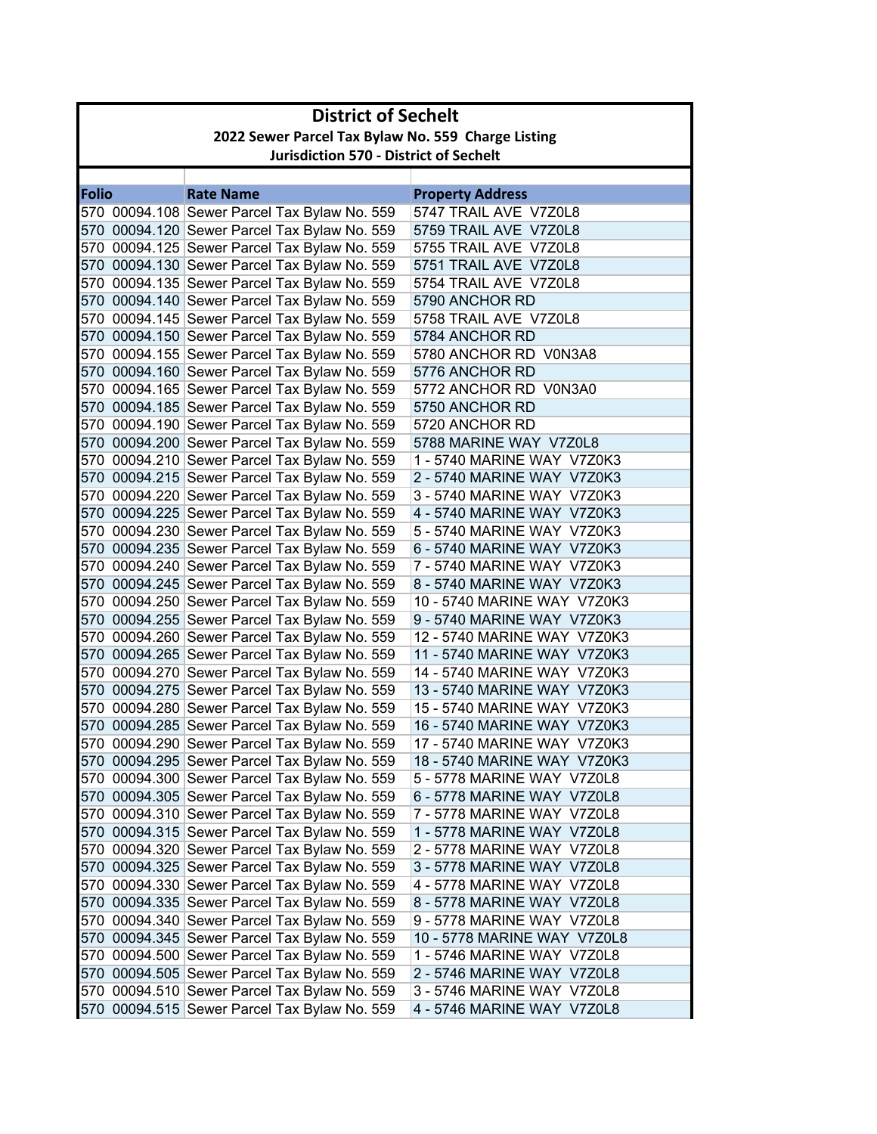|              | <b>District of Sechelt</b>                         |                                              |                             |  |  |  |
|--------------|----------------------------------------------------|----------------------------------------------|-----------------------------|--|--|--|
|              | 2022 Sewer Parcel Tax Bylaw No. 559 Charge Listing |                                              |                             |  |  |  |
|              | <b>Jurisdiction 570 - District of Sechelt</b>      |                                              |                             |  |  |  |
|              |                                                    |                                              |                             |  |  |  |
| <b>Folio</b> |                                                    | <b>Rate Name</b>                             | <b>Property Address</b>     |  |  |  |
|              |                                                    | 570 00094.108 Sewer Parcel Tax Bylaw No. 559 | 5747 TRAIL AVE V7Z0L8       |  |  |  |
|              |                                                    | 570 00094.120 Sewer Parcel Tax Bylaw No. 559 | 5759 TRAIL AVE V7Z0L8       |  |  |  |
|              |                                                    | 570 00094.125 Sewer Parcel Tax Bylaw No. 559 | 5755 TRAIL AVE V7Z0L8       |  |  |  |
|              |                                                    | 570 00094.130 Sewer Parcel Tax Bylaw No. 559 | 5751 TRAIL AVE V7Z0L8       |  |  |  |
|              |                                                    | 570 00094.135 Sewer Parcel Tax Bylaw No. 559 | 5754 TRAIL AVE V7Z0L8       |  |  |  |
|              |                                                    | 570 00094.140 Sewer Parcel Tax Bylaw No. 559 | 5790 ANCHOR RD              |  |  |  |
|              |                                                    | 570 00094.145 Sewer Parcel Tax Bylaw No. 559 | 5758 TRAIL AVE V7Z0L8       |  |  |  |
|              |                                                    | 570 00094.150 Sewer Parcel Tax Bylaw No. 559 | 5784 ANCHOR RD              |  |  |  |
|              |                                                    | 570 00094.155 Sewer Parcel Tax Bylaw No. 559 | 5780 ANCHOR RD V0N3A8       |  |  |  |
|              |                                                    | 570 00094.160 Sewer Parcel Tax Bylaw No. 559 | 5776 ANCHOR RD              |  |  |  |
|              |                                                    | 570 00094.165 Sewer Parcel Tax Bylaw No. 559 | 5772 ANCHOR RD V0N3A0       |  |  |  |
|              |                                                    | 570 00094.185 Sewer Parcel Tax Bylaw No. 559 | 5750 ANCHOR RD              |  |  |  |
|              |                                                    | 570 00094.190 Sewer Parcel Tax Bylaw No. 559 | 5720 ANCHOR RD              |  |  |  |
|              |                                                    | 570 00094.200 Sewer Parcel Tax Bylaw No. 559 | 5788 MARINE WAY V7Z0L8      |  |  |  |
|              |                                                    | 570 00094.210 Sewer Parcel Tax Bylaw No. 559 | 1 - 5740 MARINE WAY V7Z0K3  |  |  |  |
|              |                                                    | 570 00094.215 Sewer Parcel Tax Bylaw No. 559 | 2 - 5740 MARINE WAY V7Z0K3  |  |  |  |
|              |                                                    | 570 00094.220 Sewer Parcel Tax Bylaw No. 559 | 3 - 5740 MARINE WAY V7Z0K3  |  |  |  |
|              |                                                    | 570 00094.225 Sewer Parcel Tax Bylaw No. 559 | 4 - 5740 MARINE WAY V7Z0K3  |  |  |  |
|              |                                                    | 570 00094.230 Sewer Parcel Tax Bylaw No. 559 | 5 - 5740 MARINE WAY V7Z0K3  |  |  |  |
|              |                                                    | 570 00094.235 Sewer Parcel Tax Bylaw No. 559 | 6 - 5740 MARINE WAY V7Z0K3  |  |  |  |
|              |                                                    | 570 00094.240 Sewer Parcel Tax Bylaw No. 559 | 7 - 5740 MARINE WAY V7Z0K3  |  |  |  |
|              |                                                    | 570 00094.245 Sewer Parcel Tax Bylaw No. 559 | 8 - 5740 MARINE WAY V7Z0K3  |  |  |  |
|              |                                                    | 570 00094.250 Sewer Parcel Tax Bylaw No. 559 | 10 - 5740 MARINE WAY V7Z0K3 |  |  |  |
|              |                                                    | 570 00094.255 Sewer Parcel Tax Bylaw No. 559 | 9 - 5740 MARINE WAY V7Z0K3  |  |  |  |
|              |                                                    | 570 00094.260 Sewer Parcel Tax Bylaw No. 559 | 12 - 5740 MARINE WAY V7Z0K3 |  |  |  |
|              |                                                    | 570 00094.265 Sewer Parcel Tax Bylaw No. 559 | 11 - 5740 MARINE WAY V7Z0K3 |  |  |  |
|              |                                                    | 570 00094.270 Sewer Parcel Tax Bylaw No. 559 | 14 - 5740 MARINE WAY V7Z0K3 |  |  |  |
|              |                                                    | 570 00094.275 Sewer Parcel Tax Bylaw No. 559 | 13 - 5740 MARINE WAY V7Z0K3 |  |  |  |
|              |                                                    | 570 00094.280 Sewer Parcel Tax Bylaw No. 559 | 15 - 5740 MARINE WAY V7Z0K3 |  |  |  |
|              |                                                    | 570 00094.285 Sewer Parcel Tax Bylaw No. 559 | 16 - 5740 MARINE WAY V7Z0K3 |  |  |  |
|              |                                                    | 570 00094.290 Sewer Parcel Tax Bylaw No. 559 | 17 - 5740 MARINE WAY V7Z0K3 |  |  |  |
|              |                                                    | 570 00094.295 Sewer Parcel Tax Bylaw No. 559 | 18 - 5740 MARINE WAY V7Z0K3 |  |  |  |
|              |                                                    | 570 00094.300 Sewer Parcel Tax Bylaw No. 559 | 5 - 5778 MARINE WAY V7Z0L8  |  |  |  |
|              |                                                    | 570 00094.305 Sewer Parcel Tax Bylaw No. 559 | 6 - 5778 MARINE WAY V7Z0L8  |  |  |  |
|              |                                                    | 570 00094.310 Sewer Parcel Tax Bylaw No. 559 | 7 - 5778 MARINE WAY V7Z0L8  |  |  |  |
|              |                                                    | 570 00094.315 Sewer Parcel Tax Bylaw No. 559 | 1 - 5778 MARINE WAY V7Z0L8  |  |  |  |
|              |                                                    | 570 00094.320 Sewer Parcel Tax Bylaw No. 559 | 2 - 5778 MARINE WAY V7Z0L8  |  |  |  |
|              |                                                    | 570 00094.325 Sewer Parcel Tax Bylaw No. 559 | 3 - 5778 MARINE WAY V7Z0L8  |  |  |  |
|              |                                                    | 570 00094.330 Sewer Parcel Tax Bylaw No. 559 | 4 - 5778 MARINE WAY V7Z0L8  |  |  |  |
|              |                                                    | 570 00094.335 Sewer Parcel Tax Bylaw No. 559 | 8 - 5778 MARINE WAY V7Z0L8  |  |  |  |
|              |                                                    | 570 00094.340 Sewer Parcel Tax Bylaw No. 559 | 9 - 5778 MARINE WAY V7Z0L8  |  |  |  |
|              |                                                    | 570 00094.345 Sewer Parcel Tax Bylaw No. 559 | 10 - 5778 MARINE WAY V7Z0L8 |  |  |  |
|              |                                                    | 570 00094.500 Sewer Parcel Tax Bylaw No. 559 | 1 - 5746 MARINE WAY V7Z0L8  |  |  |  |
|              |                                                    | 570 00094.505 Sewer Parcel Tax Bylaw No. 559 | 2 - 5746 MARINE WAY V7Z0L8  |  |  |  |
|              |                                                    | 570 00094.510 Sewer Parcel Tax Bylaw No. 559 | 3 - 5746 MARINE WAY V7Z0L8  |  |  |  |
|              |                                                    | 570 00094.515 Sewer Parcel Tax Bylaw No. 559 | 4 - 5746 MARINE WAY V7Z0L8  |  |  |  |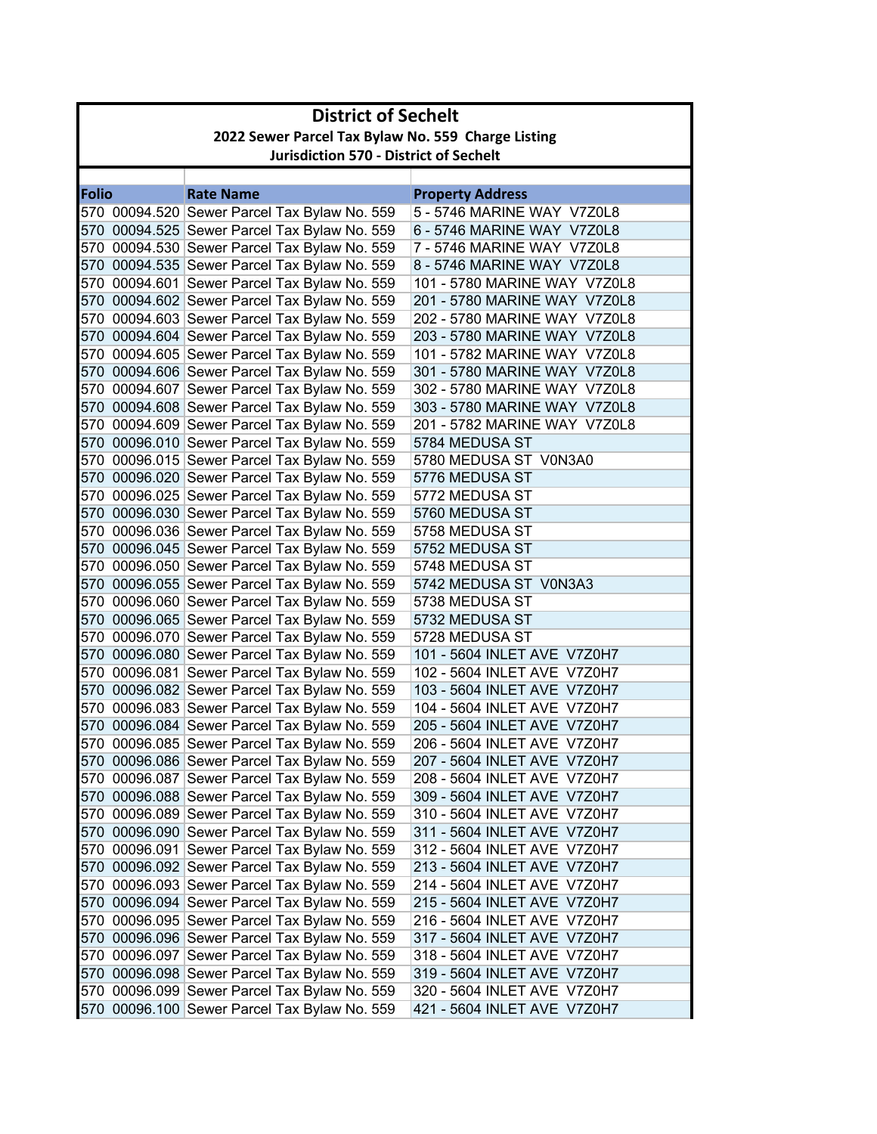| <b>District of Sechelt</b> |                                                    |                                               |                              |  |
|----------------------------|----------------------------------------------------|-----------------------------------------------|------------------------------|--|
|                            | 2022 Sewer Parcel Tax Bylaw No. 559 Charge Listing |                                               |                              |  |
|                            |                                                    | <b>Jurisdiction 570 - District of Sechelt</b> |                              |  |
|                            |                                                    |                                               |                              |  |
| <b>Folio</b>               |                                                    | <b>Rate Name</b>                              | <b>Property Address</b>      |  |
|                            |                                                    | 570 00094.520 Sewer Parcel Tax Bylaw No. 559  | 5 - 5746 MARINE WAY V7Z0L8   |  |
|                            |                                                    | 570 00094.525 Sewer Parcel Tax Bylaw No. 559  | 6 - 5746 MARINE WAY V7Z0L8   |  |
|                            |                                                    | 570 00094.530 Sewer Parcel Tax Bylaw No. 559  | 7 - 5746 MARINE WAY V7Z0L8   |  |
|                            |                                                    | 570 00094.535 Sewer Parcel Tax Bylaw No. 559  | 8 - 5746 MARINE WAY V7Z0L8   |  |
|                            |                                                    | 570 00094.601 Sewer Parcel Tax Bylaw No. 559  | 101 - 5780 MARINE WAY V7Z0L8 |  |
|                            |                                                    | 570 00094.602 Sewer Parcel Tax Bylaw No. 559  | 201 - 5780 MARINE WAY V7Z0L8 |  |
|                            |                                                    | 570 00094.603 Sewer Parcel Tax Bylaw No. 559  | 202 - 5780 MARINE WAY V7Z0L8 |  |
|                            |                                                    | 570 00094.604 Sewer Parcel Tax Bylaw No. 559  | 203 - 5780 MARINE WAY V7Z0L8 |  |
|                            |                                                    | 570 00094.605 Sewer Parcel Tax Bylaw No. 559  | 101 - 5782 MARINE WAY V7Z0L8 |  |
|                            |                                                    | 570 00094.606 Sewer Parcel Tax Bylaw No. 559  | 301 - 5780 MARINE WAY V7Z0L8 |  |
|                            |                                                    | 570 00094.607 Sewer Parcel Tax Bylaw No. 559  | 302 - 5780 MARINE WAY V7Z0L8 |  |
|                            |                                                    | 570 00094.608 Sewer Parcel Tax Bylaw No. 559  | 303 - 5780 MARINE WAY V7Z0L8 |  |
|                            |                                                    | 570 00094.609 Sewer Parcel Tax Bylaw No. 559  | 201 - 5782 MARINE WAY V7Z0L8 |  |
|                            |                                                    | 570 00096.010 Sewer Parcel Tax Bylaw No. 559  | 5784 MEDUSA ST               |  |
|                            |                                                    | 570 00096.015 Sewer Parcel Tax Bylaw No. 559  | 5780 MEDUSA ST V0N3A0        |  |
|                            |                                                    | 570 00096.020 Sewer Parcel Tax Bylaw No. 559  | 5776 MEDUSA ST               |  |
|                            |                                                    | 570 00096.025 Sewer Parcel Tax Bylaw No. 559  | 5772 MEDUSA ST               |  |
|                            |                                                    | 570 00096.030 Sewer Parcel Tax Bylaw No. 559  | 5760 MEDUSA ST               |  |
|                            |                                                    | 570 00096.036 Sewer Parcel Tax Bylaw No. 559  | 5758 MEDUSA ST               |  |
|                            |                                                    | 570 00096.045 Sewer Parcel Tax Bylaw No. 559  | 5752 MEDUSA ST               |  |
|                            |                                                    | 570 00096.050 Sewer Parcel Tax Bylaw No. 559  | 5748 MEDUSA ST               |  |
|                            |                                                    | 570 00096.055 Sewer Parcel Tax Bylaw No. 559  | 5742 MEDUSA ST V0N3A3        |  |
|                            |                                                    | 570 00096.060 Sewer Parcel Tax Bylaw No. 559  | 5738 MEDUSA ST               |  |
|                            |                                                    | 570 00096.065 Sewer Parcel Tax Bylaw No. 559  | 5732 MEDUSA ST               |  |
|                            |                                                    | 570 00096.070 Sewer Parcel Tax Bylaw No. 559  | 5728 MEDUSA ST               |  |
|                            |                                                    | 570 00096.080 Sewer Parcel Tax Bylaw No. 559  | 101 - 5604 INLET AVE V7Z0H7  |  |
|                            |                                                    | 570 00096.081 Sewer Parcel Tax Bylaw No. 559  | 102 - 5604 INLET AVE V7Z0H7  |  |
|                            |                                                    | 570 00096.082 Sewer Parcel Tax Bylaw No. 559  | 103 - 5604 INLET AVE V7Z0H7  |  |
|                            |                                                    | 570 00096.083 Sewer Parcel Tax Bylaw No. 559  | 104 - 5604 INLET AVE V7Z0H7  |  |
|                            |                                                    | 570 00096.084 Sewer Parcel Tax Bylaw No. 559  | 205 - 5604 INLET AVE V7Z0H7  |  |
|                            |                                                    | 570 00096.085 Sewer Parcel Tax Bylaw No. 559  | 206 - 5604 INLET AVE V7Z0H7  |  |
|                            |                                                    | 570 00096.086 Sewer Parcel Tax Bylaw No. 559  | 207 - 5604 INLET AVE V7Z0H7  |  |
|                            |                                                    | 570 00096.087 Sewer Parcel Tax Bylaw No. 559  | 208 - 5604 INLET AVE V7Z0H7  |  |
|                            |                                                    | 570 00096.088 Sewer Parcel Tax Bylaw No. 559  | 309 - 5604 INLET AVE V7Z0H7  |  |
|                            |                                                    | 570 00096.089 Sewer Parcel Tax Bylaw No. 559  | 310 - 5604 INLET AVE V7Z0H7  |  |
|                            |                                                    | 570 00096.090 Sewer Parcel Tax Bylaw No. 559  | 311 - 5604 INLET AVE V7Z0H7  |  |
|                            |                                                    | 570 00096.091 Sewer Parcel Tax Bylaw No. 559  | 312 - 5604 INLET AVE V7Z0H7  |  |
|                            |                                                    | 570 00096.092 Sewer Parcel Tax Bylaw No. 559  | 213 - 5604 INLET AVE V7Z0H7  |  |
|                            |                                                    | 570 00096.093 Sewer Parcel Tax Bylaw No. 559  | 214 - 5604 INLET AVE V7Z0H7  |  |
|                            |                                                    | 570 00096.094 Sewer Parcel Tax Bylaw No. 559  | 215 - 5604 INLET AVE V7Z0H7  |  |
|                            |                                                    | 570 00096.095 Sewer Parcel Tax Bylaw No. 559  | 216 - 5604 INLET AVE V7Z0H7  |  |
|                            |                                                    | 570 00096.096 Sewer Parcel Tax Bylaw No. 559  | 317 - 5604 INLET AVE V7Z0H7  |  |
|                            |                                                    | 570 00096.097 Sewer Parcel Tax Bylaw No. 559  | 318 - 5604 INLET AVE V7Z0H7  |  |
|                            |                                                    | 570 00096.098 Sewer Parcel Tax Bylaw No. 559  | 319 - 5604 INLET AVE V7Z0H7  |  |
|                            |                                                    | 570 00096.099 Sewer Parcel Tax Bylaw No. 559  | 320 - 5604 INLET AVE V7Z0H7  |  |
|                            |                                                    | 570 00096.100 Sewer Parcel Tax Bylaw No. 559  | 421 - 5604 INLET AVE V7Z0H7  |  |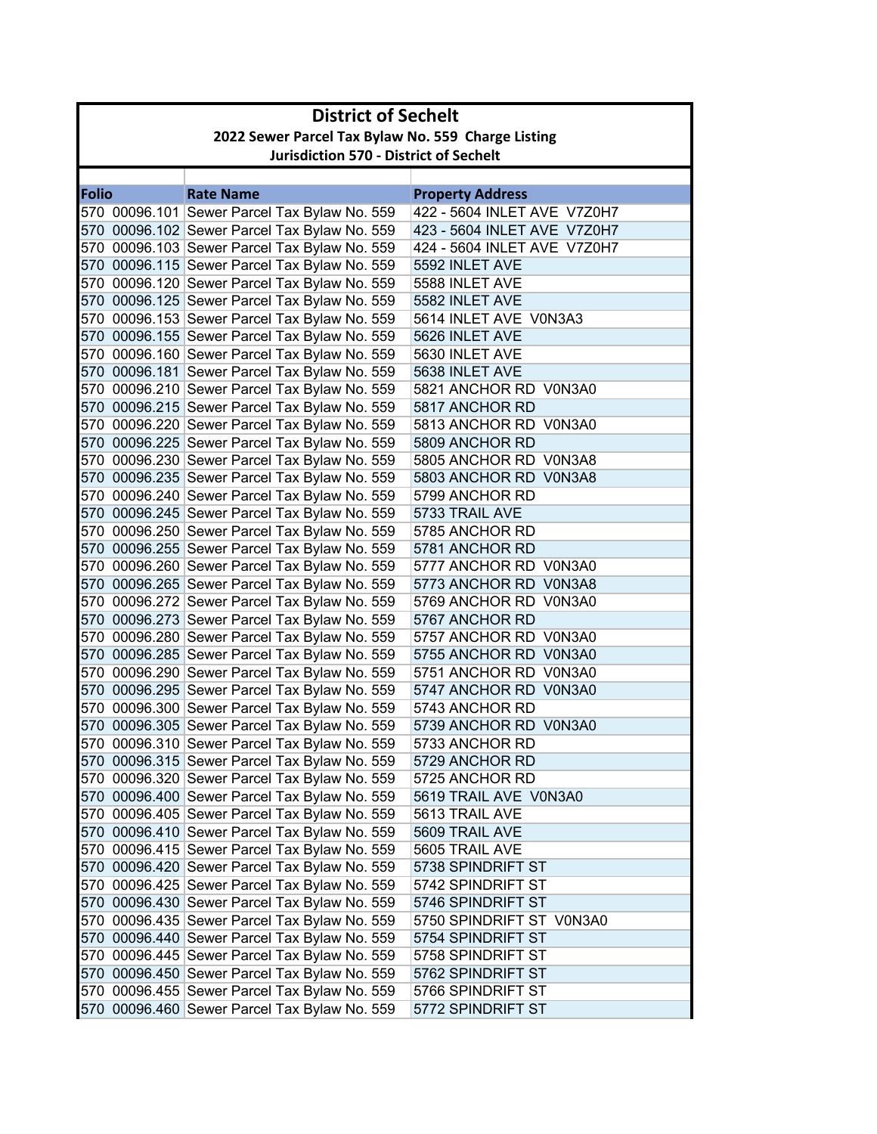|              | <b>District of Sechelt</b>                         |                                                                                              |                                               |  |  |  |
|--------------|----------------------------------------------------|----------------------------------------------------------------------------------------------|-----------------------------------------------|--|--|--|
|              | 2022 Sewer Parcel Tax Bylaw No. 559 Charge Listing |                                                                                              |                                               |  |  |  |
|              | <b>Jurisdiction 570 - District of Sechelt</b>      |                                                                                              |                                               |  |  |  |
|              |                                                    |                                                                                              |                                               |  |  |  |
| <b>Folio</b> |                                                    | <b>Rate Name</b>                                                                             | <b>Property Address</b>                       |  |  |  |
|              |                                                    | 570 00096.101 Sewer Parcel Tax Bylaw No. 559                                                 | 422 - 5604 INLET AVE V7Z0H7                   |  |  |  |
|              |                                                    | 570 00096.102 Sewer Parcel Tax Bylaw No. 559                                                 | 423 - 5604 INLET AVE V7Z0H7                   |  |  |  |
|              |                                                    | 570 00096.103 Sewer Parcel Tax Bylaw No. 559                                                 | 424 - 5604 INLET AVE V7Z0H7                   |  |  |  |
|              |                                                    | 570 00096.115 Sewer Parcel Tax Bylaw No. 559                                                 | 5592 INLET AVE                                |  |  |  |
|              |                                                    | 570 00096.120 Sewer Parcel Tax Bylaw No. 559                                                 | 5588 INLET AVE                                |  |  |  |
|              |                                                    | 570 00096.125 Sewer Parcel Tax Bylaw No. 559                                                 | 5582 INLET AVE                                |  |  |  |
|              |                                                    | 570 00096.153 Sewer Parcel Tax Bylaw No. 559                                                 | 5614 INLET AVE V0N3A3                         |  |  |  |
|              |                                                    | 570 00096.155 Sewer Parcel Tax Bylaw No. 559                                                 | 5626 INLET AVE                                |  |  |  |
|              |                                                    | 570 00096.160 Sewer Parcel Tax Bylaw No. 559                                                 | 5630 INLET AVE                                |  |  |  |
|              |                                                    | 570 00096.181 Sewer Parcel Tax Bylaw No. 559                                                 | 5638 INLET AVE                                |  |  |  |
|              |                                                    | 570 00096.210 Sewer Parcel Tax Bylaw No. 559                                                 | 5821 ANCHOR RD V0N3A0                         |  |  |  |
|              |                                                    | 570 00096.215 Sewer Parcel Tax Bylaw No. 559                                                 | 5817 ANCHOR RD                                |  |  |  |
|              |                                                    | 570 00096.220 Sewer Parcel Tax Bylaw No. 559                                                 | 5813 ANCHOR RD V0N3A0                         |  |  |  |
|              |                                                    | 570 00096.225 Sewer Parcel Tax Bylaw No. 559                                                 | 5809 ANCHOR RD                                |  |  |  |
|              |                                                    | 570 00096.230 Sewer Parcel Tax Bylaw No. 559                                                 | 5805 ANCHOR RD V0N3A8                         |  |  |  |
|              |                                                    | 570 00096.235 Sewer Parcel Tax Bylaw No. 559                                                 | 5803 ANCHOR RD V0N3A8                         |  |  |  |
|              |                                                    | 570 00096.240 Sewer Parcel Tax Bylaw No. 559                                                 | 5799 ANCHOR RD                                |  |  |  |
|              |                                                    | 570 00096.245 Sewer Parcel Tax Bylaw No. 559                                                 | 5733 TRAIL AVE                                |  |  |  |
|              |                                                    | 570 00096.250 Sewer Parcel Tax Bylaw No. 559                                                 | 5785 ANCHOR RD                                |  |  |  |
|              |                                                    | 570 00096.255 Sewer Parcel Tax Bylaw No. 559                                                 | 5781 ANCHOR RD                                |  |  |  |
|              |                                                    | 570 00096.260 Sewer Parcel Tax Bylaw No. 559                                                 | 5777 ANCHOR RD V0N3A0                         |  |  |  |
|              |                                                    | 570 00096.265 Sewer Parcel Tax Bylaw No. 559                                                 | 5773 ANCHOR RD V0N3A8                         |  |  |  |
|              |                                                    | 570 00096.272 Sewer Parcel Tax Bylaw No. 559                                                 | 5769 ANCHOR RD V0N3A0                         |  |  |  |
|              |                                                    | 570 00096.273 Sewer Parcel Tax Bylaw No. 559                                                 | 5767 ANCHOR RD                                |  |  |  |
|              |                                                    | 570 00096.280 Sewer Parcel Tax Bylaw No. 559                                                 | 5757 ANCHOR RD V0N3A0                         |  |  |  |
|              |                                                    | 570 00096.285 Sewer Parcel Tax Bylaw No. 559                                                 | 5755 ANCHOR RD V0N3A0                         |  |  |  |
|              |                                                    | 570 00096.290 Sewer Parcel Tax Bylaw No. 559                                                 | 5751 ANCHOR RD V0N3A0                         |  |  |  |
|              |                                                    | 570 00096.295 Sewer Parcel Tax Bylaw No. 559                                                 | 5747 ANCHOR RD V0N3A0                         |  |  |  |
|              |                                                    | 570 00096.300 Sewer Parcel Tax Bylaw No. 559                                                 | 5743 ANCHOR RD                                |  |  |  |
|              |                                                    | 570 00096.305 Sewer Parcel Tax Bylaw No. 559                                                 | 5739 ANCHOR RD V0N3A0                         |  |  |  |
|              |                                                    | 570 00096.310 Sewer Parcel Tax Bylaw No. 559                                                 | 5733 ANCHOR RD                                |  |  |  |
|              |                                                    | 570 00096.315 Sewer Parcel Tax Bylaw No. 559                                                 | 5729 ANCHOR RD<br>5725 ANCHOR RD              |  |  |  |
|              |                                                    | 570 00096.320 Sewer Parcel Tax Bylaw No. 559                                                 | 5619 TRAIL AVE V0N3A0                         |  |  |  |
|              |                                                    | 570 00096.400 Sewer Parcel Tax Bylaw No. 559<br>570 00096.405 Sewer Parcel Tax Bylaw No. 559 | 5613 TRAIL AVE                                |  |  |  |
|              |                                                    | 570 00096.410 Sewer Parcel Tax Bylaw No. 559                                                 | 5609 TRAIL AVE                                |  |  |  |
|              |                                                    | 570 00096.415 Sewer Parcel Tax Bylaw No. 559                                                 | 5605 TRAIL AVE                                |  |  |  |
|              |                                                    | 570 00096.420 Sewer Parcel Tax Bylaw No. 559                                                 | 5738 SPINDRIFT ST                             |  |  |  |
|              |                                                    |                                                                                              |                                               |  |  |  |
|              |                                                    | 570 00096.425 Sewer Parcel Tax Bylaw No. 559<br>570 00096.430 Sewer Parcel Tax Bylaw No. 559 | 5742 SPINDRIFT ST                             |  |  |  |
|              |                                                    | 570 00096.435 Sewer Parcel Tax Bylaw No. 559                                                 | 5746 SPINDRIFT ST                             |  |  |  |
|              |                                                    |                                                                                              | 5750 SPINDRIFT ST V0N3A0<br>5754 SPINDRIFT ST |  |  |  |
|              |                                                    | 570 00096.440 Sewer Parcel Tax Bylaw No. 559<br>570 00096.445 Sewer Parcel Tax Bylaw No. 559 | 5758 SPINDRIFT ST                             |  |  |  |
|              |                                                    | 570 00096.450 Sewer Parcel Tax Bylaw No. 559                                                 | 5762 SPINDRIFT ST                             |  |  |  |
|              |                                                    | 570 00096.455 Sewer Parcel Tax Bylaw No. 559                                                 | 5766 SPINDRIFT ST                             |  |  |  |
|              |                                                    |                                                                                              |                                               |  |  |  |
|              |                                                    | 570 00096.460 Sewer Parcel Tax Bylaw No. 559                                                 | 5772 SPINDRIFT ST                             |  |  |  |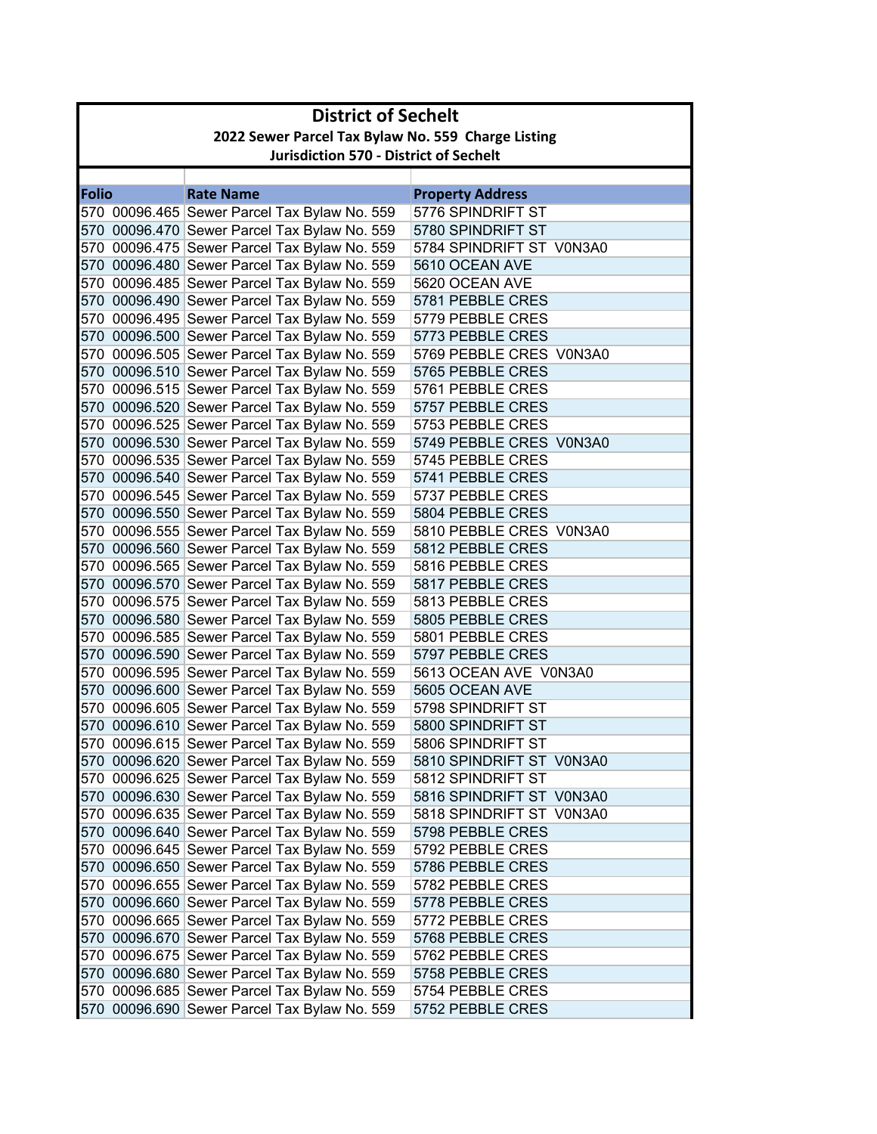| 2022 Sewer Parcel Tax Bylaw No. 559 Charge Listing<br><b>Jurisdiction 570 - District of Sechelt</b><br><b>Folio</b><br><b>Rate Name</b><br><b>Property Address</b><br>5776 SPINDRIFT ST<br>570 00096.465 Sewer Parcel Tax Bylaw No. 559<br>570 00096.470 Sewer Parcel Tax Bylaw No. 559<br>5780 SPINDRIFT ST<br>570 00096.475 Sewer Parcel Tax Bylaw No. 559<br>5784 SPINDRIFT ST V0N3A0<br>570 00096.480 Sewer Parcel Tax Bylaw No. 559<br>5610 OCEAN AVE<br>570 00096.485 Sewer Parcel Tax Bylaw No. 559<br>5620 OCEAN AVE<br>570 00096.490 Sewer Parcel Tax Bylaw No. 559<br>5781 PEBBLE CRES<br>570 00096.495 Sewer Parcel Tax Bylaw No. 559<br>5779 PEBBLE CRES<br>570 00096.500 Sewer Parcel Tax Bylaw No. 559<br>5773 PEBBLE CRES<br>570 00096.505 Sewer Parcel Tax Bylaw No. 559<br>5769 PEBBLE CRES V0N3A0<br>5765 PEBBLE CRES<br>570 00096.510 Sewer Parcel Tax Bylaw No. 559<br>570 00096.515 Sewer Parcel Tax Bylaw No. 559<br>5761 PEBBLE CRES<br>570 00096.520 Sewer Parcel Tax Bylaw No. 559<br>5757 PEBBLE CRES<br>570 00096.525 Sewer Parcel Tax Bylaw No. 559<br>5753 PEBBLE CRES<br>570 00096.530 Sewer Parcel Tax Bylaw No. 559<br>5749 PEBBLE CRES V0N3A0<br>570 00096.535 Sewer Parcel Tax Bylaw No. 559<br>5745 PEBBLE CRES<br>570 00096.540 Sewer Parcel Tax Bylaw No. 559<br>5741 PEBBLE CRES<br>570 00096.545 Sewer Parcel Tax Bylaw No. 559<br>5737 PEBBLE CRES<br>570 00096.550 Sewer Parcel Tax Bylaw No. 559<br>5804 PEBBLE CRES<br>570 00096.555 Sewer Parcel Tax Bylaw No. 559<br>5810 PEBBLE CRES V0N3A0<br>570 00096.560 Sewer Parcel Tax Bylaw No. 559<br>5812 PEBBLE CRES<br>570 00096.565 Sewer Parcel Tax Bylaw No. 559<br>5816 PEBBLE CRES<br>570 00096.570 Sewer Parcel Tax Bylaw No. 559<br>5817 PEBBLE CRES<br>570 00096.575 Sewer Parcel Tax Bylaw No. 559<br>5813 PEBBLE CRES<br>570 00096.580 Sewer Parcel Tax Bylaw No. 559<br>5805 PEBBLE CRES<br>570 00096.585 Sewer Parcel Tax Bylaw No. 559<br>5801 PEBBLE CRES<br>570 00096.590 Sewer Parcel Tax Bylaw No. 559<br>5797 PEBBLE CRES<br>570 00096.595 Sewer Parcel Tax Bylaw No. 559<br>5613 OCEAN AVE V0N3A0<br>570 00096.600 Sewer Parcel Tax Bylaw No. 559<br>5605 OCEAN AVE<br>570 00096.605 Sewer Parcel Tax Bylaw No. 559<br>5798 SPINDRIFT ST<br>570 00096.610 Sewer Parcel Tax Bylaw No. 559<br>5800 SPINDRIFT ST<br>570 00096.615 Sewer Parcel Tax Bylaw No. 559<br>5806 SPINDRIFT ST<br>570 00096.620 Sewer Parcel Tax Bylaw No. 559<br>5810 SPINDRIFT ST V0N3A0<br>570 00096.625 Sewer Parcel Tax Bylaw No. 559<br>5812 SPINDRIFT ST<br>570 00096.630 Sewer Parcel Tax Bylaw No. 559<br>5816 SPINDRIFT ST V0N3A0<br>570 00096.635 Sewer Parcel Tax Bylaw No. 559<br>5818 SPINDRIFT ST V0N3A0<br>570 00096.640 Sewer Parcel Tax Bylaw No. 559<br>5798 PEBBLE CRES<br>570 00096.645 Sewer Parcel Tax Bylaw No. 559<br>5792 PEBBLE CRES<br>570 00096.650 Sewer Parcel Tax Bylaw No. 559<br>5786 PEBBLE CRES<br>570 00096.655 Sewer Parcel Tax Bylaw No. 559<br>5782 PEBBLE CRES<br>570 00096.660 Sewer Parcel Tax Bylaw No. 559<br>5778 PEBBLE CRES<br>570 00096.665 Sewer Parcel Tax Bylaw No. 559<br>5772 PEBBLE CRES<br>570 00096.670 Sewer Parcel Tax Bylaw No. 559<br>5768 PEBBLE CRES<br>570 00096.675 Sewer Parcel Tax Bylaw No. 559 | <b>District of Sechelt</b> |  |                  |  |  |  |
|------------------------------------------------------------------------------------------------------------------------------------------------------------------------------------------------------------------------------------------------------------------------------------------------------------------------------------------------------------------------------------------------------------------------------------------------------------------------------------------------------------------------------------------------------------------------------------------------------------------------------------------------------------------------------------------------------------------------------------------------------------------------------------------------------------------------------------------------------------------------------------------------------------------------------------------------------------------------------------------------------------------------------------------------------------------------------------------------------------------------------------------------------------------------------------------------------------------------------------------------------------------------------------------------------------------------------------------------------------------------------------------------------------------------------------------------------------------------------------------------------------------------------------------------------------------------------------------------------------------------------------------------------------------------------------------------------------------------------------------------------------------------------------------------------------------------------------------------------------------------------------------------------------------------------------------------------------------------------------------------------------------------------------------------------------------------------------------------------------------------------------------------------------------------------------------------------------------------------------------------------------------------------------------------------------------------------------------------------------------------------------------------------------------------------------------------------------------------------------------------------------------------------------------------------------------------------------------------------------------------------------------------------------------------------------------------------------------------------------------------------------------------------------------------------------------------------------------------------------------------------------------------------------------------------------------------------------------------------------------------------------------------------------------------------------------------------------------------------------------------------------------------------------------------------------------------------------------------------------------------------|----------------------------|--|------------------|--|--|--|
|                                                                                                                                                                                                                                                                                                                                                                                                                                                                                                                                                                                                                                                                                                                                                                                                                                                                                                                                                                                                                                                                                                                                                                                                                                                                                                                                                                                                                                                                                                                                                                                                                                                                                                                                                                                                                                                                                                                                                                                                                                                                                                                                                                                                                                                                                                                                                                                                                                                                                                                                                                                                                                                                                                                                                                                                                                                                                                                                                                                                                                                                                                                                                                                                                                                      |                            |  |                  |  |  |  |
|                                                                                                                                                                                                                                                                                                                                                                                                                                                                                                                                                                                                                                                                                                                                                                                                                                                                                                                                                                                                                                                                                                                                                                                                                                                                                                                                                                                                                                                                                                                                                                                                                                                                                                                                                                                                                                                                                                                                                                                                                                                                                                                                                                                                                                                                                                                                                                                                                                                                                                                                                                                                                                                                                                                                                                                                                                                                                                                                                                                                                                                                                                                                                                                                                                                      |                            |  |                  |  |  |  |
|                                                                                                                                                                                                                                                                                                                                                                                                                                                                                                                                                                                                                                                                                                                                                                                                                                                                                                                                                                                                                                                                                                                                                                                                                                                                                                                                                                                                                                                                                                                                                                                                                                                                                                                                                                                                                                                                                                                                                                                                                                                                                                                                                                                                                                                                                                                                                                                                                                                                                                                                                                                                                                                                                                                                                                                                                                                                                                                                                                                                                                                                                                                                                                                                                                                      |                            |  |                  |  |  |  |
|                                                                                                                                                                                                                                                                                                                                                                                                                                                                                                                                                                                                                                                                                                                                                                                                                                                                                                                                                                                                                                                                                                                                                                                                                                                                                                                                                                                                                                                                                                                                                                                                                                                                                                                                                                                                                                                                                                                                                                                                                                                                                                                                                                                                                                                                                                                                                                                                                                                                                                                                                                                                                                                                                                                                                                                                                                                                                                                                                                                                                                                                                                                                                                                                                                                      |                            |  |                  |  |  |  |
|                                                                                                                                                                                                                                                                                                                                                                                                                                                                                                                                                                                                                                                                                                                                                                                                                                                                                                                                                                                                                                                                                                                                                                                                                                                                                                                                                                                                                                                                                                                                                                                                                                                                                                                                                                                                                                                                                                                                                                                                                                                                                                                                                                                                                                                                                                                                                                                                                                                                                                                                                                                                                                                                                                                                                                                                                                                                                                                                                                                                                                                                                                                                                                                                                                                      |                            |  |                  |  |  |  |
|                                                                                                                                                                                                                                                                                                                                                                                                                                                                                                                                                                                                                                                                                                                                                                                                                                                                                                                                                                                                                                                                                                                                                                                                                                                                                                                                                                                                                                                                                                                                                                                                                                                                                                                                                                                                                                                                                                                                                                                                                                                                                                                                                                                                                                                                                                                                                                                                                                                                                                                                                                                                                                                                                                                                                                                                                                                                                                                                                                                                                                                                                                                                                                                                                                                      |                            |  |                  |  |  |  |
|                                                                                                                                                                                                                                                                                                                                                                                                                                                                                                                                                                                                                                                                                                                                                                                                                                                                                                                                                                                                                                                                                                                                                                                                                                                                                                                                                                                                                                                                                                                                                                                                                                                                                                                                                                                                                                                                                                                                                                                                                                                                                                                                                                                                                                                                                                                                                                                                                                                                                                                                                                                                                                                                                                                                                                                                                                                                                                                                                                                                                                                                                                                                                                                                                                                      |                            |  |                  |  |  |  |
|                                                                                                                                                                                                                                                                                                                                                                                                                                                                                                                                                                                                                                                                                                                                                                                                                                                                                                                                                                                                                                                                                                                                                                                                                                                                                                                                                                                                                                                                                                                                                                                                                                                                                                                                                                                                                                                                                                                                                                                                                                                                                                                                                                                                                                                                                                                                                                                                                                                                                                                                                                                                                                                                                                                                                                                                                                                                                                                                                                                                                                                                                                                                                                                                                                                      |                            |  |                  |  |  |  |
|                                                                                                                                                                                                                                                                                                                                                                                                                                                                                                                                                                                                                                                                                                                                                                                                                                                                                                                                                                                                                                                                                                                                                                                                                                                                                                                                                                                                                                                                                                                                                                                                                                                                                                                                                                                                                                                                                                                                                                                                                                                                                                                                                                                                                                                                                                                                                                                                                                                                                                                                                                                                                                                                                                                                                                                                                                                                                                                                                                                                                                                                                                                                                                                                                                                      |                            |  |                  |  |  |  |
|                                                                                                                                                                                                                                                                                                                                                                                                                                                                                                                                                                                                                                                                                                                                                                                                                                                                                                                                                                                                                                                                                                                                                                                                                                                                                                                                                                                                                                                                                                                                                                                                                                                                                                                                                                                                                                                                                                                                                                                                                                                                                                                                                                                                                                                                                                                                                                                                                                                                                                                                                                                                                                                                                                                                                                                                                                                                                                                                                                                                                                                                                                                                                                                                                                                      |                            |  |                  |  |  |  |
|                                                                                                                                                                                                                                                                                                                                                                                                                                                                                                                                                                                                                                                                                                                                                                                                                                                                                                                                                                                                                                                                                                                                                                                                                                                                                                                                                                                                                                                                                                                                                                                                                                                                                                                                                                                                                                                                                                                                                                                                                                                                                                                                                                                                                                                                                                                                                                                                                                                                                                                                                                                                                                                                                                                                                                                                                                                                                                                                                                                                                                                                                                                                                                                                                                                      |                            |  |                  |  |  |  |
|                                                                                                                                                                                                                                                                                                                                                                                                                                                                                                                                                                                                                                                                                                                                                                                                                                                                                                                                                                                                                                                                                                                                                                                                                                                                                                                                                                                                                                                                                                                                                                                                                                                                                                                                                                                                                                                                                                                                                                                                                                                                                                                                                                                                                                                                                                                                                                                                                                                                                                                                                                                                                                                                                                                                                                                                                                                                                                                                                                                                                                                                                                                                                                                                                                                      |                            |  |                  |  |  |  |
|                                                                                                                                                                                                                                                                                                                                                                                                                                                                                                                                                                                                                                                                                                                                                                                                                                                                                                                                                                                                                                                                                                                                                                                                                                                                                                                                                                                                                                                                                                                                                                                                                                                                                                                                                                                                                                                                                                                                                                                                                                                                                                                                                                                                                                                                                                                                                                                                                                                                                                                                                                                                                                                                                                                                                                                                                                                                                                                                                                                                                                                                                                                                                                                                                                                      |                            |  |                  |  |  |  |
|                                                                                                                                                                                                                                                                                                                                                                                                                                                                                                                                                                                                                                                                                                                                                                                                                                                                                                                                                                                                                                                                                                                                                                                                                                                                                                                                                                                                                                                                                                                                                                                                                                                                                                                                                                                                                                                                                                                                                                                                                                                                                                                                                                                                                                                                                                                                                                                                                                                                                                                                                                                                                                                                                                                                                                                                                                                                                                                                                                                                                                                                                                                                                                                                                                                      |                            |  |                  |  |  |  |
|                                                                                                                                                                                                                                                                                                                                                                                                                                                                                                                                                                                                                                                                                                                                                                                                                                                                                                                                                                                                                                                                                                                                                                                                                                                                                                                                                                                                                                                                                                                                                                                                                                                                                                                                                                                                                                                                                                                                                                                                                                                                                                                                                                                                                                                                                                                                                                                                                                                                                                                                                                                                                                                                                                                                                                                                                                                                                                                                                                                                                                                                                                                                                                                                                                                      |                            |  |                  |  |  |  |
|                                                                                                                                                                                                                                                                                                                                                                                                                                                                                                                                                                                                                                                                                                                                                                                                                                                                                                                                                                                                                                                                                                                                                                                                                                                                                                                                                                                                                                                                                                                                                                                                                                                                                                                                                                                                                                                                                                                                                                                                                                                                                                                                                                                                                                                                                                                                                                                                                                                                                                                                                                                                                                                                                                                                                                                                                                                                                                                                                                                                                                                                                                                                                                                                                                                      |                            |  |                  |  |  |  |
|                                                                                                                                                                                                                                                                                                                                                                                                                                                                                                                                                                                                                                                                                                                                                                                                                                                                                                                                                                                                                                                                                                                                                                                                                                                                                                                                                                                                                                                                                                                                                                                                                                                                                                                                                                                                                                                                                                                                                                                                                                                                                                                                                                                                                                                                                                                                                                                                                                                                                                                                                                                                                                                                                                                                                                                                                                                                                                                                                                                                                                                                                                                                                                                                                                                      |                            |  |                  |  |  |  |
|                                                                                                                                                                                                                                                                                                                                                                                                                                                                                                                                                                                                                                                                                                                                                                                                                                                                                                                                                                                                                                                                                                                                                                                                                                                                                                                                                                                                                                                                                                                                                                                                                                                                                                                                                                                                                                                                                                                                                                                                                                                                                                                                                                                                                                                                                                                                                                                                                                                                                                                                                                                                                                                                                                                                                                                                                                                                                                                                                                                                                                                                                                                                                                                                                                                      |                            |  |                  |  |  |  |
|                                                                                                                                                                                                                                                                                                                                                                                                                                                                                                                                                                                                                                                                                                                                                                                                                                                                                                                                                                                                                                                                                                                                                                                                                                                                                                                                                                                                                                                                                                                                                                                                                                                                                                                                                                                                                                                                                                                                                                                                                                                                                                                                                                                                                                                                                                                                                                                                                                                                                                                                                                                                                                                                                                                                                                                                                                                                                                                                                                                                                                                                                                                                                                                                                                                      |                            |  |                  |  |  |  |
|                                                                                                                                                                                                                                                                                                                                                                                                                                                                                                                                                                                                                                                                                                                                                                                                                                                                                                                                                                                                                                                                                                                                                                                                                                                                                                                                                                                                                                                                                                                                                                                                                                                                                                                                                                                                                                                                                                                                                                                                                                                                                                                                                                                                                                                                                                                                                                                                                                                                                                                                                                                                                                                                                                                                                                                                                                                                                                                                                                                                                                                                                                                                                                                                                                                      |                            |  |                  |  |  |  |
|                                                                                                                                                                                                                                                                                                                                                                                                                                                                                                                                                                                                                                                                                                                                                                                                                                                                                                                                                                                                                                                                                                                                                                                                                                                                                                                                                                                                                                                                                                                                                                                                                                                                                                                                                                                                                                                                                                                                                                                                                                                                                                                                                                                                                                                                                                                                                                                                                                                                                                                                                                                                                                                                                                                                                                                                                                                                                                                                                                                                                                                                                                                                                                                                                                                      |                            |  |                  |  |  |  |
|                                                                                                                                                                                                                                                                                                                                                                                                                                                                                                                                                                                                                                                                                                                                                                                                                                                                                                                                                                                                                                                                                                                                                                                                                                                                                                                                                                                                                                                                                                                                                                                                                                                                                                                                                                                                                                                                                                                                                                                                                                                                                                                                                                                                                                                                                                                                                                                                                                                                                                                                                                                                                                                                                                                                                                                                                                                                                                                                                                                                                                                                                                                                                                                                                                                      |                            |  |                  |  |  |  |
|                                                                                                                                                                                                                                                                                                                                                                                                                                                                                                                                                                                                                                                                                                                                                                                                                                                                                                                                                                                                                                                                                                                                                                                                                                                                                                                                                                                                                                                                                                                                                                                                                                                                                                                                                                                                                                                                                                                                                                                                                                                                                                                                                                                                                                                                                                                                                                                                                                                                                                                                                                                                                                                                                                                                                                                                                                                                                                                                                                                                                                                                                                                                                                                                                                                      |                            |  |                  |  |  |  |
|                                                                                                                                                                                                                                                                                                                                                                                                                                                                                                                                                                                                                                                                                                                                                                                                                                                                                                                                                                                                                                                                                                                                                                                                                                                                                                                                                                                                                                                                                                                                                                                                                                                                                                                                                                                                                                                                                                                                                                                                                                                                                                                                                                                                                                                                                                                                                                                                                                                                                                                                                                                                                                                                                                                                                                                                                                                                                                                                                                                                                                                                                                                                                                                                                                                      |                            |  |                  |  |  |  |
|                                                                                                                                                                                                                                                                                                                                                                                                                                                                                                                                                                                                                                                                                                                                                                                                                                                                                                                                                                                                                                                                                                                                                                                                                                                                                                                                                                                                                                                                                                                                                                                                                                                                                                                                                                                                                                                                                                                                                                                                                                                                                                                                                                                                                                                                                                                                                                                                                                                                                                                                                                                                                                                                                                                                                                                                                                                                                                                                                                                                                                                                                                                                                                                                                                                      |                            |  |                  |  |  |  |
|                                                                                                                                                                                                                                                                                                                                                                                                                                                                                                                                                                                                                                                                                                                                                                                                                                                                                                                                                                                                                                                                                                                                                                                                                                                                                                                                                                                                                                                                                                                                                                                                                                                                                                                                                                                                                                                                                                                                                                                                                                                                                                                                                                                                                                                                                                                                                                                                                                                                                                                                                                                                                                                                                                                                                                                                                                                                                                                                                                                                                                                                                                                                                                                                                                                      |                            |  |                  |  |  |  |
|                                                                                                                                                                                                                                                                                                                                                                                                                                                                                                                                                                                                                                                                                                                                                                                                                                                                                                                                                                                                                                                                                                                                                                                                                                                                                                                                                                                                                                                                                                                                                                                                                                                                                                                                                                                                                                                                                                                                                                                                                                                                                                                                                                                                                                                                                                                                                                                                                                                                                                                                                                                                                                                                                                                                                                                                                                                                                                                                                                                                                                                                                                                                                                                                                                                      |                            |  |                  |  |  |  |
|                                                                                                                                                                                                                                                                                                                                                                                                                                                                                                                                                                                                                                                                                                                                                                                                                                                                                                                                                                                                                                                                                                                                                                                                                                                                                                                                                                                                                                                                                                                                                                                                                                                                                                                                                                                                                                                                                                                                                                                                                                                                                                                                                                                                                                                                                                                                                                                                                                                                                                                                                                                                                                                                                                                                                                                                                                                                                                                                                                                                                                                                                                                                                                                                                                                      |                            |  |                  |  |  |  |
|                                                                                                                                                                                                                                                                                                                                                                                                                                                                                                                                                                                                                                                                                                                                                                                                                                                                                                                                                                                                                                                                                                                                                                                                                                                                                                                                                                                                                                                                                                                                                                                                                                                                                                                                                                                                                                                                                                                                                                                                                                                                                                                                                                                                                                                                                                                                                                                                                                                                                                                                                                                                                                                                                                                                                                                                                                                                                                                                                                                                                                                                                                                                                                                                                                                      |                            |  |                  |  |  |  |
|                                                                                                                                                                                                                                                                                                                                                                                                                                                                                                                                                                                                                                                                                                                                                                                                                                                                                                                                                                                                                                                                                                                                                                                                                                                                                                                                                                                                                                                                                                                                                                                                                                                                                                                                                                                                                                                                                                                                                                                                                                                                                                                                                                                                                                                                                                                                                                                                                                                                                                                                                                                                                                                                                                                                                                                                                                                                                                                                                                                                                                                                                                                                                                                                                                                      |                            |  |                  |  |  |  |
|                                                                                                                                                                                                                                                                                                                                                                                                                                                                                                                                                                                                                                                                                                                                                                                                                                                                                                                                                                                                                                                                                                                                                                                                                                                                                                                                                                                                                                                                                                                                                                                                                                                                                                                                                                                                                                                                                                                                                                                                                                                                                                                                                                                                                                                                                                                                                                                                                                                                                                                                                                                                                                                                                                                                                                                                                                                                                                                                                                                                                                                                                                                                                                                                                                                      |                            |  |                  |  |  |  |
|                                                                                                                                                                                                                                                                                                                                                                                                                                                                                                                                                                                                                                                                                                                                                                                                                                                                                                                                                                                                                                                                                                                                                                                                                                                                                                                                                                                                                                                                                                                                                                                                                                                                                                                                                                                                                                                                                                                                                                                                                                                                                                                                                                                                                                                                                                                                                                                                                                                                                                                                                                                                                                                                                                                                                                                                                                                                                                                                                                                                                                                                                                                                                                                                                                                      |                            |  |                  |  |  |  |
|                                                                                                                                                                                                                                                                                                                                                                                                                                                                                                                                                                                                                                                                                                                                                                                                                                                                                                                                                                                                                                                                                                                                                                                                                                                                                                                                                                                                                                                                                                                                                                                                                                                                                                                                                                                                                                                                                                                                                                                                                                                                                                                                                                                                                                                                                                                                                                                                                                                                                                                                                                                                                                                                                                                                                                                                                                                                                                                                                                                                                                                                                                                                                                                                                                                      |                            |  |                  |  |  |  |
|                                                                                                                                                                                                                                                                                                                                                                                                                                                                                                                                                                                                                                                                                                                                                                                                                                                                                                                                                                                                                                                                                                                                                                                                                                                                                                                                                                                                                                                                                                                                                                                                                                                                                                                                                                                                                                                                                                                                                                                                                                                                                                                                                                                                                                                                                                                                                                                                                                                                                                                                                                                                                                                                                                                                                                                                                                                                                                                                                                                                                                                                                                                                                                                                                                                      |                            |  |                  |  |  |  |
|                                                                                                                                                                                                                                                                                                                                                                                                                                                                                                                                                                                                                                                                                                                                                                                                                                                                                                                                                                                                                                                                                                                                                                                                                                                                                                                                                                                                                                                                                                                                                                                                                                                                                                                                                                                                                                                                                                                                                                                                                                                                                                                                                                                                                                                                                                                                                                                                                                                                                                                                                                                                                                                                                                                                                                                                                                                                                                                                                                                                                                                                                                                                                                                                                                                      |                            |  |                  |  |  |  |
|                                                                                                                                                                                                                                                                                                                                                                                                                                                                                                                                                                                                                                                                                                                                                                                                                                                                                                                                                                                                                                                                                                                                                                                                                                                                                                                                                                                                                                                                                                                                                                                                                                                                                                                                                                                                                                                                                                                                                                                                                                                                                                                                                                                                                                                                                                                                                                                                                                                                                                                                                                                                                                                                                                                                                                                                                                                                                                                                                                                                                                                                                                                                                                                                                                                      |                            |  |                  |  |  |  |
|                                                                                                                                                                                                                                                                                                                                                                                                                                                                                                                                                                                                                                                                                                                                                                                                                                                                                                                                                                                                                                                                                                                                                                                                                                                                                                                                                                                                                                                                                                                                                                                                                                                                                                                                                                                                                                                                                                                                                                                                                                                                                                                                                                                                                                                                                                                                                                                                                                                                                                                                                                                                                                                                                                                                                                                                                                                                                                                                                                                                                                                                                                                                                                                                                                                      |                            |  |                  |  |  |  |
|                                                                                                                                                                                                                                                                                                                                                                                                                                                                                                                                                                                                                                                                                                                                                                                                                                                                                                                                                                                                                                                                                                                                                                                                                                                                                                                                                                                                                                                                                                                                                                                                                                                                                                                                                                                                                                                                                                                                                                                                                                                                                                                                                                                                                                                                                                                                                                                                                                                                                                                                                                                                                                                                                                                                                                                                                                                                                                                                                                                                                                                                                                                                                                                                                                                      |                            |  |                  |  |  |  |
|                                                                                                                                                                                                                                                                                                                                                                                                                                                                                                                                                                                                                                                                                                                                                                                                                                                                                                                                                                                                                                                                                                                                                                                                                                                                                                                                                                                                                                                                                                                                                                                                                                                                                                                                                                                                                                                                                                                                                                                                                                                                                                                                                                                                                                                                                                                                                                                                                                                                                                                                                                                                                                                                                                                                                                                                                                                                                                                                                                                                                                                                                                                                                                                                                                                      |                            |  |                  |  |  |  |
|                                                                                                                                                                                                                                                                                                                                                                                                                                                                                                                                                                                                                                                                                                                                                                                                                                                                                                                                                                                                                                                                                                                                                                                                                                                                                                                                                                                                                                                                                                                                                                                                                                                                                                                                                                                                                                                                                                                                                                                                                                                                                                                                                                                                                                                                                                                                                                                                                                                                                                                                                                                                                                                                                                                                                                                                                                                                                                                                                                                                                                                                                                                                                                                                                                                      |                            |  |                  |  |  |  |
|                                                                                                                                                                                                                                                                                                                                                                                                                                                                                                                                                                                                                                                                                                                                                                                                                                                                                                                                                                                                                                                                                                                                                                                                                                                                                                                                                                                                                                                                                                                                                                                                                                                                                                                                                                                                                                                                                                                                                                                                                                                                                                                                                                                                                                                                                                                                                                                                                                                                                                                                                                                                                                                                                                                                                                                                                                                                                                                                                                                                                                                                                                                                                                                                                                                      |                            |  |                  |  |  |  |
|                                                                                                                                                                                                                                                                                                                                                                                                                                                                                                                                                                                                                                                                                                                                                                                                                                                                                                                                                                                                                                                                                                                                                                                                                                                                                                                                                                                                                                                                                                                                                                                                                                                                                                                                                                                                                                                                                                                                                                                                                                                                                                                                                                                                                                                                                                                                                                                                                                                                                                                                                                                                                                                                                                                                                                                                                                                                                                                                                                                                                                                                                                                                                                                                                                                      |                            |  |                  |  |  |  |
|                                                                                                                                                                                                                                                                                                                                                                                                                                                                                                                                                                                                                                                                                                                                                                                                                                                                                                                                                                                                                                                                                                                                                                                                                                                                                                                                                                                                                                                                                                                                                                                                                                                                                                                                                                                                                                                                                                                                                                                                                                                                                                                                                                                                                                                                                                                                                                                                                                                                                                                                                                                                                                                                                                                                                                                                                                                                                                                                                                                                                                                                                                                                                                                                                                                      |                            |  |                  |  |  |  |
|                                                                                                                                                                                                                                                                                                                                                                                                                                                                                                                                                                                                                                                                                                                                                                                                                                                                                                                                                                                                                                                                                                                                                                                                                                                                                                                                                                                                                                                                                                                                                                                                                                                                                                                                                                                                                                                                                                                                                                                                                                                                                                                                                                                                                                                                                                                                                                                                                                                                                                                                                                                                                                                                                                                                                                                                                                                                                                                                                                                                                                                                                                                                                                                                                                                      |                            |  |                  |  |  |  |
|                                                                                                                                                                                                                                                                                                                                                                                                                                                                                                                                                                                                                                                                                                                                                                                                                                                                                                                                                                                                                                                                                                                                                                                                                                                                                                                                                                                                                                                                                                                                                                                                                                                                                                                                                                                                                                                                                                                                                                                                                                                                                                                                                                                                                                                                                                                                                                                                                                                                                                                                                                                                                                                                                                                                                                                                                                                                                                                                                                                                                                                                                                                                                                                                                                                      |                            |  |                  |  |  |  |
|                                                                                                                                                                                                                                                                                                                                                                                                                                                                                                                                                                                                                                                                                                                                                                                                                                                                                                                                                                                                                                                                                                                                                                                                                                                                                                                                                                                                                                                                                                                                                                                                                                                                                                                                                                                                                                                                                                                                                                                                                                                                                                                                                                                                                                                                                                                                                                                                                                                                                                                                                                                                                                                                                                                                                                                                                                                                                                                                                                                                                                                                                                                                                                                                                                                      |                            |  | 5762 PEBBLE CRES |  |  |  |
| 570 00096.680 Sewer Parcel Tax Bylaw No. 559<br>5758 PEBBLE CRES                                                                                                                                                                                                                                                                                                                                                                                                                                                                                                                                                                                                                                                                                                                                                                                                                                                                                                                                                                                                                                                                                                                                                                                                                                                                                                                                                                                                                                                                                                                                                                                                                                                                                                                                                                                                                                                                                                                                                                                                                                                                                                                                                                                                                                                                                                                                                                                                                                                                                                                                                                                                                                                                                                                                                                                                                                                                                                                                                                                                                                                                                                                                                                                     |                            |  |                  |  |  |  |
| 570 00096.685 Sewer Parcel Tax Bylaw No. 559<br>5754 PEBBLE CRES                                                                                                                                                                                                                                                                                                                                                                                                                                                                                                                                                                                                                                                                                                                                                                                                                                                                                                                                                                                                                                                                                                                                                                                                                                                                                                                                                                                                                                                                                                                                                                                                                                                                                                                                                                                                                                                                                                                                                                                                                                                                                                                                                                                                                                                                                                                                                                                                                                                                                                                                                                                                                                                                                                                                                                                                                                                                                                                                                                                                                                                                                                                                                                                     |                            |  |                  |  |  |  |
| 570 00096.690 Sewer Parcel Tax Bylaw No. 559<br>5752 PEBBLE CRES                                                                                                                                                                                                                                                                                                                                                                                                                                                                                                                                                                                                                                                                                                                                                                                                                                                                                                                                                                                                                                                                                                                                                                                                                                                                                                                                                                                                                                                                                                                                                                                                                                                                                                                                                                                                                                                                                                                                                                                                                                                                                                                                                                                                                                                                                                                                                                                                                                                                                                                                                                                                                                                                                                                                                                                                                                                                                                                                                                                                                                                                                                                                                                                     |                            |  |                  |  |  |  |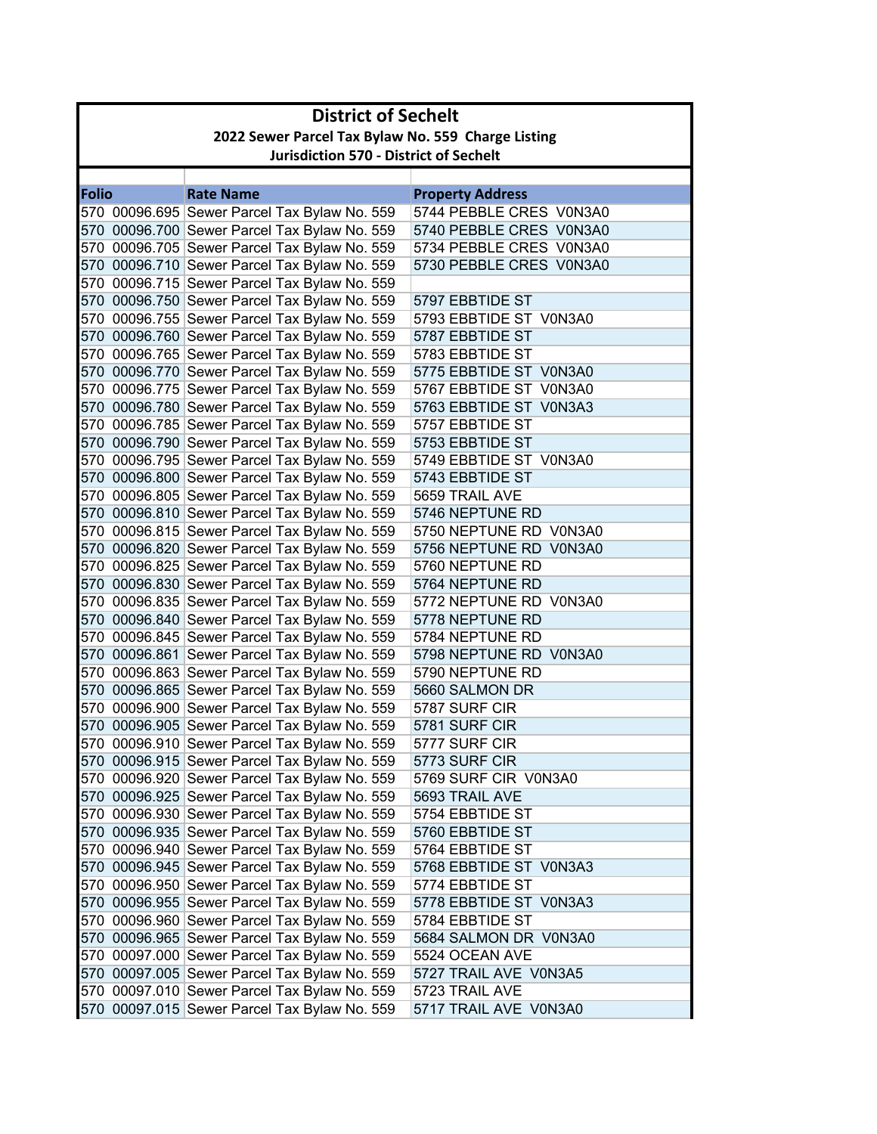|              | <b>District of Sechelt</b>                         |                                                                                              |                                           |  |  |
|--------------|----------------------------------------------------|----------------------------------------------------------------------------------------------|-------------------------------------------|--|--|
|              | 2022 Sewer Parcel Tax Bylaw No. 559 Charge Listing |                                                                                              |                                           |  |  |
|              | <b>Jurisdiction 570 - District of Sechelt</b>      |                                                                                              |                                           |  |  |
|              |                                                    |                                                                                              |                                           |  |  |
| <b>Folio</b> |                                                    | <b>Rate Name</b>                                                                             | <b>Property Address</b>                   |  |  |
|              |                                                    | 570 00096.695 Sewer Parcel Tax Bylaw No. 559                                                 | 5744 PEBBLE CRES V0N3A0                   |  |  |
|              |                                                    | 570 00096.700 Sewer Parcel Tax Bylaw No. 559                                                 | 5740 PEBBLE CRES V0N3A0                   |  |  |
|              |                                                    | 570 00096.705 Sewer Parcel Tax Bylaw No. 559                                                 | 5734 PEBBLE CRES V0N3A0                   |  |  |
|              |                                                    | 570 00096.710 Sewer Parcel Tax Bylaw No. 559                                                 | 5730 PEBBLE CRES V0N3A0                   |  |  |
|              |                                                    | 570 00096.715 Sewer Parcel Tax Bylaw No. 559                                                 |                                           |  |  |
|              |                                                    | 570 00096.750 Sewer Parcel Tax Bylaw No. 559                                                 | 5797 EBBTIDE ST                           |  |  |
|              |                                                    | 570 00096.755 Sewer Parcel Tax Bylaw No. 559                                                 | 5793 EBBTIDE ST V0N3A0                    |  |  |
|              |                                                    | 570 00096.760 Sewer Parcel Tax Bylaw No. 559                                                 | 5787 EBBTIDE ST                           |  |  |
|              |                                                    | 570 00096.765 Sewer Parcel Tax Bylaw No. 559                                                 | 5783 EBBTIDE ST                           |  |  |
|              |                                                    | 570 00096.770 Sewer Parcel Tax Bylaw No. 559                                                 | 5775 EBBTIDE ST V0N3A0                    |  |  |
|              |                                                    | 570 00096.775 Sewer Parcel Tax Bylaw No. 559                                                 | 5767 EBBTIDE ST V0N3A0                    |  |  |
|              |                                                    | 570 00096.780 Sewer Parcel Tax Bylaw No. 559                                                 | 5763 EBBTIDE ST V0N3A3                    |  |  |
|              |                                                    | 570 00096.785 Sewer Parcel Tax Bylaw No. 559                                                 | 5757 EBBTIDE ST                           |  |  |
|              |                                                    | 570 00096.790 Sewer Parcel Tax Bylaw No. 559                                                 | 5753 EBBTIDE ST                           |  |  |
|              |                                                    | 570 00096.795 Sewer Parcel Tax Bylaw No. 559                                                 | 5749 EBBTIDE ST V0N3A0                    |  |  |
|              |                                                    | 570 00096.800 Sewer Parcel Tax Bylaw No. 559                                                 | 5743 EBBTIDE ST                           |  |  |
|              |                                                    | 570 00096.805 Sewer Parcel Tax Bylaw No. 559                                                 | 5659 TRAIL AVE                            |  |  |
|              |                                                    | 570 00096.810 Sewer Parcel Tax Bylaw No. 559                                                 | 5746 NEPTUNE RD                           |  |  |
|              |                                                    | 570 00096.815 Sewer Parcel Tax Bylaw No. 559                                                 | 5750 NEPTUNE RD V0N3A0                    |  |  |
|              |                                                    | 570 00096.820 Sewer Parcel Tax Bylaw No. 559                                                 | 5756 NEPTUNE RD V0N3A0                    |  |  |
|              |                                                    | 570 00096.825 Sewer Parcel Tax Bylaw No. 559                                                 | 5760 NEPTUNE RD                           |  |  |
|              |                                                    | 570 00096.830 Sewer Parcel Tax Bylaw No. 559                                                 | 5764 NEPTUNE RD                           |  |  |
|              |                                                    | 570 00096.835 Sewer Parcel Tax Bylaw No. 559                                                 | 5772 NEPTUNE RD V0N3A0                    |  |  |
|              |                                                    | 570 00096.840 Sewer Parcel Tax Bylaw No. 559                                                 | 5778 NEPTUNE RD                           |  |  |
|              |                                                    | 570 00096.845 Sewer Parcel Tax Bylaw No. 559                                                 | 5784 NEPTUNE RD                           |  |  |
|              |                                                    | 570 00096.861 Sewer Parcel Tax Bylaw No. 559                                                 | 5798 NEPTUNE RD V0N3A0                    |  |  |
|              |                                                    | 570 00096.863 Sewer Parcel Tax Bylaw No. 559                                                 | 5790 NEPTUNE RD                           |  |  |
|              |                                                    | 570 00096.865 Sewer Parcel Tax Bylaw No. 559                                                 | 5660 SALMON DR                            |  |  |
|              |                                                    | 570 00096.900 Sewer Parcel Tax Bylaw No. 559                                                 | 5787 SURF CIR<br>5781 SURF CIR            |  |  |
|              |                                                    | 570 00096.905 Sewer Parcel Tax Bylaw No. 559                                                 |                                           |  |  |
|              |                                                    | 570 00096.910 Sewer Parcel Tax Bylaw No. 559                                                 | 5777 SURF CIR<br>5773 SURF CIR            |  |  |
|              |                                                    | 570 00096.915 Sewer Parcel Tax Bylaw No. 559<br>570 00096.920 Sewer Parcel Tax Bylaw No. 559 |                                           |  |  |
|              |                                                    |                                                                                              | 5769 SURF CIR V0N3A0                      |  |  |
|              |                                                    | 570 00096.925 Sewer Parcel Tax Bylaw No. 559                                                 | 5693 TRAIL AVE<br>5754 EBBTIDE ST         |  |  |
|              |                                                    | 570 00096.930 Sewer Parcel Tax Bylaw No. 559                                                 |                                           |  |  |
|              |                                                    | 570 00096.935 Sewer Parcel Tax Bylaw No. 559<br>570 00096.940 Sewer Parcel Tax Bylaw No. 559 | 5760 EBBTIDE ST                           |  |  |
|              |                                                    | 570 00096.945 Sewer Parcel Tax Bylaw No. 559                                                 | 5764 EBBTIDE ST<br>5768 EBBTIDE ST V0N3A3 |  |  |
|              |                                                    | 570 00096.950 Sewer Parcel Tax Bylaw No. 559                                                 | 5774 EBBTIDE ST                           |  |  |
|              |                                                    | 570 00096.955 Sewer Parcel Tax Bylaw No. 559                                                 | 5778 EBBTIDE ST V0N3A3                    |  |  |
|              |                                                    | 570 00096.960 Sewer Parcel Tax Bylaw No. 559                                                 | 5784 EBBTIDE ST                           |  |  |
|              |                                                    | 570 00096.965 Sewer Parcel Tax Bylaw No. 559                                                 | 5684 SALMON DR V0N3A0                     |  |  |
|              |                                                    | 570 00097.000 Sewer Parcel Tax Bylaw No. 559                                                 | 5524 OCEAN AVE                            |  |  |
|              |                                                    | 570 00097.005 Sewer Parcel Tax Bylaw No. 559                                                 | 5727 TRAIL AVE V0N3A5                     |  |  |
|              |                                                    | 570 00097.010 Sewer Parcel Tax Bylaw No. 559                                                 | 5723 TRAIL AVE                            |  |  |
|              |                                                    | 570 00097.015 Sewer Parcel Tax Bylaw No. 559                                                 | 5717 TRAIL AVE V0N3A0                     |  |  |
|              |                                                    |                                                                                              |                                           |  |  |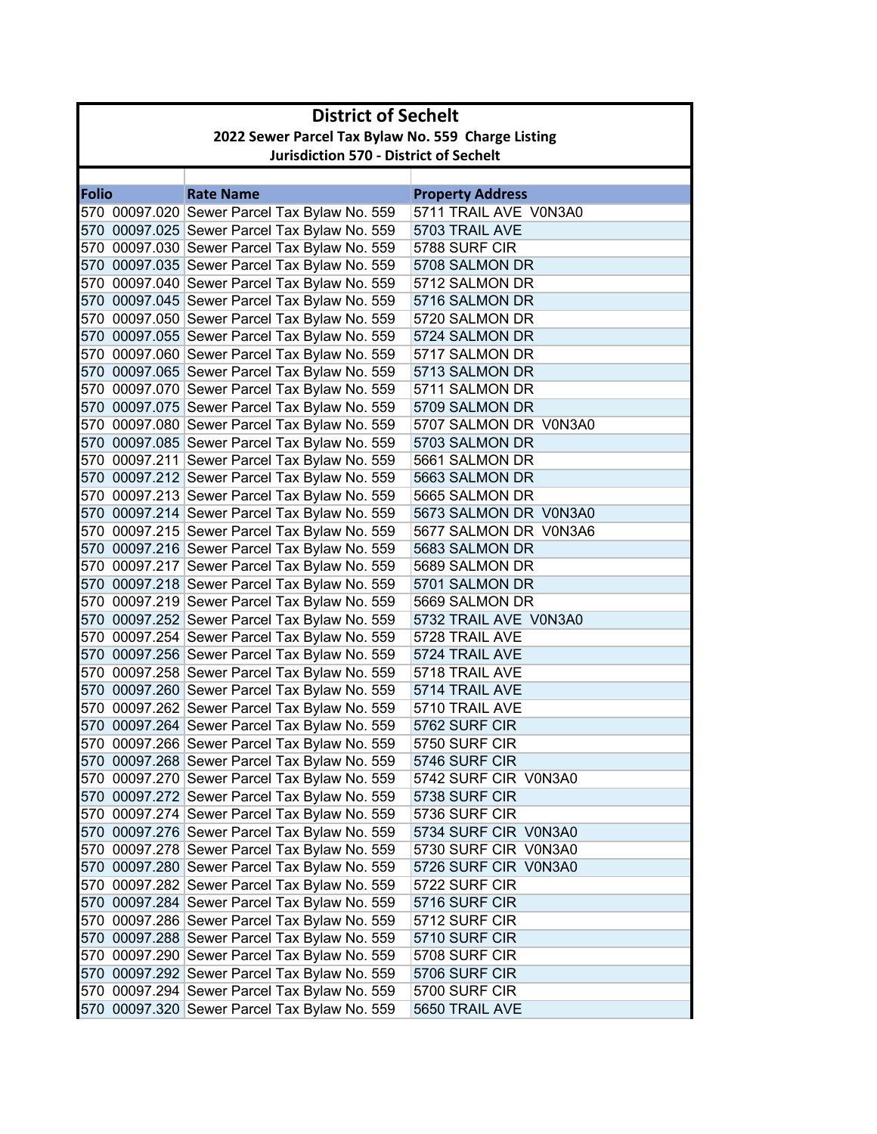|              | <b>District of Sechelt</b>                         |                                                                                              |                                  |  |  |
|--------------|----------------------------------------------------|----------------------------------------------------------------------------------------------|----------------------------------|--|--|
|              | 2022 Sewer Parcel Tax Bylaw No. 559 Charge Listing |                                                                                              |                                  |  |  |
|              | <b>Jurisdiction 570 - District of Sechelt</b>      |                                                                                              |                                  |  |  |
|              |                                                    |                                                                                              |                                  |  |  |
| <b>Folio</b> |                                                    | <b>Rate Name</b>                                                                             | <b>Property Address</b>          |  |  |
|              |                                                    | 570 00097.020 Sewer Parcel Tax Bylaw No. 559                                                 | 5711 TRAIL AVE V0N3A0            |  |  |
|              |                                                    | 570 00097.025 Sewer Parcel Tax Bylaw No. 559                                                 | 5703 TRAIL AVE                   |  |  |
|              |                                                    | 570 00097.030 Sewer Parcel Tax Bylaw No. 559                                                 | 5788 SURF CIR                    |  |  |
|              |                                                    | 570 00097.035 Sewer Parcel Tax Bylaw No. 559                                                 | 5708 SALMON DR                   |  |  |
|              |                                                    | 570 00097.040 Sewer Parcel Tax Bylaw No. 559                                                 | 5712 SALMON DR                   |  |  |
|              |                                                    | 570 00097.045 Sewer Parcel Tax Bylaw No. 559                                                 | 5716 SALMON DR                   |  |  |
|              |                                                    | 570 00097.050 Sewer Parcel Tax Bylaw No. 559                                                 | 5720 SALMON DR                   |  |  |
|              |                                                    | 570 00097.055 Sewer Parcel Tax Bylaw No. 559                                                 | 5724 SALMON DR                   |  |  |
|              |                                                    | 570 00097.060 Sewer Parcel Tax Bylaw No. 559                                                 | 5717 SALMON DR                   |  |  |
|              |                                                    | 570 00097.065 Sewer Parcel Tax Bylaw No. 559                                                 | 5713 SALMON DR                   |  |  |
|              |                                                    | 570 00097.070 Sewer Parcel Tax Bylaw No. 559                                                 | 5711 SALMON DR                   |  |  |
|              |                                                    | 570 00097.075 Sewer Parcel Tax Bylaw No. 559                                                 | 5709 SALMON DR                   |  |  |
|              |                                                    | 570 00097.080 Sewer Parcel Tax Bylaw No. 559                                                 | 5707 SALMON DR V0N3A0            |  |  |
|              |                                                    | 570 00097.085 Sewer Parcel Tax Bylaw No. 559                                                 | 5703 SALMON DR                   |  |  |
|              |                                                    | 570 00097.211 Sewer Parcel Tax Bylaw No. 559                                                 | 5661 SALMON DR                   |  |  |
|              |                                                    | 570 00097.212 Sewer Parcel Tax Bylaw No. 559                                                 | 5663 SALMON DR                   |  |  |
|              |                                                    | 570 00097.213 Sewer Parcel Tax Bylaw No. 559                                                 | 5665 SALMON DR                   |  |  |
|              |                                                    | 570 00097.214 Sewer Parcel Tax Bylaw No. 559                                                 | 5673 SALMON DR V0N3A0            |  |  |
|              |                                                    | 570 00097.215 Sewer Parcel Tax Bylaw No. 559                                                 | 5677 SALMON DR V0N3A6            |  |  |
|              |                                                    | 570 00097.216 Sewer Parcel Tax Bylaw No. 559                                                 | 5683 SALMON DR                   |  |  |
|              |                                                    | 570 00097.217 Sewer Parcel Tax Bylaw No. 559                                                 | 5689 SALMON DR                   |  |  |
|              |                                                    | 570 00097.218 Sewer Parcel Tax Bylaw No. 559                                                 | 5701 SALMON DR                   |  |  |
|              |                                                    | 570 00097.219 Sewer Parcel Tax Bylaw No. 559                                                 | 5669 SALMON DR                   |  |  |
|              |                                                    | 570 00097.252 Sewer Parcel Tax Bylaw No. 559                                                 | 5732 TRAIL AVE V0N3A0            |  |  |
|              |                                                    | 570 00097.254 Sewer Parcel Tax Bylaw No. 559                                                 | 5728 TRAIL AVE<br>5724 TRAIL AVE |  |  |
|              |                                                    | 570 00097.256 Sewer Parcel Tax Bylaw No. 559<br>570 00097.258 Sewer Parcel Tax Bylaw No. 559 | 5718 TRAIL AVE                   |  |  |
|              |                                                    | 570 00097.260 Sewer Parcel Tax Bylaw No. 559                                                 | 5714 TRAIL AVE                   |  |  |
|              |                                                    | 570 00097.262 Sewer Parcel Tax Bylaw No. 559                                                 | 5710 TRAIL AVE                   |  |  |
|              |                                                    | 570 00097.264 Sewer Parcel Tax Bylaw No. 559                                                 | 5762 SURF CIR                    |  |  |
|              |                                                    | 570 00097.266 Sewer Parcel Tax Bylaw No. 559                                                 | 5750 SURF CIR                    |  |  |
|              |                                                    | 570 00097.268 Sewer Parcel Tax Bylaw No. 559                                                 | 5746 SURF CIR                    |  |  |
|              |                                                    | 570 00097.270 Sewer Parcel Tax Bylaw No. 559                                                 | 5742 SURF CIR V0N3A0             |  |  |
|              |                                                    | 570 00097.272 Sewer Parcel Tax Bylaw No. 559                                                 | 5738 SURF CIR                    |  |  |
|              |                                                    | 570 00097.274 Sewer Parcel Tax Bylaw No. 559                                                 | 5736 SURF CIR                    |  |  |
|              |                                                    | 570 00097.276 Sewer Parcel Tax Bylaw No. 559                                                 | 5734 SURF CIR V0N3A0             |  |  |
|              |                                                    | 570 00097.278 Sewer Parcel Tax Bylaw No. 559                                                 | 5730 SURF CIR V0N3A0             |  |  |
|              |                                                    | 570 00097.280 Sewer Parcel Tax Bylaw No. 559                                                 | 5726 SURF CIR V0N3A0             |  |  |
|              |                                                    | 570 00097.282 Sewer Parcel Tax Bylaw No. 559                                                 | 5722 SURF CIR                    |  |  |
|              |                                                    | 570 00097.284 Sewer Parcel Tax Bylaw No. 559                                                 | 5716 SURF CIR                    |  |  |
|              |                                                    | 570 00097.286 Sewer Parcel Tax Bylaw No. 559                                                 | 5712 SURF CIR                    |  |  |
|              |                                                    | 570 00097.288 Sewer Parcel Tax Bylaw No. 559                                                 | 5710 SURF CIR                    |  |  |
|              |                                                    | 570 00097.290 Sewer Parcel Tax Bylaw No. 559                                                 | 5708 SURF CIR                    |  |  |
|              |                                                    | 570 00097.292 Sewer Parcel Tax Bylaw No. 559                                                 | 5706 SURF CIR                    |  |  |
|              |                                                    | 570 00097.294 Sewer Parcel Tax Bylaw No. 559                                                 | 5700 SURF CIR                    |  |  |
|              |                                                    | 570 00097.320 Sewer Parcel Tax Bylaw No. 559                                                 | 5650 TRAIL AVE                   |  |  |
|              |                                                    |                                                                                              |                                  |  |  |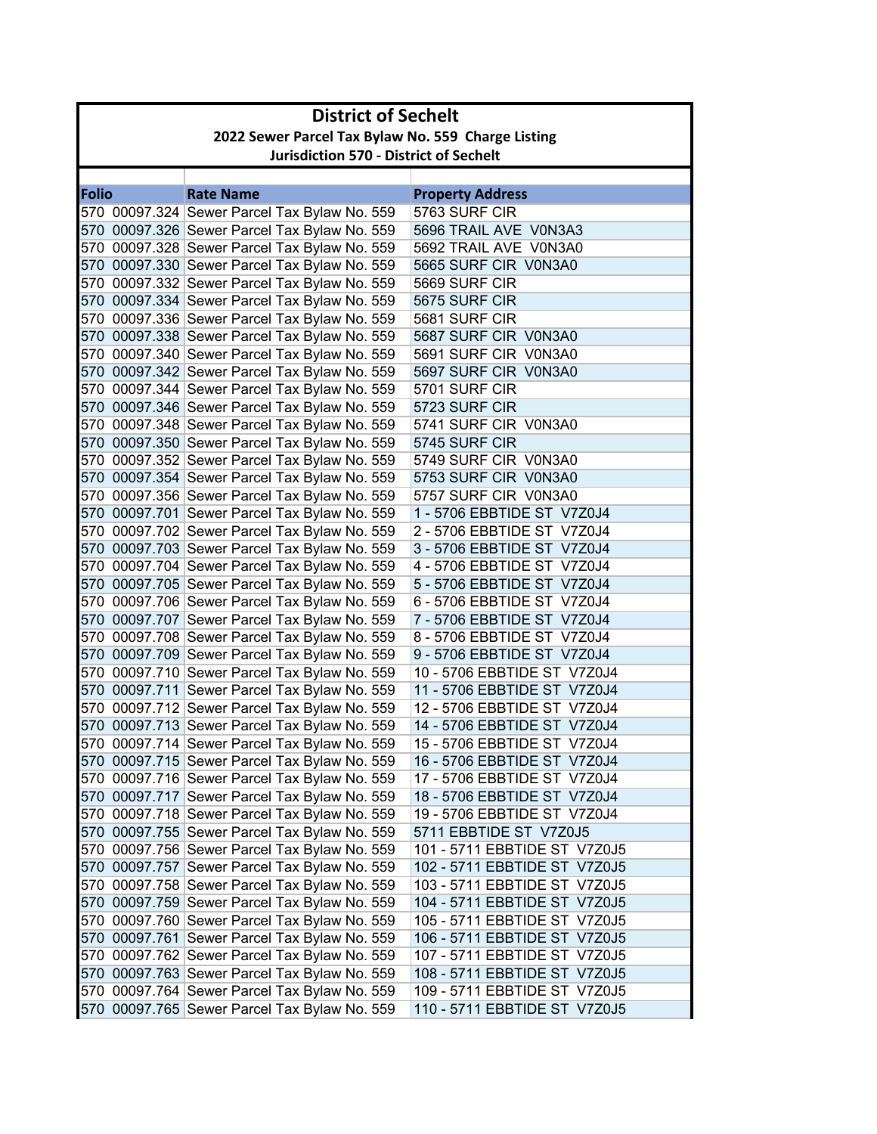| 2022 Sewer Parcel Tax Bylaw No. 559 Charge Listing<br><b>Jurisdiction 570 - District of Sechelt</b><br><b>Folio</b><br><b>Rate Name</b><br><b>Property Address</b><br>5763 SURF CIR<br>570 00097.324 Sewer Parcel Tax Bylaw No. 559<br>570 00097.326 Sewer Parcel Tax Bylaw No. 559<br>5696 TRAIL AVE V0N3A3<br>570 00097.328 Sewer Parcel Tax Bylaw No. 559<br>5692 TRAIL AVE V0N3A0<br>570 00097.330 Sewer Parcel Tax Bylaw No. 559<br>5665 SURF CIR V0N3A0<br>570 00097.332 Sewer Parcel Tax Bylaw No. 559<br>5669 SURF CIR<br>570 00097.334 Sewer Parcel Tax Bylaw No. 559<br>5675 SURF CIR<br>570 00097.336 Sewer Parcel Tax Bylaw No. 559<br>5681 SURF CIR<br>570 00097.338 Sewer Parcel Tax Bylaw No. 559<br>5687 SURF CIR V0N3A0<br>570 00097.340 Sewer Parcel Tax Bylaw No. 559<br>5691 SURF CIR V0N3A0<br>5697 SURF CIR V0N3A0<br>570 00097.342 Sewer Parcel Tax Bylaw No. 559<br>570 00097.344 Sewer Parcel Tax Bylaw No. 559<br>5701 SURF CIR<br>570 00097.346 Sewer Parcel Tax Bylaw No. 559<br>5723 SURF CIR<br>570 00097.348 Sewer Parcel Tax Bylaw No. 559<br>5741 SURF CIR V0N3A0<br>570 00097.350 Sewer Parcel Tax Bylaw No. 559<br>5745 SURF CIR<br>570 00097.352 Sewer Parcel Tax Bylaw No. 559<br>5749 SURF CIR V0N3A0<br>570 00097.354 Sewer Parcel Tax Bylaw No. 559<br>5753 SURF CIR V0N3A0<br>570 00097.356 Sewer Parcel Tax Bylaw No. 559<br>5757 SURF CIR V0N3A0<br>570 00097.701 Sewer Parcel Tax Bylaw No. 559<br>1 - 5706 EBBTIDE ST V7Z0J4<br>570 00097.702 Sewer Parcel Tax Bylaw No. 559<br>2 - 5706 EBBTIDE ST V7Z0J4<br>570 00097.703 Sewer Parcel Tax Bylaw No. 559<br>3 - 5706 EBBTIDE ST V7Z0J4<br>570 00097.704 Sewer Parcel Tax Bylaw No. 559<br>4 - 5706 EBBTIDE ST V7Z0J4<br>570 00097.705 Sewer Parcel Tax Bylaw No. 559<br>5 - 5706 EBBTIDE ST V7Z0J4<br>570 00097.706 Sewer Parcel Tax Bylaw No. 559<br>6 - 5706 EBBTIDE ST V7Z0J4<br>570 00097.707 Sewer Parcel Tax Bylaw No. 559<br>7 - 5706 EBBTIDE ST V7Z0J4<br>570 00097.708 Sewer Parcel Tax Bylaw No. 559<br>8 - 5706 EBBTIDE ST V7Z0J4<br>570 00097.709 Sewer Parcel Tax Bylaw No. 559<br>9 - 5706 EBBTIDE ST V7Z0J4<br>570 00097.710 Sewer Parcel Tax Bylaw No. 559<br>10 - 5706 EBBTIDE ST V7Z0J4<br>11 - 5706 EBBTIDE ST V7Z0J4<br>570 00097.711 Sewer Parcel Tax Bylaw No. 559<br>570 00097.712 Sewer Parcel Tax Bylaw No. 559<br>12 - 5706 EBBTIDE ST V7Z0J4<br>570 00097.713 Sewer Parcel Tax Bylaw No. 559<br>14 - 5706 EBBTIDE ST V7Z0J4<br>570 00097.714 Sewer Parcel Tax Bylaw No. 559<br>15 - 5706 EBBTIDE ST V7Z0J4<br>570 00097.715 Sewer Parcel Tax Bylaw No. 559<br>16 - 5706 EBBTIDE ST V7Z0J4<br>570 00097.716 Sewer Parcel Tax Bylaw No. 559<br>17 - 5706 EBBTIDE ST V7Z0J4<br>570 00097.717 Sewer Parcel Tax Bylaw No. 559<br>18 - 5706 EBBTIDE ST V7Z0J4<br>570 00097.718 Sewer Parcel Tax Bylaw No. 559<br>19 - 5706 EBBTIDE ST V7Z0J4<br>570 00097.755 Sewer Parcel Tax Bylaw No. 559<br>5711 EBBTIDE ST V7Z0J5<br>570 00097.756 Sewer Parcel Tax Bylaw No. 559<br>101 - 5711 EBBTIDE ST V7Z0J5<br>570 00097.757 Sewer Parcel Tax Bylaw No. 559<br>102 - 5711 EBBTIDE ST V7Z0J5<br>570 00097.758 Sewer Parcel Tax Bylaw No. 559<br>103 - 5711 EBBTIDE ST V7Z0J5<br>570 00097.759 Sewer Parcel Tax Bylaw No. 559<br>104 - 5711 EBBTIDE ST V7Z0J5<br>570 00097.760 Sewer Parcel Tax Bylaw No. 559<br>105 - 5711 EBBTIDE ST V7Z0J5<br>570 00097.761 Sewer Parcel Tax Bylaw No. 559<br>106 - 5711 EBBTIDE ST V7Z0J5<br>570 00097.762 Sewer Parcel Tax Bylaw No. 559<br>107 - 5711 EBBTIDE ST V7Z0J5<br>570 00097.763 Sewer Parcel Tax Bylaw No. 559<br>108 - 5711 EBBTIDE ST V7Z0J5<br>570 00097.764 Sewer Parcel Tax Bylaw No. 559<br>109 - 5711 EBBTIDE ST V7Z0J5<br>570 00097.765 Sewer Parcel Tax Bylaw No. 559<br>110 - 5711 EBBTIDE ST V7Z0J5 | <b>District of Sechelt</b> |  |  |  |  |
|----------------------------------------------------------------------------------------------------------------------------------------------------------------------------------------------------------------------------------------------------------------------------------------------------------------------------------------------------------------------------------------------------------------------------------------------------------------------------------------------------------------------------------------------------------------------------------------------------------------------------------------------------------------------------------------------------------------------------------------------------------------------------------------------------------------------------------------------------------------------------------------------------------------------------------------------------------------------------------------------------------------------------------------------------------------------------------------------------------------------------------------------------------------------------------------------------------------------------------------------------------------------------------------------------------------------------------------------------------------------------------------------------------------------------------------------------------------------------------------------------------------------------------------------------------------------------------------------------------------------------------------------------------------------------------------------------------------------------------------------------------------------------------------------------------------------------------------------------------------------------------------------------------------------------------------------------------------------------------------------------------------------------------------------------------------------------------------------------------------------------------------------------------------------------------------------------------------------------------------------------------------------------------------------------------------------------------------------------------------------------------------------------------------------------------------------------------------------------------------------------------------------------------------------------------------------------------------------------------------------------------------------------------------------------------------------------------------------------------------------------------------------------------------------------------------------------------------------------------------------------------------------------------------------------------------------------------------------------------------------------------------------------------------------------------------------------------------------------------------------------------------------------------------------------------------------------------------------------------------------------------------------------------------------------------------------------------------------------------------------------------------------------------------------------------------------------------------------------------------------------------------------------------------------------------------------------------------------------------------------------------------------------------------------------------------------------------------------------------------------------------------------------|----------------------------|--|--|--|--|
|                                                                                                                                                                                                                                                                                                                                                                                                                                                                                                                                                                                                                                                                                                                                                                                                                                                                                                                                                                                                                                                                                                                                                                                                                                                                                                                                                                                                                                                                                                                                                                                                                                                                                                                                                                                                                                                                                                                                                                                                                                                                                                                                                                                                                                                                                                                                                                                                                                                                                                                                                                                                                                                                                                                                                                                                                                                                                                                                                                                                                                                                                                                                                                                                                                                                                                                                                                                                                                                                                                                                                                                                                                                                                                                                                                            |                            |  |  |  |  |
|                                                                                                                                                                                                                                                                                                                                                                                                                                                                                                                                                                                                                                                                                                                                                                                                                                                                                                                                                                                                                                                                                                                                                                                                                                                                                                                                                                                                                                                                                                                                                                                                                                                                                                                                                                                                                                                                                                                                                                                                                                                                                                                                                                                                                                                                                                                                                                                                                                                                                                                                                                                                                                                                                                                                                                                                                                                                                                                                                                                                                                                                                                                                                                                                                                                                                                                                                                                                                                                                                                                                                                                                                                                                                                                                                                            |                            |  |  |  |  |
|                                                                                                                                                                                                                                                                                                                                                                                                                                                                                                                                                                                                                                                                                                                                                                                                                                                                                                                                                                                                                                                                                                                                                                                                                                                                                                                                                                                                                                                                                                                                                                                                                                                                                                                                                                                                                                                                                                                                                                                                                                                                                                                                                                                                                                                                                                                                                                                                                                                                                                                                                                                                                                                                                                                                                                                                                                                                                                                                                                                                                                                                                                                                                                                                                                                                                                                                                                                                                                                                                                                                                                                                                                                                                                                                                                            |                            |  |  |  |  |
|                                                                                                                                                                                                                                                                                                                                                                                                                                                                                                                                                                                                                                                                                                                                                                                                                                                                                                                                                                                                                                                                                                                                                                                                                                                                                                                                                                                                                                                                                                                                                                                                                                                                                                                                                                                                                                                                                                                                                                                                                                                                                                                                                                                                                                                                                                                                                                                                                                                                                                                                                                                                                                                                                                                                                                                                                                                                                                                                                                                                                                                                                                                                                                                                                                                                                                                                                                                                                                                                                                                                                                                                                                                                                                                                                                            |                            |  |  |  |  |
|                                                                                                                                                                                                                                                                                                                                                                                                                                                                                                                                                                                                                                                                                                                                                                                                                                                                                                                                                                                                                                                                                                                                                                                                                                                                                                                                                                                                                                                                                                                                                                                                                                                                                                                                                                                                                                                                                                                                                                                                                                                                                                                                                                                                                                                                                                                                                                                                                                                                                                                                                                                                                                                                                                                                                                                                                                                                                                                                                                                                                                                                                                                                                                                                                                                                                                                                                                                                                                                                                                                                                                                                                                                                                                                                                                            |                            |  |  |  |  |
|                                                                                                                                                                                                                                                                                                                                                                                                                                                                                                                                                                                                                                                                                                                                                                                                                                                                                                                                                                                                                                                                                                                                                                                                                                                                                                                                                                                                                                                                                                                                                                                                                                                                                                                                                                                                                                                                                                                                                                                                                                                                                                                                                                                                                                                                                                                                                                                                                                                                                                                                                                                                                                                                                                                                                                                                                                                                                                                                                                                                                                                                                                                                                                                                                                                                                                                                                                                                                                                                                                                                                                                                                                                                                                                                                                            |                            |  |  |  |  |
|                                                                                                                                                                                                                                                                                                                                                                                                                                                                                                                                                                                                                                                                                                                                                                                                                                                                                                                                                                                                                                                                                                                                                                                                                                                                                                                                                                                                                                                                                                                                                                                                                                                                                                                                                                                                                                                                                                                                                                                                                                                                                                                                                                                                                                                                                                                                                                                                                                                                                                                                                                                                                                                                                                                                                                                                                                                                                                                                                                                                                                                                                                                                                                                                                                                                                                                                                                                                                                                                                                                                                                                                                                                                                                                                                                            |                            |  |  |  |  |
|                                                                                                                                                                                                                                                                                                                                                                                                                                                                                                                                                                                                                                                                                                                                                                                                                                                                                                                                                                                                                                                                                                                                                                                                                                                                                                                                                                                                                                                                                                                                                                                                                                                                                                                                                                                                                                                                                                                                                                                                                                                                                                                                                                                                                                                                                                                                                                                                                                                                                                                                                                                                                                                                                                                                                                                                                                                                                                                                                                                                                                                                                                                                                                                                                                                                                                                                                                                                                                                                                                                                                                                                                                                                                                                                                                            |                            |  |  |  |  |
|                                                                                                                                                                                                                                                                                                                                                                                                                                                                                                                                                                                                                                                                                                                                                                                                                                                                                                                                                                                                                                                                                                                                                                                                                                                                                                                                                                                                                                                                                                                                                                                                                                                                                                                                                                                                                                                                                                                                                                                                                                                                                                                                                                                                                                                                                                                                                                                                                                                                                                                                                                                                                                                                                                                                                                                                                                                                                                                                                                                                                                                                                                                                                                                                                                                                                                                                                                                                                                                                                                                                                                                                                                                                                                                                                                            |                            |  |  |  |  |
|                                                                                                                                                                                                                                                                                                                                                                                                                                                                                                                                                                                                                                                                                                                                                                                                                                                                                                                                                                                                                                                                                                                                                                                                                                                                                                                                                                                                                                                                                                                                                                                                                                                                                                                                                                                                                                                                                                                                                                                                                                                                                                                                                                                                                                                                                                                                                                                                                                                                                                                                                                                                                                                                                                                                                                                                                                                                                                                                                                                                                                                                                                                                                                                                                                                                                                                                                                                                                                                                                                                                                                                                                                                                                                                                                                            |                            |  |  |  |  |
|                                                                                                                                                                                                                                                                                                                                                                                                                                                                                                                                                                                                                                                                                                                                                                                                                                                                                                                                                                                                                                                                                                                                                                                                                                                                                                                                                                                                                                                                                                                                                                                                                                                                                                                                                                                                                                                                                                                                                                                                                                                                                                                                                                                                                                                                                                                                                                                                                                                                                                                                                                                                                                                                                                                                                                                                                                                                                                                                                                                                                                                                                                                                                                                                                                                                                                                                                                                                                                                                                                                                                                                                                                                                                                                                                                            |                            |  |  |  |  |
|                                                                                                                                                                                                                                                                                                                                                                                                                                                                                                                                                                                                                                                                                                                                                                                                                                                                                                                                                                                                                                                                                                                                                                                                                                                                                                                                                                                                                                                                                                                                                                                                                                                                                                                                                                                                                                                                                                                                                                                                                                                                                                                                                                                                                                                                                                                                                                                                                                                                                                                                                                                                                                                                                                                                                                                                                                                                                                                                                                                                                                                                                                                                                                                                                                                                                                                                                                                                                                                                                                                                                                                                                                                                                                                                                                            |                            |  |  |  |  |
|                                                                                                                                                                                                                                                                                                                                                                                                                                                                                                                                                                                                                                                                                                                                                                                                                                                                                                                                                                                                                                                                                                                                                                                                                                                                                                                                                                                                                                                                                                                                                                                                                                                                                                                                                                                                                                                                                                                                                                                                                                                                                                                                                                                                                                                                                                                                                                                                                                                                                                                                                                                                                                                                                                                                                                                                                                                                                                                                                                                                                                                                                                                                                                                                                                                                                                                                                                                                                                                                                                                                                                                                                                                                                                                                                                            |                            |  |  |  |  |
|                                                                                                                                                                                                                                                                                                                                                                                                                                                                                                                                                                                                                                                                                                                                                                                                                                                                                                                                                                                                                                                                                                                                                                                                                                                                                                                                                                                                                                                                                                                                                                                                                                                                                                                                                                                                                                                                                                                                                                                                                                                                                                                                                                                                                                                                                                                                                                                                                                                                                                                                                                                                                                                                                                                                                                                                                                                                                                                                                                                                                                                                                                                                                                                                                                                                                                                                                                                                                                                                                                                                                                                                                                                                                                                                                                            |                            |  |  |  |  |
|                                                                                                                                                                                                                                                                                                                                                                                                                                                                                                                                                                                                                                                                                                                                                                                                                                                                                                                                                                                                                                                                                                                                                                                                                                                                                                                                                                                                                                                                                                                                                                                                                                                                                                                                                                                                                                                                                                                                                                                                                                                                                                                                                                                                                                                                                                                                                                                                                                                                                                                                                                                                                                                                                                                                                                                                                                                                                                                                                                                                                                                                                                                                                                                                                                                                                                                                                                                                                                                                                                                                                                                                                                                                                                                                                                            |                            |  |  |  |  |
|                                                                                                                                                                                                                                                                                                                                                                                                                                                                                                                                                                                                                                                                                                                                                                                                                                                                                                                                                                                                                                                                                                                                                                                                                                                                                                                                                                                                                                                                                                                                                                                                                                                                                                                                                                                                                                                                                                                                                                                                                                                                                                                                                                                                                                                                                                                                                                                                                                                                                                                                                                                                                                                                                                                                                                                                                                                                                                                                                                                                                                                                                                                                                                                                                                                                                                                                                                                                                                                                                                                                                                                                                                                                                                                                                                            |                            |  |  |  |  |
|                                                                                                                                                                                                                                                                                                                                                                                                                                                                                                                                                                                                                                                                                                                                                                                                                                                                                                                                                                                                                                                                                                                                                                                                                                                                                                                                                                                                                                                                                                                                                                                                                                                                                                                                                                                                                                                                                                                                                                                                                                                                                                                                                                                                                                                                                                                                                                                                                                                                                                                                                                                                                                                                                                                                                                                                                                                                                                                                                                                                                                                                                                                                                                                                                                                                                                                                                                                                                                                                                                                                                                                                                                                                                                                                                                            |                            |  |  |  |  |
|                                                                                                                                                                                                                                                                                                                                                                                                                                                                                                                                                                                                                                                                                                                                                                                                                                                                                                                                                                                                                                                                                                                                                                                                                                                                                                                                                                                                                                                                                                                                                                                                                                                                                                                                                                                                                                                                                                                                                                                                                                                                                                                                                                                                                                                                                                                                                                                                                                                                                                                                                                                                                                                                                                                                                                                                                                                                                                                                                                                                                                                                                                                                                                                                                                                                                                                                                                                                                                                                                                                                                                                                                                                                                                                                                                            |                            |  |  |  |  |
|                                                                                                                                                                                                                                                                                                                                                                                                                                                                                                                                                                                                                                                                                                                                                                                                                                                                                                                                                                                                                                                                                                                                                                                                                                                                                                                                                                                                                                                                                                                                                                                                                                                                                                                                                                                                                                                                                                                                                                                                                                                                                                                                                                                                                                                                                                                                                                                                                                                                                                                                                                                                                                                                                                                                                                                                                                                                                                                                                                                                                                                                                                                                                                                                                                                                                                                                                                                                                                                                                                                                                                                                                                                                                                                                                                            |                            |  |  |  |  |
|                                                                                                                                                                                                                                                                                                                                                                                                                                                                                                                                                                                                                                                                                                                                                                                                                                                                                                                                                                                                                                                                                                                                                                                                                                                                                                                                                                                                                                                                                                                                                                                                                                                                                                                                                                                                                                                                                                                                                                                                                                                                                                                                                                                                                                                                                                                                                                                                                                                                                                                                                                                                                                                                                                                                                                                                                                                                                                                                                                                                                                                                                                                                                                                                                                                                                                                                                                                                                                                                                                                                                                                                                                                                                                                                                                            |                            |  |  |  |  |
|                                                                                                                                                                                                                                                                                                                                                                                                                                                                                                                                                                                                                                                                                                                                                                                                                                                                                                                                                                                                                                                                                                                                                                                                                                                                                                                                                                                                                                                                                                                                                                                                                                                                                                                                                                                                                                                                                                                                                                                                                                                                                                                                                                                                                                                                                                                                                                                                                                                                                                                                                                                                                                                                                                                                                                                                                                                                                                                                                                                                                                                                                                                                                                                                                                                                                                                                                                                                                                                                                                                                                                                                                                                                                                                                                                            |                            |  |  |  |  |
|                                                                                                                                                                                                                                                                                                                                                                                                                                                                                                                                                                                                                                                                                                                                                                                                                                                                                                                                                                                                                                                                                                                                                                                                                                                                                                                                                                                                                                                                                                                                                                                                                                                                                                                                                                                                                                                                                                                                                                                                                                                                                                                                                                                                                                                                                                                                                                                                                                                                                                                                                                                                                                                                                                                                                                                                                                                                                                                                                                                                                                                                                                                                                                                                                                                                                                                                                                                                                                                                                                                                                                                                                                                                                                                                                                            |                            |  |  |  |  |
|                                                                                                                                                                                                                                                                                                                                                                                                                                                                                                                                                                                                                                                                                                                                                                                                                                                                                                                                                                                                                                                                                                                                                                                                                                                                                                                                                                                                                                                                                                                                                                                                                                                                                                                                                                                                                                                                                                                                                                                                                                                                                                                                                                                                                                                                                                                                                                                                                                                                                                                                                                                                                                                                                                                                                                                                                                                                                                                                                                                                                                                                                                                                                                                                                                                                                                                                                                                                                                                                                                                                                                                                                                                                                                                                                                            |                            |  |  |  |  |
|                                                                                                                                                                                                                                                                                                                                                                                                                                                                                                                                                                                                                                                                                                                                                                                                                                                                                                                                                                                                                                                                                                                                                                                                                                                                                                                                                                                                                                                                                                                                                                                                                                                                                                                                                                                                                                                                                                                                                                                                                                                                                                                                                                                                                                                                                                                                                                                                                                                                                                                                                                                                                                                                                                                                                                                                                                                                                                                                                                                                                                                                                                                                                                                                                                                                                                                                                                                                                                                                                                                                                                                                                                                                                                                                                                            |                            |  |  |  |  |
|                                                                                                                                                                                                                                                                                                                                                                                                                                                                                                                                                                                                                                                                                                                                                                                                                                                                                                                                                                                                                                                                                                                                                                                                                                                                                                                                                                                                                                                                                                                                                                                                                                                                                                                                                                                                                                                                                                                                                                                                                                                                                                                                                                                                                                                                                                                                                                                                                                                                                                                                                                                                                                                                                                                                                                                                                                                                                                                                                                                                                                                                                                                                                                                                                                                                                                                                                                                                                                                                                                                                                                                                                                                                                                                                                                            |                            |  |  |  |  |
|                                                                                                                                                                                                                                                                                                                                                                                                                                                                                                                                                                                                                                                                                                                                                                                                                                                                                                                                                                                                                                                                                                                                                                                                                                                                                                                                                                                                                                                                                                                                                                                                                                                                                                                                                                                                                                                                                                                                                                                                                                                                                                                                                                                                                                                                                                                                                                                                                                                                                                                                                                                                                                                                                                                                                                                                                                                                                                                                                                                                                                                                                                                                                                                                                                                                                                                                                                                                                                                                                                                                                                                                                                                                                                                                                                            |                            |  |  |  |  |
|                                                                                                                                                                                                                                                                                                                                                                                                                                                                                                                                                                                                                                                                                                                                                                                                                                                                                                                                                                                                                                                                                                                                                                                                                                                                                                                                                                                                                                                                                                                                                                                                                                                                                                                                                                                                                                                                                                                                                                                                                                                                                                                                                                                                                                                                                                                                                                                                                                                                                                                                                                                                                                                                                                                                                                                                                                                                                                                                                                                                                                                                                                                                                                                                                                                                                                                                                                                                                                                                                                                                                                                                                                                                                                                                                                            |                            |  |  |  |  |
|                                                                                                                                                                                                                                                                                                                                                                                                                                                                                                                                                                                                                                                                                                                                                                                                                                                                                                                                                                                                                                                                                                                                                                                                                                                                                                                                                                                                                                                                                                                                                                                                                                                                                                                                                                                                                                                                                                                                                                                                                                                                                                                                                                                                                                                                                                                                                                                                                                                                                                                                                                                                                                                                                                                                                                                                                                                                                                                                                                                                                                                                                                                                                                                                                                                                                                                                                                                                                                                                                                                                                                                                                                                                                                                                                                            |                            |  |  |  |  |
|                                                                                                                                                                                                                                                                                                                                                                                                                                                                                                                                                                                                                                                                                                                                                                                                                                                                                                                                                                                                                                                                                                                                                                                                                                                                                                                                                                                                                                                                                                                                                                                                                                                                                                                                                                                                                                                                                                                                                                                                                                                                                                                                                                                                                                                                                                                                                                                                                                                                                                                                                                                                                                                                                                                                                                                                                                                                                                                                                                                                                                                                                                                                                                                                                                                                                                                                                                                                                                                                                                                                                                                                                                                                                                                                                                            |                            |  |  |  |  |
|                                                                                                                                                                                                                                                                                                                                                                                                                                                                                                                                                                                                                                                                                                                                                                                                                                                                                                                                                                                                                                                                                                                                                                                                                                                                                                                                                                                                                                                                                                                                                                                                                                                                                                                                                                                                                                                                                                                                                                                                                                                                                                                                                                                                                                                                                                                                                                                                                                                                                                                                                                                                                                                                                                                                                                                                                                                                                                                                                                                                                                                                                                                                                                                                                                                                                                                                                                                                                                                                                                                                                                                                                                                                                                                                                                            |                            |  |  |  |  |
|                                                                                                                                                                                                                                                                                                                                                                                                                                                                                                                                                                                                                                                                                                                                                                                                                                                                                                                                                                                                                                                                                                                                                                                                                                                                                                                                                                                                                                                                                                                                                                                                                                                                                                                                                                                                                                                                                                                                                                                                                                                                                                                                                                                                                                                                                                                                                                                                                                                                                                                                                                                                                                                                                                                                                                                                                                                                                                                                                                                                                                                                                                                                                                                                                                                                                                                                                                                                                                                                                                                                                                                                                                                                                                                                                                            |                            |  |  |  |  |
|                                                                                                                                                                                                                                                                                                                                                                                                                                                                                                                                                                                                                                                                                                                                                                                                                                                                                                                                                                                                                                                                                                                                                                                                                                                                                                                                                                                                                                                                                                                                                                                                                                                                                                                                                                                                                                                                                                                                                                                                                                                                                                                                                                                                                                                                                                                                                                                                                                                                                                                                                                                                                                                                                                                                                                                                                                                                                                                                                                                                                                                                                                                                                                                                                                                                                                                                                                                                                                                                                                                                                                                                                                                                                                                                                                            |                            |  |  |  |  |
|                                                                                                                                                                                                                                                                                                                                                                                                                                                                                                                                                                                                                                                                                                                                                                                                                                                                                                                                                                                                                                                                                                                                                                                                                                                                                                                                                                                                                                                                                                                                                                                                                                                                                                                                                                                                                                                                                                                                                                                                                                                                                                                                                                                                                                                                                                                                                                                                                                                                                                                                                                                                                                                                                                                                                                                                                                                                                                                                                                                                                                                                                                                                                                                                                                                                                                                                                                                                                                                                                                                                                                                                                                                                                                                                                                            |                            |  |  |  |  |
|                                                                                                                                                                                                                                                                                                                                                                                                                                                                                                                                                                                                                                                                                                                                                                                                                                                                                                                                                                                                                                                                                                                                                                                                                                                                                                                                                                                                                                                                                                                                                                                                                                                                                                                                                                                                                                                                                                                                                                                                                                                                                                                                                                                                                                                                                                                                                                                                                                                                                                                                                                                                                                                                                                                                                                                                                                                                                                                                                                                                                                                                                                                                                                                                                                                                                                                                                                                                                                                                                                                                                                                                                                                                                                                                                                            |                            |  |  |  |  |
|                                                                                                                                                                                                                                                                                                                                                                                                                                                                                                                                                                                                                                                                                                                                                                                                                                                                                                                                                                                                                                                                                                                                                                                                                                                                                                                                                                                                                                                                                                                                                                                                                                                                                                                                                                                                                                                                                                                                                                                                                                                                                                                                                                                                                                                                                                                                                                                                                                                                                                                                                                                                                                                                                                                                                                                                                                                                                                                                                                                                                                                                                                                                                                                                                                                                                                                                                                                                                                                                                                                                                                                                                                                                                                                                                                            |                            |  |  |  |  |
|                                                                                                                                                                                                                                                                                                                                                                                                                                                                                                                                                                                                                                                                                                                                                                                                                                                                                                                                                                                                                                                                                                                                                                                                                                                                                                                                                                                                                                                                                                                                                                                                                                                                                                                                                                                                                                                                                                                                                                                                                                                                                                                                                                                                                                                                                                                                                                                                                                                                                                                                                                                                                                                                                                                                                                                                                                                                                                                                                                                                                                                                                                                                                                                                                                                                                                                                                                                                                                                                                                                                                                                                                                                                                                                                                                            |                            |  |  |  |  |
|                                                                                                                                                                                                                                                                                                                                                                                                                                                                                                                                                                                                                                                                                                                                                                                                                                                                                                                                                                                                                                                                                                                                                                                                                                                                                                                                                                                                                                                                                                                                                                                                                                                                                                                                                                                                                                                                                                                                                                                                                                                                                                                                                                                                                                                                                                                                                                                                                                                                                                                                                                                                                                                                                                                                                                                                                                                                                                                                                                                                                                                                                                                                                                                                                                                                                                                                                                                                                                                                                                                                                                                                                                                                                                                                                                            |                            |  |  |  |  |
|                                                                                                                                                                                                                                                                                                                                                                                                                                                                                                                                                                                                                                                                                                                                                                                                                                                                                                                                                                                                                                                                                                                                                                                                                                                                                                                                                                                                                                                                                                                                                                                                                                                                                                                                                                                                                                                                                                                                                                                                                                                                                                                                                                                                                                                                                                                                                                                                                                                                                                                                                                                                                                                                                                                                                                                                                                                                                                                                                                                                                                                                                                                                                                                                                                                                                                                                                                                                                                                                                                                                                                                                                                                                                                                                                                            |                            |  |  |  |  |
|                                                                                                                                                                                                                                                                                                                                                                                                                                                                                                                                                                                                                                                                                                                                                                                                                                                                                                                                                                                                                                                                                                                                                                                                                                                                                                                                                                                                                                                                                                                                                                                                                                                                                                                                                                                                                                                                                                                                                                                                                                                                                                                                                                                                                                                                                                                                                                                                                                                                                                                                                                                                                                                                                                                                                                                                                                                                                                                                                                                                                                                                                                                                                                                                                                                                                                                                                                                                                                                                                                                                                                                                                                                                                                                                                                            |                            |  |  |  |  |
|                                                                                                                                                                                                                                                                                                                                                                                                                                                                                                                                                                                                                                                                                                                                                                                                                                                                                                                                                                                                                                                                                                                                                                                                                                                                                                                                                                                                                                                                                                                                                                                                                                                                                                                                                                                                                                                                                                                                                                                                                                                                                                                                                                                                                                                                                                                                                                                                                                                                                                                                                                                                                                                                                                                                                                                                                                                                                                                                                                                                                                                                                                                                                                                                                                                                                                                                                                                                                                                                                                                                                                                                                                                                                                                                                                            |                            |  |  |  |  |
|                                                                                                                                                                                                                                                                                                                                                                                                                                                                                                                                                                                                                                                                                                                                                                                                                                                                                                                                                                                                                                                                                                                                                                                                                                                                                                                                                                                                                                                                                                                                                                                                                                                                                                                                                                                                                                                                                                                                                                                                                                                                                                                                                                                                                                                                                                                                                                                                                                                                                                                                                                                                                                                                                                                                                                                                                                                                                                                                                                                                                                                                                                                                                                                                                                                                                                                                                                                                                                                                                                                                                                                                                                                                                                                                                                            |                            |  |  |  |  |
|                                                                                                                                                                                                                                                                                                                                                                                                                                                                                                                                                                                                                                                                                                                                                                                                                                                                                                                                                                                                                                                                                                                                                                                                                                                                                                                                                                                                                                                                                                                                                                                                                                                                                                                                                                                                                                                                                                                                                                                                                                                                                                                                                                                                                                                                                                                                                                                                                                                                                                                                                                                                                                                                                                                                                                                                                                                                                                                                                                                                                                                                                                                                                                                                                                                                                                                                                                                                                                                                                                                                                                                                                                                                                                                                                                            |                            |  |  |  |  |
|                                                                                                                                                                                                                                                                                                                                                                                                                                                                                                                                                                                                                                                                                                                                                                                                                                                                                                                                                                                                                                                                                                                                                                                                                                                                                                                                                                                                                                                                                                                                                                                                                                                                                                                                                                                                                                                                                                                                                                                                                                                                                                                                                                                                                                                                                                                                                                                                                                                                                                                                                                                                                                                                                                                                                                                                                                                                                                                                                                                                                                                                                                                                                                                                                                                                                                                                                                                                                                                                                                                                                                                                                                                                                                                                                                            |                            |  |  |  |  |
|                                                                                                                                                                                                                                                                                                                                                                                                                                                                                                                                                                                                                                                                                                                                                                                                                                                                                                                                                                                                                                                                                                                                                                                                                                                                                                                                                                                                                                                                                                                                                                                                                                                                                                                                                                                                                                                                                                                                                                                                                                                                                                                                                                                                                                                                                                                                                                                                                                                                                                                                                                                                                                                                                                                                                                                                                                                                                                                                                                                                                                                                                                                                                                                                                                                                                                                                                                                                                                                                                                                                                                                                                                                                                                                                                                            |                            |  |  |  |  |
|                                                                                                                                                                                                                                                                                                                                                                                                                                                                                                                                                                                                                                                                                                                                                                                                                                                                                                                                                                                                                                                                                                                                                                                                                                                                                                                                                                                                                                                                                                                                                                                                                                                                                                                                                                                                                                                                                                                                                                                                                                                                                                                                                                                                                                                                                                                                                                                                                                                                                                                                                                                                                                                                                                                                                                                                                                                                                                                                                                                                                                                                                                                                                                                                                                                                                                                                                                                                                                                                                                                                                                                                                                                                                                                                                                            |                            |  |  |  |  |
|                                                                                                                                                                                                                                                                                                                                                                                                                                                                                                                                                                                                                                                                                                                                                                                                                                                                                                                                                                                                                                                                                                                                                                                                                                                                                                                                                                                                                                                                                                                                                                                                                                                                                                                                                                                                                                                                                                                                                                                                                                                                                                                                                                                                                                                                                                                                                                                                                                                                                                                                                                                                                                                                                                                                                                                                                                                                                                                                                                                                                                                                                                                                                                                                                                                                                                                                                                                                                                                                                                                                                                                                                                                                                                                                                                            |                            |  |  |  |  |
|                                                                                                                                                                                                                                                                                                                                                                                                                                                                                                                                                                                                                                                                                                                                                                                                                                                                                                                                                                                                                                                                                                                                                                                                                                                                                                                                                                                                                                                                                                                                                                                                                                                                                                                                                                                                                                                                                                                                                                                                                                                                                                                                                                                                                                                                                                                                                                                                                                                                                                                                                                                                                                                                                                                                                                                                                                                                                                                                                                                                                                                                                                                                                                                                                                                                                                                                                                                                                                                                                                                                                                                                                                                                                                                                                                            |                            |  |  |  |  |
|                                                                                                                                                                                                                                                                                                                                                                                                                                                                                                                                                                                                                                                                                                                                                                                                                                                                                                                                                                                                                                                                                                                                                                                                                                                                                                                                                                                                                                                                                                                                                                                                                                                                                                                                                                                                                                                                                                                                                                                                                                                                                                                                                                                                                                                                                                                                                                                                                                                                                                                                                                                                                                                                                                                                                                                                                                                                                                                                                                                                                                                                                                                                                                                                                                                                                                                                                                                                                                                                                                                                                                                                                                                                                                                                                                            |                            |  |  |  |  |
|                                                                                                                                                                                                                                                                                                                                                                                                                                                                                                                                                                                                                                                                                                                                                                                                                                                                                                                                                                                                                                                                                                                                                                                                                                                                                                                                                                                                                                                                                                                                                                                                                                                                                                                                                                                                                                                                                                                                                                                                                                                                                                                                                                                                                                                                                                                                                                                                                                                                                                                                                                                                                                                                                                                                                                                                                                                                                                                                                                                                                                                                                                                                                                                                                                                                                                                                                                                                                                                                                                                                                                                                                                                                                                                                                                            |                            |  |  |  |  |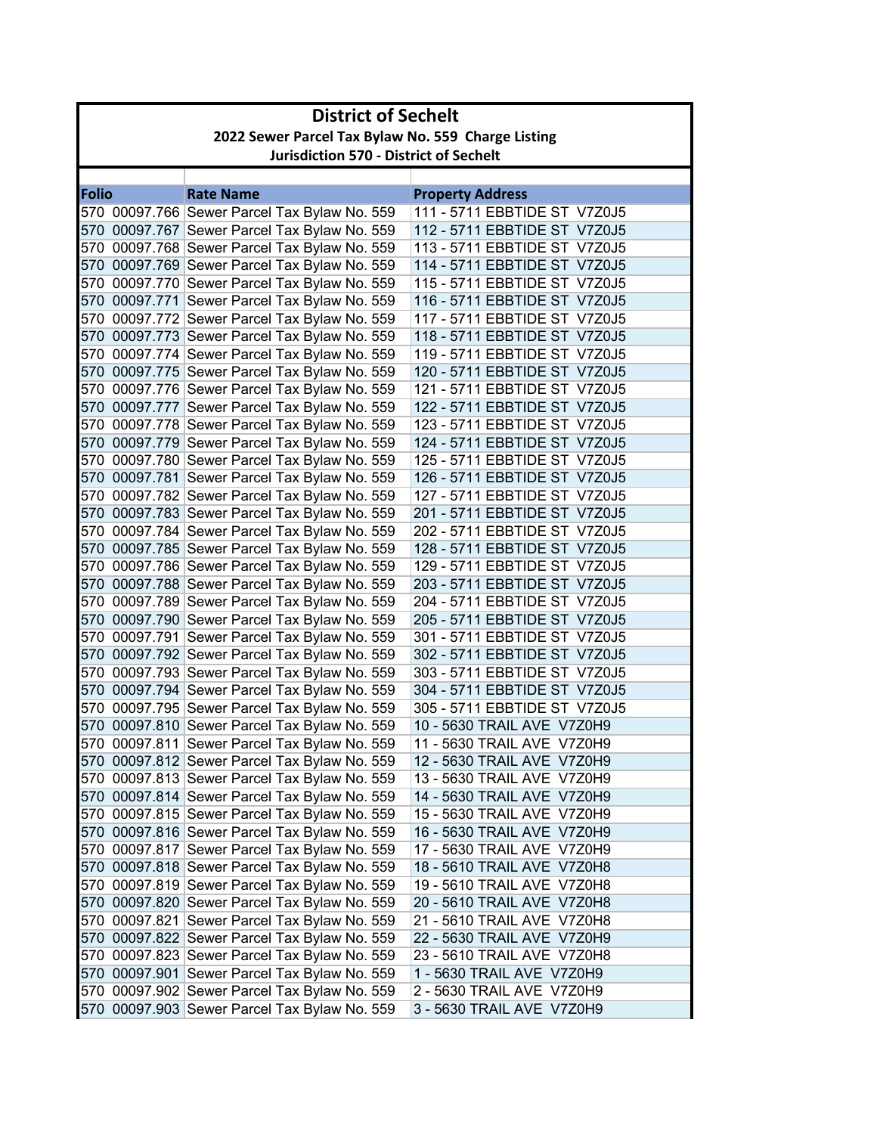|              | <b>District of Sechelt</b> |                                                    |                              |  |
|--------------|----------------------------|----------------------------------------------------|------------------------------|--|
|              |                            | 2022 Sewer Parcel Tax Bylaw No. 559 Charge Listing |                              |  |
|              |                            | <b>Jurisdiction 570 - District of Sechelt</b>      |                              |  |
|              |                            |                                                    |                              |  |
| <b>Folio</b> |                            | <b>Rate Name</b>                                   | <b>Property Address</b>      |  |
|              |                            | 570 00097.766 Sewer Parcel Tax Bylaw No. 559       | 111 - 5711 EBBTIDE ST V7Z0J5 |  |
|              |                            | 570 00097.767 Sewer Parcel Tax Bylaw No. 559       | 112 - 5711 EBBTIDE ST V7Z0J5 |  |
|              |                            | 570 00097.768 Sewer Parcel Tax Bylaw No. 559       | 113 - 5711 EBBTIDE ST V7Z0J5 |  |
|              |                            | 570 00097.769 Sewer Parcel Tax Bylaw No. 559       | 114 - 5711 EBBTIDE ST V7Z0J5 |  |
|              |                            | 570 00097.770 Sewer Parcel Tax Bylaw No. 559       | 115 - 5711 EBBTIDE ST V7Z0J5 |  |
|              |                            | 570 00097.771 Sewer Parcel Tax Bylaw No. 559       | 116 - 5711 EBBTIDE ST V7Z0J5 |  |
|              |                            | 570 00097.772 Sewer Parcel Tax Bylaw No. 559       | 117 - 5711 EBBTIDE ST V7Z0J5 |  |
|              |                            | 570 00097.773 Sewer Parcel Tax Bylaw No. 559       | 118 - 5711 EBBTIDE ST V7Z0J5 |  |
|              |                            | 570 00097.774 Sewer Parcel Tax Bylaw No. 559       | 119 - 5711 EBBTIDE ST V7Z0J5 |  |
|              |                            | 570 00097.775 Sewer Parcel Tax Bylaw No. 559       | 120 - 5711 EBBTIDE ST V7Z0J5 |  |
|              |                            | 570 00097.776 Sewer Parcel Tax Bylaw No. 559       | 121 - 5711 EBBTIDE ST V7Z0J5 |  |
|              |                            | 570 00097.777 Sewer Parcel Tax Bylaw No. 559       | 122 - 5711 EBBTIDE ST V7Z0J5 |  |
|              |                            | 570 00097.778 Sewer Parcel Tax Bylaw No. 559       | 123 - 5711 EBBTIDE ST V7Z0J5 |  |
|              |                            | 570 00097.779 Sewer Parcel Tax Bylaw No. 559       | 124 - 5711 EBBTIDE ST V7Z0J5 |  |
|              |                            | 570 00097.780 Sewer Parcel Tax Bylaw No. 559       | 125 - 5711 EBBTIDE ST V7Z0J5 |  |
|              |                            | 570 00097.781 Sewer Parcel Tax Bylaw No. 559       | 126 - 5711 EBBTIDE ST V7Z0J5 |  |
|              |                            | 570 00097.782 Sewer Parcel Tax Bylaw No. 559       | 127 - 5711 EBBTIDE ST V7Z0J5 |  |
|              |                            | 570 00097.783 Sewer Parcel Tax Bylaw No. 559       | 201 - 5711 EBBTIDE ST V7Z0J5 |  |
|              |                            | 570 00097.784 Sewer Parcel Tax Bylaw No. 559       | 202 - 5711 EBBTIDE ST V7Z0J5 |  |
|              |                            | 570 00097.785 Sewer Parcel Tax Bylaw No. 559       | 128 - 5711 EBBTIDE ST V7Z0J5 |  |
|              |                            | 570 00097.786 Sewer Parcel Tax Bylaw No. 559       | 129 - 5711 EBBTIDE ST V7Z0J5 |  |
|              |                            | 570 00097.788 Sewer Parcel Tax Bylaw No. 559       | 203 - 5711 EBBTIDE ST V7Z0J5 |  |
|              |                            | 570 00097.789 Sewer Parcel Tax Bylaw No. 559       | 204 - 5711 EBBTIDE ST V7Z0J5 |  |
|              |                            | 570 00097.790 Sewer Parcel Tax Bylaw No. 559       | 205 - 5711 EBBTIDE ST V7Z0J5 |  |
|              |                            | 570 00097.791 Sewer Parcel Tax Bylaw No. 559       | 301 - 5711 EBBTIDE ST V7Z0J5 |  |
|              |                            | 570 00097.792 Sewer Parcel Tax Bylaw No. 559       | 302 - 5711 EBBTIDE ST V7Z0J5 |  |
|              |                            | 570 00097.793 Sewer Parcel Tax Bylaw No. 559       | 303 - 5711 EBBTIDE ST V7Z0J5 |  |
|              |                            | 570 00097.794 Sewer Parcel Tax Bylaw No. 559       | 304 - 5711 EBBTIDE ST V7Z0J5 |  |
|              |                            | 570 00097.795 Sewer Parcel Tax Bylaw No. 559       | 305 - 5711 EBBTIDE ST V7Z0J5 |  |
|              |                            | 570 00097.810 Sewer Parcel Tax Bylaw No. 559       | 10 - 5630 TRAIL AVE V7Z0H9   |  |
|              |                            | 570 00097.811 Sewer Parcel Tax Bylaw No. 559       | 11 - 5630 TRAIL AVE V7Z0H9   |  |
|              |                            | 570 00097.812 Sewer Parcel Tax Bylaw No. 559       | 12 - 5630 TRAIL AVE V7Z0H9   |  |
|              |                            | 570 00097.813 Sewer Parcel Tax Bylaw No. 559       | 13 - 5630 TRAIL AVE V7Z0H9   |  |
|              |                            | 570 00097.814 Sewer Parcel Tax Bylaw No. 559       | 14 - 5630 TRAIL AVE V7Z0H9   |  |
|              |                            | 570 00097.815 Sewer Parcel Tax Bylaw No. 559       | 15 - 5630 TRAIL AVE V7Z0H9   |  |
|              |                            | 570 00097.816 Sewer Parcel Tax Bylaw No. 559       | 16 - 5630 TRAIL AVE V7Z0H9   |  |
|              |                            | 570 00097.817 Sewer Parcel Tax Bylaw No. 559       | 17 - 5630 TRAIL AVE V7Z0H9   |  |
|              |                            | 570 00097.818 Sewer Parcel Tax Bylaw No. 559       | 18 - 5610 TRAIL AVE V7Z0H8   |  |
|              |                            | 570 00097.819 Sewer Parcel Tax Bylaw No. 559       | 19 - 5610 TRAIL AVE V7Z0H8   |  |
|              |                            | 570 00097.820 Sewer Parcel Tax Bylaw No. 559       | 20 - 5610 TRAIL AVE V7Z0H8   |  |
|              |                            | 570 00097.821 Sewer Parcel Tax Bylaw No. 559       | 21 - 5610 TRAIL AVE V7Z0H8   |  |
|              |                            | 570 00097.822 Sewer Parcel Tax Bylaw No. 559       | 22 - 5630 TRAIL AVE V7Z0H9   |  |
|              |                            | 570 00097.823 Sewer Parcel Tax Bylaw No. 559       | 23 - 5610 TRAIL AVE V7Z0H8   |  |
|              |                            | 570 00097.901 Sewer Parcel Tax Bylaw No. 559       | 1 - 5630 TRAIL AVE V7Z0H9    |  |
|              |                            | 570 00097.902 Sewer Parcel Tax Bylaw No. 559       | 2 - 5630 TRAIL AVE V7Z0H9    |  |
|              |                            | 570 00097.903 Sewer Parcel Tax Bylaw No. 559       | 3 - 5630 TRAIL AVE V7Z0H9    |  |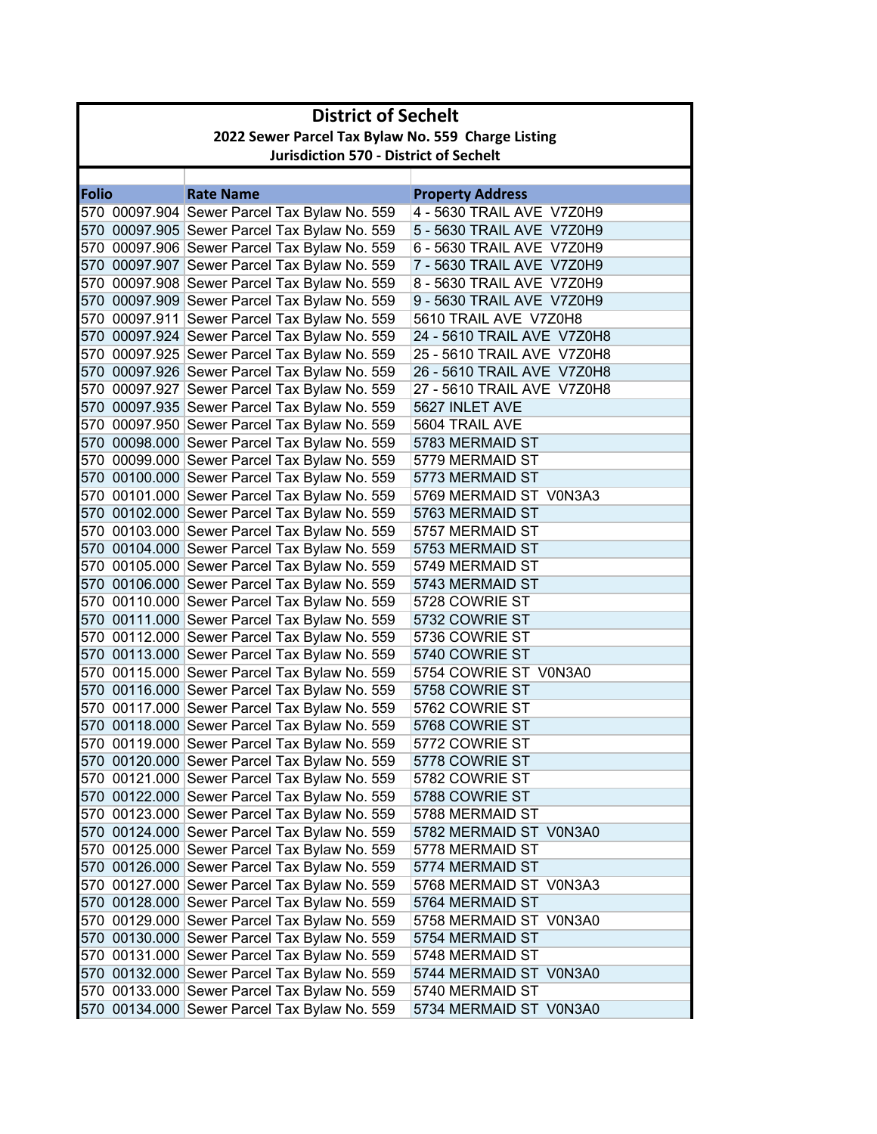|              | <b>District of Sechelt</b>                         |                                              |                            |  |  |  |
|--------------|----------------------------------------------------|----------------------------------------------|----------------------------|--|--|--|
|              | 2022 Sewer Parcel Tax Bylaw No. 559 Charge Listing |                                              |                            |  |  |  |
|              | <b>Jurisdiction 570 - District of Sechelt</b>      |                                              |                            |  |  |  |
|              |                                                    |                                              |                            |  |  |  |
| <b>Folio</b> |                                                    | <b>Rate Name</b>                             | <b>Property Address</b>    |  |  |  |
|              |                                                    | 570 00097.904 Sewer Parcel Tax Bylaw No. 559 | 4 - 5630 TRAIL AVE V7Z0H9  |  |  |  |
|              |                                                    | 570 00097.905 Sewer Parcel Tax Bylaw No. 559 | 5 - 5630 TRAIL AVE V7Z0H9  |  |  |  |
|              |                                                    | 570 00097.906 Sewer Parcel Tax Bylaw No. 559 | 6 - 5630 TRAIL AVE V7Z0H9  |  |  |  |
|              |                                                    | 570 00097.907 Sewer Parcel Tax Bylaw No. 559 | 7 - 5630 TRAIL AVE V7Z0H9  |  |  |  |
|              |                                                    | 570 00097.908 Sewer Parcel Tax Bylaw No. 559 | 8 - 5630 TRAIL AVE V7Z0H9  |  |  |  |
|              |                                                    | 570 00097.909 Sewer Parcel Tax Bylaw No. 559 | 9 - 5630 TRAIL AVE V7Z0H9  |  |  |  |
|              |                                                    | 570 00097.911 Sewer Parcel Tax Bylaw No. 559 | 5610 TRAIL AVE V7Z0H8      |  |  |  |
|              |                                                    | 570 00097.924 Sewer Parcel Tax Bylaw No. 559 | 24 - 5610 TRAIL AVE V7Z0H8 |  |  |  |
|              |                                                    | 570 00097.925 Sewer Parcel Tax Bylaw No. 559 | 25 - 5610 TRAIL AVE V7Z0H8 |  |  |  |
|              |                                                    | 570 00097.926 Sewer Parcel Tax Bylaw No. 559 | 26 - 5610 TRAIL AVE V7Z0H8 |  |  |  |
|              |                                                    | 570 00097.927 Sewer Parcel Tax Bylaw No. 559 | 27 - 5610 TRAIL AVE V7Z0H8 |  |  |  |
|              |                                                    | 570 00097.935 Sewer Parcel Tax Bylaw No. 559 | 5627 INLET AVE             |  |  |  |
|              |                                                    | 570 00097.950 Sewer Parcel Tax Bylaw No. 559 | 5604 TRAIL AVE             |  |  |  |
|              |                                                    | 570 00098.000 Sewer Parcel Tax Bylaw No. 559 | 5783 MERMAID ST            |  |  |  |
|              |                                                    | 570 00099.000 Sewer Parcel Tax Bylaw No. 559 | 5779 MERMAID ST            |  |  |  |
|              |                                                    | 570 00100.000 Sewer Parcel Tax Bylaw No. 559 | 5773 MERMAID ST            |  |  |  |
|              |                                                    | 570 00101.000 Sewer Parcel Tax Bylaw No. 559 | 5769 MERMAID ST V0N3A3     |  |  |  |
|              |                                                    | 570 00102.000 Sewer Parcel Tax Bylaw No. 559 | 5763 MERMAID ST            |  |  |  |
|              |                                                    | 570 00103.000 Sewer Parcel Tax Bylaw No. 559 | 5757 MERMAID ST            |  |  |  |
|              |                                                    | 570 00104.000 Sewer Parcel Tax Bylaw No. 559 | 5753 MERMAID ST            |  |  |  |
|              |                                                    | 570 00105.000 Sewer Parcel Tax Bylaw No. 559 | 5749 MERMAID ST            |  |  |  |
|              |                                                    | 570 00106.000 Sewer Parcel Tax Bylaw No. 559 | 5743 MERMAID ST            |  |  |  |
|              |                                                    | 570 00110.000 Sewer Parcel Tax Bylaw No. 559 | 5728 COWRIE ST             |  |  |  |
|              |                                                    | 570 00111.000 Sewer Parcel Tax Bylaw No. 559 | 5732 COWRIE ST             |  |  |  |
|              |                                                    | 570 00112.000 Sewer Parcel Tax Bylaw No. 559 | 5736 COWRIE ST             |  |  |  |
|              |                                                    | 570 00113.000 Sewer Parcel Tax Bylaw No. 559 | 5740 COWRIE ST             |  |  |  |
|              |                                                    | 570 00115.000 Sewer Parcel Tax Bylaw No. 559 | 5754 COWRIE ST V0N3A0      |  |  |  |
|              |                                                    | 570 00116.000 Sewer Parcel Tax Bylaw No. 559 | 5758 COWRIE ST             |  |  |  |
|              |                                                    | 570 00117.000 Sewer Parcel Tax Bylaw No. 559 | 5762 COWRIE ST             |  |  |  |
|              |                                                    | 570 00118.000 Sewer Parcel Tax Bylaw No. 559 | 5768 COWRIE ST             |  |  |  |
|              |                                                    | 570 00119.000 Sewer Parcel Tax Bylaw No. 559 | 5772 COWRIE ST             |  |  |  |
|              |                                                    | 570 00120.000 Sewer Parcel Tax Bylaw No. 559 | 5778 COWRIE ST             |  |  |  |
|              |                                                    | 570 00121.000 Sewer Parcel Tax Bylaw No. 559 | 5782 COWRIE ST             |  |  |  |
|              |                                                    | 570 00122.000 Sewer Parcel Tax Bylaw No. 559 | 5788 COWRIE ST             |  |  |  |
|              |                                                    | 570 00123.000 Sewer Parcel Tax Bylaw No. 559 | 5788 MERMAID ST            |  |  |  |
|              |                                                    | 570 00124.000 Sewer Parcel Tax Bylaw No. 559 | 5782 MERMAID ST V0N3A0     |  |  |  |
|              |                                                    | 570 00125.000 Sewer Parcel Tax Bylaw No. 559 | 5778 MERMAID ST            |  |  |  |
|              |                                                    | 570 00126.000 Sewer Parcel Tax Bylaw No. 559 | 5774 MERMAID ST            |  |  |  |
|              |                                                    | 570 00127.000 Sewer Parcel Tax Bylaw No. 559 | 5768 MERMAID ST V0N3A3     |  |  |  |
|              |                                                    | 570 00128.000 Sewer Parcel Tax Bylaw No. 559 | 5764 MERMAID ST            |  |  |  |
|              |                                                    | 570 00129.000 Sewer Parcel Tax Bylaw No. 559 | 5758 MERMAID ST V0N3A0     |  |  |  |
|              |                                                    | 570 00130.000 Sewer Parcel Tax Bylaw No. 559 | 5754 MERMAID ST            |  |  |  |
|              |                                                    | 570 00131.000 Sewer Parcel Tax Bylaw No. 559 | 5748 MERMAID ST            |  |  |  |
|              |                                                    | 570 00132.000 Sewer Parcel Tax Bylaw No. 559 | 5744 MERMAID ST V0N3A0     |  |  |  |
|              |                                                    | 570 00133.000 Sewer Parcel Tax Bylaw No. 559 | 5740 MERMAID ST            |  |  |  |
|              |                                                    | 570 00134.000 Sewer Parcel Tax Bylaw No. 559 | 5734 MERMAID ST V0N3A0     |  |  |  |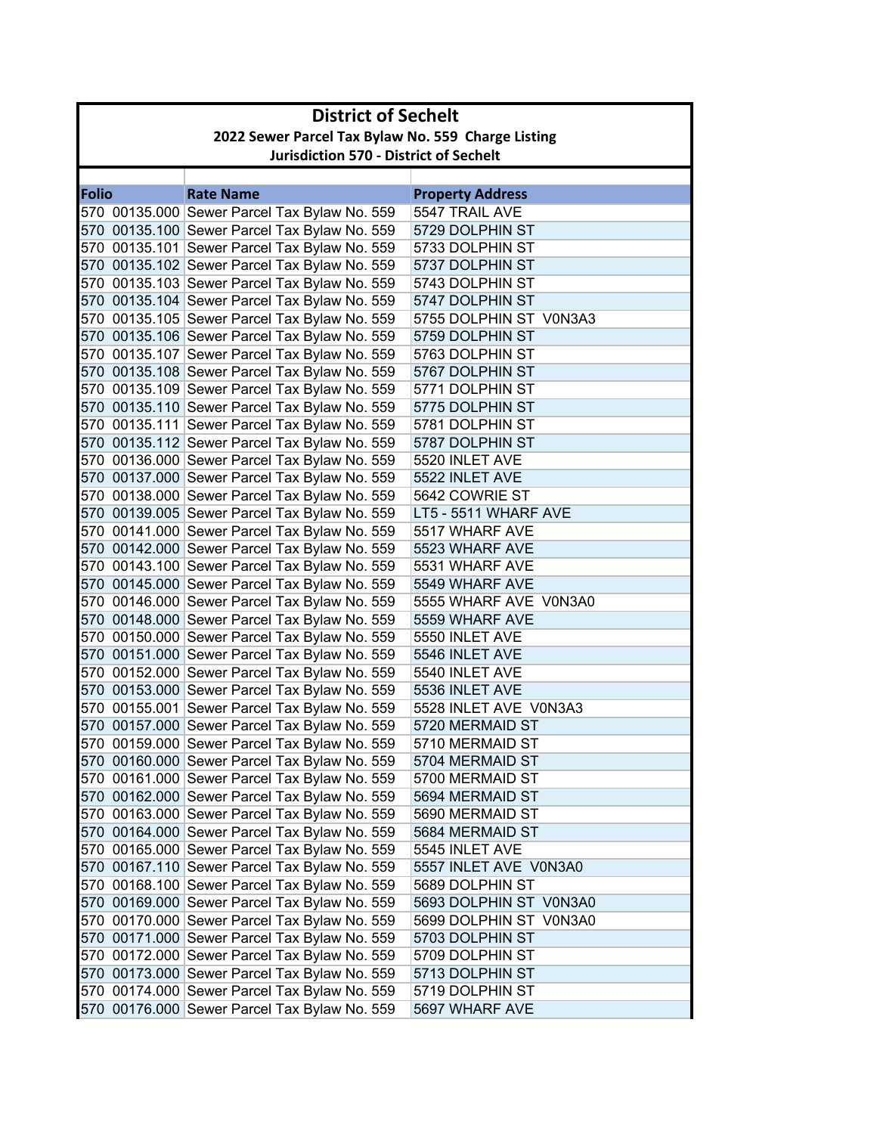|              | <b>District of Sechelt</b>                         |                                                                                              |                                    |  |  |  |
|--------------|----------------------------------------------------|----------------------------------------------------------------------------------------------|------------------------------------|--|--|--|
|              | 2022 Sewer Parcel Tax Bylaw No. 559 Charge Listing |                                                                                              |                                    |  |  |  |
|              | <b>Jurisdiction 570 - District of Sechelt</b>      |                                                                                              |                                    |  |  |  |
|              |                                                    |                                                                                              |                                    |  |  |  |
| <b>Folio</b> |                                                    | <b>Rate Name</b>                                                                             | <b>Property Address</b>            |  |  |  |
|              |                                                    | 570 00135.000 Sewer Parcel Tax Bylaw No. 559                                                 | 5547 TRAIL AVE                     |  |  |  |
|              |                                                    | 570 00135.100 Sewer Parcel Tax Bylaw No. 559                                                 | 5729 DOLPHIN ST                    |  |  |  |
|              |                                                    | 570 00135.101 Sewer Parcel Tax Bylaw No. 559                                                 | 5733 DOLPHIN ST                    |  |  |  |
|              |                                                    | 570 00135.102 Sewer Parcel Tax Bylaw No. 559                                                 | 5737 DOLPHIN ST                    |  |  |  |
|              |                                                    | 570 00135.103 Sewer Parcel Tax Bylaw No. 559                                                 | 5743 DOLPHIN ST                    |  |  |  |
|              |                                                    | 570 00135.104 Sewer Parcel Tax Bylaw No. 559                                                 | 5747 DOLPHIN ST                    |  |  |  |
|              |                                                    | 570 00135.105 Sewer Parcel Tax Bylaw No. 559                                                 | 5755 DOLPHIN ST V0N3A3             |  |  |  |
|              |                                                    | 570 00135.106 Sewer Parcel Tax Bylaw No. 559                                                 | 5759 DOLPHIN ST                    |  |  |  |
|              |                                                    | 570 00135.107 Sewer Parcel Tax Bylaw No. 559                                                 | 5763 DOLPHIN ST                    |  |  |  |
|              |                                                    | 570 00135.108 Sewer Parcel Tax Bylaw No. 559                                                 | 5767 DOLPHIN ST                    |  |  |  |
|              |                                                    | 570 00135.109 Sewer Parcel Tax Bylaw No. 559<br>570 00135.110 Sewer Parcel Tax Bylaw No. 559 | 5771 DOLPHIN ST                    |  |  |  |
|              |                                                    |                                                                                              | 5775 DOLPHIN ST<br>5781 DOLPHIN ST |  |  |  |
|              |                                                    | 570 00135.111 Sewer Parcel Tax Bylaw No. 559<br>570 00135.112 Sewer Parcel Tax Bylaw No. 559 | 5787 DOLPHIN ST                    |  |  |  |
|              |                                                    | 570 00136.000 Sewer Parcel Tax Bylaw No. 559                                                 | 5520 INLET AVE                     |  |  |  |
|              |                                                    | 570 00137.000 Sewer Parcel Tax Bylaw No. 559                                                 | 5522 INLET AVE                     |  |  |  |
|              |                                                    | 570 00138.000 Sewer Parcel Tax Bylaw No. 559                                                 | 5642 COWRIE ST                     |  |  |  |
|              |                                                    | 570 00139.005 Sewer Parcel Tax Bylaw No. 559                                                 | LT5 - 5511 WHARF AVE               |  |  |  |
|              |                                                    | 570 00141.000 Sewer Parcel Tax Bylaw No. 559                                                 | 5517 WHARF AVE                     |  |  |  |
|              |                                                    | 570 00142.000 Sewer Parcel Tax Bylaw No. 559                                                 | 5523 WHARF AVE                     |  |  |  |
|              |                                                    | 570 00143.100 Sewer Parcel Tax Bylaw No. 559                                                 | 5531 WHARF AVE                     |  |  |  |
|              |                                                    | 570 00145.000 Sewer Parcel Tax Bylaw No. 559                                                 | 5549 WHARF AVE                     |  |  |  |
|              |                                                    | 570 00146.000 Sewer Parcel Tax Bylaw No. 559                                                 | 5555 WHARF AVE V0N3A0              |  |  |  |
|              |                                                    | 570 00148.000 Sewer Parcel Tax Bylaw No. 559                                                 | 5559 WHARF AVE                     |  |  |  |
|              |                                                    | 570 00150.000 Sewer Parcel Tax Bylaw No. 559                                                 | 5550 INLET AVE                     |  |  |  |
|              |                                                    | 570 00151.000 Sewer Parcel Tax Bylaw No. 559                                                 | 5546 INLET AVE                     |  |  |  |
|              |                                                    | 570 00152.000 Sewer Parcel Tax Bylaw No. 559                                                 | 5540 INLET AVE                     |  |  |  |
|              |                                                    | 570 00153.000 Sewer Parcel Tax Bylaw No. 559                                                 | 5536 INLET AVE                     |  |  |  |
|              |                                                    | 570 00155.001 Sewer Parcel Tax Bylaw No. 559                                                 | 5528 INLET AVE V0N3A3              |  |  |  |
|              |                                                    | 570 00157.000 Sewer Parcel Tax Bylaw No. 559                                                 | 5720 MERMAID ST                    |  |  |  |
|              |                                                    | 570 00159.000 Sewer Parcel Tax Bylaw No. 559                                                 | 5710 MERMAID ST                    |  |  |  |
|              |                                                    | 570 00160.000 Sewer Parcel Tax Bylaw No. 559                                                 | 5704 MERMAID ST                    |  |  |  |
|              |                                                    | 570 00161.000 Sewer Parcel Tax Bylaw No. 559                                                 | 5700 MERMAID ST                    |  |  |  |
|              |                                                    | 570 00162.000 Sewer Parcel Tax Bylaw No. 559                                                 | 5694 MERMAID ST                    |  |  |  |
|              |                                                    | 570 00163.000 Sewer Parcel Tax Bylaw No. 559                                                 | 5690 MERMAID ST                    |  |  |  |
|              |                                                    | 570 00164.000 Sewer Parcel Tax Bylaw No. 559                                                 | 5684 MERMAID ST                    |  |  |  |
|              |                                                    | 570 00165.000 Sewer Parcel Tax Bylaw No. 559                                                 | 5545 INLET AVE                     |  |  |  |
|              |                                                    | 570 00167.110 Sewer Parcel Tax Bylaw No. 559                                                 | 5557 INLET AVE V0N3A0              |  |  |  |
|              |                                                    | 570 00168.100 Sewer Parcel Tax Bylaw No. 559                                                 | 5689 DOLPHIN ST                    |  |  |  |
|              |                                                    | 570 00169.000 Sewer Parcel Tax Bylaw No. 559                                                 | 5693 DOLPHIN ST V0N3A0             |  |  |  |
|              |                                                    | 570 00170.000 Sewer Parcel Tax Bylaw No. 559                                                 | 5699 DOLPHIN ST V0N3A0             |  |  |  |
|              |                                                    | 570 00171.000 Sewer Parcel Tax Bylaw No. 559                                                 | 5703 DOLPHIN ST                    |  |  |  |
|              |                                                    | 570 00172.000 Sewer Parcel Tax Bylaw No. 559                                                 | 5709 DOLPHIN ST                    |  |  |  |
|              |                                                    | 570 00173.000 Sewer Parcel Tax Bylaw No. 559                                                 | 5713 DOLPHIN ST                    |  |  |  |
|              |                                                    | 570 00174.000 Sewer Parcel Tax Bylaw No. 559                                                 | 5719 DOLPHIN ST                    |  |  |  |
|              |                                                    | 570 00176.000 Sewer Parcel Tax Bylaw No. 559                                                 | 5697 WHARF AVE                     |  |  |  |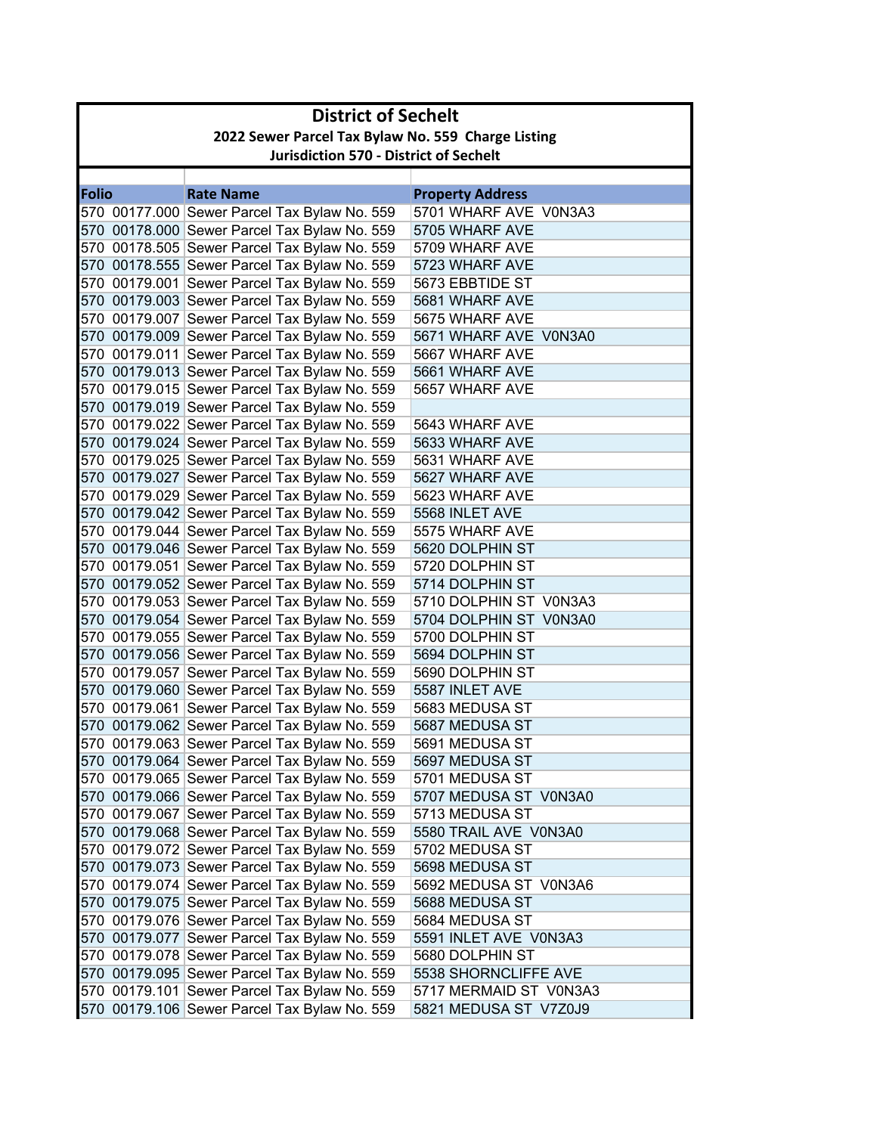|              | <b>District of Sechelt</b>                         |                                              |                         |  |  |
|--------------|----------------------------------------------------|----------------------------------------------|-------------------------|--|--|
|              | 2022 Sewer Parcel Tax Bylaw No. 559 Charge Listing |                                              |                         |  |  |
|              | <b>Jurisdiction 570 - District of Sechelt</b>      |                                              |                         |  |  |
|              |                                                    |                                              |                         |  |  |
| <b>Folio</b> |                                                    | <b>Rate Name</b>                             | <b>Property Address</b> |  |  |
|              |                                                    | 570 00177.000 Sewer Parcel Tax Bylaw No. 559 | 5701 WHARF AVE V0N3A3   |  |  |
|              |                                                    | 570 00178.000 Sewer Parcel Tax Bylaw No. 559 | 5705 WHARF AVE          |  |  |
|              |                                                    | 570 00178.505 Sewer Parcel Tax Bylaw No. 559 | 5709 WHARF AVE          |  |  |
|              |                                                    | 570 00178.555 Sewer Parcel Tax Bylaw No. 559 | 5723 WHARF AVE          |  |  |
|              |                                                    | 570 00179.001 Sewer Parcel Tax Bylaw No. 559 | 5673 EBBTIDE ST         |  |  |
|              |                                                    | 570 00179.003 Sewer Parcel Tax Bylaw No. 559 | 5681 WHARF AVE          |  |  |
|              |                                                    | 570 00179.007 Sewer Parcel Tax Bylaw No. 559 | 5675 WHARF AVE          |  |  |
|              |                                                    | 570 00179.009 Sewer Parcel Tax Bylaw No. 559 | 5671 WHARF AVE V0N3A0   |  |  |
|              |                                                    | 570 00179.011 Sewer Parcel Tax Bylaw No. 559 | 5667 WHARF AVE          |  |  |
|              |                                                    | 570 00179.013 Sewer Parcel Tax Bylaw No. 559 | 5661 WHARF AVE          |  |  |
|              |                                                    | 570 00179.015 Sewer Parcel Tax Bylaw No. 559 | 5657 WHARF AVE          |  |  |
|              |                                                    | 570 00179.019 Sewer Parcel Tax Bylaw No. 559 |                         |  |  |
|              |                                                    | 570 00179.022 Sewer Parcel Tax Bylaw No. 559 | 5643 WHARF AVE          |  |  |
|              |                                                    | 570 00179.024 Sewer Parcel Tax Bylaw No. 559 | 5633 WHARF AVE          |  |  |
|              |                                                    | 570 00179.025 Sewer Parcel Tax Bylaw No. 559 | 5631 WHARF AVE          |  |  |
|              |                                                    | 570 00179.027 Sewer Parcel Tax Bylaw No. 559 | 5627 WHARF AVE          |  |  |
|              |                                                    | 570 00179.029 Sewer Parcel Tax Bylaw No. 559 | 5623 WHARF AVE          |  |  |
|              |                                                    | 570 00179.042 Sewer Parcel Tax Bylaw No. 559 | 5568 INLET AVE          |  |  |
|              |                                                    | 570 00179.044 Sewer Parcel Tax Bylaw No. 559 | 5575 WHARF AVE          |  |  |
|              |                                                    | 570 00179.046 Sewer Parcel Tax Bylaw No. 559 | 5620 DOLPHIN ST         |  |  |
|              |                                                    | 570 00179.051 Sewer Parcel Tax Bylaw No. 559 | 5720 DOLPHIN ST         |  |  |
|              |                                                    | 570 00179.052 Sewer Parcel Tax Bylaw No. 559 | 5714 DOLPHIN ST         |  |  |
|              |                                                    | 570 00179.053 Sewer Parcel Tax Bylaw No. 559 | 5710 DOLPHIN ST V0N3A3  |  |  |
|              |                                                    | 570 00179.054 Sewer Parcel Tax Bylaw No. 559 | 5704 DOLPHIN ST V0N3A0  |  |  |
|              |                                                    | 570 00179.055 Sewer Parcel Tax Bylaw No. 559 | 5700 DOLPHIN ST         |  |  |
|              |                                                    | 570 00179.056 Sewer Parcel Tax Bylaw No. 559 | 5694 DOLPHIN ST         |  |  |
|              |                                                    | 570 00179.057 Sewer Parcel Tax Bylaw No. 559 | 5690 DOLPHIN ST         |  |  |
|              |                                                    | 570 00179.060 Sewer Parcel Tax Bylaw No. 559 | 5587 INLET AVE          |  |  |
|              |                                                    | 570 00179.061 Sewer Parcel Tax Bylaw No. 559 | 5683 MEDUSA ST          |  |  |
|              |                                                    | 570 00179.062 Sewer Parcel Tax Bylaw No. 559 | 5687 MEDUSA ST          |  |  |
|              |                                                    | 570 00179.063 Sewer Parcel Tax Bylaw No. 559 | 5691 MEDUSA ST          |  |  |
|              |                                                    | 570 00179.064 Sewer Parcel Tax Bylaw No. 559 | 5697 MEDUSA ST          |  |  |
|              |                                                    | 570 00179.065 Sewer Parcel Tax Bylaw No. 559 | 5701 MEDUSA ST          |  |  |
|              |                                                    | 570 00179.066 Sewer Parcel Tax Bylaw No. 559 | 5707 MEDUSA ST V0N3A0   |  |  |
|              |                                                    | 570 00179.067 Sewer Parcel Tax Bylaw No. 559 | 5713 MEDUSA ST          |  |  |
|              |                                                    | 570 00179.068 Sewer Parcel Tax Bylaw No. 559 | 5580 TRAIL AVE V0N3A0   |  |  |
|              |                                                    | 570 00179.072 Sewer Parcel Tax Bylaw No. 559 | 5702 MEDUSA ST          |  |  |
|              |                                                    | 570 00179.073 Sewer Parcel Tax Bylaw No. 559 | 5698 MEDUSA ST          |  |  |
|              |                                                    | 570 00179.074 Sewer Parcel Tax Bylaw No. 559 | 5692 MEDUSA ST V0N3A6   |  |  |
|              |                                                    | 570 00179.075 Sewer Parcel Tax Bylaw No. 559 | 5688 MEDUSA ST          |  |  |
|              |                                                    | 570 00179.076 Sewer Parcel Tax Bylaw No. 559 | 5684 MEDUSA ST          |  |  |
|              |                                                    | 570 00179.077 Sewer Parcel Tax Bylaw No. 559 | 5591 INLET AVE V0N3A3   |  |  |
|              |                                                    | 570 00179.078 Sewer Parcel Tax Bylaw No. 559 | 5680 DOLPHIN ST         |  |  |
|              |                                                    | 570 00179.095 Sewer Parcel Tax Bylaw No. 559 | 5538 SHORNCLIFFE AVE    |  |  |
|              |                                                    | 570 00179.101 Sewer Parcel Tax Bylaw No. 559 | 5717 MERMAID ST V0N3A3  |  |  |
|              |                                                    | 570 00179.106 Sewer Parcel Tax Bylaw No. 559 | 5821 MEDUSA ST V7Z0J9   |  |  |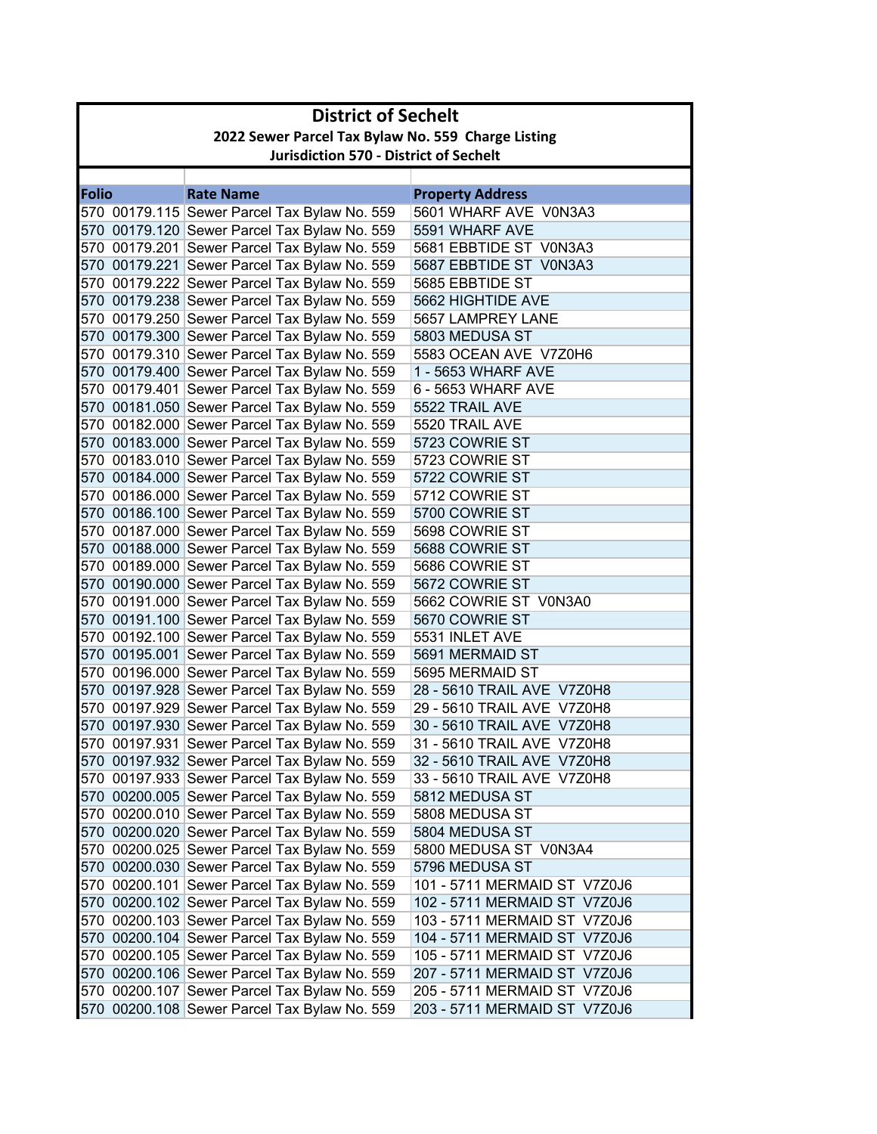|              | <b>District of Sechelt</b>                         |                                              |                              |  |  |
|--------------|----------------------------------------------------|----------------------------------------------|------------------------------|--|--|
|              | 2022 Sewer Parcel Tax Bylaw No. 559 Charge Listing |                                              |                              |  |  |
|              | <b>Jurisdiction 570 - District of Sechelt</b>      |                                              |                              |  |  |
|              |                                                    |                                              |                              |  |  |
| <b>Folio</b> |                                                    | <b>Rate Name</b>                             | <b>Property Address</b>      |  |  |
|              |                                                    | 570 00179.115 Sewer Parcel Tax Bylaw No. 559 | 5601 WHARF AVE V0N3A3        |  |  |
|              |                                                    | 570 00179.120 Sewer Parcel Tax Bylaw No. 559 | 5591 WHARF AVE               |  |  |
|              |                                                    | 570 00179.201 Sewer Parcel Tax Bylaw No. 559 | 5681 EBBTIDE ST V0N3A3       |  |  |
|              |                                                    | 570 00179.221 Sewer Parcel Tax Bylaw No. 559 | 5687 EBBTIDE ST V0N3A3       |  |  |
|              |                                                    | 570 00179.222 Sewer Parcel Tax Bylaw No. 559 | 5685 EBBTIDE ST              |  |  |
|              |                                                    | 570 00179.238 Sewer Parcel Tax Bylaw No. 559 | 5662 HIGHTIDE AVE            |  |  |
|              |                                                    | 570 00179.250 Sewer Parcel Tax Bylaw No. 559 | 5657 LAMPREY LANE            |  |  |
|              |                                                    | 570 00179.300 Sewer Parcel Tax Bylaw No. 559 | 5803 MEDUSA ST               |  |  |
|              |                                                    | 570 00179.310 Sewer Parcel Tax Bylaw No. 559 | 5583 OCEAN AVE V7Z0H6        |  |  |
|              |                                                    | 570 00179.400 Sewer Parcel Tax Bylaw No. 559 | 1 - 5653 WHARF AVE           |  |  |
|              |                                                    | 570 00179.401 Sewer Parcel Tax Bylaw No. 559 | 6 - 5653 WHARF AVE           |  |  |
|              |                                                    | 570 00181.050 Sewer Parcel Tax Bylaw No. 559 | 5522 TRAIL AVE               |  |  |
|              |                                                    | 570 00182.000 Sewer Parcel Tax Bylaw No. 559 | 5520 TRAIL AVE               |  |  |
|              |                                                    | 570 00183.000 Sewer Parcel Tax Bylaw No. 559 | 5723 COWRIE ST               |  |  |
|              |                                                    | 570 00183.010 Sewer Parcel Tax Bylaw No. 559 | 5723 COWRIE ST               |  |  |
|              |                                                    | 570 00184.000 Sewer Parcel Tax Bylaw No. 559 | 5722 COWRIE ST               |  |  |
|              |                                                    | 570 00186.000 Sewer Parcel Tax Bylaw No. 559 | 5712 COWRIE ST               |  |  |
|              |                                                    | 570 00186.100 Sewer Parcel Tax Bylaw No. 559 | 5700 COWRIE ST               |  |  |
|              |                                                    | 570 00187.000 Sewer Parcel Tax Bylaw No. 559 | 5698 COWRIE ST               |  |  |
|              |                                                    | 570 00188.000 Sewer Parcel Tax Bylaw No. 559 | 5688 COWRIE ST               |  |  |
|              |                                                    | 570 00189.000 Sewer Parcel Tax Bylaw No. 559 | 5686 COWRIE ST               |  |  |
|              |                                                    | 570 00190.000 Sewer Parcel Tax Bylaw No. 559 | 5672 COWRIE ST               |  |  |
|              |                                                    | 570 00191.000 Sewer Parcel Tax Bylaw No. 559 | 5662 COWRIE ST V0N3A0        |  |  |
|              |                                                    | 570 00191.100 Sewer Parcel Tax Bylaw No. 559 | 5670 COWRIE ST               |  |  |
|              |                                                    | 570 00192.100 Sewer Parcel Tax Bylaw No. 559 | 5531 INLET AVE               |  |  |
|              |                                                    | 570 00195.001 Sewer Parcel Tax Bylaw No. 559 | 5691 MERMAID ST              |  |  |
|              |                                                    | 570 00196.000 Sewer Parcel Tax Bylaw No. 559 | 5695 MERMAID ST              |  |  |
|              |                                                    | 570 00197.928 Sewer Parcel Tax Bylaw No. 559 | 28 - 5610 TRAIL AVE V7Z0H8   |  |  |
|              |                                                    | 570 00197.929 Sewer Parcel Tax Bylaw No. 559 | 29 - 5610 TRAIL AVE V7Z0H8   |  |  |
|              |                                                    | 570 00197.930 Sewer Parcel Tax Bylaw No. 559 | 30 - 5610 TRAIL AVE V7Z0H8   |  |  |
|              |                                                    | 570 00197.931 Sewer Parcel Tax Bylaw No. 559 | 31 - 5610 TRAIL AVE V7Z0H8   |  |  |
|              |                                                    | 570 00197.932 Sewer Parcel Tax Bylaw No. 559 | 32 - 5610 TRAIL AVE V7Z0H8   |  |  |
|              |                                                    | 570 00197.933 Sewer Parcel Tax Bylaw No. 559 | 33 - 5610 TRAIL AVE V7Z0H8   |  |  |
|              |                                                    | 570 00200.005 Sewer Parcel Tax Bylaw No. 559 | 5812 MEDUSA ST               |  |  |
|              |                                                    | 570 00200.010 Sewer Parcel Tax Bylaw No. 559 | 5808 MEDUSA ST               |  |  |
|              |                                                    | 570 00200.020 Sewer Parcel Tax Bylaw No. 559 | 5804 MEDUSA ST               |  |  |
|              |                                                    | 570 00200.025 Sewer Parcel Tax Bylaw No. 559 | 5800 MEDUSA ST V0N3A4        |  |  |
|              |                                                    | 570 00200.030 Sewer Parcel Tax Bylaw No. 559 | 5796 MEDUSA ST               |  |  |
|              |                                                    | 570 00200.101 Sewer Parcel Tax Bylaw No. 559 | 101 - 5711 MERMAID ST V7Z0J6 |  |  |
|              |                                                    | 570 00200.102 Sewer Parcel Tax Bylaw No. 559 | 102 - 5711 MERMAID ST V7Z0J6 |  |  |
|              |                                                    | 570 00200.103 Sewer Parcel Tax Bylaw No. 559 | 103 - 5711 MERMAID ST V7Z0J6 |  |  |
|              |                                                    | 570 00200.104 Sewer Parcel Tax Bylaw No. 559 | 104 - 5711 MERMAID ST V7Z0J6 |  |  |
|              |                                                    | 570 00200.105 Sewer Parcel Tax Bylaw No. 559 | 105 - 5711 MERMAID ST V7Z0J6 |  |  |
|              |                                                    | 570 00200.106 Sewer Parcel Tax Bylaw No. 559 | 207 - 5711 MERMAID ST V7Z0J6 |  |  |
|              |                                                    | 570 00200.107 Sewer Parcel Tax Bylaw No. 559 | 205 - 5711 MERMAID ST V7Z0J6 |  |  |
|              |                                                    | 570 00200.108 Sewer Parcel Tax Bylaw No. 559 | 203 - 5711 MERMAID ST V7Z0J6 |  |  |
|              |                                                    |                                              |                              |  |  |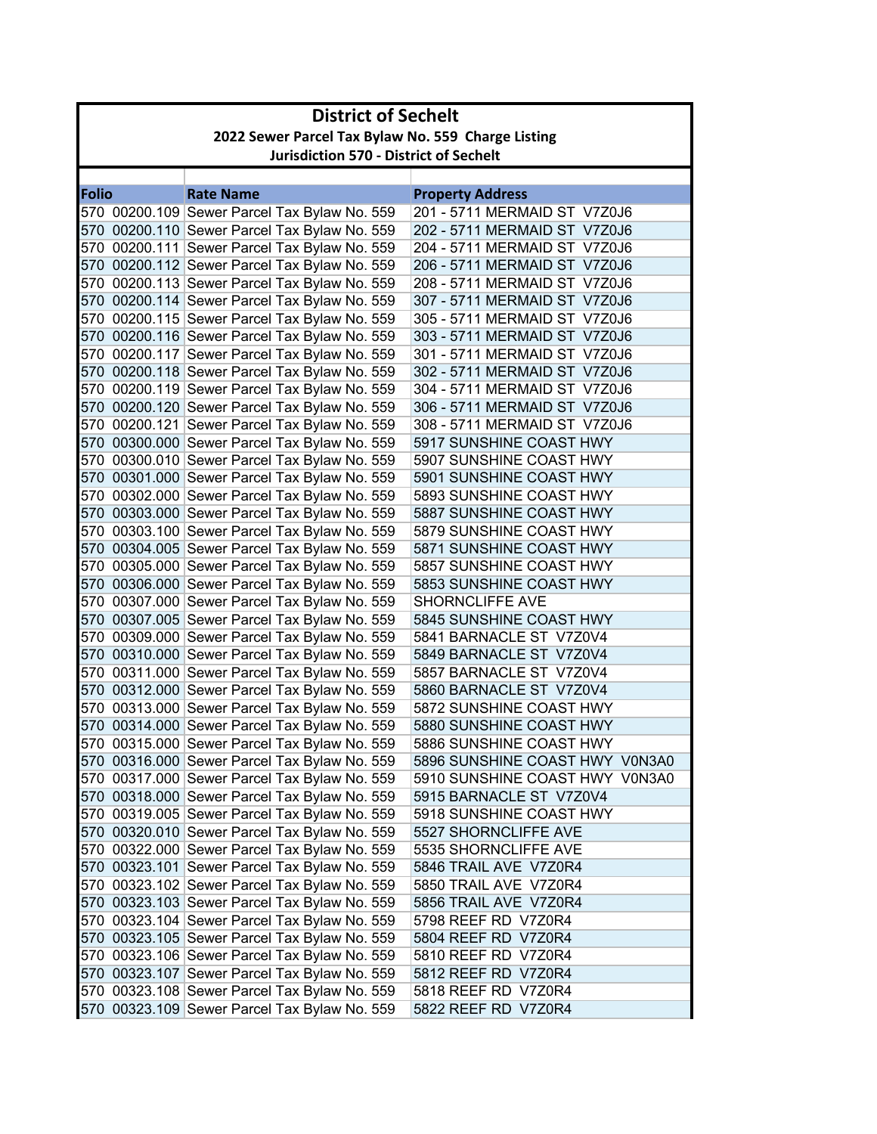|              | <b>District of Sechelt</b>                         |                                                                                              |                                                    |  |  |  |
|--------------|----------------------------------------------------|----------------------------------------------------------------------------------------------|----------------------------------------------------|--|--|--|
|              | 2022 Sewer Parcel Tax Bylaw No. 559 Charge Listing |                                                                                              |                                                    |  |  |  |
|              | <b>Jurisdiction 570 - District of Sechelt</b>      |                                                                                              |                                                    |  |  |  |
|              |                                                    |                                                                                              |                                                    |  |  |  |
| <b>Folio</b> |                                                    | <b>Rate Name</b>                                                                             | <b>Property Address</b>                            |  |  |  |
|              |                                                    | 570 00200.109 Sewer Parcel Tax Bylaw No. 559                                                 | 201 - 5711 MERMAID ST V7Z0J6                       |  |  |  |
|              |                                                    | 570 00200.110 Sewer Parcel Tax Bylaw No. 559                                                 | 202 - 5711 MERMAID ST V7Z0J6                       |  |  |  |
|              |                                                    | 570 00200.111 Sewer Parcel Tax Bylaw No. 559                                                 | 204 - 5711 MERMAID ST V7Z0J6                       |  |  |  |
|              |                                                    | 570 00200.112 Sewer Parcel Tax Bylaw No. 559                                                 | 206 - 5711 MERMAID ST V7Z0J6                       |  |  |  |
|              |                                                    | 570 00200.113 Sewer Parcel Tax Bylaw No. 559                                                 | 208 - 5711 MERMAID ST V7Z0J6                       |  |  |  |
|              |                                                    | 570 00200.114 Sewer Parcel Tax Bylaw No. 559                                                 | 307 - 5711 MERMAID ST V7Z0J6                       |  |  |  |
|              |                                                    | 570 00200.115 Sewer Parcel Tax Bylaw No. 559                                                 | 305 - 5711 MERMAID ST V7Z0J6                       |  |  |  |
|              |                                                    | 570 00200.116 Sewer Parcel Tax Bylaw No. 559                                                 | 303 - 5711 MERMAID ST V7Z0J6                       |  |  |  |
|              |                                                    | 570 00200.117 Sewer Parcel Tax Bylaw No. 559                                                 | 301 - 5711 MERMAID ST V7Z0J6                       |  |  |  |
|              |                                                    | 570 00200.118 Sewer Parcel Tax Bylaw No. 559                                                 | 302 - 5711 MERMAID ST V7Z0J6                       |  |  |  |
|              |                                                    | 570 00200.119 Sewer Parcel Tax Bylaw No. 559                                                 | 304 - 5711 MERMAID ST V7Z0J6                       |  |  |  |
|              |                                                    | 570 00200.120 Sewer Parcel Tax Bylaw No. 559                                                 | 306 - 5711 MERMAID ST V7Z0J6                       |  |  |  |
|              |                                                    | 570 00200.121 Sewer Parcel Tax Bylaw No. 559                                                 | 308 - 5711 MERMAID ST V7Z0J6                       |  |  |  |
|              |                                                    | 570 00300.000 Sewer Parcel Tax Bylaw No. 559                                                 | 5917 SUNSHINE COAST HWY                            |  |  |  |
|              |                                                    | 570 00300.010 Sewer Parcel Tax Bylaw No. 559                                                 | 5907 SUNSHINE COAST HWY                            |  |  |  |
|              |                                                    | 570 00301.000 Sewer Parcel Tax Bylaw No. 559                                                 | 5901 SUNSHINE COAST HWY                            |  |  |  |
|              |                                                    | 570 00302.000 Sewer Parcel Tax Bylaw No. 559                                                 | 5893 SUNSHINE COAST HWY                            |  |  |  |
|              |                                                    | 570 00303.000 Sewer Parcel Tax Bylaw No. 559                                                 | 5887 SUNSHINE COAST HWY                            |  |  |  |
|              |                                                    | 570 00303.100 Sewer Parcel Tax Bylaw No. 559                                                 | 5879 SUNSHINE COAST HWY                            |  |  |  |
|              |                                                    | 570 00304.005 Sewer Parcel Tax Bylaw No. 559                                                 | 5871 SUNSHINE COAST HWY                            |  |  |  |
|              |                                                    | 570 00305.000 Sewer Parcel Tax Bylaw No. 559                                                 | 5857 SUNSHINE COAST HWY                            |  |  |  |
|              |                                                    | 570 00306.000 Sewer Parcel Tax Bylaw No. 559                                                 | 5853 SUNSHINE COAST HWY                            |  |  |  |
|              |                                                    | 570 00307.000 Sewer Parcel Tax Bylaw No. 559                                                 | <b>SHORNCLIFFE AVE</b>                             |  |  |  |
|              |                                                    | 570 00307.005 Sewer Parcel Tax Bylaw No. 559                                                 | 5845 SUNSHINE COAST HWY<br>5841 BARNACLE ST V7Z0V4 |  |  |  |
|              |                                                    | 570 00309.000 Sewer Parcel Tax Bylaw No. 559                                                 | 5849 BARNACLE ST V7Z0V4                            |  |  |  |
|              |                                                    | 570 00310.000 Sewer Parcel Tax Bylaw No. 559                                                 | 5857 BARNACLE ST V7Z0V4                            |  |  |  |
|              |                                                    | 570 00311.000 Sewer Parcel Tax Bylaw No. 559<br>570 00312.000 Sewer Parcel Tax Bylaw No. 559 | 5860 BARNACLE ST V7Z0V4                            |  |  |  |
|              |                                                    | 570 00313.000 Sewer Parcel Tax Bylaw No. 559                                                 | 5872 SUNSHINE COAST HWY                            |  |  |  |
|              |                                                    | 570 00314.000 Sewer Parcel Tax Bylaw No. 559                                                 | 5880 SUNSHINE COAST HWY                            |  |  |  |
|              |                                                    | 570 00315.000 Sewer Parcel Tax Bylaw No. 559                                                 | 5886 SUNSHINE COAST HWY                            |  |  |  |
|              |                                                    | 570 00316.000 Sewer Parcel Tax Bylaw No. 559                                                 | 5896 SUNSHINE COAST HWY V0N3A0                     |  |  |  |
|              |                                                    | 570 00317.000 Sewer Parcel Tax Bylaw No. 559                                                 | 5910 SUNSHINE COAST HWY V0N3A0                     |  |  |  |
|              |                                                    | 570 00318.000 Sewer Parcel Tax Bylaw No. 559                                                 | 5915 BARNACLE ST V7Z0V4                            |  |  |  |
|              |                                                    | 570 00319.005 Sewer Parcel Tax Bylaw No. 559                                                 | 5918 SUNSHINE COAST HWY                            |  |  |  |
|              |                                                    | 570 00320.010 Sewer Parcel Tax Bylaw No. 559                                                 | 5527 SHORNCLIFFE AVE                               |  |  |  |
|              |                                                    | 570 00322.000 Sewer Parcel Tax Bylaw No. 559                                                 | 5535 SHORNCLIFFE AVE                               |  |  |  |
|              |                                                    | 570 00323.101 Sewer Parcel Tax Bylaw No. 559                                                 | 5846 TRAIL AVE V7Z0R4                              |  |  |  |
|              |                                                    | 570 00323.102 Sewer Parcel Tax Bylaw No. 559                                                 | 5850 TRAIL AVE V7Z0R4                              |  |  |  |
|              |                                                    | 570 00323.103 Sewer Parcel Tax Bylaw No. 559                                                 | 5856 TRAIL AVE V7Z0R4                              |  |  |  |
|              |                                                    | 570 00323.104 Sewer Parcel Tax Bylaw No. 559                                                 | 5798 REEF RD V7Z0R4                                |  |  |  |
|              |                                                    | 570 00323.105 Sewer Parcel Tax Bylaw No. 559                                                 | 5804 REEF RD V7Z0R4                                |  |  |  |
|              |                                                    | 570 00323.106 Sewer Parcel Tax Bylaw No. 559                                                 | 5810 REEF RD V7Z0R4                                |  |  |  |
|              |                                                    | 570 00323.107 Sewer Parcel Tax Bylaw No. 559                                                 | 5812 REEF RD V7Z0R4                                |  |  |  |
|              |                                                    | 570 00323.108 Sewer Parcel Tax Bylaw No. 559                                                 | 5818 REEF RD V7Z0R4                                |  |  |  |
|              |                                                    | 570 00323.109 Sewer Parcel Tax Bylaw No. 559                                                 | 5822 REEF RD V7Z0R4                                |  |  |  |
|              |                                                    |                                                                                              |                                                    |  |  |  |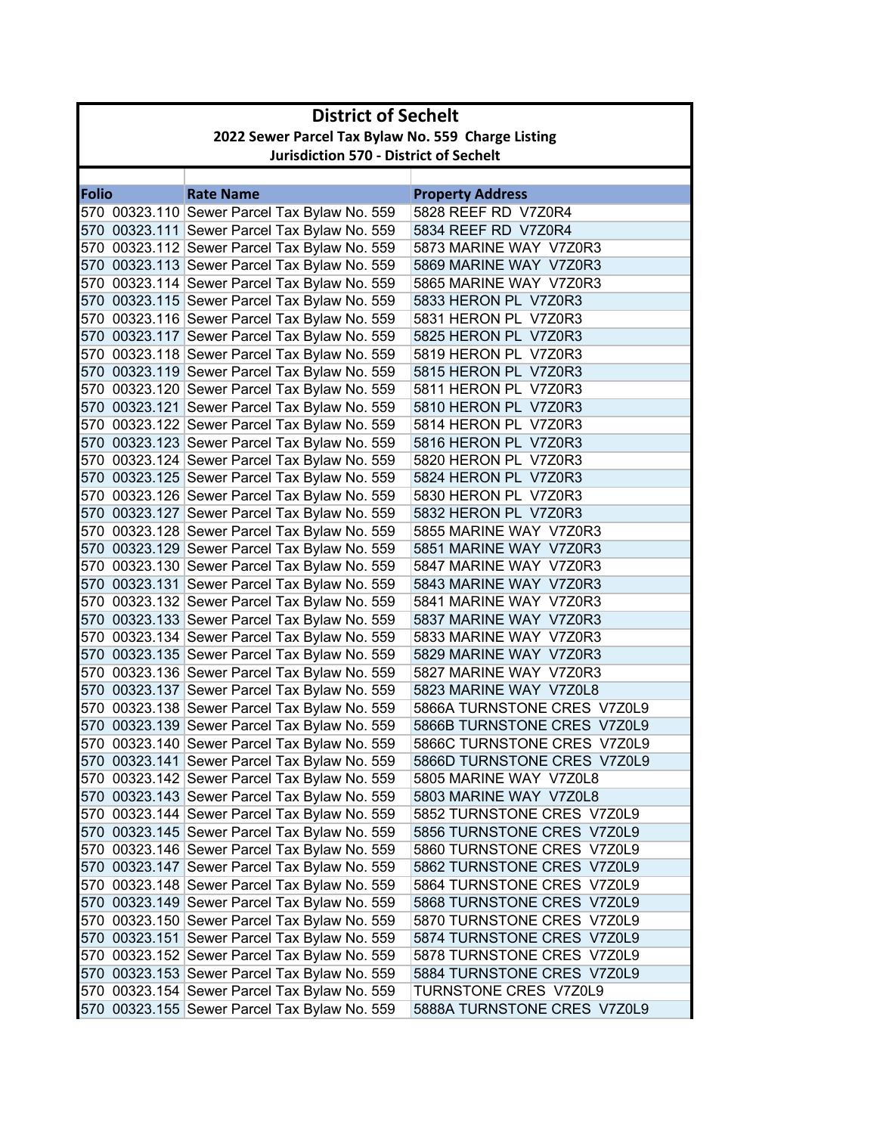| 2022 Sewer Parcel Tax Bylaw No. 559 Charge Listing<br><b>Jurisdiction 570 - District of Sechelt</b><br><b>Rate Name</b><br><b>Property Address</b><br>5828 REEF RD V7Z0R4<br>570 00323.110 Sewer Parcel Tax Bylaw No. 559<br>570 00323.111 Sewer Parcel Tax Bylaw No. 559<br>5834 REEF RD V7Z0R4<br>570 00323.112 Sewer Parcel Tax Bylaw No. 559<br>5873 MARINE WAY V7Z0R3<br>570 00323.113 Sewer Parcel Tax Bylaw No. 559<br>5869 MARINE WAY V7Z0R3<br>570 00323.114 Sewer Parcel Tax Bylaw No. 559<br>5865 MARINE WAY V7Z0R3<br>570 00323.115 Sewer Parcel Tax Bylaw No. 559<br>5833 HERON PL V7Z0R3<br>570 00323.116 Sewer Parcel Tax Bylaw No. 559<br>5831 HERON PL V7Z0R3<br>570 00323.117 Sewer Parcel Tax Bylaw No. 559<br>5825 HERON PL V7Z0R3<br>570 00323.118 Sewer Parcel Tax Bylaw No. 559<br>5819 HERON PL V7Z0R3<br>570 00323.119 Sewer Parcel Tax Bylaw No. 559<br>5815 HERON PL V7Z0R3<br>570 00323.120 Sewer Parcel Tax Bylaw No. 559<br>5811 HERON PL V7Z0R3<br>570 00323.121 Sewer Parcel Tax Bylaw No. 559<br>5810 HERON PL V7Z0R3<br>570 00323.122 Sewer Parcel Tax Bylaw No. 559<br>5814 HERON PL V7Z0R3<br>570 00323.123 Sewer Parcel Tax Bylaw No. 559<br>5816 HERON PL V7Z0R3<br>570 00323.124 Sewer Parcel Tax Bylaw No. 559<br>5820 HERON PL V7Z0R3<br>570 00323.125 Sewer Parcel Tax Bylaw No. 559<br>5824 HERON PL V7Z0R3<br>570 00323.126 Sewer Parcel Tax Bylaw No. 559<br>5830 HERON PL V7Z0R3<br>570 00323.127 Sewer Parcel Tax Bylaw No. 559<br>5832 HERON PL V7Z0R3<br>570 00323.128 Sewer Parcel Tax Bylaw No. 559<br>5855 MARINE WAY V7Z0R3<br>570 00323.129 Sewer Parcel Tax Bylaw No. 559<br>5851 MARINE WAY V7Z0R3<br>570 00323.130 Sewer Parcel Tax Bylaw No. 559<br>5847 MARINE WAY V7Z0R3<br>570 00323.131 Sewer Parcel Tax Bylaw No. 559<br>5843 MARINE WAY V7Z0R3<br>570 00323.132 Sewer Parcel Tax Bylaw No. 559<br>5841 MARINE WAY V7Z0R3<br>570 00323.133 Sewer Parcel Tax Bylaw No. 559<br>5837 MARINE WAY V7Z0R3<br>570 00323.134 Sewer Parcel Tax Bylaw No. 559<br>5833 MARINE WAY V7Z0R3<br>570 00323.135 Sewer Parcel Tax Bylaw No. 559<br>5829 MARINE WAY V7Z0R3<br>570 00323.136 Sewer Parcel Tax Bylaw No. 559<br>5827 MARINE WAY V7Z0R3<br>570 00323.137 Sewer Parcel Tax Bylaw No. 559<br>5823 MARINE WAY V7Z0L8<br>570 00323.138 Sewer Parcel Tax Bylaw No. 559<br>5866A TURNSTONE CRES V7Z0L9<br>570 00323.139 Sewer Parcel Tax Bylaw No. 559<br>5866B TURNSTONE CRES V7Z0L9<br>570 00323.140 Sewer Parcel Tax Bylaw No. 559<br>5866C TURNSTONE CRES V7Z0L9<br>570 00323.141 Sewer Parcel Tax Bylaw No. 559<br>5866D TURNSTONE CRES V7Z0L9<br>570 00323.142 Sewer Parcel Tax Bylaw No. 559<br>5805 MARINE WAY V7Z0L8<br>570 00323.143 Sewer Parcel Tax Bylaw No. 559<br>5803 MARINE WAY V7Z0L8<br>570 00323.144 Sewer Parcel Tax Bylaw No. 559<br>5852 TURNSTONE CRES V7Z0L9<br>570 00323.145 Sewer Parcel Tax Bylaw No. 559<br>5856 TURNSTONE CRES V7Z0L9<br>570 00323.146 Sewer Parcel Tax Bylaw No. 559<br>5860 TURNSTONE CRES V7Z0L9<br>570 00323.147 Sewer Parcel Tax Bylaw No. 559<br>5862 TURNSTONE CRES V7Z0L9<br>570 00323.148 Sewer Parcel Tax Bylaw No. 559<br>5864 TURNSTONE CRES V7Z0L9<br>570 00323.149 Sewer Parcel Tax Bylaw No. 559<br>5868 TURNSTONE CRES V7Z0L9<br>570 00323.150 Sewer Parcel Tax Bylaw No. 559<br>5870 TURNSTONE CRES V7Z0L9<br>570 00323.151 Sewer Parcel Tax Bylaw No. 559<br>5874 TURNSTONE CRES V7Z0L9<br>570 00323.152 Sewer Parcel Tax Bylaw No. 559<br>5878 TURNSTONE CRES V7Z0L9<br>570 00323.153 Sewer Parcel Tax Bylaw No. 559<br>5884 TURNSTONE CRES V7Z0L9<br>570 00323.154 Sewer Parcel Tax Bylaw No. 559<br>TURNSTONE CRES V7Z0L9<br>570 00323.155 Sewer Parcel Tax Bylaw No. 559<br>5888A TURNSTONE CRES V7Z0L9 |              | <b>District of Sechelt</b> |  |  |  |  |
|--------------------------------------------------------------------------------------------------------------------------------------------------------------------------------------------------------------------------------------------------------------------------------------------------------------------------------------------------------------------------------------------------------------------------------------------------------------------------------------------------------------------------------------------------------------------------------------------------------------------------------------------------------------------------------------------------------------------------------------------------------------------------------------------------------------------------------------------------------------------------------------------------------------------------------------------------------------------------------------------------------------------------------------------------------------------------------------------------------------------------------------------------------------------------------------------------------------------------------------------------------------------------------------------------------------------------------------------------------------------------------------------------------------------------------------------------------------------------------------------------------------------------------------------------------------------------------------------------------------------------------------------------------------------------------------------------------------------------------------------------------------------------------------------------------------------------------------------------------------------------------------------------------------------------------------------------------------------------------------------------------------------------------------------------------------------------------------------------------------------------------------------------------------------------------------------------------------------------------------------------------------------------------------------------------------------------------------------------------------------------------------------------------------------------------------------------------------------------------------------------------------------------------------------------------------------------------------------------------------------------------------------------------------------------------------------------------------------------------------------------------------------------------------------------------------------------------------------------------------------------------------------------------------------------------------------------------------------------------------------------------------------------------------------------------------------------------------------------------------------------------------------------------------------------------------------------------------------------------------------------------------------------------------------------------------------------------------------------------------------------------------------------------------------------------------------------------------------------------------------------------------------------------------------------------------------------------------------------------------------------------------------------------------------------------------------------------------------------------|--------------|----------------------------|--|--|--|--|
|                                                                                                                                                                                                                                                                                                                                                                                                                                                                                                                                                                                                                                                                                                                                                                                                                                                                                                                                                                                                                                                                                                                                                                                                                                                                                                                                                                                                                                                                                                                                                                                                                                                                                                                                                                                                                                                                                                                                                                                                                                                                                                                                                                                                                                                                                                                                                                                                                                                                                                                                                                                                                                                                                                                                                                                                                                                                                                                                                                                                                                                                                                                                                                                                                                                                                                                                                                                                                                                                                                                                                                                                                                                                                                                                |              |                            |  |  |  |  |
|                                                                                                                                                                                                                                                                                                                                                                                                                                                                                                                                                                                                                                                                                                                                                                                                                                                                                                                                                                                                                                                                                                                                                                                                                                                                                                                                                                                                                                                                                                                                                                                                                                                                                                                                                                                                                                                                                                                                                                                                                                                                                                                                                                                                                                                                                                                                                                                                                                                                                                                                                                                                                                                                                                                                                                                                                                                                                                                                                                                                                                                                                                                                                                                                                                                                                                                                                                                                                                                                                                                                                                                                                                                                                                                                |              |                            |  |  |  |  |
|                                                                                                                                                                                                                                                                                                                                                                                                                                                                                                                                                                                                                                                                                                                                                                                                                                                                                                                                                                                                                                                                                                                                                                                                                                                                                                                                                                                                                                                                                                                                                                                                                                                                                                                                                                                                                                                                                                                                                                                                                                                                                                                                                                                                                                                                                                                                                                                                                                                                                                                                                                                                                                                                                                                                                                                                                                                                                                                                                                                                                                                                                                                                                                                                                                                                                                                                                                                                                                                                                                                                                                                                                                                                                                                                |              |                            |  |  |  |  |
|                                                                                                                                                                                                                                                                                                                                                                                                                                                                                                                                                                                                                                                                                                                                                                                                                                                                                                                                                                                                                                                                                                                                                                                                                                                                                                                                                                                                                                                                                                                                                                                                                                                                                                                                                                                                                                                                                                                                                                                                                                                                                                                                                                                                                                                                                                                                                                                                                                                                                                                                                                                                                                                                                                                                                                                                                                                                                                                                                                                                                                                                                                                                                                                                                                                                                                                                                                                                                                                                                                                                                                                                                                                                                                                                | <b>Folio</b> |                            |  |  |  |  |
|                                                                                                                                                                                                                                                                                                                                                                                                                                                                                                                                                                                                                                                                                                                                                                                                                                                                                                                                                                                                                                                                                                                                                                                                                                                                                                                                                                                                                                                                                                                                                                                                                                                                                                                                                                                                                                                                                                                                                                                                                                                                                                                                                                                                                                                                                                                                                                                                                                                                                                                                                                                                                                                                                                                                                                                                                                                                                                                                                                                                                                                                                                                                                                                                                                                                                                                                                                                                                                                                                                                                                                                                                                                                                                                                |              |                            |  |  |  |  |
|                                                                                                                                                                                                                                                                                                                                                                                                                                                                                                                                                                                                                                                                                                                                                                                                                                                                                                                                                                                                                                                                                                                                                                                                                                                                                                                                                                                                                                                                                                                                                                                                                                                                                                                                                                                                                                                                                                                                                                                                                                                                                                                                                                                                                                                                                                                                                                                                                                                                                                                                                                                                                                                                                                                                                                                                                                                                                                                                                                                                                                                                                                                                                                                                                                                                                                                                                                                                                                                                                                                                                                                                                                                                                                                                |              |                            |  |  |  |  |
|                                                                                                                                                                                                                                                                                                                                                                                                                                                                                                                                                                                                                                                                                                                                                                                                                                                                                                                                                                                                                                                                                                                                                                                                                                                                                                                                                                                                                                                                                                                                                                                                                                                                                                                                                                                                                                                                                                                                                                                                                                                                                                                                                                                                                                                                                                                                                                                                                                                                                                                                                                                                                                                                                                                                                                                                                                                                                                                                                                                                                                                                                                                                                                                                                                                                                                                                                                                                                                                                                                                                                                                                                                                                                                                                |              |                            |  |  |  |  |
|                                                                                                                                                                                                                                                                                                                                                                                                                                                                                                                                                                                                                                                                                                                                                                                                                                                                                                                                                                                                                                                                                                                                                                                                                                                                                                                                                                                                                                                                                                                                                                                                                                                                                                                                                                                                                                                                                                                                                                                                                                                                                                                                                                                                                                                                                                                                                                                                                                                                                                                                                                                                                                                                                                                                                                                                                                                                                                                                                                                                                                                                                                                                                                                                                                                                                                                                                                                                                                                                                                                                                                                                                                                                                                                                |              |                            |  |  |  |  |
|                                                                                                                                                                                                                                                                                                                                                                                                                                                                                                                                                                                                                                                                                                                                                                                                                                                                                                                                                                                                                                                                                                                                                                                                                                                                                                                                                                                                                                                                                                                                                                                                                                                                                                                                                                                                                                                                                                                                                                                                                                                                                                                                                                                                                                                                                                                                                                                                                                                                                                                                                                                                                                                                                                                                                                                                                                                                                                                                                                                                                                                                                                                                                                                                                                                                                                                                                                                                                                                                                                                                                                                                                                                                                                                                |              |                            |  |  |  |  |
|                                                                                                                                                                                                                                                                                                                                                                                                                                                                                                                                                                                                                                                                                                                                                                                                                                                                                                                                                                                                                                                                                                                                                                                                                                                                                                                                                                                                                                                                                                                                                                                                                                                                                                                                                                                                                                                                                                                                                                                                                                                                                                                                                                                                                                                                                                                                                                                                                                                                                                                                                                                                                                                                                                                                                                                                                                                                                                                                                                                                                                                                                                                                                                                                                                                                                                                                                                                                                                                                                                                                                                                                                                                                                                                                |              |                            |  |  |  |  |
|                                                                                                                                                                                                                                                                                                                                                                                                                                                                                                                                                                                                                                                                                                                                                                                                                                                                                                                                                                                                                                                                                                                                                                                                                                                                                                                                                                                                                                                                                                                                                                                                                                                                                                                                                                                                                                                                                                                                                                                                                                                                                                                                                                                                                                                                                                                                                                                                                                                                                                                                                                                                                                                                                                                                                                                                                                                                                                                                                                                                                                                                                                                                                                                                                                                                                                                                                                                                                                                                                                                                                                                                                                                                                                                                |              |                            |  |  |  |  |
|                                                                                                                                                                                                                                                                                                                                                                                                                                                                                                                                                                                                                                                                                                                                                                                                                                                                                                                                                                                                                                                                                                                                                                                                                                                                                                                                                                                                                                                                                                                                                                                                                                                                                                                                                                                                                                                                                                                                                                                                                                                                                                                                                                                                                                                                                                                                                                                                                                                                                                                                                                                                                                                                                                                                                                                                                                                                                                                                                                                                                                                                                                                                                                                                                                                                                                                                                                                                                                                                                                                                                                                                                                                                                                                                |              |                            |  |  |  |  |
|                                                                                                                                                                                                                                                                                                                                                                                                                                                                                                                                                                                                                                                                                                                                                                                                                                                                                                                                                                                                                                                                                                                                                                                                                                                                                                                                                                                                                                                                                                                                                                                                                                                                                                                                                                                                                                                                                                                                                                                                                                                                                                                                                                                                                                                                                                                                                                                                                                                                                                                                                                                                                                                                                                                                                                                                                                                                                                                                                                                                                                                                                                                                                                                                                                                                                                                                                                                                                                                                                                                                                                                                                                                                                                                                |              |                            |  |  |  |  |
|                                                                                                                                                                                                                                                                                                                                                                                                                                                                                                                                                                                                                                                                                                                                                                                                                                                                                                                                                                                                                                                                                                                                                                                                                                                                                                                                                                                                                                                                                                                                                                                                                                                                                                                                                                                                                                                                                                                                                                                                                                                                                                                                                                                                                                                                                                                                                                                                                                                                                                                                                                                                                                                                                                                                                                                                                                                                                                                                                                                                                                                                                                                                                                                                                                                                                                                                                                                                                                                                                                                                                                                                                                                                                                                                |              |                            |  |  |  |  |
|                                                                                                                                                                                                                                                                                                                                                                                                                                                                                                                                                                                                                                                                                                                                                                                                                                                                                                                                                                                                                                                                                                                                                                                                                                                                                                                                                                                                                                                                                                                                                                                                                                                                                                                                                                                                                                                                                                                                                                                                                                                                                                                                                                                                                                                                                                                                                                                                                                                                                                                                                                                                                                                                                                                                                                                                                                                                                                                                                                                                                                                                                                                                                                                                                                                                                                                                                                                                                                                                                                                                                                                                                                                                                                                                |              |                            |  |  |  |  |
|                                                                                                                                                                                                                                                                                                                                                                                                                                                                                                                                                                                                                                                                                                                                                                                                                                                                                                                                                                                                                                                                                                                                                                                                                                                                                                                                                                                                                                                                                                                                                                                                                                                                                                                                                                                                                                                                                                                                                                                                                                                                                                                                                                                                                                                                                                                                                                                                                                                                                                                                                                                                                                                                                                                                                                                                                                                                                                                                                                                                                                                                                                                                                                                                                                                                                                                                                                                                                                                                                                                                                                                                                                                                                                                                |              |                            |  |  |  |  |
|                                                                                                                                                                                                                                                                                                                                                                                                                                                                                                                                                                                                                                                                                                                                                                                                                                                                                                                                                                                                                                                                                                                                                                                                                                                                                                                                                                                                                                                                                                                                                                                                                                                                                                                                                                                                                                                                                                                                                                                                                                                                                                                                                                                                                                                                                                                                                                                                                                                                                                                                                                                                                                                                                                                                                                                                                                                                                                                                                                                                                                                                                                                                                                                                                                                                                                                                                                                                                                                                                                                                                                                                                                                                                                                                |              |                            |  |  |  |  |
|                                                                                                                                                                                                                                                                                                                                                                                                                                                                                                                                                                                                                                                                                                                                                                                                                                                                                                                                                                                                                                                                                                                                                                                                                                                                                                                                                                                                                                                                                                                                                                                                                                                                                                                                                                                                                                                                                                                                                                                                                                                                                                                                                                                                                                                                                                                                                                                                                                                                                                                                                                                                                                                                                                                                                                                                                                                                                                                                                                                                                                                                                                                                                                                                                                                                                                                                                                                                                                                                                                                                                                                                                                                                                                                                |              |                            |  |  |  |  |
|                                                                                                                                                                                                                                                                                                                                                                                                                                                                                                                                                                                                                                                                                                                                                                                                                                                                                                                                                                                                                                                                                                                                                                                                                                                                                                                                                                                                                                                                                                                                                                                                                                                                                                                                                                                                                                                                                                                                                                                                                                                                                                                                                                                                                                                                                                                                                                                                                                                                                                                                                                                                                                                                                                                                                                                                                                                                                                                                                                                                                                                                                                                                                                                                                                                                                                                                                                                                                                                                                                                                                                                                                                                                                                                                |              |                            |  |  |  |  |
|                                                                                                                                                                                                                                                                                                                                                                                                                                                                                                                                                                                                                                                                                                                                                                                                                                                                                                                                                                                                                                                                                                                                                                                                                                                                                                                                                                                                                                                                                                                                                                                                                                                                                                                                                                                                                                                                                                                                                                                                                                                                                                                                                                                                                                                                                                                                                                                                                                                                                                                                                                                                                                                                                                                                                                                                                                                                                                                                                                                                                                                                                                                                                                                                                                                                                                                                                                                                                                                                                                                                                                                                                                                                                                                                |              |                            |  |  |  |  |
|                                                                                                                                                                                                                                                                                                                                                                                                                                                                                                                                                                                                                                                                                                                                                                                                                                                                                                                                                                                                                                                                                                                                                                                                                                                                                                                                                                                                                                                                                                                                                                                                                                                                                                                                                                                                                                                                                                                                                                                                                                                                                                                                                                                                                                                                                                                                                                                                                                                                                                                                                                                                                                                                                                                                                                                                                                                                                                                                                                                                                                                                                                                                                                                                                                                                                                                                                                                                                                                                                                                                                                                                                                                                                                                                |              |                            |  |  |  |  |
|                                                                                                                                                                                                                                                                                                                                                                                                                                                                                                                                                                                                                                                                                                                                                                                                                                                                                                                                                                                                                                                                                                                                                                                                                                                                                                                                                                                                                                                                                                                                                                                                                                                                                                                                                                                                                                                                                                                                                                                                                                                                                                                                                                                                                                                                                                                                                                                                                                                                                                                                                                                                                                                                                                                                                                                                                                                                                                                                                                                                                                                                                                                                                                                                                                                                                                                                                                                                                                                                                                                                                                                                                                                                                                                                |              |                            |  |  |  |  |
|                                                                                                                                                                                                                                                                                                                                                                                                                                                                                                                                                                                                                                                                                                                                                                                                                                                                                                                                                                                                                                                                                                                                                                                                                                                                                                                                                                                                                                                                                                                                                                                                                                                                                                                                                                                                                                                                                                                                                                                                                                                                                                                                                                                                                                                                                                                                                                                                                                                                                                                                                                                                                                                                                                                                                                                                                                                                                                                                                                                                                                                                                                                                                                                                                                                                                                                                                                                                                                                                                                                                                                                                                                                                                                                                |              |                            |  |  |  |  |
|                                                                                                                                                                                                                                                                                                                                                                                                                                                                                                                                                                                                                                                                                                                                                                                                                                                                                                                                                                                                                                                                                                                                                                                                                                                                                                                                                                                                                                                                                                                                                                                                                                                                                                                                                                                                                                                                                                                                                                                                                                                                                                                                                                                                                                                                                                                                                                                                                                                                                                                                                                                                                                                                                                                                                                                                                                                                                                                                                                                                                                                                                                                                                                                                                                                                                                                                                                                                                                                                                                                                                                                                                                                                                                                                |              |                            |  |  |  |  |
|                                                                                                                                                                                                                                                                                                                                                                                                                                                                                                                                                                                                                                                                                                                                                                                                                                                                                                                                                                                                                                                                                                                                                                                                                                                                                                                                                                                                                                                                                                                                                                                                                                                                                                                                                                                                                                                                                                                                                                                                                                                                                                                                                                                                                                                                                                                                                                                                                                                                                                                                                                                                                                                                                                                                                                                                                                                                                                                                                                                                                                                                                                                                                                                                                                                                                                                                                                                                                                                                                                                                                                                                                                                                                                                                |              |                            |  |  |  |  |
|                                                                                                                                                                                                                                                                                                                                                                                                                                                                                                                                                                                                                                                                                                                                                                                                                                                                                                                                                                                                                                                                                                                                                                                                                                                                                                                                                                                                                                                                                                                                                                                                                                                                                                                                                                                                                                                                                                                                                                                                                                                                                                                                                                                                                                                                                                                                                                                                                                                                                                                                                                                                                                                                                                                                                                                                                                                                                                                                                                                                                                                                                                                                                                                                                                                                                                                                                                                                                                                                                                                                                                                                                                                                                                                                |              |                            |  |  |  |  |
|                                                                                                                                                                                                                                                                                                                                                                                                                                                                                                                                                                                                                                                                                                                                                                                                                                                                                                                                                                                                                                                                                                                                                                                                                                                                                                                                                                                                                                                                                                                                                                                                                                                                                                                                                                                                                                                                                                                                                                                                                                                                                                                                                                                                                                                                                                                                                                                                                                                                                                                                                                                                                                                                                                                                                                                                                                                                                                                                                                                                                                                                                                                                                                                                                                                                                                                                                                                                                                                                                                                                                                                                                                                                                                                                |              |                            |  |  |  |  |
|                                                                                                                                                                                                                                                                                                                                                                                                                                                                                                                                                                                                                                                                                                                                                                                                                                                                                                                                                                                                                                                                                                                                                                                                                                                                                                                                                                                                                                                                                                                                                                                                                                                                                                                                                                                                                                                                                                                                                                                                                                                                                                                                                                                                                                                                                                                                                                                                                                                                                                                                                                                                                                                                                                                                                                                                                                                                                                                                                                                                                                                                                                                                                                                                                                                                                                                                                                                                                                                                                                                                                                                                                                                                                                                                |              |                            |  |  |  |  |
|                                                                                                                                                                                                                                                                                                                                                                                                                                                                                                                                                                                                                                                                                                                                                                                                                                                                                                                                                                                                                                                                                                                                                                                                                                                                                                                                                                                                                                                                                                                                                                                                                                                                                                                                                                                                                                                                                                                                                                                                                                                                                                                                                                                                                                                                                                                                                                                                                                                                                                                                                                                                                                                                                                                                                                                                                                                                                                                                                                                                                                                                                                                                                                                                                                                                                                                                                                                                                                                                                                                                                                                                                                                                                                                                |              |                            |  |  |  |  |
|                                                                                                                                                                                                                                                                                                                                                                                                                                                                                                                                                                                                                                                                                                                                                                                                                                                                                                                                                                                                                                                                                                                                                                                                                                                                                                                                                                                                                                                                                                                                                                                                                                                                                                                                                                                                                                                                                                                                                                                                                                                                                                                                                                                                                                                                                                                                                                                                                                                                                                                                                                                                                                                                                                                                                                                                                                                                                                                                                                                                                                                                                                                                                                                                                                                                                                                                                                                                                                                                                                                                                                                                                                                                                                                                |              |                            |  |  |  |  |
|                                                                                                                                                                                                                                                                                                                                                                                                                                                                                                                                                                                                                                                                                                                                                                                                                                                                                                                                                                                                                                                                                                                                                                                                                                                                                                                                                                                                                                                                                                                                                                                                                                                                                                                                                                                                                                                                                                                                                                                                                                                                                                                                                                                                                                                                                                                                                                                                                                                                                                                                                                                                                                                                                                                                                                                                                                                                                                                                                                                                                                                                                                                                                                                                                                                                                                                                                                                                                                                                                                                                                                                                                                                                                                                                |              |                            |  |  |  |  |
|                                                                                                                                                                                                                                                                                                                                                                                                                                                                                                                                                                                                                                                                                                                                                                                                                                                                                                                                                                                                                                                                                                                                                                                                                                                                                                                                                                                                                                                                                                                                                                                                                                                                                                                                                                                                                                                                                                                                                                                                                                                                                                                                                                                                                                                                                                                                                                                                                                                                                                                                                                                                                                                                                                                                                                                                                                                                                                                                                                                                                                                                                                                                                                                                                                                                                                                                                                                                                                                                                                                                                                                                                                                                                                                                |              |                            |  |  |  |  |
|                                                                                                                                                                                                                                                                                                                                                                                                                                                                                                                                                                                                                                                                                                                                                                                                                                                                                                                                                                                                                                                                                                                                                                                                                                                                                                                                                                                                                                                                                                                                                                                                                                                                                                                                                                                                                                                                                                                                                                                                                                                                                                                                                                                                                                                                                                                                                                                                                                                                                                                                                                                                                                                                                                                                                                                                                                                                                                                                                                                                                                                                                                                                                                                                                                                                                                                                                                                                                                                                                                                                                                                                                                                                                                                                |              |                            |  |  |  |  |
|                                                                                                                                                                                                                                                                                                                                                                                                                                                                                                                                                                                                                                                                                                                                                                                                                                                                                                                                                                                                                                                                                                                                                                                                                                                                                                                                                                                                                                                                                                                                                                                                                                                                                                                                                                                                                                                                                                                                                                                                                                                                                                                                                                                                                                                                                                                                                                                                                                                                                                                                                                                                                                                                                                                                                                                                                                                                                                                                                                                                                                                                                                                                                                                                                                                                                                                                                                                                                                                                                                                                                                                                                                                                                                                                |              |                            |  |  |  |  |
|                                                                                                                                                                                                                                                                                                                                                                                                                                                                                                                                                                                                                                                                                                                                                                                                                                                                                                                                                                                                                                                                                                                                                                                                                                                                                                                                                                                                                                                                                                                                                                                                                                                                                                                                                                                                                                                                                                                                                                                                                                                                                                                                                                                                                                                                                                                                                                                                                                                                                                                                                                                                                                                                                                                                                                                                                                                                                                                                                                                                                                                                                                                                                                                                                                                                                                                                                                                                                                                                                                                                                                                                                                                                                                                                |              |                            |  |  |  |  |
|                                                                                                                                                                                                                                                                                                                                                                                                                                                                                                                                                                                                                                                                                                                                                                                                                                                                                                                                                                                                                                                                                                                                                                                                                                                                                                                                                                                                                                                                                                                                                                                                                                                                                                                                                                                                                                                                                                                                                                                                                                                                                                                                                                                                                                                                                                                                                                                                                                                                                                                                                                                                                                                                                                                                                                                                                                                                                                                                                                                                                                                                                                                                                                                                                                                                                                                                                                                                                                                                                                                                                                                                                                                                                                                                |              |                            |  |  |  |  |
|                                                                                                                                                                                                                                                                                                                                                                                                                                                                                                                                                                                                                                                                                                                                                                                                                                                                                                                                                                                                                                                                                                                                                                                                                                                                                                                                                                                                                                                                                                                                                                                                                                                                                                                                                                                                                                                                                                                                                                                                                                                                                                                                                                                                                                                                                                                                                                                                                                                                                                                                                                                                                                                                                                                                                                                                                                                                                                                                                                                                                                                                                                                                                                                                                                                                                                                                                                                                                                                                                                                                                                                                                                                                                                                                |              |                            |  |  |  |  |
|                                                                                                                                                                                                                                                                                                                                                                                                                                                                                                                                                                                                                                                                                                                                                                                                                                                                                                                                                                                                                                                                                                                                                                                                                                                                                                                                                                                                                                                                                                                                                                                                                                                                                                                                                                                                                                                                                                                                                                                                                                                                                                                                                                                                                                                                                                                                                                                                                                                                                                                                                                                                                                                                                                                                                                                                                                                                                                                                                                                                                                                                                                                                                                                                                                                                                                                                                                                                                                                                                                                                                                                                                                                                                                                                |              |                            |  |  |  |  |
|                                                                                                                                                                                                                                                                                                                                                                                                                                                                                                                                                                                                                                                                                                                                                                                                                                                                                                                                                                                                                                                                                                                                                                                                                                                                                                                                                                                                                                                                                                                                                                                                                                                                                                                                                                                                                                                                                                                                                                                                                                                                                                                                                                                                                                                                                                                                                                                                                                                                                                                                                                                                                                                                                                                                                                                                                                                                                                                                                                                                                                                                                                                                                                                                                                                                                                                                                                                                                                                                                                                                                                                                                                                                                                                                |              |                            |  |  |  |  |
|                                                                                                                                                                                                                                                                                                                                                                                                                                                                                                                                                                                                                                                                                                                                                                                                                                                                                                                                                                                                                                                                                                                                                                                                                                                                                                                                                                                                                                                                                                                                                                                                                                                                                                                                                                                                                                                                                                                                                                                                                                                                                                                                                                                                                                                                                                                                                                                                                                                                                                                                                                                                                                                                                                                                                                                                                                                                                                                                                                                                                                                                                                                                                                                                                                                                                                                                                                                                                                                                                                                                                                                                                                                                                                                                |              |                            |  |  |  |  |
|                                                                                                                                                                                                                                                                                                                                                                                                                                                                                                                                                                                                                                                                                                                                                                                                                                                                                                                                                                                                                                                                                                                                                                                                                                                                                                                                                                                                                                                                                                                                                                                                                                                                                                                                                                                                                                                                                                                                                                                                                                                                                                                                                                                                                                                                                                                                                                                                                                                                                                                                                                                                                                                                                                                                                                                                                                                                                                                                                                                                                                                                                                                                                                                                                                                                                                                                                                                                                                                                                                                                                                                                                                                                                                                                |              |                            |  |  |  |  |
|                                                                                                                                                                                                                                                                                                                                                                                                                                                                                                                                                                                                                                                                                                                                                                                                                                                                                                                                                                                                                                                                                                                                                                                                                                                                                                                                                                                                                                                                                                                                                                                                                                                                                                                                                                                                                                                                                                                                                                                                                                                                                                                                                                                                                                                                                                                                                                                                                                                                                                                                                                                                                                                                                                                                                                                                                                                                                                                                                                                                                                                                                                                                                                                                                                                                                                                                                                                                                                                                                                                                                                                                                                                                                                                                |              |                            |  |  |  |  |
|                                                                                                                                                                                                                                                                                                                                                                                                                                                                                                                                                                                                                                                                                                                                                                                                                                                                                                                                                                                                                                                                                                                                                                                                                                                                                                                                                                                                                                                                                                                                                                                                                                                                                                                                                                                                                                                                                                                                                                                                                                                                                                                                                                                                                                                                                                                                                                                                                                                                                                                                                                                                                                                                                                                                                                                                                                                                                                                                                                                                                                                                                                                                                                                                                                                                                                                                                                                                                                                                                                                                                                                                                                                                                                                                |              |                            |  |  |  |  |
|                                                                                                                                                                                                                                                                                                                                                                                                                                                                                                                                                                                                                                                                                                                                                                                                                                                                                                                                                                                                                                                                                                                                                                                                                                                                                                                                                                                                                                                                                                                                                                                                                                                                                                                                                                                                                                                                                                                                                                                                                                                                                                                                                                                                                                                                                                                                                                                                                                                                                                                                                                                                                                                                                                                                                                                                                                                                                                                                                                                                                                                                                                                                                                                                                                                                                                                                                                                                                                                                                                                                                                                                                                                                                                                                |              |                            |  |  |  |  |
|                                                                                                                                                                                                                                                                                                                                                                                                                                                                                                                                                                                                                                                                                                                                                                                                                                                                                                                                                                                                                                                                                                                                                                                                                                                                                                                                                                                                                                                                                                                                                                                                                                                                                                                                                                                                                                                                                                                                                                                                                                                                                                                                                                                                                                                                                                                                                                                                                                                                                                                                                                                                                                                                                                                                                                                                                                                                                                                                                                                                                                                                                                                                                                                                                                                                                                                                                                                                                                                                                                                                                                                                                                                                                                                                |              |                            |  |  |  |  |
|                                                                                                                                                                                                                                                                                                                                                                                                                                                                                                                                                                                                                                                                                                                                                                                                                                                                                                                                                                                                                                                                                                                                                                                                                                                                                                                                                                                                                                                                                                                                                                                                                                                                                                                                                                                                                                                                                                                                                                                                                                                                                                                                                                                                                                                                                                                                                                                                                                                                                                                                                                                                                                                                                                                                                                                                                                                                                                                                                                                                                                                                                                                                                                                                                                                                                                                                                                                                                                                                                                                                                                                                                                                                                                                                |              |                            |  |  |  |  |
|                                                                                                                                                                                                                                                                                                                                                                                                                                                                                                                                                                                                                                                                                                                                                                                                                                                                                                                                                                                                                                                                                                                                                                                                                                                                                                                                                                                                                                                                                                                                                                                                                                                                                                                                                                                                                                                                                                                                                                                                                                                                                                                                                                                                                                                                                                                                                                                                                                                                                                                                                                                                                                                                                                                                                                                                                                                                                                                                                                                                                                                                                                                                                                                                                                                                                                                                                                                                                                                                                                                                                                                                                                                                                                                                |              |                            |  |  |  |  |
|                                                                                                                                                                                                                                                                                                                                                                                                                                                                                                                                                                                                                                                                                                                                                                                                                                                                                                                                                                                                                                                                                                                                                                                                                                                                                                                                                                                                                                                                                                                                                                                                                                                                                                                                                                                                                                                                                                                                                                                                                                                                                                                                                                                                                                                                                                                                                                                                                                                                                                                                                                                                                                                                                                                                                                                                                                                                                                                                                                                                                                                                                                                                                                                                                                                                                                                                                                                                                                                                                                                                                                                                                                                                                                                                |              |                            |  |  |  |  |
|                                                                                                                                                                                                                                                                                                                                                                                                                                                                                                                                                                                                                                                                                                                                                                                                                                                                                                                                                                                                                                                                                                                                                                                                                                                                                                                                                                                                                                                                                                                                                                                                                                                                                                                                                                                                                                                                                                                                                                                                                                                                                                                                                                                                                                                                                                                                                                                                                                                                                                                                                                                                                                                                                                                                                                                                                                                                                                                                                                                                                                                                                                                                                                                                                                                                                                                                                                                                                                                                                                                                                                                                                                                                                                                                |              |                            |  |  |  |  |
|                                                                                                                                                                                                                                                                                                                                                                                                                                                                                                                                                                                                                                                                                                                                                                                                                                                                                                                                                                                                                                                                                                                                                                                                                                                                                                                                                                                                                                                                                                                                                                                                                                                                                                                                                                                                                                                                                                                                                                                                                                                                                                                                                                                                                                                                                                                                                                                                                                                                                                                                                                                                                                                                                                                                                                                                                                                                                                                                                                                                                                                                                                                                                                                                                                                                                                                                                                                                                                                                                                                                                                                                                                                                                                                                |              |                            |  |  |  |  |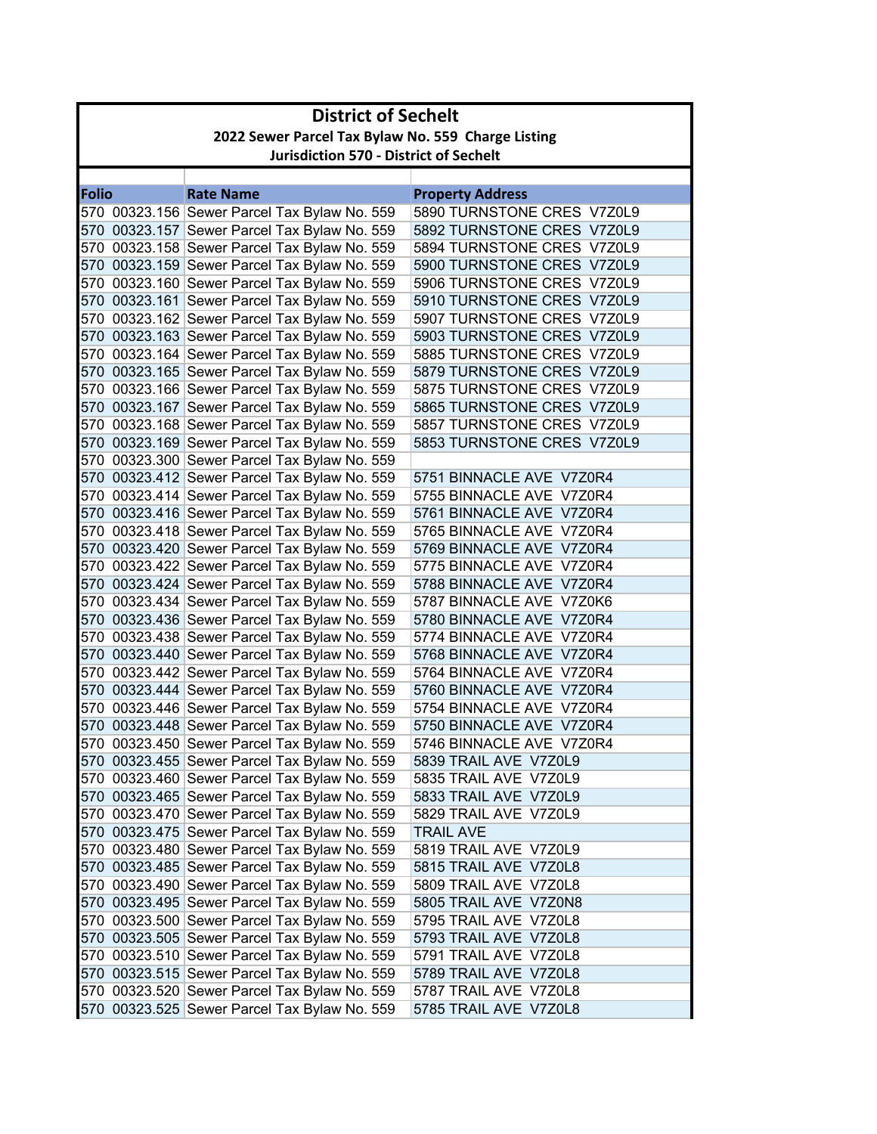|       | <b>District of Sechelt</b>                         |                                              |                            |  |  |
|-------|----------------------------------------------------|----------------------------------------------|----------------------------|--|--|
|       | 2022 Sewer Parcel Tax Bylaw No. 559 Charge Listing |                                              |                            |  |  |
|       | <b>Jurisdiction 570 - District of Sechelt</b>      |                                              |                            |  |  |
|       |                                                    |                                              |                            |  |  |
| Folio |                                                    | <b>Rate Name</b>                             | <b>Property Address</b>    |  |  |
|       |                                                    | 570 00323.156 Sewer Parcel Tax Bylaw No. 559 | 5890 TURNSTONE CRES V7Z0L9 |  |  |
|       |                                                    | 570 00323.157 Sewer Parcel Tax Bylaw No. 559 | 5892 TURNSTONE CRES V7Z0L9 |  |  |
|       |                                                    | 570 00323.158 Sewer Parcel Tax Bylaw No. 559 | 5894 TURNSTONE CRES V7Z0L9 |  |  |
|       |                                                    | 570 00323.159 Sewer Parcel Tax Bylaw No. 559 | 5900 TURNSTONE CRES V7Z0L9 |  |  |
|       |                                                    | 570 00323.160 Sewer Parcel Tax Bylaw No. 559 | 5906 TURNSTONE CRES V7Z0L9 |  |  |
|       |                                                    | 570 00323.161 Sewer Parcel Tax Bylaw No. 559 | 5910 TURNSTONE CRES V7Z0L9 |  |  |
|       |                                                    | 570 00323.162 Sewer Parcel Tax Bylaw No. 559 | 5907 TURNSTONE CRES V7Z0L9 |  |  |
|       |                                                    | 570 00323.163 Sewer Parcel Tax Bylaw No. 559 | 5903 TURNSTONE CRES V7Z0L9 |  |  |
|       |                                                    | 570 00323.164 Sewer Parcel Tax Bylaw No. 559 | 5885 TURNSTONE CRES V7Z0L9 |  |  |
|       |                                                    | 570 00323.165 Sewer Parcel Tax Bylaw No. 559 | 5879 TURNSTONE CRES V7Z0L9 |  |  |
|       |                                                    | 570 00323.166 Sewer Parcel Tax Bylaw No. 559 | 5875 TURNSTONE CRES V7Z0L9 |  |  |
|       |                                                    | 570 00323.167 Sewer Parcel Tax Bylaw No. 559 | 5865 TURNSTONE CRES V7Z0L9 |  |  |
|       |                                                    | 570 00323.168 Sewer Parcel Tax Bylaw No. 559 | 5857 TURNSTONE CRES V7Z0L9 |  |  |
|       |                                                    | 570 00323.169 Sewer Parcel Tax Bylaw No. 559 | 5853 TURNSTONE CRES V7Z0L9 |  |  |
|       |                                                    | 570 00323.300 Sewer Parcel Tax Bylaw No. 559 |                            |  |  |
|       |                                                    | 570 00323.412 Sewer Parcel Tax Bylaw No. 559 | 5751 BINNACLE AVE V7Z0R4   |  |  |
|       |                                                    | 570 00323.414 Sewer Parcel Tax Bylaw No. 559 | 5755 BINNACLE AVE V7Z0R4   |  |  |
|       |                                                    | 570 00323.416 Sewer Parcel Tax Bylaw No. 559 | 5761 BINNACLE AVE V7Z0R4   |  |  |
|       |                                                    | 570 00323.418 Sewer Parcel Tax Bylaw No. 559 | 5765 BINNACLE AVE V7Z0R4   |  |  |
|       |                                                    | 570 00323.420 Sewer Parcel Tax Bylaw No. 559 | 5769 BINNACLE AVE V7Z0R4   |  |  |
|       |                                                    | 570 00323.422 Sewer Parcel Tax Bylaw No. 559 | 5775 BINNACLE AVE V7Z0R4   |  |  |
|       |                                                    | 570 00323.424 Sewer Parcel Tax Bylaw No. 559 | 5788 BINNACLE AVE V7Z0R4   |  |  |
|       |                                                    | 570 00323.434 Sewer Parcel Tax Bylaw No. 559 | 5787 BINNACLE AVE V7Z0K6   |  |  |
|       |                                                    | 570 00323.436 Sewer Parcel Tax Bylaw No. 559 | 5780 BINNACLE AVE V7Z0R4   |  |  |
|       |                                                    | 570 00323.438 Sewer Parcel Tax Bylaw No. 559 | 5774 BINNACLE AVE V7Z0R4   |  |  |
|       |                                                    | 570 00323.440 Sewer Parcel Tax Bylaw No. 559 | 5768 BINNACLE AVE V7Z0R4   |  |  |
|       |                                                    | 570 00323.442 Sewer Parcel Tax Bylaw No. 559 | 5764 BINNACLE AVE V7Z0R4   |  |  |
|       |                                                    | 570 00323.444 Sewer Parcel Tax Bylaw No. 559 | 5760 BINNACLE AVE V7Z0R4   |  |  |
|       |                                                    | 570 00323.446 Sewer Parcel Tax Bylaw No. 559 | 5754 BINNACLE AVE V7Z0R4   |  |  |
|       |                                                    | 570 00323.448 Sewer Parcel Tax Bylaw No. 559 | 5750 BINNACLE AVE V7Z0R4   |  |  |
|       |                                                    | 570 00323.450 Sewer Parcel Tax Bylaw No. 559 | 5746 BINNACLE AVE V7Z0R4   |  |  |
|       |                                                    | 570 00323.455 Sewer Parcel Tax Bylaw No. 559 | 5839 TRAIL AVE V7Z0L9      |  |  |
|       |                                                    | 570 00323.460 Sewer Parcel Tax Bylaw No. 559 | 5835 TRAIL AVE V7Z0L9      |  |  |
|       |                                                    | 570 00323.465 Sewer Parcel Tax Bylaw No. 559 | 5833 TRAIL AVE V7Z0L9      |  |  |
|       |                                                    | 570 00323.470 Sewer Parcel Tax Bylaw No. 559 | 5829 TRAIL AVE V7Z0L9      |  |  |
|       |                                                    | 570 00323.475 Sewer Parcel Tax Bylaw No. 559 | TRAIL AVE                  |  |  |
|       |                                                    | 570 00323.480 Sewer Parcel Tax Bylaw No. 559 | 5819 TRAIL AVE V7Z0L9      |  |  |
|       |                                                    | 570 00323.485 Sewer Parcel Tax Bylaw No. 559 | 5815 TRAIL AVE V7Z0L8      |  |  |
|       |                                                    | 570 00323.490 Sewer Parcel Tax Bylaw No. 559 | 5809 TRAIL AVE V7Z0L8      |  |  |
|       |                                                    | 570 00323.495 Sewer Parcel Tax Bylaw No. 559 | 5805 TRAIL AVE V7Z0N8      |  |  |
|       |                                                    | 570 00323.500 Sewer Parcel Tax Bylaw No. 559 | 5795 TRAIL AVE V7Z0L8      |  |  |
|       |                                                    | 570 00323.505 Sewer Parcel Tax Bylaw No. 559 | 5793 TRAIL AVE V7Z0L8      |  |  |
|       |                                                    | 570 00323.510 Sewer Parcel Tax Bylaw No. 559 | 5791 TRAIL AVE V7Z0L8      |  |  |
|       |                                                    | 570 00323.515 Sewer Parcel Tax Bylaw No. 559 | 5789 TRAIL AVE V7Z0L8      |  |  |
|       |                                                    | 570 00323.520 Sewer Parcel Tax Bylaw No. 559 | 5787 TRAIL AVE V7Z0L8      |  |  |
|       |                                                    | 570 00323.525 Sewer Parcel Tax Bylaw No. 559 | 5785 TRAIL AVE V7Z0L8      |  |  |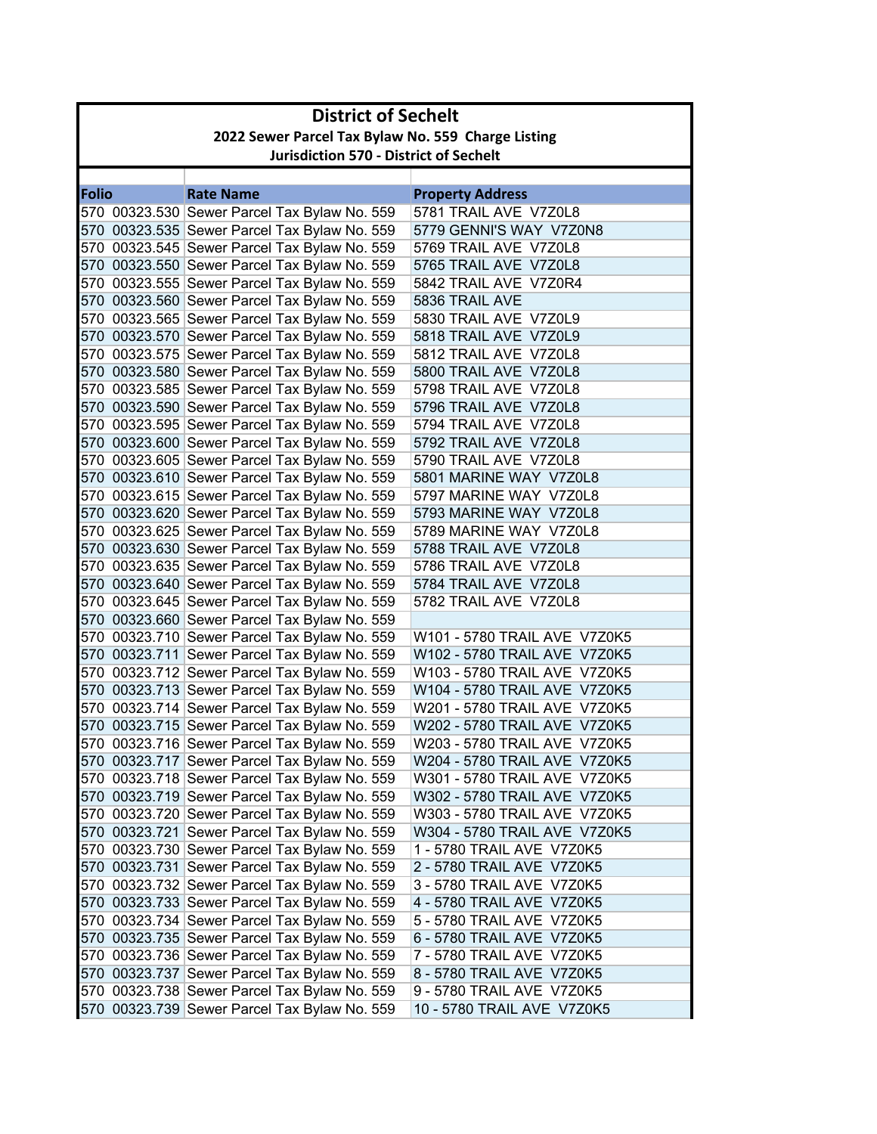|              | <b>District of Sechelt</b>                         |                                              |                              |  |  |
|--------------|----------------------------------------------------|----------------------------------------------|------------------------------|--|--|
|              | 2022 Sewer Parcel Tax Bylaw No. 559 Charge Listing |                                              |                              |  |  |
|              | <b>Jurisdiction 570 - District of Sechelt</b>      |                                              |                              |  |  |
|              |                                                    |                                              |                              |  |  |
| <b>Folio</b> |                                                    | <b>Rate Name</b>                             | <b>Property Address</b>      |  |  |
|              |                                                    | 570 00323.530 Sewer Parcel Tax Bylaw No. 559 | 5781 TRAIL AVE V7Z0L8        |  |  |
|              |                                                    | 570 00323.535 Sewer Parcel Tax Bylaw No. 559 | 5779 GENNI'S WAY V7Z0N8      |  |  |
|              |                                                    | 570 00323.545 Sewer Parcel Tax Bylaw No. 559 | 5769 TRAIL AVE V7Z0L8        |  |  |
|              |                                                    | 570 00323.550 Sewer Parcel Tax Bylaw No. 559 | 5765 TRAIL AVE V7Z0L8        |  |  |
|              |                                                    | 570 00323.555 Sewer Parcel Tax Bylaw No. 559 | 5842 TRAIL AVE V7Z0R4        |  |  |
|              |                                                    | 570 00323.560 Sewer Parcel Tax Bylaw No. 559 | 5836 TRAIL AVE               |  |  |
|              |                                                    | 570 00323.565 Sewer Parcel Tax Bylaw No. 559 | 5830 TRAIL AVE V7Z0L9        |  |  |
|              |                                                    | 570 00323.570 Sewer Parcel Tax Bylaw No. 559 | 5818 TRAIL AVE V7Z0L9        |  |  |
|              |                                                    | 570 00323.575 Sewer Parcel Tax Bylaw No. 559 | 5812 TRAIL AVE V7Z0L8        |  |  |
|              |                                                    | 570 00323.580 Sewer Parcel Tax Bylaw No. 559 | 5800 TRAIL AVE V7Z0L8        |  |  |
|              |                                                    | 570 00323.585 Sewer Parcel Tax Bylaw No. 559 | 5798 TRAIL AVE V7Z0L8        |  |  |
|              |                                                    | 570 00323.590 Sewer Parcel Tax Bylaw No. 559 | 5796 TRAIL AVE V7Z0L8        |  |  |
|              |                                                    | 570 00323.595 Sewer Parcel Tax Bylaw No. 559 | 5794 TRAIL AVE V7Z0L8        |  |  |
|              |                                                    | 570 00323.600 Sewer Parcel Tax Bylaw No. 559 | 5792 TRAIL AVE V7Z0L8        |  |  |
|              |                                                    | 570 00323.605 Sewer Parcel Tax Bylaw No. 559 | 5790 TRAIL AVE V7Z0L8        |  |  |
|              |                                                    | 570 00323.610 Sewer Parcel Tax Bylaw No. 559 | 5801 MARINE WAY V7Z0L8       |  |  |
|              |                                                    | 570 00323.615 Sewer Parcel Tax Bylaw No. 559 | 5797 MARINE WAY V7Z0L8       |  |  |
|              |                                                    | 570 00323.620 Sewer Parcel Tax Bylaw No. 559 | 5793 MARINE WAY V7Z0L8       |  |  |
|              |                                                    | 570 00323.625 Sewer Parcel Tax Bylaw No. 559 | 5789 MARINE WAY V7Z0L8       |  |  |
|              |                                                    | 570 00323.630 Sewer Parcel Tax Bylaw No. 559 | 5788 TRAIL AVE V7Z0L8        |  |  |
|              |                                                    | 570 00323.635 Sewer Parcel Tax Bylaw No. 559 | 5786 TRAIL AVE V7Z0L8        |  |  |
|              |                                                    | 570 00323.640 Sewer Parcel Tax Bylaw No. 559 | 5784 TRAIL AVE V7Z0L8        |  |  |
|              |                                                    | 570 00323.645 Sewer Parcel Tax Bylaw No. 559 | 5782 TRAIL AVE V7Z0L8        |  |  |
|              |                                                    | 570 00323.660 Sewer Parcel Tax Bylaw No. 559 |                              |  |  |
|              |                                                    | 570 00323.710 Sewer Parcel Tax Bylaw No. 559 | W101 - 5780 TRAIL AVE V7Z0K5 |  |  |
|              |                                                    | 570 00323.711 Sewer Parcel Tax Bylaw No. 559 | W102 - 5780 TRAIL AVE V7Z0K5 |  |  |
|              |                                                    | 570 00323.712 Sewer Parcel Tax Bylaw No. 559 | W103 - 5780 TRAIL AVE V7Z0K5 |  |  |
|              |                                                    | 570 00323.713 Sewer Parcel Tax Bylaw No. 559 | W104 - 5780 TRAIL AVE V7Z0K5 |  |  |
|              |                                                    | 570 00323.714 Sewer Parcel Tax Bylaw No. 559 | W201 - 5780 TRAIL AVE V7Z0K5 |  |  |
|              |                                                    | 570 00323.715 Sewer Parcel Tax Bylaw No. 559 | W202 - 5780 TRAIL AVE V7Z0K5 |  |  |
|              |                                                    | 570 00323.716 Sewer Parcel Tax Bylaw No. 559 | W203 - 5780 TRAIL AVE V7Z0K5 |  |  |
|              |                                                    | 570 00323.717 Sewer Parcel Tax Bylaw No. 559 | W204 - 5780 TRAIL AVE V7Z0K5 |  |  |
|              |                                                    | 570 00323.718 Sewer Parcel Tax Bylaw No. 559 | W301 - 5780 TRAIL AVE V7Z0K5 |  |  |
|              |                                                    | 570 00323.719 Sewer Parcel Tax Bylaw No. 559 | W302 - 5780 TRAIL AVE V7Z0K5 |  |  |
|              |                                                    | 570 00323.720 Sewer Parcel Tax Bylaw No. 559 | W303 - 5780 TRAIL AVE V7Z0K5 |  |  |
|              |                                                    | 570 00323.721 Sewer Parcel Tax Bylaw No. 559 | W304 - 5780 TRAIL AVE V7Z0K5 |  |  |
|              |                                                    | 570 00323.730 Sewer Parcel Tax Bylaw No. 559 | 1 - 5780 TRAIL AVE V7Z0K5    |  |  |
|              |                                                    | 570 00323.731 Sewer Parcel Tax Bylaw No. 559 | 2 - 5780 TRAIL AVE V7Z0K5    |  |  |
|              |                                                    | 570 00323.732 Sewer Parcel Tax Bylaw No. 559 | 3 - 5780 TRAIL AVE V7Z0K5    |  |  |
|              |                                                    | 570 00323.733 Sewer Parcel Tax Bylaw No. 559 | 4 - 5780 TRAIL AVE V7Z0K5    |  |  |
|              |                                                    | 570 00323.734 Sewer Parcel Tax Bylaw No. 559 | 5 - 5780 TRAIL AVE V7Z0K5    |  |  |
|              |                                                    | 570 00323.735 Sewer Parcel Tax Bylaw No. 559 | 6 - 5780 TRAIL AVE V7Z0K5    |  |  |
|              |                                                    | 570 00323.736 Sewer Parcel Tax Bylaw No. 559 | 7 - 5780 TRAIL AVE V7Z0K5    |  |  |
|              |                                                    | 570 00323.737 Sewer Parcel Tax Bylaw No. 559 | 8 - 5780 TRAIL AVE V7Z0K5    |  |  |
|              |                                                    | 570 00323.738 Sewer Parcel Tax Bylaw No. 559 | 9 - 5780 TRAIL AVE V7Z0K5    |  |  |
|              |                                                    | 570 00323.739 Sewer Parcel Tax Bylaw No. 559 | 10 - 5780 TRAIL AVE V7Z0K5   |  |  |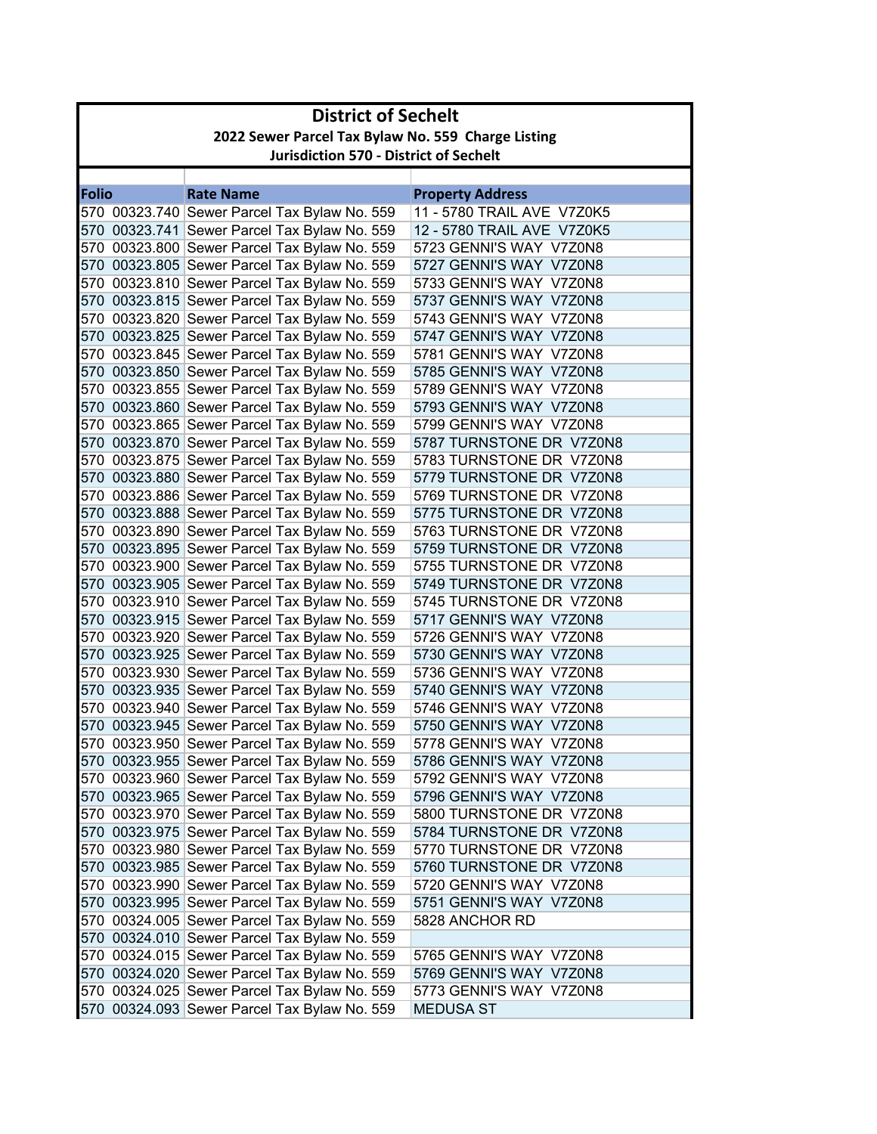|              | <b>District of Sechelt</b>                         |                                               |                            |  |
|--------------|----------------------------------------------------|-----------------------------------------------|----------------------------|--|
|              | 2022 Sewer Parcel Tax Bylaw No. 559 Charge Listing |                                               |                            |  |
|              |                                                    | <b>Jurisdiction 570 - District of Sechelt</b> |                            |  |
|              |                                                    |                                               |                            |  |
| <b>Folio</b> |                                                    | <b>Rate Name</b>                              | <b>Property Address</b>    |  |
|              |                                                    | 570 00323.740 Sewer Parcel Tax Bylaw No. 559  | 11 - 5780 TRAIL AVE V7Z0K5 |  |
|              |                                                    | 570 00323.741 Sewer Parcel Tax Bylaw No. 559  | 12 - 5780 TRAIL AVE V7Z0K5 |  |
|              |                                                    | 570 00323.800 Sewer Parcel Tax Bylaw No. 559  | 5723 GENNI'S WAY V7Z0N8    |  |
|              |                                                    | 570 00323.805 Sewer Parcel Tax Bylaw No. 559  | 5727 GENNI'S WAY V7Z0N8    |  |
|              |                                                    | 570 00323.810 Sewer Parcel Tax Bylaw No. 559  | 5733 GENNI'S WAY V7Z0N8    |  |
|              |                                                    | 570 00323.815 Sewer Parcel Tax Bylaw No. 559  | 5737 GENNI'S WAY V7Z0N8    |  |
|              |                                                    | 570 00323.820 Sewer Parcel Tax Bylaw No. 559  | 5743 GENNI'S WAY V7Z0N8    |  |
|              |                                                    | 570 00323.825 Sewer Parcel Tax Bylaw No. 559  | 5747 GENNI'S WAY V7Z0N8    |  |
|              |                                                    | 570 00323.845 Sewer Parcel Tax Bylaw No. 559  | 5781 GENNI'S WAY V7Z0N8    |  |
|              |                                                    | 570 00323.850 Sewer Parcel Tax Bylaw No. 559  | 5785 GENNI'S WAY V7Z0N8    |  |
|              |                                                    | 570 00323.855 Sewer Parcel Tax Bylaw No. 559  | 5789 GENNI'S WAY V7Z0N8    |  |
|              |                                                    | 570 00323.860 Sewer Parcel Tax Bylaw No. 559  | 5793 GENNI'S WAY V7Z0N8    |  |
|              |                                                    | 570 00323.865 Sewer Parcel Tax Bylaw No. 559  | 5799 GENNI'S WAY V7Z0N8    |  |
|              |                                                    | 570 00323.870 Sewer Parcel Tax Bylaw No. 559  | 5787 TURNSTONE DR V7Z0N8   |  |
|              |                                                    | 570 00323.875 Sewer Parcel Tax Bylaw No. 559  | 5783 TURNSTONE DR V7Z0N8   |  |
|              |                                                    | 570 00323.880 Sewer Parcel Tax Bylaw No. 559  | 5779 TURNSTONE DR V7Z0N8   |  |
|              |                                                    | 570 00323.886 Sewer Parcel Tax Bylaw No. 559  | 5769 TURNSTONE DR V7Z0N8   |  |
|              |                                                    | 570 00323.888 Sewer Parcel Tax Bylaw No. 559  | 5775 TURNSTONE DR V7Z0N8   |  |
|              |                                                    | 570 00323.890 Sewer Parcel Tax Bylaw No. 559  | 5763 TURNSTONE DR V7Z0N8   |  |
|              |                                                    | 570 00323.895 Sewer Parcel Tax Bylaw No. 559  | 5759 TURNSTONE DR V7Z0N8   |  |
|              |                                                    | 570 00323.900 Sewer Parcel Tax Bylaw No. 559  | 5755 TURNSTONE DR V7Z0N8   |  |
|              |                                                    | 570 00323.905 Sewer Parcel Tax Bylaw No. 559  | 5749 TURNSTONE DR V7Z0N8   |  |
|              |                                                    | 570 00323.910 Sewer Parcel Tax Bylaw No. 559  | 5745 TURNSTONE DR V7Z0N8   |  |
|              |                                                    | 570 00323.915 Sewer Parcel Tax Bylaw No. 559  | 5717 GENNI'S WAY V7Z0N8    |  |
|              |                                                    | 570 00323.920 Sewer Parcel Tax Bylaw No. 559  | 5726 GENNI'S WAY V7Z0N8    |  |
|              |                                                    | 570 00323.925 Sewer Parcel Tax Bylaw No. 559  | 5730 GENNI'S WAY V7Z0N8    |  |
|              |                                                    | 570 00323.930 Sewer Parcel Tax Bylaw No. 559  | 5736 GENNI'S WAY V7Z0N8    |  |
|              |                                                    | 570 00323.935 Sewer Parcel Tax Bylaw No. 559  | 5740 GENNI'S WAY V7Z0N8    |  |
|              |                                                    | 570 00323.940 Sewer Parcel Tax Bylaw No. 559  | 5746 GENNI'S WAY V7Z0N8    |  |
|              |                                                    | 570 00323.945 Sewer Parcel Tax Bylaw No. 559  | 5750 GENNI'S WAY V7Z0N8    |  |
|              |                                                    | 570 00323.950 Sewer Parcel Tax Bylaw No. 559  | 5778 GENNI'S WAY V7Z0N8    |  |
|              |                                                    | 570 00323.955 Sewer Parcel Tax Bylaw No. 559  | 5786 GENNI'S WAY V7Z0N8    |  |
|              |                                                    | 570 00323.960 Sewer Parcel Tax Bylaw No. 559  | 5792 GENNI'S WAY V7Z0N8    |  |
|              |                                                    | 570 00323.965 Sewer Parcel Tax Bylaw No. 559  | 5796 GENNI'S WAY V7Z0N8    |  |
|              |                                                    | 570 00323.970 Sewer Parcel Tax Bylaw No. 559  | 5800 TURNSTONE DR V7Z0N8   |  |
|              |                                                    | 570 00323.975 Sewer Parcel Tax Bylaw No. 559  | 5784 TURNSTONE DR V7Z0N8   |  |
|              |                                                    | 570 00323.980 Sewer Parcel Tax Bylaw No. 559  | 5770 TURNSTONE DR V7Z0N8   |  |
|              |                                                    | 570 00323.985 Sewer Parcel Tax Bylaw No. 559  | 5760 TURNSTONE DR V7Z0N8   |  |
|              |                                                    | 570 00323.990 Sewer Parcel Tax Bylaw No. 559  | 5720 GENNI'S WAY V7Z0N8    |  |
|              |                                                    | 570 00323.995 Sewer Parcel Tax Bylaw No. 559  | 5751 GENNI'S WAY V7Z0N8    |  |
|              |                                                    | 570 00324.005 Sewer Parcel Tax Bylaw No. 559  | 5828 ANCHOR RD             |  |
|              |                                                    | 570 00324.010 Sewer Parcel Tax Bylaw No. 559  |                            |  |
|              |                                                    | 570 00324.015 Sewer Parcel Tax Bylaw No. 559  | 5765 GENNI'S WAY V7Z0N8    |  |
|              |                                                    | 570 00324.020 Sewer Parcel Tax Bylaw No. 559  | 5769 GENNI'S WAY V7Z0N8    |  |
|              |                                                    | 570 00324.025 Sewer Parcel Tax Bylaw No. 559  | 5773 GENNI'S WAY V7Z0N8    |  |
|              |                                                    | 570 00324.093 Sewer Parcel Tax Bylaw No. 559  | <b>MEDUSA ST</b>           |  |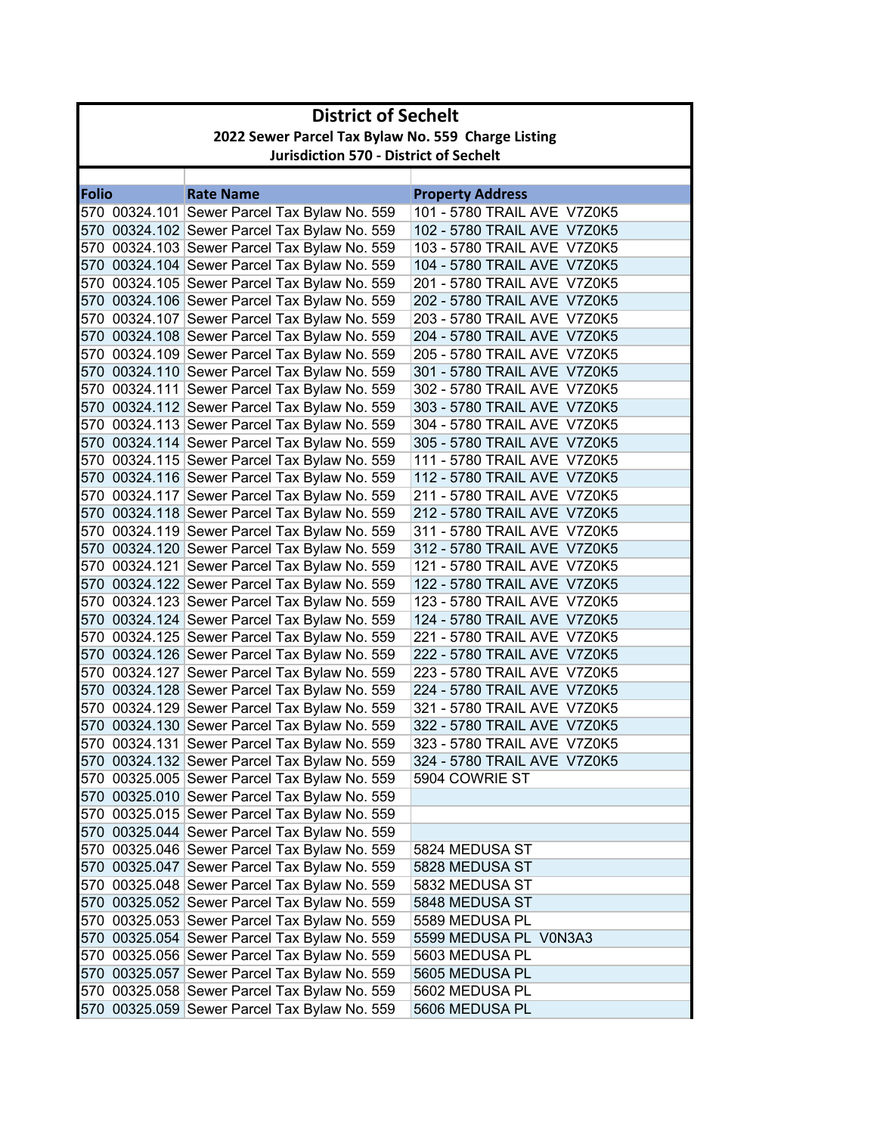|              | <b>District of Sechelt</b> |                                                                                              |                                                            |  |
|--------------|----------------------------|----------------------------------------------------------------------------------------------|------------------------------------------------------------|--|
|              |                            | 2022 Sewer Parcel Tax Bylaw No. 559 Charge Listing                                           |                                                            |  |
|              |                            | <b>Jurisdiction 570 - District of Sechelt</b>                                                |                                                            |  |
|              |                            |                                                                                              |                                                            |  |
| <b>Folio</b> |                            | <b>Rate Name</b>                                                                             | <b>Property Address</b>                                    |  |
|              |                            | 570 00324.101 Sewer Parcel Tax Bylaw No. 559                                                 | 101 - 5780 TRAIL AVE V7Z0K5                                |  |
|              |                            | 570 00324.102 Sewer Parcel Tax Bylaw No. 559                                                 | 102 - 5780 TRAIL AVE V7Z0K5                                |  |
|              |                            | 570 00324.103 Sewer Parcel Tax Bylaw No. 559                                                 | 103 - 5780 TRAIL AVE V7Z0K5                                |  |
|              |                            | 570 00324.104 Sewer Parcel Tax Bylaw No. 559                                                 | 104 - 5780 TRAIL AVE V7Z0K5                                |  |
|              |                            | 570 00324.105 Sewer Parcel Tax Bylaw No. 559                                                 | 201 - 5780 TRAIL AVE V7Z0K5                                |  |
|              |                            | 570 00324.106 Sewer Parcel Tax Bylaw No. 559                                                 | 202 - 5780 TRAIL AVE V7Z0K5                                |  |
|              |                            | 570 00324.107 Sewer Parcel Tax Bylaw No. 559                                                 | 203 - 5780 TRAIL AVE V7Z0K5                                |  |
|              |                            | 570 00324.108 Sewer Parcel Tax Bylaw No. 559                                                 | 204 - 5780 TRAIL AVE V7Z0K5                                |  |
|              |                            | 570 00324.109 Sewer Parcel Tax Bylaw No. 559                                                 | 205 - 5780 TRAIL AVE V7Z0K5                                |  |
|              |                            | 570 00324.110 Sewer Parcel Tax Bylaw No. 559                                                 | 301 - 5780 TRAIL AVE V7Z0K5                                |  |
|              |                            | 570 00324.111 Sewer Parcel Tax Bylaw No. 559                                                 | 302 - 5780 TRAIL AVE V7Z0K5                                |  |
|              |                            | 570 00324.112 Sewer Parcel Tax Bylaw No. 559                                                 | 303 - 5780 TRAIL AVE V7Z0K5                                |  |
|              |                            | 570 00324.113 Sewer Parcel Tax Bylaw No. 559                                                 | 304 - 5780 TRAIL AVE V7Z0K5                                |  |
|              |                            | 570 00324.114 Sewer Parcel Tax Bylaw No. 559                                                 | 305 - 5780 TRAIL AVE V7Z0K5                                |  |
|              |                            | 570 00324.115 Sewer Parcel Tax Bylaw No. 559                                                 | 111 - 5780 TRAIL AVE V7Z0K5                                |  |
|              |                            | 570 00324.116 Sewer Parcel Tax Bylaw No. 559                                                 | 112 - 5780 TRAIL AVE V7Z0K5<br>211 - 5780 TRAIL AVE V7Z0K5 |  |
|              |                            | 570 00324.117 Sewer Parcel Tax Bylaw No. 559                                                 | 212 - 5780 TRAIL AVE V7Z0K5                                |  |
|              |                            | 570 00324.118 Sewer Parcel Tax Bylaw No. 559<br>570 00324.119 Sewer Parcel Tax Bylaw No. 559 | 311 - 5780 TRAIL AVE V7Z0K5                                |  |
|              |                            | 570 00324.120 Sewer Parcel Tax Bylaw No. 559                                                 | 312 - 5780 TRAIL AVE V7Z0K5                                |  |
|              |                            |                                                                                              |                                                            |  |
|              |                            | 570 00324.121 Sewer Parcel Tax Bylaw No. 559<br>570 00324.122 Sewer Parcel Tax Bylaw No. 559 | 121 - 5780 TRAIL AVE V7Z0K5                                |  |
|              |                            | 570 00324.123 Sewer Parcel Tax Bylaw No. 559                                                 | 122 - 5780 TRAIL AVE V7Z0K5<br>123 - 5780 TRAIL AVE V7Z0K5 |  |
|              |                            | 570 00324.124 Sewer Parcel Tax Bylaw No. 559                                                 | 124 - 5780 TRAIL AVE V7Z0K5                                |  |
|              |                            | 570 00324.125 Sewer Parcel Tax Bylaw No. 559                                                 | 221 - 5780 TRAIL AVE V7Z0K5                                |  |
|              |                            | 570 00324.126 Sewer Parcel Tax Bylaw No. 559                                                 | 222 - 5780 TRAIL AVE V7Z0K5                                |  |
|              |                            | 570 00324.127 Sewer Parcel Tax Bylaw No. 559                                                 | 223 - 5780 TRAIL AVE V7Z0K5                                |  |
|              |                            | 570 00324.128 Sewer Parcel Tax Bylaw No. 559                                                 | 224 - 5780 TRAIL AVE V7Z0K5                                |  |
|              |                            | 570 00324.129 Sewer Parcel Tax Bylaw No. 559                                                 | 321 - 5780 TRAIL AVE V7Z0K5                                |  |
|              |                            | 570 00324.130 Sewer Parcel Tax Bylaw No. 559                                                 | 322 - 5780 TRAIL AVE V7Z0K5                                |  |
|              |                            | 570 00324.131 Sewer Parcel Tax Bylaw No. 559                                                 | 323 - 5780 TRAIL AVE V7Z0K5                                |  |
|              |                            | 570 00324.132 Sewer Parcel Tax Bylaw No. 559                                                 | 324 - 5780 TRAIL AVE V7Z0K5                                |  |
|              |                            | 570 00325.005 Sewer Parcel Tax Bylaw No. 559                                                 | 5904 COWRIE ST                                             |  |
|              |                            | 570 00325.010 Sewer Parcel Tax Bylaw No. 559                                                 |                                                            |  |
|              |                            | 570 00325.015 Sewer Parcel Tax Bylaw No. 559                                                 |                                                            |  |
|              |                            | 570 00325.044 Sewer Parcel Tax Bylaw No. 559                                                 |                                                            |  |
|              |                            | 570 00325.046 Sewer Parcel Tax Bylaw No. 559                                                 | 5824 MEDUSA ST                                             |  |
|              |                            | 570 00325.047 Sewer Parcel Tax Bylaw No. 559                                                 | 5828 MEDUSA ST                                             |  |
|              |                            | 570 00325.048 Sewer Parcel Tax Bylaw No. 559                                                 | 5832 MEDUSA ST                                             |  |
|              |                            | 570 00325.052 Sewer Parcel Tax Bylaw No. 559                                                 | 5848 MEDUSA ST                                             |  |
|              |                            | 570 00325.053 Sewer Parcel Tax Bylaw No. 559                                                 | 5589 MEDUSA PL                                             |  |
|              |                            | 570 00325.054 Sewer Parcel Tax Bylaw No. 559                                                 | 5599 MEDUSA PL V0N3A3                                      |  |
|              |                            | 570 00325.056 Sewer Parcel Tax Bylaw No. 559                                                 | 5603 MEDUSA PL                                             |  |
|              |                            | 570 00325.057 Sewer Parcel Tax Bylaw No. 559                                                 | 5605 MEDUSA PL                                             |  |
|              |                            | 570 00325.058 Sewer Parcel Tax Bylaw No. 559                                                 | 5602 MEDUSA PL                                             |  |
|              |                            | 570 00325.059 Sewer Parcel Tax Bylaw No. 559                                                 | 5606 MEDUSA PL                                             |  |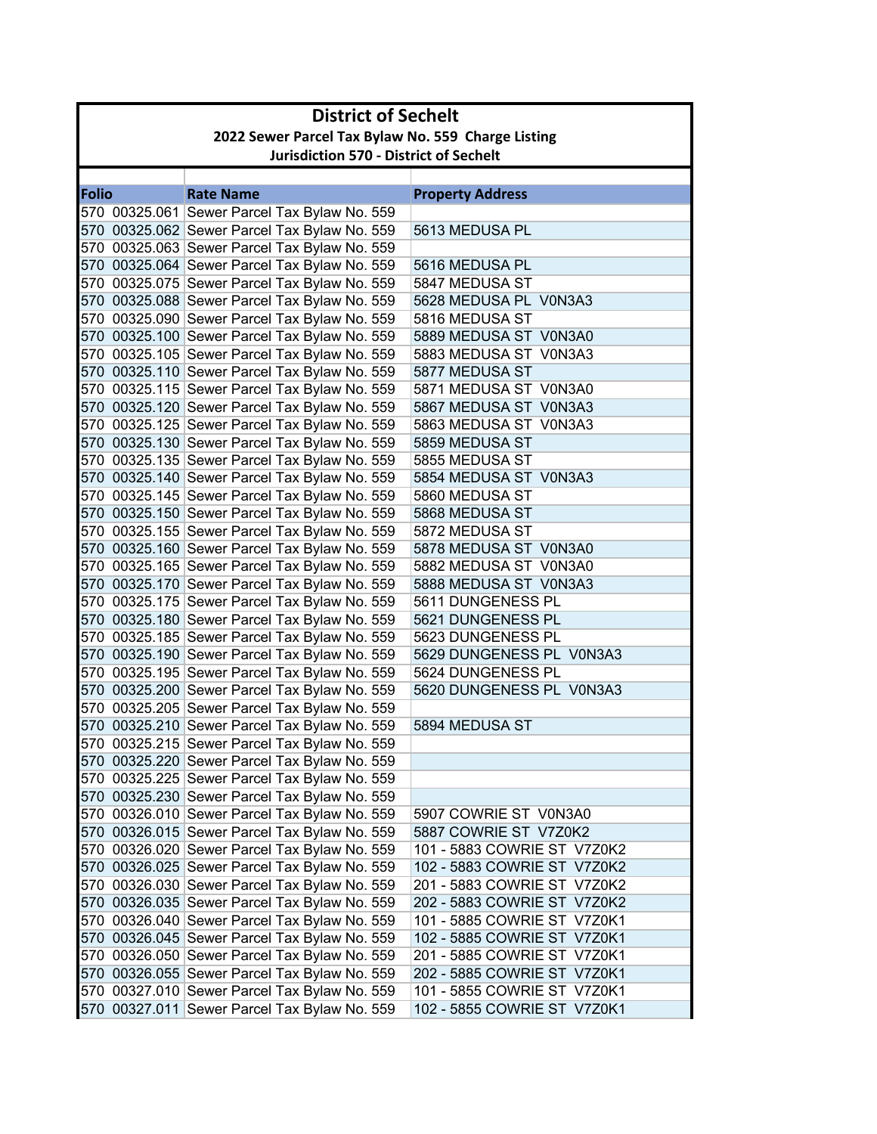|       | <b>District of Sechelt</b>                         |                                                                                              |                                               |  |
|-------|----------------------------------------------------|----------------------------------------------------------------------------------------------|-----------------------------------------------|--|
|       | 2022 Sewer Parcel Tax Bylaw No. 559 Charge Listing |                                                                                              |                                               |  |
|       | <b>Jurisdiction 570 - District of Sechelt</b>      |                                                                                              |                                               |  |
|       |                                                    |                                                                                              |                                               |  |
| Folio |                                                    | <b>Rate Name</b>                                                                             | <b>Property Address</b>                       |  |
|       |                                                    | 570 00325.061 Sewer Parcel Tax Bylaw No. 559<br>570 00325.062 Sewer Parcel Tax Bylaw No. 559 | 5613 MEDUSA PL                                |  |
|       |                                                    | 570 00325.063 Sewer Parcel Tax Bylaw No. 559                                                 |                                               |  |
|       |                                                    | 570 00325.064 Sewer Parcel Tax Bylaw No. 559                                                 | 5616 MEDUSA PL                                |  |
|       |                                                    | 570 00325.075 Sewer Parcel Tax Bylaw No. 559                                                 | 5847 MEDUSA ST                                |  |
|       |                                                    | 570 00325.088 Sewer Parcel Tax Bylaw No. 559                                                 | 5628 MEDUSA PL V0N3A3                         |  |
|       |                                                    | 570 00325.090 Sewer Parcel Tax Bylaw No. 559                                                 | 5816 MEDUSA ST                                |  |
|       |                                                    | 570 00325.100 Sewer Parcel Tax Bylaw No. 559                                                 | 5889 MEDUSA ST V0N3A0                         |  |
|       |                                                    | 570 00325.105 Sewer Parcel Tax Bylaw No. 559                                                 | 5883 MEDUSA ST V0N3A3                         |  |
|       |                                                    | 570 00325.110 Sewer Parcel Tax Bylaw No. 559                                                 | 5877 MEDUSA ST                                |  |
|       |                                                    | 570 00325.115 Sewer Parcel Tax Bylaw No. 559                                                 | 5871 MEDUSA ST V0N3A0                         |  |
|       |                                                    | 570 00325.120 Sewer Parcel Tax Bylaw No. 559                                                 | 5867 MEDUSA ST V0N3A3                         |  |
|       |                                                    | 570 00325.125 Sewer Parcel Tax Bylaw No. 559                                                 | 5863 MEDUSA ST V0N3A3                         |  |
|       |                                                    | 570 00325.130 Sewer Parcel Tax Bylaw No. 559                                                 | 5859 MEDUSA ST                                |  |
|       |                                                    | 570 00325.135 Sewer Parcel Tax Bylaw No. 559                                                 | 5855 MEDUSA ST                                |  |
|       |                                                    | 570 00325.140 Sewer Parcel Tax Bylaw No. 559                                                 | 5854 MEDUSA ST V0N3A3                         |  |
|       |                                                    | 570 00325.145 Sewer Parcel Tax Bylaw No. 559                                                 | 5860 MEDUSA ST                                |  |
|       |                                                    | 570 00325.150 Sewer Parcel Tax Bylaw No. 559                                                 | 5868 MEDUSA ST                                |  |
|       |                                                    | 570 00325.155 Sewer Parcel Tax Bylaw No. 559                                                 | 5872 MEDUSA ST                                |  |
|       |                                                    | 570 00325.160 Sewer Parcel Tax Bylaw No. 559                                                 | 5878 MEDUSA ST V0N3A0                         |  |
|       |                                                    | 570 00325.165 Sewer Parcel Tax Bylaw No. 559                                                 | 5882 MEDUSA ST V0N3A0                         |  |
|       |                                                    | 570 00325.170 Sewer Parcel Tax Bylaw No. 559                                                 | 5888 MEDUSA ST V0N3A3                         |  |
|       |                                                    | 570 00325.175 Sewer Parcel Tax Bylaw No. 559                                                 | 5611 DUNGENESS PL                             |  |
|       |                                                    | 570 00325.180 Sewer Parcel Tax Bylaw No. 559                                                 | 5621 DUNGENESS PL                             |  |
|       |                                                    | 570 00325.185 Sewer Parcel Tax Bylaw No. 559                                                 | 5623 DUNGENESS PL                             |  |
|       |                                                    | 570 00325.190 Sewer Parcel Tax Bylaw No. 559<br>570 00325.195 Sewer Parcel Tax Bylaw No. 559 | 5629 DUNGENESS PL V0N3A3<br>5624 DUNGENESS PL |  |
|       |                                                    | 570 00325.200 Sewer Parcel Tax Bylaw No. 559                                                 | 5620 DUNGENESS PL V0N3A3                      |  |
|       |                                                    | 570 00325.205 Sewer Parcel Tax Bylaw No. 559                                                 |                                               |  |
|       |                                                    | 570 00325.210 Sewer Parcel Tax Bylaw No. 559                                                 | 5894 MEDUSA ST                                |  |
|       |                                                    | 570 00325.215 Sewer Parcel Tax Bylaw No. 559                                                 |                                               |  |
|       |                                                    | 570 00325.220 Sewer Parcel Tax Bylaw No. 559                                                 |                                               |  |
|       |                                                    | 570 00325.225 Sewer Parcel Tax Bylaw No. 559                                                 |                                               |  |
|       |                                                    | 570 00325.230 Sewer Parcel Tax Bylaw No. 559                                                 |                                               |  |
|       |                                                    | 570 00326.010 Sewer Parcel Tax Bylaw No. 559                                                 | 5907 COWRIE ST V0N3A0                         |  |
|       |                                                    | 570 00326.015 Sewer Parcel Tax Bylaw No. 559                                                 | 5887 COWRIE ST V7Z0K2                         |  |
|       |                                                    | 570 00326.020 Sewer Parcel Tax Bylaw No. 559                                                 | 101 - 5883 COWRIE ST V7Z0K2                   |  |
|       |                                                    | 570 00326.025 Sewer Parcel Tax Bylaw No. 559                                                 | 102 - 5883 COWRIE ST V7Z0K2                   |  |
|       |                                                    | 570 00326.030 Sewer Parcel Tax Bylaw No. 559                                                 | 201 - 5883 COWRIE ST V7Z0K2                   |  |
|       |                                                    | 570 00326.035 Sewer Parcel Tax Bylaw No. 559                                                 | 202 - 5883 COWRIE ST V7Z0K2                   |  |
|       |                                                    | 570 00326.040 Sewer Parcel Tax Bylaw No. 559                                                 | 101 - 5885 COWRIE ST V7Z0K1                   |  |
|       |                                                    | 570 00326.045 Sewer Parcel Tax Bylaw No. 559                                                 | 102 - 5885 COWRIE ST V7Z0K1                   |  |
|       |                                                    | 570 00326.050 Sewer Parcel Tax Bylaw No. 559                                                 | 201 - 5885 COWRIE ST V7Z0K1                   |  |
|       |                                                    | 570 00326.055 Sewer Parcel Tax Bylaw No. 559                                                 | 202 - 5885 COWRIE ST V7Z0K1                   |  |
|       |                                                    | 570 00327.010 Sewer Parcel Tax Bylaw No. 559                                                 | 101 - 5855 COWRIE ST V7Z0K1                   |  |
|       |                                                    | 570 00327.011 Sewer Parcel Tax Bylaw No. 559                                                 | 102 - 5855 COWRIE ST V7Z0K1                   |  |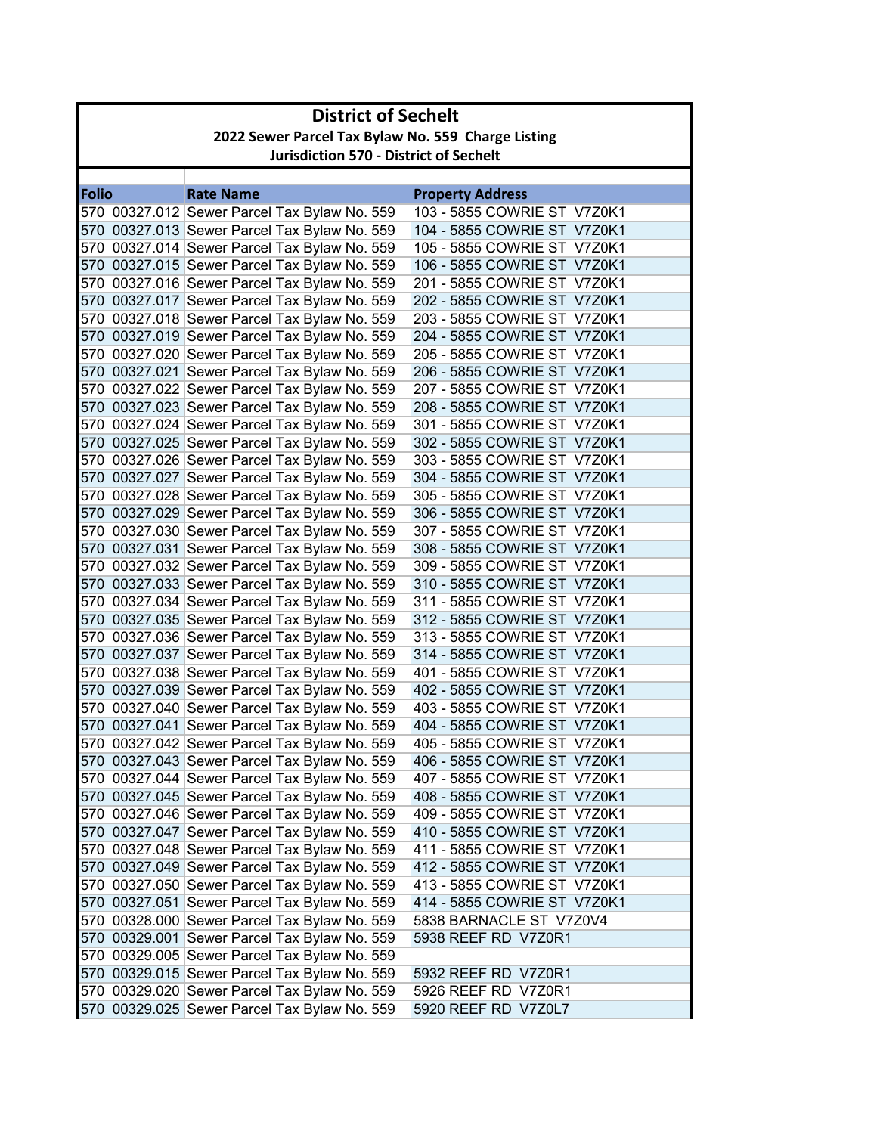| 2022 Sewer Parcel Tax Bylaw No. 559 Charge Listing<br><b>Jurisdiction 570 - District of Sechelt</b><br><b>Rate Name</b><br><b>Property Address</b><br>103 - 5855 COWRIE ST V7Z0K1<br>570 00327.012 Sewer Parcel Tax Bylaw No. 559<br>570 00327.013 Sewer Parcel Tax Bylaw No. 559<br>104 - 5855 COWRIE ST V7Z0K1<br>570 00327.014 Sewer Parcel Tax Bylaw No. 559<br>105 - 5855 COWRIE ST V7Z0K1<br>570 00327.015 Sewer Parcel Tax Bylaw No. 559<br>106 - 5855 COWRIE ST V7Z0K1<br>570 00327.016 Sewer Parcel Tax Bylaw No. 559<br>201 - 5855 COWRIE ST V7Z0K1<br>570 00327.017 Sewer Parcel Tax Bylaw No. 559<br>202 - 5855 COWRIE ST V7Z0K1<br>570 00327.018 Sewer Parcel Tax Bylaw No. 559<br>203 - 5855 COWRIE ST V7Z0K1<br>570 00327.019 Sewer Parcel Tax Bylaw No. 559<br>204 - 5855 COWRIE ST V7Z0K1<br>570 00327.020 Sewer Parcel Tax Bylaw No. 559<br>205 - 5855 COWRIE ST V7Z0K1<br>570 00327.021 Sewer Parcel Tax Bylaw No. 559<br>206 - 5855 COWRIE ST V7Z0K1<br>570 00327.022 Sewer Parcel Tax Bylaw No. 559<br>207 - 5855 COWRIE ST V7Z0K1<br>570 00327.023 Sewer Parcel Tax Bylaw No. 559<br>208 - 5855 COWRIE ST V7Z0K1<br>570 00327.024 Sewer Parcel Tax Bylaw No. 559<br>301 - 5855 COWRIE ST V7Z0K1<br>570 00327.025 Sewer Parcel Tax Bylaw No. 559<br>302 - 5855 COWRIE ST V7Z0K1<br>570 00327.026 Sewer Parcel Tax Bylaw No. 559<br>303 - 5855 COWRIE ST V7Z0K1<br>570 00327.027 Sewer Parcel Tax Bylaw No. 559<br>304 - 5855 COWRIE ST V7Z0K1<br>570 00327.028 Sewer Parcel Tax Bylaw No. 559<br>305 - 5855 COWRIE ST V7Z0K1<br>570 00327.029 Sewer Parcel Tax Bylaw No. 559<br>306 - 5855 COWRIE ST V7Z0K1<br>570 00327.030 Sewer Parcel Tax Bylaw No. 559<br>307 - 5855 COWRIE ST V7Z0K1<br>570 00327.031 Sewer Parcel Tax Bylaw No. 559<br>308 - 5855 COWRIE ST V7Z0K1<br>570 00327.032 Sewer Parcel Tax Bylaw No. 559<br>309 - 5855 COWRIE ST V7Z0K1<br>570 00327.033 Sewer Parcel Tax Bylaw No. 559<br>310 - 5855 COWRIE ST V7Z0K1<br>570 00327.034 Sewer Parcel Tax Bylaw No. 559<br>311 - 5855 COWRIE ST V7Z0K1<br>570 00327.035 Sewer Parcel Tax Bylaw No. 559<br>312 - 5855 COWRIE ST V7Z0K1<br>570 00327.036 Sewer Parcel Tax Bylaw No. 559<br>313 - 5855 COWRIE ST V7Z0K1<br>570 00327.037 Sewer Parcel Tax Bylaw No. 559<br>314 - 5855 COWRIE ST V7Z0K1<br>570 00327.038 Sewer Parcel Tax Bylaw No. 559<br>401 - 5855 COWRIE ST V7Z0K1<br>570 00327.039 Sewer Parcel Tax Bylaw No. 559<br>402 - 5855 COWRIE ST V7Z0K1<br>570 00327.040 Sewer Parcel Tax Bylaw No. 559<br>403 - 5855 COWRIE ST V7Z0K1<br>570 00327.041 Sewer Parcel Tax Bylaw No. 559<br>404 - 5855 COWRIE ST V7Z0K1<br>570 00327.042 Sewer Parcel Tax Bylaw No. 559<br>405 - 5855 COWRIE ST V7Z0K1<br>570 00327.043 Sewer Parcel Tax Bylaw No. 559<br>406 - 5855 COWRIE ST V7Z0K1<br>570 00327.044 Sewer Parcel Tax Bylaw No. 559<br>407 - 5855 COWRIE ST V7Z0K1<br>570 00327.045 Sewer Parcel Tax Bylaw No. 559<br>408 - 5855 COWRIE ST V7Z0K1<br>570 00327.046 Sewer Parcel Tax Bylaw No. 559<br>409 - 5855 COWRIE ST V7Z0K1<br>570 00327.047 Sewer Parcel Tax Bylaw No. 559<br>410 - 5855 COWRIE ST V7Z0K1<br>570 00327.048 Sewer Parcel Tax Bylaw No. 559<br>411 - 5855 COWRIE ST V7Z0K1<br>570 00327.049 Sewer Parcel Tax Bylaw No. 559<br>412 - 5855 COWRIE ST V7Z0K1 | <b>District of Sechelt</b> |                             |                                              |  |
|------------------------------------------------------------------------------------------------------------------------------------------------------------------------------------------------------------------------------------------------------------------------------------------------------------------------------------------------------------------------------------------------------------------------------------------------------------------------------------------------------------------------------------------------------------------------------------------------------------------------------------------------------------------------------------------------------------------------------------------------------------------------------------------------------------------------------------------------------------------------------------------------------------------------------------------------------------------------------------------------------------------------------------------------------------------------------------------------------------------------------------------------------------------------------------------------------------------------------------------------------------------------------------------------------------------------------------------------------------------------------------------------------------------------------------------------------------------------------------------------------------------------------------------------------------------------------------------------------------------------------------------------------------------------------------------------------------------------------------------------------------------------------------------------------------------------------------------------------------------------------------------------------------------------------------------------------------------------------------------------------------------------------------------------------------------------------------------------------------------------------------------------------------------------------------------------------------------------------------------------------------------------------------------------------------------------------------------------------------------------------------------------------------------------------------------------------------------------------------------------------------------------------------------------------------------------------------------------------------------------------------------------------------------------------------------------------------------------------------------------------------------------------------------------------------------------------------------------------------------------------------------------------------------------------------------------------------------------------------------------------------------------------------------------------------------------------------------------------------------------------------------------------------------------------------------------------------------------------------------------------------------------------|----------------------------|-----------------------------|----------------------------------------------|--|
| <b>Folio</b>                                                                                                                                                                                                                                                                                                                                                                                                                                                                                                                                                                                                                                                                                                                                                                                                                                                                                                                                                                                                                                                                                                                                                                                                                                                                                                                                                                                                                                                                                                                                                                                                                                                                                                                                                                                                                                                                                                                                                                                                                                                                                                                                                                                                                                                                                                                                                                                                                                                                                                                                                                                                                                                                                                                                                                                                                                                                                                                                                                                                                                                                                                                                                                                                                                                                 |                            |                             |                                              |  |
|                                                                                                                                                                                                                                                                                                                                                                                                                                                                                                                                                                                                                                                                                                                                                                                                                                                                                                                                                                                                                                                                                                                                                                                                                                                                                                                                                                                                                                                                                                                                                                                                                                                                                                                                                                                                                                                                                                                                                                                                                                                                                                                                                                                                                                                                                                                                                                                                                                                                                                                                                                                                                                                                                                                                                                                                                                                                                                                                                                                                                                                                                                                                                                                                                                                                              |                            |                             |                                              |  |
|                                                                                                                                                                                                                                                                                                                                                                                                                                                                                                                                                                                                                                                                                                                                                                                                                                                                                                                                                                                                                                                                                                                                                                                                                                                                                                                                                                                                                                                                                                                                                                                                                                                                                                                                                                                                                                                                                                                                                                                                                                                                                                                                                                                                                                                                                                                                                                                                                                                                                                                                                                                                                                                                                                                                                                                                                                                                                                                                                                                                                                                                                                                                                                                                                                                                              |                            |                             |                                              |  |
|                                                                                                                                                                                                                                                                                                                                                                                                                                                                                                                                                                                                                                                                                                                                                                                                                                                                                                                                                                                                                                                                                                                                                                                                                                                                                                                                                                                                                                                                                                                                                                                                                                                                                                                                                                                                                                                                                                                                                                                                                                                                                                                                                                                                                                                                                                                                                                                                                                                                                                                                                                                                                                                                                                                                                                                                                                                                                                                                                                                                                                                                                                                                                                                                                                                                              |                            |                             |                                              |  |
|                                                                                                                                                                                                                                                                                                                                                                                                                                                                                                                                                                                                                                                                                                                                                                                                                                                                                                                                                                                                                                                                                                                                                                                                                                                                                                                                                                                                                                                                                                                                                                                                                                                                                                                                                                                                                                                                                                                                                                                                                                                                                                                                                                                                                                                                                                                                                                                                                                                                                                                                                                                                                                                                                                                                                                                                                                                                                                                                                                                                                                                                                                                                                                                                                                                                              |                            |                             |                                              |  |
|                                                                                                                                                                                                                                                                                                                                                                                                                                                                                                                                                                                                                                                                                                                                                                                                                                                                                                                                                                                                                                                                                                                                                                                                                                                                                                                                                                                                                                                                                                                                                                                                                                                                                                                                                                                                                                                                                                                                                                                                                                                                                                                                                                                                                                                                                                                                                                                                                                                                                                                                                                                                                                                                                                                                                                                                                                                                                                                                                                                                                                                                                                                                                                                                                                                                              |                            |                             |                                              |  |
|                                                                                                                                                                                                                                                                                                                                                                                                                                                                                                                                                                                                                                                                                                                                                                                                                                                                                                                                                                                                                                                                                                                                                                                                                                                                                                                                                                                                                                                                                                                                                                                                                                                                                                                                                                                                                                                                                                                                                                                                                                                                                                                                                                                                                                                                                                                                                                                                                                                                                                                                                                                                                                                                                                                                                                                                                                                                                                                                                                                                                                                                                                                                                                                                                                                                              |                            |                             |                                              |  |
|                                                                                                                                                                                                                                                                                                                                                                                                                                                                                                                                                                                                                                                                                                                                                                                                                                                                                                                                                                                                                                                                                                                                                                                                                                                                                                                                                                                                                                                                                                                                                                                                                                                                                                                                                                                                                                                                                                                                                                                                                                                                                                                                                                                                                                                                                                                                                                                                                                                                                                                                                                                                                                                                                                                                                                                                                                                                                                                                                                                                                                                                                                                                                                                                                                                                              |                            |                             |                                              |  |
|                                                                                                                                                                                                                                                                                                                                                                                                                                                                                                                                                                                                                                                                                                                                                                                                                                                                                                                                                                                                                                                                                                                                                                                                                                                                                                                                                                                                                                                                                                                                                                                                                                                                                                                                                                                                                                                                                                                                                                                                                                                                                                                                                                                                                                                                                                                                                                                                                                                                                                                                                                                                                                                                                                                                                                                                                                                                                                                                                                                                                                                                                                                                                                                                                                                                              |                            |                             |                                              |  |
|                                                                                                                                                                                                                                                                                                                                                                                                                                                                                                                                                                                                                                                                                                                                                                                                                                                                                                                                                                                                                                                                                                                                                                                                                                                                                                                                                                                                                                                                                                                                                                                                                                                                                                                                                                                                                                                                                                                                                                                                                                                                                                                                                                                                                                                                                                                                                                                                                                                                                                                                                                                                                                                                                                                                                                                                                                                                                                                                                                                                                                                                                                                                                                                                                                                                              |                            |                             |                                              |  |
|                                                                                                                                                                                                                                                                                                                                                                                                                                                                                                                                                                                                                                                                                                                                                                                                                                                                                                                                                                                                                                                                                                                                                                                                                                                                                                                                                                                                                                                                                                                                                                                                                                                                                                                                                                                                                                                                                                                                                                                                                                                                                                                                                                                                                                                                                                                                                                                                                                                                                                                                                                                                                                                                                                                                                                                                                                                                                                                                                                                                                                                                                                                                                                                                                                                                              |                            |                             |                                              |  |
|                                                                                                                                                                                                                                                                                                                                                                                                                                                                                                                                                                                                                                                                                                                                                                                                                                                                                                                                                                                                                                                                                                                                                                                                                                                                                                                                                                                                                                                                                                                                                                                                                                                                                                                                                                                                                                                                                                                                                                                                                                                                                                                                                                                                                                                                                                                                                                                                                                                                                                                                                                                                                                                                                                                                                                                                                                                                                                                                                                                                                                                                                                                                                                                                                                                                              |                            |                             |                                              |  |
|                                                                                                                                                                                                                                                                                                                                                                                                                                                                                                                                                                                                                                                                                                                                                                                                                                                                                                                                                                                                                                                                                                                                                                                                                                                                                                                                                                                                                                                                                                                                                                                                                                                                                                                                                                                                                                                                                                                                                                                                                                                                                                                                                                                                                                                                                                                                                                                                                                                                                                                                                                                                                                                                                                                                                                                                                                                                                                                                                                                                                                                                                                                                                                                                                                                                              |                            |                             |                                              |  |
|                                                                                                                                                                                                                                                                                                                                                                                                                                                                                                                                                                                                                                                                                                                                                                                                                                                                                                                                                                                                                                                                                                                                                                                                                                                                                                                                                                                                                                                                                                                                                                                                                                                                                                                                                                                                                                                                                                                                                                                                                                                                                                                                                                                                                                                                                                                                                                                                                                                                                                                                                                                                                                                                                                                                                                                                                                                                                                                                                                                                                                                                                                                                                                                                                                                                              |                            |                             |                                              |  |
|                                                                                                                                                                                                                                                                                                                                                                                                                                                                                                                                                                                                                                                                                                                                                                                                                                                                                                                                                                                                                                                                                                                                                                                                                                                                                                                                                                                                                                                                                                                                                                                                                                                                                                                                                                                                                                                                                                                                                                                                                                                                                                                                                                                                                                                                                                                                                                                                                                                                                                                                                                                                                                                                                                                                                                                                                                                                                                                                                                                                                                                                                                                                                                                                                                                                              |                            |                             |                                              |  |
|                                                                                                                                                                                                                                                                                                                                                                                                                                                                                                                                                                                                                                                                                                                                                                                                                                                                                                                                                                                                                                                                                                                                                                                                                                                                                                                                                                                                                                                                                                                                                                                                                                                                                                                                                                                                                                                                                                                                                                                                                                                                                                                                                                                                                                                                                                                                                                                                                                                                                                                                                                                                                                                                                                                                                                                                                                                                                                                                                                                                                                                                                                                                                                                                                                                                              |                            |                             |                                              |  |
|                                                                                                                                                                                                                                                                                                                                                                                                                                                                                                                                                                                                                                                                                                                                                                                                                                                                                                                                                                                                                                                                                                                                                                                                                                                                                                                                                                                                                                                                                                                                                                                                                                                                                                                                                                                                                                                                                                                                                                                                                                                                                                                                                                                                                                                                                                                                                                                                                                                                                                                                                                                                                                                                                                                                                                                                                                                                                                                                                                                                                                                                                                                                                                                                                                                                              |                            |                             |                                              |  |
|                                                                                                                                                                                                                                                                                                                                                                                                                                                                                                                                                                                                                                                                                                                                                                                                                                                                                                                                                                                                                                                                                                                                                                                                                                                                                                                                                                                                                                                                                                                                                                                                                                                                                                                                                                                                                                                                                                                                                                                                                                                                                                                                                                                                                                                                                                                                                                                                                                                                                                                                                                                                                                                                                                                                                                                                                                                                                                                                                                                                                                                                                                                                                                                                                                                                              |                            |                             |                                              |  |
|                                                                                                                                                                                                                                                                                                                                                                                                                                                                                                                                                                                                                                                                                                                                                                                                                                                                                                                                                                                                                                                                                                                                                                                                                                                                                                                                                                                                                                                                                                                                                                                                                                                                                                                                                                                                                                                                                                                                                                                                                                                                                                                                                                                                                                                                                                                                                                                                                                                                                                                                                                                                                                                                                                                                                                                                                                                                                                                                                                                                                                                                                                                                                                                                                                                                              |                            |                             |                                              |  |
|                                                                                                                                                                                                                                                                                                                                                                                                                                                                                                                                                                                                                                                                                                                                                                                                                                                                                                                                                                                                                                                                                                                                                                                                                                                                                                                                                                                                                                                                                                                                                                                                                                                                                                                                                                                                                                                                                                                                                                                                                                                                                                                                                                                                                                                                                                                                                                                                                                                                                                                                                                                                                                                                                                                                                                                                                                                                                                                                                                                                                                                                                                                                                                                                                                                                              |                            |                             |                                              |  |
|                                                                                                                                                                                                                                                                                                                                                                                                                                                                                                                                                                                                                                                                                                                                                                                                                                                                                                                                                                                                                                                                                                                                                                                                                                                                                                                                                                                                                                                                                                                                                                                                                                                                                                                                                                                                                                                                                                                                                                                                                                                                                                                                                                                                                                                                                                                                                                                                                                                                                                                                                                                                                                                                                                                                                                                                                                                                                                                                                                                                                                                                                                                                                                                                                                                                              |                            |                             |                                              |  |
|                                                                                                                                                                                                                                                                                                                                                                                                                                                                                                                                                                                                                                                                                                                                                                                                                                                                                                                                                                                                                                                                                                                                                                                                                                                                                                                                                                                                                                                                                                                                                                                                                                                                                                                                                                                                                                                                                                                                                                                                                                                                                                                                                                                                                                                                                                                                                                                                                                                                                                                                                                                                                                                                                                                                                                                                                                                                                                                                                                                                                                                                                                                                                                                                                                                                              |                            |                             |                                              |  |
|                                                                                                                                                                                                                                                                                                                                                                                                                                                                                                                                                                                                                                                                                                                                                                                                                                                                                                                                                                                                                                                                                                                                                                                                                                                                                                                                                                                                                                                                                                                                                                                                                                                                                                                                                                                                                                                                                                                                                                                                                                                                                                                                                                                                                                                                                                                                                                                                                                                                                                                                                                                                                                                                                                                                                                                                                                                                                                                                                                                                                                                                                                                                                                                                                                                                              |                            |                             |                                              |  |
|                                                                                                                                                                                                                                                                                                                                                                                                                                                                                                                                                                                                                                                                                                                                                                                                                                                                                                                                                                                                                                                                                                                                                                                                                                                                                                                                                                                                                                                                                                                                                                                                                                                                                                                                                                                                                                                                                                                                                                                                                                                                                                                                                                                                                                                                                                                                                                                                                                                                                                                                                                                                                                                                                                                                                                                                                                                                                                                                                                                                                                                                                                                                                                                                                                                                              |                            |                             |                                              |  |
|                                                                                                                                                                                                                                                                                                                                                                                                                                                                                                                                                                                                                                                                                                                                                                                                                                                                                                                                                                                                                                                                                                                                                                                                                                                                                                                                                                                                                                                                                                                                                                                                                                                                                                                                                                                                                                                                                                                                                                                                                                                                                                                                                                                                                                                                                                                                                                                                                                                                                                                                                                                                                                                                                                                                                                                                                                                                                                                                                                                                                                                                                                                                                                                                                                                                              |                            |                             |                                              |  |
|                                                                                                                                                                                                                                                                                                                                                                                                                                                                                                                                                                                                                                                                                                                                                                                                                                                                                                                                                                                                                                                                                                                                                                                                                                                                                                                                                                                                                                                                                                                                                                                                                                                                                                                                                                                                                                                                                                                                                                                                                                                                                                                                                                                                                                                                                                                                                                                                                                                                                                                                                                                                                                                                                                                                                                                                                                                                                                                                                                                                                                                                                                                                                                                                                                                                              |                            |                             |                                              |  |
|                                                                                                                                                                                                                                                                                                                                                                                                                                                                                                                                                                                                                                                                                                                                                                                                                                                                                                                                                                                                                                                                                                                                                                                                                                                                                                                                                                                                                                                                                                                                                                                                                                                                                                                                                                                                                                                                                                                                                                                                                                                                                                                                                                                                                                                                                                                                                                                                                                                                                                                                                                                                                                                                                                                                                                                                                                                                                                                                                                                                                                                                                                                                                                                                                                                                              |                            |                             |                                              |  |
|                                                                                                                                                                                                                                                                                                                                                                                                                                                                                                                                                                                                                                                                                                                                                                                                                                                                                                                                                                                                                                                                                                                                                                                                                                                                                                                                                                                                                                                                                                                                                                                                                                                                                                                                                                                                                                                                                                                                                                                                                                                                                                                                                                                                                                                                                                                                                                                                                                                                                                                                                                                                                                                                                                                                                                                                                                                                                                                                                                                                                                                                                                                                                                                                                                                                              |                            |                             |                                              |  |
|                                                                                                                                                                                                                                                                                                                                                                                                                                                                                                                                                                                                                                                                                                                                                                                                                                                                                                                                                                                                                                                                                                                                                                                                                                                                                                                                                                                                                                                                                                                                                                                                                                                                                                                                                                                                                                                                                                                                                                                                                                                                                                                                                                                                                                                                                                                                                                                                                                                                                                                                                                                                                                                                                                                                                                                                                                                                                                                                                                                                                                                                                                                                                                                                                                                                              |                            |                             |                                              |  |
|                                                                                                                                                                                                                                                                                                                                                                                                                                                                                                                                                                                                                                                                                                                                                                                                                                                                                                                                                                                                                                                                                                                                                                                                                                                                                                                                                                                                                                                                                                                                                                                                                                                                                                                                                                                                                                                                                                                                                                                                                                                                                                                                                                                                                                                                                                                                                                                                                                                                                                                                                                                                                                                                                                                                                                                                                                                                                                                                                                                                                                                                                                                                                                                                                                                                              |                            |                             |                                              |  |
|                                                                                                                                                                                                                                                                                                                                                                                                                                                                                                                                                                                                                                                                                                                                                                                                                                                                                                                                                                                                                                                                                                                                                                                                                                                                                                                                                                                                                                                                                                                                                                                                                                                                                                                                                                                                                                                                                                                                                                                                                                                                                                                                                                                                                                                                                                                                                                                                                                                                                                                                                                                                                                                                                                                                                                                                                                                                                                                                                                                                                                                                                                                                                                                                                                                                              |                            |                             |                                              |  |
|                                                                                                                                                                                                                                                                                                                                                                                                                                                                                                                                                                                                                                                                                                                                                                                                                                                                                                                                                                                                                                                                                                                                                                                                                                                                                                                                                                                                                                                                                                                                                                                                                                                                                                                                                                                                                                                                                                                                                                                                                                                                                                                                                                                                                                                                                                                                                                                                                                                                                                                                                                                                                                                                                                                                                                                                                                                                                                                                                                                                                                                                                                                                                                                                                                                                              |                            |                             |                                              |  |
|                                                                                                                                                                                                                                                                                                                                                                                                                                                                                                                                                                                                                                                                                                                                                                                                                                                                                                                                                                                                                                                                                                                                                                                                                                                                                                                                                                                                                                                                                                                                                                                                                                                                                                                                                                                                                                                                                                                                                                                                                                                                                                                                                                                                                                                                                                                                                                                                                                                                                                                                                                                                                                                                                                                                                                                                                                                                                                                                                                                                                                                                                                                                                                                                                                                                              |                            |                             |                                              |  |
|                                                                                                                                                                                                                                                                                                                                                                                                                                                                                                                                                                                                                                                                                                                                                                                                                                                                                                                                                                                                                                                                                                                                                                                                                                                                                                                                                                                                                                                                                                                                                                                                                                                                                                                                                                                                                                                                                                                                                                                                                                                                                                                                                                                                                                                                                                                                                                                                                                                                                                                                                                                                                                                                                                                                                                                                                                                                                                                                                                                                                                                                                                                                                                                                                                                                              |                            |                             |                                              |  |
|                                                                                                                                                                                                                                                                                                                                                                                                                                                                                                                                                                                                                                                                                                                                                                                                                                                                                                                                                                                                                                                                                                                                                                                                                                                                                                                                                                                                                                                                                                                                                                                                                                                                                                                                                                                                                                                                                                                                                                                                                                                                                                                                                                                                                                                                                                                                                                                                                                                                                                                                                                                                                                                                                                                                                                                                                                                                                                                                                                                                                                                                                                                                                                                                                                                                              |                            |                             |                                              |  |
|                                                                                                                                                                                                                                                                                                                                                                                                                                                                                                                                                                                                                                                                                                                                                                                                                                                                                                                                                                                                                                                                                                                                                                                                                                                                                                                                                                                                                                                                                                                                                                                                                                                                                                                                                                                                                                                                                                                                                                                                                                                                                                                                                                                                                                                                                                                                                                                                                                                                                                                                                                                                                                                                                                                                                                                                                                                                                                                                                                                                                                                                                                                                                                                                                                                                              |                            |                             |                                              |  |
|                                                                                                                                                                                                                                                                                                                                                                                                                                                                                                                                                                                                                                                                                                                                                                                                                                                                                                                                                                                                                                                                                                                                                                                                                                                                                                                                                                                                                                                                                                                                                                                                                                                                                                                                                                                                                                                                                                                                                                                                                                                                                                                                                                                                                                                                                                                                                                                                                                                                                                                                                                                                                                                                                                                                                                                                                                                                                                                                                                                                                                                                                                                                                                                                                                                                              |                            |                             |                                              |  |
|                                                                                                                                                                                                                                                                                                                                                                                                                                                                                                                                                                                                                                                                                                                                                                                                                                                                                                                                                                                                                                                                                                                                                                                                                                                                                                                                                                                                                                                                                                                                                                                                                                                                                                                                                                                                                                                                                                                                                                                                                                                                                                                                                                                                                                                                                                                                                                                                                                                                                                                                                                                                                                                                                                                                                                                                                                                                                                                                                                                                                                                                                                                                                                                                                                                                              |                            |                             |                                              |  |
|                                                                                                                                                                                                                                                                                                                                                                                                                                                                                                                                                                                                                                                                                                                                                                                                                                                                                                                                                                                                                                                                                                                                                                                                                                                                                                                                                                                                                                                                                                                                                                                                                                                                                                                                                                                                                                                                                                                                                                                                                                                                                                                                                                                                                                                                                                                                                                                                                                                                                                                                                                                                                                                                                                                                                                                                                                                                                                                                                                                                                                                                                                                                                                                                                                                                              |                            |                             |                                              |  |
|                                                                                                                                                                                                                                                                                                                                                                                                                                                                                                                                                                                                                                                                                                                                                                                                                                                                                                                                                                                                                                                                                                                                                                                                                                                                                                                                                                                                                                                                                                                                                                                                                                                                                                                                                                                                                                                                                                                                                                                                                                                                                                                                                                                                                                                                                                                                                                                                                                                                                                                                                                                                                                                                                                                                                                                                                                                                                                                                                                                                                                                                                                                                                                                                                                                                              |                            |                             |                                              |  |
|                                                                                                                                                                                                                                                                                                                                                                                                                                                                                                                                                                                                                                                                                                                                                                                                                                                                                                                                                                                                                                                                                                                                                                                                                                                                                                                                                                                                                                                                                                                                                                                                                                                                                                                                                                                                                                                                                                                                                                                                                                                                                                                                                                                                                                                                                                                                                                                                                                                                                                                                                                                                                                                                                                                                                                                                                                                                                                                                                                                                                                                                                                                                                                                                                                                                              |                            |                             |                                              |  |
|                                                                                                                                                                                                                                                                                                                                                                                                                                                                                                                                                                                                                                                                                                                                                                                                                                                                                                                                                                                                                                                                                                                                                                                                                                                                                                                                                                                                                                                                                                                                                                                                                                                                                                                                                                                                                                                                                                                                                                                                                                                                                                                                                                                                                                                                                                                                                                                                                                                                                                                                                                                                                                                                                                                                                                                                                                                                                                                                                                                                                                                                                                                                                                                                                                                                              |                            | 413 - 5855 COWRIE ST V7Z0K1 | 570 00327.050 Sewer Parcel Tax Bylaw No. 559 |  |
| 570 00327.051 Sewer Parcel Tax Bylaw No. 559<br>414 - 5855 COWRIE ST V7Z0K1                                                                                                                                                                                                                                                                                                                                                                                                                                                                                                                                                                                                                                                                                                                                                                                                                                                                                                                                                                                                                                                                                                                                                                                                                                                                                                                                                                                                                                                                                                                                                                                                                                                                                                                                                                                                                                                                                                                                                                                                                                                                                                                                                                                                                                                                                                                                                                                                                                                                                                                                                                                                                                                                                                                                                                                                                                                                                                                                                                                                                                                                                                                                                                                                  |                            |                             |                                              |  |
| 570 00328.000 Sewer Parcel Tax Bylaw No. 559<br>5838 BARNACLE ST V7Z0V4                                                                                                                                                                                                                                                                                                                                                                                                                                                                                                                                                                                                                                                                                                                                                                                                                                                                                                                                                                                                                                                                                                                                                                                                                                                                                                                                                                                                                                                                                                                                                                                                                                                                                                                                                                                                                                                                                                                                                                                                                                                                                                                                                                                                                                                                                                                                                                                                                                                                                                                                                                                                                                                                                                                                                                                                                                                                                                                                                                                                                                                                                                                                                                                                      |                            |                             |                                              |  |
| 570 00329.001 Sewer Parcel Tax Bylaw No. 559<br>5938 REEF RD V7Z0R1                                                                                                                                                                                                                                                                                                                                                                                                                                                                                                                                                                                                                                                                                                                                                                                                                                                                                                                                                                                                                                                                                                                                                                                                                                                                                                                                                                                                                                                                                                                                                                                                                                                                                                                                                                                                                                                                                                                                                                                                                                                                                                                                                                                                                                                                                                                                                                                                                                                                                                                                                                                                                                                                                                                                                                                                                                                                                                                                                                                                                                                                                                                                                                                                          |                            |                             |                                              |  |
| 570 00329.005 Sewer Parcel Tax Bylaw No. 559                                                                                                                                                                                                                                                                                                                                                                                                                                                                                                                                                                                                                                                                                                                                                                                                                                                                                                                                                                                                                                                                                                                                                                                                                                                                                                                                                                                                                                                                                                                                                                                                                                                                                                                                                                                                                                                                                                                                                                                                                                                                                                                                                                                                                                                                                                                                                                                                                                                                                                                                                                                                                                                                                                                                                                                                                                                                                                                                                                                                                                                                                                                                                                                                                                 |                            |                             |                                              |  |
| 570 00329.015 Sewer Parcel Tax Bylaw No. 559<br>5932 REEF RD V7Z0R1                                                                                                                                                                                                                                                                                                                                                                                                                                                                                                                                                                                                                                                                                                                                                                                                                                                                                                                                                                                                                                                                                                                                                                                                                                                                                                                                                                                                                                                                                                                                                                                                                                                                                                                                                                                                                                                                                                                                                                                                                                                                                                                                                                                                                                                                                                                                                                                                                                                                                                                                                                                                                                                                                                                                                                                                                                                                                                                                                                                                                                                                                                                                                                                                          |                            |                             |                                              |  |
| 570 00329.020 Sewer Parcel Tax Bylaw No. 559<br>5926 REEF RD V7Z0R1                                                                                                                                                                                                                                                                                                                                                                                                                                                                                                                                                                                                                                                                                                                                                                                                                                                                                                                                                                                                                                                                                                                                                                                                                                                                                                                                                                                                                                                                                                                                                                                                                                                                                                                                                                                                                                                                                                                                                                                                                                                                                                                                                                                                                                                                                                                                                                                                                                                                                                                                                                                                                                                                                                                                                                                                                                                                                                                                                                                                                                                                                                                                                                                                          |                            |                             |                                              |  |
| 570 00329.025 Sewer Parcel Tax Bylaw No. 559<br>5920 REEF RD V7Z0L7                                                                                                                                                                                                                                                                                                                                                                                                                                                                                                                                                                                                                                                                                                                                                                                                                                                                                                                                                                                                                                                                                                                                                                                                                                                                                                                                                                                                                                                                                                                                                                                                                                                                                                                                                                                                                                                                                                                                                                                                                                                                                                                                                                                                                                                                                                                                                                                                                                                                                                                                                                                                                                                                                                                                                                                                                                                                                                                                                                                                                                                                                                                                                                                                          |                            |                             |                                              |  |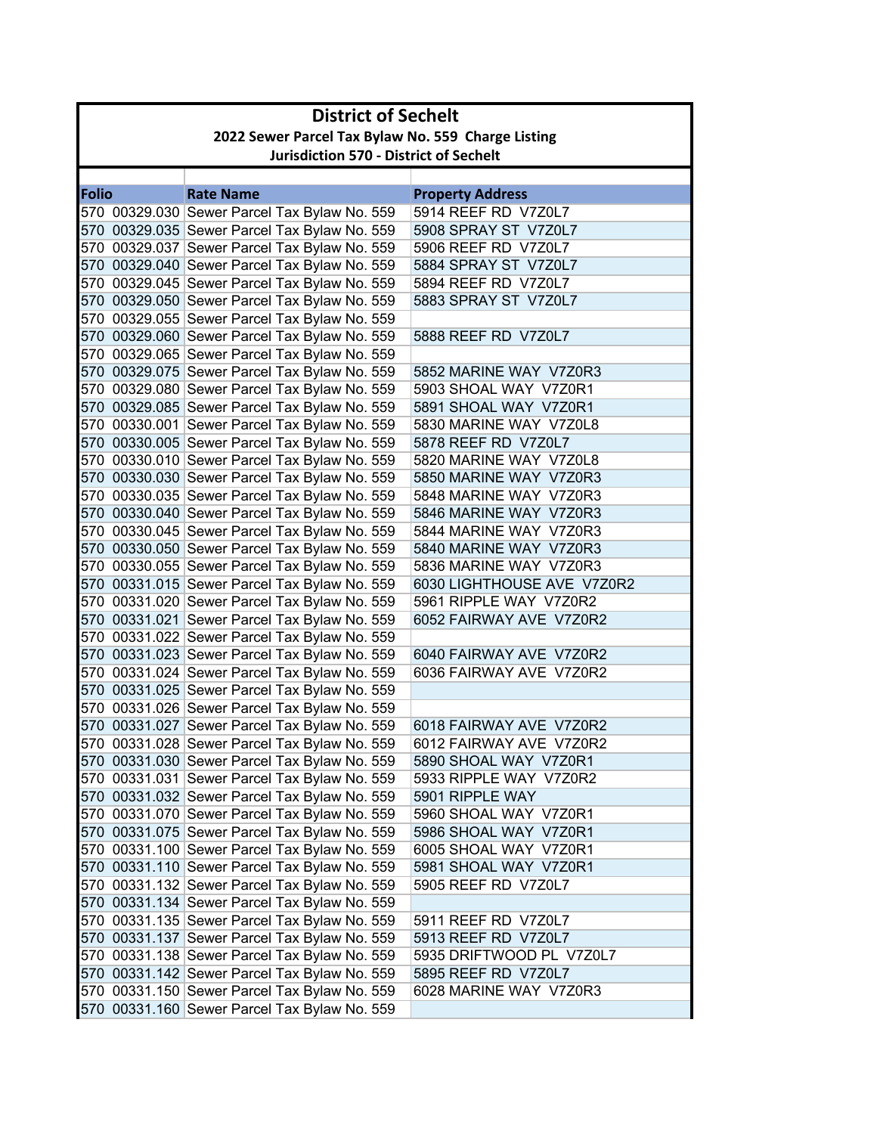|              | <b>District of Sechelt</b>                         |                                                                                              |                                                  |  |
|--------------|----------------------------------------------------|----------------------------------------------------------------------------------------------|--------------------------------------------------|--|
|              | 2022 Sewer Parcel Tax Bylaw No. 559 Charge Listing |                                                                                              |                                                  |  |
|              | <b>Jurisdiction 570 - District of Sechelt</b>      |                                                                                              |                                                  |  |
|              |                                                    |                                                                                              |                                                  |  |
| <b>Folio</b> |                                                    | <b>Rate Name</b>                                                                             | <b>Property Address</b>                          |  |
|              |                                                    | 570 00329.030 Sewer Parcel Tax Bylaw No. 559                                                 | 5914 REEF RD V7Z0L7                              |  |
|              |                                                    | 570 00329.035 Sewer Parcel Tax Bylaw No. 559                                                 | 5908 SPRAY ST V7Z0L7                             |  |
|              |                                                    | 570 00329.037 Sewer Parcel Tax Bylaw No. 559                                                 | 5906 REEF RD V7Z0L7                              |  |
|              |                                                    | 570 00329.040 Sewer Parcel Tax Bylaw No. 559                                                 | 5884 SPRAY ST V7Z0L7                             |  |
|              |                                                    | 570 00329.045 Sewer Parcel Tax Bylaw No. 559                                                 | 5894 REEF RD V7Z0L7                              |  |
|              |                                                    | 570 00329.050 Sewer Parcel Tax Bylaw No. 559                                                 | 5883 SPRAY ST V7Z0L7                             |  |
|              |                                                    | 570 00329.055 Sewer Parcel Tax Bylaw No. 559                                                 |                                                  |  |
|              |                                                    | 570 00329.060 Sewer Parcel Tax Bylaw No. 559                                                 | 5888 REEF RD V7Z0L7                              |  |
|              |                                                    | 570 00329.065 Sewer Parcel Tax Bylaw No. 559                                                 |                                                  |  |
|              |                                                    | 570 00329.075 Sewer Parcel Tax Bylaw No. 559                                                 | 5852 MARINE WAY V7Z0R3                           |  |
|              |                                                    | 570 00329.080 Sewer Parcel Tax Bylaw No. 559                                                 | 5903 SHOAL WAY V7Z0R1                            |  |
|              |                                                    | 570 00329.085 Sewer Parcel Tax Bylaw No. 559                                                 | 5891 SHOAL WAY V7Z0R1                            |  |
|              |                                                    | 570 00330.001 Sewer Parcel Tax Bylaw No. 559                                                 | 5830 MARINE WAY V7Z0L8                           |  |
|              |                                                    | 570 00330.005 Sewer Parcel Tax Bylaw No. 559                                                 | 5878 REEF RD V7Z0L7                              |  |
|              |                                                    | 570 00330.010 Sewer Parcel Tax Bylaw No. 559                                                 | 5820 MARINE WAY V7Z0L8                           |  |
|              |                                                    | 570 00330.030 Sewer Parcel Tax Bylaw No. 559<br>570 00330.035 Sewer Parcel Tax Bylaw No. 559 | 5850 MARINE WAY V7Z0R3<br>5848 MARINE WAY V7Z0R3 |  |
|              |                                                    |                                                                                              | 5846 MARINE WAY V7Z0R3                           |  |
|              |                                                    | 570 00330.040 Sewer Parcel Tax Bylaw No. 559<br>570 00330.045 Sewer Parcel Tax Bylaw No. 559 | 5844 MARINE WAY V7Z0R3                           |  |
|              |                                                    | 570 00330.050 Sewer Parcel Tax Bylaw No. 559                                                 | 5840 MARINE WAY V7Z0R3                           |  |
|              |                                                    | 570 00330.055 Sewer Parcel Tax Bylaw No. 559                                                 | 5836 MARINE WAY V7Z0R3                           |  |
|              |                                                    | 570 00331.015 Sewer Parcel Tax Bylaw No. 559                                                 | 6030 LIGHTHOUSE AVE V7Z0R2                       |  |
|              |                                                    | 570 00331.020 Sewer Parcel Tax Bylaw No. 559                                                 | 5961 RIPPLE WAY V7Z0R2                           |  |
|              |                                                    | 570 00331.021 Sewer Parcel Tax Bylaw No. 559                                                 | 6052 FAIRWAY AVE V7Z0R2                          |  |
|              |                                                    | 570 00331.022 Sewer Parcel Tax Bylaw No. 559                                                 |                                                  |  |
|              |                                                    | 570 00331.023 Sewer Parcel Tax Bylaw No. 559                                                 | 6040 FAIRWAY AVE V7Z0R2                          |  |
|              |                                                    | 570 00331.024 Sewer Parcel Tax Bylaw No. 559                                                 | 6036 FAIRWAY AVE V7Z0R2                          |  |
|              |                                                    | 570 00331.025 Sewer Parcel Tax Bylaw No. 559                                                 |                                                  |  |
|              |                                                    | 570 00331.026 Sewer Parcel Tax Bylaw No. 559                                                 |                                                  |  |
|              |                                                    | 570 00331.027 Sewer Parcel Tax Bylaw No. 559                                                 | 6018 FAIRWAY AVE V7Z0R2                          |  |
|              |                                                    | 570 00331.028 Sewer Parcel Tax Bylaw No. 559                                                 | 6012 FAIRWAY AVE V7Z0R2                          |  |
|              |                                                    | 570 00331.030 Sewer Parcel Tax Bylaw No. 559                                                 | 5890 SHOAL WAY V7Z0R1                            |  |
|              |                                                    | 570 00331.031 Sewer Parcel Tax Bylaw No. 559                                                 | 5933 RIPPLE WAY V7Z0R2                           |  |
|              |                                                    | 570 00331.032 Sewer Parcel Tax Bylaw No. 559                                                 | 5901 RIPPLE WAY                                  |  |
|              |                                                    | 570 00331.070 Sewer Parcel Tax Bylaw No. 559                                                 | 5960 SHOAL WAY V7Z0R1                            |  |
|              |                                                    | 570 00331.075 Sewer Parcel Tax Bylaw No. 559                                                 | 5986 SHOAL WAY V7Z0R1                            |  |
|              |                                                    | 570 00331.100 Sewer Parcel Tax Bylaw No. 559                                                 | 6005 SHOAL WAY V7Z0R1                            |  |
|              |                                                    | 570 00331.110 Sewer Parcel Tax Bylaw No. 559                                                 | 5981 SHOAL WAY V7Z0R1                            |  |
|              |                                                    | 570 00331.132 Sewer Parcel Tax Bylaw No. 559                                                 | 5905 REEF RD V7Z0L7                              |  |
|              |                                                    | 570 00331.134 Sewer Parcel Tax Bylaw No. 559                                                 |                                                  |  |
|              |                                                    | 570 00331.135 Sewer Parcel Tax Bylaw No. 559                                                 | 5911 REEF RD V7Z0L7                              |  |
|              |                                                    | 570 00331.137 Sewer Parcel Tax Bylaw No. 559                                                 | 5913 REEF RD V7Z0L7                              |  |
|              |                                                    | 570 00331.138 Sewer Parcel Tax Bylaw No. 559                                                 | 5935 DRIFTWOOD PL V7Z0L7                         |  |
|              |                                                    | 570 00331.142 Sewer Parcel Tax Bylaw No. 559                                                 | 5895 REEF RD V7Z0L7                              |  |
|              |                                                    | 570 00331.150 Sewer Parcel Tax Bylaw No. 559                                                 | 6028 MARINE WAY V7Z0R3                           |  |
|              |                                                    | 570 00331.160 Sewer Parcel Tax Bylaw No. 559                                                 |                                                  |  |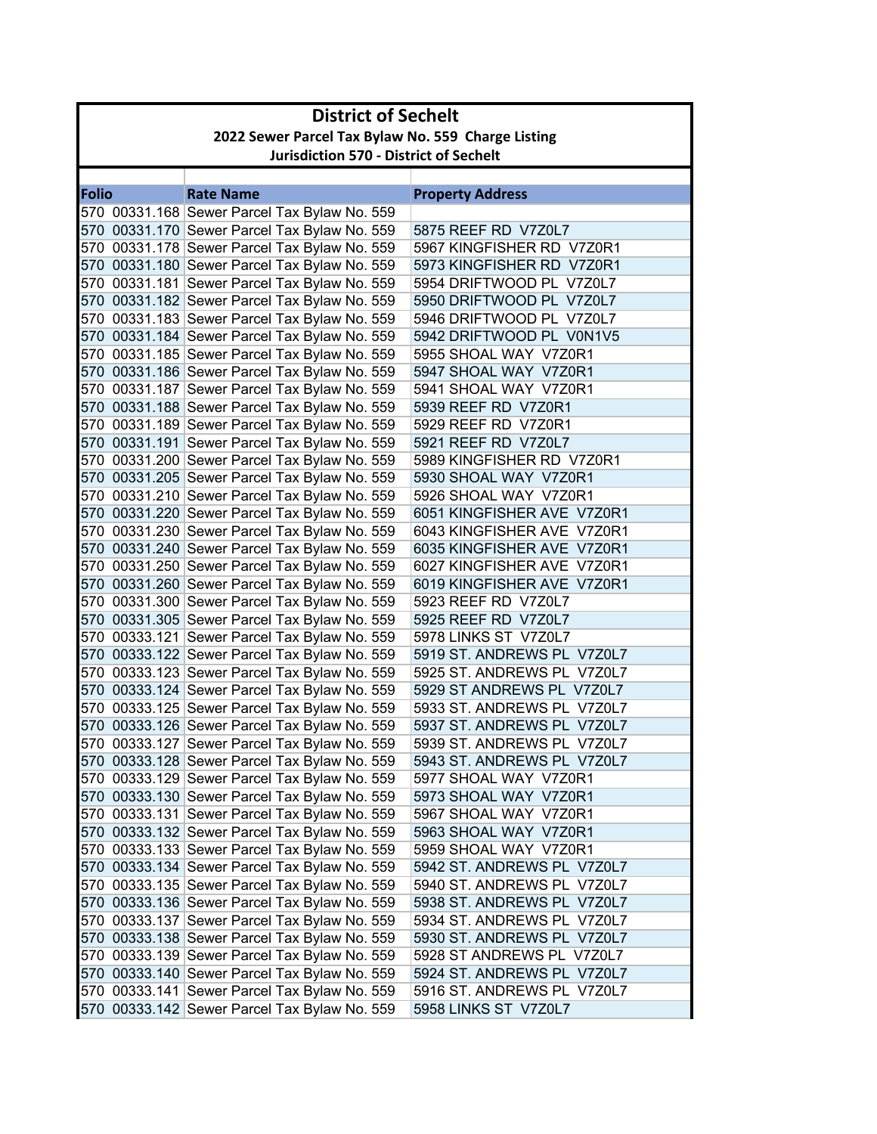|              | <b>District of Sechelt</b>                         |                                                                                              |                                                     |  |
|--------------|----------------------------------------------------|----------------------------------------------------------------------------------------------|-----------------------------------------------------|--|
|              | 2022 Sewer Parcel Tax Bylaw No. 559 Charge Listing |                                                                                              |                                                     |  |
|              | <b>Jurisdiction 570 - District of Sechelt</b>      |                                                                                              |                                                     |  |
|              |                                                    |                                                                                              |                                                     |  |
| <b>Folio</b> |                                                    | <b>Rate Name</b>                                                                             | <b>Property Address</b>                             |  |
|              |                                                    | 570 00331.168 Sewer Parcel Tax Bylaw No. 559                                                 |                                                     |  |
|              |                                                    | 570 00331.170 Sewer Parcel Tax Bylaw No. 559                                                 | 5875 REEF RD V7Z0L7                                 |  |
|              |                                                    | 570 00331.178 Sewer Parcel Tax Bylaw No. 559                                                 | 5967 KINGFISHER RD V7Z0R1                           |  |
|              |                                                    | 570 00331.180 Sewer Parcel Tax Bylaw No. 559                                                 | 5973 KINGFISHER RD V7Z0R1                           |  |
|              |                                                    | 570 00331.181 Sewer Parcel Tax Bylaw No. 559                                                 | 5954 DRIFTWOOD PL V7Z0L7                            |  |
|              |                                                    | 570 00331.182 Sewer Parcel Tax Bylaw No. 559                                                 | 5950 DRIFTWOOD PL V7Z0L7                            |  |
|              |                                                    | 570 00331.183 Sewer Parcel Tax Bylaw No. 559                                                 | 5946 DRIFTWOOD PL V7Z0L7                            |  |
|              |                                                    | 570 00331.184 Sewer Parcel Tax Bylaw No. 559                                                 | 5942 DRIFTWOOD PL V0N1V5                            |  |
|              |                                                    | 570 00331.185 Sewer Parcel Tax Bylaw No. 559                                                 | 5955 SHOAL WAY V7Z0R1                               |  |
|              |                                                    | 570 00331.186 Sewer Parcel Tax Bylaw No. 559                                                 | 5947 SHOAL WAY V7Z0R1                               |  |
|              |                                                    | 570 00331.187 Sewer Parcel Tax Bylaw No. 559                                                 | 5941 SHOAL WAY V7Z0R1                               |  |
|              |                                                    | 570 00331.188 Sewer Parcel Tax Bylaw No. 559                                                 | 5939 REEF RD V7Z0R1                                 |  |
|              |                                                    | 570 00331.189 Sewer Parcel Tax Bylaw No. 559                                                 | 5929 REEF RD V7Z0R1                                 |  |
|              |                                                    | 570 00331.191 Sewer Parcel Tax Bylaw No. 559                                                 | 5921 REEF RD V7Z0L7                                 |  |
|              |                                                    | 570 00331.200 Sewer Parcel Tax Bylaw No. 559                                                 | 5989 KINGFISHER RD V7Z0R1                           |  |
|              |                                                    | 570 00331.205 Sewer Parcel Tax Bylaw No. 559                                                 | 5930 SHOAL WAY V7Z0R1                               |  |
|              |                                                    | 570 00331.210 Sewer Parcel Tax Bylaw No. 559                                                 | 5926 SHOAL WAY V7Z0R1<br>6051 KINGFISHER AVE V7Z0R1 |  |
|              |                                                    | 570 00331.220 Sewer Parcel Tax Bylaw No. 559                                                 |                                                     |  |
|              |                                                    | 570 00331.230 Sewer Parcel Tax Bylaw No. 559                                                 | 6043 KINGFISHER AVE V7Z0R1                          |  |
|              |                                                    | 570 00331.240 Sewer Parcel Tax Bylaw No. 559                                                 | 6035 KINGFISHER AVE V7Z0R1                          |  |
|              |                                                    | 570 00331.250 Sewer Parcel Tax Bylaw No. 559                                                 | 6027 KINGFISHER AVE V7Z0R1                          |  |
|              |                                                    | 570 00331.260 Sewer Parcel Tax Bylaw No. 559                                                 | 6019 KINGFISHER AVE V7Z0R1                          |  |
|              |                                                    | 570 00331.300 Sewer Parcel Tax Bylaw No. 559                                                 | 5923 REEF RD V7Z0L7                                 |  |
|              |                                                    | 570 00331.305 Sewer Parcel Tax Bylaw No. 559                                                 | 5925 REEF RD V7Z0L7<br>5978 LINKS ST V7Z0L7         |  |
|              |                                                    | 570 00333.121 Sewer Parcel Tax Bylaw No. 559<br>570 00333.122 Sewer Parcel Tax Bylaw No. 559 | 5919 ST. ANDREWS PL V7Z0L7                          |  |
|              |                                                    | 570 00333.123 Sewer Parcel Tax Bylaw No. 559                                                 | 5925 ST. ANDREWS PL V7Z0L7                          |  |
|              |                                                    | 570 00333.124 Sewer Parcel Tax Bylaw No. 559                                                 | 5929 ST ANDREWS PL V7Z0L7                           |  |
|              |                                                    | 570 00333.125 Sewer Parcel Tax Bylaw No. 559                                                 | 5933 ST. ANDREWS PL V7Z0L7                          |  |
|              |                                                    | 570 00333.126 Sewer Parcel Tax Bylaw No. 559                                                 | 5937 ST. ANDREWS PL V7Z0L7                          |  |
|              |                                                    | 570 00333.127 Sewer Parcel Tax Bylaw No. 559                                                 | 5939 ST. ANDREWS PL V7Z0L7                          |  |
|              |                                                    | 570 00333.128 Sewer Parcel Tax Bylaw No. 559                                                 | 5943 ST. ANDREWS PL V7Z0L7                          |  |
|              |                                                    | 570 00333.129 Sewer Parcel Tax Bylaw No. 559                                                 | 5977 SHOAL WAY V7Z0R1                               |  |
|              |                                                    | 570 00333.130 Sewer Parcel Tax Bylaw No. 559                                                 | 5973 SHOAL WAY V7Z0R1                               |  |
|              |                                                    | 570 00333.131 Sewer Parcel Tax Bylaw No. 559                                                 | 5967 SHOAL WAY V7Z0R1                               |  |
|              |                                                    | 570 00333.132 Sewer Parcel Tax Bylaw No. 559                                                 | 5963 SHOAL WAY V7Z0R1                               |  |
|              |                                                    | 570 00333.133 Sewer Parcel Tax Bylaw No. 559                                                 | 5959 SHOAL WAY V7Z0R1                               |  |
|              |                                                    | 570 00333.134 Sewer Parcel Tax Bylaw No. 559                                                 | 5942 ST. ANDREWS PL V7Z0L7                          |  |
|              |                                                    | 570 00333.135 Sewer Parcel Tax Bylaw No. 559                                                 | 5940 ST. ANDREWS PL V7Z0L7                          |  |
|              |                                                    | 570 00333.136 Sewer Parcel Tax Bylaw No. 559                                                 | 5938 ST. ANDREWS PL V7Z0L7                          |  |
|              |                                                    | 570 00333.137 Sewer Parcel Tax Bylaw No. 559                                                 | 5934 ST. ANDREWS PL_V7Z0L7                          |  |
|              |                                                    | 570 00333.138 Sewer Parcel Tax Bylaw No. 559                                                 | 5930 ST. ANDREWS PL V7Z0L7                          |  |
|              |                                                    | 570 00333.139 Sewer Parcel Tax Bylaw No. 559                                                 | 5928 ST ANDREWS PL V7Z0L7                           |  |
|              |                                                    | 570 00333.140 Sewer Parcel Tax Bylaw No. 559                                                 | 5924 ST. ANDREWS PL V7Z0L7                          |  |
|              |                                                    | 570 00333.141 Sewer Parcel Tax Bylaw No. 559                                                 | 5916 ST. ANDREWS PL V7Z0L7                          |  |
|              |                                                    | 570 00333.142 Sewer Parcel Tax Bylaw No. 559                                                 | 5958 LINKS ST V7Z0L7                                |  |
|              |                                                    |                                                                                              |                                                     |  |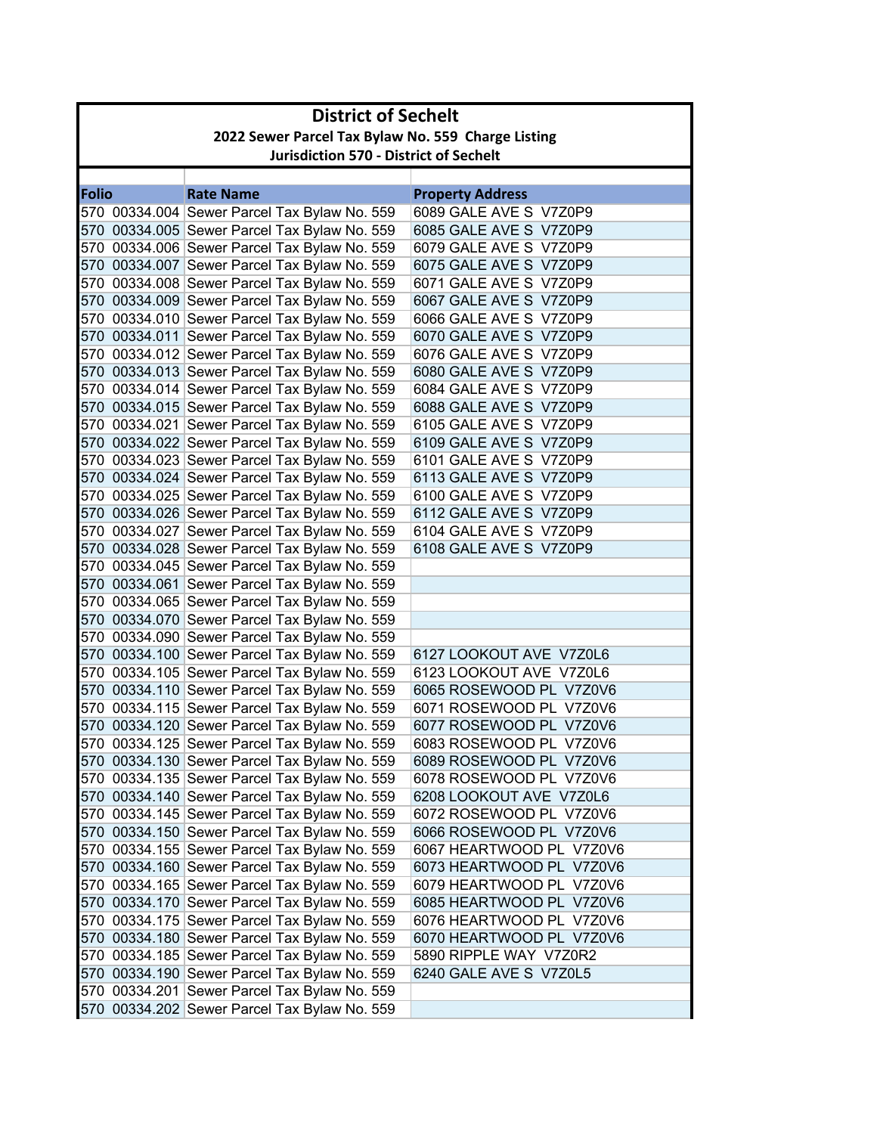|              | <b>District of Sechelt</b> |                                                    |                          |  |
|--------------|----------------------------|----------------------------------------------------|--------------------------|--|
|              |                            | 2022 Sewer Parcel Tax Bylaw No. 559 Charge Listing |                          |  |
|              |                            | <b>Jurisdiction 570 - District of Sechelt</b>      |                          |  |
|              |                            |                                                    |                          |  |
| <b>Folio</b> |                            | <b>Rate Name</b>                                   | <b>Property Address</b>  |  |
|              |                            | 570 00334.004 Sewer Parcel Tax Bylaw No. 559       | 6089 GALE AVE S V7Z0P9   |  |
|              |                            | 570 00334.005 Sewer Parcel Tax Bylaw No. 559       | 6085 GALE AVE S V7Z0P9   |  |
|              |                            | 570 00334.006 Sewer Parcel Tax Bylaw No. 559       | 6079 GALE AVE S V7Z0P9   |  |
|              |                            | 570 00334.007 Sewer Parcel Tax Bylaw No. 559       | 6075 GALE AVE S V7Z0P9   |  |
|              |                            | 570 00334.008 Sewer Parcel Tax Bylaw No. 559       | 6071 GALE AVE S V7Z0P9   |  |
|              |                            | 570 00334.009 Sewer Parcel Tax Bylaw No. 559       | 6067 GALE AVE S V7Z0P9   |  |
|              |                            | 570 00334.010 Sewer Parcel Tax Bylaw No. 559       | 6066 GALE AVE S V7Z0P9   |  |
|              |                            | 570 00334.011 Sewer Parcel Tax Bylaw No. 559       | 6070 GALE AVE S V7Z0P9   |  |
|              |                            | 570 00334.012 Sewer Parcel Tax Bylaw No. 559       | 6076 GALE AVE S V7Z0P9   |  |
|              |                            | 570 00334.013 Sewer Parcel Tax Bylaw No. 559       | 6080 GALE AVE S V7Z0P9   |  |
|              |                            | 570 00334.014 Sewer Parcel Tax Bylaw No. 559       | 6084 GALE AVE S V7Z0P9   |  |
|              |                            | 570 00334.015 Sewer Parcel Tax Bylaw No. 559       | 6088 GALE AVE S V7Z0P9   |  |
|              |                            | 570 00334.021 Sewer Parcel Tax Bylaw No. 559       | 6105 GALE AVE S V7Z0P9   |  |
|              |                            | 570 00334.022 Sewer Parcel Tax Bylaw No. 559       | 6109 GALE AVE S V7Z0P9   |  |
|              |                            | 570 00334.023 Sewer Parcel Tax Bylaw No. 559       | 6101 GALE AVE S V7Z0P9   |  |
|              |                            | 570 00334.024 Sewer Parcel Tax Bylaw No. 559       | 6113 GALE AVE S V7Z0P9   |  |
|              |                            | 570 00334.025 Sewer Parcel Tax Bylaw No. 559       | 6100 GALE AVE S V7Z0P9   |  |
|              |                            | 570 00334.026 Sewer Parcel Tax Bylaw No. 559       | 6112 GALE AVE S V7Z0P9   |  |
|              |                            | 570 00334.027 Sewer Parcel Tax Bylaw No. 559       | 6104 GALE AVE S V7Z0P9   |  |
|              |                            | 570 00334.028 Sewer Parcel Tax Bylaw No. 559       | 6108 GALE AVE S V7Z0P9   |  |
|              |                            | 570 00334.045 Sewer Parcel Tax Bylaw No. 559       |                          |  |
|              |                            | 570 00334.061 Sewer Parcel Tax Bylaw No. 559       |                          |  |
|              |                            | 570 00334.065 Sewer Parcel Tax Bylaw No. 559       |                          |  |
|              |                            | 570 00334.070 Sewer Parcel Tax Bylaw No. 559       |                          |  |
|              |                            | 570 00334.090 Sewer Parcel Tax Bylaw No. 559       |                          |  |
|              |                            | 570 00334.100 Sewer Parcel Tax Bylaw No. 559       | 6127 LOOKOUT AVE V7Z0L6  |  |
|              |                            | 570 00334.105 Sewer Parcel Tax Bylaw No. 559       | 6123 LOOKOUT AVE V7Z0L6  |  |
|              |                            | 570 00334.110 Sewer Parcel Tax Bylaw No. 559       | 6065 ROSEWOOD PL V7Z0V6  |  |
|              |                            | 570 00334.115 Sewer Parcel Tax Bylaw No. 559       | 6071 ROSEWOOD PL V7Z0V6  |  |
|              |                            | 570 00334.120 Sewer Parcel Tax Bylaw No. 559       | 6077 ROSEWOOD PL V7Z0V6  |  |
|              |                            | 570 00334.125 Sewer Parcel Tax Bylaw No. 559       | 6083 ROSEWOOD PL V7Z0V6  |  |
|              |                            | 570 00334.130 Sewer Parcel Tax Bylaw No. 559       | 6089 ROSEWOOD PL V7Z0V6  |  |
|              |                            | 570 00334.135 Sewer Parcel Tax Bylaw No. 559       | 6078 ROSEWOOD PL V7Z0V6  |  |
|              |                            | 570 00334.140 Sewer Parcel Tax Bylaw No. 559       | 6208 LOOKOUT AVE V7Z0L6  |  |
|              |                            | 570 00334.145 Sewer Parcel Tax Bylaw No. 559       | 6072 ROSEWOOD PL V7Z0V6  |  |
|              |                            | 570 00334.150 Sewer Parcel Tax Bylaw No. 559       | 6066 ROSEWOOD PL V7Z0V6  |  |
|              |                            | 570 00334.155 Sewer Parcel Tax Bylaw No. 559       | 6067 HEARTWOOD PL V7Z0V6 |  |
|              |                            | 570 00334.160 Sewer Parcel Tax Bylaw No. 559       | 6073 HEARTWOOD PL V7Z0V6 |  |
|              |                            | 570 00334.165 Sewer Parcel Tax Bylaw No. 559       | 6079 HEARTWOOD PL V7Z0V6 |  |
|              |                            | 570 00334.170 Sewer Parcel Tax Bylaw No. 559       | 6085 HEARTWOOD PL V7Z0V6 |  |
|              |                            | 570 00334.175 Sewer Parcel Tax Bylaw No. 559       | 6076 HEARTWOOD PL V7Z0V6 |  |
|              |                            | 570 00334.180 Sewer Parcel Tax Bylaw No. 559       | 6070 HEARTWOOD PL V7Z0V6 |  |
|              |                            | 570 00334.185 Sewer Parcel Tax Bylaw No. 559       | 5890 RIPPLE WAY V7Z0R2   |  |
|              |                            | 570 00334.190 Sewer Parcel Tax Bylaw No. 559       | 6240 GALE AVE S V7Z0L5   |  |
|              |                            | 570 00334.201 Sewer Parcel Tax Bylaw No. 559       |                          |  |
|              |                            | 570 00334.202 Sewer Parcel Tax Bylaw No. 559       |                          |  |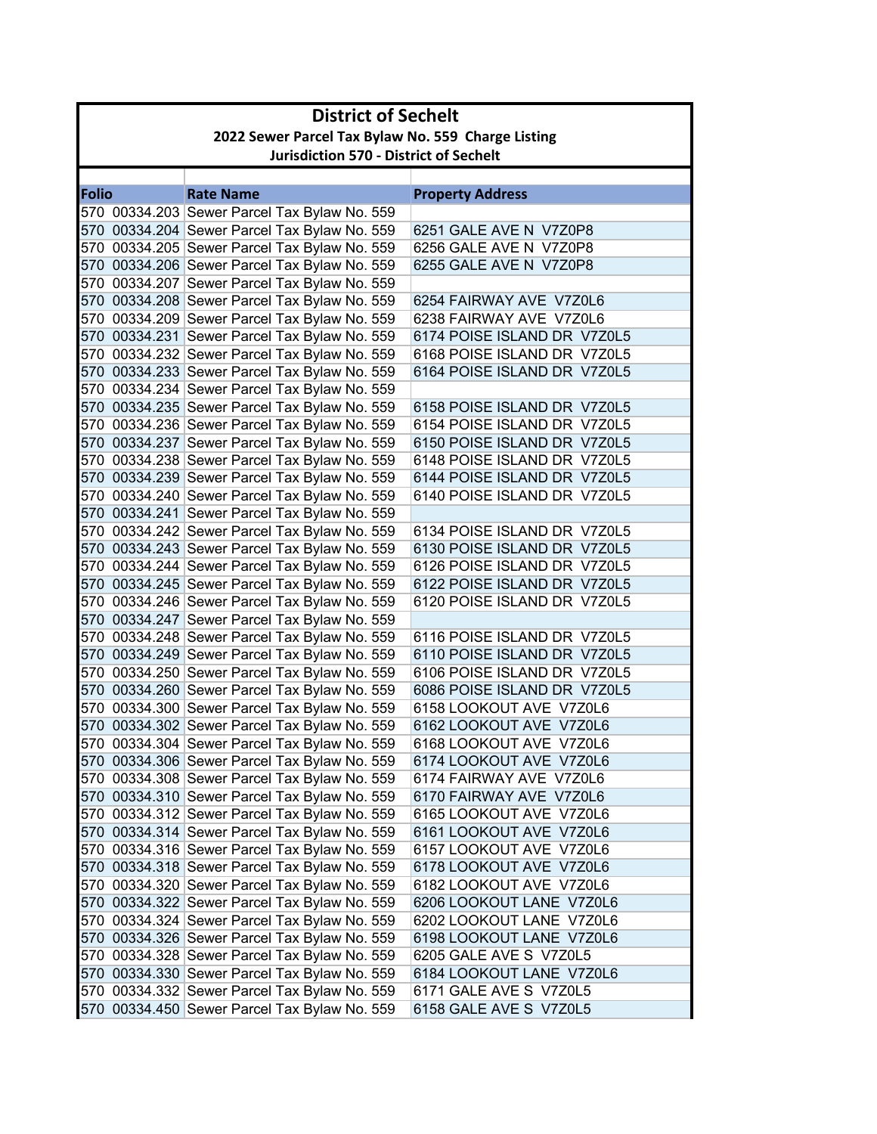|       | <b>District of Sechelt</b>                         |                                                                                              |                             |  |
|-------|----------------------------------------------------|----------------------------------------------------------------------------------------------|-----------------------------|--|
|       | 2022 Sewer Parcel Tax Bylaw No. 559 Charge Listing |                                                                                              |                             |  |
|       | <b>Jurisdiction 570 - District of Sechelt</b>      |                                                                                              |                             |  |
|       |                                                    |                                                                                              |                             |  |
| Folio |                                                    | <b>Rate Name</b>                                                                             | <b>Property Address</b>     |  |
|       |                                                    | 570 00334.203 Sewer Parcel Tax Bylaw No. 559                                                 |                             |  |
|       |                                                    | 570 00334.204 Sewer Parcel Tax Bylaw No. 559                                                 | 6251 GALE AVE N V7Z0P8      |  |
|       |                                                    | 570 00334.205 Sewer Parcel Tax Bylaw No. 559                                                 | 6256 GALE AVE N V7Z0P8      |  |
|       |                                                    | 570 00334.206 Sewer Parcel Tax Bylaw No. 559<br>570 00334.207 Sewer Parcel Tax Bylaw No. 559 | 6255 GALE AVE N V7Z0P8      |  |
|       |                                                    | 570 00334.208 Sewer Parcel Tax Bylaw No. 559                                                 | 6254 FAIRWAY AVE V7Z0L6     |  |
|       |                                                    | 570 00334.209 Sewer Parcel Tax Bylaw No. 559                                                 | 6238 FAIRWAY AVE V7Z0L6     |  |
|       |                                                    | 570 00334.231 Sewer Parcel Tax Bylaw No. 559                                                 | 6174 POISE ISLAND DR V7Z0L5 |  |
|       |                                                    | 570 00334.232 Sewer Parcel Tax Bylaw No. 559                                                 | 6168 POISE ISLAND DR V7Z0L5 |  |
|       |                                                    | 570 00334.233 Sewer Parcel Tax Bylaw No. 559                                                 | 6164 POISE ISLAND DR V7Z0L5 |  |
|       |                                                    | 570 00334.234 Sewer Parcel Tax Bylaw No. 559                                                 |                             |  |
|       |                                                    | 570 00334.235 Sewer Parcel Tax Bylaw No. 559                                                 | 6158 POISE ISLAND DR V7Z0L5 |  |
|       |                                                    | 570 00334.236 Sewer Parcel Tax Bylaw No. 559                                                 | 6154 POISE ISLAND DR V7Z0L5 |  |
|       |                                                    | 570 00334.237 Sewer Parcel Tax Bylaw No. 559                                                 | 6150 POISE ISLAND DR V7Z0L5 |  |
|       |                                                    | 570 00334.238 Sewer Parcel Tax Bylaw No. 559                                                 | 6148 POISE ISLAND DR V7Z0L5 |  |
|       |                                                    | 570 00334.239 Sewer Parcel Tax Bylaw No. 559                                                 | 6144 POISE ISLAND DR V7Z0L5 |  |
|       |                                                    | 570 00334.240 Sewer Parcel Tax Bylaw No. 559                                                 | 6140 POISE ISLAND DR V7Z0L5 |  |
|       |                                                    | 570 00334.241 Sewer Parcel Tax Bylaw No. 559                                                 |                             |  |
|       |                                                    | 570 00334.242 Sewer Parcel Tax Bylaw No. 559                                                 | 6134 POISE ISLAND DR V7Z0L5 |  |
|       |                                                    | 570 00334.243 Sewer Parcel Tax Bylaw No. 559                                                 | 6130 POISE ISLAND DR V7Z0L5 |  |
|       |                                                    | 570 00334.244 Sewer Parcel Tax Bylaw No. 559                                                 | 6126 POISE ISLAND DR V7Z0L5 |  |
|       |                                                    | 570 00334.245 Sewer Parcel Tax Bylaw No. 559                                                 | 6122 POISE ISLAND DR V7Z0L5 |  |
|       |                                                    | 570 00334.246 Sewer Parcel Tax Bylaw No. 559                                                 | 6120 POISE ISLAND DR V7Z0L5 |  |
|       |                                                    | 570 00334.247 Sewer Parcel Tax Bylaw No. 559                                                 |                             |  |
|       |                                                    | 570 00334.248 Sewer Parcel Tax Bylaw No. 559                                                 | 6116 POISE ISLAND DR V7Z0L5 |  |
|       |                                                    | 570 00334.249 Sewer Parcel Tax Bylaw No. 559                                                 | 6110 POISE ISLAND DR V7Z0L5 |  |
|       |                                                    | 570 00334.250 Sewer Parcel Tax Bylaw No. 559                                                 | 6106 POISE ISLAND DR V7Z0L5 |  |
|       |                                                    | 570 00334.260 Sewer Parcel Tax Bylaw No. 559                                                 | 6086 POISE ISLAND DR V7Z0L5 |  |
|       |                                                    | 570 00334.300 Sewer Parcel Tax Bylaw No. 559                                                 | 6158 LOOKOUT AVE V7Z0L6     |  |
|       |                                                    | 570 00334.302 Sewer Parcel Tax Bylaw No. 559                                                 | 6162 LOOKOUT AVE V7Z0L6     |  |
|       |                                                    | 570 00334.304 Sewer Parcel Tax Bylaw No. 559                                                 | 6168 LOOKOUT AVE V7Z0L6     |  |
|       |                                                    | 570 00334.306 Sewer Parcel Tax Bylaw No. 559                                                 | 6174 LOOKOUT AVE V7Z0L6     |  |
|       |                                                    | 570 00334.308 Sewer Parcel Tax Bylaw No. 559                                                 | 6174 FAIRWAY AVE V7Z0L6     |  |
|       |                                                    | 570 00334.310 Sewer Parcel Tax Bylaw No. 559                                                 | 6170 FAIRWAY AVE V7Z0L6     |  |
|       |                                                    | 570 00334.312 Sewer Parcel Tax Bylaw No. 559                                                 | 6165 LOOKOUT AVE V7Z0L6     |  |
|       |                                                    | 570 00334.314 Sewer Parcel Tax Bylaw No. 559                                                 | 6161 LOOKOUT AVE V7Z0L6     |  |
|       |                                                    | 570 00334.316 Sewer Parcel Tax Bylaw No. 559                                                 | 6157 LOOKOUT AVE V7Z0L6     |  |
|       |                                                    | 570 00334.318 Sewer Parcel Tax Bylaw No. 559                                                 | 6178 LOOKOUT AVE V7Z0L6     |  |
|       |                                                    | 570 00334.320 Sewer Parcel Tax Bylaw No. 559                                                 | 6182 LOOKOUT AVE V7Z0L6     |  |
|       |                                                    | 570 00334.322 Sewer Parcel Tax Bylaw No. 559                                                 | 6206 LOOKOUT LANE V7Z0L6    |  |
|       |                                                    | 570 00334.324 Sewer Parcel Tax Bylaw No. 559                                                 | 6202 LOOKOUT LANE V7Z0L6    |  |
|       |                                                    | 570 00334.326 Sewer Parcel Tax Bylaw No. 559                                                 | 6198 LOOKOUT LANE V7Z0L6    |  |
|       |                                                    | 570 00334.328 Sewer Parcel Tax Bylaw No. 559                                                 | 6205 GALE AVE S V7Z0L5      |  |
|       |                                                    | 570 00334.330 Sewer Parcel Tax Bylaw No. 559                                                 | 6184 LOOKOUT LANE V7Z0L6    |  |
|       |                                                    | 570 00334.332 Sewer Parcel Tax Bylaw No. 559                                                 | 6171 GALE AVE S V7Z0L5      |  |
|       |                                                    | 570 00334.450 Sewer Parcel Tax Bylaw No. 559                                                 | 6158 GALE AVE S V7Z0L5      |  |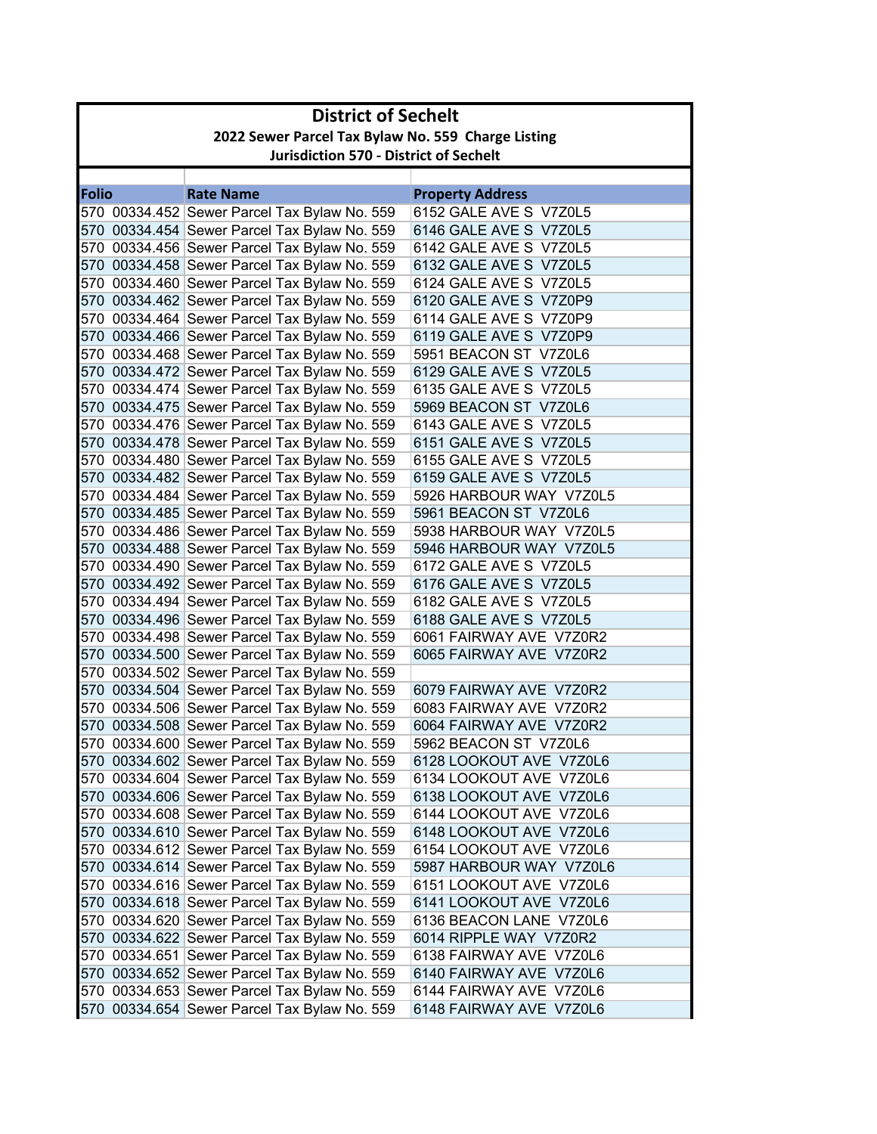| 2022 Sewer Parcel Tax Bylaw No. 559 Charge Listing<br><b>Jurisdiction 570 - District of Sechelt</b><br><b>Folio</b><br><b>Rate Name</b><br><b>Property Address</b><br>6152 GALE AVE S V7Z0L5<br>570 00334.452 Sewer Parcel Tax Bylaw No. 559<br>570 00334.454 Sewer Parcel Tax Bylaw No. 559<br>6146 GALE AVE S V7Z0L5<br>570 00334.456 Sewer Parcel Tax Bylaw No. 559<br>6142 GALE AVE S V7Z0L5<br>570 00334.458 Sewer Parcel Tax Bylaw No. 559<br>6132 GALE AVE S V7Z0L5<br>570 00334.460 Sewer Parcel Tax Bylaw No. 559<br>6124 GALE AVE S V7Z0L5<br>570 00334.462 Sewer Parcel Tax Bylaw No. 559<br>6120 GALE AVE S V7Z0P9<br>570 00334.464 Sewer Parcel Tax Bylaw No. 559<br>6114 GALE AVE S V7Z0P9<br>570 00334.466 Sewer Parcel Tax Bylaw No. 559<br>6119 GALE AVE S V7Z0P9<br>570 00334.468 Sewer Parcel Tax Bylaw No. 559<br>5951 BEACON ST V7Z0L6<br>6129 GALE AVE S V7Z0L5<br>570 00334.472 Sewer Parcel Tax Bylaw No. 559<br>570 00334.474 Sewer Parcel Tax Bylaw No. 559<br>6135 GALE AVE S V7Z0L5<br>570 00334.475 Sewer Parcel Tax Bylaw No. 559<br>5969 BEACON ST V7Z0L6<br>570 00334.476 Sewer Parcel Tax Bylaw No. 559<br>6143 GALE AVE S V7Z0L5<br>570 00334.478 Sewer Parcel Tax Bylaw No. 559<br>6151 GALE AVE S V7Z0L5<br>570 00334.480 Sewer Parcel Tax Bylaw No. 559<br>6155 GALE AVE S V7Z0L5<br>570 00334.482 Sewer Parcel Tax Bylaw No. 559<br>6159 GALE AVE S V7Z0L5<br>570 00334.484 Sewer Parcel Tax Bylaw No. 559<br>5926 HARBOUR WAY V7Z0L5<br>570 00334.485 Sewer Parcel Tax Bylaw No. 559<br>5961 BEACON ST V7Z0L6<br>570 00334.486 Sewer Parcel Tax Bylaw No. 559<br>5938 HARBOUR WAY V7Z0L5<br>570 00334.488 Sewer Parcel Tax Bylaw No. 559<br>5946 HARBOUR WAY V7Z0L5<br>570 00334.490 Sewer Parcel Tax Bylaw No. 559<br>6172 GALE AVE S V7Z0L5<br>570 00334.492 Sewer Parcel Tax Bylaw No. 559<br>6176 GALE AVE S V7Z0L5<br>570 00334.494 Sewer Parcel Tax Bylaw No. 559<br>6182 GALE AVE S V7Z0L5<br>570 00334.496 Sewer Parcel Tax Bylaw No. 559<br>6188 GALE AVE S V7Z0L5<br>570 00334.498 Sewer Parcel Tax Bylaw No. 559<br>6061 FAIRWAY AVE V7Z0R2<br>6065 FAIRWAY AVE V7Z0R2<br>570 00334.500 Sewer Parcel Tax Bylaw No. 559<br>570 00334.502 Sewer Parcel Tax Bylaw No. 559<br>570 00334.504 Sewer Parcel Tax Bylaw No. 559<br>6079 FAIRWAY AVE V7Z0R2<br>570 00334.506 Sewer Parcel Tax Bylaw No. 559<br>6083 FAIRWAY AVE V7Z0R2<br>570 00334.508 Sewer Parcel Tax Bylaw No. 559<br>6064 FAIRWAY AVE V7Z0R2<br>570 00334.600 Sewer Parcel Tax Bylaw No. 559<br>5962 BEACON ST V7Z0L6<br>570 00334.602 Sewer Parcel Tax Bylaw No. 559<br>6128 LOOKOUT AVE V7Z0L6<br>570 00334.604 Sewer Parcel Tax Bylaw No. 559<br>6134 LOOKOUT AVE V7Z0L6<br>570 00334.606 Sewer Parcel Tax Bylaw No. 559<br>6138 LOOKOUT AVE V7Z0L6<br>570 00334.608 Sewer Parcel Tax Bylaw No. 559<br>6144 LOOKOUT AVE V7Z0L6<br>570 00334.610 Sewer Parcel Tax Bylaw No. 559<br>6148 LOOKOUT AVE V7Z0L6<br>570 00334.612 Sewer Parcel Tax Bylaw No. 559<br>6154 LOOKOUT AVE V7Z0L6<br>570 00334.614 Sewer Parcel Tax Bylaw No. 559<br>5987 HARBOUR WAY V7Z0L6<br>570 00334.616 Sewer Parcel Tax Bylaw No. 559<br>6151 LOOKOUT AVE V7Z0L6<br>570 00334.618 Sewer Parcel Tax Bylaw No. 559<br>6141 LOOKOUT AVE V7Z0L6<br>570 00334.620 Sewer Parcel Tax Bylaw No. 559<br>6136 BEACON LANE V7Z0L6<br>570 00334.622 Sewer Parcel Tax Bylaw No. 559<br>6014 RIPPLE WAY V7Z0R2<br>570 00334.651 Sewer Parcel Tax Bylaw No. 559<br>6138 FAIRWAY AVE V7Z0L6<br>570 00334.652 Sewer Parcel Tax Bylaw No. 559<br>6140 FAIRWAY AVE V7Z0L6<br>570 00334.653 Sewer Parcel Tax Bylaw No. 559<br>6144 FAIRWAY AVE V7Z0L6<br>570 00334.654 Sewer Parcel Tax Bylaw No. 559 | <b>District of Sechelt</b> |  |                         |  |
|-----------------------------------------------------------------------------------------------------------------------------------------------------------------------------------------------------------------------------------------------------------------------------------------------------------------------------------------------------------------------------------------------------------------------------------------------------------------------------------------------------------------------------------------------------------------------------------------------------------------------------------------------------------------------------------------------------------------------------------------------------------------------------------------------------------------------------------------------------------------------------------------------------------------------------------------------------------------------------------------------------------------------------------------------------------------------------------------------------------------------------------------------------------------------------------------------------------------------------------------------------------------------------------------------------------------------------------------------------------------------------------------------------------------------------------------------------------------------------------------------------------------------------------------------------------------------------------------------------------------------------------------------------------------------------------------------------------------------------------------------------------------------------------------------------------------------------------------------------------------------------------------------------------------------------------------------------------------------------------------------------------------------------------------------------------------------------------------------------------------------------------------------------------------------------------------------------------------------------------------------------------------------------------------------------------------------------------------------------------------------------------------------------------------------------------------------------------------------------------------------------------------------------------------------------------------------------------------------------------------------------------------------------------------------------------------------------------------------------------------------------------------------------------------------------------------------------------------------------------------------------------------------------------------------------------------------------------------------------------------------------------------------------------------------------------------------------------------------------------------------------------------------------------------------------------------------------------------------------------------------------------------------------------------------------------------------------------------------------------------------------------------------------------------------------------------------------------------------------------------------------------------------------------------------------------------------------------------------------------------------------------------------------------------------------|----------------------------|--|-------------------------|--|
|                                                                                                                                                                                                                                                                                                                                                                                                                                                                                                                                                                                                                                                                                                                                                                                                                                                                                                                                                                                                                                                                                                                                                                                                                                                                                                                                                                                                                                                                                                                                                                                                                                                                                                                                                                                                                                                                                                                                                                                                                                                                                                                                                                                                                                                                                                                                                                                                                                                                                                                                                                                                                                                                                                                                                                                                                                                                                                                                                                                                                                                                                                                                                                                                                                                                                                                                                                                                                                                                                                                                                                                                                                                                             |                            |  |                         |  |
|                                                                                                                                                                                                                                                                                                                                                                                                                                                                                                                                                                                                                                                                                                                                                                                                                                                                                                                                                                                                                                                                                                                                                                                                                                                                                                                                                                                                                                                                                                                                                                                                                                                                                                                                                                                                                                                                                                                                                                                                                                                                                                                                                                                                                                                                                                                                                                                                                                                                                                                                                                                                                                                                                                                                                                                                                                                                                                                                                                                                                                                                                                                                                                                                                                                                                                                                                                                                                                                                                                                                                                                                                                                                             |                            |  |                         |  |
|                                                                                                                                                                                                                                                                                                                                                                                                                                                                                                                                                                                                                                                                                                                                                                                                                                                                                                                                                                                                                                                                                                                                                                                                                                                                                                                                                                                                                                                                                                                                                                                                                                                                                                                                                                                                                                                                                                                                                                                                                                                                                                                                                                                                                                                                                                                                                                                                                                                                                                                                                                                                                                                                                                                                                                                                                                                                                                                                                                                                                                                                                                                                                                                                                                                                                                                                                                                                                                                                                                                                                                                                                                                                             |                            |  |                         |  |
|                                                                                                                                                                                                                                                                                                                                                                                                                                                                                                                                                                                                                                                                                                                                                                                                                                                                                                                                                                                                                                                                                                                                                                                                                                                                                                                                                                                                                                                                                                                                                                                                                                                                                                                                                                                                                                                                                                                                                                                                                                                                                                                                                                                                                                                                                                                                                                                                                                                                                                                                                                                                                                                                                                                                                                                                                                                                                                                                                                                                                                                                                                                                                                                                                                                                                                                                                                                                                                                                                                                                                                                                                                                                             |                            |  |                         |  |
|                                                                                                                                                                                                                                                                                                                                                                                                                                                                                                                                                                                                                                                                                                                                                                                                                                                                                                                                                                                                                                                                                                                                                                                                                                                                                                                                                                                                                                                                                                                                                                                                                                                                                                                                                                                                                                                                                                                                                                                                                                                                                                                                                                                                                                                                                                                                                                                                                                                                                                                                                                                                                                                                                                                                                                                                                                                                                                                                                                                                                                                                                                                                                                                                                                                                                                                                                                                                                                                                                                                                                                                                                                                                             |                            |  |                         |  |
|                                                                                                                                                                                                                                                                                                                                                                                                                                                                                                                                                                                                                                                                                                                                                                                                                                                                                                                                                                                                                                                                                                                                                                                                                                                                                                                                                                                                                                                                                                                                                                                                                                                                                                                                                                                                                                                                                                                                                                                                                                                                                                                                                                                                                                                                                                                                                                                                                                                                                                                                                                                                                                                                                                                                                                                                                                                                                                                                                                                                                                                                                                                                                                                                                                                                                                                                                                                                                                                                                                                                                                                                                                                                             |                            |  |                         |  |
|                                                                                                                                                                                                                                                                                                                                                                                                                                                                                                                                                                                                                                                                                                                                                                                                                                                                                                                                                                                                                                                                                                                                                                                                                                                                                                                                                                                                                                                                                                                                                                                                                                                                                                                                                                                                                                                                                                                                                                                                                                                                                                                                                                                                                                                                                                                                                                                                                                                                                                                                                                                                                                                                                                                                                                                                                                                                                                                                                                                                                                                                                                                                                                                                                                                                                                                                                                                                                                                                                                                                                                                                                                                                             |                            |  |                         |  |
|                                                                                                                                                                                                                                                                                                                                                                                                                                                                                                                                                                                                                                                                                                                                                                                                                                                                                                                                                                                                                                                                                                                                                                                                                                                                                                                                                                                                                                                                                                                                                                                                                                                                                                                                                                                                                                                                                                                                                                                                                                                                                                                                                                                                                                                                                                                                                                                                                                                                                                                                                                                                                                                                                                                                                                                                                                                                                                                                                                                                                                                                                                                                                                                                                                                                                                                                                                                                                                                                                                                                                                                                                                                                             |                            |  |                         |  |
|                                                                                                                                                                                                                                                                                                                                                                                                                                                                                                                                                                                                                                                                                                                                                                                                                                                                                                                                                                                                                                                                                                                                                                                                                                                                                                                                                                                                                                                                                                                                                                                                                                                                                                                                                                                                                                                                                                                                                                                                                                                                                                                                                                                                                                                                                                                                                                                                                                                                                                                                                                                                                                                                                                                                                                                                                                                                                                                                                                                                                                                                                                                                                                                                                                                                                                                                                                                                                                                                                                                                                                                                                                                                             |                            |  |                         |  |
|                                                                                                                                                                                                                                                                                                                                                                                                                                                                                                                                                                                                                                                                                                                                                                                                                                                                                                                                                                                                                                                                                                                                                                                                                                                                                                                                                                                                                                                                                                                                                                                                                                                                                                                                                                                                                                                                                                                                                                                                                                                                                                                                                                                                                                                                                                                                                                                                                                                                                                                                                                                                                                                                                                                                                                                                                                                                                                                                                                                                                                                                                                                                                                                                                                                                                                                                                                                                                                                                                                                                                                                                                                                                             |                            |  |                         |  |
|                                                                                                                                                                                                                                                                                                                                                                                                                                                                                                                                                                                                                                                                                                                                                                                                                                                                                                                                                                                                                                                                                                                                                                                                                                                                                                                                                                                                                                                                                                                                                                                                                                                                                                                                                                                                                                                                                                                                                                                                                                                                                                                                                                                                                                                                                                                                                                                                                                                                                                                                                                                                                                                                                                                                                                                                                                                                                                                                                                                                                                                                                                                                                                                                                                                                                                                                                                                                                                                                                                                                                                                                                                                                             |                            |  |                         |  |
|                                                                                                                                                                                                                                                                                                                                                                                                                                                                                                                                                                                                                                                                                                                                                                                                                                                                                                                                                                                                                                                                                                                                                                                                                                                                                                                                                                                                                                                                                                                                                                                                                                                                                                                                                                                                                                                                                                                                                                                                                                                                                                                                                                                                                                                                                                                                                                                                                                                                                                                                                                                                                                                                                                                                                                                                                                                                                                                                                                                                                                                                                                                                                                                                                                                                                                                                                                                                                                                                                                                                                                                                                                                                             |                            |  |                         |  |
|                                                                                                                                                                                                                                                                                                                                                                                                                                                                                                                                                                                                                                                                                                                                                                                                                                                                                                                                                                                                                                                                                                                                                                                                                                                                                                                                                                                                                                                                                                                                                                                                                                                                                                                                                                                                                                                                                                                                                                                                                                                                                                                                                                                                                                                                                                                                                                                                                                                                                                                                                                                                                                                                                                                                                                                                                                                                                                                                                                                                                                                                                                                                                                                                                                                                                                                                                                                                                                                                                                                                                                                                                                                                             |                            |  |                         |  |
|                                                                                                                                                                                                                                                                                                                                                                                                                                                                                                                                                                                                                                                                                                                                                                                                                                                                                                                                                                                                                                                                                                                                                                                                                                                                                                                                                                                                                                                                                                                                                                                                                                                                                                                                                                                                                                                                                                                                                                                                                                                                                                                                                                                                                                                                                                                                                                                                                                                                                                                                                                                                                                                                                                                                                                                                                                                                                                                                                                                                                                                                                                                                                                                                                                                                                                                                                                                                                                                                                                                                                                                                                                                                             |                            |  |                         |  |
|                                                                                                                                                                                                                                                                                                                                                                                                                                                                                                                                                                                                                                                                                                                                                                                                                                                                                                                                                                                                                                                                                                                                                                                                                                                                                                                                                                                                                                                                                                                                                                                                                                                                                                                                                                                                                                                                                                                                                                                                                                                                                                                                                                                                                                                                                                                                                                                                                                                                                                                                                                                                                                                                                                                                                                                                                                                                                                                                                                                                                                                                                                                                                                                                                                                                                                                                                                                                                                                                                                                                                                                                                                                                             |                            |  |                         |  |
|                                                                                                                                                                                                                                                                                                                                                                                                                                                                                                                                                                                                                                                                                                                                                                                                                                                                                                                                                                                                                                                                                                                                                                                                                                                                                                                                                                                                                                                                                                                                                                                                                                                                                                                                                                                                                                                                                                                                                                                                                                                                                                                                                                                                                                                                                                                                                                                                                                                                                                                                                                                                                                                                                                                                                                                                                                                                                                                                                                                                                                                                                                                                                                                                                                                                                                                                                                                                                                                                                                                                                                                                                                                                             |                            |  |                         |  |
|                                                                                                                                                                                                                                                                                                                                                                                                                                                                                                                                                                                                                                                                                                                                                                                                                                                                                                                                                                                                                                                                                                                                                                                                                                                                                                                                                                                                                                                                                                                                                                                                                                                                                                                                                                                                                                                                                                                                                                                                                                                                                                                                                                                                                                                                                                                                                                                                                                                                                                                                                                                                                                                                                                                                                                                                                                                                                                                                                                                                                                                                                                                                                                                                                                                                                                                                                                                                                                                                                                                                                                                                                                                                             |                            |  |                         |  |
|                                                                                                                                                                                                                                                                                                                                                                                                                                                                                                                                                                                                                                                                                                                                                                                                                                                                                                                                                                                                                                                                                                                                                                                                                                                                                                                                                                                                                                                                                                                                                                                                                                                                                                                                                                                                                                                                                                                                                                                                                                                                                                                                                                                                                                                                                                                                                                                                                                                                                                                                                                                                                                                                                                                                                                                                                                                                                                                                                                                                                                                                                                                                                                                                                                                                                                                                                                                                                                                                                                                                                                                                                                                                             |                            |  |                         |  |
|                                                                                                                                                                                                                                                                                                                                                                                                                                                                                                                                                                                                                                                                                                                                                                                                                                                                                                                                                                                                                                                                                                                                                                                                                                                                                                                                                                                                                                                                                                                                                                                                                                                                                                                                                                                                                                                                                                                                                                                                                                                                                                                                                                                                                                                                                                                                                                                                                                                                                                                                                                                                                                                                                                                                                                                                                                                                                                                                                                                                                                                                                                                                                                                                                                                                                                                                                                                                                                                                                                                                                                                                                                                                             |                            |  |                         |  |
|                                                                                                                                                                                                                                                                                                                                                                                                                                                                                                                                                                                                                                                                                                                                                                                                                                                                                                                                                                                                                                                                                                                                                                                                                                                                                                                                                                                                                                                                                                                                                                                                                                                                                                                                                                                                                                                                                                                                                                                                                                                                                                                                                                                                                                                                                                                                                                                                                                                                                                                                                                                                                                                                                                                                                                                                                                                                                                                                                                                                                                                                                                                                                                                                                                                                                                                                                                                                                                                                                                                                                                                                                                                                             |                            |  |                         |  |
|                                                                                                                                                                                                                                                                                                                                                                                                                                                                                                                                                                                                                                                                                                                                                                                                                                                                                                                                                                                                                                                                                                                                                                                                                                                                                                                                                                                                                                                                                                                                                                                                                                                                                                                                                                                                                                                                                                                                                                                                                                                                                                                                                                                                                                                                                                                                                                                                                                                                                                                                                                                                                                                                                                                                                                                                                                                                                                                                                                                                                                                                                                                                                                                                                                                                                                                                                                                                                                                                                                                                                                                                                                                                             |                            |  |                         |  |
|                                                                                                                                                                                                                                                                                                                                                                                                                                                                                                                                                                                                                                                                                                                                                                                                                                                                                                                                                                                                                                                                                                                                                                                                                                                                                                                                                                                                                                                                                                                                                                                                                                                                                                                                                                                                                                                                                                                                                                                                                                                                                                                                                                                                                                                                                                                                                                                                                                                                                                                                                                                                                                                                                                                                                                                                                                                                                                                                                                                                                                                                                                                                                                                                                                                                                                                                                                                                                                                                                                                                                                                                                                                                             |                            |  |                         |  |
|                                                                                                                                                                                                                                                                                                                                                                                                                                                                                                                                                                                                                                                                                                                                                                                                                                                                                                                                                                                                                                                                                                                                                                                                                                                                                                                                                                                                                                                                                                                                                                                                                                                                                                                                                                                                                                                                                                                                                                                                                                                                                                                                                                                                                                                                                                                                                                                                                                                                                                                                                                                                                                                                                                                                                                                                                                                                                                                                                                                                                                                                                                                                                                                                                                                                                                                                                                                                                                                                                                                                                                                                                                                                             |                            |  |                         |  |
|                                                                                                                                                                                                                                                                                                                                                                                                                                                                                                                                                                                                                                                                                                                                                                                                                                                                                                                                                                                                                                                                                                                                                                                                                                                                                                                                                                                                                                                                                                                                                                                                                                                                                                                                                                                                                                                                                                                                                                                                                                                                                                                                                                                                                                                                                                                                                                                                                                                                                                                                                                                                                                                                                                                                                                                                                                                                                                                                                                                                                                                                                                                                                                                                                                                                                                                                                                                                                                                                                                                                                                                                                                                                             |                            |  |                         |  |
|                                                                                                                                                                                                                                                                                                                                                                                                                                                                                                                                                                                                                                                                                                                                                                                                                                                                                                                                                                                                                                                                                                                                                                                                                                                                                                                                                                                                                                                                                                                                                                                                                                                                                                                                                                                                                                                                                                                                                                                                                                                                                                                                                                                                                                                                                                                                                                                                                                                                                                                                                                                                                                                                                                                                                                                                                                                                                                                                                                                                                                                                                                                                                                                                                                                                                                                                                                                                                                                                                                                                                                                                                                                                             |                            |  |                         |  |
|                                                                                                                                                                                                                                                                                                                                                                                                                                                                                                                                                                                                                                                                                                                                                                                                                                                                                                                                                                                                                                                                                                                                                                                                                                                                                                                                                                                                                                                                                                                                                                                                                                                                                                                                                                                                                                                                                                                                                                                                                                                                                                                                                                                                                                                                                                                                                                                                                                                                                                                                                                                                                                                                                                                                                                                                                                                                                                                                                                                                                                                                                                                                                                                                                                                                                                                                                                                                                                                                                                                                                                                                                                                                             |                            |  |                         |  |
|                                                                                                                                                                                                                                                                                                                                                                                                                                                                                                                                                                                                                                                                                                                                                                                                                                                                                                                                                                                                                                                                                                                                                                                                                                                                                                                                                                                                                                                                                                                                                                                                                                                                                                                                                                                                                                                                                                                                                                                                                                                                                                                                                                                                                                                                                                                                                                                                                                                                                                                                                                                                                                                                                                                                                                                                                                                                                                                                                                                                                                                                                                                                                                                                                                                                                                                                                                                                                                                                                                                                                                                                                                                                             |                            |  |                         |  |
|                                                                                                                                                                                                                                                                                                                                                                                                                                                                                                                                                                                                                                                                                                                                                                                                                                                                                                                                                                                                                                                                                                                                                                                                                                                                                                                                                                                                                                                                                                                                                                                                                                                                                                                                                                                                                                                                                                                                                                                                                                                                                                                                                                                                                                                                                                                                                                                                                                                                                                                                                                                                                                                                                                                                                                                                                                                                                                                                                                                                                                                                                                                                                                                                                                                                                                                                                                                                                                                                                                                                                                                                                                                                             |                            |  |                         |  |
|                                                                                                                                                                                                                                                                                                                                                                                                                                                                                                                                                                                                                                                                                                                                                                                                                                                                                                                                                                                                                                                                                                                                                                                                                                                                                                                                                                                                                                                                                                                                                                                                                                                                                                                                                                                                                                                                                                                                                                                                                                                                                                                                                                                                                                                                                                                                                                                                                                                                                                                                                                                                                                                                                                                                                                                                                                                                                                                                                                                                                                                                                                                                                                                                                                                                                                                                                                                                                                                                                                                                                                                                                                                                             |                            |  |                         |  |
|                                                                                                                                                                                                                                                                                                                                                                                                                                                                                                                                                                                                                                                                                                                                                                                                                                                                                                                                                                                                                                                                                                                                                                                                                                                                                                                                                                                                                                                                                                                                                                                                                                                                                                                                                                                                                                                                                                                                                                                                                                                                                                                                                                                                                                                                                                                                                                                                                                                                                                                                                                                                                                                                                                                                                                                                                                                                                                                                                                                                                                                                                                                                                                                                                                                                                                                                                                                                                                                                                                                                                                                                                                                                             |                            |  |                         |  |
|                                                                                                                                                                                                                                                                                                                                                                                                                                                                                                                                                                                                                                                                                                                                                                                                                                                                                                                                                                                                                                                                                                                                                                                                                                                                                                                                                                                                                                                                                                                                                                                                                                                                                                                                                                                                                                                                                                                                                                                                                                                                                                                                                                                                                                                                                                                                                                                                                                                                                                                                                                                                                                                                                                                                                                                                                                                                                                                                                                                                                                                                                                                                                                                                                                                                                                                                                                                                                                                                                                                                                                                                                                                                             |                            |  |                         |  |
|                                                                                                                                                                                                                                                                                                                                                                                                                                                                                                                                                                                                                                                                                                                                                                                                                                                                                                                                                                                                                                                                                                                                                                                                                                                                                                                                                                                                                                                                                                                                                                                                                                                                                                                                                                                                                                                                                                                                                                                                                                                                                                                                                                                                                                                                                                                                                                                                                                                                                                                                                                                                                                                                                                                                                                                                                                                                                                                                                                                                                                                                                                                                                                                                                                                                                                                                                                                                                                                                                                                                                                                                                                                                             |                            |  |                         |  |
|                                                                                                                                                                                                                                                                                                                                                                                                                                                                                                                                                                                                                                                                                                                                                                                                                                                                                                                                                                                                                                                                                                                                                                                                                                                                                                                                                                                                                                                                                                                                                                                                                                                                                                                                                                                                                                                                                                                                                                                                                                                                                                                                                                                                                                                                                                                                                                                                                                                                                                                                                                                                                                                                                                                                                                                                                                                                                                                                                                                                                                                                                                                                                                                                                                                                                                                                                                                                                                                                                                                                                                                                                                                                             |                            |  |                         |  |
|                                                                                                                                                                                                                                                                                                                                                                                                                                                                                                                                                                                                                                                                                                                                                                                                                                                                                                                                                                                                                                                                                                                                                                                                                                                                                                                                                                                                                                                                                                                                                                                                                                                                                                                                                                                                                                                                                                                                                                                                                                                                                                                                                                                                                                                                                                                                                                                                                                                                                                                                                                                                                                                                                                                                                                                                                                                                                                                                                                                                                                                                                                                                                                                                                                                                                                                                                                                                                                                                                                                                                                                                                                                                             |                            |  |                         |  |
|                                                                                                                                                                                                                                                                                                                                                                                                                                                                                                                                                                                                                                                                                                                                                                                                                                                                                                                                                                                                                                                                                                                                                                                                                                                                                                                                                                                                                                                                                                                                                                                                                                                                                                                                                                                                                                                                                                                                                                                                                                                                                                                                                                                                                                                                                                                                                                                                                                                                                                                                                                                                                                                                                                                                                                                                                                                                                                                                                                                                                                                                                                                                                                                                                                                                                                                                                                                                                                                                                                                                                                                                                                                                             |                            |  |                         |  |
|                                                                                                                                                                                                                                                                                                                                                                                                                                                                                                                                                                                                                                                                                                                                                                                                                                                                                                                                                                                                                                                                                                                                                                                                                                                                                                                                                                                                                                                                                                                                                                                                                                                                                                                                                                                                                                                                                                                                                                                                                                                                                                                                                                                                                                                                                                                                                                                                                                                                                                                                                                                                                                                                                                                                                                                                                                                                                                                                                                                                                                                                                                                                                                                                                                                                                                                                                                                                                                                                                                                                                                                                                                                                             |                            |  |                         |  |
|                                                                                                                                                                                                                                                                                                                                                                                                                                                                                                                                                                                                                                                                                                                                                                                                                                                                                                                                                                                                                                                                                                                                                                                                                                                                                                                                                                                                                                                                                                                                                                                                                                                                                                                                                                                                                                                                                                                                                                                                                                                                                                                                                                                                                                                                                                                                                                                                                                                                                                                                                                                                                                                                                                                                                                                                                                                                                                                                                                                                                                                                                                                                                                                                                                                                                                                                                                                                                                                                                                                                                                                                                                                                             |                            |  |                         |  |
|                                                                                                                                                                                                                                                                                                                                                                                                                                                                                                                                                                                                                                                                                                                                                                                                                                                                                                                                                                                                                                                                                                                                                                                                                                                                                                                                                                                                                                                                                                                                                                                                                                                                                                                                                                                                                                                                                                                                                                                                                                                                                                                                                                                                                                                                                                                                                                                                                                                                                                                                                                                                                                                                                                                                                                                                                                                                                                                                                                                                                                                                                                                                                                                                                                                                                                                                                                                                                                                                                                                                                                                                                                                                             |                            |  |                         |  |
|                                                                                                                                                                                                                                                                                                                                                                                                                                                                                                                                                                                                                                                                                                                                                                                                                                                                                                                                                                                                                                                                                                                                                                                                                                                                                                                                                                                                                                                                                                                                                                                                                                                                                                                                                                                                                                                                                                                                                                                                                                                                                                                                                                                                                                                                                                                                                                                                                                                                                                                                                                                                                                                                                                                                                                                                                                                                                                                                                                                                                                                                                                                                                                                                                                                                                                                                                                                                                                                                                                                                                                                                                                                                             |                            |  |                         |  |
|                                                                                                                                                                                                                                                                                                                                                                                                                                                                                                                                                                                                                                                                                                                                                                                                                                                                                                                                                                                                                                                                                                                                                                                                                                                                                                                                                                                                                                                                                                                                                                                                                                                                                                                                                                                                                                                                                                                                                                                                                                                                                                                                                                                                                                                                                                                                                                                                                                                                                                                                                                                                                                                                                                                                                                                                                                                                                                                                                                                                                                                                                                                                                                                                                                                                                                                                                                                                                                                                                                                                                                                                                                                                             |                            |  |                         |  |
|                                                                                                                                                                                                                                                                                                                                                                                                                                                                                                                                                                                                                                                                                                                                                                                                                                                                                                                                                                                                                                                                                                                                                                                                                                                                                                                                                                                                                                                                                                                                                                                                                                                                                                                                                                                                                                                                                                                                                                                                                                                                                                                                                                                                                                                                                                                                                                                                                                                                                                                                                                                                                                                                                                                                                                                                                                                                                                                                                                                                                                                                                                                                                                                                                                                                                                                                                                                                                                                                                                                                                                                                                                                                             |                            |  |                         |  |
|                                                                                                                                                                                                                                                                                                                                                                                                                                                                                                                                                                                                                                                                                                                                                                                                                                                                                                                                                                                                                                                                                                                                                                                                                                                                                                                                                                                                                                                                                                                                                                                                                                                                                                                                                                                                                                                                                                                                                                                                                                                                                                                                                                                                                                                                                                                                                                                                                                                                                                                                                                                                                                                                                                                                                                                                                                                                                                                                                                                                                                                                                                                                                                                                                                                                                                                                                                                                                                                                                                                                                                                                                                                                             |                            |  |                         |  |
|                                                                                                                                                                                                                                                                                                                                                                                                                                                                                                                                                                                                                                                                                                                                                                                                                                                                                                                                                                                                                                                                                                                                                                                                                                                                                                                                                                                                                                                                                                                                                                                                                                                                                                                                                                                                                                                                                                                                                                                                                                                                                                                                                                                                                                                                                                                                                                                                                                                                                                                                                                                                                                                                                                                                                                                                                                                                                                                                                                                                                                                                                                                                                                                                                                                                                                                                                                                                                                                                                                                                                                                                                                                                             |                            |  |                         |  |
|                                                                                                                                                                                                                                                                                                                                                                                                                                                                                                                                                                                                                                                                                                                                                                                                                                                                                                                                                                                                                                                                                                                                                                                                                                                                                                                                                                                                                                                                                                                                                                                                                                                                                                                                                                                                                                                                                                                                                                                                                                                                                                                                                                                                                                                                                                                                                                                                                                                                                                                                                                                                                                                                                                                                                                                                                                                                                                                                                                                                                                                                                                                                                                                                                                                                                                                                                                                                                                                                                                                                                                                                                                                                             |                            |  |                         |  |
|                                                                                                                                                                                                                                                                                                                                                                                                                                                                                                                                                                                                                                                                                                                                                                                                                                                                                                                                                                                                                                                                                                                                                                                                                                                                                                                                                                                                                                                                                                                                                                                                                                                                                                                                                                                                                                                                                                                                                                                                                                                                                                                                                                                                                                                                                                                                                                                                                                                                                                                                                                                                                                                                                                                                                                                                                                                                                                                                                                                                                                                                                                                                                                                                                                                                                                                                                                                                                                                                                                                                                                                                                                                                             |                            |  |                         |  |
|                                                                                                                                                                                                                                                                                                                                                                                                                                                                                                                                                                                                                                                                                                                                                                                                                                                                                                                                                                                                                                                                                                                                                                                                                                                                                                                                                                                                                                                                                                                                                                                                                                                                                                                                                                                                                                                                                                                                                                                                                                                                                                                                                                                                                                                                                                                                                                                                                                                                                                                                                                                                                                                                                                                                                                                                                                                                                                                                                                                                                                                                                                                                                                                                                                                                                                                                                                                                                                                                                                                                                                                                                                                                             |                            |  |                         |  |
|                                                                                                                                                                                                                                                                                                                                                                                                                                                                                                                                                                                                                                                                                                                                                                                                                                                                                                                                                                                                                                                                                                                                                                                                                                                                                                                                                                                                                                                                                                                                                                                                                                                                                                                                                                                                                                                                                                                                                                                                                                                                                                                                                                                                                                                                                                                                                                                                                                                                                                                                                                                                                                                                                                                                                                                                                                                                                                                                                                                                                                                                                                                                                                                                                                                                                                                                                                                                                                                                                                                                                                                                                                                                             |                            |  |                         |  |
|                                                                                                                                                                                                                                                                                                                                                                                                                                                                                                                                                                                                                                                                                                                                                                                                                                                                                                                                                                                                                                                                                                                                                                                                                                                                                                                                                                                                                                                                                                                                                                                                                                                                                                                                                                                                                                                                                                                                                                                                                                                                                                                                                                                                                                                                                                                                                                                                                                                                                                                                                                                                                                                                                                                                                                                                                                                                                                                                                                                                                                                                                                                                                                                                                                                                                                                                                                                                                                                                                                                                                                                                                                                                             |                            |  |                         |  |
|                                                                                                                                                                                                                                                                                                                                                                                                                                                                                                                                                                                                                                                                                                                                                                                                                                                                                                                                                                                                                                                                                                                                                                                                                                                                                                                                                                                                                                                                                                                                                                                                                                                                                                                                                                                                                                                                                                                                                                                                                                                                                                                                                                                                                                                                                                                                                                                                                                                                                                                                                                                                                                                                                                                                                                                                                                                                                                                                                                                                                                                                                                                                                                                                                                                                                                                                                                                                                                                                                                                                                                                                                                                                             |                            |  | 6148 FAIRWAY AVE V7Z0L6 |  |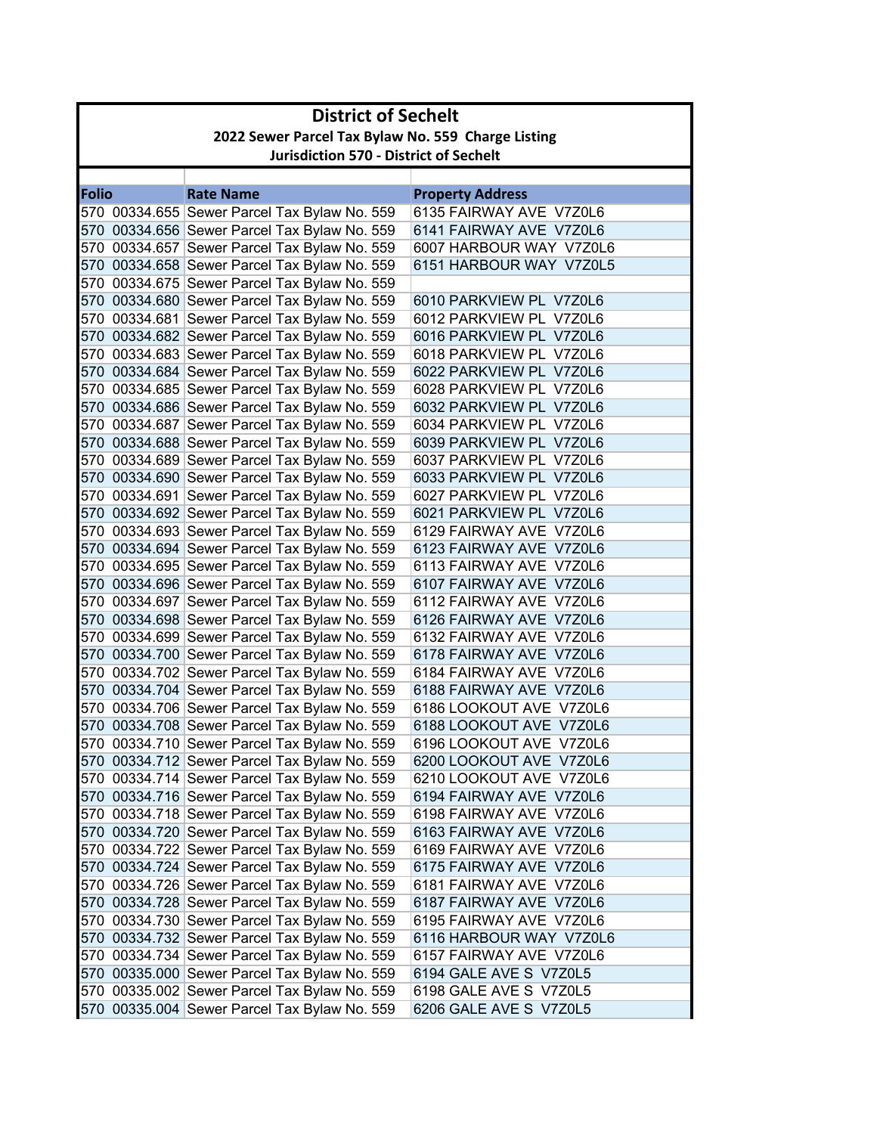|       | <b>District of Sechelt</b>                         |                                                                                              |                                                    |  |
|-------|----------------------------------------------------|----------------------------------------------------------------------------------------------|----------------------------------------------------|--|
|       | 2022 Sewer Parcel Tax Bylaw No. 559 Charge Listing |                                                                                              |                                                    |  |
|       | <b>Jurisdiction 570 - District of Sechelt</b>      |                                                                                              |                                                    |  |
|       |                                                    |                                                                                              |                                                    |  |
| Folio |                                                    | <b>Rate Name</b>                                                                             | <b>Property Address</b>                            |  |
|       |                                                    | 570 00334.655 Sewer Parcel Tax Bylaw No. 559                                                 | 6135 FAIRWAY AVE V7Z0L6                            |  |
|       |                                                    | 570 00334.656 Sewer Parcel Tax Bylaw No. 559                                                 | 6141 FAIRWAY AVE V7Z0L6                            |  |
|       |                                                    | 570 00334.657 Sewer Parcel Tax Bylaw No. 559                                                 | 6007 HARBOUR WAY V7Z0L6                            |  |
|       |                                                    | 570 00334.658 Sewer Parcel Tax Bylaw No. 559                                                 | 6151 HARBOUR WAY V7Z0L5                            |  |
|       |                                                    | 570 00334.675 Sewer Parcel Tax Bylaw No. 559                                                 |                                                    |  |
|       |                                                    | 570 00334.680 Sewer Parcel Tax Bylaw No. 559                                                 | 6010 PARKVIEW PL V7Z0L6                            |  |
|       |                                                    | 570 00334.681 Sewer Parcel Tax Bylaw No. 559                                                 | 6012 PARKVIEW PL V7Z0L6                            |  |
|       |                                                    | 570 00334.682 Sewer Parcel Tax Bylaw No. 559                                                 | 6016 PARKVIEW PL V7Z0L6                            |  |
|       |                                                    | 570 00334.683 Sewer Parcel Tax Bylaw No. 559                                                 | 6018 PARKVIEW PL V7Z0L6                            |  |
|       |                                                    | 570 00334.684 Sewer Parcel Tax Bylaw No. 559                                                 | 6022 PARKVIEW PL V7Z0L6<br>6028 PARKVIEW PL V7Z0L6 |  |
|       |                                                    | 570 00334.685 Sewer Parcel Tax Bylaw No. 559                                                 |                                                    |  |
|       |                                                    | 570 00334.686 Sewer Parcel Tax Bylaw No. 559                                                 | 6032 PARKVIEW PL V7Z0L6<br>6034 PARKVIEW PL V7Z0L6 |  |
|       |                                                    | 570 00334.687 Sewer Parcel Tax Bylaw No. 559<br>570 00334.688 Sewer Parcel Tax Bylaw No. 559 | 6039 PARKVIEW PL V7Z0L6                            |  |
|       |                                                    | 570 00334.689 Sewer Parcel Tax Bylaw No. 559                                                 | 6037 PARKVIEW PL V7Z0L6                            |  |
|       |                                                    | 570 00334.690 Sewer Parcel Tax Bylaw No. 559                                                 | 6033 PARKVIEW PL V7Z0L6                            |  |
|       |                                                    | 570 00334.691 Sewer Parcel Tax Bylaw No. 559                                                 | 6027 PARKVIEW PL V7Z0L6                            |  |
|       |                                                    | 570 00334.692 Sewer Parcel Tax Bylaw No. 559                                                 | 6021 PARKVIEW PL V7Z0L6                            |  |
|       |                                                    | 570 00334.693 Sewer Parcel Tax Bylaw No. 559                                                 | 6129 FAIRWAY AVE V7Z0L6                            |  |
|       |                                                    | 570 00334.694 Sewer Parcel Tax Bylaw No. 559                                                 | 6123 FAIRWAY AVE V7Z0L6                            |  |
|       |                                                    | 570 00334.695 Sewer Parcel Tax Bylaw No. 559                                                 | 6113 FAIRWAY AVE V7Z0L6                            |  |
|       |                                                    | 570 00334.696 Sewer Parcel Tax Bylaw No. 559                                                 | 6107 FAIRWAY AVE V7Z0L6                            |  |
|       |                                                    | 570 00334.697 Sewer Parcel Tax Bylaw No. 559                                                 | 6112 FAIRWAY AVE V7Z0L6                            |  |
|       |                                                    | 570 00334.698 Sewer Parcel Tax Bylaw No. 559                                                 | 6126 FAIRWAY AVE V7Z0L6                            |  |
|       |                                                    | 570 00334.699 Sewer Parcel Tax Bylaw No. 559                                                 | 6132 FAIRWAY AVE V7Z0L6                            |  |
|       |                                                    | 570 00334.700 Sewer Parcel Tax Bylaw No. 559                                                 | 6178 FAIRWAY AVE V7Z0L6                            |  |
|       |                                                    | 570 00334.702 Sewer Parcel Tax Bylaw No. 559                                                 | 6184 FAIRWAY AVE V7Z0L6                            |  |
|       |                                                    | 570 00334.704 Sewer Parcel Tax Bylaw No. 559                                                 | 6188 FAIRWAY AVE V7Z0L6                            |  |
|       |                                                    | 570 00334.706 Sewer Parcel Tax Bylaw No. 559                                                 | 6186 LOOKOUT AVE V7Z0L6                            |  |
|       |                                                    | 570 00334.708 Sewer Parcel Tax Bylaw No. 559                                                 | 6188 LOOKOUT AVE V7Z0L6                            |  |
|       |                                                    | 570 00334.710 Sewer Parcel Tax Bylaw No. 559                                                 | 6196 LOOKOUT AVE V7Z0L6                            |  |
|       |                                                    | 570 00334.712 Sewer Parcel Tax Bylaw No. 559                                                 | 6200 LOOKOUT AVE V7Z0L6                            |  |
|       |                                                    | 570 00334.714 Sewer Parcel Tax Bylaw No. 559                                                 | 6210 LOOKOUT AVE V7Z0L6                            |  |
|       |                                                    | 570 00334.716 Sewer Parcel Tax Bylaw No. 559                                                 | 6194 FAIRWAY AVE V7Z0L6                            |  |
|       |                                                    | 570 00334.718 Sewer Parcel Tax Bylaw No. 559                                                 | 6198 FAIRWAY AVE V7Z0L6                            |  |
|       |                                                    | 570 00334.720 Sewer Parcel Tax Bylaw No. 559                                                 | 6163 FAIRWAY AVE V7Z0L6                            |  |
|       |                                                    | 570 00334.722 Sewer Parcel Tax Bylaw No. 559                                                 | 6169 FAIRWAY AVE V7Z0L6                            |  |
|       |                                                    | 570 00334.724 Sewer Parcel Tax Bylaw No. 559                                                 | 6175 FAIRWAY AVE V7Z0L6                            |  |
|       |                                                    | 570 00334.726 Sewer Parcel Tax Bylaw No. 559                                                 | 6181 FAIRWAY AVE V7Z0L6                            |  |
|       |                                                    | 570 00334.728 Sewer Parcel Tax Bylaw No. 559                                                 | 6187 FAIRWAY AVE V7Z0L6                            |  |
|       |                                                    | 570 00334.730 Sewer Parcel Tax Bylaw No. 559                                                 | 6195 FAIRWAY AVE V7Z0L6                            |  |
|       |                                                    | 570 00334.732 Sewer Parcel Tax Bylaw No. 559                                                 | 6116 HARBOUR WAY V7Z0L6                            |  |
|       |                                                    | 570 00334.734 Sewer Parcel Tax Bylaw No. 559                                                 | 6157 FAIRWAY AVE V7Z0L6                            |  |
|       |                                                    | 570 00335.000 Sewer Parcel Tax Bylaw No. 559                                                 | 6194 GALE AVE S V7Z0L5                             |  |
|       |                                                    | 570 00335.002 Sewer Parcel Tax Bylaw No. 559                                                 | 6198 GALE AVE S V7Z0L5                             |  |
|       |                                                    | 570 00335.004 Sewer Parcel Tax Bylaw No. 559                                                 | 6206 GALE AVE S V7Z0L5                             |  |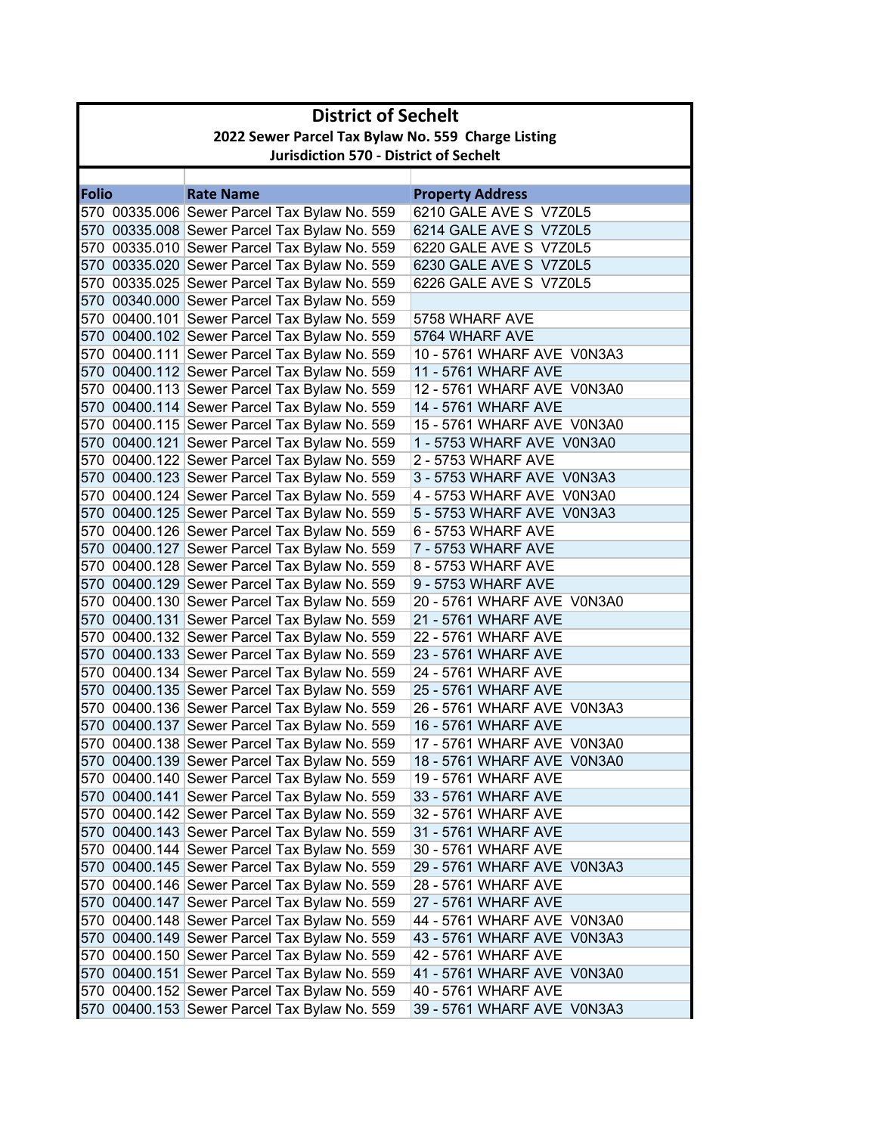|              | <b>District of Sechelt</b>                         |                                              |                            |  |
|--------------|----------------------------------------------------|----------------------------------------------|----------------------------|--|
|              | 2022 Sewer Parcel Tax Bylaw No. 559 Charge Listing |                                              |                            |  |
|              | <b>Jurisdiction 570 - District of Sechelt</b>      |                                              |                            |  |
|              |                                                    |                                              |                            |  |
| <b>Folio</b> |                                                    | <b>Rate Name</b>                             | <b>Property Address</b>    |  |
|              |                                                    | 570 00335.006 Sewer Parcel Tax Bylaw No. 559 | 6210 GALE AVE S V7Z0L5     |  |
|              |                                                    | 570 00335.008 Sewer Parcel Tax Bylaw No. 559 | 6214 GALE AVE S V7Z0L5     |  |
|              |                                                    | 570 00335.010 Sewer Parcel Tax Bylaw No. 559 | 6220 GALE AVE S V7Z0L5     |  |
|              |                                                    | 570 00335.020 Sewer Parcel Tax Bylaw No. 559 | 6230 GALE AVE S V7Z0L5     |  |
|              |                                                    | 570 00335.025 Sewer Parcel Tax Bylaw No. 559 | 6226 GALE AVE S V7Z0L5     |  |
|              |                                                    | 570 00340.000 Sewer Parcel Tax Bylaw No. 559 |                            |  |
|              |                                                    | 570 00400.101 Sewer Parcel Tax Bylaw No. 559 | 5758 WHARF AVE             |  |
|              |                                                    | 570 00400.102 Sewer Parcel Tax Bylaw No. 559 | 5764 WHARF AVE             |  |
|              |                                                    | 570 00400.111 Sewer Parcel Tax Bylaw No. 559 | 10 - 5761 WHARF AVE V0N3A3 |  |
|              |                                                    | 570 00400.112 Sewer Parcel Tax Bylaw No. 559 | 11 - 5761 WHARF AVE        |  |
|              |                                                    | 570 00400.113 Sewer Parcel Tax Bylaw No. 559 | 12 - 5761 WHARF AVE V0N3A0 |  |
|              |                                                    | 570 00400.114 Sewer Parcel Tax Bylaw No. 559 | 14 - 5761 WHARF AVE        |  |
|              |                                                    | 570 00400.115 Sewer Parcel Tax Bylaw No. 559 | 15 - 5761 WHARF AVE V0N3A0 |  |
|              |                                                    | 570 00400.121 Sewer Parcel Tax Bylaw No. 559 | 1 - 5753 WHARF AVE V0N3A0  |  |
|              |                                                    | 570 00400.122 Sewer Parcel Tax Bylaw No. 559 | 2 - 5753 WHARF AVE         |  |
|              |                                                    | 570 00400.123 Sewer Parcel Tax Bylaw No. 559 | 3 - 5753 WHARF AVE V0N3A3  |  |
|              |                                                    | 570 00400.124 Sewer Parcel Tax Bylaw No. 559 | 4 - 5753 WHARF AVE V0N3A0  |  |
|              |                                                    | 570 00400.125 Sewer Parcel Tax Bylaw No. 559 | 5 - 5753 WHARF AVE V0N3A3  |  |
|              |                                                    | 570 00400.126 Sewer Parcel Tax Bylaw No. 559 | 6 - 5753 WHARF AVE         |  |
|              |                                                    | 570 00400.127 Sewer Parcel Tax Bylaw No. 559 | 7 - 5753 WHARF AVE         |  |
|              |                                                    | 570 00400.128 Sewer Parcel Tax Bylaw No. 559 | 8 - 5753 WHARF AVE         |  |
|              |                                                    | 570 00400.129 Sewer Parcel Tax Bylaw No. 559 | 9 - 5753 WHARF AVE         |  |
|              |                                                    | 570 00400.130 Sewer Parcel Tax Bylaw No. 559 | 20 - 5761 WHARF AVE V0N3A0 |  |
|              |                                                    | 570 00400.131 Sewer Parcel Tax Bylaw No. 559 | 21 - 5761 WHARF AVE        |  |
|              |                                                    | 570 00400.132 Sewer Parcel Tax Bylaw No. 559 | 22 - 5761 WHARF AVE        |  |
|              |                                                    | 570 00400.133 Sewer Parcel Tax Bylaw No. 559 | 23 - 5761 WHARF AVE        |  |
|              |                                                    | 570 00400.134 Sewer Parcel Tax Bylaw No. 559 | 24 - 5761 WHARF AVE        |  |
|              |                                                    | 570 00400.135 Sewer Parcel Tax Bylaw No. 559 | 25 - 5761 WHARF AVE        |  |
|              |                                                    | 570 00400.136 Sewer Parcel Tax Bylaw No. 559 | 26 - 5761 WHARF AVE V0N3A3 |  |
|              |                                                    | 570 00400.137 Sewer Parcel Tax Bylaw No. 559 | 16 - 5761 WHARF AVE        |  |
|              |                                                    | 570 00400.138 Sewer Parcel Tax Bylaw No. 559 | 17 - 5761 WHARF AVE V0N3A0 |  |
|              |                                                    | 570 00400.139 Sewer Parcel Tax Bylaw No. 559 | 18 - 5761 WHARF AVE V0N3A0 |  |
|              |                                                    | 570 00400.140 Sewer Parcel Tax Bylaw No. 559 | 19 - 5761 WHARF AVE        |  |
|              |                                                    | 570 00400.141 Sewer Parcel Tax Bylaw No. 559 | 33 - 5761 WHARF AVE        |  |
|              |                                                    | 570 00400.142 Sewer Parcel Tax Bylaw No. 559 | 32 - 5761 WHARF AVE        |  |
|              |                                                    | 570 00400.143 Sewer Parcel Tax Bylaw No. 559 | 31 - 5761 WHARF AVE        |  |
|              |                                                    | 570 00400.144 Sewer Parcel Tax Bylaw No. 559 | 30 - 5761 WHARF AVE        |  |
|              |                                                    | 570 00400.145 Sewer Parcel Tax Bylaw No. 559 | 29 - 5761 WHARF AVE V0N3A3 |  |
|              |                                                    | 570 00400.146 Sewer Parcel Tax Bylaw No. 559 | 28 - 5761 WHARF AVE        |  |
|              |                                                    | 570 00400.147 Sewer Parcel Tax Bylaw No. 559 | 27 - 5761 WHARF AVE        |  |
|              |                                                    | 570 00400.148 Sewer Parcel Tax Bylaw No. 559 | 44 - 5761 WHARF AVE V0N3A0 |  |
|              |                                                    | 570 00400.149 Sewer Parcel Tax Bylaw No. 559 | 43 - 5761 WHARF AVE V0N3A3 |  |
|              |                                                    | 570 00400.150 Sewer Parcel Tax Bylaw No. 559 | 42 - 5761 WHARF AVE        |  |
|              |                                                    | 570 00400.151 Sewer Parcel Tax Bylaw No. 559 | 41 - 5761 WHARF AVE V0N3A0 |  |
|              |                                                    | 570 00400.152 Sewer Parcel Tax Bylaw No. 559 | 40 - 5761 WHARF AVE        |  |
|              |                                                    | 570 00400.153 Sewer Parcel Tax Bylaw No. 559 | 39 - 5761 WHARF AVE V0N3A3 |  |
|              |                                                    |                                              |                            |  |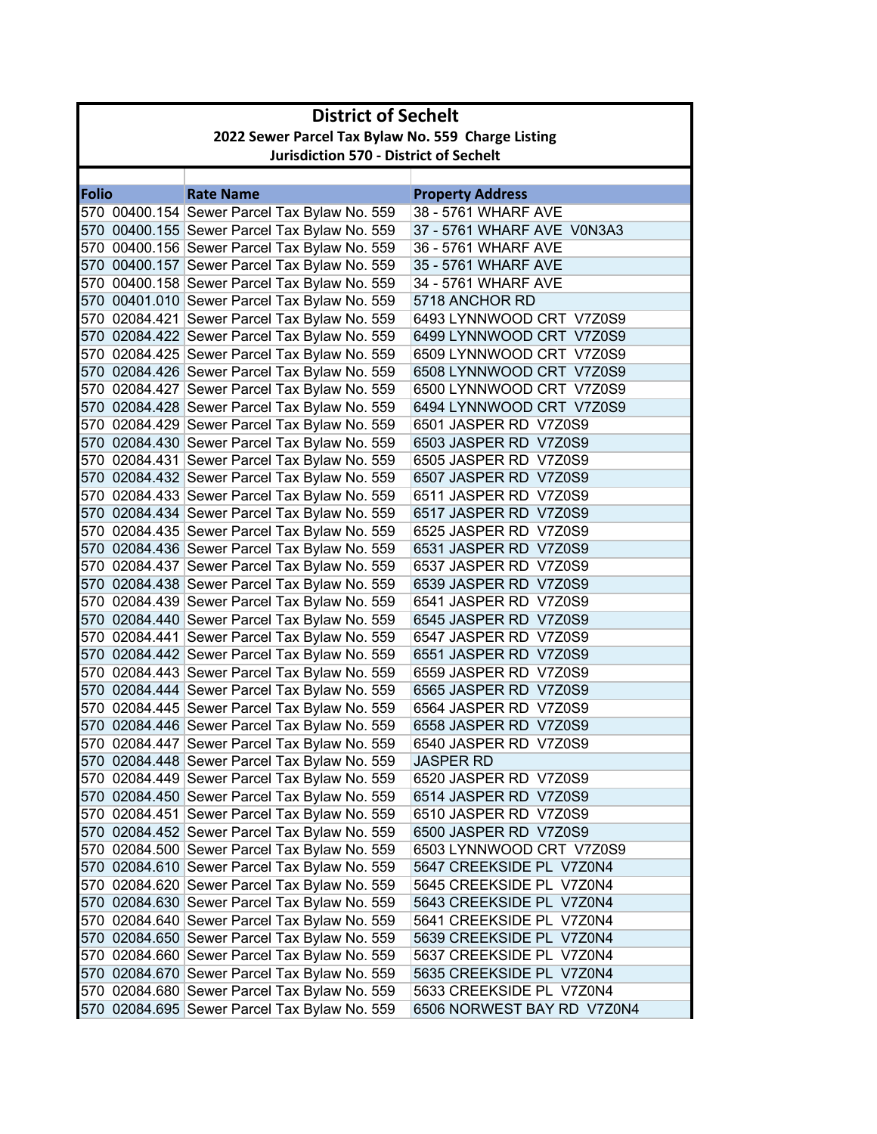|              | <b>District of Sechelt</b>                         |                                                                                              |                                                |  |
|--------------|----------------------------------------------------|----------------------------------------------------------------------------------------------|------------------------------------------------|--|
|              | 2022 Sewer Parcel Tax Bylaw No. 559 Charge Listing |                                                                                              |                                                |  |
|              | <b>Jurisdiction 570 - District of Sechelt</b>      |                                                                                              |                                                |  |
|              |                                                    |                                                                                              |                                                |  |
| <b>Folio</b> |                                                    | <b>Rate Name</b>                                                                             | <b>Property Address</b>                        |  |
|              |                                                    | 570 00400.154 Sewer Parcel Tax Bylaw No. 559                                                 | 38 - 5761 WHARF AVE                            |  |
|              |                                                    | 570 00400.155 Sewer Parcel Tax Bylaw No. 559                                                 | 37 - 5761 WHARF AVE V0N3A3                     |  |
|              |                                                    | 570 00400.156 Sewer Parcel Tax Bylaw No. 559                                                 | 36 - 5761 WHARF AVE                            |  |
|              |                                                    | 570 00400.157 Sewer Parcel Tax Bylaw No. 559                                                 | 35 - 5761 WHARF AVE                            |  |
|              |                                                    | 570 00400.158 Sewer Parcel Tax Bylaw No. 559                                                 | 34 - 5761 WHARF AVE                            |  |
|              |                                                    | 570 00401.010 Sewer Parcel Tax Bylaw No. 559                                                 | 5718 ANCHOR RD                                 |  |
|              |                                                    | 570 02084.421 Sewer Parcel Tax Bylaw No. 559                                                 | 6493 LYNNWOOD CRT V7Z0S9                       |  |
|              |                                                    | 570 02084.422 Sewer Parcel Tax Bylaw No. 559                                                 | 6499 LYNNWOOD CRT V7Z0S9                       |  |
|              |                                                    | 570 02084.425 Sewer Parcel Tax Bylaw No. 559                                                 | 6509 LYNNWOOD CRT V7Z0S9                       |  |
|              |                                                    | 570 02084.426 Sewer Parcel Tax Bylaw No. 559                                                 | 6508 LYNNWOOD CRT V7Z0S9                       |  |
|              |                                                    | 570 02084.427 Sewer Parcel Tax Bylaw No. 559                                                 | 6500 LYNNWOOD CRT V7Z0S9                       |  |
|              |                                                    | 570 02084.428 Sewer Parcel Tax Bylaw No. 559                                                 | 6494 LYNNWOOD CRT V7Z0S9                       |  |
|              |                                                    | 570 02084.429 Sewer Parcel Tax Bylaw No. 559                                                 | 6501 JASPER RD V7Z0S9                          |  |
|              |                                                    | 570 02084.430 Sewer Parcel Tax Bylaw No. 559                                                 | 6503 JASPER RD V7Z0S9                          |  |
|              |                                                    | 570 02084.431 Sewer Parcel Tax Bylaw No. 559                                                 | 6505 JASPER RD V7Z0S9                          |  |
|              |                                                    | 570 02084.432 Sewer Parcel Tax Bylaw No. 559                                                 | 6507 JASPER RD V7Z0S9                          |  |
|              |                                                    | 570 02084.433 Sewer Parcel Tax Bylaw No. 559                                                 | 6511 JASPER RD V7Z0S9                          |  |
|              |                                                    | 570 02084.434 Sewer Parcel Tax Bylaw No. 559                                                 | 6517 JASPER RD V7Z0S9                          |  |
|              |                                                    | 570 02084.435 Sewer Parcel Tax Bylaw No. 559                                                 | 6525 JASPER RD V7Z0S9                          |  |
|              |                                                    | 570 02084.436 Sewer Parcel Tax Bylaw No. 559                                                 | 6531 JASPER RD V7Z0S9<br>6537 JASPER RD V7Z0S9 |  |
|              |                                                    | 570 02084.437 Sewer Parcel Tax Bylaw No. 559<br>570 02084.438 Sewer Parcel Tax Bylaw No. 559 | 6539 JASPER RD V7Z0S9                          |  |
|              |                                                    | 570 02084.439 Sewer Parcel Tax Bylaw No. 559                                                 | 6541 JASPER RD V7Z0S9                          |  |
|              |                                                    | 570 02084.440 Sewer Parcel Tax Bylaw No. 559                                                 | 6545 JASPER RD V7Z0S9                          |  |
|              |                                                    | 570 02084.441 Sewer Parcel Tax Bylaw No. 559                                                 | 6547 JASPER RD V7Z0S9                          |  |
|              |                                                    | 570 02084.442 Sewer Parcel Tax Bylaw No. 559                                                 | 6551 JASPER RD V7Z0S9                          |  |
|              |                                                    | 570 02084.443 Sewer Parcel Tax Bylaw No. 559                                                 | 6559 JASPER RD V7Z0S9                          |  |
|              |                                                    | 570 02084.444 Sewer Parcel Tax Bylaw No. 559                                                 | 6565 JASPER RD V7Z0S9                          |  |
|              |                                                    | 570 02084.445 Sewer Parcel Tax Bylaw No. 559                                                 | 6564 JASPER RD V7Z0S9                          |  |
|              |                                                    | 570 02084.446 Sewer Parcel Tax Bylaw No. 559                                                 | 6558 JASPER RD V7Z0S9                          |  |
|              |                                                    | 570 02084.447 Sewer Parcel Tax Bylaw No. 559                                                 | 6540 JASPER RD V7Z0S9                          |  |
|              |                                                    | 570 02084.448 Sewer Parcel Tax Bylaw No. 559                                                 | <b>JASPER RD</b>                               |  |
|              |                                                    | 570 02084.449 Sewer Parcel Tax Bylaw No. 559                                                 | 6520 JASPER RD V7Z0S9                          |  |
|              |                                                    | 570 02084.450 Sewer Parcel Tax Bylaw No. 559                                                 | 6514 JASPER RD V7Z0S9                          |  |
|              |                                                    | 570 02084.451 Sewer Parcel Tax Bylaw No. 559                                                 | 6510 JASPER RD V7Z0S9                          |  |
|              |                                                    | 570 02084.452 Sewer Parcel Tax Bylaw No. 559                                                 | 6500 JASPER RD V7Z0S9                          |  |
|              |                                                    | 570 02084.500 Sewer Parcel Tax Bylaw No. 559                                                 | 6503 LYNNWOOD CRT V7Z0S9                       |  |
|              |                                                    | 570 02084.610 Sewer Parcel Tax Bylaw No. 559                                                 | 5647 CREEKSIDE PL V7Z0N4                       |  |
|              |                                                    | 570 02084.620 Sewer Parcel Tax Bylaw No. 559                                                 | 5645 CREEKSIDE PL V7Z0N4                       |  |
|              |                                                    | 570 02084.630 Sewer Parcel Tax Bylaw No. 559                                                 | 5643 CREEKSIDE PL V7Z0N4                       |  |
|              |                                                    | 570 02084.640 Sewer Parcel Tax Bylaw No. 559                                                 | 5641 CREEKSIDE PL V7Z0N4                       |  |
|              |                                                    | 570 02084.650 Sewer Parcel Tax Bylaw No. 559                                                 | 5639 CREEKSIDE PL V7Z0N4                       |  |
|              |                                                    | 570 02084.660 Sewer Parcel Tax Bylaw No. 559                                                 | 5637 CREEKSIDE PL V7Z0N4                       |  |
|              |                                                    | 570 02084.670 Sewer Parcel Tax Bylaw No. 559                                                 | 5635 CREEKSIDE PL V7Z0N4                       |  |
|              |                                                    | 570 02084.680 Sewer Parcel Tax Bylaw No. 559                                                 | 5633 CREEKSIDE PL V7Z0N4                       |  |
|              |                                                    | 570 02084.695 Sewer Parcel Tax Bylaw No. 559                                                 | 6506 NORWEST BAY RD V7Z0N4                     |  |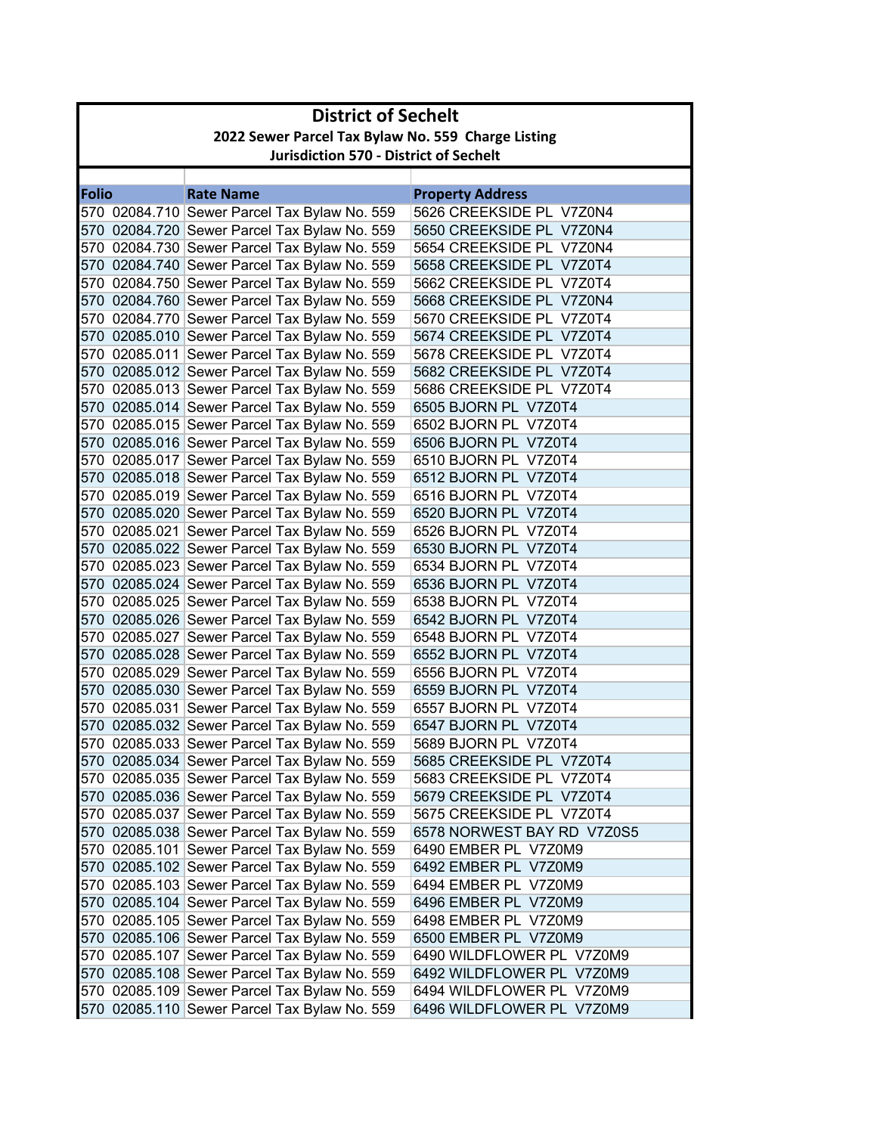|              | <b>District of Sechelt</b>                         |                                              |                            |  |
|--------------|----------------------------------------------------|----------------------------------------------|----------------------------|--|
|              | 2022 Sewer Parcel Tax Bylaw No. 559 Charge Listing |                                              |                            |  |
|              | <b>Jurisdiction 570 - District of Sechelt</b>      |                                              |                            |  |
|              |                                                    |                                              |                            |  |
| <b>Folio</b> |                                                    | <b>Rate Name</b>                             | <b>Property Address</b>    |  |
|              |                                                    | 570 02084.710 Sewer Parcel Tax Bylaw No. 559 | 5626 CREEKSIDE PL V7Z0N4   |  |
|              |                                                    | 570 02084.720 Sewer Parcel Tax Bylaw No. 559 | 5650 CREEKSIDE PL V7Z0N4   |  |
|              |                                                    | 570 02084.730 Sewer Parcel Tax Bylaw No. 559 | 5654 CREEKSIDE PL V7Z0N4   |  |
|              |                                                    | 570 02084.740 Sewer Parcel Tax Bylaw No. 559 | 5658 CREEKSIDE PL V7Z0T4   |  |
|              |                                                    | 570 02084.750 Sewer Parcel Tax Bylaw No. 559 | 5662 CREEKSIDE PL V7Z0T4   |  |
|              |                                                    | 570 02084.760 Sewer Parcel Tax Bylaw No. 559 | 5668 CREEKSIDE PL V7Z0N4   |  |
|              |                                                    | 570 02084.770 Sewer Parcel Tax Bylaw No. 559 | 5670 CREEKSIDE PL V7Z0T4   |  |
|              |                                                    | 570 02085.010 Sewer Parcel Tax Bylaw No. 559 | 5674 CREEKSIDE PL V7Z0T4   |  |
|              |                                                    | 570 02085.011 Sewer Parcel Tax Bylaw No. 559 | 5678 CREEKSIDE PL V7Z0T4   |  |
|              |                                                    | 570 02085.012 Sewer Parcel Tax Bylaw No. 559 | 5682 CREEKSIDE PL V7Z0T4   |  |
|              |                                                    | 570 02085.013 Sewer Parcel Tax Bylaw No. 559 | 5686 CREEKSIDE PL V7Z0T4   |  |
|              |                                                    | 570 02085.014 Sewer Parcel Tax Bylaw No. 559 | 6505 BJORN PL V7Z0T4       |  |
|              |                                                    | 570 02085.015 Sewer Parcel Tax Bylaw No. 559 | 6502 BJORN PL V7Z0T4       |  |
|              |                                                    | 570 02085.016 Sewer Parcel Tax Bylaw No. 559 | 6506 BJORN PL V7Z0T4       |  |
|              |                                                    | 570 02085.017 Sewer Parcel Tax Bylaw No. 559 | 6510 BJORN PL V7Z0T4       |  |
|              |                                                    | 570 02085.018 Sewer Parcel Tax Bylaw No. 559 | 6512 BJORN PL V7Z0T4       |  |
|              |                                                    | 570 02085.019 Sewer Parcel Tax Bylaw No. 559 | 6516 BJORN PL V7Z0T4       |  |
|              |                                                    | 570 02085.020 Sewer Parcel Tax Bylaw No. 559 | 6520 BJORN PL V7Z0T4       |  |
|              |                                                    | 570 02085.021 Sewer Parcel Tax Bylaw No. 559 | 6526 BJORN PL V7Z0T4       |  |
|              |                                                    | 570 02085.022 Sewer Parcel Tax Bylaw No. 559 | 6530 BJORN PL V7Z0T4       |  |
|              |                                                    | 570 02085.023 Sewer Parcel Tax Bylaw No. 559 | 6534 BJORN PL V7Z0T4       |  |
|              |                                                    | 570 02085.024 Sewer Parcel Tax Bylaw No. 559 | 6536 BJORN PL V7Z0T4       |  |
|              |                                                    | 570 02085.025 Sewer Parcel Tax Bylaw No. 559 | 6538 BJORN PL V7Z0T4       |  |
|              |                                                    | 570 02085.026 Sewer Parcel Tax Bylaw No. 559 | 6542 BJORN PL V7Z0T4       |  |
|              |                                                    | 570 02085.027 Sewer Parcel Tax Bylaw No. 559 | 6548 BJORN PL V7Z0T4       |  |
|              |                                                    | 570 02085.028 Sewer Parcel Tax Bylaw No. 559 | 6552 BJORN PL V7Z0T4       |  |
|              |                                                    | 570 02085.029 Sewer Parcel Tax Bylaw No. 559 | 6556 BJORN PL V7Z0T4       |  |
|              |                                                    | 570 02085.030 Sewer Parcel Tax Bylaw No. 559 | 6559 BJORN PL V7Z0T4       |  |
|              |                                                    | 570 02085.031 Sewer Parcel Tax Bylaw No. 559 | 6557 BJORN PL V7Z0T4       |  |
|              |                                                    | 570 02085.032 Sewer Parcel Tax Bylaw No. 559 | 6547 BJORN PL V7Z0T4       |  |
|              |                                                    | 570 02085.033 Sewer Parcel Tax Bylaw No. 559 | 5689 BJORN PL V7Z0T4       |  |
|              |                                                    | 570 02085.034 Sewer Parcel Tax Bylaw No. 559 | 5685 CREEKSIDE PL V7Z0T4   |  |
|              |                                                    | 570 02085.035 Sewer Parcel Tax Bylaw No. 559 | 5683 CREEKSIDE PL V7Z0T4   |  |
|              |                                                    | 570 02085.036 Sewer Parcel Tax Bylaw No. 559 | 5679 CREEKSIDE PL V7Z0T4   |  |
|              |                                                    | 570 02085.037 Sewer Parcel Tax Bylaw No. 559 | 5675 CREEKSIDE PL V7Z0T4   |  |
|              |                                                    | 570 02085.038 Sewer Parcel Tax Bylaw No. 559 | 6578 NORWEST BAY RD V7Z0S5 |  |
|              |                                                    | 570 02085.101 Sewer Parcel Tax Bylaw No. 559 | 6490 EMBER PL V7Z0M9       |  |
|              |                                                    | 570 02085.102 Sewer Parcel Tax Bylaw No. 559 | 6492 EMBER PL V7Z0M9       |  |
|              |                                                    | 570 02085.103 Sewer Parcel Tax Bylaw No. 559 | 6494 EMBER PL V7Z0M9       |  |
|              |                                                    | 570 02085.104 Sewer Parcel Tax Bylaw No. 559 | 6496 EMBER PL V7Z0M9       |  |
|              |                                                    | 570 02085.105 Sewer Parcel Tax Bylaw No. 559 | 6498 EMBER PL V7Z0M9       |  |
|              |                                                    | 570 02085.106 Sewer Parcel Tax Bylaw No. 559 | 6500 EMBER PL V7Z0M9       |  |
|              |                                                    | 570 02085.107 Sewer Parcel Tax Bylaw No. 559 | 6490 WILDFLOWER PL V7Z0M9  |  |
|              |                                                    | 570 02085.108 Sewer Parcel Tax Bylaw No. 559 | 6492 WILDFLOWER PL V7Z0M9  |  |
|              |                                                    | 570 02085.109 Sewer Parcel Tax Bylaw No. 559 | 6494 WILDFLOWER PL V7Z0M9  |  |
|              |                                                    | 570 02085.110 Sewer Parcel Tax Bylaw No. 559 | 6496 WILDFLOWER PL V7Z0M9  |  |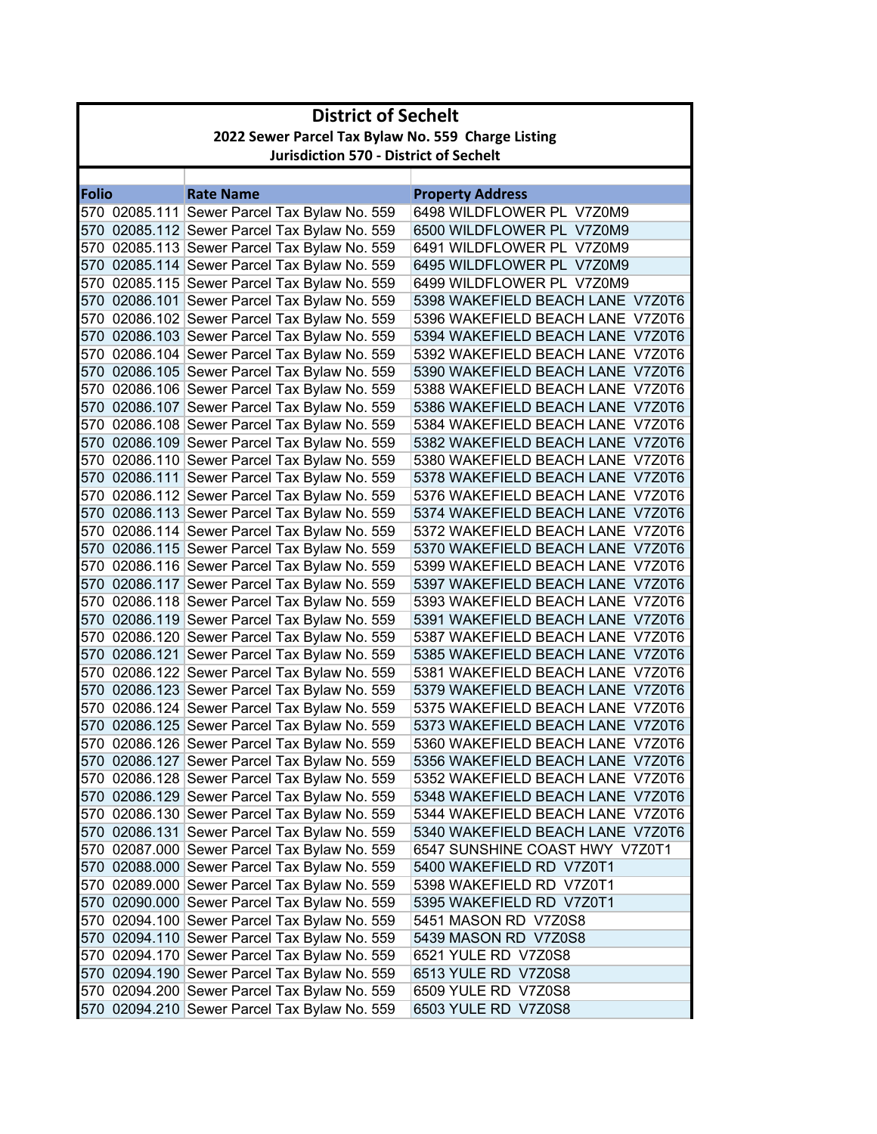|       | <b>District of Sechelt</b>                         |                                                                                              |                                                                      |  |
|-------|----------------------------------------------------|----------------------------------------------------------------------------------------------|----------------------------------------------------------------------|--|
|       | 2022 Sewer Parcel Tax Bylaw No. 559 Charge Listing |                                                                                              |                                                                      |  |
|       | <b>Jurisdiction 570 - District of Sechelt</b>      |                                                                                              |                                                                      |  |
|       |                                                    |                                                                                              |                                                                      |  |
| Folio |                                                    | <b>Rate Name</b>                                                                             | <b>Property Address</b>                                              |  |
|       |                                                    | 570 02085.111 Sewer Parcel Tax Bylaw No. 559                                                 | 6498 WILDFLOWER PL V7Z0M9                                            |  |
|       |                                                    | 570 02085.112 Sewer Parcel Tax Bylaw No. 559                                                 | 6500 WILDFLOWER PL V7Z0M9                                            |  |
|       |                                                    | 570 02085.113 Sewer Parcel Tax Bylaw No. 559                                                 | 6491 WILDFLOWER PL V7Z0M9                                            |  |
|       |                                                    | 570 02085.114 Sewer Parcel Tax Bylaw No. 559                                                 | 6495 WILDFLOWER PL V7Z0M9                                            |  |
|       |                                                    | 570 02085.115 Sewer Parcel Tax Bylaw No. 559                                                 | 6499 WILDFLOWER PL V7Z0M9                                            |  |
|       |                                                    | 570 02086.101 Sewer Parcel Tax Bylaw No. 559                                                 | 5398 WAKEFIELD BEACH LANE V7Z0T6                                     |  |
|       |                                                    | 570 02086.102 Sewer Parcel Tax Bylaw No. 559                                                 | 5396 WAKEFIELD BEACH LANE V7Z0T6<br>5394 WAKEFIELD BEACH LANE V7Z0T6 |  |
|       |                                                    | 570 02086.103 Sewer Parcel Tax Bylaw No. 559                                                 | 5392 WAKEFIELD BEACH LANE V7Z0T6                                     |  |
|       |                                                    | 570 02086.104 Sewer Parcel Tax Bylaw No. 559                                                 | 5390 WAKEFIELD BEACH LANE V7Z0T6                                     |  |
|       |                                                    | 570 02086.105 Sewer Parcel Tax Bylaw No. 559                                                 | 5388 WAKEFIELD BEACH LANE V7Z0T6                                     |  |
|       |                                                    | 570 02086.106 Sewer Parcel Tax Bylaw No. 559<br>570 02086.107 Sewer Parcel Tax Bylaw No. 559 | 5386 WAKEFIELD BEACH LANE V7Z0T6                                     |  |
|       |                                                    | 570  02086.108 Sewer Parcel Tax Bylaw No. 559                                                | 5384 WAKEFIELD BEACH LANE V7Z0T6                                     |  |
|       |                                                    | 570 02086.109 Sewer Parcel Tax Bylaw No. 559                                                 | 5382 WAKEFIELD BEACH LANE V7Z0T6                                     |  |
|       |                                                    | 570  02086.110 Sewer Parcel Tax Bylaw No. 559                                                | 5380 WAKEFIELD BEACH LANE V7Z0T6                                     |  |
|       |                                                    | 570 02086.111 Sewer Parcel Tax Bylaw No. 559                                                 | 5378 WAKEFIELD BEACH LANE V7Z0T6                                     |  |
|       |                                                    | 570  02086.112 Sewer Parcel Tax Bylaw No. 559                                                | 5376 WAKEFIELD BEACH LANE V7Z0T6                                     |  |
|       |                                                    | 570 02086.113 Sewer Parcel Tax Bylaw No. 559                                                 | 5374 WAKEFIELD BEACH LANE V7Z0T6                                     |  |
|       |                                                    | 570 02086.114 Sewer Parcel Tax Bylaw No. 559                                                 | 5372 WAKEFIELD BEACH LANE V7Z0T6                                     |  |
|       |                                                    | 570 02086.115 Sewer Parcel Tax Bylaw No. 559                                                 | 5370 WAKEFIELD BEACH LANE V7Z0T6                                     |  |
|       |                                                    | 570 02086.116 Sewer Parcel Tax Bylaw No. 559                                                 | 5399 WAKEFIELD BEACH LANE V7Z0T6                                     |  |
|       |                                                    | 570 02086.117 Sewer Parcel Tax Bylaw No. 559                                                 | 5397 WAKEFIELD BEACH LANE V7Z0T6                                     |  |
|       |                                                    | 570 02086.118 Sewer Parcel Tax Bylaw No. 559                                                 | 5393 WAKEFIELD BEACH LANE V7Z0T6                                     |  |
|       |                                                    | 570 02086.119 Sewer Parcel Tax Bylaw No. 559                                                 | 5391 WAKEFIELD BEACH LANE V7Z0T6                                     |  |
|       |                                                    | 570 02086.120 Sewer Parcel Tax Bylaw No. 559                                                 | 5387 WAKEFIELD BEACH LANE V7Z0T6                                     |  |
|       |                                                    | 570 02086.121 Sewer Parcel Tax Bylaw No. 559                                                 | 5385 WAKEFIELD BEACH LANE V7Z0T6                                     |  |
|       |                                                    | 570 02086.122 Sewer Parcel Tax Bylaw No. 559                                                 | 5381 WAKEFIELD BEACH LANE V7Z0T6                                     |  |
|       |                                                    | 570 02086.123 Sewer Parcel Tax Bylaw No. 559                                                 | 5379 WAKEFIELD BEACH LANE V7Z0T6                                     |  |
|       |                                                    | 570 02086.124 Sewer Parcel Tax Bylaw No. 559                                                 | 5375 WAKEFIELD BEACH LANE V7Z0T6                                     |  |
|       |                                                    | 570 02086.125 Sewer Parcel Tax Bylaw No. 559                                                 | 5373 WAKEFIELD BEACH LANE V7Z0T6                                     |  |
|       |                                                    | 570 02086.126 Sewer Parcel Tax Bylaw No. 559                                                 | 5360 WAKEFIELD BEACH LANE V7Z0T6                                     |  |
|       |                                                    | 570 02086.127 Sewer Parcel Tax Bylaw No. 559                                                 | 5356 WAKEFIELD BEACH LANE V7Z0T6                                     |  |
|       |                                                    | 570 02086.128 Sewer Parcel Tax Bylaw No. 559                                                 | 5352 WAKEFIELD BEACH LANE V7Z0T6                                     |  |
|       |                                                    | 570 02086.129 Sewer Parcel Tax Bylaw No. 559                                                 | 5348 WAKEFIELD BEACH LANE V7Z0T6                                     |  |
|       |                                                    | 570 02086.130 Sewer Parcel Tax Bylaw No. 559                                                 | 5344 WAKEFIELD BEACH LANE V7Z0T6                                     |  |
|       |                                                    | 570 02086.131 Sewer Parcel Tax Bylaw No. 559                                                 | 5340 WAKEFIELD BEACH LANE V7Z0T6                                     |  |
|       |                                                    | 570 02087.000 Sewer Parcel Tax Bylaw No. 559                                                 | 6547 SUNSHINE COAST HWY V7Z0T1                                       |  |
|       |                                                    | 570 02088.000 Sewer Parcel Tax Bylaw No. 559                                                 | 5400 WAKEFIELD RD V7Z0T1                                             |  |
|       |                                                    | 570 02089.000 Sewer Parcel Tax Bylaw No. 559                                                 | 5398 WAKEFIELD RD V7Z0T1                                             |  |
|       |                                                    | 570 02090.000 Sewer Parcel Tax Bylaw No. 559                                                 | 5395 WAKEFIELD RD V7Z0T1                                             |  |
|       |                                                    | 570 02094.100 Sewer Parcel Tax Bylaw No. 559                                                 | 5451 MASON RD V7Z0S8                                                 |  |
|       |                                                    | 570 02094.110 Sewer Parcel Tax Bylaw No. 559                                                 | 5439 MASON RD V7Z0S8                                                 |  |
|       |                                                    | 570 02094.170 Sewer Parcel Tax Bylaw No. 559                                                 | 6521 YULE RD V7Z0S8                                                  |  |
|       |                                                    | 570 02094.190 Sewer Parcel Tax Bylaw No. 559                                                 | 6513 YULE RD V7Z0S8                                                  |  |
|       |                                                    | 570 02094.200 Sewer Parcel Tax Bylaw No. 559                                                 | 6509 YULE RD V7Z0S8                                                  |  |
|       |                                                    | 570 02094.210 Sewer Parcel Tax Bylaw No. 559                                                 | 6503 YULE RD V7Z0S8                                                  |  |
|       |                                                    |                                                                                              |                                                                      |  |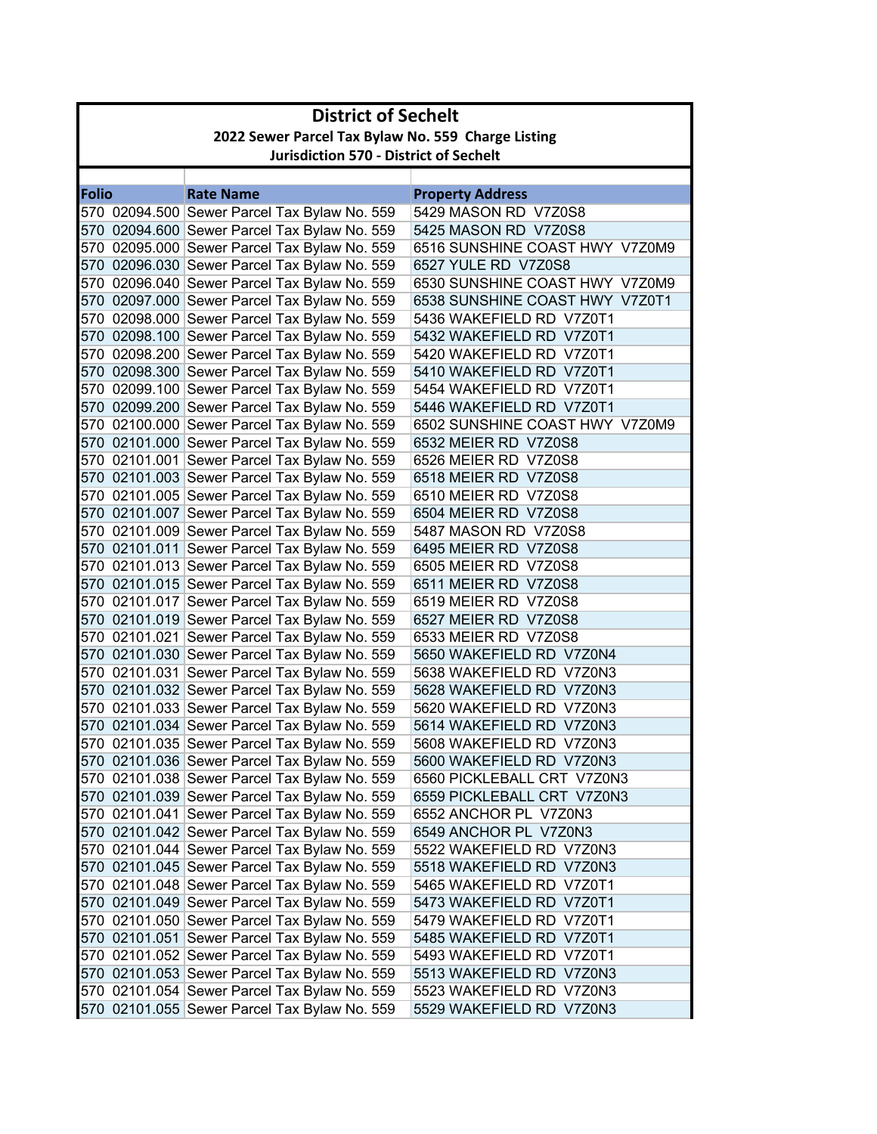| <b>District of Sechelt</b>                         |                                                                                              |                                                      |  |
|----------------------------------------------------|----------------------------------------------------------------------------------------------|------------------------------------------------------|--|
| 2022 Sewer Parcel Tax Bylaw No. 559 Charge Listing |                                                                                              |                                                      |  |
| <b>Jurisdiction 570 - District of Sechelt</b>      |                                                                                              |                                                      |  |
|                                                    |                                                                                              |                                                      |  |
| <b>Folio</b>                                       | <b>Rate Name</b>                                                                             | <b>Property Address</b>                              |  |
|                                                    | 570 02094.500 Sewer Parcel Tax Bylaw No. 559                                                 | 5429 MASON RD V7Z0S8                                 |  |
|                                                    | 570 02094.600 Sewer Parcel Tax Bylaw No. 559                                                 | 5425 MASON RD V7Z0S8                                 |  |
|                                                    | 570 02095.000 Sewer Parcel Tax Bylaw No. 559                                                 | 6516 SUNSHINE COAST HWY V7Z0M9                       |  |
|                                                    | 570 02096.030 Sewer Parcel Tax Bylaw No. 559                                                 | 6527 YULE RD V7Z0S8                                  |  |
|                                                    | 570 02096.040 Sewer Parcel Tax Bylaw No. 559                                                 | 6530 SUNSHINE COAST HWY V7Z0M9                       |  |
|                                                    | 570 02097.000 Sewer Parcel Tax Bylaw No. 559                                                 | 6538 SUNSHINE COAST HWY V7Z0T1                       |  |
|                                                    | 570 02098.000 Sewer Parcel Tax Bylaw No. 559                                                 | 5436 WAKEFIELD RD V7Z0T1                             |  |
|                                                    | 570 02098.100 Sewer Parcel Tax Bylaw No. 559                                                 | 5432 WAKEFIELD RD V7Z0T1                             |  |
|                                                    | 570 02098.200 Sewer Parcel Tax Bylaw No. 559                                                 | 5420 WAKEFIELD RD V7Z0T1                             |  |
|                                                    | 570 02098.300 Sewer Parcel Tax Bylaw No. 559                                                 | 5410 WAKEFIELD RD V7Z0T1                             |  |
|                                                    | 570 02099.100 Sewer Parcel Tax Bylaw No. 559                                                 | 5454 WAKEFIELD RD V7Z0T1<br>5446 WAKEFIELD RD V7Z0T1 |  |
|                                                    | 570 02099.200 Sewer Parcel Tax Bylaw No. 559                                                 | 6502 SUNSHINE COAST HWY V7Z0M9                       |  |
|                                                    | 570 02100.000 Sewer Parcel Tax Bylaw No. 559<br>570 02101.000 Sewer Parcel Tax Bylaw No. 559 | 6532 MEIER RD V7Z0S8                                 |  |
|                                                    | 570 02101.001 Sewer Parcel Tax Bylaw No. 559                                                 | 6526 MEIER RD V7Z0S8                                 |  |
|                                                    | 570 02101.003 Sewer Parcel Tax Bylaw No. 559                                                 | 6518 MEIER RD V7Z0S8                                 |  |
|                                                    | 570 02101.005 Sewer Parcel Tax Bylaw No. 559                                                 | 6510 MEIER RD V7Z0S8                                 |  |
|                                                    | 570 02101.007 Sewer Parcel Tax Bylaw No. 559                                                 | 6504 MEIER RD V7Z0S8                                 |  |
|                                                    | 570 02101.009 Sewer Parcel Tax Bylaw No. 559                                                 | 5487 MASON RD V7Z0S8                                 |  |
|                                                    | 570 02101.011 Sewer Parcel Tax Bylaw No. 559                                                 | 6495 MEIER RD V7Z0S8                                 |  |
|                                                    | 570 02101.013 Sewer Parcel Tax Bylaw No. 559                                                 | 6505 MEIER RD V7Z0S8                                 |  |
|                                                    | 570 02101.015 Sewer Parcel Tax Bylaw No. 559                                                 | 6511 MEIER RD V7Z0S8                                 |  |
|                                                    | 570 02101.017 Sewer Parcel Tax Bylaw No. 559                                                 | 6519 MEIER RD V7Z0S8                                 |  |
|                                                    | 570 02101.019 Sewer Parcel Tax Bylaw No. 559                                                 | 6527 MEIER RD V7Z0S8                                 |  |
|                                                    | 570 02101.021 Sewer Parcel Tax Bylaw No. 559                                                 | 6533 MEIER RD V7Z0S8                                 |  |
|                                                    | 570 02101.030 Sewer Parcel Tax Bylaw No. 559                                                 | 5650 WAKEFIELD RD V7Z0N4                             |  |
|                                                    | 570 02101.031 Sewer Parcel Tax Bylaw No. 559                                                 | 5638 WAKEFIELD RD V7Z0N3                             |  |
|                                                    | 570 02101.032 Sewer Parcel Tax Bylaw No. 559                                                 | 5628 WAKEFIELD RD V7Z0N3                             |  |
|                                                    | 570 02101.033 Sewer Parcel Tax Bylaw No. 559                                                 | 5620 WAKEFIELD RD V7Z0N3                             |  |
|                                                    | 570 02101.034 Sewer Parcel Tax Bylaw No. 559                                                 | 5614 WAKEFIELD RD V7Z0N3                             |  |
|                                                    | 570 02101.035 Sewer Parcel Tax Bylaw No. 559                                                 | 5608 WAKEFIELD RD V7Z0N3                             |  |
|                                                    | 570 02101.036 Sewer Parcel Tax Bylaw No. 559                                                 | 5600 WAKEFIELD RD V7Z0N3                             |  |
|                                                    | 570 02101.038 Sewer Parcel Tax Bylaw No. 559                                                 | 6560 PICKLEBALL CRT V7Z0N3                           |  |
|                                                    | 570 02101.039 Sewer Parcel Tax Bylaw No. 559                                                 | 6559 PICKLEBALL CRT V7Z0N3                           |  |
|                                                    | 570 02101.041 Sewer Parcel Tax Bylaw No. 559                                                 | 6552 ANCHOR PL V7Z0N3                                |  |
|                                                    | 570 02101.042 Sewer Parcel Tax Bylaw No. 559                                                 | 6549 ANCHOR PL V7Z0N3                                |  |
|                                                    | 570 02101.044 Sewer Parcel Tax Bylaw No. 559                                                 | 5522 WAKEFIELD RD V7Z0N3                             |  |
|                                                    | 570 02101.045 Sewer Parcel Tax Bylaw No. 559                                                 | 5518 WAKEFIELD RD V7Z0N3                             |  |
|                                                    | 570 02101.048 Sewer Parcel Tax Bylaw No. 559                                                 | 5465 WAKEFIELD RD  V7Z0T1                            |  |
|                                                    | 570 02101.049 Sewer Parcel Tax Bylaw No. 559                                                 | 5473 WAKEFIELD RD V7Z0T1                             |  |
|                                                    | 570 02101.050 Sewer Parcel Tax Bylaw No. 559                                                 | 5479 WAKEFIELD RD V7Z0T1                             |  |
|                                                    | 570 02101.051 Sewer Parcel Tax Bylaw No. 559                                                 | 5485 WAKEFIELD RD V7Z0T1                             |  |
|                                                    | 570 02101.052 Sewer Parcel Tax Bylaw No. 559                                                 | 5493 WAKEFIELD RD V7Z0T1                             |  |
|                                                    | 570 02101.053 Sewer Parcel Tax Bylaw No. 559                                                 | 5513 WAKEFIELD RD V7Z0N3                             |  |
|                                                    | 570 02101.054 Sewer Parcel Tax Bylaw No. 559                                                 | 5523 WAKEFIELD RD V7Z0N3                             |  |
|                                                    | 570 02101.055 Sewer Parcel Tax Bylaw No. 559                                                 | 5529 WAKEFIELD RD V7Z0N3                             |  |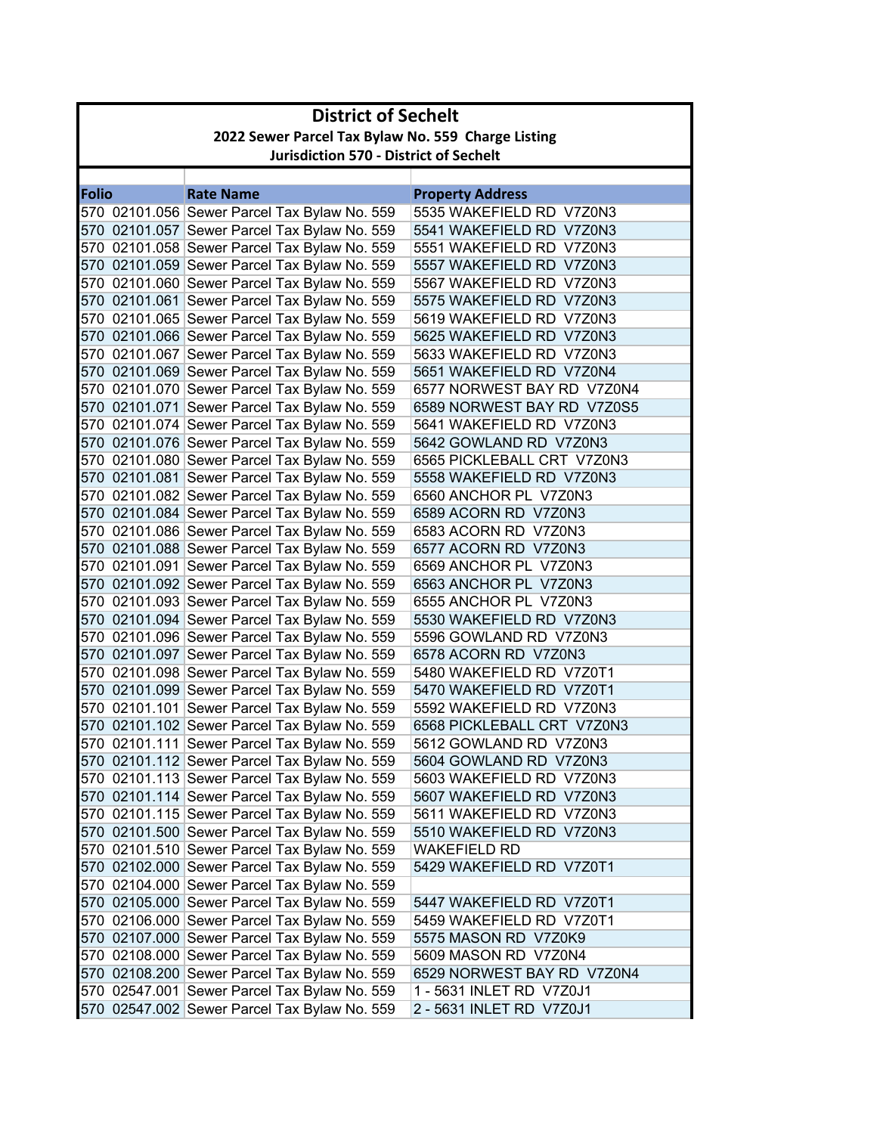| <b>District of Sechelt</b> |                                                    |                                                                                              |                                                   |  |
|----------------------------|----------------------------------------------------|----------------------------------------------------------------------------------------------|---------------------------------------------------|--|
|                            | 2022 Sewer Parcel Tax Bylaw No. 559 Charge Listing |                                                                                              |                                                   |  |
|                            | <b>Jurisdiction 570 - District of Sechelt</b>      |                                                                                              |                                                   |  |
|                            |                                                    |                                                                                              |                                                   |  |
| <b>Folio</b>               |                                                    | <b>Rate Name</b>                                                                             | <b>Property Address</b>                           |  |
|                            |                                                    | 570 02101.056 Sewer Parcel Tax Bylaw No. 559                                                 | 5535 WAKEFIELD RD V7Z0N3                          |  |
|                            |                                                    | 570 02101.057 Sewer Parcel Tax Bylaw No. 559                                                 | 5541 WAKEFIELD RD V7Z0N3                          |  |
|                            |                                                    | 570 02101.058 Sewer Parcel Tax Bylaw No. 559                                                 | 5551 WAKEFIELD RD V7Z0N3                          |  |
|                            |                                                    | 570 02101.059 Sewer Parcel Tax Bylaw No. 559                                                 | 5557 WAKEFIELD RD V7Z0N3                          |  |
|                            |                                                    | 570 02101.060 Sewer Parcel Tax Bylaw No. 559                                                 | 5567 WAKEFIELD RD V7Z0N3                          |  |
|                            |                                                    | 570 02101.061 Sewer Parcel Tax Bylaw No. 559                                                 | 5575 WAKEFIELD RD V7Z0N3                          |  |
|                            |                                                    | 570 02101.065 Sewer Parcel Tax Bylaw No. 559                                                 | 5619 WAKEFIELD RD V7Z0N3                          |  |
|                            |                                                    | 570 02101.066 Sewer Parcel Tax Bylaw No. 559                                                 | 5625 WAKEFIELD RD V7Z0N3                          |  |
|                            |                                                    | 570 02101.067 Sewer Parcel Tax Bylaw No. 559                                                 | 5633 WAKEFIELD RD V7Z0N3                          |  |
|                            |                                                    | 570 02101.069 Sewer Parcel Tax Bylaw No. 559                                                 | 5651 WAKEFIELD RD V7Z0N4                          |  |
|                            |                                                    | 570 02101.070 Sewer Parcel Tax Bylaw No. 559                                                 | 6577 NORWEST BAY RD V7Z0N4                        |  |
|                            |                                                    | 570 02101.071 Sewer Parcel Tax Bylaw No. 559                                                 | 6589 NORWEST BAY RD V7Z0S5                        |  |
|                            |                                                    | 570 02101.074 Sewer Parcel Tax Bylaw No. 559                                                 | 5641 WAKEFIELD RD V7Z0N3                          |  |
|                            |                                                    | 570 02101.076 Sewer Parcel Tax Bylaw No. 559                                                 | 5642 GOWLAND RD V7Z0N3                            |  |
|                            |                                                    | 570 02101.080 Sewer Parcel Tax Bylaw No. 559                                                 | 6565 PICKLEBALL CRT V7Z0N3                        |  |
|                            |                                                    | 570 02101.081 Sewer Parcel Tax Bylaw No. 559                                                 | 5558 WAKEFIELD RD V7Z0N3                          |  |
|                            |                                                    | 570 02101.082 Sewer Parcel Tax Bylaw No. 559                                                 | 6560 ANCHOR PL V7Z0N3<br>6589 ACORN RD V7Z0N3     |  |
|                            |                                                    | 570 02101.084 Sewer Parcel Tax Bylaw No. 559                                                 | 6583 ACORN RD V7Z0N3                              |  |
|                            |                                                    | 570 02101.086 Sewer Parcel Tax Bylaw No. 559                                                 |                                                   |  |
|                            |                                                    | 570 02101.088 Sewer Parcel Tax Bylaw No. 559                                                 | 6577 ACORN RD V7Z0N3                              |  |
|                            |                                                    | 570 02101.091 Sewer Parcel Tax Bylaw No. 559                                                 | 6569 ANCHOR PL V7Z0N3                             |  |
|                            |                                                    | 570 02101.092 Sewer Parcel Tax Bylaw No. 559                                                 | 6563 ANCHOR PL V7Z0N3                             |  |
|                            |                                                    | 570 02101.093 Sewer Parcel Tax Bylaw No. 559<br>570 02101.094 Sewer Parcel Tax Bylaw No. 559 | 6555 ANCHOR PL V7Z0N3<br>5530 WAKEFIELD RD V7Z0N3 |  |
|                            |                                                    | 570 02101.096 Sewer Parcel Tax Bylaw No. 559                                                 | 5596 GOWLAND RD V7Z0N3                            |  |
|                            |                                                    | 570 02101.097 Sewer Parcel Tax Bylaw No. 559                                                 | 6578 ACORN RD V7Z0N3                              |  |
|                            |                                                    | 570 02101.098 Sewer Parcel Tax Bylaw No. 559                                                 | 5480 WAKEFIELD RD V7Z0T1                          |  |
|                            |                                                    | 570 02101.099 Sewer Parcel Tax Bylaw No. 559                                                 | 5470 WAKEFIELD RD V7Z0T1                          |  |
|                            |                                                    | 570 02101.101 Sewer Parcel Tax Bylaw No. 559                                                 | 5592 WAKEFIELD RD V7Z0N3                          |  |
|                            |                                                    | 570 02101.102 Sewer Parcel Tax Bylaw No. 559                                                 | 6568 PICKLEBALL CRT V7Z0N3                        |  |
|                            |                                                    | 570 02101.111 Sewer Parcel Tax Bylaw No. 559                                                 | 5612 GOWLAND RD V7Z0N3                            |  |
|                            |                                                    | 570 02101.112 Sewer Parcel Tax Bylaw No. 559                                                 | 5604 GOWLAND RD V7Z0N3                            |  |
|                            |                                                    | 570 02101.113 Sewer Parcel Tax Bylaw No. 559                                                 | 5603 WAKEFIELD RD V7Z0N3                          |  |
|                            |                                                    | 570 02101.114 Sewer Parcel Tax Bylaw No. 559                                                 | 5607 WAKEFIELD RD V7Z0N3                          |  |
|                            |                                                    | 570 02101.115 Sewer Parcel Tax Bylaw No. 559                                                 | 5611 WAKEFIELD RD V7Z0N3                          |  |
|                            |                                                    | 570 02101.500 Sewer Parcel Tax Bylaw No. 559                                                 | 5510 WAKEFIELD RD V7Z0N3                          |  |
|                            |                                                    | 570 02101.510 Sewer Parcel Tax Bylaw No. 559                                                 | <b>WAKEFIELD RD</b>                               |  |
|                            |                                                    | 570 02102.000 Sewer Parcel Tax Bylaw No. 559                                                 | 5429 WAKEFIELD RD V7Z0T1                          |  |
|                            |                                                    | 570 02104.000 Sewer Parcel Tax Bylaw No. 559                                                 |                                                   |  |
|                            |                                                    | 570 02105.000 Sewer Parcel Tax Bylaw No. 559                                                 | 5447 WAKEFIELD RD V7Z0T1                          |  |
|                            |                                                    | 570 02106.000 Sewer Parcel Tax Bylaw No. 559                                                 | 5459 WAKEFIELD RD V7Z0T1                          |  |
|                            |                                                    | 570 02107.000 Sewer Parcel Tax Bylaw No. 559                                                 | 5575 MASON RD V7Z0K9                              |  |
|                            |                                                    | 570 02108.000 Sewer Parcel Tax Bylaw No. 559                                                 | 5609 MASON RD V7Z0N4                              |  |
|                            |                                                    | 570 02108.200 Sewer Parcel Tax Bylaw No. 559                                                 | 6529 NORWEST BAY RD V7Z0N4                        |  |
|                            |                                                    | 570 02547.001 Sewer Parcel Tax Bylaw No. 559                                                 | 1 - 5631 INLET RD V7Z0J1                          |  |
|                            |                                                    | 570 02547.002 Sewer Parcel Tax Bylaw No. 559                                                 | 2 - 5631 INLET RD V7Z0J1                          |  |
|                            |                                                    |                                                                                              |                                                   |  |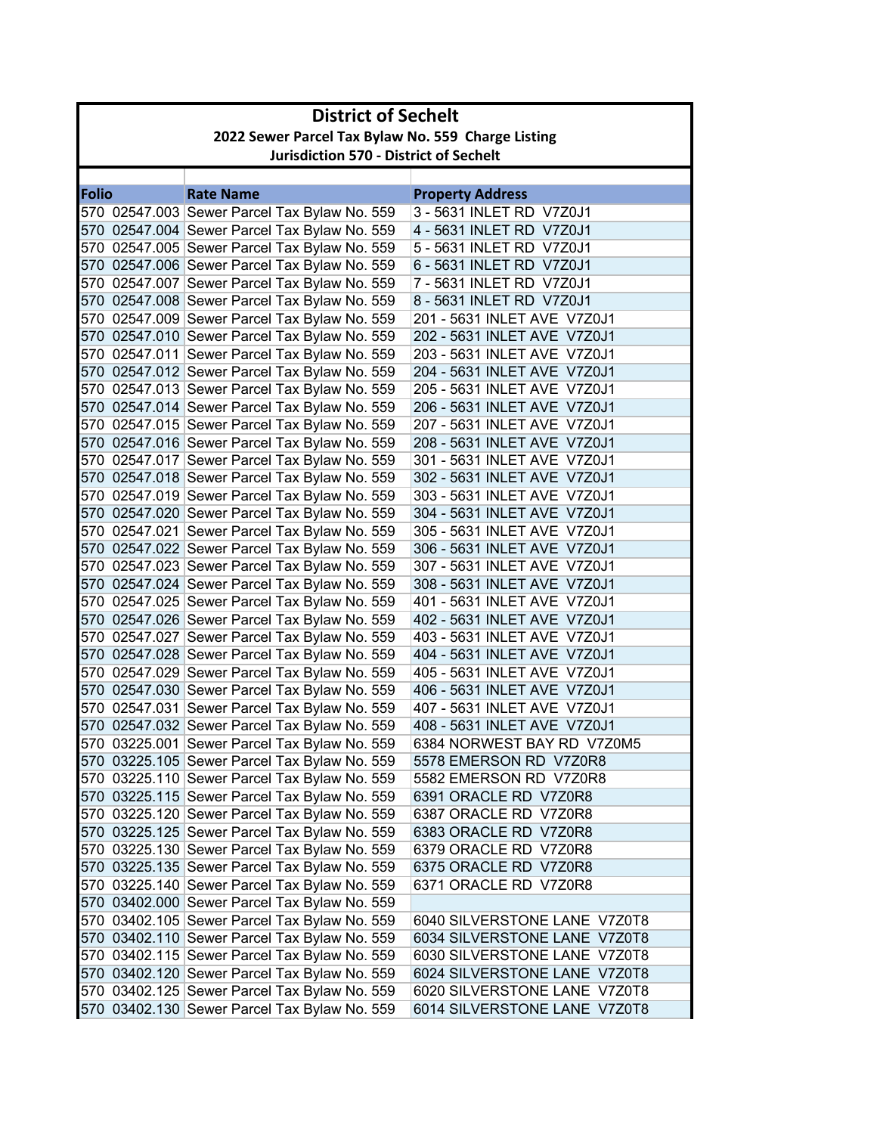| <b>District of Sechelt</b> |                                                                                              |                              |  |  |
|----------------------------|----------------------------------------------------------------------------------------------|------------------------------|--|--|
|                            | 2022 Sewer Parcel Tax Bylaw No. 559 Charge Listing                                           |                              |  |  |
|                            | <b>Jurisdiction 570 - District of Sechelt</b>                                                |                              |  |  |
|                            |                                                                                              |                              |  |  |
| Folio                      | <b>Rate Name</b>                                                                             | <b>Property Address</b>      |  |  |
|                            | 570 02547.003 Sewer Parcel Tax Bylaw No. 559                                                 | 3 - 5631 INLET RD V7Z0J1     |  |  |
|                            | 570 02547.004 Sewer Parcel Tax Bylaw No. 559                                                 | 4 - 5631 INLET RD V7Z0J1     |  |  |
|                            | 570 02547.005 Sewer Parcel Tax Bylaw No. 559                                                 | 5 - 5631 INLET RD V7Z0J1     |  |  |
|                            | 570 02547.006 Sewer Parcel Tax Bylaw No. 559                                                 | 6 - 5631 INLET RD V7Z0J1     |  |  |
|                            | 570 02547.007 Sewer Parcel Tax Bylaw No. 559                                                 | 7 - 5631 INLET RD V7Z0J1     |  |  |
|                            | 570 02547.008 Sewer Parcel Tax Bylaw No. 559                                                 | 8 - 5631 INLET RD V7Z0J1     |  |  |
|                            | 570 02547.009 Sewer Parcel Tax Bylaw No. 559                                                 | 201 - 5631 INLET AVE V7Z0J1  |  |  |
|                            | 570 02547.010 Sewer Parcel Tax Bylaw No. 559                                                 | 202 - 5631 INLET AVE V7Z0J1  |  |  |
|                            | 570 02547.011 Sewer Parcel Tax Bylaw No. 559                                                 | 203 - 5631 INLET AVE V7Z0J1  |  |  |
|                            | 570 02547.012 Sewer Parcel Tax Bylaw No. 559                                                 | 204 - 5631 INLET AVE V7Z0J1  |  |  |
|                            | 570 02547.013 Sewer Parcel Tax Bylaw No. 559                                                 | 205 - 5631 INLET AVE V7Z0J1  |  |  |
|                            | 570 02547.014 Sewer Parcel Tax Bylaw No. 559                                                 | 206 - 5631 INLET AVE V7Z0J1  |  |  |
|                            | 570 02547.015 Sewer Parcel Tax Bylaw No. 559                                                 | 207 - 5631 INLET AVE V7Z0J1  |  |  |
|                            | 570 02547.016 Sewer Parcel Tax Bylaw No. 559                                                 | 208 - 5631 INLET AVE V7Z0J1  |  |  |
|                            | 570 02547.017 Sewer Parcel Tax Bylaw No. 559                                                 | 301 - 5631 INLET AVE V7Z0J1  |  |  |
|                            | 570 02547.018 Sewer Parcel Tax Bylaw No. 559                                                 | 302 - 5631 INLET AVE V7Z0J1  |  |  |
|                            | 570 02547.019 Sewer Parcel Tax Bylaw No. 559                                                 | 303 - 5631 INLET AVE V7Z0J1  |  |  |
|                            | 570 02547.020 Sewer Parcel Tax Bylaw No. 559                                                 | 304 - 5631 INLET AVE V7Z0J1  |  |  |
|                            | 570 02547.021 Sewer Parcel Tax Bylaw No. 559                                                 | 305 - 5631 INLET AVE V7Z0J1  |  |  |
|                            | 570 02547.022 Sewer Parcel Tax Bylaw No. 559                                                 | 306 - 5631 INLET AVE V7Z0J1  |  |  |
|                            | 570 02547.023 Sewer Parcel Tax Bylaw No. 559                                                 | 307 - 5631 INLET AVE V7Z0J1  |  |  |
|                            | 570 02547.024 Sewer Parcel Tax Bylaw No. 559                                                 | 308 - 5631 INLET AVE V7Z0J1  |  |  |
|                            | 570 02547.025 Sewer Parcel Tax Bylaw No. 559                                                 | 401 - 5631 INLET AVE V7Z0J1  |  |  |
|                            | 570 02547.026 Sewer Parcel Tax Bylaw No. 559                                                 | 402 - 5631 INLET AVE V7Z0J1  |  |  |
|                            | 570 02547.027 Sewer Parcel Tax Bylaw No. 559                                                 | 403 - 5631 INLET AVE V7Z0J1  |  |  |
|                            | 570 02547.028 Sewer Parcel Tax Bylaw No. 559                                                 | 404 - 5631 INLET AVE V7Z0J1  |  |  |
|                            | 570 02547.029 Sewer Parcel Tax Bylaw No. 559                                                 | 405 - 5631 INLET AVE V7Z0J1  |  |  |
|                            | 570 02547.030 Sewer Parcel Tax Bylaw No. 559                                                 | 406 - 5631 INLET AVE V7Z0J1  |  |  |
|                            | 570 02547.031 Sewer Parcel Tax Bylaw No. 559                                                 | 407 - 5631 INLET AVE V7Z0J1  |  |  |
|                            | 570 02547.032 Sewer Parcel Tax Bylaw No. 559                                                 | 408 - 5631 INLET AVE V7Z0J1  |  |  |
|                            | 570 03225.001 Sewer Parcel Tax Bylaw No. 559                                                 | 6384 NORWEST BAY RD V7Z0M5   |  |  |
|                            | 570 03225.105 Sewer Parcel Tax Bylaw No. 559                                                 | 5578 EMERSON RD V7Z0R8       |  |  |
|                            | 570 03225.110 Sewer Parcel Tax Bylaw No. 559                                                 | 5582 EMERSON RD V7Z0R8       |  |  |
|                            | 570 03225.115 Sewer Parcel Tax Bylaw No. 559                                                 | 6391 ORACLE RD V7Z0R8        |  |  |
|                            | 570 03225.120 Sewer Parcel Tax Bylaw No. 559                                                 | 6387 ORACLE RD V7Z0R8        |  |  |
|                            | 570 03225.125 Sewer Parcel Tax Bylaw No. 559                                                 | 6383 ORACLE RD V7Z0R8        |  |  |
|                            | 570 03225.130 Sewer Parcel Tax Bylaw No. 559                                                 | 6379 ORACLE RD V7Z0R8        |  |  |
|                            | 570 03225.135 Sewer Parcel Tax Bylaw No. 559                                                 | 6375 ORACLE RD V7Z0R8        |  |  |
|                            | 570 03225.140 Sewer Parcel Tax Bylaw No. 559                                                 | 6371 ORACLE RD V7Z0R8        |  |  |
|                            | 570 03402.000 Sewer Parcel Tax Bylaw No. 559<br>570 03402.105 Sewer Parcel Tax Bylaw No. 559 | 6040 SILVERSTONE LANE V7Z0T8 |  |  |
|                            |                                                                                              | 6034 SILVERSTONE LANE V7Z0T8 |  |  |
|                            | 570 03402.110 Sewer Parcel Tax Bylaw No. 559                                                 | 6030 SILVERSTONE LANE V7Z0T8 |  |  |
|                            | 570 03402.115 Sewer Parcel Tax Bylaw No. 559<br>570 03402.120 Sewer Parcel Tax Bylaw No. 559 | 6024 SILVERSTONE LANE V7Z0T8 |  |  |
|                            | 570 03402.125 Sewer Parcel Tax Bylaw No. 559                                                 | 6020 SILVERSTONE LANE V7Z0T8 |  |  |
|                            |                                                                                              |                              |  |  |
|                            | 570 03402.130 Sewer Parcel Tax Bylaw No. 559                                                 | 6014 SILVERSTONE LANE V7Z0T8 |  |  |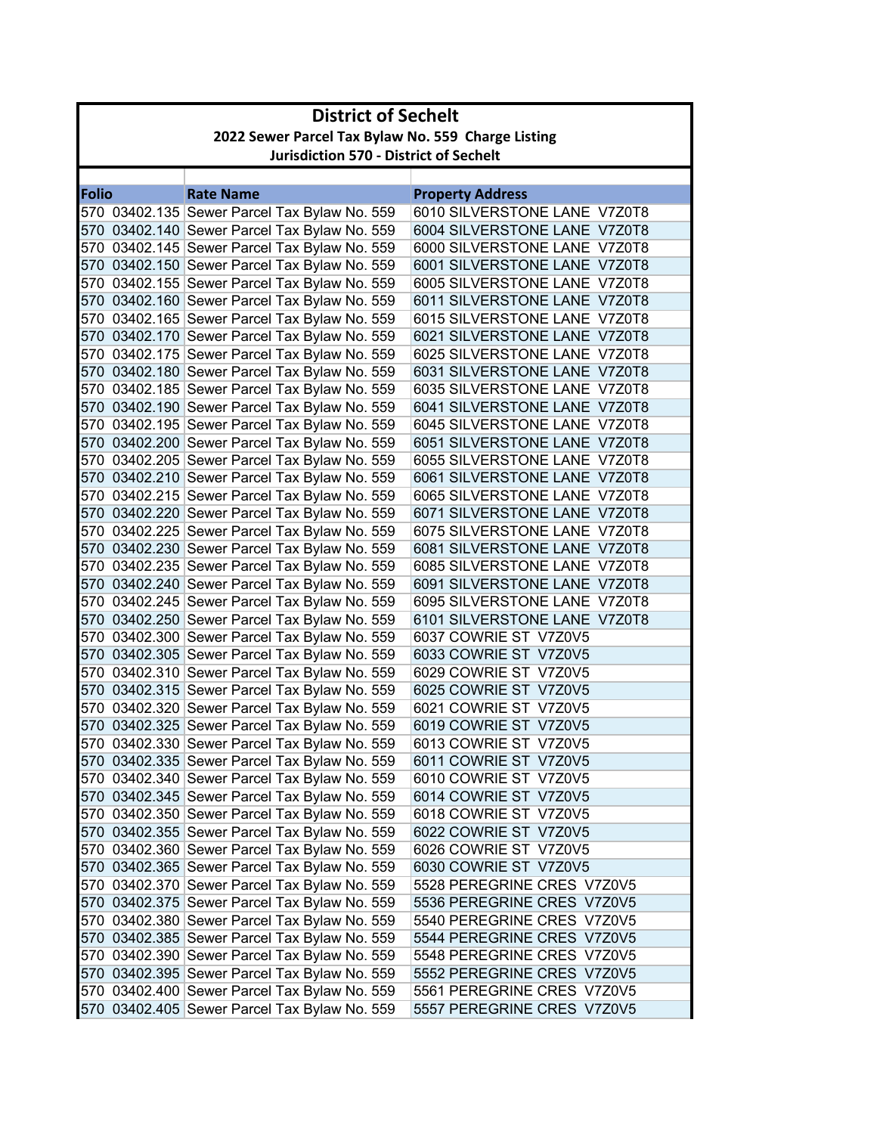| <b>District of Sechelt</b> |                                                    |                              |  |  |
|----------------------------|----------------------------------------------------|------------------------------|--|--|
|                            | 2022 Sewer Parcel Tax Bylaw No. 559 Charge Listing |                              |  |  |
|                            | <b>Jurisdiction 570 - District of Sechelt</b>      |                              |  |  |
|                            |                                                    |                              |  |  |
| <b>Folio</b>               | <b>Rate Name</b>                                   | <b>Property Address</b>      |  |  |
|                            | 570 03402.135 Sewer Parcel Tax Bylaw No. 559       | 6010 SILVERSTONE LANE V7Z0T8 |  |  |
|                            | 570 03402.140 Sewer Parcel Tax Bylaw No. 559       | 6004 SILVERSTONE LANE V7Z0T8 |  |  |
|                            | 570 03402.145 Sewer Parcel Tax Bylaw No. 559       | 6000 SILVERSTONE LANE V7Z0T8 |  |  |
|                            | 570 03402.150 Sewer Parcel Tax Bylaw No. 559       | 6001 SILVERSTONE LANE V7Z0T8 |  |  |
|                            | 570 03402.155 Sewer Parcel Tax Bylaw No. 559       | 6005 SILVERSTONE LANE V7Z0T8 |  |  |
|                            | 570 03402.160 Sewer Parcel Tax Bylaw No. 559       | 6011 SILVERSTONE LANE V7Z0T8 |  |  |
|                            | 570 03402.165 Sewer Parcel Tax Bylaw No. 559       | 6015 SILVERSTONE LANE V7Z0T8 |  |  |
|                            | 570 03402.170 Sewer Parcel Tax Bylaw No. 559       | 6021 SILVERSTONE LANE V7Z0T8 |  |  |
|                            | 570 03402.175 Sewer Parcel Tax Bylaw No. 559       | 6025 SILVERSTONE LANE V7Z0T8 |  |  |
|                            | 570 03402.180 Sewer Parcel Tax Bylaw No. 559       | 6031 SILVERSTONE LANE V7Z0T8 |  |  |
|                            | 570 03402.185 Sewer Parcel Tax Bylaw No. 559       | 6035 SILVERSTONE LANE V7Z0T8 |  |  |
|                            | 570 03402.190 Sewer Parcel Tax Bylaw No. 559       | 6041 SILVERSTONE LANE V7Z0T8 |  |  |
|                            | 570 03402.195 Sewer Parcel Tax Bylaw No. 559       | 6045 SILVERSTONE LANE V7Z0T8 |  |  |
|                            | 570 03402.200 Sewer Parcel Tax Bylaw No. 559       | 6051 SILVERSTONE LANE V7Z0T8 |  |  |
|                            | 570 03402.205 Sewer Parcel Tax Bylaw No. 559       | 6055 SILVERSTONE LANE V7Z0T8 |  |  |
|                            | 570 03402.210 Sewer Parcel Tax Bylaw No. 559       | 6061 SILVERSTONE LANE V7Z0T8 |  |  |
|                            | 570 03402.215 Sewer Parcel Tax Bylaw No. 559       | 6065 SILVERSTONE LANE V7Z0T8 |  |  |
|                            | 570 03402.220 Sewer Parcel Tax Bylaw No. 559       | 6071 SILVERSTONE LANE V7Z0T8 |  |  |
|                            | 570 03402.225 Sewer Parcel Tax Bylaw No. 559       | 6075 SILVERSTONE LANE V7Z0T8 |  |  |
|                            | 570 03402.230 Sewer Parcel Tax Bylaw No. 559       | 6081 SILVERSTONE LANE V7Z0T8 |  |  |
|                            | 570 03402.235 Sewer Parcel Tax Bylaw No. 559       | 6085 SILVERSTONE LANE V7Z0T8 |  |  |
|                            | 570 03402.240 Sewer Parcel Tax Bylaw No. 559       | 6091 SILVERSTONE LANE V7Z0T8 |  |  |
|                            | 570 03402.245 Sewer Parcel Tax Bylaw No. 559       | 6095 SILVERSTONE LANE V7Z0T8 |  |  |
|                            | 570 03402.250 Sewer Parcel Tax Bylaw No. 559       | 6101 SILVERSTONE LANE V7Z0T8 |  |  |
|                            | 570 03402.300 Sewer Parcel Tax Bylaw No. 559       | 6037 COWRIE ST V7Z0V5        |  |  |
|                            | 570 03402.305 Sewer Parcel Tax Bylaw No. 559       | 6033 COWRIE ST V7Z0V5        |  |  |
|                            | 570 03402.310 Sewer Parcel Tax Bylaw No. 559       | 6029 COWRIE ST V7Z0V5        |  |  |
|                            | 570 03402.315 Sewer Parcel Tax Bylaw No. 559       | 6025 COWRIE ST V7Z0V5        |  |  |
|                            | 570 03402.320 Sewer Parcel Tax Bylaw No. 559       | 6021 COWRIE ST V7Z0V5        |  |  |
|                            | 570 03402.325 Sewer Parcel Tax Bylaw No. 559       | 6019 COWRIE ST V7Z0V5        |  |  |
|                            | 570 03402.330 Sewer Parcel Tax Bylaw No. 559       | 6013 COWRIE ST V7Z0V5        |  |  |
|                            | 570 03402.335 Sewer Parcel Tax Bylaw No. 559       | 6011 COWRIE ST V7Z0V5        |  |  |
|                            | 570 03402.340 Sewer Parcel Tax Bylaw No. 559       | 6010 COWRIE ST V7Z0V5        |  |  |
|                            | 570 03402.345 Sewer Parcel Tax Bylaw No. 559       | 6014 COWRIE ST V7Z0V5        |  |  |
|                            | 570 03402.350 Sewer Parcel Tax Bylaw No. 559       | 6018 COWRIE ST V7Z0V5        |  |  |
|                            | 570 03402.355 Sewer Parcel Tax Bylaw No. 559       | 6022 COWRIE ST V7Z0V5        |  |  |
|                            | 570 03402.360 Sewer Parcel Tax Bylaw No. 559       | 6026 COWRIE ST V7Z0V5        |  |  |
|                            | 570 03402.365 Sewer Parcel Tax Bylaw No. 559       | 6030 COWRIE ST V7Z0V5        |  |  |
|                            | 570 03402.370 Sewer Parcel Tax Bylaw No. 559       | 5528 PEREGRINE CRES V7Z0V5   |  |  |
|                            | 570 03402.375 Sewer Parcel Tax Bylaw No. 559       | 5536 PEREGRINE CRES V7Z0V5   |  |  |
|                            | 570 03402.380 Sewer Parcel Tax Bylaw No. 559       | 5540 PEREGRINE CRES V7Z0V5   |  |  |
|                            | 570 03402.385 Sewer Parcel Tax Bylaw No. 559       | 5544 PEREGRINE CRES V7Z0V5   |  |  |
|                            | 570 03402.390 Sewer Parcel Tax Bylaw No. 559       | 5548 PEREGRINE CRES V7Z0V5   |  |  |
|                            | 570 03402.395 Sewer Parcel Tax Bylaw No. 559       | 5552 PEREGRINE CRES V7Z0V5   |  |  |
|                            | 570 03402.400 Sewer Parcel Tax Bylaw No. 559       | 5561 PEREGRINE CRES V7Z0V5   |  |  |
|                            | 570 03402.405 Sewer Parcel Tax Bylaw No. 559       | 5557 PEREGRINE CRES V7Z0V5   |  |  |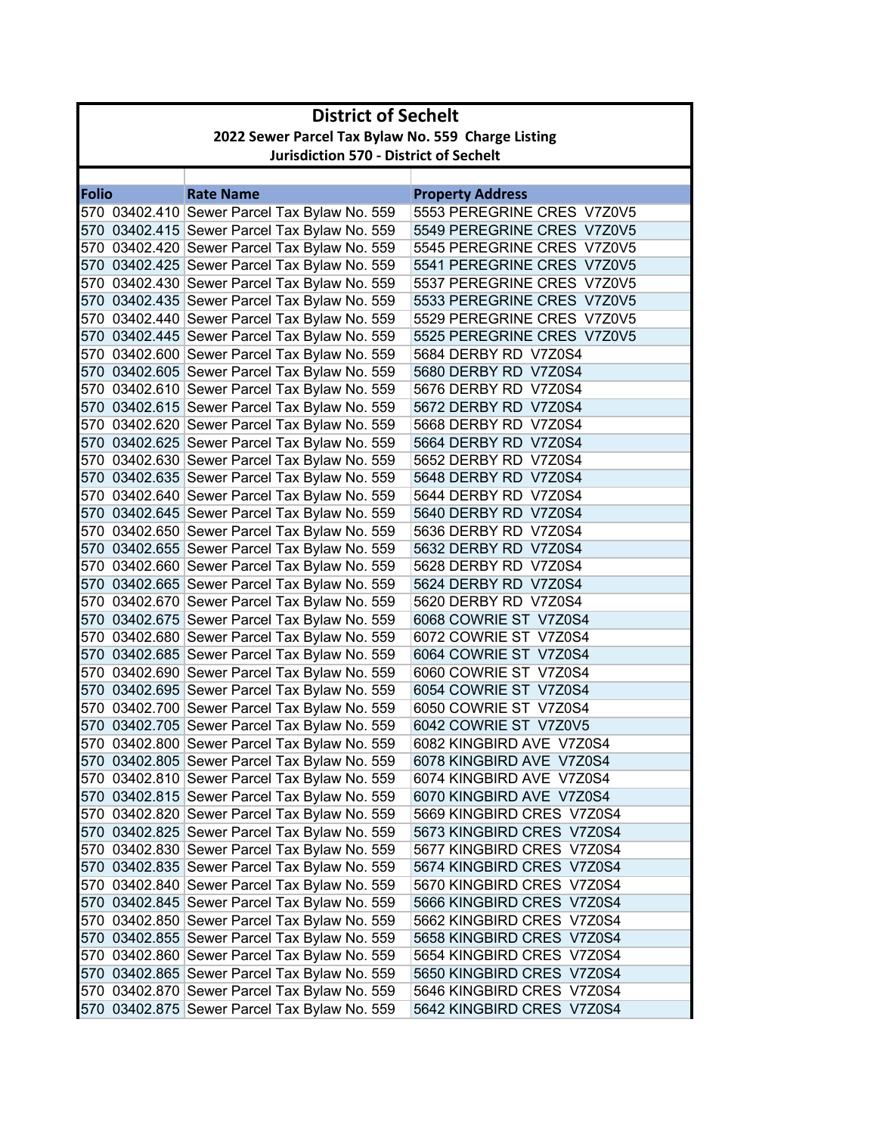|              | <b>District of Sechelt</b>                         |                                                                                              |                                              |  |
|--------------|----------------------------------------------------|----------------------------------------------------------------------------------------------|----------------------------------------------|--|
|              | 2022 Sewer Parcel Tax Bylaw No. 559 Charge Listing |                                                                                              |                                              |  |
|              | <b>Jurisdiction 570 - District of Sechelt</b>      |                                                                                              |                                              |  |
|              |                                                    |                                                                                              |                                              |  |
| <b>Folio</b> |                                                    | <b>Rate Name</b>                                                                             | <b>Property Address</b>                      |  |
|              |                                                    | 570 03402.410 Sewer Parcel Tax Bylaw No. 559                                                 | 5553 PEREGRINE CRES V7Z0V5                   |  |
|              |                                                    | 570 03402.415 Sewer Parcel Tax Bylaw No. 559                                                 | 5549 PEREGRINE CRES V7Z0V5                   |  |
|              |                                                    | 570 03402.420 Sewer Parcel Tax Bylaw No. 559                                                 | 5545 PEREGRINE CRES V7Z0V5                   |  |
|              |                                                    | 570 03402.425 Sewer Parcel Tax Bylaw No. 559                                                 | 5541 PEREGRINE CRES V7Z0V5                   |  |
|              |                                                    | 570 03402.430 Sewer Parcel Tax Bylaw No. 559                                                 | 5537 PEREGRINE CRES V7Z0V5                   |  |
|              |                                                    | 570 03402.435 Sewer Parcel Tax Bylaw No. 559                                                 | 5533 PEREGRINE CRES V7Z0V5                   |  |
|              |                                                    | 570 03402.440 Sewer Parcel Tax Bylaw No. 559                                                 | 5529 PEREGRINE CRES V7Z0V5                   |  |
|              |                                                    | 570 03402.445 Sewer Parcel Tax Bylaw No. 559                                                 | 5525 PEREGRINE CRES V7Z0V5                   |  |
|              |                                                    | 570 03402.600 Sewer Parcel Tax Bylaw No. 559                                                 | 5684 DERBY RD V7Z0S4                         |  |
|              |                                                    | 570 03402.605 Sewer Parcel Tax Bylaw No. 559                                                 | 5680 DERBY RD V7Z0S4                         |  |
|              |                                                    | 570 03402.610 Sewer Parcel Tax Bylaw No. 559                                                 | 5676 DERBY RD V7Z0S4                         |  |
|              |                                                    | 570 03402.615 Sewer Parcel Tax Bylaw No. 559                                                 | 5672 DERBY RD V7Z0S4                         |  |
|              |                                                    | 570 03402.620 Sewer Parcel Tax Bylaw No. 559                                                 | 5668 DERBY RD V7Z0S4                         |  |
|              |                                                    | 570 03402.625 Sewer Parcel Tax Bylaw No. 559                                                 | 5664 DERBY RD V7Z0S4                         |  |
|              |                                                    | 570 03402.630 Sewer Parcel Tax Bylaw No. 559<br>570 03402.635 Sewer Parcel Tax Bylaw No. 559 | 5652 DERBY RD V7Z0S4<br>5648 DERBY RD V7Z0S4 |  |
|              |                                                    | 570 03402.640 Sewer Parcel Tax Bylaw No. 559                                                 | 5644 DERBY RD V7Z0S4                         |  |
|              |                                                    |                                                                                              | 5640 DERBY RD V7Z0S4                         |  |
|              |                                                    | 570 03402.645 Sewer Parcel Tax Bylaw No. 559<br>570 03402.650 Sewer Parcel Tax Bylaw No. 559 | 5636 DERBY RD V7Z0S4                         |  |
|              |                                                    | 570 03402.655 Sewer Parcel Tax Bylaw No. 559                                                 | 5632 DERBY RD V7Z0S4                         |  |
|              |                                                    | 570 03402.660 Sewer Parcel Tax Bylaw No. 559                                                 | 5628 DERBY RD V7Z0S4                         |  |
|              |                                                    | 570 03402.665 Sewer Parcel Tax Bylaw No. 559                                                 | 5624 DERBY RD V7Z0S4                         |  |
|              |                                                    | 570 03402.670 Sewer Parcel Tax Bylaw No. 559                                                 | 5620 DERBY RD V7Z0S4                         |  |
|              |                                                    | 570 03402.675 Sewer Parcel Tax Bylaw No. 559                                                 | 6068 COWRIE ST V7Z0S4                        |  |
|              |                                                    | 570 03402.680 Sewer Parcel Tax Bylaw No. 559                                                 | 6072 COWRIE ST V7Z0S4                        |  |
|              |                                                    | 570 03402.685 Sewer Parcel Tax Bylaw No. 559                                                 | 6064 COWRIE ST V7Z0S4                        |  |
|              |                                                    | 570 03402.690 Sewer Parcel Tax Bylaw No. 559                                                 | 6060 COWRIE ST V7Z0S4                        |  |
|              |                                                    | 570 03402.695 Sewer Parcel Tax Bylaw No. 559                                                 | 6054 COWRIE ST V7Z0S4                        |  |
|              |                                                    | 570 03402.700 Sewer Parcel Tax Bylaw No. 559                                                 | 6050 COWRIE ST V7Z0S4                        |  |
|              |                                                    | 570 03402.705 Sewer Parcel Tax Bylaw No. 559                                                 | 6042 COWRIE ST V7Z0V5                        |  |
|              |                                                    | 570 03402.800 Sewer Parcel Tax Bylaw No. 559                                                 | 6082 KINGBIRD AVE V7Z0S4                     |  |
|              |                                                    | 570 03402.805 Sewer Parcel Tax Bylaw No. 559                                                 | 6078 KINGBIRD AVE V7Z0S4                     |  |
|              |                                                    | 570 03402.810 Sewer Parcel Tax Bylaw No. 559                                                 | 6074 KINGBIRD AVE V7Z0S4                     |  |
|              |                                                    | 570 03402.815 Sewer Parcel Tax Bylaw No. 559                                                 | 6070 KINGBIRD AVE V7Z0S4                     |  |
|              |                                                    | 570 03402.820 Sewer Parcel Tax Bylaw No. 559                                                 | 5669 KINGBIRD CRES V7Z0S4                    |  |
|              |                                                    | 570 03402.825 Sewer Parcel Tax Bylaw No. 559                                                 | 5673 KINGBIRD CRES V7Z0S4                    |  |
|              |                                                    | 570 03402.830 Sewer Parcel Tax Bylaw No. 559                                                 | 5677 KINGBIRD CRES V7Z0S4                    |  |
|              |                                                    | 570 03402.835 Sewer Parcel Tax Bylaw No. 559                                                 | 5674 KINGBIRD CRES V7Z0S4                    |  |
|              |                                                    | 570 03402.840 Sewer Parcel Tax Bylaw No. 559                                                 | 5670 KINGBIRD CRES V7Z0S4                    |  |
|              |                                                    | 570 03402.845 Sewer Parcel Tax Bylaw No. 559                                                 | 5666 KINGBIRD CRES V7Z0S4                    |  |
|              |                                                    | 570 03402.850 Sewer Parcel Tax Bylaw No. 559                                                 | 5662 KINGBIRD CRES V7Z0S4                    |  |
|              |                                                    | 570 03402.855 Sewer Parcel Tax Bylaw No. 559                                                 | 5658 KINGBIRD CRES V7Z0S4                    |  |
|              |                                                    | 570 03402.860 Sewer Parcel Tax Bylaw No. 559                                                 | 5654 KINGBIRD CRES V7Z0S4                    |  |
|              |                                                    | 570 03402.865 Sewer Parcel Tax Bylaw No. 559                                                 | 5650 KINGBIRD CRES V7Z0S4                    |  |
|              |                                                    | 570 03402.870 Sewer Parcel Tax Bylaw No. 559                                                 | 5646 KINGBIRD CRES V7Z0S4                    |  |
|              |                                                    | 570 03402.875 Sewer Parcel Tax Bylaw No. 559                                                 | 5642 KINGBIRD CRES V7Z0S4                    |  |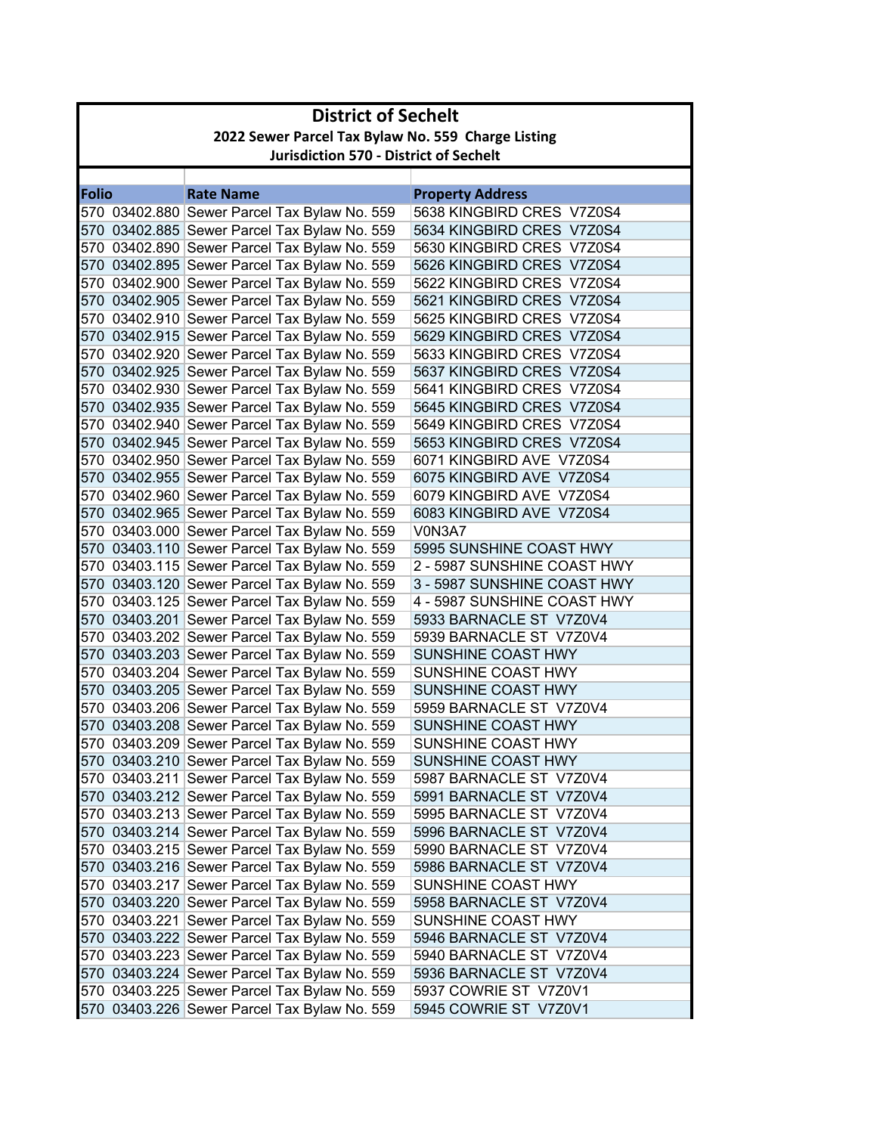|              | <b>District of Sechelt</b>                         |                                              |                             |  |
|--------------|----------------------------------------------------|----------------------------------------------|-----------------------------|--|
|              | 2022 Sewer Parcel Tax Bylaw No. 559 Charge Listing |                                              |                             |  |
|              | <b>Jurisdiction 570 - District of Sechelt</b>      |                                              |                             |  |
|              |                                                    |                                              |                             |  |
| <b>Folio</b> |                                                    | <b>Rate Name</b>                             | <b>Property Address</b>     |  |
|              |                                                    | 570 03402.880 Sewer Parcel Tax Bylaw No. 559 | 5638 KINGBIRD CRES V7Z0S4   |  |
|              |                                                    | 570 03402.885 Sewer Parcel Tax Bylaw No. 559 | 5634 KINGBIRD CRES V7Z0S4   |  |
|              |                                                    | 570 03402.890 Sewer Parcel Tax Bylaw No. 559 | 5630 KINGBIRD CRES V7Z0S4   |  |
|              |                                                    | 570 03402.895 Sewer Parcel Tax Bylaw No. 559 | 5626 KINGBIRD CRES V7Z0S4   |  |
|              |                                                    | 570 03402.900 Sewer Parcel Tax Bylaw No. 559 | 5622 KINGBIRD CRES V7Z0S4   |  |
|              |                                                    | 570 03402.905 Sewer Parcel Tax Bylaw No. 559 | 5621 KINGBIRD CRES V7Z0S4   |  |
|              |                                                    | 570 03402.910 Sewer Parcel Tax Bylaw No. 559 | 5625 KINGBIRD CRES V7Z0S4   |  |
|              |                                                    | 570 03402.915 Sewer Parcel Tax Bylaw No. 559 | 5629 KINGBIRD CRES V7Z0S4   |  |
|              |                                                    | 570 03402.920 Sewer Parcel Tax Bylaw No. 559 | 5633 KINGBIRD CRES V7Z0S4   |  |
|              |                                                    | 570 03402.925 Sewer Parcel Tax Bylaw No. 559 | 5637 KINGBIRD CRES V7Z0S4   |  |
|              |                                                    | 570 03402.930 Sewer Parcel Tax Bylaw No. 559 | 5641 KINGBIRD CRES V7Z0S4   |  |
|              |                                                    | 570 03402.935 Sewer Parcel Tax Bylaw No. 559 | 5645 KINGBIRD CRES V7Z0S4   |  |
|              |                                                    | 570 03402.940 Sewer Parcel Tax Bylaw No. 559 | 5649 KINGBIRD CRES V7Z0S4   |  |
|              |                                                    | 570 03402.945 Sewer Parcel Tax Bylaw No. 559 | 5653 KINGBIRD CRES V7Z0S4   |  |
|              |                                                    | 570 03402.950 Sewer Parcel Tax Bylaw No. 559 | 6071 KINGBIRD AVE V7Z0S4    |  |
|              |                                                    | 570 03402.955 Sewer Parcel Tax Bylaw No. 559 | 6075 KINGBIRD AVE V7Z0S4    |  |
|              |                                                    | 570 03402.960 Sewer Parcel Tax Bylaw No. 559 | 6079 KINGBIRD AVE V7Z0S4    |  |
|              |                                                    | 570 03402.965 Sewer Parcel Tax Bylaw No. 559 | 6083 KINGBIRD AVE V7Z0S4    |  |
|              |                                                    | 570 03403.000 Sewer Parcel Tax Bylaw No. 559 | V0N3A7                      |  |
|              |                                                    | 570 03403.110 Sewer Parcel Tax Bylaw No. 559 | 5995 SUNSHINE COAST HWY     |  |
|              |                                                    | 570 03403.115 Sewer Parcel Tax Bylaw No. 559 | 2 - 5987 SUNSHINE COAST HWY |  |
|              |                                                    | 570 03403.120 Sewer Parcel Tax Bylaw No. 559 | 3 - 5987 SUNSHINE COAST HWY |  |
|              |                                                    | 570 03403.125 Sewer Parcel Tax Bylaw No. 559 | 4 - 5987 SUNSHINE COAST HWY |  |
|              |                                                    | 570 03403.201 Sewer Parcel Tax Bylaw No. 559 | 5933 BARNACLE ST V7Z0V4     |  |
|              |                                                    | 570 03403.202 Sewer Parcel Tax Bylaw No. 559 | 5939 BARNACLE ST V7Z0V4     |  |
|              |                                                    | 570 03403.203 Sewer Parcel Tax Bylaw No. 559 | SUNSHINE COAST HWY          |  |
|              |                                                    | 570 03403.204 Sewer Parcel Tax Bylaw No. 559 | SUNSHINE COAST HWY          |  |
|              |                                                    | 570 03403.205 Sewer Parcel Tax Bylaw No. 559 | SUNSHINE COAST HWY          |  |
|              |                                                    | 570 03403.206 Sewer Parcel Tax Bylaw No. 559 | 5959 BARNACLE ST V7Z0V4     |  |
|              |                                                    | 570 03403.208 Sewer Parcel Tax Bylaw No. 559 | SUNSHINE COAST HWY          |  |
|              |                                                    | 570 03403.209 Sewer Parcel Tax Bylaw No. 559 | SUNSHINE COAST HWY          |  |
|              |                                                    | 570 03403.210 Sewer Parcel Tax Bylaw No. 559 | SUNSHINE COAST HWY          |  |
|              |                                                    | 570 03403.211 Sewer Parcel Tax Bylaw No. 559 | 5987 BARNACLE ST V7Z0V4     |  |
|              |                                                    | 570 03403.212 Sewer Parcel Tax Bylaw No. 559 | 5991 BARNACLE ST V7Z0V4     |  |
|              |                                                    | 570 03403.213 Sewer Parcel Tax Bylaw No. 559 | 5995 BARNACLE ST V7Z0V4     |  |
|              |                                                    | 570 03403.214 Sewer Parcel Tax Bylaw No. 559 | 5996 BARNACLE ST V7Z0V4     |  |
|              |                                                    | 570 03403.215 Sewer Parcel Tax Bylaw No. 559 | 5990 BARNACLE ST V7Z0V4     |  |
|              |                                                    | 570 03403.216 Sewer Parcel Tax Bylaw No. 559 | 5986 BARNACLE ST V7Z0V4     |  |
|              |                                                    | 570 03403.217 Sewer Parcel Tax Bylaw No. 559 | SUNSHINE COAST HWY          |  |
|              |                                                    | 570 03403.220 Sewer Parcel Tax Bylaw No. 559 | 5958 BARNACLE ST V7Z0V4     |  |
|              |                                                    | 570 03403.221 Sewer Parcel Tax Bylaw No. 559 | SUNSHINE COAST HWY          |  |
|              |                                                    | 570 03403.222 Sewer Parcel Tax Bylaw No. 559 | 5946 BARNACLE ST V7Z0V4     |  |
|              |                                                    | 570 03403.223 Sewer Parcel Tax Bylaw No. 559 | 5940 BARNACLE ST V7Z0V4     |  |
|              |                                                    | 570 03403.224 Sewer Parcel Tax Bylaw No. 559 | 5936 BARNACLE ST V7Z0V4     |  |
|              |                                                    | 570 03403.225 Sewer Parcel Tax Bylaw No. 559 | 5937 COWRIE ST V7Z0V1       |  |
|              |                                                    | 570 03403.226 Sewer Parcel Tax Bylaw No. 559 | 5945 COWRIE ST V7Z0V1       |  |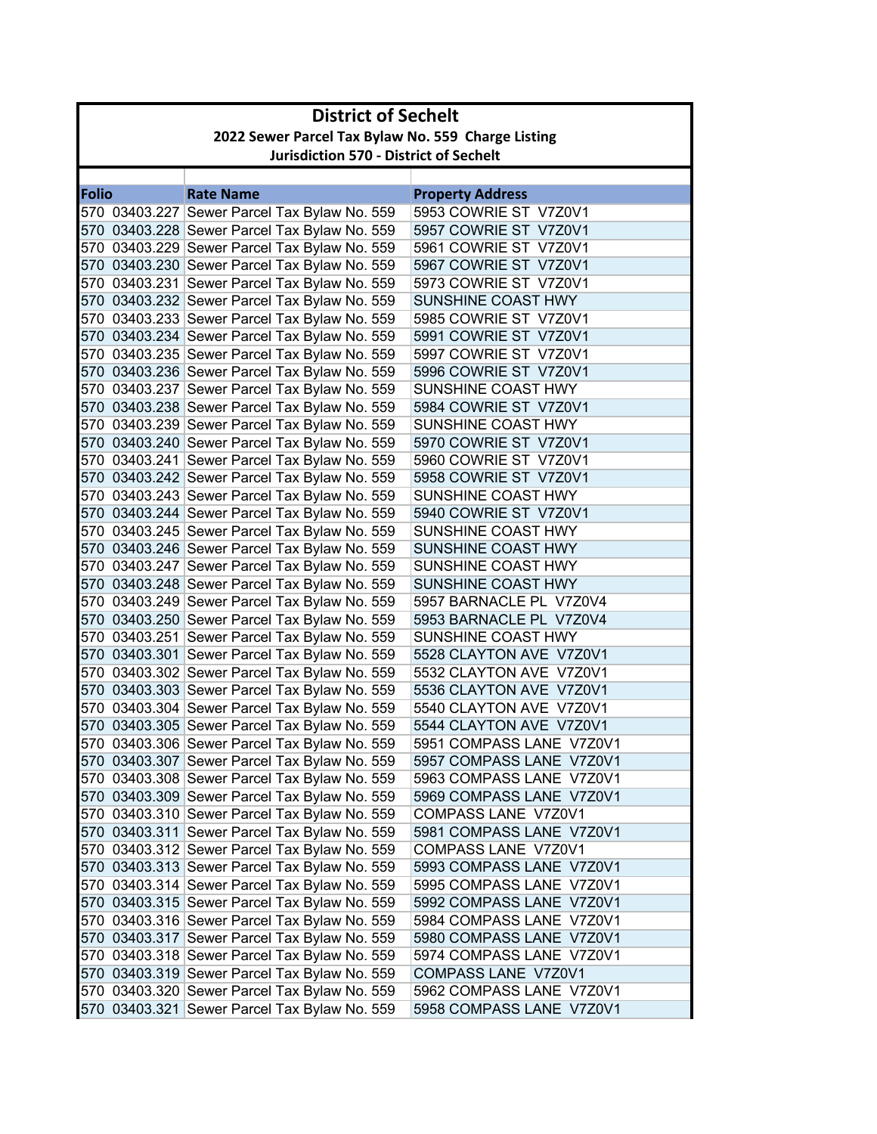|              | <b>District of Sechelt</b>                         |                                              |                          |  |
|--------------|----------------------------------------------------|----------------------------------------------|--------------------------|--|
|              | 2022 Sewer Parcel Tax Bylaw No. 559 Charge Listing |                                              |                          |  |
|              | <b>Jurisdiction 570 - District of Sechelt</b>      |                                              |                          |  |
|              |                                                    |                                              |                          |  |
| <b>Folio</b> |                                                    | <b>Rate Name</b>                             | <b>Property Address</b>  |  |
|              |                                                    | 570 03403.227 Sewer Parcel Tax Bylaw No. 559 | 5953 COWRIE ST V7Z0V1    |  |
|              |                                                    | 570 03403.228 Sewer Parcel Tax Bylaw No. 559 | 5957 COWRIE ST V7Z0V1    |  |
|              |                                                    | 570 03403.229 Sewer Parcel Tax Bylaw No. 559 | 5961 COWRIE ST V7Z0V1    |  |
|              |                                                    | 570 03403.230 Sewer Parcel Tax Bylaw No. 559 | 5967 COWRIE ST V7Z0V1    |  |
|              |                                                    | 570 03403.231 Sewer Parcel Tax Bylaw No. 559 | 5973 COWRIE ST V7Z0V1    |  |
|              |                                                    | 570 03403.232 Sewer Parcel Tax Bylaw No. 559 | SUNSHINE COAST HWY       |  |
|              |                                                    | 570 03403.233 Sewer Parcel Tax Bylaw No. 559 | 5985 COWRIE ST V7Z0V1    |  |
|              |                                                    | 570 03403.234 Sewer Parcel Tax Bylaw No. 559 | 5991 COWRIE ST V7Z0V1    |  |
|              |                                                    | 570 03403.235 Sewer Parcel Tax Bylaw No. 559 | 5997 COWRIE ST V7Z0V1    |  |
|              |                                                    | 570 03403.236 Sewer Parcel Tax Bylaw No. 559 | 5996 COWRIE ST V7Z0V1    |  |
|              |                                                    | 570 03403.237 Sewer Parcel Tax Bylaw No. 559 | SUNSHINE COAST HWY       |  |
|              |                                                    | 570 03403.238 Sewer Parcel Tax Bylaw No. 559 | 5984 COWRIE ST V7Z0V1    |  |
|              |                                                    | 570 03403.239 Sewer Parcel Tax Bylaw No. 559 | SUNSHINE COAST HWY       |  |
|              |                                                    | 570 03403.240 Sewer Parcel Tax Bylaw No. 559 | 5970 COWRIE ST V7Z0V1    |  |
|              |                                                    | 570 03403.241 Sewer Parcel Tax Bylaw No. 559 | 5960 COWRIE ST V7Z0V1    |  |
|              |                                                    | 570 03403.242 Sewer Parcel Tax Bylaw No. 559 | 5958 COWRIE ST V7Z0V1    |  |
|              |                                                    | 570 03403.243 Sewer Parcel Tax Bylaw No. 559 | SUNSHINE COAST HWY       |  |
|              |                                                    | 570 03403.244 Sewer Parcel Tax Bylaw No. 559 | 5940 COWRIE ST V7Z0V1    |  |
|              |                                                    | 570 03403.245 Sewer Parcel Tax Bylaw No. 559 | SUNSHINE COAST HWY       |  |
|              |                                                    | 570 03403.246 Sewer Parcel Tax Bylaw No. 559 | SUNSHINE COAST HWY       |  |
|              |                                                    | 570 03403.247 Sewer Parcel Tax Bylaw No. 559 | SUNSHINE COAST HWY       |  |
|              |                                                    | 570 03403.248 Sewer Parcel Tax Bylaw No. 559 | SUNSHINE COAST HWY       |  |
|              |                                                    | 570 03403.249 Sewer Parcel Tax Bylaw No. 559 | 5957 BARNACLE PL V7Z0V4  |  |
|              |                                                    | 570 03403.250 Sewer Parcel Tax Bylaw No. 559 | 5953 BARNACLE PL V7Z0V4  |  |
|              |                                                    | 570 03403.251 Sewer Parcel Tax Bylaw No. 559 | SUNSHINE COAST HWY       |  |
|              |                                                    | 570 03403.301 Sewer Parcel Tax Bylaw No. 559 | 5528 CLAYTON AVE V7Z0V1  |  |
|              |                                                    | 570 03403.302 Sewer Parcel Tax Bylaw No. 559 | 5532 CLAYTON AVE V7Z0V1  |  |
|              |                                                    | 570 03403.303 Sewer Parcel Tax Bylaw No. 559 | 5536 CLAYTON AVE V7Z0V1  |  |
|              |                                                    | 570 03403.304 Sewer Parcel Tax Bylaw No. 559 | 5540 CLAYTON AVE V7Z0V1  |  |
|              |                                                    | 570 03403.305 Sewer Parcel Tax Bylaw No. 559 | 5544 CLAYTON AVE V7Z0V1  |  |
|              |                                                    | 570 03403.306 Sewer Parcel Tax Bylaw No. 559 | 5951 COMPASS LANE V7Z0V1 |  |
|              |                                                    | 570 03403.307 Sewer Parcel Tax Bylaw No. 559 | 5957 COMPASS LANE V7Z0V1 |  |
|              |                                                    | 570 03403.308 Sewer Parcel Tax Bylaw No. 559 | 5963 COMPASS LANE V7Z0V1 |  |
|              |                                                    | 570 03403.309 Sewer Parcel Tax Bylaw No. 559 | 5969 COMPASS LANE V7Z0V1 |  |
|              |                                                    | 570 03403.310 Sewer Parcel Tax Bylaw No. 559 | COMPASS LANE V7Z0V1      |  |
|              |                                                    | 570 03403.311 Sewer Parcel Tax Bylaw No. 559 | 5981 COMPASS LANE V7Z0V1 |  |
|              |                                                    | 570 03403.312 Sewer Parcel Tax Bylaw No. 559 | COMPASS LANE V7Z0V1      |  |
|              |                                                    | 570 03403.313 Sewer Parcel Tax Bylaw No. 559 | 5993 COMPASS LANE V7Z0V1 |  |
|              |                                                    | 570 03403.314 Sewer Parcel Tax Bylaw No. 559 | 5995 COMPASS LANE V7Z0V1 |  |
|              |                                                    | 570 03403.315 Sewer Parcel Tax Bylaw No. 559 | 5992 COMPASS LANE V7Z0V1 |  |
|              |                                                    | 570 03403.316 Sewer Parcel Tax Bylaw No. 559 | 5984 COMPASS LANE V7Z0V1 |  |
|              |                                                    | 570 03403.317 Sewer Parcel Tax Bylaw No. 559 | 5980 COMPASS LANE V7Z0V1 |  |
|              |                                                    | 570 03403.318 Sewer Parcel Tax Bylaw No. 559 | 5974 COMPASS LANE V7Z0V1 |  |
|              |                                                    | 570 03403.319 Sewer Parcel Tax Bylaw No. 559 | COMPASS LANE V7Z0V1      |  |
|              |                                                    | 570 03403.320 Sewer Parcel Tax Bylaw No. 559 | 5962 COMPASS LANE V7Z0V1 |  |
|              |                                                    | 570 03403.321 Sewer Parcel Tax Bylaw No. 559 | 5958 COMPASS LANE V7Z0V1 |  |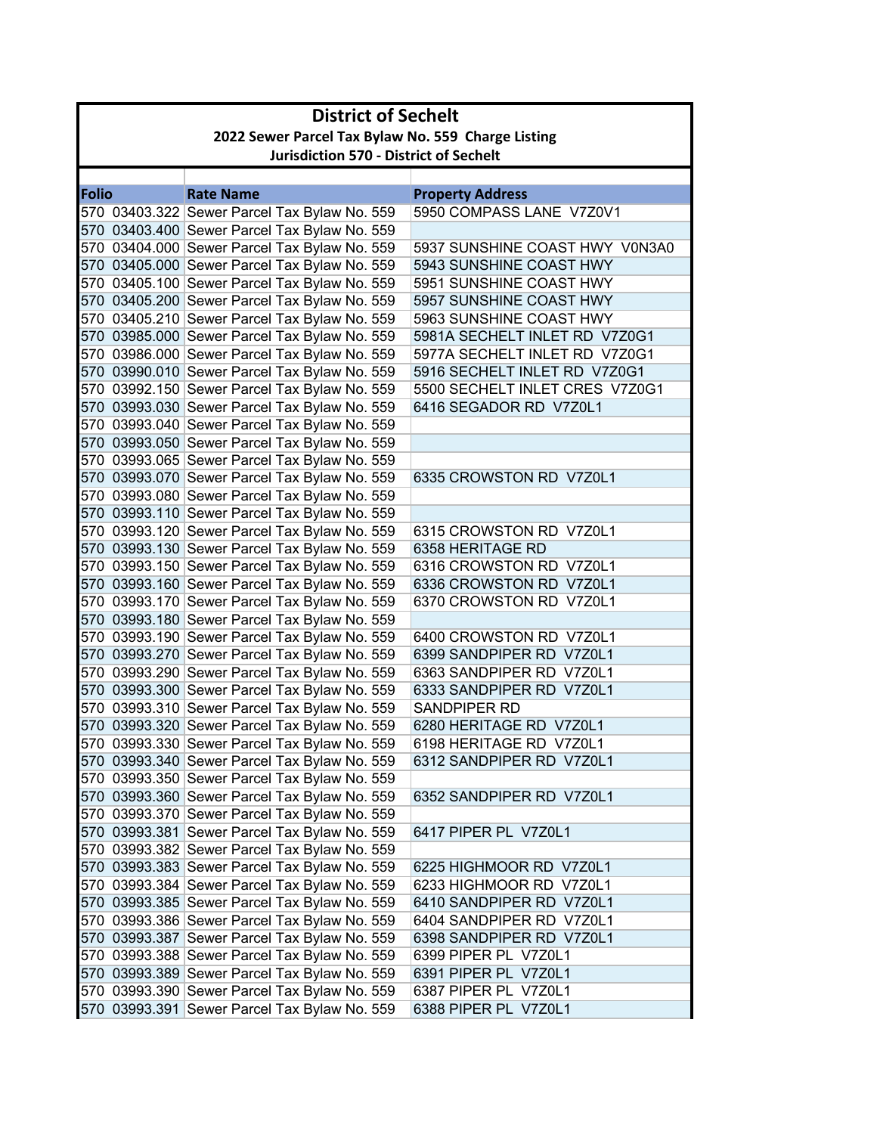|              | <b>District of Sechelt</b>                         |                                               |                                |  |
|--------------|----------------------------------------------------|-----------------------------------------------|--------------------------------|--|
|              | 2022 Sewer Parcel Tax Bylaw No. 559 Charge Listing |                                               |                                |  |
|              |                                                    | <b>Jurisdiction 570 - District of Sechelt</b> |                                |  |
|              |                                                    |                                               |                                |  |
| <b>Folio</b> |                                                    | <b>Rate Name</b>                              | <b>Property Address</b>        |  |
|              |                                                    | 570 03403.322 Sewer Parcel Tax Bylaw No. 559  | 5950 COMPASS LANE V7Z0V1       |  |
|              |                                                    | 570 03403.400 Sewer Parcel Tax Bylaw No. 559  |                                |  |
|              |                                                    | 570 03404.000 Sewer Parcel Tax Bylaw No. 559  | 5937 SUNSHINE COAST HWY V0N3A0 |  |
|              |                                                    | 570 03405.000 Sewer Parcel Tax Bylaw No. 559  | 5943 SUNSHINE COAST HWY        |  |
|              |                                                    | 570 03405.100 Sewer Parcel Tax Bylaw No. 559  | 5951 SUNSHINE COAST HWY        |  |
|              |                                                    | 570 03405.200 Sewer Parcel Tax Bylaw No. 559  | 5957 SUNSHINE COAST HWY        |  |
|              |                                                    | 570 03405.210 Sewer Parcel Tax Bylaw No. 559  | 5963 SUNSHINE COAST HWY        |  |
|              |                                                    | 570 03985.000 Sewer Parcel Tax Bylaw No. 559  | 5981A SECHELT INLET RD V7Z0G1  |  |
|              |                                                    | 570 03986.000 Sewer Parcel Tax Bylaw No. 559  | 5977A SECHELT INLET RD V7Z0G1  |  |
|              |                                                    | 570 03990.010 Sewer Parcel Tax Bylaw No. 559  | 5916 SECHELT INLET RD V7Z0G1   |  |
|              |                                                    | 570 03992.150 Sewer Parcel Tax Bylaw No. 559  | 5500 SECHELT INLET CRES V7Z0G1 |  |
|              |                                                    | 570 03993.030 Sewer Parcel Tax Bylaw No. 559  | 6416 SEGADOR RD V7Z0L1         |  |
|              |                                                    | 570 03993.040 Sewer Parcel Tax Bylaw No. 559  |                                |  |
|              |                                                    | 570 03993.050 Sewer Parcel Tax Bylaw No. 559  |                                |  |
|              |                                                    | 570 03993.065 Sewer Parcel Tax Bylaw No. 559  |                                |  |
|              |                                                    | 570 03993.070 Sewer Parcel Tax Bylaw No. 559  | 6335 CROWSTON RD V7Z0L1        |  |
|              |                                                    | 570 03993.080 Sewer Parcel Tax Bylaw No. 559  |                                |  |
|              |                                                    | 570 03993.110 Sewer Parcel Tax Bylaw No. 559  |                                |  |
|              |                                                    | 570 03993.120 Sewer Parcel Tax Bylaw No. 559  | 6315 CROWSTON RD V7Z0L1        |  |
|              |                                                    | 570 03993.130 Sewer Parcel Tax Bylaw No. 559  | 6358 HERITAGE RD               |  |
|              |                                                    | 570 03993.150 Sewer Parcel Tax Bylaw No. 559  | 6316 CROWSTON RD V7Z0L1        |  |
|              |                                                    | 570 03993.160 Sewer Parcel Tax Bylaw No. 559  | 6336 CROWSTON RD V7Z0L1        |  |
|              |                                                    | 570 03993.170 Sewer Parcel Tax Bylaw No. 559  | 6370 CROWSTON RD V7Z0L1        |  |
|              |                                                    | 570 03993.180 Sewer Parcel Tax Bylaw No. 559  |                                |  |
|              |                                                    | 570 03993.190 Sewer Parcel Tax Bylaw No. 559  | 6400 CROWSTON RD V7Z0L1        |  |
|              |                                                    | 570 03993.270 Sewer Parcel Tax Bylaw No. 559  | 6399 SANDPIPER RD V7Z0L1       |  |
|              |                                                    | 570 03993.290 Sewer Parcel Tax Bylaw No. 559  | 6363 SANDPIPER RD V7Z0L1       |  |
|              |                                                    | 570 03993.300 Sewer Parcel Tax Bylaw No. 559  | 6333 SANDPIPER RD V7Z0L1       |  |
|              |                                                    | 570 03993.310 Sewer Parcel Tax Bylaw No. 559  | <b>SANDPIPER RD</b>            |  |
|              |                                                    | 570 03993.320 Sewer Parcel Tax Bylaw No. 559  | 6280 HERITAGE RD V7Z0L1        |  |
|              |                                                    | 570 03993.330 Sewer Parcel Tax Bylaw No. 559  | 6198 HERITAGE RD V7Z0L1        |  |
|              |                                                    | 570 03993.340 Sewer Parcel Tax Bylaw No. 559  | 6312 SANDPIPER RD V7Z0L1       |  |
|              |                                                    | 570 03993.350 Sewer Parcel Tax Bylaw No. 559  |                                |  |
|              |                                                    | 570 03993.360 Sewer Parcel Tax Bylaw No. 559  | 6352 SANDPIPER RD V7Z0L1       |  |
|              |                                                    | 570 03993.370 Sewer Parcel Tax Bylaw No. 559  |                                |  |
|              |                                                    | 570 03993.381 Sewer Parcel Tax Bylaw No. 559  | 6417 PIPER PL V7Z0L1           |  |
|              |                                                    | 570 03993.382 Sewer Parcel Tax Bylaw No. 559  |                                |  |
|              |                                                    | 570 03993.383 Sewer Parcel Tax Bylaw No. 559  | 6225 HIGHMOOR RD V7Z0L1        |  |
|              |                                                    | 570 03993.384 Sewer Parcel Tax Bylaw No. 559  | 6233 HIGHMOOR RD V7Z0L1        |  |
|              |                                                    | 570 03993.385 Sewer Parcel Tax Bylaw No. 559  | 6410 SANDPIPER RD V7Z0L1       |  |
|              |                                                    | 570 03993.386 Sewer Parcel Tax Bylaw No. 559  | 6404 SANDPIPER RD V7Z0L1       |  |
|              |                                                    | 570 03993.387 Sewer Parcel Tax Bylaw No. 559  | 6398 SANDPIPER RD V7Z0L1       |  |
|              |                                                    | 570 03993.388 Sewer Parcel Tax Bylaw No. 559  | 6399 PIPER PL V7Z0L1           |  |
|              |                                                    | 570 03993.389 Sewer Parcel Tax Bylaw No. 559  | 6391 PIPER PL V7Z0L1           |  |
|              |                                                    | 570 03993.390 Sewer Parcel Tax Bylaw No. 559  | 6387 PIPER PL V7Z0L1           |  |
|              |                                                    | 570 03993.391 Sewer Parcel Tax Bylaw No. 559  | 6388 PIPER PL V7Z0L1           |  |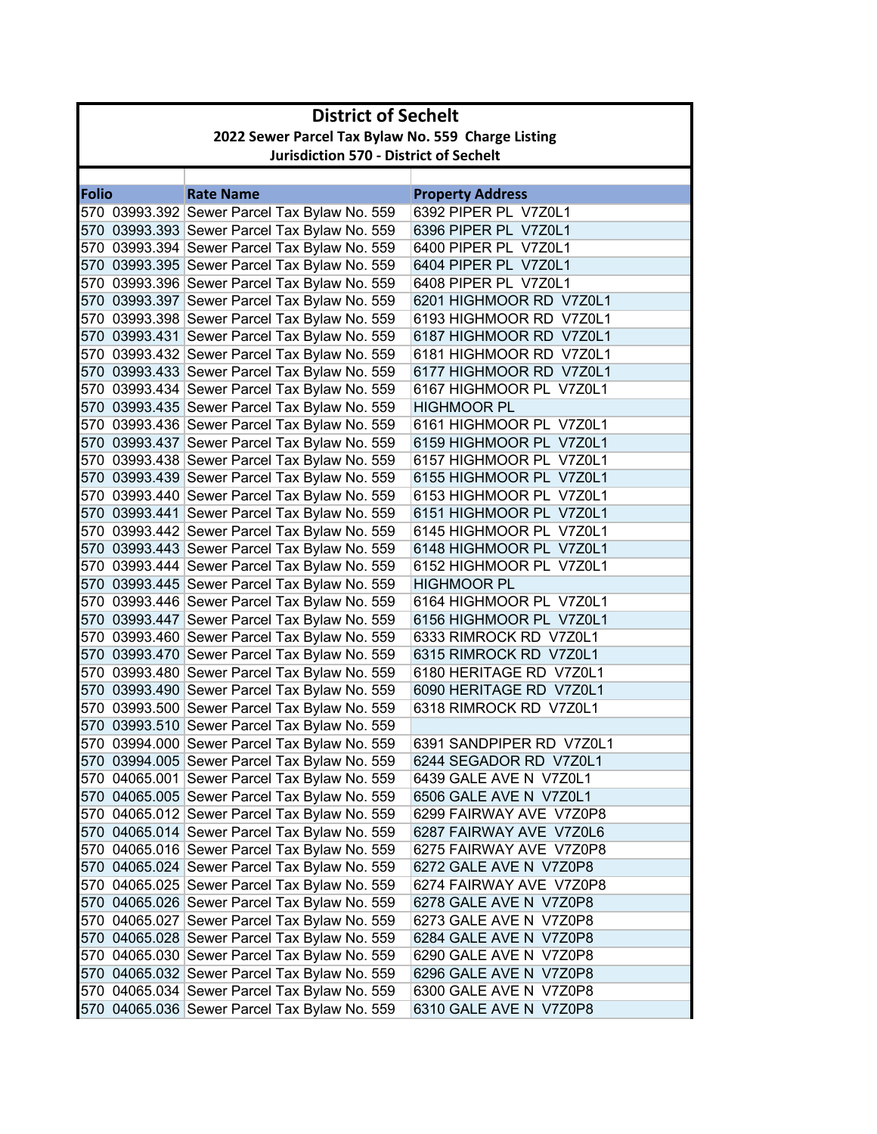|              | <b>District of Sechelt</b>                         |                                              |                          |  |
|--------------|----------------------------------------------------|----------------------------------------------|--------------------------|--|
|              | 2022 Sewer Parcel Tax Bylaw No. 559 Charge Listing |                                              |                          |  |
|              | <b>Jurisdiction 570 - District of Sechelt</b>      |                                              |                          |  |
|              |                                                    |                                              |                          |  |
| <b>Folio</b> |                                                    | <b>Rate Name</b>                             | <b>Property Address</b>  |  |
|              |                                                    | 570 03993.392 Sewer Parcel Tax Bylaw No. 559 | 6392 PIPER PL V7Z0L1     |  |
|              |                                                    | 570 03993.393 Sewer Parcel Tax Bylaw No. 559 | 6396 PIPER PL V7Z0L1     |  |
|              |                                                    | 570 03993.394 Sewer Parcel Tax Bylaw No. 559 | 6400 PIPER PL V7Z0L1     |  |
|              |                                                    | 570 03993.395 Sewer Parcel Tax Bylaw No. 559 | 6404 PIPER PL V7Z0L1     |  |
|              |                                                    | 570 03993.396 Sewer Parcel Tax Bylaw No. 559 | 6408 PIPER PL V7Z0L1     |  |
|              |                                                    | 570 03993.397 Sewer Parcel Tax Bylaw No. 559 | 6201 HIGHMOOR RD V7Z0L1  |  |
|              |                                                    | 570 03993.398 Sewer Parcel Tax Bylaw No. 559 | 6193 HIGHMOOR RD V7Z0L1  |  |
|              |                                                    | 570 03993.431 Sewer Parcel Tax Bylaw No. 559 | 6187 HIGHMOOR RD V7Z0L1  |  |
|              |                                                    | 570 03993.432 Sewer Parcel Tax Bylaw No. 559 | 6181 HIGHMOOR RD V7Z0L1  |  |
|              |                                                    | 570 03993.433 Sewer Parcel Tax Bylaw No. 559 | 6177 HIGHMOOR RD V7Z0L1  |  |
|              |                                                    | 570 03993.434 Sewer Parcel Tax Bylaw No. 559 | 6167 HIGHMOOR PL V7Z0L1  |  |
|              |                                                    | 570 03993.435 Sewer Parcel Tax Bylaw No. 559 | <b>HIGHMOOR PL</b>       |  |
|              |                                                    | 570 03993.436 Sewer Parcel Tax Bylaw No. 559 | 6161 HIGHMOOR PL V7Z0L1  |  |
|              |                                                    | 570 03993.437 Sewer Parcel Tax Bylaw No. 559 | 6159 HIGHMOOR PL V7Z0L1  |  |
|              |                                                    | 570 03993.438 Sewer Parcel Tax Bylaw No. 559 | 6157 HIGHMOOR PL V7Z0L1  |  |
|              |                                                    | 570 03993.439 Sewer Parcel Tax Bylaw No. 559 | 6155 HIGHMOOR PL V7Z0L1  |  |
|              |                                                    | 570 03993.440 Sewer Parcel Tax Bylaw No. 559 | 6153 HIGHMOOR PL V7Z0L1  |  |
|              |                                                    | 570 03993.441 Sewer Parcel Tax Bylaw No. 559 | 6151 HIGHMOOR PL V7Z0L1  |  |
|              |                                                    | 570 03993.442 Sewer Parcel Tax Bylaw No. 559 | 6145 HIGHMOOR PL V7Z0L1  |  |
|              |                                                    | 570 03993.443 Sewer Parcel Tax Bylaw No. 559 | 6148 HIGHMOOR PL V7Z0L1  |  |
|              |                                                    | 570 03993.444 Sewer Parcel Tax Bylaw No. 559 | 6152 HIGHMOOR PL V7Z0L1  |  |
|              |                                                    | 570 03993.445 Sewer Parcel Tax Bylaw No. 559 | <b>HIGHMOOR PL</b>       |  |
|              |                                                    | 570 03993.446 Sewer Parcel Tax Bylaw No. 559 | 6164 HIGHMOOR PL V7Z0L1  |  |
|              |                                                    | 570 03993.447 Sewer Parcel Tax Bylaw No. 559 | 6156 HIGHMOOR PL V7Z0L1  |  |
|              |                                                    | 570 03993.460 Sewer Parcel Tax Bylaw No. 559 | 6333 RIMROCK RD V7Z0L1   |  |
|              |                                                    | 570 03993.470 Sewer Parcel Tax Bylaw No. 559 | 6315 RIMROCK RD V7Z0L1   |  |
|              |                                                    | 570 03993.480 Sewer Parcel Tax Bylaw No. 559 | 6180 HERITAGE RD V7Z0L1  |  |
|              |                                                    | 570 03993.490 Sewer Parcel Tax Bylaw No. 559 | 6090 HERITAGE RD V7Z0L1  |  |
|              |                                                    | 570 03993.500 Sewer Parcel Tax Bylaw No. 559 | 6318 RIMROCK RD V7Z0L1   |  |
|              |                                                    | 570 03993.510 Sewer Parcel Tax Bylaw No. 559 |                          |  |
|              |                                                    | 570 03994.000 Sewer Parcel Tax Bylaw No. 559 | 6391 SANDPIPER RD V7Z0L1 |  |
|              |                                                    | 570 03994.005 Sewer Parcel Tax Bylaw No. 559 | 6244 SEGADOR RD V7Z0L1   |  |
|              |                                                    | 570 04065.001 Sewer Parcel Tax Bylaw No. 559 | 6439 GALE AVE N V7Z0L1   |  |
|              |                                                    | 570 04065.005 Sewer Parcel Tax Bylaw No. 559 | 6506 GALE AVE N V7Z0L1   |  |
|              |                                                    | 570 04065.012 Sewer Parcel Tax Bylaw No. 559 | 6299 FAIRWAY AVE V7Z0P8  |  |
|              |                                                    | 570 04065.014 Sewer Parcel Tax Bylaw No. 559 | 6287 FAIRWAY AVE V7Z0L6  |  |
|              |                                                    | 570 04065.016 Sewer Parcel Tax Bylaw No. 559 | 6275 FAIRWAY AVE V7Z0P8  |  |
|              |                                                    | 570 04065.024 Sewer Parcel Tax Bylaw No. 559 | 6272 GALE AVE N V7Z0P8   |  |
|              |                                                    | 570 04065.025 Sewer Parcel Tax Bylaw No. 559 | 6274 FAIRWAY AVE V7Z0P8  |  |
|              |                                                    | 570 04065.026 Sewer Parcel Tax Bylaw No. 559 | 6278 GALE AVE N V7Z0P8   |  |
|              |                                                    | 570 04065.027 Sewer Parcel Tax Bylaw No. 559 | 6273 GALE AVE N V7Z0P8   |  |
|              |                                                    | 570 04065.028 Sewer Parcel Tax Bylaw No. 559 | 6284 GALE AVE N V7Z0P8   |  |
|              |                                                    | 570 04065.030 Sewer Parcel Tax Bylaw No. 559 | 6290 GALE AVE N V7Z0P8   |  |
|              |                                                    | 570 04065.032 Sewer Parcel Tax Bylaw No. 559 | 6296 GALE AVE N V7Z0P8   |  |
|              |                                                    | 570 04065.034 Sewer Parcel Tax Bylaw No. 559 | 6300 GALE AVE N V7Z0P8   |  |
|              |                                                    | 570 04065.036 Sewer Parcel Tax Bylaw No. 559 | 6310 GALE AVE N V7Z0P8   |  |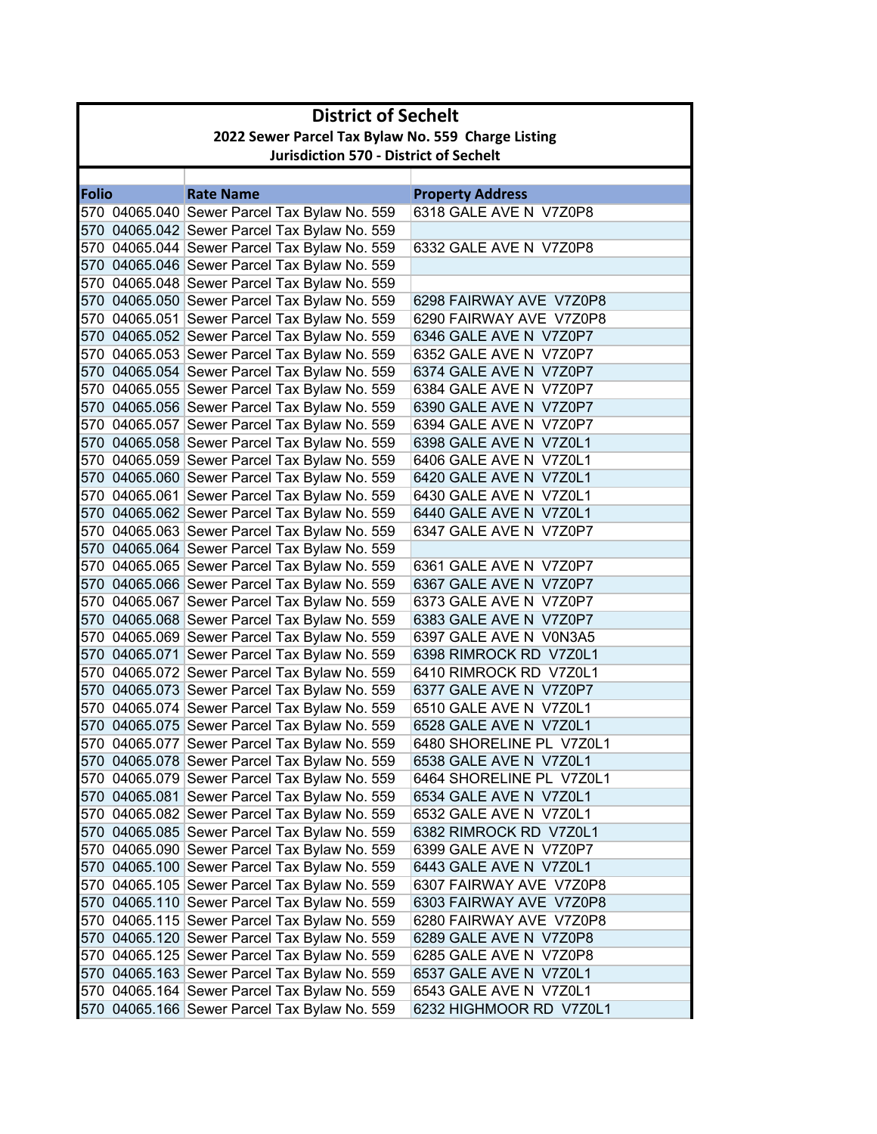|              | <b>District of Sechelt</b>                         |                                                                                              |                                                  |  |
|--------------|----------------------------------------------------|----------------------------------------------------------------------------------------------|--------------------------------------------------|--|
|              | 2022 Sewer Parcel Tax Bylaw No. 559 Charge Listing |                                                                                              |                                                  |  |
|              | <b>Jurisdiction 570 - District of Sechelt</b>      |                                                                                              |                                                  |  |
|              |                                                    |                                                                                              |                                                  |  |
| <b>Folio</b> |                                                    | <b>Rate Name</b>                                                                             | <b>Property Address</b>                          |  |
|              |                                                    | 570 04065.040 Sewer Parcel Tax Bylaw No. 559                                                 | 6318 GALE AVE N V7Z0P8                           |  |
|              |                                                    | 570 04065.042 Sewer Parcel Tax Bylaw No. 559                                                 |                                                  |  |
|              |                                                    | 570 04065.044 Sewer Parcel Tax Bylaw No. 559                                                 | 6332 GALE AVE N V7Z0P8                           |  |
|              |                                                    | 570 04065.046 Sewer Parcel Tax Bylaw No. 559                                                 |                                                  |  |
|              |                                                    | 570 04065.048 Sewer Parcel Tax Bylaw No. 559                                                 |                                                  |  |
|              |                                                    | 570 04065.050 Sewer Parcel Tax Bylaw No. 559                                                 | 6298 FAIRWAY AVE V7Z0P8                          |  |
|              |                                                    | 570 04065.051 Sewer Parcel Tax Bylaw No. 559                                                 | 6290 FAIRWAY AVE V7Z0P8                          |  |
|              |                                                    | 570 04065.052 Sewer Parcel Tax Bylaw No. 559                                                 | 6346 GALE AVE N V7Z0P7                           |  |
|              |                                                    | 570 04065.053 Sewer Parcel Tax Bylaw No. 559                                                 | 6352 GALE AVE N V7Z0P7                           |  |
|              |                                                    | 570 04065.054 Sewer Parcel Tax Bylaw No. 559                                                 | 6374 GALE AVE N V7Z0P7                           |  |
|              |                                                    | 570 04065.055 Sewer Parcel Tax Bylaw No. 559                                                 | 6384 GALE AVE N V7Z0P7                           |  |
|              |                                                    | 570 04065.056 Sewer Parcel Tax Bylaw No. 559                                                 | 6390 GALE AVE N V7Z0P7                           |  |
|              |                                                    | 570 04065.057 Sewer Parcel Tax Bylaw No. 559                                                 | 6394 GALE AVE N V7Z0P7                           |  |
|              |                                                    | 570 04065.058 Sewer Parcel Tax Bylaw No. 559                                                 | 6398 GALE AVE N V7Z0L1                           |  |
|              |                                                    | 570 04065.059 Sewer Parcel Tax Bylaw No. 559                                                 | 6406 GALE AVE N V7Z0L1                           |  |
|              |                                                    | 570 04065.060 Sewer Parcel Tax Bylaw No. 559                                                 | 6420 GALE AVE N V7Z0L1                           |  |
|              |                                                    | 570 04065.061 Sewer Parcel Tax Bylaw No. 559                                                 | 6430 GALE AVE N V7Z0L1<br>6440 GALE AVE N V7Z0L1 |  |
|              |                                                    | 570 04065.062 Sewer Parcel Tax Bylaw No. 559                                                 |                                                  |  |
|              |                                                    | 570 04065.063 Sewer Parcel Tax Bylaw No. 559                                                 | 6347 GALE AVE N V7Z0P7                           |  |
|              |                                                    | 570 04065.064 Sewer Parcel Tax Bylaw No. 559                                                 |                                                  |  |
|              |                                                    | 570 04065.065 Sewer Parcel Tax Bylaw No. 559<br>570 04065.066 Sewer Parcel Tax Bylaw No. 559 | 6361 GALE AVE N V7Z0P7<br>6367 GALE AVE N V7Z0P7 |  |
|              |                                                    | 570 04065.067 Sewer Parcel Tax Bylaw No. 559                                                 | 6373 GALE AVE N V7Z0P7                           |  |
|              |                                                    | 570 04065.068 Sewer Parcel Tax Bylaw No. 559                                                 | 6383 GALE AVE N V7Z0P7                           |  |
|              |                                                    | 570 04065.069 Sewer Parcel Tax Bylaw No. 559                                                 | 6397 GALE AVE N V0N3A5                           |  |
|              |                                                    | 570 04065.071 Sewer Parcel Tax Bylaw No. 559                                                 | 6398 RIMROCK RD V7Z0L1                           |  |
|              |                                                    | 570 04065.072 Sewer Parcel Tax Bylaw No. 559                                                 | 6410 RIMROCK RD V7Z0L1                           |  |
|              |                                                    | 570 04065.073 Sewer Parcel Tax Bylaw No. 559                                                 | 6377 GALE AVE N V7Z0P7                           |  |
|              |                                                    | 570 04065.074 Sewer Parcel Tax Bylaw No. 559                                                 | 6510 GALE AVE N V7Z0L1                           |  |
|              |                                                    | 570 04065.075 Sewer Parcel Tax Bylaw No. 559                                                 | 6528 GALE AVE N V7Z0L1                           |  |
|              |                                                    | 570 04065.077 Sewer Parcel Tax Bylaw No. 559                                                 | 6480 SHORELINE PL V7Z0L1                         |  |
|              |                                                    | 570 04065.078 Sewer Parcel Tax Bylaw No. 559                                                 | 6538 GALE AVE N V7Z0L1                           |  |
|              |                                                    | 570 04065.079 Sewer Parcel Tax Bylaw No. 559                                                 | 6464 SHORELINE PL V7Z0L1                         |  |
|              |                                                    | 570 04065.081 Sewer Parcel Tax Bylaw No. 559                                                 | 6534 GALE AVE N V7Z0L1                           |  |
|              |                                                    | 570 04065.082 Sewer Parcel Tax Bylaw No. 559                                                 | 6532 GALE AVE N V7Z0L1                           |  |
|              |                                                    | 570 04065.085 Sewer Parcel Tax Bylaw No. 559                                                 | 6382 RIMROCK RD V7Z0L1                           |  |
|              |                                                    | 570 04065.090 Sewer Parcel Tax Bylaw No. 559                                                 | 6399 GALE AVE N V7Z0P7                           |  |
|              |                                                    | 570 04065.100 Sewer Parcel Tax Bylaw No. 559                                                 | 6443 GALE AVE N V7Z0L1                           |  |
|              |                                                    | 570 04065.105 Sewer Parcel Tax Bylaw No. 559                                                 | 6307 FAIRWAY AVE V7Z0P8                          |  |
|              |                                                    | 570 04065.110 Sewer Parcel Tax Bylaw No. 559                                                 | 6303 FAIRWAY AVE V7Z0P8                          |  |
|              |                                                    | 570 04065.115 Sewer Parcel Tax Bylaw No. 559                                                 | 6280 FAIRWAY AVE V7Z0P8                          |  |
|              |                                                    | 570 04065.120 Sewer Parcel Tax Bylaw No. 559                                                 | 6289 GALE AVE N V7Z0P8                           |  |
|              |                                                    | 570 04065.125 Sewer Parcel Tax Bylaw No. 559                                                 | 6285 GALE AVE N V7Z0P8                           |  |
|              |                                                    | 570 04065.163 Sewer Parcel Tax Bylaw No. 559                                                 | 6537 GALE AVE N V7Z0L1                           |  |
|              |                                                    | 570 04065.164 Sewer Parcel Tax Bylaw No. 559                                                 | 6543 GALE AVE N V7Z0L1                           |  |
|              |                                                    | 570 04065.166 Sewer Parcel Tax Bylaw No. 559                                                 | 6232 HIGHMOOR RD V7Z0L1                          |  |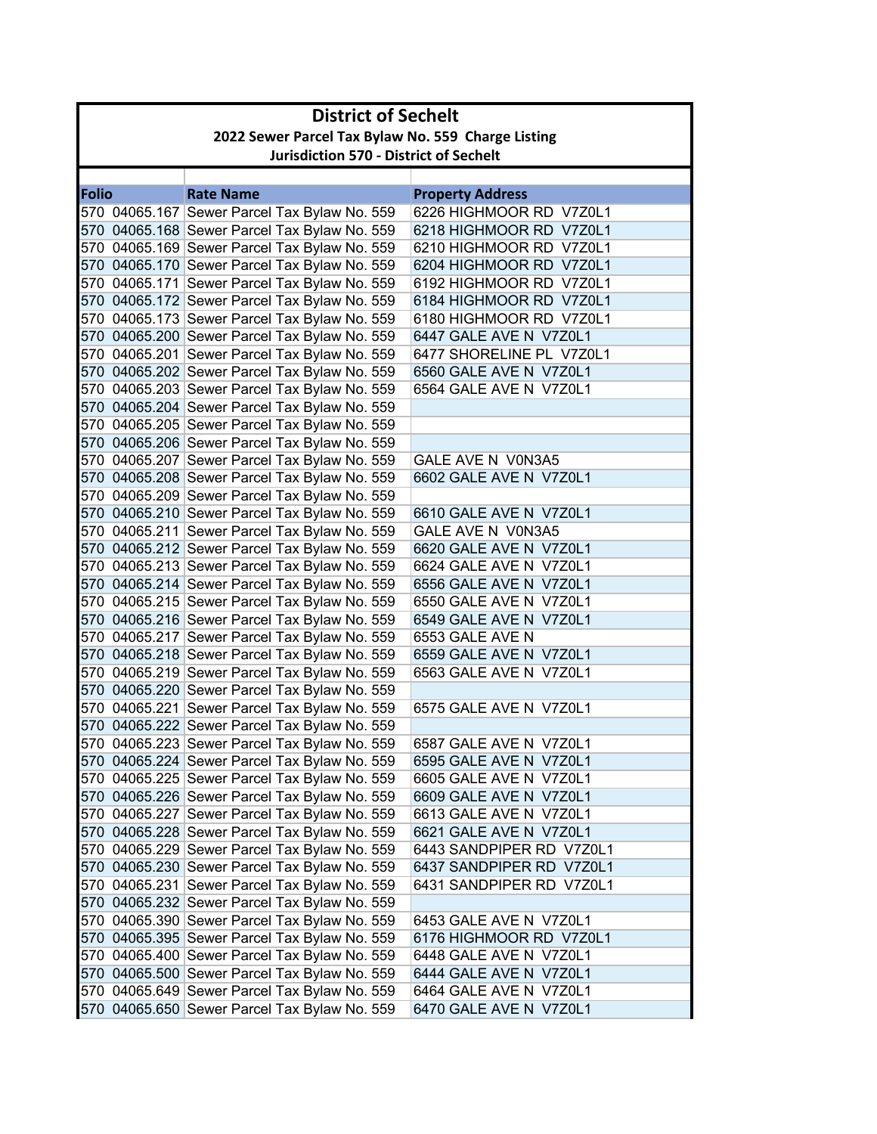| 2022 Sewer Parcel Tax Bylaw No. 559 Charge Listing                       |  |  |  |
|--------------------------------------------------------------------------|--|--|--|
| <b>Jurisdiction 570 - District of Sechelt</b>                            |  |  |  |
|                                                                          |  |  |  |
| <b>Folio</b><br><b>Rate Name</b><br><b>Property Address</b>              |  |  |  |
| 6226 HIGHMOOR RD V7Z0L1<br>570 04065.167 Sewer Parcel Tax Bylaw No. 559  |  |  |  |
| 570 04065.168 Sewer Parcel Tax Bylaw No. 559<br>6218 HIGHMOOR RD V7Z0L1  |  |  |  |
| 570 04065.169 Sewer Parcel Tax Bylaw No. 559<br>6210 HIGHMOOR RD V7Z0L1  |  |  |  |
| 570 04065.170 Sewer Parcel Tax Bylaw No. 559<br>6204 HIGHMOOR RD V7Z0L1  |  |  |  |
| 570 04065.171 Sewer Parcel Tax Bylaw No. 559<br>6192 HIGHMOOR RD V7Z0L1  |  |  |  |
| 570 04065.172 Sewer Parcel Tax Bylaw No. 559<br>6184 HIGHMOOR RD V7Z0L1  |  |  |  |
| 570 04065.173 Sewer Parcel Tax Bylaw No. 559<br>6180 HIGHMOOR RD V7Z0L1  |  |  |  |
| 570 04065.200 Sewer Parcel Tax Bylaw No. 559<br>6447 GALE AVE N V7Z0L1   |  |  |  |
| 570 04065.201 Sewer Parcel Tax Bylaw No. 559<br>6477 SHORELINE PL V7Z0L1 |  |  |  |
| 570 04065.202 Sewer Parcel Tax Bylaw No. 559<br>6560 GALE AVE N V7Z0L1   |  |  |  |
| 570 04065.203 Sewer Parcel Tax Bylaw No. 559<br>6564 GALE AVE N V7Z0L1   |  |  |  |
| 570 04065.204 Sewer Parcel Tax Bylaw No. 559                             |  |  |  |
| 570 04065.205 Sewer Parcel Tax Bylaw No. 559                             |  |  |  |
| 570 04065.206 Sewer Parcel Tax Bylaw No. 559                             |  |  |  |
| 570 04065.207 Sewer Parcel Tax Bylaw No. 559<br>GALE AVE N V0N3A5        |  |  |  |
| 570 04065.208 Sewer Parcel Tax Bylaw No. 559<br>6602 GALE AVE N V7Z0L1   |  |  |  |
| 570 04065.209 Sewer Parcel Tax Bylaw No. 559                             |  |  |  |
| 570 04065.210 Sewer Parcel Tax Bylaw No. 559<br>6610 GALE AVE N V7Z0L1   |  |  |  |
| 570 04065.211 Sewer Parcel Tax Bylaw No. 559<br>GALE AVE N V0N3A5        |  |  |  |
| 570 04065.212 Sewer Parcel Tax Bylaw No. 559<br>6620 GALE AVE N V7Z0L1   |  |  |  |
| 570 04065.213 Sewer Parcel Tax Bylaw No. 559<br>6624 GALE AVE N V7Z0L1   |  |  |  |
| 570 04065.214 Sewer Parcel Tax Bylaw No. 559<br>6556 GALE AVE N V7Z0L1   |  |  |  |
| 570 04065.215 Sewer Parcel Tax Bylaw No. 559<br>6550 GALE AVE N V7Z0L1   |  |  |  |
| 570 04065.216 Sewer Parcel Tax Bylaw No. 559<br>6549 GALE AVE N V7Z0L1   |  |  |  |
| 570 04065.217 Sewer Parcel Tax Bylaw No. 559<br>6553 GALE AVE N          |  |  |  |
| 570 04065.218 Sewer Parcel Tax Bylaw No. 559<br>6559 GALE AVE N V7Z0L1   |  |  |  |
| 570 04065.219 Sewer Parcel Tax Bylaw No. 559<br>6563 GALE AVE N V7Z0L1   |  |  |  |
| 570 04065.220 Sewer Parcel Tax Bylaw No. 559                             |  |  |  |
| 570 04065.221 Sewer Parcel Tax Bylaw No. 559<br>6575 GALE AVE N V7Z0L1   |  |  |  |
| 570 04065.222 Sewer Parcel Tax Bylaw No. 559                             |  |  |  |
| 570 04065.223 Sewer Parcel Tax Bylaw No. 559<br>6587 GALE AVE N V7Z0L1   |  |  |  |
| 570 04065.224 Sewer Parcel Tax Bylaw No. 559<br>6595 GALE AVE N V7Z0L1   |  |  |  |
| 570 04065.225 Sewer Parcel Tax Bylaw No. 559<br>6605 GALE AVE N V7Z0L1   |  |  |  |
| 570 04065.226 Sewer Parcel Tax Bylaw No. 559<br>6609 GALE AVE N V7Z0L1   |  |  |  |
| 570 04065.227 Sewer Parcel Tax Bylaw No. 559<br>6613 GALE AVE N V7Z0L1   |  |  |  |
| 570 04065.228 Sewer Parcel Tax Bylaw No. 559<br>6621 GALE AVE N V7Z0L1   |  |  |  |
| 570 04065.229 Sewer Parcel Tax Bylaw No. 559<br>6443 SANDPIPER RD V7Z0L1 |  |  |  |
| 570 04065.230 Sewer Parcel Tax Bylaw No. 559<br>6437 SANDPIPER RD V7Z0L1 |  |  |  |
| 570 04065.231 Sewer Parcel Tax Bylaw No. 559<br>6431 SANDPIPER RD V7Z0L1 |  |  |  |
| 570 04065.232 Sewer Parcel Tax Bylaw No. 559                             |  |  |  |
| 570 04065.390 Sewer Parcel Tax Bylaw No. 559<br>6453 GALE AVE N V7Z0L1   |  |  |  |
| 570 04065.395 Sewer Parcel Tax Bylaw No. 559<br>6176 HIGHMOOR RD V7Z0L1  |  |  |  |
| 570 04065.400 Sewer Parcel Tax Bylaw No. 559<br>6448 GALE AVE N V7Z0L1   |  |  |  |
| 570 04065.500 Sewer Parcel Tax Bylaw No. 559<br>6444 GALE AVE N V7Z0L1   |  |  |  |
| 570 04065.649 Sewer Parcel Tax Bylaw No. 559<br>6464 GALE AVE N V7Z0L1   |  |  |  |
| 570 04065.650 Sewer Parcel Tax Bylaw No. 559<br>6470 GALE AVE N V7Z0L1   |  |  |  |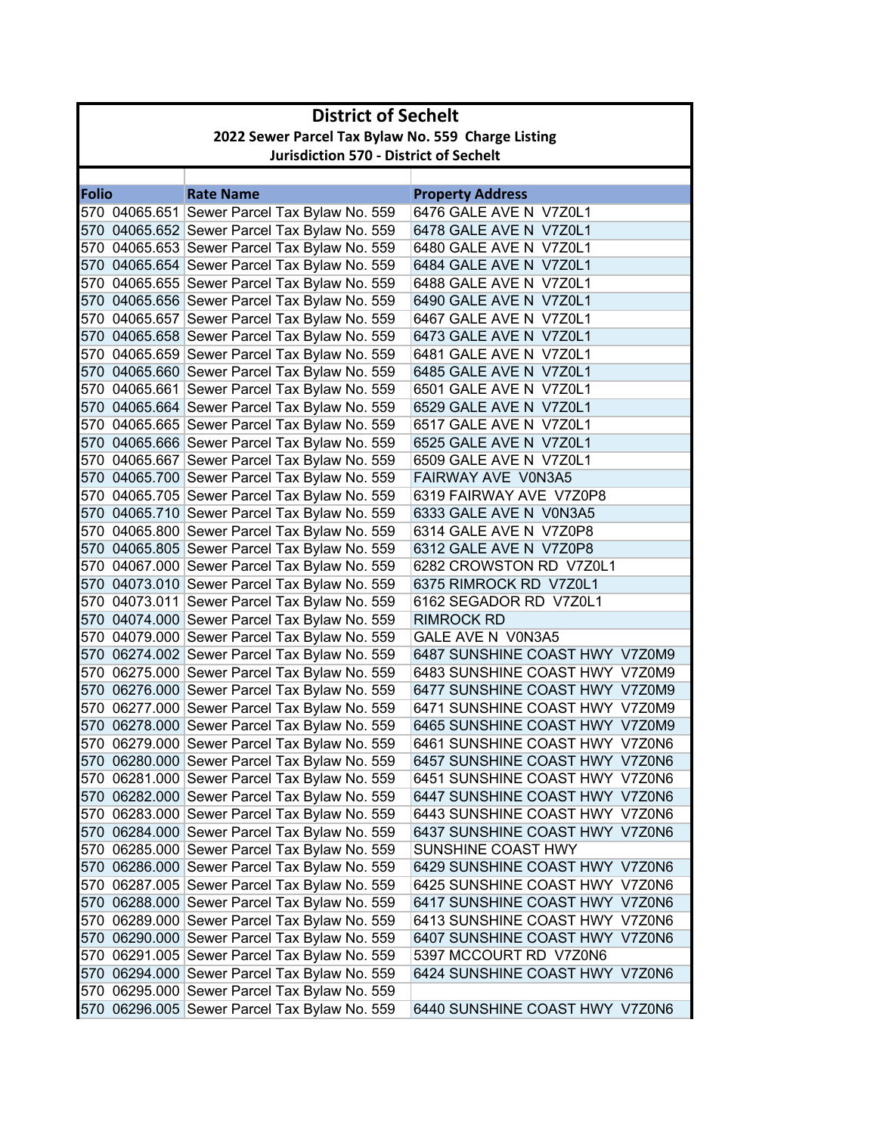|              | <b>District of Sechelt</b>                         |                                                                                              |                                                  |  |
|--------------|----------------------------------------------------|----------------------------------------------------------------------------------------------|--------------------------------------------------|--|
|              | 2022 Sewer Parcel Tax Bylaw No. 559 Charge Listing |                                                                                              |                                                  |  |
|              | <b>Jurisdiction 570 - District of Sechelt</b>      |                                                                                              |                                                  |  |
|              |                                                    |                                                                                              |                                                  |  |
| <b>Folio</b> |                                                    | <b>Rate Name</b>                                                                             | <b>Property Address</b>                          |  |
|              |                                                    | 570 04065.651 Sewer Parcel Tax Bylaw No. 559                                                 | 6476 GALE AVE N V7Z0L1                           |  |
|              |                                                    | 570 04065.652 Sewer Parcel Tax Bylaw No. 559                                                 | 6478 GALE AVE N V7Z0L1                           |  |
|              |                                                    | 570 04065.653 Sewer Parcel Tax Bylaw No. 559                                                 | 6480 GALE AVE N V7Z0L1                           |  |
|              |                                                    | 570 04065.654 Sewer Parcel Tax Bylaw No. 559                                                 | 6484 GALE AVE N V7Z0L1                           |  |
|              |                                                    | 570 04065.655 Sewer Parcel Tax Bylaw No. 559                                                 | 6488 GALE AVE N V7Z0L1                           |  |
|              |                                                    | 570 04065.656 Sewer Parcel Tax Bylaw No. 559                                                 | 6490 GALE AVE N V7Z0L1                           |  |
|              |                                                    | 570 04065.657 Sewer Parcel Tax Bylaw No. 559                                                 | 6467 GALE AVE N V7Z0L1                           |  |
|              |                                                    | 570 04065.658 Sewer Parcel Tax Bylaw No. 559                                                 | 6473 GALE AVE N V7Z0L1                           |  |
|              |                                                    | 570 04065.659 Sewer Parcel Tax Bylaw No. 559                                                 | 6481 GALE AVE N V7Z0L1                           |  |
|              |                                                    | 570 04065.660 Sewer Parcel Tax Bylaw No. 559                                                 | 6485 GALE AVE N V7Z0L1                           |  |
|              |                                                    | 570 04065.661 Sewer Parcel Tax Bylaw No. 559                                                 | 6501 GALE AVE N V7Z0L1                           |  |
|              |                                                    | 570 04065.664 Sewer Parcel Tax Bylaw No. 559                                                 | 6529 GALE AVE N V7Z0L1                           |  |
|              |                                                    | 570 04065.665 Sewer Parcel Tax Bylaw No. 559                                                 | 6517 GALE AVE N V7Z0L1                           |  |
|              |                                                    | 570 04065.666 Sewer Parcel Tax Bylaw No. 559                                                 | 6525 GALE AVE N V7Z0L1<br>6509 GALE AVE N V7Z0L1 |  |
|              |                                                    | 570 04065.667 Sewer Parcel Tax Bylaw No. 559<br>570 04065.700 Sewer Parcel Tax Bylaw No. 559 | FAIRWAY AVE V0N3A5                               |  |
|              |                                                    | 570 04065.705 Sewer Parcel Tax Bylaw No. 559                                                 | 6319 FAIRWAY AVE V7Z0P8                          |  |
|              |                                                    | 570 04065.710 Sewer Parcel Tax Bylaw No. 559                                                 | 6333 GALE AVE N V0N3A5                           |  |
|              |                                                    | 570 04065.800 Sewer Parcel Tax Bylaw No. 559                                                 | 6314 GALE AVE N V7Z0P8                           |  |
|              |                                                    | 570 04065.805 Sewer Parcel Tax Bylaw No. 559                                                 | 6312 GALE AVE N V7Z0P8                           |  |
|              |                                                    | 570 04067.000 Sewer Parcel Tax Bylaw No. 559                                                 | 6282 CROWSTON RD V7Z0L1                          |  |
|              |                                                    | 570 04073.010 Sewer Parcel Tax Bylaw No. 559                                                 | 6375 RIMROCK RD V7Z0L1                           |  |
|              |                                                    | 570 04073.011 Sewer Parcel Tax Bylaw No. 559                                                 | 6162 SEGADOR RD V7Z0L1                           |  |
|              |                                                    | 570 04074.000 Sewer Parcel Tax Bylaw No. 559                                                 | <b>RIMROCK RD</b>                                |  |
|              |                                                    | 570 04079.000 Sewer Parcel Tax Bylaw No. 559                                                 | GALE AVE N V0N3A5                                |  |
|              |                                                    | 570 06274.002 Sewer Parcel Tax Bylaw No. 559                                                 | 6487 SUNSHINE COAST HWY V7Z0M9                   |  |
|              |                                                    | 570 06275.000 Sewer Parcel Tax Bylaw No. 559                                                 | 6483 SUNSHINE COAST HWY V7Z0M9                   |  |
|              |                                                    | 570 06276.000 Sewer Parcel Tax Bylaw No. 559                                                 | 6477 SUNSHINE COAST HWY V7Z0M9                   |  |
|              |                                                    | 570 06277.000 Sewer Parcel Tax Bylaw No. 559                                                 | 6471 SUNSHINE COAST HWY V7Z0M9                   |  |
|              |                                                    | 570 06278.000 Sewer Parcel Tax Bylaw No. 559                                                 | 6465 SUNSHINE COAST HWY V7Z0M9                   |  |
|              |                                                    | 570 06279.000 Sewer Parcel Tax Bylaw No. 559                                                 | 6461 SUNSHINE COAST HWY V7Z0N6                   |  |
|              |                                                    | 570 06280.000 Sewer Parcel Tax Bylaw No. 559                                                 | 6457 SUNSHINE COAST HWY V7Z0N6                   |  |
|              |                                                    | 570 06281.000 Sewer Parcel Tax Bylaw No. 559                                                 | 6451 SUNSHINE COAST HWY V7Z0N6                   |  |
|              |                                                    | 570 06282.000 Sewer Parcel Tax Bylaw No. 559                                                 | 6447 SUNSHINE COAST HWY V7Z0N6                   |  |
|              |                                                    | 570 06283.000 Sewer Parcel Tax Bylaw No. 559                                                 | 6443 SUNSHINE COAST HWY V7Z0N6                   |  |
|              |                                                    | 570 06284.000 Sewer Parcel Tax Bylaw No. 559                                                 | 6437 SUNSHINE COAST HWY V7Z0N6                   |  |
|              |                                                    | 570 06285.000 Sewer Parcel Tax Bylaw No. 559                                                 | SUNSHINE COAST HWY                               |  |
|              |                                                    | 570 06286.000 Sewer Parcel Tax Bylaw No. 559                                                 | 6429 SUNSHINE COAST HWY V7Z0N6                   |  |
|              |                                                    | 570 06287.005 Sewer Parcel Tax Bylaw No. 559                                                 | 6425 SUNSHINE COAST HWY V7Z0N6                   |  |
|              |                                                    | 570 06288.000 Sewer Parcel Tax Bylaw No. 559                                                 | 6417 SUNSHINE COAST HWY V7Z0N6                   |  |
|              |                                                    | 570 06289.000 Sewer Parcel Tax Bylaw No. 559                                                 | 6413 SUNSHINE COAST HWY V7Z0N6                   |  |
|              |                                                    | 570 06290.000 Sewer Parcel Tax Bylaw No. 559                                                 | 6407 SUNSHINE COAST HWY V7Z0N6                   |  |
|              |                                                    | 570 06291.005 Sewer Parcel Tax Bylaw No. 559                                                 | 5397 MCCOURT RD V7Z0N6                           |  |
|              |                                                    | 570 06294.000 Sewer Parcel Tax Bylaw No. 559                                                 | 6424 SUNSHINE COAST HWY V7Z0N6                   |  |
|              |                                                    | 570 06295.000 Sewer Parcel Tax Bylaw No. 559                                                 |                                                  |  |
|              |                                                    | 570 06296.005 Sewer Parcel Tax Bylaw No. 559                                                 | 6440 SUNSHINE COAST HWY V7Z0N6                   |  |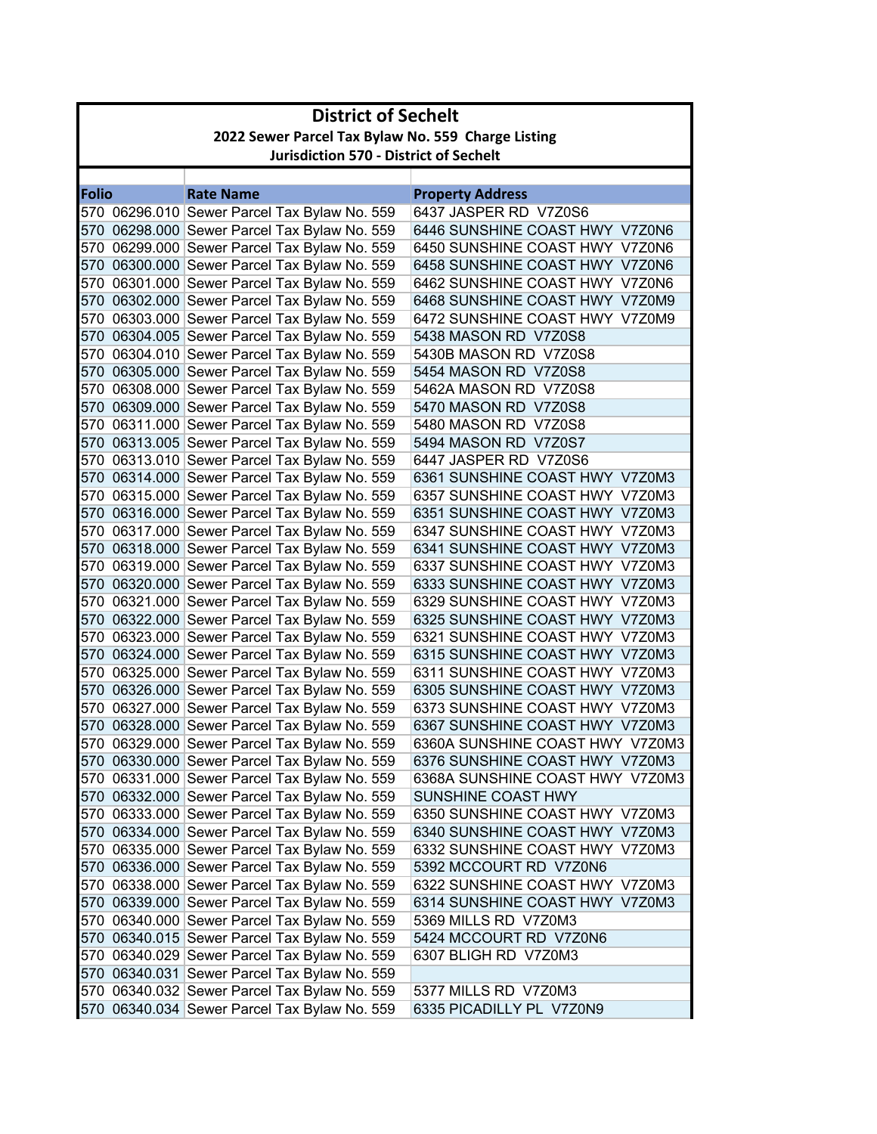| <b>District of Sechelt</b> |                                                    |                                                                                              |                                                                  |  |
|----------------------------|----------------------------------------------------|----------------------------------------------------------------------------------------------|------------------------------------------------------------------|--|
|                            | 2022 Sewer Parcel Tax Bylaw No. 559 Charge Listing |                                                                                              |                                                                  |  |
|                            | <b>Jurisdiction 570 - District of Sechelt</b>      |                                                                                              |                                                                  |  |
|                            |                                                    |                                                                                              |                                                                  |  |
| <b>Folio</b>               |                                                    | <b>Rate Name</b>                                                                             | <b>Property Address</b>                                          |  |
|                            |                                                    | 570 06296.010 Sewer Parcel Tax Bylaw No. 559                                                 | 6437 JASPER RD V7Z0S6                                            |  |
|                            |                                                    | 570 06298.000 Sewer Parcel Tax Bylaw No. 559                                                 | 6446 SUNSHINE COAST HWY V7Z0N6                                   |  |
|                            |                                                    | 570 06299.000 Sewer Parcel Tax Bylaw No. 559                                                 | 6450 SUNSHINE COAST HWY V7Z0N6                                   |  |
|                            |                                                    | 570 06300.000 Sewer Parcel Tax Bylaw No. 559                                                 | 6458 SUNSHINE COAST HWY V7Z0N6                                   |  |
|                            |                                                    | 570 06301.000 Sewer Parcel Tax Bylaw No. 559                                                 | 6462 SUNSHINE COAST HWY V7Z0N6                                   |  |
|                            |                                                    | 570 06302.000 Sewer Parcel Tax Bylaw No. 559                                                 | 6468 SUNSHINE COAST HWY V7Z0M9                                   |  |
|                            |                                                    | 570 06303.000 Sewer Parcel Tax Bylaw No. 559                                                 | 6472 SUNSHINE COAST HWY V7Z0M9                                   |  |
|                            |                                                    | 570 06304.005 Sewer Parcel Tax Bylaw No. 559                                                 | 5438 MASON RD V7Z0S8                                             |  |
|                            |                                                    | 570 06304.010 Sewer Parcel Tax Bylaw No. 559                                                 | 5430B MASON RD V7Z0S8                                            |  |
|                            |                                                    | 570 06305.000 Sewer Parcel Tax Bylaw No. 559                                                 | 5454 MASON RD V7Z0S8                                             |  |
|                            |                                                    | 570 06308.000 Sewer Parcel Tax Bylaw No. 559                                                 | 5462A MASON RD V7Z0S8                                            |  |
|                            |                                                    | 570 06309.000 Sewer Parcel Tax Bylaw No. 559                                                 | 5470 MASON RD V7Z0S8                                             |  |
|                            |                                                    | 570 06311.000 Sewer Parcel Tax Bylaw No. 559                                                 | 5480 MASON RD V7Z0S8                                             |  |
|                            |                                                    | 570 06313.005 Sewer Parcel Tax Bylaw No. 559                                                 | 5494 MASON RD V7Z0S7                                             |  |
|                            |                                                    | 570 06313.010 Sewer Parcel Tax Bylaw No. 559                                                 | 6447 JASPER RD V7Z0S6                                            |  |
|                            |                                                    | 570 06314.000 Sewer Parcel Tax Bylaw No. 559                                                 | 6361 SUNSHINE COAST HWY V7Z0M3                                   |  |
|                            |                                                    | 570 06315.000 Sewer Parcel Tax Bylaw No. 559                                                 | 6357 SUNSHINE COAST HWY V7Z0M3                                   |  |
|                            |                                                    | 570 06316.000 Sewer Parcel Tax Bylaw No. 559                                                 | 6351 SUNSHINE COAST HWY V7Z0M3                                   |  |
|                            |                                                    | 570 06317.000 Sewer Parcel Tax Bylaw No. 559                                                 | 6347 SUNSHINE COAST HWY V7Z0M3                                   |  |
|                            |                                                    | 570 06318.000 Sewer Parcel Tax Bylaw No. 559                                                 | 6341 SUNSHINE COAST HWY V7Z0M3                                   |  |
|                            |                                                    | 570 06319.000 Sewer Parcel Tax Bylaw No. 559                                                 | 6337 SUNSHINE COAST HWY V7Z0M3                                   |  |
|                            |                                                    | 570 06320.000 Sewer Parcel Tax Bylaw No. 559                                                 | 6333 SUNSHINE COAST HWY V7Z0M3                                   |  |
|                            |                                                    | 570 06321.000 Sewer Parcel Tax Bylaw No. 559                                                 | 6329 SUNSHINE COAST HWY V7Z0M3                                   |  |
|                            |                                                    | 570 06322.000 Sewer Parcel Tax Bylaw No. 559                                                 | 6325 SUNSHINE COAST HWY V7Z0M3                                   |  |
|                            |                                                    | 570 06323.000 Sewer Parcel Tax Bylaw No. 559                                                 | 6321 SUNSHINE COAST HWY V7Z0M3                                   |  |
|                            |                                                    | 570 06324.000 Sewer Parcel Tax Bylaw No. 559                                                 | 6315 SUNSHINE COAST HWY V7Z0M3                                   |  |
|                            |                                                    | 570 06325.000 Sewer Parcel Tax Bylaw No. 559                                                 | 6311 SUNSHINE COAST HWY V7Z0M3<br>6305 SUNSHINE COAST HWY V7Z0M3 |  |
|                            |                                                    | 570 06326.000 Sewer Parcel Tax Bylaw No. 559<br>570 06327.000 Sewer Parcel Tax Bylaw No. 559 | 6373 SUNSHINE COAST HWY V7Z0M3                                   |  |
|                            |                                                    | 570 06328.000 Sewer Parcel Tax Bylaw No. 559                                                 | 6367 SUNSHINE COAST HWY V7Z0M3                                   |  |
|                            |                                                    |                                                                                              | 6360A SUNSHINE COAST HWY V7Z0M3                                  |  |
|                            |                                                    | 570 06329.000 Sewer Parcel Tax Bylaw No. 559                                                 | 6376 SUNSHINE COAST HWY V7Z0M3                                   |  |
|                            |                                                    | 570 06330.000 Sewer Parcel Tax Bylaw No. 559                                                 |                                                                  |  |
|                            |                                                    | 570 06331.000 Sewer Parcel Tax Bylaw No. 559                                                 | 6368A SUNSHINE COAST HWY V7Z0M3                                  |  |
|                            |                                                    | 570 06332.000 Sewer Parcel Tax Bylaw No. 559                                                 | SUNSHINE COAST HWY                                               |  |
|                            |                                                    | 570 06333.000 Sewer Parcel Tax Bylaw No. 559                                                 | 6350 SUNSHINE COAST HWY V7Z0M3                                   |  |
|                            |                                                    | 570 06334.000 Sewer Parcel Tax Bylaw No. 559                                                 | 6340 SUNSHINE COAST HWY V7Z0M3                                   |  |
|                            |                                                    | 570 06335.000 Sewer Parcel Tax Bylaw No. 559                                                 | 6332 SUNSHINE COAST HWY V7Z0M3                                   |  |
|                            |                                                    | 570 06336.000 Sewer Parcel Tax Bylaw No. 559                                                 | 5392 MCCOURT RD V7Z0N6                                           |  |
|                            |                                                    | 570 06338.000 Sewer Parcel Tax Bylaw No. 559<br>570 06339.000 Sewer Parcel Tax Bylaw No. 559 | 6322 SUNSHINE COAST HWY V7Z0M3                                   |  |
|                            |                                                    |                                                                                              | 6314 SUNSHINE COAST HWY V7Z0M3                                   |  |
|                            |                                                    | 570 06340.000 Sewer Parcel Tax Bylaw No. 559                                                 | 5369 MILLS RD V7Z0M3                                             |  |
|                            |                                                    | 570 06340.015 Sewer Parcel Tax Bylaw No. 559                                                 | 5424 MCCOURT RD V7Z0N6                                           |  |
|                            |                                                    | 570 06340.029 Sewer Parcel Tax Bylaw No. 559                                                 | 6307 BLIGH RD V7Z0M3                                             |  |
|                            |                                                    | 570 06340.031 Sewer Parcel Tax Bylaw No. 559                                                 |                                                                  |  |
|                            |                                                    | 570 06340.032 Sewer Parcel Tax Bylaw No. 559                                                 | 5377 MILLS RD V7Z0M3                                             |  |
|                            |                                                    | 570 06340.034 Sewer Parcel Tax Bylaw No. 559                                                 | 6335 PICADILLY PL V7Z0N9                                         |  |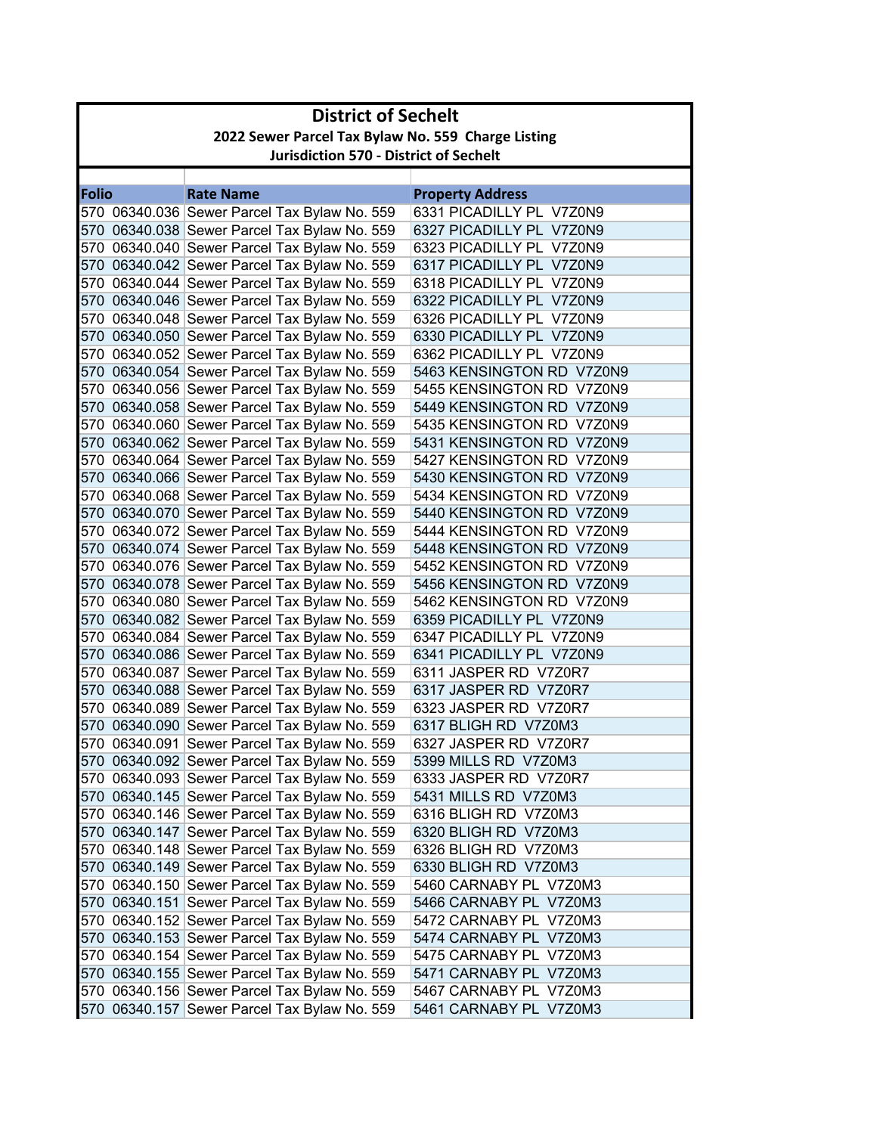|              | <b>District of Sechelt</b>                         |                                                                                              |                                                  |  |
|--------------|----------------------------------------------------|----------------------------------------------------------------------------------------------|--------------------------------------------------|--|
|              | 2022 Sewer Parcel Tax Bylaw No. 559 Charge Listing |                                                                                              |                                                  |  |
|              | <b>Jurisdiction 570 - District of Sechelt</b>      |                                                                                              |                                                  |  |
|              |                                                    |                                                                                              |                                                  |  |
| <b>Folio</b> |                                                    | <b>Rate Name</b>                                                                             | <b>Property Address</b>                          |  |
|              |                                                    | 570 06340.036 Sewer Parcel Tax Bylaw No. 559                                                 | 6331 PICADILLY PL V7Z0N9                         |  |
|              |                                                    | 570 06340.038 Sewer Parcel Tax Bylaw No. 559                                                 | 6327 PICADILLY PL V7Z0N9                         |  |
|              |                                                    | 570 06340.040 Sewer Parcel Tax Bylaw No. 559                                                 | 6323 PICADILLY PL V7Z0N9                         |  |
|              |                                                    | 570 06340.042 Sewer Parcel Tax Bylaw No. 559                                                 | 6317 PICADILLY PL V7Z0N9                         |  |
|              |                                                    | 570 06340.044 Sewer Parcel Tax Bylaw No. 559                                                 | 6318 PICADILLY PL V7Z0N9                         |  |
|              |                                                    | 570 06340.046 Sewer Parcel Tax Bylaw No. 559                                                 | 6322 PICADILLY PL V7Z0N9                         |  |
|              |                                                    | 570 06340.048 Sewer Parcel Tax Bylaw No. 559                                                 | 6326 PICADILLY PL_V7Z0N9                         |  |
|              |                                                    | 570 06340.050 Sewer Parcel Tax Bylaw No. 559                                                 | 6330 PICADILLY PL V7Z0N9                         |  |
|              |                                                    | 570 06340.052 Sewer Parcel Tax Bylaw No. 559                                                 | 6362 PICADILLY PL V7Z0N9                         |  |
|              |                                                    | 570 06340.054 Sewer Parcel Tax Bylaw No. 559                                                 | 5463 KENSINGTON RD V7Z0N9                        |  |
|              |                                                    | 570 06340.056 Sewer Parcel Tax Bylaw No. 559                                                 | 5455 KENSINGTON RD V7Z0N9                        |  |
|              |                                                    | 570 06340.058 Sewer Parcel Tax Bylaw No. 559                                                 | 5449 KENSINGTON RD V7Z0N9                        |  |
|              |                                                    | 570 06340.060 Sewer Parcel Tax Bylaw No. 559                                                 | 5435 KENSINGTON RD V7Z0N9                        |  |
|              |                                                    | 570 06340.062 Sewer Parcel Tax Bylaw No. 559                                                 | 5431 KENSINGTON RD V7Z0N9                        |  |
|              |                                                    | 570 06340.064 Sewer Parcel Tax Bylaw No. 559                                                 | 5427 KENSINGTON RD V7Z0N9                        |  |
|              |                                                    | 570 06340.066 Sewer Parcel Tax Bylaw No. 559                                                 | 5430 KENSINGTON RD V7Z0N9                        |  |
|              |                                                    | 570 06340.068 Sewer Parcel Tax Bylaw No. 559                                                 | 5434 KENSINGTON RD V7Z0N9                        |  |
|              |                                                    | 570 06340.070 Sewer Parcel Tax Bylaw No. 559                                                 | 5440 KENSINGTON RD V7Z0N9                        |  |
|              |                                                    | 570 06340.072 Sewer Parcel Tax Bylaw No. 559                                                 | 5444 KENSINGTON RD V7Z0N9                        |  |
|              |                                                    | 570 06340.074 Sewer Parcel Tax Bylaw No. 559                                                 | 5448 KENSINGTON RD V7Z0N9                        |  |
|              |                                                    | 570 06340.076 Sewer Parcel Tax Bylaw No. 559                                                 | 5452 KENSINGTON RD V7Z0N9                        |  |
|              |                                                    | 570 06340.078 Sewer Parcel Tax Bylaw No. 559                                                 | 5456 KENSINGTON RD V7Z0N9                        |  |
|              |                                                    | 570 06340.080 Sewer Parcel Tax Bylaw No. 559                                                 | 5462 KENSINGTON RD  V7Z0N9                       |  |
|              |                                                    | 570 06340.082 Sewer Parcel Tax Bylaw No. 559                                                 | 6359 PICADILLY PL V7Z0N9                         |  |
|              |                                                    | 570 06340.084 Sewer Parcel Tax Bylaw No. 559                                                 | 6347 PICADILLY PL V7Z0N9                         |  |
|              |                                                    | 570 06340.086 Sewer Parcel Tax Bylaw No. 559                                                 | 6341 PICADILLY PL V7Z0N9                         |  |
|              |                                                    | 570 06340.087 Sewer Parcel Tax Bylaw No. 559                                                 | 6311 JASPER RD V7Z0R7                            |  |
|              |                                                    | 570 06340.088 Sewer Parcel Tax Bylaw No. 559                                                 | 6317 JASPER RD V7Z0R7                            |  |
|              |                                                    | 570 06340.089 Sewer Parcel Tax Bylaw No. 559                                                 | 6323 JASPER RD V7Z0R7                            |  |
|              |                                                    | 570 06340.090 Sewer Parcel Tax Bylaw No. 559                                                 | 6317 BLIGH RD V7Z0M3                             |  |
|              |                                                    | 570 06340.091 Sewer Parcel Tax Bylaw No. 559                                                 | 6327 JASPER RD V7Z0R7                            |  |
|              |                                                    | 570 06340.092 Sewer Parcel Tax Bylaw No. 559                                                 | 5399 MILLS RD V7Z0M3<br>6333 JASPER RD V7Z0R7    |  |
|              |                                                    | 570 06340.093 Sewer Parcel Tax Bylaw No. 559                                                 |                                                  |  |
|              |                                                    | 570 06340.145 Sewer Parcel Tax Bylaw No. 559<br>570 06340.146 Sewer Parcel Tax Bylaw No. 559 | 5431 MILLS RD V7Z0M3<br>6316 BLIGH RD V7Z0M3     |  |
|              |                                                    | 570 06340.147 Sewer Parcel Tax Bylaw No. 559                                                 | 6320 BLIGH RD V7Z0M3                             |  |
|              |                                                    | 570 06340.148 Sewer Parcel Tax Bylaw No. 559                                                 |                                                  |  |
|              |                                                    |                                                                                              | 6326 BLIGH RD V7Z0M3                             |  |
|              |                                                    | 570 06340.149 Sewer Parcel Tax Bylaw No. 559<br>570 06340.150 Sewer Parcel Tax Bylaw No. 559 | 6330 BLIGH RD V7Z0M3                             |  |
|              |                                                    | 570 06340.151 Sewer Parcel Tax Bylaw No. 559                                                 | 5460 CARNABY PL V7Z0M3<br>5466 CARNABY PL V7Z0M3 |  |
|              |                                                    | 570 06340.152 Sewer Parcel Tax Bylaw No. 559                                                 | 5472 CARNABY PL V7Z0M3                           |  |
|              |                                                    | 570 06340.153 Sewer Parcel Tax Bylaw No. 559                                                 | 5474 CARNABY PL V7Z0M3                           |  |
|              |                                                    | 570 06340.154 Sewer Parcel Tax Bylaw No. 559                                                 | 5475 CARNABY PL V7Z0M3                           |  |
|              |                                                    | 570 06340.155 Sewer Parcel Tax Bylaw No. 559                                                 | 5471 CARNABY PL V7Z0M3                           |  |
|              |                                                    | 570 06340.156 Sewer Parcel Tax Bylaw No. 559                                                 | 5467 CARNABY PL V7Z0M3                           |  |
|              |                                                    | 570 06340.157 Sewer Parcel Tax Bylaw No. 559                                                 | 5461 CARNABY PL V7Z0M3                           |  |
|              |                                                    |                                                                                              |                                                  |  |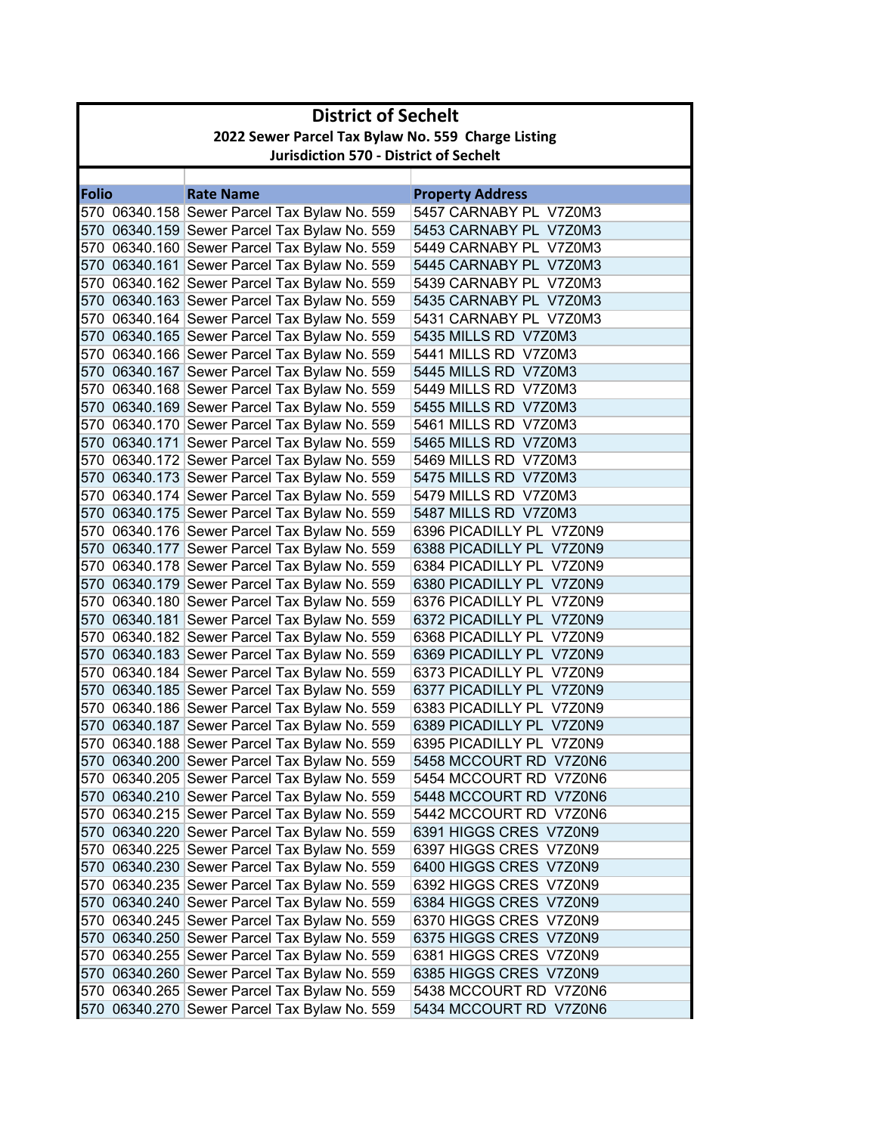|              | <b>District of Sechelt</b>                         |                                              |                          |  |
|--------------|----------------------------------------------------|----------------------------------------------|--------------------------|--|
|              | 2022 Sewer Parcel Tax Bylaw No. 559 Charge Listing |                                              |                          |  |
|              | <b>Jurisdiction 570 - District of Sechelt</b>      |                                              |                          |  |
|              |                                                    |                                              |                          |  |
| <b>Folio</b> |                                                    | <b>Rate Name</b>                             | <b>Property Address</b>  |  |
|              |                                                    | 570 06340.158 Sewer Parcel Tax Bylaw No. 559 | 5457 CARNABY PL V7Z0M3   |  |
|              |                                                    | 570 06340.159 Sewer Parcel Tax Bylaw No. 559 | 5453 CARNABY PL V7Z0M3   |  |
|              |                                                    | 570 06340.160 Sewer Parcel Tax Bylaw No. 559 | 5449 CARNABY PL V7Z0M3   |  |
|              |                                                    | 570 06340.161 Sewer Parcel Tax Bylaw No. 559 | 5445 CARNABY PL V7Z0M3   |  |
|              |                                                    | 570 06340.162 Sewer Parcel Tax Bylaw No. 559 | 5439 CARNABY PL V7Z0M3   |  |
|              |                                                    | 570 06340.163 Sewer Parcel Tax Bylaw No. 559 | 5435 CARNABY PL V7Z0M3   |  |
|              |                                                    | 570 06340.164 Sewer Parcel Tax Bylaw No. 559 | 5431 CARNABY PL_V7Z0M3   |  |
|              |                                                    | 570 06340.165 Sewer Parcel Tax Bylaw No. 559 | 5435 MILLS RD V7Z0M3     |  |
|              |                                                    | 570 06340.166 Sewer Parcel Tax Bylaw No. 559 | 5441 MILLS RD V7Z0M3     |  |
|              |                                                    | 570 06340.167 Sewer Parcel Tax Bylaw No. 559 | 5445 MILLS RD V7Z0M3     |  |
|              |                                                    | 570 06340.168 Sewer Parcel Tax Bylaw No. 559 | 5449 MILLS RD V7Z0M3     |  |
|              |                                                    | 570 06340.169 Sewer Parcel Tax Bylaw No. 559 | 5455 MILLS RD V7Z0M3     |  |
|              |                                                    | 570 06340.170 Sewer Parcel Tax Bylaw No. 559 | 5461 MILLS RD V7Z0M3     |  |
|              |                                                    | 570 06340.171 Sewer Parcel Tax Bylaw No. 559 | 5465 MILLS RD V7Z0M3     |  |
|              |                                                    | 570 06340.172 Sewer Parcel Tax Bylaw No. 559 | 5469 MILLS RD V7Z0M3     |  |
|              |                                                    | 570 06340.173 Sewer Parcel Tax Bylaw No. 559 | 5475 MILLS RD V7Z0M3     |  |
|              |                                                    | 570 06340.174 Sewer Parcel Tax Bylaw No. 559 | 5479 MILLS RD V7Z0M3     |  |
|              |                                                    | 570 06340.175 Sewer Parcel Tax Bylaw No. 559 | 5487 MILLS RD V7Z0M3     |  |
|              |                                                    | 570 06340.176 Sewer Parcel Tax Bylaw No. 559 | 6396 PICADILLY PL V7Z0N9 |  |
|              |                                                    | 570 06340.177 Sewer Parcel Tax Bylaw No. 559 | 6388 PICADILLY PL V7Z0N9 |  |
|              |                                                    | 570 06340.178 Sewer Parcel Tax Bylaw No. 559 | 6384 PICADILLY PL V7Z0N9 |  |
|              |                                                    | 570 06340.179 Sewer Parcel Tax Bylaw No. 559 | 6380 PICADILLY PL V7Z0N9 |  |
|              |                                                    | 570 06340.180 Sewer Parcel Tax Bylaw No. 559 | 6376 PICADILLY PL_V7Z0N9 |  |
|              |                                                    | 570 06340.181 Sewer Parcel Tax Bylaw No. 559 | 6372 PICADILLY PL V7Z0N9 |  |
|              |                                                    | 570 06340.182 Sewer Parcel Tax Bylaw No. 559 | 6368 PICADILLY PL V7Z0N9 |  |
|              |                                                    | 570 06340.183 Sewer Parcel Tax Bylaw No. 559 | 6369 PICADILLY PL V7Z0N9 |  |
|              |                                                    | 570 06340.184 Sewer Parcel Tax Bylaw No. 559 | 6373 PICADILLY PL V7Z0N9 |  |
|              |                                                    | 570 06340.185 Sewer Parcel Tax Bylaw No. 559 | 6377 PICADILLY PL V7Z0N9 |  |
|              |                                                    | 570 06340.186 Sewer Parcel Tax Bylaw No. 559 | 6383 PICADILLY PL V7Z0N9 |  |
|              |                                                    | 570 06340.187 Sewer Parcel Tax Bylaw No. 559 | 6389 PICADILLY PL V7Z0N9 |  |
|              |                                                    | 570 06340.188 Sewer Parcel Tax Bylaw No. 559 | 6395 PICADILLY PL V7Z0N9 |  |
|              |                                                    | 570 06340.200 Sewer Parcel Tax Bylaw No. 559 | 5458 MCCOURT RD V7Z0N6   |  |
|              |                                                    | 570 06340.205 Sewer Parcel Tax Bylaw No. 559 | 5454 MCCOURT RD V7Z0N6   |  |
|              |                                                    | 570 06340.210 Sewer Parcel Tax Bylaw No. 559 | 5448 MCCOURT RD V7Z0N6   |  |
|              |                                                    | 570 06340.215 Sewer Parcel Tax Bylaw No. 559 | 5442 MCCOURT RD V7Z0N6   |  |
|              |                                                    | 570 06340.220 Sewer Parcel Tax Bylaw No. 559 | 6391 HIGGS CRES V7Z0N9   |  |
|              |                                                    | 570 06340.225 Sewer Parcel Tax Bylaw No. 559 | 6397 HIGGS CRES V7Z0N9   |  |
|              |                                                    | 570 06340.230 Sewer Parcel Tax Bylaw No. 559 | 6400 HIGGS CRES V7Z0N9   |  |
|              |                                                    | 570 06340.235 Sewer Parcel Tax Bylaw No. 559 | 6392 HIGGS CRES V7Z0N9   |  |
|              |                                                    | 570 06340.240 Sewer Parcel Tax Bylaw No. 559 | 6384 HIGGS CRES V7Z0N9   |  |
|              |                                                    | 570 06340.245 Sewer Parcel Tax Bylaw No. 559 | 6370 HIGGS CRES V7Z0N9   |  |
|              |                                                    | 570 06340.250 Sewer Parcel Tax Bylaw No. 559 | 6375 HIGGS CRES V7Z0N9   |  |
|              |                                                    | 570 06340.255 Sewer Parcel Tax Bylaw No. 559 | 6381 HIGGS CRES V7Z0N9   |  |
|              |                                                    | 570 06340.260 Sewer Parcel Tax Bylaw No. 559 | 6385 HIGGS CRES V7Z0N9   |  |
|              |                                                    | 570 06340.265 Sewer Parcel Tax Bylaw No. 559 | 5438 MCCOURT RD V7Z0N6   |  |
|              |                                                    | 570 06340.270 Sewer Parcel Tax Bylaw No. 559 | 5434 MCCOURT RD V7Z0N6   |  |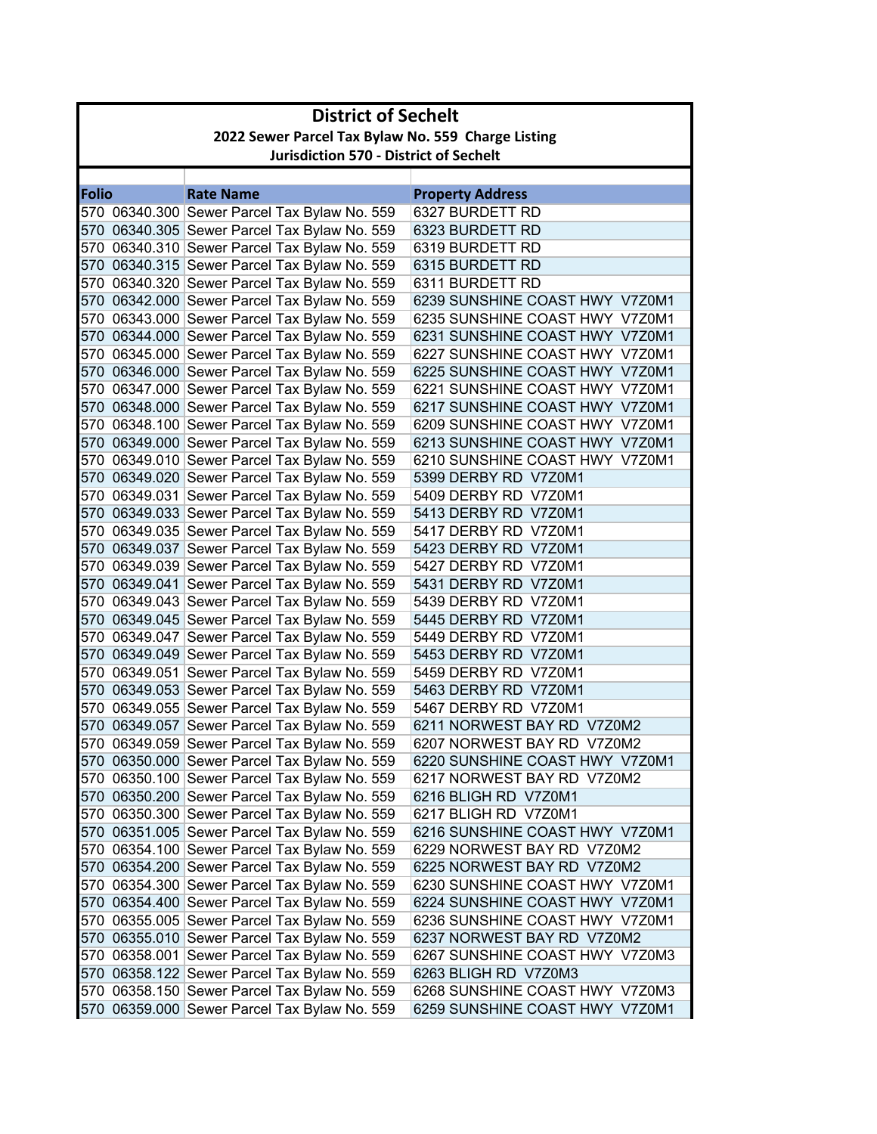|              | <b>District of Sechelt</b>                         |                                                                                              |                                                        |  |
|--------------|----------------------------------------------------|----------------------------------------------------------------------------------------------|--------------------------------------------------------|--|
|              | 2022 Sewer Parcel Tax Bylaw No. 559 Charge Listing |                                                                                              |                                                        |  |
|              | <b>Jurisdiction 570 - District of Sechelt</b>      |                                                                                              |                                                        |  |
|              |                                                    |                                                                                              |                                                        |  |
| <b>Folio</b> |                                                    | <b>Rate Name</b>                                                                             | <b>Property Address</b>                                |  |
|              |                                                    | 570 06340.300 Sewer Parcel Tax Bylaw No. 559                                                 | 6327 BURDETT RD                                        |  |
|              |                                                    | 570 06340.305 Sewer Parcel Tax Bylaw No. 559                                                 | 6323 BURDETT RD                                        |  |
|              |                                                    | 570 06340.310 Sewer Parcel Tax Bylaw No. 559                                                 | 6319 BURDETT RD                                        |  |
|              |                                                    | 570 06340.315 Sewer Parcel Tax Bylaw No. 559                                                 | 6315 BURDETT RD                                        |  |
|              |                                                    | 570 06340.320 Sewer Parcel Tax Bylaw No. 559                                                 | 6311 BURDETT RD                                        |  |
|              |                                                    | 570 06342.000 Sewer Parcel Tax Bylaw No. 559                                                 | 6239 SUNSHINE COAST HWY V7Z0M1                         |  |
|              |                                                    | 570 06343.000 Sewer Parcel Tax Bylaw No. 559                                                 | 6235 SUNSHINE COAST HWY V7Z0M1                         |  |
|              |                                                    | 570 06344.000 Sewer Parcel Tax Bylaw No. 559                                                 | 6231 SUNSHINE COAST HWY V7Z0M1                         |  |
|              |                                                    | 570 06345.000 Sewer Parcel Tax Bylaw No. 559                                                 | 6227 SUNSHINE COAST HWY V7Z0M1                         |  |
|              |                                                    | 570 06346.000 Sewer Parcel Tax Bylaw No. 559                                                 | 6225 SUNSHINE COAST HWY V7Z0M1                         |  |
|              |                                                    | 570 06347.000 Sewer Parcel Tax Bylaw No. 559                                                 | 6221 SUNSHINE COAST HWY V7Z0M1                         |  |
|              |                                                    | 570 06348.000 Sewer Parcel Tax Bylaw No. 559                                                 | 6217 SUNSHINE COAST HWY V7Z0M1                         |  |
|              |                                                    | 570 06348.100 Sewer Parcel Tax Bylaw No. 559                                                 | 6209 SUNSHINE COAST HWY V7Z0M1                         |  |
|              |                                                    | 570 06349.000 Sewer Parcel Tax Bylaw No. 559                                                 | 6213 SUNSHINE COAST HWY V7Z0M1                         |  |
|              |                                                    | 570 06349.010 Sewer Parcel Tax Bylaw No. 559                                                 | 6210 SUNSHINE COAST HWY V7Z0M1                         |  |
|              |                                                    | 570 06349.020 Sewer Parcel Tax Bylaw No. 559                                                 | 5399 DERBY RD V7Z0M1                                   |  |
|              |                                                    | 570  06349.031 Sewer Parcel Tax Bylaw No. 559                                                | 5409 DERBY RD V7Z0M1                                   |  |
|              |                                                    | 570 06349.033 Sewer Parcel Tax Bylaw No. 559                                                 | 5413 DERBY RD V7Z0M1                                   |  |
|              |                                                    | 570 06349.035 Sewer Parcel Tax Bylaw No. 559                                                 | 5417 DERBY RD V7Z0M1                                   |  |
|              |                                                    | 570 06349.037 Sewer Parcel Tax Bylaw No. 559                                                 | 5423 DERBY RD V7Z0M1                                   |  |
|              |                                                    | 570 06349.039 Sewer Parcel Tax Bylaw No. 559                                                 | 5427 DERBY RD V7Z0M1                                   |  |
|              |                                                    | 570 06349.041 Sewer Parcel Tax Bylaw No. 559                                                 | 5431 DERBY RD V7Z0M1                                   |  |
|              |                                                    | 570 06349.043 Sewer Parcel Tax Bylaw No. 559                                                 | 5439 DERBY RD V7Z0M1                                   |  |
|              |                                                    | 570 06349.045 Sewer Parcel Tax Bylaw No. 559                                                 | 5445 DERBY RD V7Z0M1                                   |  |
|              |                                                    | 570 06349.047 Sewer Parcel Tax Bylaw No. 559                                                 | 5449 DERBY RD V7Z0M1                                   |  |
|              |                                                    | 570 06349.049 Sewer Parcel Tax Bylaw No. 559                                                 | 5453 DERBY RD V7Z0M1                                   |  |
|              |                                                    | 570 06349.051 Sewer Parcel Tax Bylaw No. 559<br>570 06349.053 Sewer Parcel Tax Bylaw No. 559 | 5459 DERBY RD V7Z0M1<br>5463 DERBY RD V7Z0M1           |  |
|              |                                                    |                                                                                              |                                                        |  |
|              |                                                    | 570 06349.055 Sewer Parcel Tax Bylaw No. 559                                                 | 5467 DERBY RD V7Z0M1                                   |  |
|              |                                                    | 570 06349.057 Sewer Parcel Tax Bylaw No. 559                                                 | 6211 NORWEST BAY RD V7Z0M2                             |  |
|              |                                                    | 570 06349.059 Sewer Parcel Tax Bylaw No. 559                                                 | 6207 NORWEST BAY RD V7Z0M2                             |  |
|              |                                                    | 570 06350.000 Sewer Parcel Tax Bylaw No. 559                                                 | 6220 SUNSHINE COAST HWY V7Z0M1                         |  |
|              |                                                    | 570 06350.100 Sewer Parcel Tax Bylaw No. 559                                                 | 6217 NORWEST BAY RD V7Z0M2                             |  |
|              |                                                    | 570 06350.200 Sewer Parcel Tax Bylaw No. 559                                                 | 6216 BLIGH RD V7Z0M1                                   |  |
|              |                                                    | 570 06350.300 Sewer Parcel Tax Bylaw No. 559                                                 | 6217 BLIGH RD V7Z0M1                                   |  |
|              |                                                    | 570 06351.005 Sewer Parcel Tax Bylaw No. 559                                                 | 6216 SUNSHINE COAST HWY V7Z0M1                         |  |
|              |                                                    | 570 06354.100 Sewer Parcel Tax Bylaw No. 559                                                 | 6229 NORWEST BAY RD V7Z0M2                             |  |
|              |                                                    | 570 06354.200 Sewer Parcel Tax Bylaw No. 559                                                 | 6225 NORWEST BAY RD V7Z0M2                             |  |
|              |                                                    | 570 06354.300 Sewer Parcel Tax Bylaw No. 559                                                 | 6230 SUNSHINE COAST HWY V7Z0M1                         |  |
|              |                                                    | 570 06354.400 Sewer Parcel Tax Bylaw No. 559<br>570 06355.005 Sewer Parcel Tax Bylaw No. 559 | 6224 SUNSHINE COAST HWY V7Z0M1                         |  |
|              |                                                    |                                                                                              | 6236 SUNSHINE COAST HWY V7Z0M1                         |  |
|              |                                                    | 570 06355.010 Sewer Parcel Tax Bylaw No. 559                                                 | 6237 NORWEST BAY RD V7Z0M2                             |  |
|              |                                                    | 570 06358.001 Sewer Parcel Tax Bylaw No. 559                                                 | 6267 SUNSHINE COAST HWY V7Z0M3<br>6263 BLIGH RD V7Z0M3 |  |
|              |                                                    | 570 06358.122 Sewer Parcel Tax Bylaw No. 559                                                 | 6268 SUNSHINE COAST HWY V7Z0M3                         |  |
|              |                                                    | 570 06358.150 Sewer Parcel Tax Bylaw No. 559                                                 |                                                        |  |
|              |                                                    | 570 06359.000 Sewer Parcel Tax Bylaw No. 559                                                 | 6259 SUNSHINE COAST HWY V7Z0M1                         |  |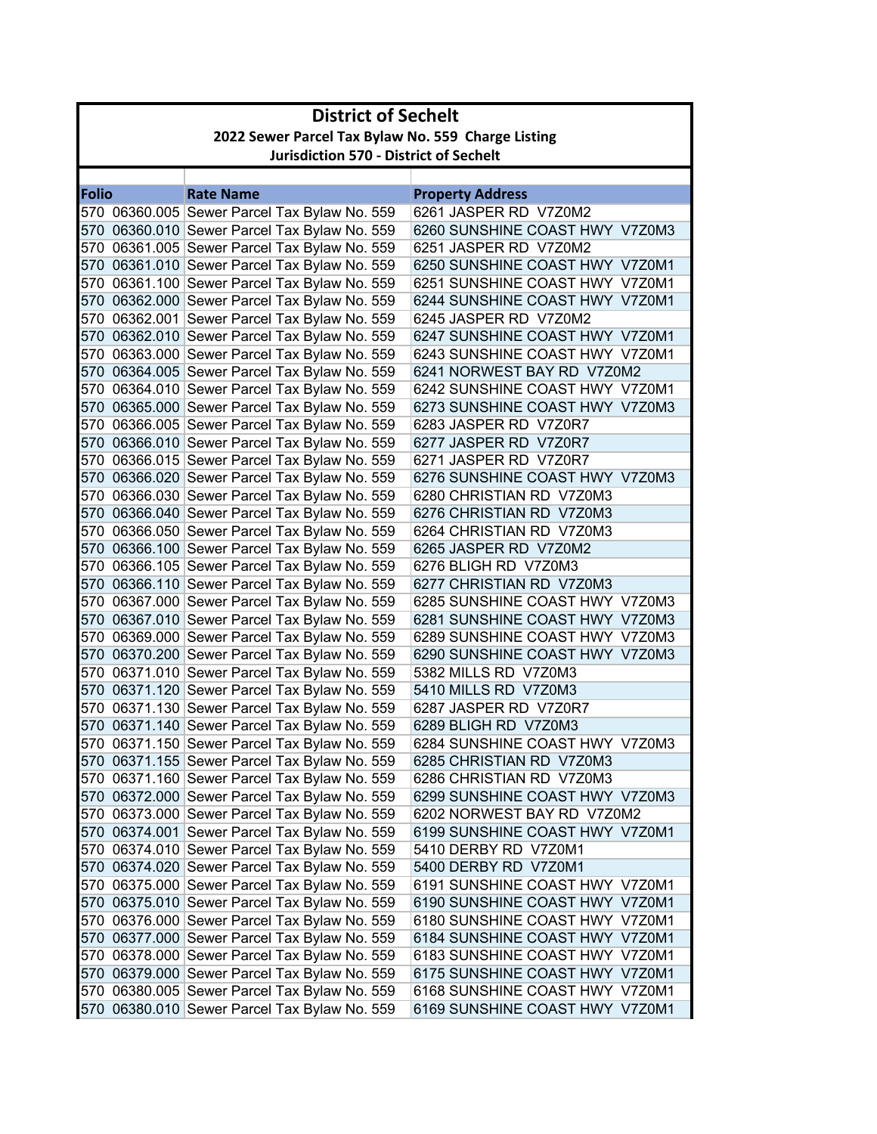|              | <b>District of Sechelt</b>                         |                                                                                              |                                                              |  |
|--------------|----------------------------------------------------|----------------------------------------------------------------------------------------------|--------------------------------------------------------------|--|
|              | 2022 Sewer Parcel Tax Bylaw No. 559 Charge Listing |                                                                                              |                                                              |  |
|              | <b>Jurisdiction 570 - District of Sechelt</b>      |                                                                                              |                                                              |  |
|              |                                                    |                                                                                              |                                                              |  |
| <b>Folio</b> |                                                    | <b>Rate Name</b>                                                                             | <b>Property Address</b>                                      |  |
|              |                                                    | 570 06360.005 Sewer Parcel Tax Bylaw No. 559                                                 | 6261 JASPER RD V7Z0M2                                        |  |
|              |                                                    | 570 06360.010 Sewer Parcel Tax Bylaw No. 559                                                 | 6260 SUNSHINE COAST HWY V7Z0M3                               |  |
|              |                                                    | 570 06361.005 Sewer Parcel Tax Bylaw No. 559                                                 | 6251 JASPER RD V7Z0M2                                        |  |
|              |                                                    | 570 06361.010 Sewer Parcel Tax Bylaw No. 559                                                 | 6250 SUNSHINE COAST HWY V7Z0M1                               |  |
|              |                                                    | 570 06361.100 Sewer Parcel Tax Bylaw No. 559                                                 | 6251 SUNSHINE COAST HWY V7Z0M1                               |  |
|              |                                                    | 570 06362.000 Sewer Parcel Tax Bylaw No. 559                                                 | 6244 SUNSHINE COAST HWY V7Z0M1                               |  |
|              |                                                    | 570 06362.001 Sewer Parcel Tax Bylaw No. 559                                                 | 6245 JASPER RD V7Z0M2                                        |  |
|              |                                                    | 570 06362.010 Sewer Parcel Tax Bylaw No. 559                                                 | 6247 SUNSHINE COAST HWY V7Z0M1                               |  |
|              |                                                    | 570 06363.000 Sewer Parcel Tax Bylaw No. 559                                                 | 6243 SUNSHINE COAST HWY V7Z0M1                               |  |
|              |                                                    | 570 06364.005 Sewer Parcel Tax Bylaw No. 559                                                 | 6241 NORWEST BAY RD V7Z0M2<br>6242 SUNSHINE COAST HWY V7Z0M1 |  |
|              |                                                    | 570 06364.010 Sewer Parcel Tax Bylaw No. 559                                                 | 6273 SUNSHINE COAST HWY V7Z0M3                               |  |
|              |                                                    | 570 06365.000 Sewer Parcel Tax Bylaw No. 559                                                 |                                                              |  |
|              |                                                    | 570 06366.005 Sewer Parcel Tax Bylaw No. 559<br>570 06366.010 Sewer Parcel Tax Bylaw No. 559 | 6283 JASPER RD V7Z0R7<br>6277 JASPER RD V7Z0R7               |  |
|              |                                                    | 570 06366.015 Sewer Parcel Tax Bylaw No. 559                                                 | 6271 JASPER RD V7Z0R7                                        |  |
|              |                                                    | 570 06366.020 Sewer Parcel Tax Bylaw No. 559                                                 | 6276 SUNSHINE COAST HWY V7Z0M3                               |  |
|              |                                                    | 570 06366.030 Sewer Parcel Tax Bylaw No. 559                                                 | 6280 CHRISTIAN RD V7Z0M3                                     |  |
|              |                                                    | 570 06366.040 Sewer Parcel Tax Bylaw No. 559                                                 | 6276 CHRISTIAN RD V7Z0M3                                     |  |
|              |                                                    | 570 06366.050 Sewer Parcel Tax Bylaw No. 559                                                 | 6264 CHRISTIAN RD V7Z0M3                                     |  |
|              |                                                    | 570 06366.100 Sewer Parcel Tax Bylaw No. 559                                                 | 6265 JASPER RD V7Z0M2                                        |  |
|              |                                                    | 570 06366.105 Sewer Parcel Tax Bylaw No. 559                                                 | 6276 BLIGH RD V7Z0M3                                         |  |
|              |                                                    | 570 06366.110 Sewer Parcel Tax Bylaw No. 559                                                 | 6277 CHRISTIAN RD V7Z0M3                                     |  |
|              |                                                    | 570 06367.000 Sewer Parcel Tax Bylaw No. 559                                                 | 6285 SUNSHINE COAST HWY V7Z0M3                               |  |
|              |                                                    | 570 06367.010 Sewer Parcel Tax Bylaw No. 559                                                 | 6281 SUNSHINE COAST HWY V7Z0M3                               |  |
|              |                                                    | 570 06369.000 Sewer Parcel Tax Bylaw No. 559                                                 | 6289 SUNSHINE COAST HWY V7Z0M3                               |  |
|              |                                                    | 570 06370.200 Sewer Parcel Tax Bylaw No. 559                                                 | 6290 SUNSHINE COAST HWY V7Z0M3                               |  |
|              |                                                    | 570 06371.010 Sewer Parcel Tax Bylaw No. 559                                                 | 5382 MILLS RD V7Z0M3                                         |  |
|              |                                                    | 570 06371.120 Sewer Parcel Tax Bylaw No. 559                                                 | 5410 MILLS RD V7Z0M3                                         |  |
|              |                                                    | 570 06371.130 Sewer Parcel Tax Bylaw No. 559                                                 | 6287 JASPER RD V7Z0R7                                        |  |
|              |                                                    | 570 06371.140 Sewer Parcel Tax Bylaw No. 559                                                 | 6289 BLIGH RD V7Z0M3                                         |  |
|              |                                                    | 570 06371.150 Sewer Parcel Tax Bylaw No. 559                                                 | 6284 SUNSHINE COAST HWY V7Z0M3                               |  |
|              |                                                    | 570 06371.155 Sewer Parcel Tax Bylaw No. 559                                                 | 6285 CHRISTIAN RD V7Z0M3                                     |  |
|              |                                                    | 570 06371.160 Sewer Parcel Tax Bylaw No. 559                                                 | 6286 CHRISTIAN RD V7Z0M3                                     |  |
|              |                                                    | 570 06372.000 Sewer Parcel Tax Bylaw No. 559                                                 | 6299 SUNSHINE COAST HWY V7Z0M3                               |  |
|              |                                                    | 570 06373.000 Sewer Parcel Tax Bylaw No. 559                                                 | 6202 NORWEST BAY RD V7Z0M2                                   |  |
|              |                                                    | 570 06374.001 Sewer Parcel Tax Bylaw No. 559                                                 | 6199 SUNSHINE COAST HWY V7Z0M1                               |  |
|              |                                                    | 570 06374.010 Sewer Parcel Tax Bylaw No. 559                                                 | 5410 DERBY RD V7Z0M1                                         |  |
|              |                                                    | 570 06374.020 Sewer Parcel Tax Bylaw No. 559                                                 | 5400 DERBY RD V7Z0M1                                         |  |
|              |                                                    | 570 06375.000 Sewer Parcel Tax Bylaw No. 559                                                 | 6191 SUNSHINE COAST HWY V7Z0M1                               |  |
|              |                                                    | 570 06375.010 Sewer Parcel Tax Bylaw No. 559                                                 | 6190 SUNSHINE COAST HWY V7Z0M1                               |  |
|              |                                                    | 570 06376.000 Sewer Parcel Tax Bylaw No. 559                                                 | 6180 SUNSHINE COAST HWY V7Z0M1                               |  |
|              |                                                    | 570 06377.000 Sewer Parcel Tax Bylaw No. 559                                                 | 6184 SUNSHINE COAST HWY V7Z0M1                               |  |
|              |                                                    | 570 06378.000 Sewer Parcel Tax Bylaw No. 559                                                 | 6183 SUNSHINE COAST HWY V7Z0M1                               |  |
|              |                                                    | 570 06379.000 Sewer Parcel Tax Bylaw No. 559                                                 | 6175 SUNSHINE COAST HWY V7Z0M1                               |  |
|              |                                                    | 570 06380.005 Sewer Parcel Tax Bylaw No. 559                                                 | 6168 SUNSHINE COAST HWY V7Z0M1                               |  |
|              |                                                    | 570 06380.010 Sewer Parcel Tax Bylaw No. 559                                                 | 6169 SUNSHINE COAST HWY V7Z0M1                               |  |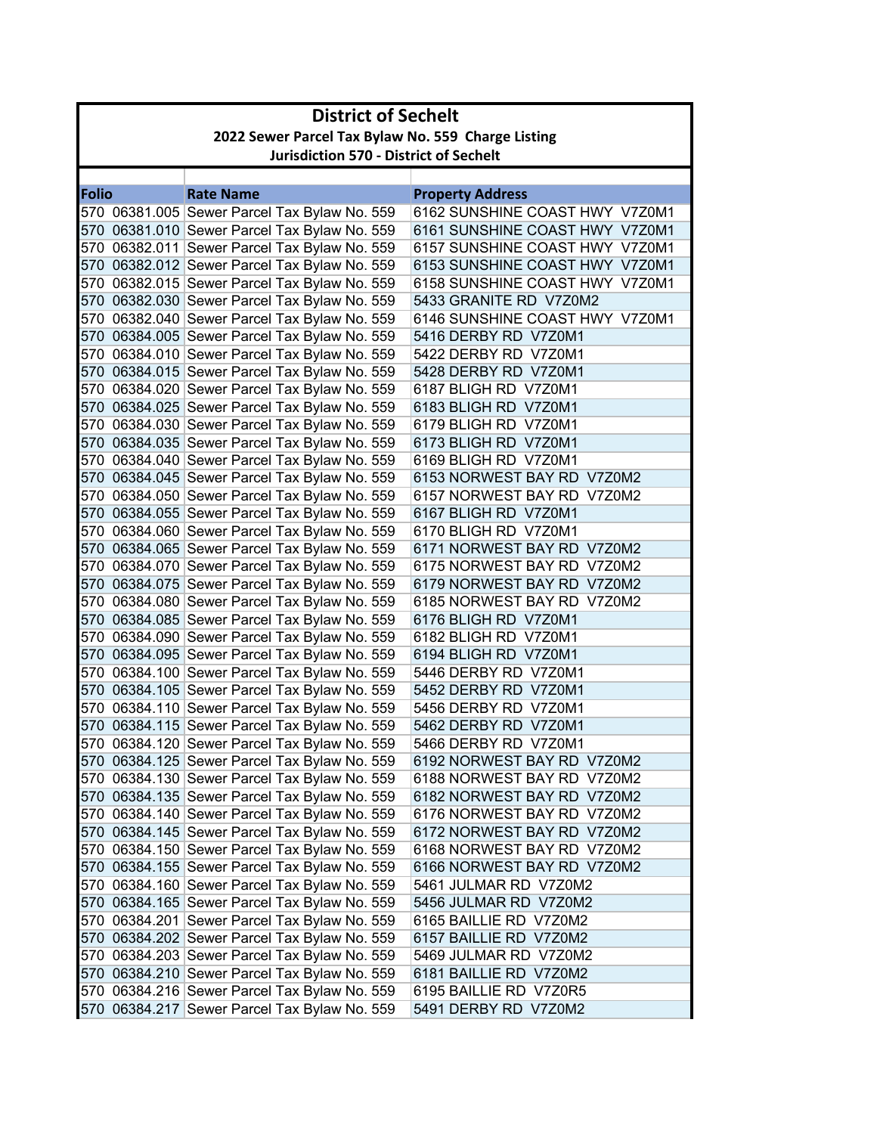|              | <b>District of Sechelt</b>                         |                                                                                              |                                                                  |  |
|--------------|----------------------------------------------------|----------------------------------------------------------------------------------------------|------------------------------------------------------------------|--|
|              | 2022 Sewer Parcel Tax Bylaw No. 559 Charge Listing |                                                                                              |                                                                  |  |
|              | <b>Jurisdiction 570 - District of Sechelt</b>      |                                                                                              |                                                                  |  |
|              |                                                    |                                                                                              |                                                                  |  |
| <b>Folio</b> |                                                    | <b>Rate Name</b>                                                                             | <b>Property Address</b>                                          |  |
|              |                                                    | 570 06381.005 Sewer Parcel Tax Bylaw No. 559                                                 | 6162 SUNSHINE COAST HWY V7Z0M1                                   |  |
|              |                                                    | 570 06381.010 Sewer Parcel Tax Bylaw No. 559                                                 | 6161 SUNSHINE COAST HWY V7Z0M1                                   |  |
|              |                                                    | 570 06382.011 Sewer Parcel Tax Bylaw No. 559                                                 | 6157 SUNSHINE COAST HWY V7Z0M1                                   |  |
|              |                                                    | 570 06382.012 Sewer Parcel Tax Bylaw No. 559<br>570 06382.015 Sewer Parcel Tax Bylaw No. 559 | 6153 SUNSHINE COAST HWY V7Z0M1<br>6158 SUNSHINE COAST HWY V7Z0M1 |  |
|              |                                                    | 570 06382.030 Sewer Parcel Tax Bylaw No. 559                                                 | 5433 GRANITE RD V7Z0M2                                           |  |
|              |                                                    | 570 06382.040 Sewer Parcel Tax Bylaw No. 559                                                 | 6146 SUNSHINE COAST HWY V7Z0M1                                   |  |
|              |                                                    | 570 06384.005 Sewer Parcel Tax Bylaw No. 559                                                 | 5416 DERBY RD V7Z0M1                                             |  |
|              |                                                    | 570 06384.010 Sewer Parcel Tax Bylaw No. 559                                                 | 5422 DERBY RD V7Z0M1                                             |  |
|              |                                                    | 570 06384.015 Sewer Parcel Tax Bylaw No. 559                                                 | 5428 DERBY RD V7Z0M1                                             |  |
|              |                                                    | 570 06384.020 Sewer Parcel Tax Bylaw No. 559                                                 | 6187 BLIGH RD V7Z0M1                                             |  |
|              |                                                    | 570 06384.025 Sewer Parcel Tax Bylaw No. 559                                                 | 6183 BLIGH RD V7Z0M1                                             |  |
|              |                                                    | 570 06384.030 Sewer Parcel Tax Bylaw No. 559                                                 | 6179 BLIGH RD V7Z0M1                                             |  |
|              |                                                    | 570 06384.035 Sewer Parcel Tax Bylaw No. 559                                                 | 6173 BLIGH RD V7Z0M1                                             |  |
|              |                                                    | 570 06384.040 Sewer Parcel Tax Bylaw No. 559                                                 | 6169 BLIGH RD V7Z0M1                                             |  |
|              |                                                    | 570 06384.045 Sewer Parcel Tax Bylaw No. 559                                                 | 6153 NORWEST BAY RD V7Z0M2                                       |  |
|              |                                                    | 570 06384.050 Sewer Parcel Tax Bylaw No. 559                                                 | 6157 NORWEST BAY RD V7Z0M2                                       |  |
|              |                                                    | 570 06384.055 Sewer Parcel Tax Bylaw No. 559                                                 | 6167 BLIGH RD V7Z0M1                                             |  |
|              |                                                    | 570 06384.060 Sewer Parcel Tax Bylaw No. 559                                                 | 6170 BLIGH RD V7Z0M1                                             |  |
|              |                                                    | 570 06384.065 Sewer Parcel Tax Bylaw No. 559                                                 | 6171 NORWEST BAY RD V7Z0M2                                       |  |
|              |                                                    | 570 06384.070 Sewer Parcel Tax Bylaw No. 559                                                 | 6175 NORWEST BAY RD V7Z0M2                                       |  |
|              |                                                    | 570 06384.075 Sewer Parcel Tax Bylaw No. 559                                                 | 6179 NORWEST BAY RD V7Z0M2                                       |  |
|              |                                                    | 570 06384.080 Sewer Parcel Tax Bylaw No. 559                                                 | 6185 NORWEST BAY RD V7Z0M2                                       |  |
|              |                                                    | 570 06384.085 Sewer Parcel Tax Bylaw No. 559                                                 | 6176 BLIGH RD V7Z0M1                                             |  |
|              |                                                    | 570 06384.090 Sewer Parcel Tax Bylaw No. 559                                                 | 6182 BLIGH RD V7Z0M1                                             |  |
|              |                                                    | 570 06384.095 Sewer Parcel Tax Bylaw No. 559                                                 | 6194 BLIGH RD V7Z0M1                                             |  |
|              |                                                    | 570 06384.100 Sewer Parcel Tax Bylaw No. 559                                                 | 5446 DERBY RD V7Z0M1                                             |  |
|              |                                                    | 570 06384.105 Sewer Parcel Tax Bylaw No. 559                                                 | 5452 DERBY RD V7Z0M1                                             |  |
|              |                                                    | 570 06384.110 Sewer Parcel Tax Bylaw No. 559                                                 | 5456 DERBY RD V7Z0M1                                             |  |
|              |                                                    | 570 06384.115 Sewer Parcel Tax Bylaw No. 559                                                 | 5462 DERBY RD V7Z0M1                                             |  |
|              |                                                    | 570 06384.120 Sewer Parcel Tax Bylaw No. 559                                                 | 5466 DERBY RD V7Z0M1                                             |  |
|              |                                                    | 570 06384.125 Sewer Parcel Tax Bylaw No. 559                                                 | 6192 NORWEST BAY RD V7Z0M2                                       |  |
|              |                                                    | 570 06384.130 Sewer Parcel Tax Bylaw No. 559                                                 | 6188 NORWEST BAY RD V7Z0M2                                       |  |
|              |                                                    | 570 06384.135 Sewer Parcel Tax Bylaw No. 559                                                 | 6182 NORWEST BAY RD V7Z0M2                                       |  |
|              |                                                    | 570 06384.140 Sewer Parcel Tax Bylaw No. 559                                                 | 6176 NORWEST BAY RD V7Z0M2                                       |  |
|              |                                                    | 570 06384.145 Sewer Parcel Tax Bylaw No. 559                                                 | 6172 NORWEST BAY RD V7Z0M2                                       |  |
|              |                                                    | 570 06384.150 Sewer Parcel Tax Bylaw No. 559                                                 | 6168 NORWEST BAY RD V7Z0M2<br>6166 NORWEST BAY RD V7Z0M2         |  |
|              |                                                    | 570 06384.155 Sewer Parcel Tax Bylaw No. 559                                                 | 5461 JULMAR RD V7Z0M2                                            |  |
|              |                                                    | 570 06384.160 Sewer Parcel Tax Bylaw No. 559<br>570 06384.165 Sewer Parcel Tax Bylaw No. 559 | 5456 JULMAR RD V7Z0M2                                            |  |
|              |                                                    | 570 06384.201 Sewer Parcel Tax Bylaw No. 559                                                 | 6165 BAILLIE RD V7Z0M2                                           |  |
|              |                                                    | 570 06384.202 Sewer Parcel Tax Bylaw No. 559                                                 | 6157 BAILLIE RD V7Z0M2                                           |  |
|              |                                                    | 570 06384.203 Sewer Parcel Tax Bylaw No. 559                                                 | 5469 JULMAR RD V7Z0M2                                            |  |
|              |                                                    | 570 06384.210 Sewer Parcel Tax Bylaw No. 559                                                 | 6181 BAILLIE RD V7Z0M2                                           |  |
|              |                                                    | 570 06384.216 Sewer Parcel Tax Bylaw No. 559                                                 | 6195 BAILLIE RD V7Z0R5                                           |  |
|              |                                                    | 570 06384.217 Sewer Parcel Tax Bylaw No. 559                                                 | 5491 DERBY RD V7Z0M2                                             |  |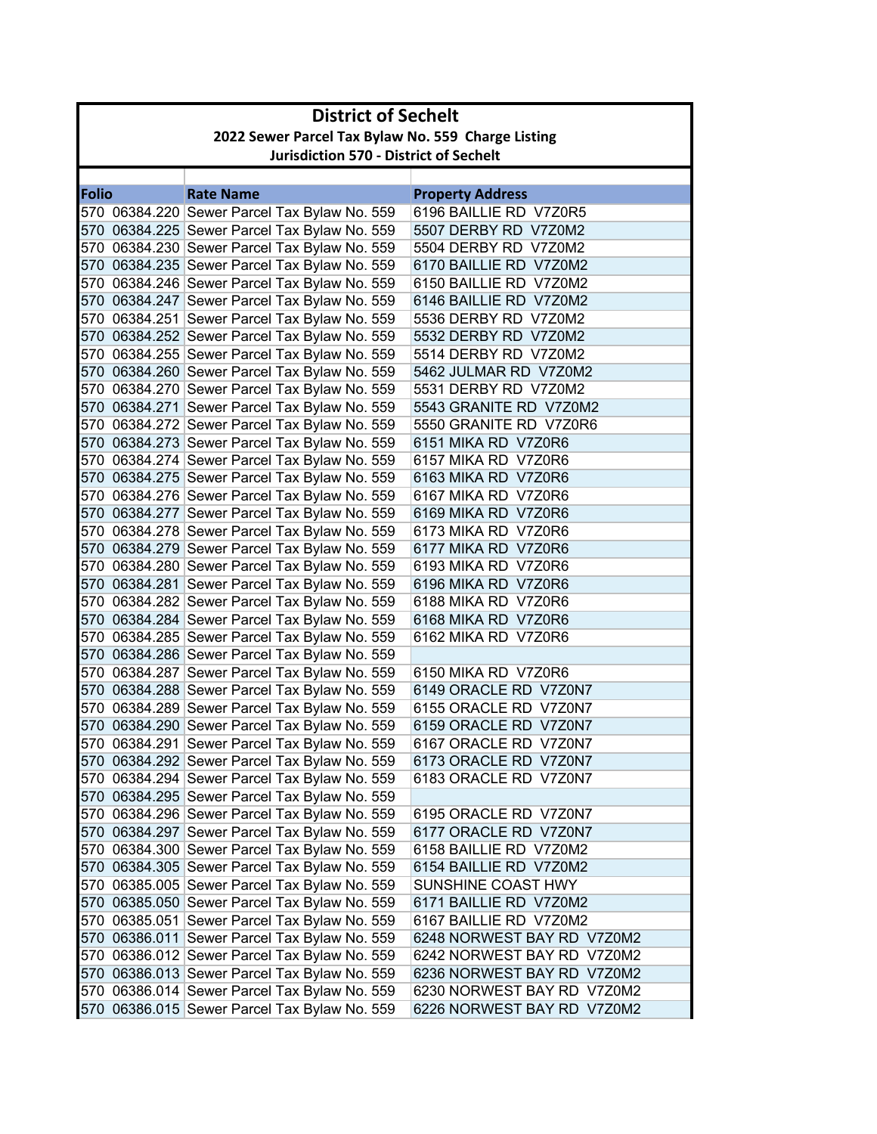|       | <b>District of Sechelt</b>                         |                                              |                            |  |  |
|-------|----------------------------------------------------|----------------------------------------------|----------------------------|--|--|
|       | 2022 Sewer Parcel Tax Bylaw No. 559 Charge Listing |                                              |                            |  |  |
|       | <b>Jurisdiction 570 - District of Sechelt</b>      |                                              |                            |  |  |
|       |                                                    |                                              |                            |  |  |
| Folio |                                                    | <b>Rate Name</b>                             | <b>Property Address</b>    |  |  |
|       |                                                    | 570 06384.220 Sewer Parcel Tax Bylaw No. 559 | 6196 BAILLIE RD V7Z0R5     |  |  |
|       |                                                    | 570 06384.225 Sewer Parcel Tax Bylaw No. 559 | 5507 DERBY RD V7Z0M2       |  |  |
|       |                                                    | 570 06384.230 Sewer Parcel Tax Bylaw No. 559 | 5504 DERBY RD V7Z0M2       |  |  |
|       |                                                    | 570 06384.235 Sewer Parcel Tax Bylaw No. 559 | 6170 BAILLIE RD V7Z0M2     |  |  |
|       |                                                    | 570 06384.246 Sewer Parcel Tax Bylaw No. 559 | 6150 BAILLIE RD V7Z0M2     |  |  |
|       |                                                    | 570 06384.247 Sewer Parcel Tax Bylaw No. 559 | 6146 BAILLIE RD V7Z0M2     |  |  |
|       |                                                    | 570 06384.251 Sewer Parcel Tax Bylaw No. 559 | 5536 DERBY RD V7Z0M2       |  |  |
|       |                                                    | 570 06384.252 Sewer Parcel Tax Bylaw No. 559 | 5532 DERBY RD V7Z0M2       |  |  |
|       |                                                    | 570 06384.255 Sewer Parcel Tax Bylaw No. 559 | 5514 DERBY RD V7Z0M2       |  |  |
|       |                                                    | 570 06384.260 Sewer Parcel Tax Bylaw No. 559 | 5462 JULMAR RD V7Z0M2      |  |  |
|       |                                                    | 570 06384.270 Sewer Parcel Tax Bylaw No. 559 | 5531 DERBY RD V7Z0M2       |  |  |
|       |                                                    | 570 06384.271 Sewer Parcel Tax Bylaw No. 559 | 5543 GRANITE RD V7Z0M2     |  |  |
|       |                                                    | 570 06384.272 Sewer Parcel Tax Bylaw No. 559 | 5550 GRANITE RD V7Z0R6     |  |  |
|       |                                                    | 570 06384.273 Sewer Parcel Tax Bylaw No. 559 | 6151 MIKA RD V7Z0R6        |  |  |
|       |                                                    | 570 06384.274 Sewer Parcel Tax Bylaw No. 559 | 6157 MIKA RD V7Z0R6        |  |  |
|       |                                                    | 570 06384.275 Sewer Parcel Tax Bylaw No. 559 | 6163 MIKA RD V7Z0R6        |  |  |
|       |                                                    | 570 06384.276 Sewer Parcel Tax Bylaw No. 559 | 6167 MIKA RD V7Z0R6        |  |  |
|       |                                                    | 570 06384.277 Sewer Parcel Tax Bylaw No. 559 | 6169 MIKA RD V7Z0R6        |  |  |
|       |                                                    | 570 06384.278 Sewer Parcel Tax Bylaw No. 559 | 6173 MIKA RD V7Z0R6        |  |  |
|       |                                                    | 570 06384.279 Sewer Parcel Tax Bylaw No. 559 | 6177 MIKA RD V7Z0R6        |  |  |
|       |                                                    | 570 06384.280 Sewer Parcel Tax Bylaw No. 559 | 6193 MIKA RD V7Z0R6        |  |  |
|       |                                                    | 570 06384.281 Sewer Parcel Tax Bylaw No. 559 | 6196 MIKA RD V7Z0R6        |  |  |
|       |                                                    | 570 06384.282 Sewer Parcel Tax Bylaw No. 559 | 6188 MIKA RD V7Z0R6        |  |  |
|       |                                                    | 570 06384.284 Sewer Parcel Tax Bylaw No. 559 | 6168 MIKA RD V7Z0R6        |  |  |
|       |                                                    | 570 06384.285 Sewer Parcel Tax Bylaw No. 559 | 6162 MIKA RD V7Z0R6        |  |  |
|       |                                                    | 570 06384.286 Sewer Parcel Tax Bylaw No. 559 |                            |  |  |
|       |                                                    | 570 06384.287 Sewer Parcel Tax Bylaw No. 559 | 6150 MIKA RD V7Z0R6        |  |  |
|       |                                                    | 570 06384.288 Sewer Parcel Tax Bylaw No. 559 | 6149 ORACLE RD V7Z0N7      |  |  |
|       |                                                    | 570 06384.289 Sewer Parcel Tax Bylaw No. 559 | 6155 ORACLE RD V7Z0N7      |  |  |
|       |                                                    | 570 06384.290 Sewer Parcel Tax Bylaw No. 559 | 6159 ORACLE RD V7Z0N7      |  |  |
|       |                                                    | 570 06384.291 Sewer Parcel Tax Bylaw No. 559 | 6167 ORACLE RD V7Z0N7      |  |  |
|       |                                                    | 570 06384.292 Sewer Parcel Tax Bylaw No. 559 | 6173 ORACLE RD V7Z0N7      |  |  |
|       |                                                    | 570 06384.294 Sewer Parcel Tax Bylaw No. 559 | 6183 ORACLE RD V7Z0N7      |  |  |
|       |                                                    | 570 06384.295 Sewer Parcel Tax Bylaw No. 559 |                            |  |  |
|       |                                                    | 570 06384.296 Sewer Parcel Tax Bylaw No. 559 | 6195 ORACLE RD V7Z0N7      |  |  |
|       |                                                    | 570 06384.297 Sewer Parcel Tax Bylaw No. 559 | 6177 ORACLE RD V7Z0N7      |  |  |
|       |                                                    | 570 06384.300 Sewer Parcel Tax Bylaw No. 559 | 6158 BAILLIE RD V7Z0M2     |  |  |
|       |                                                    | 570 06384.305 Sewer Parcel Tax Bylaw No. 559 | 6154 BAILLIE RD V7Z0M2     |  |  |
|       |                                                    | 570 06385.005 Sewer Parcel Tax Bylaw No. 559 | SUNSHINE COAST HWY         |  |  |
|       |                                                    | 570 06385.050 Sewer Parcel Tax Bylaw No. 559 | 6171 BAILLIE RD V7Z0M2     |  |  |
|       |                                                    | 570 06385.051 Sewer Parcel Tax Bylaw No. 559 | 6167 BAILLIE RD V7Z0M2     |  |  |
|       |                                                    | 570 06386.011 Sewer Parcel Tax Bylaw No. 559 | 6248 NORWEST BAY RD V7Z0M2 |  |  |
|       |                                                    | 570 06386.012 Sewer Parcel Tax Bylaw No. 559 | 6242 NORWEST BAY RD V7Z0M2 |  |  |
|       |                                                    | 570 06386.013 Sewer Parcel Tax Bylaw No. 559 | 6236 NORWEST BAY RD V7Z0M2 |  |  |
|       |                                                    | 570 06386.014 Sewer Parcel Tax Bylaw No. 559 | 6230 NORWEST BAY RD V7Z0M2 |  |  |
|       |                                                    | 570 06386.015 Sewer Parcel Tax Bylaw No. 559 | 6226 NORWEST BAY RD V7Z0M2 |  |  |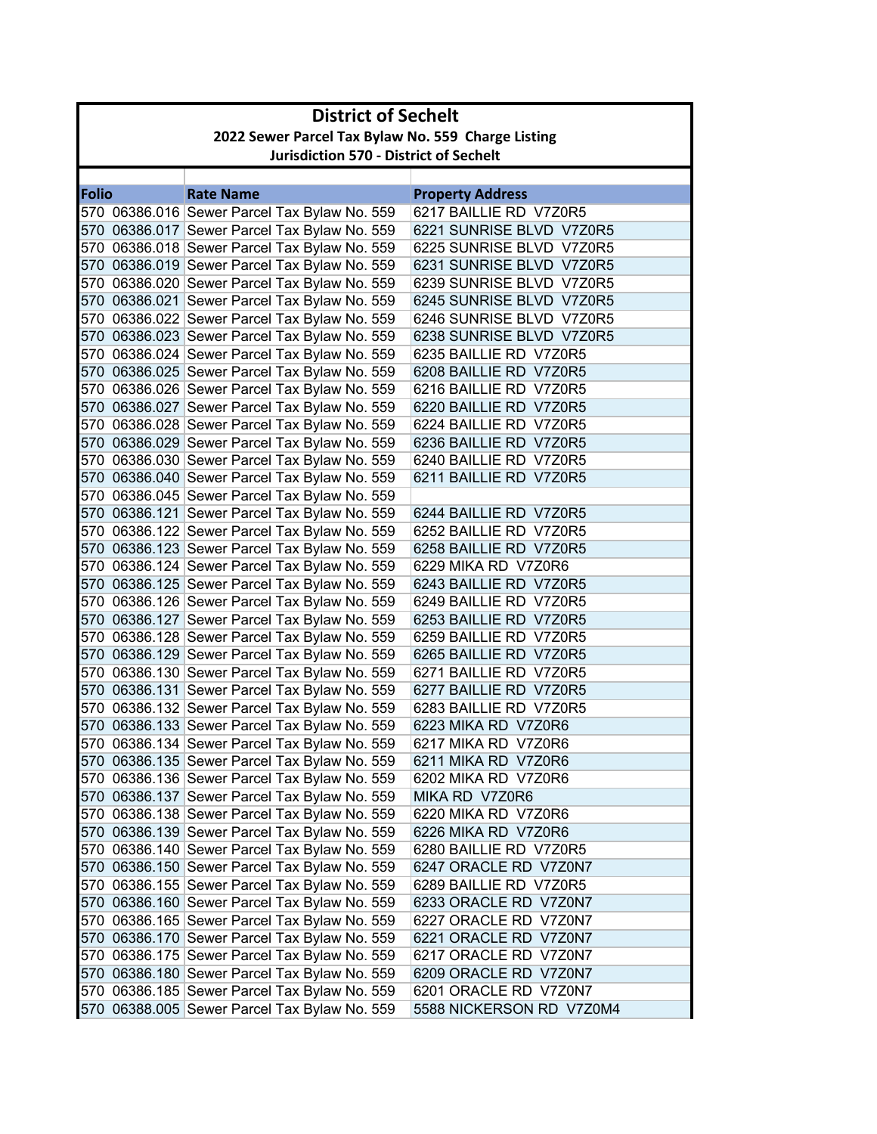|              | <b>District of Sechelt</b>                         |                                              |                          |  |
|--------------|----------------------------------------------------|----------------------------------------------|--------------------------|--|
|              | 2022 Sewer Parcel Tax Bylaw No. 559 Charge Listing |                                              |                          |  |
|              | <b>Jurisdiction 570 - District of Sechelt</b>      |                                              |                          |  |
|              |                                                    |                                              |                          |  |
| <b>Folio</b> |                                                    | <b>Rate Name</b>                             | <b>Property Address</b>  |  |
|              |                                                    | 570 06386.016 Sewer Parcel Tax Bylaw No. 559 | 6217 BAILLIE RD V7Z0R5   |  |
|              |                                                    | 570 06386.017 Sewer Parcel Tax Bylaw No. 559 | 6221 SUNRISE BLVD V7Z0R5 |  |
|              |                                                    | 570 06386.018 Sewer Parcel Tax Bylaw No. 559 | 6225 SUNRISE BLVD V7Z0R5 |  |
|              |                                                    | 570 06386.019 Sewer Parcel Tax Bylaw No. 559 | 6231 SUNRISE BLVD V7Z0R5 |  |
|              |                                                    | 570 06386.020 Sewer Parcel Tax Bylaw No. 559 | 6239 SUNRISE BLVD V7Z0R5 |  |
|              |                                                    | 570 06386.021 Sewer Parcel Tax Bylaw No. 559 | 6245 SUNRISE BLVD V7Z0R5 |  |
|              |                                                    | 570 06386.022 Sewer Parcel Tax Bylaw No. 559 | 6246 SUNRISE BLVD V7Z0R5 |  |
|              |                                                    | 570 06386.023 Sewer Parcel Tax Bylaw No. 559 | 6238 SUNRISE BLVD V7Z0R5 |  |
|              |                                                    | 570 06386.024 Sewer Parcel Tax Bylaw No. 559 | 6235 BAILLIE RD V7Z0R5   |  |
|              |                                                    | 570 06386.025 Sewer Parcel Tax Bylaw No. 559 | 6208 BAILLIE RD V7Z0R5   |  |
|              |                                                    | 570 06386.026 Sewer Parcel Tax Bylaw No. 559 | 6216 BAILLIE RD V7Z0R5   |  |
|              |                                                    | 570 06386.027 Sewer Parcel Tax Bylaw No. 559 | 6220 BAILLIE RD V7Z0R5   |  |
|              |                                                    | 570 06386.028 Sewer Parcel Tax Bylaw No. 559 | 6224 BAILLIE RD V7Z0R5   |  |
|              |                                                    | 570 06386.029 Sewer Parcel Tax Bylaw No. 559 | 6236 BAILLIE RD V7Z0R5   |  |
|              |                                                    | 570 06386.030 Sewer Parcel Tax Bylaw No. 559 | 6240 BAILLIE RD V7Z0R5   |  |
|              |                                                    | 570 06386.040 Sewer Parcel Tax Bylaw No. 559 | 6211 BAILLIE RD V7Z0R5   |  |
|              |                                                    | 570 06386.045 Sewer Parcel Tax Bylaw No. 559 |                          |  |
|              |                                                    | 570 06386.121 Sewer Parcel Tax Bylaw No. 559 | 6244 BAILLIE RD V7Z0R5   |  |
|              |                                                    | 570 06386.122 Sewer Parcel Tax Bylaw No. 559 | 6252 BAILLIE RD V7Z0R5   |  |
|              |                                                    | 570 06386.123 Sewer Parcel Tax Bylaw No. 559 | 6258 BAILLIE RD V7Z0R5   |  |
|              |                                                    | 570 06386.124 Sewer Parcel Tax Bylaw No. 559 | 6229 MIKA RD V7Z0R6      |  |
|              |                                                    | 570 06386.125 Sewer Parcel Tax Bylaw No. 559 | 6243 BAILLIE RD V7Z0R5   |  |
|              |                                                    | 570 06386.126 Sewer Parcel Tax Bylaw No. 559 | 6249 BAILLIE RD V7Z0R5   |  |
|              |                                                    | 570 06386.127 Sewer Parcel Tax Bylaw No. 559 | 6253 BAILLIE RD V7Z0R5   |  |
|              |                                                    | 570 06386.128 Sewer Parcel Tax Bylaw No. 559 | 6259 BAILLIE RD V7Z0R5   |  |
|              |                                                    | 570 06386.129 Sewer Parcel Tax Bylaw No. 559 | 6265 BAILLIE RD V7Z0R5   |  |
|              |                                                    | 570 06386.130 Sewer Parcel Tax Bylaw No. 559 | 6271 BAILLIE RD V7Z0R5   |  |
|              |                                                    | 570 06386.131 Sewer Parcel Tax Bylaw No. 559 | 6277 BAILLIE RD V7Z0R5   |  |
|              |                                                    | 570 06386.132 Sewer Parcel Tax Bylaw No. 559 | 6283 BAILLIE RD V7Z0R5   |  |
|              |                                                    | 570 06386.133 Sewer Parcel Tax Bylaw No. 559 | 6223 MIKA RD V7Z0R6      |  |
|              |                                                    | 570 06386.134 Sewer Parcel Tax Bylaw No. 559 | 6217 MIKA RD V7Z0R6      |  |
|              |                                                    | 570 06386.135 Sewer Parcel Tax Bylaw No. 559 | 6211 MIKA RD V7Z0R6      |  |
|              |                                                    | 570 06386.136 Sewer Parcel Tax Bylaw No. 559 | 6202 MIKA RD V7Z0R6      |  |
|              |                                                    | 570 06386.137 Sewer Parcel Tax Bylaw No. 559 | MIKA RD V7Z0R6           |  |
|              |                                                    | 570 06386.138 Sewer Parcel Tax Bylaw No. 559 | 6220 MIKA RD V7Z0R6      |  |
|              |                                                    | 570 06386.139 Sewer Parcel Tax Bylaw No. 559 | 6226 MIKA RD V7Z0R6      |  |
|              |                                                    | 570 06386.140 Sewer Parcel Tax Bylaw No. 559 | 6280 BAILLIE RD V7Z0R5   |  |
|              |                                                    | 570 06386.150 Sewer Parcel Tax Bylaw No. 559 | 6247 ORACLE RD V7Z0N7    |  |
|              |                                                    | 570 06386.155 Sewer Parcel Tax Bylaw No. 559 | 6289 BAILLIE RD V7Z0R5   |  |
|              |                                                    | 570 06386.160 Sewer Parcel Tax Bylaw No. 559 | 6233 ORACLE RD V7Z0N7    |  |
|              |                                                    | 570 06386.165 Sewer Parcel Tax Bylaw No. 559 | 6227 ORACLE RD V7Z0N7    |  |
|              |                                                    | 570 06386.170 Sewer Parcel Tax Bylaw No. 559 | 6221 ORACLE RD V7Z0N7    |  |
|              |                                                    | 570 06386.175 Sewer Parcel Tax Bylaw No. 559 | 6217 ORACLE RD V7Z0N7    |  |
|              |                                                    | 570 06386.180 Sewer Parcel Tax Bylaw No. 559 | 6209 ORACLE RD V7Z0N7    |  |
|              |                                                    | 570 06386.185 Sewer Parcel Tax Bylaw No. 559 | 6201 ORACLE RD V7Z0N7    |  |
|              |                                                    | 570 06388.005 Sewer Parcel Tax Bylaw No. 559 | 5588 NICKERSON RD V7Z0M4 |  |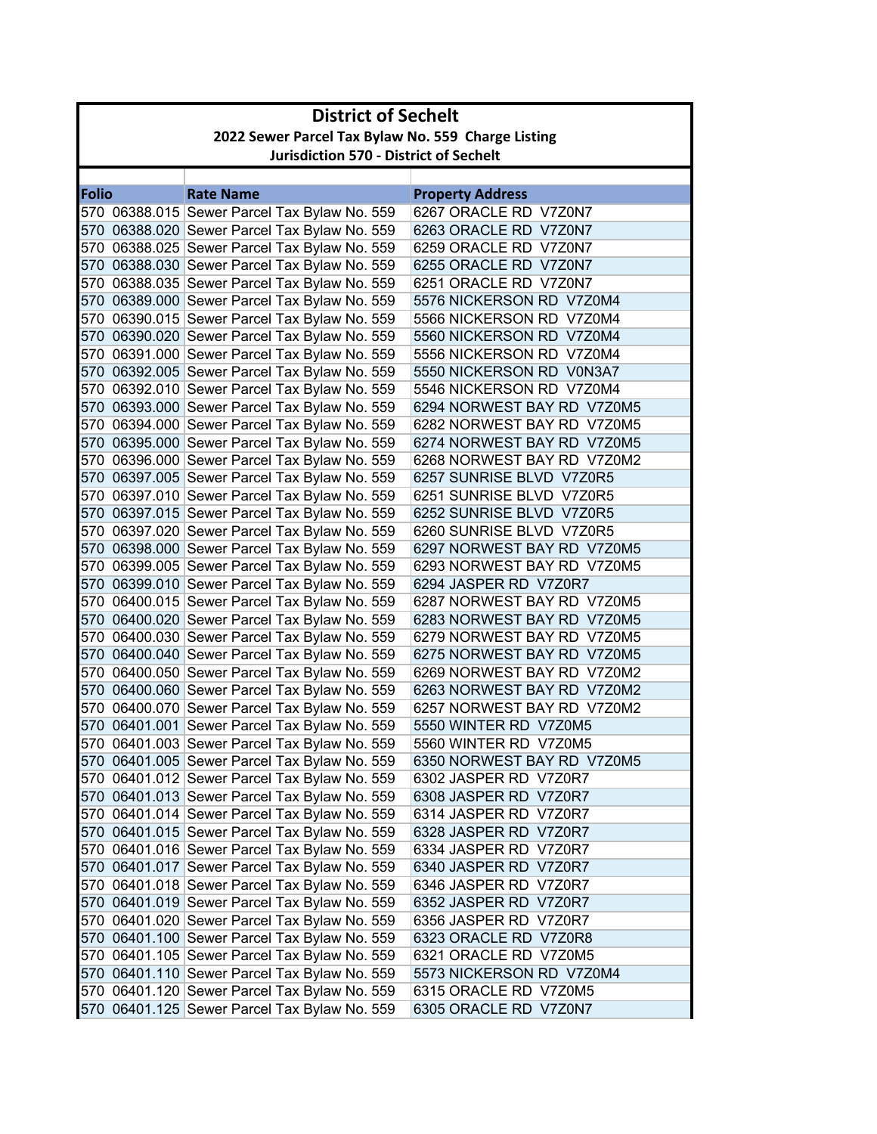|              | <b>District of Sechelt</b>                         |                                                                                              |                                                     |  |
|--------------|----------------------------------------------------|----------------------------------------------------------------------------------------------|-----------------------------------------------------|--|
|              | 2022 Sewer Parcel Tax Bylaw No. 559 Charge Listing |                                                                                              |                                                     |  |
|              | <b>Jurisdiction 570 - District of Sechelt</b>      |                                                                                              |                                                     |  |
|              |                                                    |                                                                                              |                                                     |  |
| <b>Folio</b> |                                                    | <b>Rate Name</b>                                                                             | <b>Property Address</b>                             |  |
|              |                                                    | 570 06388.015 Sewer Parcel Tax Bylaw No. 559                                                 | 6267 ORACLE RD V7Z0N7                               |  |
|              |                                                    | 570 06388.020 Sewer Parcel Tax Bylaw No. 559                                                 | 6263 ORACLE RD V7Z0N7                               |  |
|              |                                                    | 570 06388.025 Sewer Parcel Tax Bylaw No. 559                                                 | 6259 ORACLE RD V7Z0N7                               |  |
|              |                                                    | 570 06388.030 Sewer Parcel Tax Bylaw No. 559                                                 | 6255 ORACLE RD V7Z0N7                               |  |
|              |                                                    | 570 06388.035 Sewer Parcel Tax Bylaw No. 559                                                 | 6251 ORACLE RD V7Z0N7                               |  |
|              |                                                    | 570 06389.000 Sewer Parcel Tax Bylaw No. 559                                                 | 5576 NICKERSON RD V7Z0M4                            |  |
|              |                                                    | 570 06390.015 Sewer Parcel Tax Bylaw No. 559                                                 | 5566 NICKERSON RD V7Z0M4                            |  |
|              |                                                    | 570 06390.020 Sewer Parcel Tax Bylaw No. 559                                                 | 5560 NICKERSON RD V7Z0M4                            |  |
|              |                                                    | 570 06391.000 Sewer Parcel Tax Bylaw No. 559                                                 | 5556 NICKERSON RD V7Z0M4                            |  |
|              |                                                    | 570 06392.005 Sewer Parcel Tax Bylaw No. 559                                                 | 5550 NICKERSON RD V0N3A7                            |  |
|              |                                                    | 570 06392.010 Sewer Parcel Tax Bylaw No. 559                                                 | 5546 NICKERSON RD V7Z0M4                            |  |
|              |                                                    | 570 06393.000 Sewer Parcel Tax Bylaw No. 559                                                 | 6294 NORWEST BAY RD V7Z0M5                          |  |
|              |                                                    | 570 06394.000 Sewer Parcel Tax Bylaw No. 559                                                 | 6282 NORWEST BAY RD V7Z0M5                          |  |
|              |                                                    | 570 06395.000 Sewer Parcel Tax Bylaw No. 559                                                 | 6274 NORWEST BAY RD V7Z0M5                          |  |
|              |                                                    | 570 06396.000 Sewer Parcel Tax Bylaw No. 559                                                 | 6268 NORWEST BAY RD V7Z0M2                          |  |
|              |                                                    | 570 06397.005 Sewer Parcel Tax Bylaw No. 559                                                 | 6257 SUNRISE BLVD V7Z0R5                            |  |
|              |                                                    | 570 06397.010 Sewer Parcel Tax Bylaw No. 559                                                 | 6251 SUNRISE BLVD V7Z0R5                            |  |
|              |                                                    | 570 06397.015 Sewer Parcel Tax Bylaw No. 559                                                 | 6252 SUNRISE BLVD V7Z0R5                            |  |
|              |                                                    | 570 06397.020 Sewer Parcel Tax Bylaw No. 559                                                 | 6260 SUNRISE BLVD V7Z0R5                            |  |
|              |                                                    | 570 06398.000 Sewer Parcel Tax Bylaw No. 559                                                 | 6297 NORWEST BAY RD V7Z0M5                          |  |
|              |                                                    | 570 06399.005 Sewer Parcel Tax Bylaw No. 559                                                 | 6293 NORWEST BAY RD V7Z0M5                          |  |
|              |                                                    | 570 06399.010 Sewer Parcel Tax Bylaw No. 559                                                 | 6294 JASPER RD V7Z0R7                               |  |
|              |                                                    | 570 06400.015 Sewer Parcel Tax Bylaw No. 559                                                 | 6287 NORWEST BAY RD V7Z0M5                          |  |
|              |                                                    | 570 06400.020 Sewer Parcel Tax Bylaw No. 559                                                 | 6283 NORWEST BAY RD V7Z0M5                          |  |
|              |                                                    | 570 06400.030 Sewer Parcel Tax Bylaw No. 559                                                 | 6279 NORWEST BAY RD V7Z0M5                          |  |
|              |                                                    | 570 06400.040 Sewer Parcel Tax Bylaw No. 559                                                 | 6275 NORWEST BAY RD V7Z0M5                          |  |
|              |                                                    | 570 06400.050 Sewer Parcel Tax Bylaw No. 559                                                 | 6269 NORWEST BAY RD V7Z0M2                          |  |
|              |                                                    | 570 06400.060 Sewer Parcel Tax Bylaw No. 559                                                 | 6263 NORWEST BAY RD V7Z0M2                          |  |
|              |                                                    | 570 06400.070 Sewer Parcel Tax Bylaw No. 559                                                 | 6257 NORWEST BAY RD V7Z0M2<br>5550 WINTER RD V7Z0M5 |  |
|              |                                                    | 570 06401.001 Sewer Parcel Tax Bylaw No. 559                                                 |                                                     |  |
|              |                                                    | 570 06401.003 Sewer Parcel Tax Bylaw No. 559                                                 | 5560 WINTER RD V7Z0M5                               |  |
|              |                                                    | 570 06401.005 Sewer Parcel Tax Bylaw No. 559                                                 | 6350 NORWEST BAY RD V7Z0M5<br>6302 JASPER RD V7Z0R7 |  |
|              |                                                    | 570 06401.012 Sewer Parcel Tax Bylaw No. 559<br>570 06401.013 Sewer Parcel Tax Bylaw No. 559 | 6308 JASPER RD V7Z0R7                               |  |
|              |                                                    | 570 06401.014 Sewer Parcel Tax Bylaw No. 559                                                 | 6314 JASPER RD V7Z0R7                               |  |
|              |                                                    | 570 06401.015 Sewer Parcel Tax Bylaw No. 559                                                 | 6328 JASPER RD V7Z0R7                               |  |
|              |                                                    | 570 06401.016 Sewer Parcel Tax Bylaw No. 559                                                 | 6334 JASPER RD V7Z0R7                               |  |
|              |                                                    | 570 06401.017 Sewer Parcel Tax Bylaw No. 559                                                 | 6340 JASPER RD V7Z0R7                               |  |
|              |                                                    | 570 06401.018 Sewer Parcel Tax Bylaw No. 559                                                 | 6346 JASPER RD V7Z0R7                               |  |
|              |                                                    | 570 06401.019 Sewer Parcel Tax Bylaw No. 559                                                 | 6352 JASPER RD V7Z0R7                               |  |
|              |                                                    | 570 06401.020 Sewer Parcel Tax Bylaw No. 559                                                 | 6356 JASPER RD V7Z0R7                               |  |
|              |                                                    | 570 06401.100 Sewer Parcel Tax Bylaw No. 559                                                 | 6323 ORACLE RD V7Z0R8                               |  |
|              |                                                    | 570 06401.105 Sewer Parcel Tax Bylaw No. 559                                                 | 6321 ORACLE RD V7Z0M5                               |  |
|              |                                                    | 570 06401.110 Sewer Parcel Tax Bylaw No. 559                                                 | 5573 NICKERSON RD V7Z0M4                            |  |
|              |                                                    | 570 06401.120 Sewer Parcel Tax Bylaw No. 559                                                 | 6315 ORACLE RD V7Z0M5                               |  |
|              |                                                    | 570 06401.125 Sewer Parcel Tax Bylaw No. 559                                                 | 6305 ORACLE RD V7Z0N7                               |  |
|              |                                                    |                                                                                              |                                                     |  |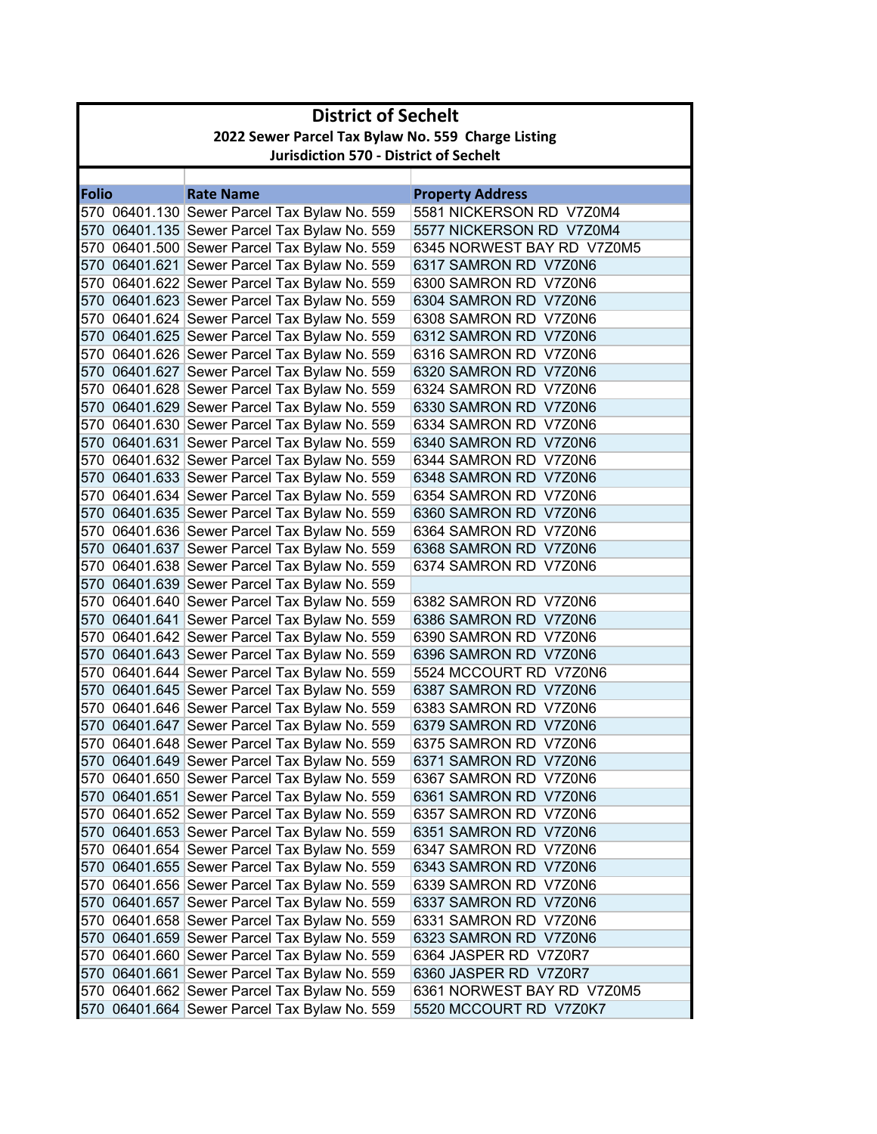|                                                    | <b>District of Sechelt</b>                    |                                              |                            |  |
|----------------------------------------------------|-----------------------------------------------|----------------------------------------------|----------------------------|--|
| 2022 Sewer Parcel Tax Bylaw No. 559 Charge Listing |                                               |                                              |                            |  |
|                                                    | <b>Jurisdiction 570 - District of Sechelt</b> |                                              |                            |  |
|                                                    |                                               |                                              |                            |  |
| <b>Folio</b>                                       |                                               | <b>Rate Name</b>                             | <b>Property Address</b>    |  |
|                                                    |                                               | 570 06401.130 Sewer Parcel Tax Bylaw No. 559 | 5581 NICKERSON RD V7Z0M4   |  |
|                                                    |                                               | 570 06401.135 Sewer Parcel Tax Bylaw No. 559 | 5577 NICKERSON RD V7Z0M4   |  |
|                                                    |                                               | 570 06401.500 Sewer Parcel Tax Bylaw No. 559 | 6345 NORWEST BAY RD V7Z0M5 |  |
|                                                    |                                               | 570 06401.621 Sewer Parcel Tax Bylaw No. 559 | 6317 SAMRON RD V7Z0N6      |  |
|                                                    |                                               | 570 06401.622 Sewer Parcel Tax Bylaw No. 559 | 6300 SAMRON RD V7Z0N6      |  |
|                                                    |                                               | 570 06401.623 Sewer Parcel Tax Bylaw No. 559 | 6304 SAMRON RD V7Z0N6      |  |
|                                                    |                                               | 570 06401.624 Sewer Parcel Tax Bylaw No. 559 | 6308 SAMRON RD V7Z0N6      |  |
|                                                    |                                               | 570 06401.625 Sewer Parcel Tax Bylaw No. 559 | 6312 SAMRON RD V7Z0N6      |  |
|                                                    |                                               | 570 06401.626 Sewer Parcel Tax Bylaw No. 559 | 6316 SAMRON RD V7Z0N6      |  |
|                                                    |                                               | 570 06401.627 Sewer Parcel Tax Bylaw No. 559 | 6320 SAMRON RD V7Z0N6      |  |
|                                                    |                                               | 570 06401.628 Sewer Parcel Tax Bylaw No. 559 | 6324 SAMRON RD V7Z0N6      |  |
|                                                    |                                               | 570 06401.629 Sewer Parcel Tax Bylaw No. 559 | 6330 SAMRON RD V7Z0N6      |  |
|                                                    |                                               | 570 06401.630 Sewer Parcel Tax Bylaw No. 559 | 6334 SAMRON RD V7Z0N6      |  |
|                                                    |                                               | 570 06401.631 Sewer Parcel Tax Bylaw No. 559 | 6340 SAMRON RD V7Z0N6      |  |
|                                                    |                                               | 570 06401.632 Sewer Parcel Tax Bylaw No. 559 | 6344 SAMRON RD V7Z0N6      |  |
|                                                    |                                               | 570 06401.633 Sewer Parcel Tax Bylaw No. 559 | 6348 SAMRON RD V7Z0N6      |  |
|                                                    |                                               | 570 06401.634 Sewer Parcel Tax Bylaw No. 559 | 6354 SAMRON RD V7Z0N6      |  |
|                                                    |                                               | 570 06401.635 Sewer Parcel Tax Bylaw No. 559 | 6360 SAMRON RD V7Z0N6      |  |
|                                                    |                                               | 570 06401.636 Sewer Parcel Tax Bylaw No. 559 | 6364 SAMRON RD V7Z0N6      |  |
|                                                    |                                               | 570 06401.637 Sewer Parcel Tax Bylaw No. 559 | 6368 SAMRON RD V7Z0N6      |  |
|                                                    |                                               | 570 06401.638 Sewer Parcel Tax Bylaw No. 559 | 6374 SAMRON RD V7Z0N6      |  |
|                                                    |                                               | 570 06401.639 Sewer Parcel Tax Bylaw No. 559 |                            |  |
|                                                    |                                               | 570 06401.640 Sewer Parcel Tax Bylaw No. 559 | 6382 SAMRON RD V7Z0N6      |  |
|                                                    |                                               | 570 06401.641 Sewer Parcel Tax Bylaw No. 559 | 6386 SAMRON RD V7Z0N6      |  |
|                                                    |                                               | 570 06401.642 Sewer Parcel Tax Bylaw No. 559 | 6390 SAMRON RD V7Z0N6      |  |
|                                                    |                                               | 570 06401.643 Sewer Parcel Tax Bylaw No. 559 | 6396 SAMRON RD V7Z0N6      |  |
|                                                    |                                               | 570 06401.644 Sewer Parcel Tax Bylaw No. 559 | 5524 MCCOURT RD V7Z0N6     |  |
|                                                    |                                               | 570 06401.645 Sewer Parcel Tax Bylaw No. 559 | 6387 SAMRON RD V7Z0N6      |  |
|                                                    |                                               | 570 06401.646 Sewer Parcel Tax Bylaw No. 559 | 6383 SAMRON RD V7Z0N6      |  |
|                                                    |                                               | 570 06401.647 Sewer Parcel Tax Bylaw No. 559 | 6379 SAMRON RD V7Z0N6      |  |
|                                                    |                                               | 570 06401.648 Sewer Parcel Tax Bylaw No. 559 | 6375 SAMRON RD V7Z0N6      |  |
|                                                    |                                               | 570 06401.649 Sewer Parcel Tax Bylaw No. 559 | 6371 SAMRON RD V7Z0N6      |  |
|                                                    |                                               | 570 06401.650 Sewer Parcel Tax Bylaw No. 559 | 6367 SAMRON RD V7Z0N6      |  |
|                                                    |                                               | 570 06401.651 Sewer Parcel Tax Bylaw No. 559 | 6361 SAMRON RD V7Z0N6      |  |
|                                                    |                                               | 570 06401.652 Sewer Parcel Tax Bylaw No. 559 | 6357 SAMRON RD V7Z0N6      |  |
|                                                    |                                               | 570 06401.653 Sewer Parcel Tax Bylaw No. 559 | 6351 SAMRON RD V7Z0N6      |  |
|                                                    |                                               | 570 06401.654 Sewer Parcel Tax Bylaw No. 559 | 6347 SAMRON RD V7Z0N6      |  |
|                                                    |                                               | 570 06401.655 Sewer Parcel Tax Bylaw No. 559 | 6343 SAMRON RD V7Z0N6      |  |
|                                                    |                                               | 570 06401.656 Sewer Parcel Tax Bylaw No. 559 | 6339 SAMRON RD V7Z0N6      |  |
|                                                    |                                               | 570 06401.657 Sewer Parcel Tax Bylaw No. 559 | 6337 SAMRON RD V7Z0N6      |  |
|                                                    |                                               | 570 06401.658 Sewer Parcel Tax Bylaw No. 559 | 6331 SAMRON RD V7Z0N6      |  |
|                                                    |                                               | 570 06401.659 Sewer Parcel Tax Bylaw No. 559 | 6323 SAMRON RD V7Z0N6      |  |
|                                                    |                                               | 570 06401.660 Sewer Parcel Tax Bylaw No. 559 | 6364 JASPER RD V7Z0R7      |  |
|                                                    |                                               | 570 06401.661 Sewer Parcel Tax Bylaw No. 559 | 6360 JASPER RD V7Z0R7      |  |
|                                                    |                                               | 570 06401.662 Sewer Parcel Tax Bylaw No. 559 | 6361 NORWEST BAY RD V7Z0M5 |  |
|                                                    |                                               | 570 06401.664 Sewer Parcel Tax Bylaw No. 559 | 5520 MCCOURT RD V7Z0K7     |  |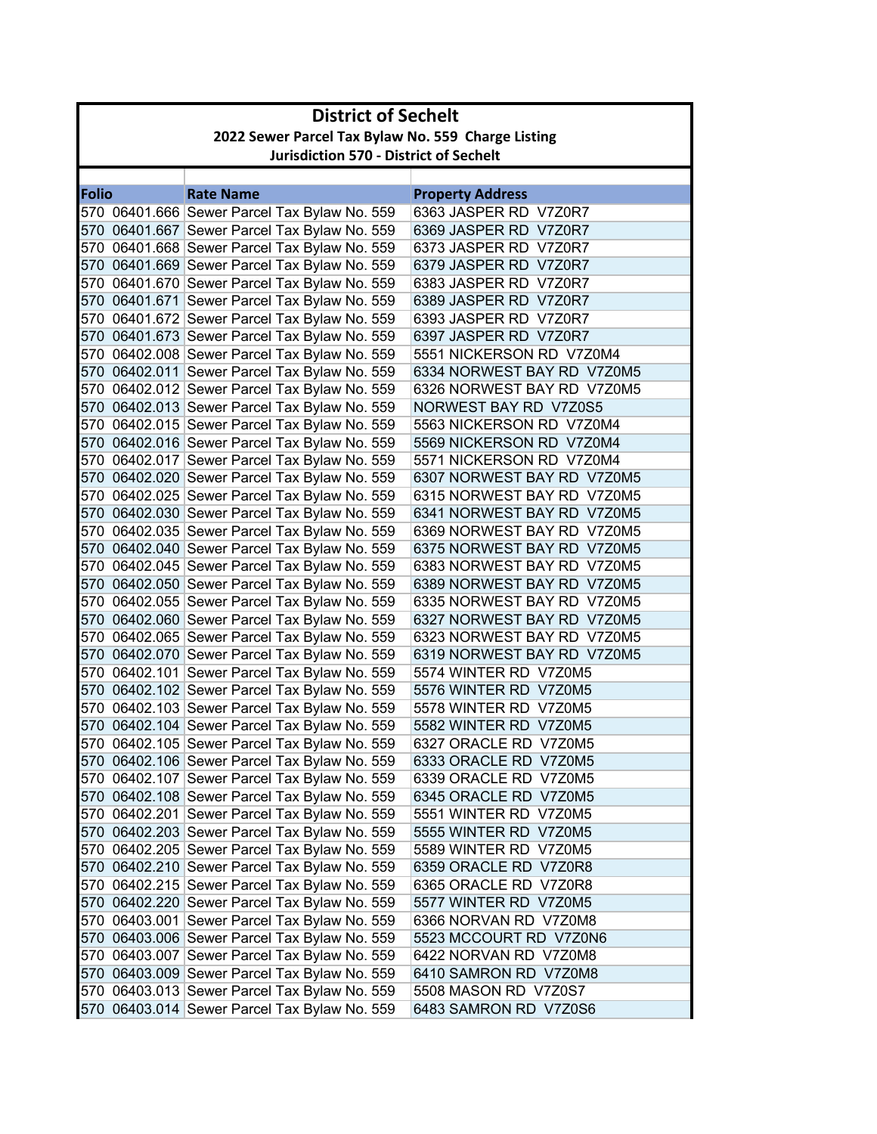|              | <b>District of Sechelt</b>                         |                                                                                              |                                                     |  |
|--------------|----------------------------------------------------|----------------------------------------------------------------------------------------------|-----------------------------------------------------|--|
|              | 2022 Sewer Parcel Tax Bylaw No. 559 Charge Listing |                                                                                              |                                                     |  |
|              | <b>Jurisdiction 570 - District of Sechelt</b>      |                                                                                              |                                                     |  |
|              |                                                    |                                                                                              |                                                     |  |
| <b>Folio</b> |                                                    | <b>Rate Name</b>                                                                             | <b>Property Address</b>                             |  |
|              |                                                    | 570 06401.666 Sewer Parcel Tax Bylaw No. 559                                                 | 6363 JASPER RD V7Z0R7                               |  |
|              |                                                    | 570 06401.667 Sewer Parcel Tax Bylaw No. 559                                                 | 6369 JASPER RD V7Z0R7                               |  |
|              |                                                    | 570 06401.668 Sewer Parcel Tax Bylaw No. 559                                                 | 6373 JASPER RD V7Z0R7                               |  |
|              |                                                    | 570 06401.669 Sewer Parcel Tax Bylaw No. 559                                                 | 6379 JASPER RD V7Z0R7                               |  |
|              |                                                    | 570 06401.670 Sewer Parcel Tax Bylaw No. 559                                                 | 6383 JASPER RD V7Z0R7                               |  |
|              |                                                    | 570 06401.671 Sewer Parcel Tax Bylaw No. 559                                                 | 6389 JASPER RD V7Z0R7                               |  |
|              |                                                    | 570 06401.672 Sewer Parcel Tax Bylaw No. 559                                                 | 6393 JASPER RD V7Z0R7                               |  |
|              |                                                    | 570 06401.673 Sewer Parcel Tax Bylaw No. 559                                                 | 6397 JASPER RD V7Z0R7                               |  |
|              |                                                    | 570 06402.008 Sewer Parcel Tax Bylaw No. 559                                                 | 5551 NICKERSON RD V7Z0M4                            |  |
|              |                                                    | 570 06402.011 Sewer Parcel Tax Bylaw No. 559                                                 | 6334 NORWEST BAY RD V7Z0M5                          |  |
|              |                                                    | 570 06402.012 Sewer Parcel Tax Bylaw No. 559                                                 | 6326 NORWEST BAY RD V7Z0M5                          |  |
|              |                                                    | 570 06402.013 Sewer Parcel Tax Bylaw No. 559                                                 | NORWEST BAY RD V7Z0S5                               |  |
|              |                                                    | 570 06402.015 Sewer Parcel Tax Bylaw No. 559                                                 | 5563 NICKERSON RD V7Z0M4                            |  |
|              |                                                    | 570 06402.016 Sewer Parcel Tax Bylaw No. 559                                                 | 5569 NICKERSON RD V7Z0M4                            |  |
|              |                                                    | 570 06402.017 Sewer Parcel Tax Bylaw No. 559                                                 | 5571 NICKERSON RD V7Z0M4                            |  |
|              |                                                    | 570 06402.020 Sewer Parcel Tax Bylaw No. 559                                                 | 6307 NORWEST BAY RD V7Z0M5                          |  |
|              |                                                    | 570 06402.025 Sewer Parcel Tax Bylaw No. 559                                                 | 6315 NORWEST BAY RD V7Z0M5                          |  |
|              |                                                    | 570 06402.030 Sewer Parcel Tax Bylaw No. 559                                                 | 6341 NORWEST BAY RD V7Z0M5                          |  |
|              |                                                    | 570 06402.035 Sewer Parcel Tax Bylaw No. 559                                                 | 6369 NORWEST BAY RD V7Z0M5                          |  |
|              |                                                    | 570 06402.040 Sewer Parcel Tax Bylaw No. 559                                                 | 6375 NORWEST BAY RD V7Z0M5                          |  |
|              |                                                    | 570 06402.045 Sewer Parcel Tax Bylaw No. 559                                                 | 6383 NORWEST BAY RD V7Z0M5                          |  |
|              |                                                    | 570 06402.050 Sewer Parcel Tax Bylaw No. 559                                                 | 6389 NORWEST BAY RD V7Z0M5                          |  |
|              |                                                    | 570 06402.055 Sewer Parcel Tax Bylaw No. 559                                                 | 6335 NORWEST BAY RD V7Z0M5                          |  |
|              |                                                    | 570 06402.060 Sewer Parcel Tax Bylaw No. 559                                                 | 6327 NORWEST BAY RD V7Z0M5                          |  |
|              |                                                    | 570 06402.065 Sewer Parcel Tax Bylaw No. 559                                                 | 6323 NORWEST BAY RD V7Z0M5                          |  |
|              |                                                    | 570 06402.070 Sewer Parcel Tax Bylaw No. 559                                                 | 6319 NORWEST BAY RD V7Z0M5<br>5574 WINTER RD V7Z0M5 |  |
|              |                                                    | 570 06402.101 Sewer Parcel Tax Bylaw No. 559<br>570 06402.102 Sewer Parcel Tax Bylaw No. 559 | 5576 WINTER RD V7Z0M5                               |  |
|              |                                                    | 570 06402.103 Sewer Parcel Tax Bylaw No. 559                                                 | 5578 WINTER RD V7Z0M5                               |  |
|              |                                                    | 570 06402.104 Sewer Parcel Tax Bylaw No. 559                                                 | 5582 WINTER RD V7Z0M5                               |  |
|              |                                                    | 570 06402.105 Sewer Parcel Tax Bylaw No. 559                                                 | 6327 ORACLE RD V7Z0M5                               |  |
|              |                                                    | 570 06402.106 Sewer Parcel Tax Bylaw No. 559                                                 | 6333 ORACLE RD V7Z0M5                               |  |
|              |                                                    | 570 06402.107 Sewer Parcel Tax Bylaw No. 559                                                 | 6339 ORACLE RD V7Z0M5                               |  |
|              |                                                    | 570 06402.108 Sewer Parcel Tax Bylaw No. 559                                                 | 6345 ORACLE RD V7Z0M5                               |  |
|              |                                                    | 570 06402.201 Sewer Parcel Tax Bylaw No. 559                                                 | 5551 WINTER RD V7Z0M5                               |  |
|              |                                                    | 570 06402.203 Sewer Parcel Tax Bylaw No. 559                                                 | 5555 WINTER RD V7Z0M5                               |  |
|              |                                                    | 570 06402.205 Sewer Parcel Tax Bylaw No. 559                                                 | 5589 WINTER RD V7Z0M5                               |  |
|              |                                                    | 570 06402.210 Sewer Parcel Tax Bylaw No. 559                                                 | 6359 ORACLE RD V7Z0R8                               |  |
|              |                                                    | 570 06402.215 Sewer Parcel Tax Bylaw No. 559                                                 | 6365 ORACLE RD V7Z0R8                               |  |
|              |                                                    | 570 06402.220 Sewer Parcel Tax Bylaw No. 559                                                 | 5577 WINTER RD V7Z0M5                               |  |
|              |                                                    | 570 06403.001 Sewer Parcel Tax Bylaw No. 559                                                 | 6366 NORVAN RD V7Z0M8                               |  |
|              |                                                    | 570 06403.006 Sewer Parcel Tax Bylaw No. 559                                                 | 5523 MCCOURT RD V7Z0N6                              |  |
|              |                                                    | 570 06403.007 Sewer Parcel Tax Bylaw No. 559                                                 | 6422 NORVAN RD V7Z0M8                               |  |
|              |                                                    | 570 06403.009 Sewer Parcel Tax Bylaw No. 559                                                 | 6410 SAMRON RD V7Z0M8                               |  |
|              |                                                    | 570 06403.013 Sewer Parcel Tax Bylaw No. 559                                                 | 5508 MASON RD V7Z0S7                                |  |
|              |                                                    | 570 06403.014 Sewer Parcel Tax Bylaw No. 559                                                 | 6483 SAMRON RD V7Z0S6                               |  |
|              |                                                    |                                                                                              |                                                     |  |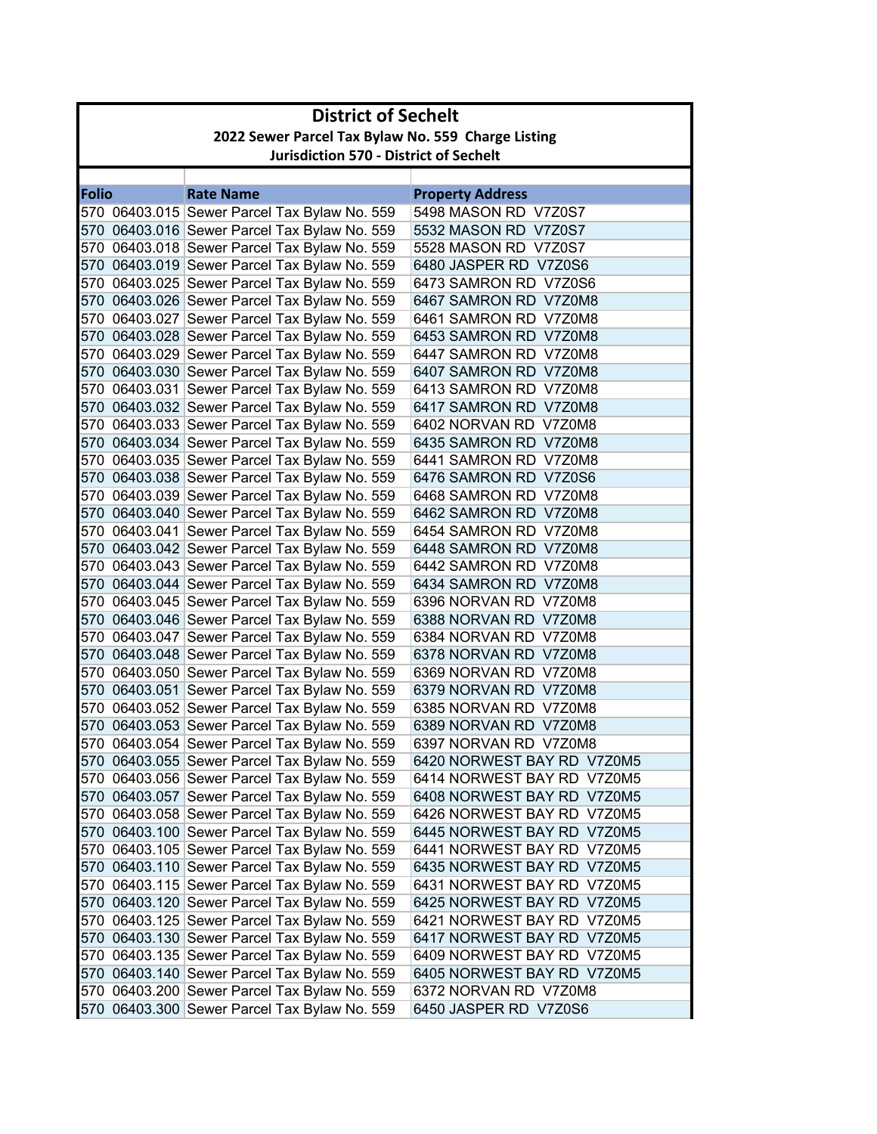|              | <b>District of Sechelt</b>                         |                                                                                              |                                                          |  |
|--------------|----------------------------------------------------|----------------------------------------------------------------------------------------------|----------------------------------------------------------|--|
|              | 2022 Sewer Parcel Tax Bylaw No. 559 Charge Listing |                                                                                              |                                                          |  |
|              | <b>Jurisdiction 570 - District of Sechelt</b>      |                                                                                              |                                                          |  |
|              |                                                    |                                                                                              |                                                          |  |
| <b>Folio</b> |                                                    | <b>Rate Name</b>                                                                             | <b>Property Address</b>                                  |  |
|              |                                                    | 570 06403.015 Sewer Parcel Tax Bylaw No. 559                                                 | 5498 MASON RD V7Z0S7                                     |  |
|              |                                                    | 570 06403.016 Sewer Parcel Tax Bylaw No. 559<br>570 06403.018 Sewer Parcel Tax Bylaw No. 559 | 5532 MASON RD V7Z0S7<br>5528 MASON RD V7Z0S7             |  |
|              |                                                    | 570 06403.019 Sewer Parcel Tax Bylaw No. 559                                                 | 6480 JASPER RD V7Z0S6                                    |  |
|              |                                                    | 570 06403.025 Sewer Parcel Tax Bylaw No. 559                                                 | 6473 SAMRON RD V7Z0S6                                    |  |
|              |                                                    | 570 06403.026 Sewer Parcel Tax Bylaw No. 559                                                 | 6467 SAMRON RD V7Z0M8                                    |  |
|              |                                                    | 570 06403.027 Sewer Parcel Tax Bylaw No. 559                                                 | 6461 SAMRON RD V7Z0M8                                    |  |
|              |                                                    | 570 06403.028 Sewer Parcel Tax Bylaw No. 559                                                 | 6453 SAMRON RD V7Z0M8                                    |  |
|              |                                                    | 570 06403.029 Sewer Parcel Tax Bylaw No. 559                                                 | 6447 SAMRON RD V7Z0M8                                    |  |
|              |                                                    | 570 06403.030 Sewer Parcel Tax Bylaw No. 559                                                 | 6407 SAMRON RD V7Z0M8                                    |  |
|              |                                                    | 570 06403.031 Sewer Parcel Tax Bylaw No. 559                                                 | 6413 SAMRON RD V7Z0M8                                    |  |
|              |                                                    | 570 06403.032 Sewer Parcel Tax Bylaw No. 559                                                 | 6417 SAMRON RD V7Z0M8                                    |  |
|              |                                                    | 570 06403.033 Sewer Parcel Tax Bylaw No. 559                                                 | 6402 NORVAN RD V7Z0M8                                    |  |
|              |                                                    | 570 06403.034 Sewer Parcel Tax Bylaw No. 559                                                 | 6435 SAMRON RD V7Z0M8                                    |  |
|              |                                                    | 570 06403.035 Sewer Parcel Tax Bylaw No. 559                                                 | 6441 SAMRON RD V7Z0M8                                    |  |
|              |                                                    | 570 06403.038 Sewer Parcel Tax Bylaw No. 559                                                 | 6476 SAMRON RD V7Z0S6                                    |  |
|              |                                                    | 570 06403.039 Sewer Parcel Tax Bylaw No. 559                                                 | 6468 SAMRON RD V7Z0M8                                    |  |
|              |                                                    | 570 06403.040 Sewer Parcel Tax Bylaw No. 559                                                 | 6462 SAMRON RD V7Z0M8                                    |  |
|              |                                                    | 570 06403.041 Sewer Parcel Tax Bylaw No. 559                                                 | 6454 SAMRON RD V7Z0M8                                    |  |
|              |                                                    | 570 06403.042 Sewer Parcel Tax Bylaw No. 559                                                 | 6448 SAMRON RD V7Z0M8                                    |  |
|              |                                                    | 570 06403.043 Sewer Parcel Tax Bylaw No. 559                                                 | 6442 SAMRON RD V7Z0M8                                    |  |
|              |                                                    | 570 06403.044 Sewer Parcel Tax Bylaw No. 559                                                 | 6434 SAMRON RD V7Z0M8                                    |  |
|              |                                                    | 570 06403.045 Sewer Parcel Tax Bylaw No. 559                                                 | 6396 NORVAN RD V7Z0M8                                    |  |
|              |                                                    | 570 06403.046 Sewer Parcel Tax Bylaw No. 559                                                 | 6388 NORVAN RD V7Z0M8                                    |  |
|              |                                                    | 570 06403.047 Sewer Parcel Tax Bylaw No. 559                                                 | 6384 NORVAN RD V7Z0M8                                    |  |
|              |                                                    | 570 06403.048 Sewer Parcel Tax Bylaw No. 559                                                 | 6378 NORVAN RD V7Z0M8                                    |  |
|              |                                                    | 570 06403.050 Sewer Parcel Tax Bylaw No. 559                                                 | 6369 NORVAN RD V7Z0M8                                    |  |
|              |                                                    | 570 06403.051 Sewer Parcel Tax Bylaw No. 559                                                 | 6379 NORVAN RD V7Z0M8                                    |  |
|              |                                                    | 570 06403.052 Sewer Parcel Tax Bylaw No. 559                                                 | 6385 NORVAN RD V7Z0M8                                    |  |
|              |                                                    | 570 06403.053 Sewer Parcel Tax Bylaw No. 559                                                 | 6389 NORVAN RD V7Z0M8                                    |  |
|              |                                                    | 570 06403.054 Sewer Parcel Tax Bylaw No. 559                                                 | 6397 NORVAN RD V7Z0M8                                    |  |
|              |                                                    | 570 06403.055 Sewer Parcel Tax Bylaw No. 559<br>570 06403.056 Sewer Parcel Tax Bylaw No. 559 | 6420 NORWEST BAY RD V7Z0M5<br>6414 NORWEST BAY RD V7Z0M5 |  |
|              |                                                    | 570 06403.057 Sewer Parcel Tax Bylaw No. 559                                                 | 6408 NORWEST BAY RD V7Z0M5                               |  |
|              |                                                    | 570 06403.058 Sewer Parcel Tax Bylaw No. 559                                                 | 6426 NORWEST BAY RD V7Z0M5                               |  |
|              |                                                    | 570 06403.100 Sewer Parcel Tax Bylaw No. 559                                                 | 6445 NORWEST BAY RD V7Z0M5                               |  |
|              |                                                    | 570 06403.105 Sewer Parcel Tax Bylaw No. 559                                                 | 6441 NORWEST BAY RD V7Z0M5                               |  |
|              |                                                    | 570 06403.110 Sewer Parcel Tax Bylaw No. 559                                                 | 6435 NORWEST BAY RD V7Z0M5                               |  |
|              |                                                    | 570 06403.115 Sewer Parcel Tax Bylaw No. 559                                                 | 6431 NORWEST BAY RD V7Z0M5                               |  |
|              |                                                    | 570 06403.120 Sewer Parcel Tax Bylaw No. 559                                                 | 6425 NORWEST BAY RD V7Z0M5                               |  |
|              |                                                    | 570 06403.125 Sewer Parcel Tax Bylaw No. 559                                                 | 6421 NORWEST BAY RD V7Z0M5                               |  |
|              |                                                    | 570 06403.130 Sewer Parcel Tax Bylaw No. 559                                                 | 6417 NORWEST BAY RD V7Z0M5                               |  |
|              |                                                    | 570 06403.135 Sewer Parcel Tax Bylaw No. 559                                                 | 6409 NORWEST BAY RD V7Z0M5                               |  |
|              |                                                    | 570 06403.140 Sewer Parcel Tax Bylaw No. 559                                                 | 6405 NORWEST BAY RD V7Z0M5                               |  |
|              |                                                    | 570 06403.200 Sewer Parcel Tax Bylaw No. 559                                                 | 6372 NORVAN RD V7Z0M8                                    |  |
|              |                                                    | 570 06403.300 Sewer Parcel Tax Bylaw No. 559                                                 | 6450 JASPER RD V7Z0S6                                    |  |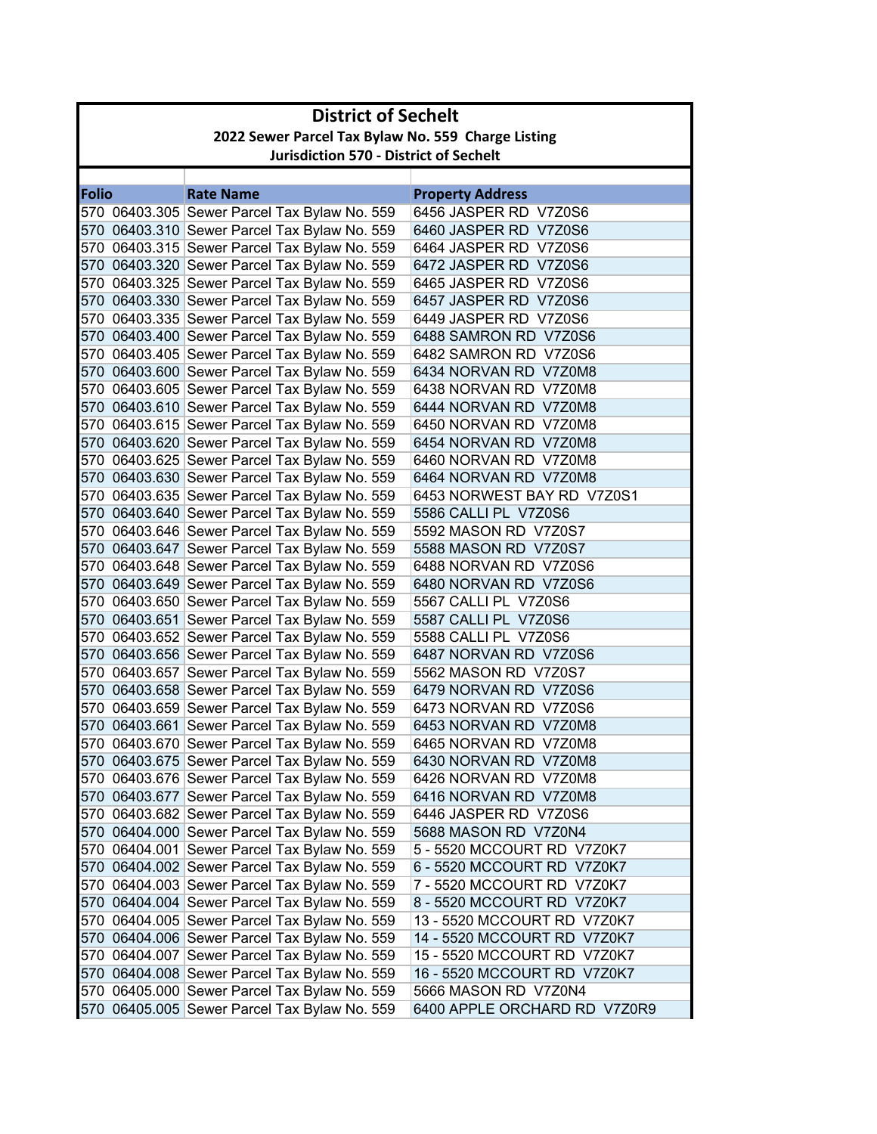|              | <b>District of Sechelt</b>                         |                                                                                              |                                                            |  |
|--------------|----------------------------------------------------|----------------------------------------------------------------------------------------------|------------------------------------------------------------|--|
|              | 2022 Sewer Parcel Tax Bylaw No. 559 Charge Listing |                                                                                              |                                                            |  |
|              | <b>Jurisdiction 570 - District of Sechelt</b>      |                                                                                              |                                                            |  |
|              |                                                    |                                                                                              |                                                            |  |
| <b>Folio</b> |                                                    | <b>Rate Name</b>                                                                             | <b>Property Address</b>                                    |  |
|              |                                                    | 570 06403.305 Sewer Parcel Tax Bylaw No. 559                                                 | 6456 JASPER RD V7Z0S6                                      |  |
|              |                                                    | 570 06403.310 Sewer Parcel Tax Bylaw No. 559                                                 | 6460 JASPER RD V7Z0S6                                      |  |
|              |                                                    | 570 06403.315 Sewer Parcel Tax Bylaw No. 559                                                 | 6464 JASPER RD V7Z0S6                                      |  |
|              |                                                    | 570 06403.320 Sewer Parcel Tax Bylaw No. 559                                                 | 6472 JASPER RD V7Z0S6                                      |  |
|              |                                                    | 570 06403.325 Sewer Parcel Tax Bylaw No. 559                                                 | 6465 JASPER RD V7Z0S6                                      |  |
|              |                                                    | 570 06403.330 Sewer Parcel Tax Bylaw No. 559                                                 | 6457 JASPER RD V7Z0S6                                      |  |
|              |                                                    | 570 06403.335 Sewer Parcel Tax Bylaw No. 559                                                 | 6449 JASPER RD V7Z0S6                                      |  |
|              |                                                    | 570 06403.400 Sewer Parcel Tax Bylaw No. 559                                                 | 6488 SAMRON RD V7Z0S6                                      |  |
|              |                                                    | 570 06403.405 Sewer Parcel Tax Bylaw No. 559                                                 | 6482 SAMRON RD V7Z0S6                                      |  |
|              |                                                    | 570 06403.600 Sewer Parcel Tax Bylaw No. 559                                                 | 6434 NORVAN RD V7Z0M8                                      |  |
|              |                                                    | 570 06403.605 Sewer Parcel Tax Bylaw No. 559                                                 | 6438 NORVAN RD V7Z0M8                                      |  |
|              |                                                    | 570 06403.610 Sewer Parcel Tax Bylaw No. 559                                                 | 6444 NORVAN RD V7Z0M8                                      |  |
|              |                                                    | 570 06403.615 Sewer Parcel Tax Bylaw No. 559                                                 | 6450 NORVAN RD V7Z0M8                                      |  |
|              |                                                    | 570 06403.620 Sewer Parcel Tax Bylaw No. 559                                                 | 6454 NORVAN RD V7Z0M8                                      |  |
|              |                                                    | 570 06403.625 Sewer Parcel Tax Bylaw No. 559                                                 | 6460 NORVAN RD V7Z0M8                                      |  |
|              |                                                    | 570 06403.630 Sewer Parcel Tax Bylaw No. 559                                                 | 6464 NORVAN RD V7Z0M8                                      |  |
|              |                                                    | 570 06403.635 Sewer Parcel Tax Bylaw No. 559                                                 | 6453 NORWEST BAY RD V7Z0S1                                 |  |
|              |                                                    | 570 06403.640 Sewer Parcel Tax Bylaw No. 559                                                 | 5586 CALLI PL V7Z0S6                                       |  |
|              |                                                    | 570 06403.646 Sewer Parcel Tax Bylaw No. 559                                                 | 5592 MASON RD V7Z0S7                                       |  |
|              |                                                    | 570 06403.647 Sewer Parcel Tax Bylaw No. 559                                                 | 5588 MASON RD V7Z0S7                                       |  |
|              |                                                    | 570 06403.648 Sewer Parcel Tax Bylaw No. 559                                                 | 6488 NORVAN RD V7Z0S6                                      |  |
|              |                                                    | 570 06403.649 Sewer Parcel Tax Bylaw No. 559                                                 | 6480 NORVAN RD V7Z0S6                                      |  |
|              |                                                    | 570 06403.650 Sewer Parcel Tax Bylaw No. 559                                                 | 5567 CALLI PL V7Z0S6                                       |  |
|              |                                                    | 570 06403.651 Sewer Parcel Tax Bylaw No. 559                                                 | 5587 CALLI PL V7Z0S6                                       |  |
|              |                                                    | 570 06403.652 Sewer Parcel Tax Bylaw No. 559                                                 | 5588 CALLI PL V7Z0S6                                       |  |
|              |                                                    | 570 06403.656 Sewer Parcel Tax Bylaw No. 559                                                 | 6487 NORVAN RD V7Z0S6                                      |  |
|              |                                                    | 570 06403.657 Sewer Parcel Tax Bylaw No. 559                                                 | 5562 MASON RD V7Z0S7                                       |  |
|              |                                                    | 570 06403.658 Sewer Parcel Tax Bylaw No. 559                                                 | 6479 NORVAN RD V7Z0S6                                      |  |
|              |                                                    | 570 06403.659 Sewer Parcel Tax Bylaw No. 559                                                 | 6473 NORVAN RD V7Z0S6                                      |  |
|              |                                                    | 570 06403.661 Sewer Parcel Tax Bylaw No. 559                                                 | 6453 NORVAN RD V7Z0M8                                      |  |
|              |                                                    | 570 06403.670 Sewer Parcel Tax Bylaw No. 559                                                 | 6465 NORVAN RD V7Z0M8                                      |  |
|              |                                                    | 570 06403.675 Sewer Parcel Tax Bylaw No. 559                                                 | 6430 NORVAN RD V7Z0M8                                      |  |
|              |                                                    | 570 06403.676 Sewer Parcel Tax Bylaw No. 559                                                 | 6426 NORVAN RD V7Z0M8                                      |  |
|              |                                                    | 570 06403.677 Sewer Parcel Tax Bylaw No. 559                                                 | 6416 NORVAN RD V7Z0M8                                      |  |
|              |                                                    | 570 06403.682 Sewer Parcel Tax Bylaw No. 559                                                 | 6446 JASPER RD V7Z0S6                                      |  |
|              |                                                    | 570 06404.000 Sewer Parcel Tax Bylaw No. 559                                                 | 5688 MASON RD V7Z0N4                                       |  |
|              |                                                    | 570 06404.001 Sewer Parcel Tax Bylaw No. 559                                                 | 5 - 5520 MCCOURT RD V7Z0K7                                 |  |
|              |                                                    | 570 06404.002 Sewer Parcel Tax Bylaw No. 559                                                 | 6 - 5520 MCCOURT RD V7Z0K7                                 |  |
|              |                                                    | 570 06404.003 Sewer Parcel Tax Bylaw No. 559                                                 | 7 - 5520 MCCOURT RD V7Z0K7                                 |  |
|              |                                                    | 570 06404.004 Sewer Parcel Tax Bylaw No. 559<br>570 06404.005 Sewer Parcel Tax Bylaw No. 559 | 8 - 5520 MCCOURT RD V7Z0K7                                 |  |
|              |                                                    |                                                                                              | 13 - 5520 MCCOURT RD V7Z0K7                                |  |
|              |                                                    | 570 06404.006 Sewer Parcel Tax Bylaw No. 559                                                 | 14 - 5520 MCCOURT RD V7Z0K7                                |  |
|              |                                                    | 570 06404.007 Sewer Parcel Tax Bylaw No. 559                                                 | 15 - 5520 MCCOURT RD V7Z0K7<br>16 - 5520 MCCOURT RD V7Z0K7 |  |
|              |                                                    | 570 06404.008 Sewer Parcel Tax Bylaw No. 559<br>570 06405.000 Sewer Parcel Tax Bylaw No. 559 | 5666 MASON RD V7Z0N4                                       |  |
|              |                                                    |                                                                                              |                                                            |  |
|              |                                                    | 570 06405.005 Sewer Parcel Tax Bylaw No. 559                                                 | 6400 APPLE ORCHARD RD V7Z0R9                               |  |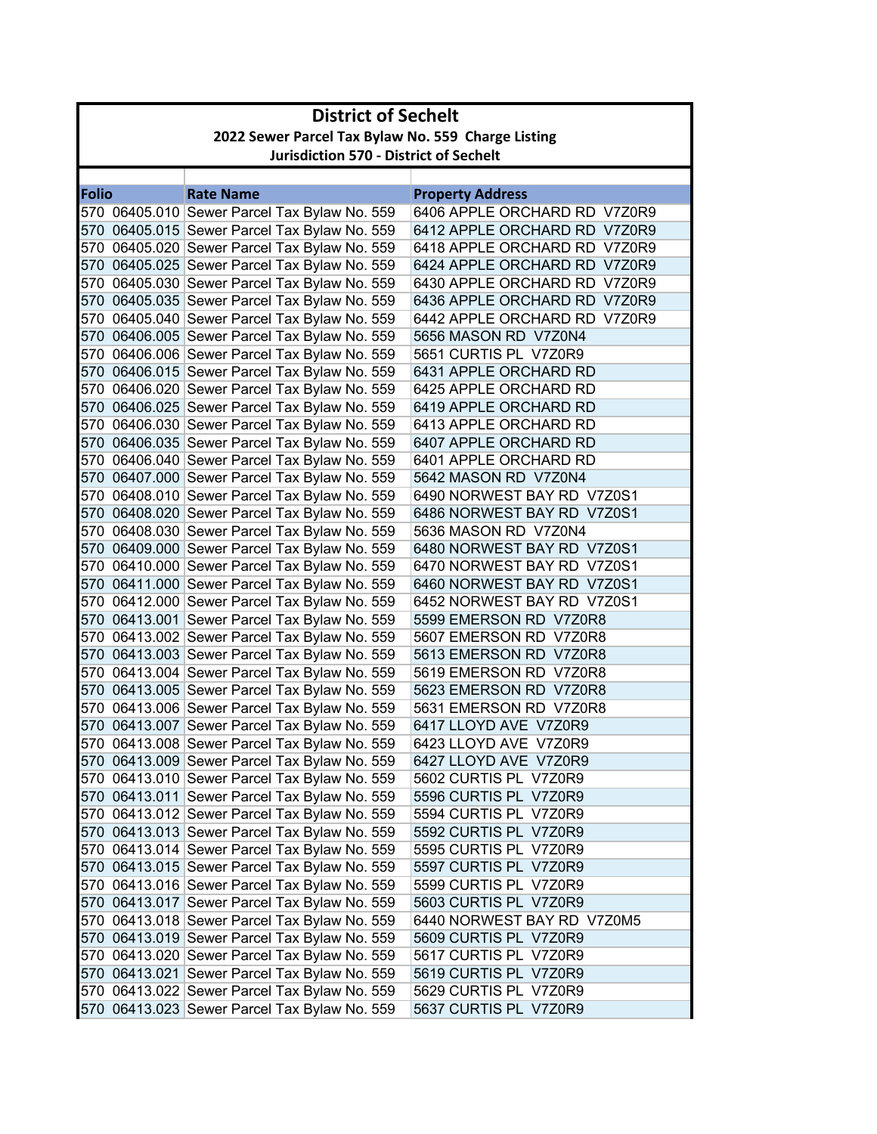|              | <b>District of Sechelt</b>                         |                                              |                              |  |
|--------------|----------------------------------------------------|----------------------------------------------|------------------------------|--|
|              | 2022 Sewer Parcel Tax Bylaw No. 559 Charge Listing |                                              |                              |  |
|              | <b>Jurisdiction 570 - District of Sechelt</b>      |                                              |                              |  |
|              |                                                    |                                              |                              |  |
| <b>Folio</b> |                                                    | <b>Rate Name</b>                             | <b>Property Address</b>      |  |
|              |                                                    | 570 06405.010 Sewer Parcel Tax Bylaw No. 559 | 6406 APPLE ORCHARD RD V7Z0R9 |  |
|              |                                                    | 570 06405.015 Sewer Parcel Tax Bylaw No. 559 | 6412 APPLE ORCHARD RD V7Z0R9 |  |
|              |                                                    | 570 06405.020 Sewer Parcel Tax Bylaw No. 559 | 6418 APPLE ORCHARD RD V7Z0R9 |  |
|              |                                                    | 570 06405.025 Sewer Parcel Tax Bylaw No. 559 | 6424 APPLE ORCHARD RD V7Z0R9 |  |
|              |                                                    | 570 06405.030 Sewer Parcel Tax Bylaw No. 559 | 6430 APPLE ORCHARD RD V7Z0R9 |  |
|              |                                                    | 570 06405.035 Sewer Parcel Tax Bylaw No. 559 | 6436 APPLE ORCHARD RD V7Z0R9 |  |
|              |                                                    | 570 06405.040 Sewer Parcel Tax Bylaw No. 559 | 6442 APPLE ORCHARD RD V7Z0R9 |  |
|              |                                                    | 570 06406.005 Sewer Parcel Tax Bylaw No. 559 | 5656 MASON RD V7Z0N4         |  |
|              |                                                    | 570 06406.006 Sewer Parcel Tax Bylaw No. 559 | 5651 CURTIS PL V7Z0R9        |  |
|              |                                                    | 570 06406.015 Sewer Parcel Tax Bylaw No. 559 | 6431 APPLE ORCHARD RD        |  |
|              |                                                    | 570 06406.020 Sewer Parcel Tax Bylaw No. 559 | 6425 APPLE ORCHARD RD        |  |
|              |                                                    | 570 06406.025 Sewer Parcel Tax Bylaw No. 559 | 6419 APPLE ORCHARD RD        |  |
|              |                                                    | 570 06406.030 Sewer Parcel Tax Bylaw No. 559 | 6413 APPLE ORCHARD RD        |  |
|              |                                                    | 570 06406.035 Sewer Parcel Tax Bylaw No. 559 | 6407 APPLE ORCHARD RD        |  |
|              |                                                    | 570 06406.040 Sewer Parcel Tax Bylaw No. 559 | 6401 APPLE ORCHARD RD        |  |
|              |                                                    | 570 06407.000 Sewer Parcel Tax Bylaw No. 559 | 5642 MASON RD V7Z0N4         |  |
|              |                                                    | 570 06408.010 Sewer Parcel Tax Bylaw No. 559 | 6490 NORWEST BAY RD V7Z0S1   |  |
|              |                                                    | 570 06408.020 Sewer Parcel Tax Bylaw No. 559 | 6486 NORWEST BAY RD V7Z0S1   |  |
|              |                                                    | 570 06408.030 Sewer Parcel Tax Bylaw No. 559 | 5636 MASON RD V7Z0N4         |  |
|              |                                                    | 570 06409.000 Sewer Parcel Tax Bylaw No. 559 | 6480 NORWEST BAY RD V7Z0S1   |  |
|              |                                                    | 570 06410.000 Sewer Parcel Tax Bylaw No. 559 | 6470 NORWEST BAY RD V7Z0S1   |  |
|              |                                                    | 570 06411.000 Sewer Parcel Tax Bylaw No. 559 | 6460 NORWEST BAY RD V7Z0S1   |  |
|              |                                                    | 570 06412.000 Sewer Parcel Tax Bylaw No. 559 | 6452 NORWEST BAY RD V7Z0S1   |  |
|              |                                                    | 570 06413.001 Sewer Parcel Tax Bylaw No. 559 | 5599 EMERSON RD V7Z0R8       |  |
|              |                                                    | 570 06413.002 Sewer Parcel Tax Bylaw No. 559 | 5607 EMERSON RD V7Z0R8       |  |
|              |                                                    | 570 06413.003 Sewer Parcel Tax Bylaw No. 559 | 5613 EMERSON RD V7Z0R8       |  |
|              |                                                    | 570 06413.004 Sewer Parcel Tax Bylaw No. 559 | 5619 EMERSON RD V7Z0R8       |  |
|              |                                                    | 570 06413.005 Sewer Parcel Tax Bylaw No. 559 | 5623 EMERSON RD V7Z0R8       |  |
|              |                                                    | 570 06413.006 Sewer Parcel Tax Bylaw No. 559 | 5631 EMERSON RD V7Z0R8       |  |
|              |                                                    | 570 06413.007 Sewer Parcel Tax Bylaw No. 559 | 6417 LLOYD AVE V7Z0R9        |  |
|              |                                                    | 570 06413.008 Sewer Parcel Tax Bylaw No. 559 | 6423 LLOYD AVE V7Z0R9        |  |
|              |                                                    | 570 06413.009 Sewer Parcel Tax Bylaw No. 559 | 6427 LLOYD AVE V7Z0R9        |  |
|              |                                                    | 570 06413.010 Sewer Parcel Tax Bylaw No. 559 | 5602 CURTIS PL V7Z0R9        |  |
|              |                                                    | 570 06413.011 Sewer Parcel Tax Bylaw No. 559 | 5596 CURTIS PL V7Z0R9        |  |
|              |                                                    | 570 06413.012 Sewer Parcel Tax Bylaw No. 559 | 5594 CURTIS PL V7Z0R9        |  |
|              |                                                    | 570 06413.013 Sewer Parcel Tax Bylaw No. 559 | 5592 CURTIS PL V7Z0R9        |  |
|              |                                                    | 570 06413.014 Sewer Parcel Tax Bylaw No. 559 | 5595 CURTIS PL V7Z0R9        |  |
|              |                                                    | 570 06413.015 Sewer Parcel Tax Bylaw No. 559 | 5597 CURTIS PL V7Z0R9        |  |
|              |                                                    | 570 06413.016 Sewer Parcel Tax Bylaw No. 559 | 5599 CURTIS PL V7Z0R9        |  |
|              |                                                    | 570 06413.017 Sewer Parcel Tax Bylaw No. 559 | 5603 CURTIS PL V7Z0R9        |  |
|              |                                                    | 570 06413.018 Sewer Parcel Tax Bylaw No. 559 | 6440 NORWEST BAY RD V7Z0M5   |  |
|              |                                                    | 570 06413.019 Sewer Parcel Tax Bylaw No. 559 | 5609 CURTIS PL V7Z0R9        |  |
|              |                                                    | 570 06413.020 Sewer Parcel Tax Bylaw No. 559 | 5617 CURTIS PL V7Z0R9        |  |
|              |                                                    | 570 06413.021 Sewer Parcel Tax Bylaw No. 559 | 5619 CURTIS PL V7Z0R9        |  |
|              |                                                    | 570 06413.022 Sewer Parcel Tax Bylaw No. 559 | 5629 CURTIS PL V7Z0R9        |  |
|              |                                                    | 570 06413.023 Sewer Parcel Tax Bylaw No. 559 | 5637 CURTIS PL V7Z0R9        |  |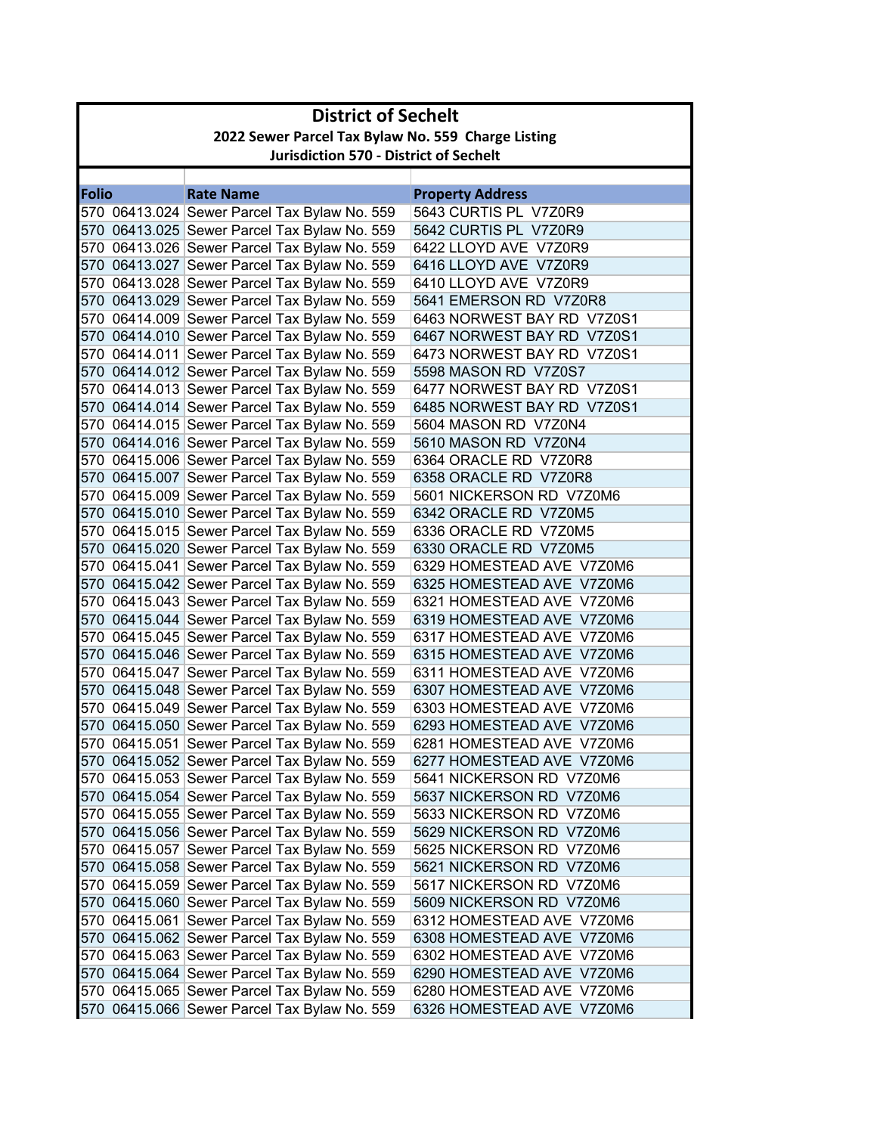|              | <b>District of Sechelt</b>                         |                                                                                              |                                                        |  |
|--------------|----------------------------------------------------|----------------------------------------------------------------------------------------------|--------------------------------------------------------|--|
|              | 2022 Sewer Parcel Tax Bylaw No. 559 Charge Listing |                                                                                              |                                                        |  |
|              | <b>Jurisdiction 570 - District of Sechelt</b>      |                                                                                              |                                                        |  |
|              |                                                    |                                                                                              |                                                        |  |
| <b>Folio</b> |                                                    | <b>Rate Name</b>                                                                             | <b>Property Address</b>                                |  |
|              |                                                    | 570 06413.024 Sewer Parcel Tax Bylaw No. 559                                                 | 5643 CURTIS PL V7Z0R9                                  |  |
|              |                                                    | 570 06413.025 Sewer Parcel Tax Bylaw No. 559                                                 | 5642 CURTIS PL V7Z0R9                                  |  |
|              |                                                    | 570 06413.026 Sewer Parcel Tax Bylaw No. 559                                                 | 6422 LLOYD AVE V7Z0R9                                  |  |
|              |                                                    | 570 06413.027 Sewer Parcel Tax Bylaw No. 559                                                 | 6416 LLOYD AVE V7Z0R9                                  |  |
|              |                                                    | 570 06413.028 Sewer Parcel Tax Bylaw No. 559                                                 | 6410 LLOYD AVE V7Z0R9                                  |  |
|              |                                                    | 570 06413.029 Sewer Parcel Tax Bylaw No. 559                                                 | 5641 EMERSON RD V7Z0R8                                 |  |
|              |                                                    | 570 06414.009 Sewer Parcel Tax Bylaw No. 559                                                 | 6463 NORWEST BAY RD V7Z0S1                             |  |
|              |                                                    | 570 06414.010 Sewer Parcel Tax Bylaw No. 559                                                 | 6467 NORWEST BAY RD V7Z0S1                             |  |
|              |                                                    | 570 06414.011 Sewer Parcel Tax Bylaw No. 559                                                 | 6473 NORWEST BAY RD V7Z0S1                             |  |
|              |                                                    | 570 06414.012 Sewer Parcel Tax Bylaw No. 559                                                 | 5598 MASON RD V7Z0S7                                   |  |
|              |                                                    | 570 06414.013 Sewer Parcel Tax Bylaw No. 559                                                 | 6477 NORWEST BAY RD V7Z0S1                             |  |
|              |                                                    | 570 06414.014 Sewer Parcel Tax Bylaw No. 559                                                 | 6485 NORWEST BAY RD V7Z0S1                             |  |
|              |                                                    | 570 06414.015 Sewer Parcel Tax Bylaw No. 559                                                 | 5604 MASON RD V7Z0N4                                   |  |
|              |                                                    | 570 06414.016 Sewer Parcel Tax Bylaw No. 559                                                 | 5610 MASON RD V7Z0N4                                   |  |
|              |                                                    | 570 06415.006 Sewer Parcel Tax Bylaw No. 559                                                 | 6364 ORACLE RD V7Z0R8                                  |  |
|              |                                                    | 570 06415.007 Sewer Parcel Tax Bylaw No. 559                                                 | 6358 ORACLE RD V7Z0R8                                  |  |
|              |                                                    | 570 06415.009 Sewer Parcel Tax Bylaw No. 559                                                 | 5601 NICKERSON RD V7Z0M6                               |  |
|              |                                                    | 570 06415.010 Sewer Parcel Tax Bylaw No. 559                                                 | 6342 ORACLE RD V7Z0M5                                  |  |
|              |                                                    | 570 06415.015 Sewer Parcel Tax Bylaw No. 559                                                 | 6336 ORACLE RD V7Z0M5                                  |  |
|              |                                                    | 570 06415.020 Sewer Parcel Tax Bylaw No. 559                                                 | 6330 ORACLE RD V7Z0M5                                  |  |
|              |                                                    | 570 06415.041 Sewer Parcel Tax Bylaw No. 559                                                 | 6329 HOMESTEAD AVE V7Z0M6                              |  |
|              |                                                    | 570 06415.042 Sewer Parcel Tax Bylaw No. 559                                                 | 6325 HOMESTEAD AVE V7Z0M6                              |  |
|              |                                                    | 570 06415.043 Sewer Parcel Tax Bylaw No. 559                                                 | 6321 HOMESTEAD AVE V7Z0M6                              |  |
|              |                                                    | 570 06415.044 Sewer Parcel Tax Bylaw No. 559<br>570 06415.045 Sewer Parcel Tax Bylaw No. 559 | 6319 HOMESTEAD AVE V7Z0M6<br>6317 HOMESTEAD AVE V7Z0M6 |  |
|              |                                                    | 570 06415.046 Sewer Parcel Tax Bylaw No. 559                                                 | 6315 HOMESTEAD AVE V7Z0M6                              |  |
|              |                                                    | 570 06415.047 Sewer Parcel Tax Bylaw No. 559                                                 | 6311 HOMESTEAD AVE V7Z0M6                              |  |
|              |                                                    | 570 06415.048 Sewer Parcel Tax Bylaw No. 559                                                 | 6307 HOMESTEAD AVE V7Z0M6                              |  |
|              |                                                    | 570 06415.049 Sewer Parcel Tax Bylaw No. 559                                                 | 6303 HOMESTEAD AVE V7Z0M6                              |  |
|              |                                                    | 570 06415.050 Sewer Parcel Tax Bylaw No. 559                                                 | 6293 HOMESTEAD AVE V7Z0M6                              |  |
|              |                                                    | 570 06415.051 Sewer Parcel Tax Bylaw No. 559                                                 | 6281 HOMESTEAD AVE V7Z0M6                              |  |
|              |                                                    | 570 06415.052 Sewer Parcel Tax Bylaw No. 559                                                 | 6277 HOMESTEAD AVE V7Z0M6                              |  |
|              |                                                    | 570 06415.053 Sewer Parcel Tax Bylaw No. 559                                                 | 5641 NICKERSON RD V7Z0M6                               |  |
|              |                                                    | 570 06415.054 Sewer Parcel Tax Bylaw No. 559                                                 | 5637 NICKERSON RD V7Z0M6                               |  |
|              |                                                    | 570 06415.055 Sewer Parcel Tax Bylaw No. 559                                                 | 5633 NICKERSON RD V7Z0M6                               |  |
|              |                                                    | 570 06415.056 Sewer Parcel Tax Bylaw No. 559                                                 | 5629 NICKERSON RD V7Z0M6                               |  |
|              |                                                    | 570 06415.057 Sewer Parcel Tax Bylaw No. 559                                                 | 5625 NICKERSON RD V7Z0M6                               |  |
|              |                                                    | 570 06415.058 Sewer Parcel Tax Bylaw No. 559                                                 | 5621 NICKERSON RD V7Z0M6                               |  |
|              |                                                    | 570 06415.059 Sewer Parcel Tax Bylaw No. 559                                                 | 5617 NICKERSON RD V7Z0M6                               |  |
|              |                                                    | 570 06415.060 Sewer Parcel Tax Bylaw No. 559                                                 | 5609 NICKERSON RD V7Z0M6                               |  |
|              |                                                    | 570 06415.061 Sewer Parcel Tax Bylaw No. 559                                                 | 6312 HOMESTEAD AVE V7Z0M6                              |  |
|              |                                                    | 570 06415.062 Sewer Parcel Tax Bylaw No. 559                                                 | 6308 HOMESTEAD AVE V7Z0M6                              |  |
|              |                                                    | 570 06415.063 Sewer Parcel Tax Bylaw No. 559                                                 | 6302 HOMESTEAD AVE V7Z0M6                              |  |
|              |                                                    | 570 06415.064 Sewer Parcel Tax Bylaw No. 559                                                 | 6290 HOMESTEAD AVE V7Z0M6                              |  |
|              |                                                    | 570 06415.065 Sewer Parcel Tax Bylaw No. 559                                                 | 6280 HOMESTEAD AVE V7Z0M6                              |  |
|              |                                                    | 570 06415.066 Sewer Parcel Tax Bylaw No. 559                                                 | 6326 HOMESTEAD AVE V7Z0M6                              |  |
|              |                                                    |                                                                                              |                                                        |  |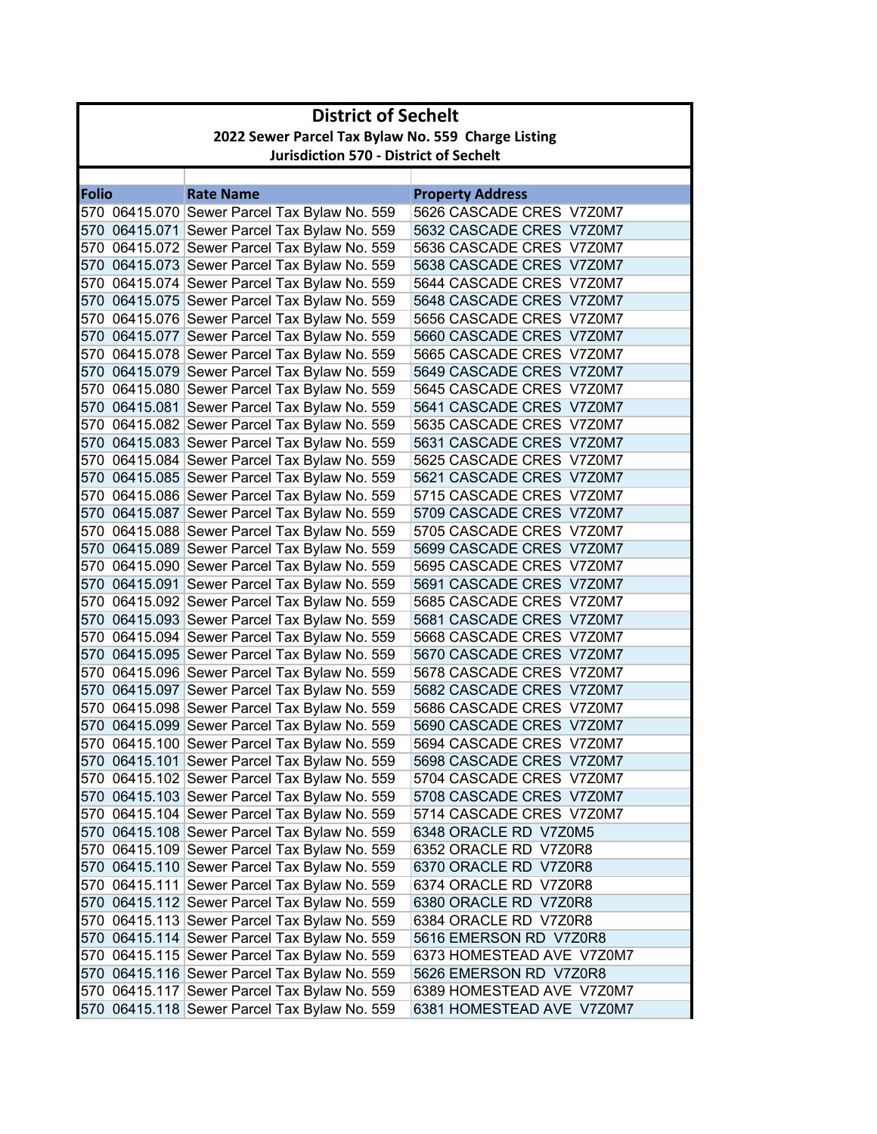|              | <b>District of Sechelt</b>                         |                                              |                           |  |
|--------------|----------------------------------------------------|----------------------------------------------|---------------------------|--|
|              | 2022 Sewer Parcel Tax Bylaw No. 559 Charge Listing |                                              |                           |  |
|              | <b>Jurisdiction 570 - District of Sechelt</b>      |                                              |                           |  |
|              |                                                    |                                              |                           |  |
| <b>Folio</b> |                                                    | <b>Rate Name</b>                             | <b>Property Address</b>   |  |
|              |                                                    | 570 06415.070 Sewer Parcel Tax Bylaw No. 559 | 5626 CASCADE CRES V7Z0M7  |  |
|              |                                                    | 570 06415.071 Sewer Parcel Tax Bylaw No. 559 | 5632 CASCADE CRES V7Z0M7  |  |
|              |                                                    | 570 06415.072 Sewer Parcel Tax Bylaw No. 559 | 5636 CASCADE CRES V7Z0M7  |  |
|              |                                                    | 570 06415.073 Sewer Parcel Tax Bylaw No. 559 | 5638 CASCADE CRES V7Z0M7  |  |
|              |                                                    | 570 06415.074 Sewer Parcel Tax Bylaw No. 559 | 5644 CASCADE CRES V7Z0M7  |  |
|              |                                                    | 570 06415.075 Sewer Parcel Tax Bylaw No. 559 | 5648 CASCADE CRES V7Z0M7  |  |
|              |                                                    | 570 06415.076 Sewer Parcel Tax Bylaw No. 559 | 5656 CASCADE CRES V7Z0M7  |  |
|              |                                                    | 570 06415.077 Sewer Parcel Tax Bylaw No. 559 | 5660 CASCADE CRES V7Z0M7  |  |
|              |                                                    | 570 06415.078 Sewer Parcel Tax Bylaw No. 559 | 5665 CASCADE CRES V7Z0M7  |  |
|              |                                                    | 570 06415.079 Sewer Parcel Tax Bylaw No. 559 | 5649 CASCADE CRES V7Z0M7  |  |
|              |                                                    | 570 06415.080 Sewer Parcel Tax Bylaw No. 559 | 5645 CASCADE CRES V7Z0M7  |  |
|              |                                                    | 570 06415.081 Sewer Parcel Tax Bylaw No. 559 | 5641 CASCADE CRES V7Z0M7  |  |
|              |                                                    | 570 06415.082 Sewer Parcel Tax Bylaw No. 559 | 5635 CASCADE CRES V7Z0M7  |  |
|              |                                                    | 570 06415.083 Sewer Parcel Tax Bylaw No. 559 | 5631 CASCADE CRES V7Z0M7  |  |
|              |                                                    | 570 06415.084 Sewer Parcel Tax Bylaw No. 559 | 5625 CASCADE CRES V7Z0M7  |  |
|              |                                                    | 570 06415.085 Sewer Parcel Tax Bylaw No. 559 | 5621 CASCADE CRES V7Z0M7  |  |
|              |                                                    | 570 06415.086 Sewer Parcel Tax Bylaw No. 559 | 5715 CASCADE CRES V7Z0M7  |  |
|              |                                                    | 570 06415.087 Sewer Parcel Tax Bylaw No. 559 | 5709 CASCADE CRES V7Z0M7  |  |
|              |                                                    | 570 06415.088 Sewer Parcel Tax Bylaw No. 559 | 5705 CASCADE CRES V7Z0M7  |  |
|              |                                                    | 570 06415.089 Sewer Parcel Tax Bylaw No. 559 | 5699 CASCADE CRES V7Z0M7  |  |
|              |                                                    | 570 06415.090 Sewer Parcel Tax Bylaw No. 559 | 5695 CASCADE CRES V7Z0M7  |  |
|              |                                                    | 570 06415.091 Sewer Parcel Tax Bylaw No. 559 | 5691 CASCADE CRES V7Z0M7  |  |
|              |                                                    | 570 06415.092 Sewer Parcel Tax Bylaw No. 559 | 5685 CASCADE CRES V7Z0M7  |  |
|              |                                                    | 570 06415.093 Sewer Parcel Tax Bylaw No. 559 | 5681 CASCADE CRES V7Z0M7  |  |
|              |                                                    | 570 06415.094 Sewer Parcel Tax Bylaw No. 559 | 5668 CASCADE CRES V7Z0M7  |  |
|              |                                                    | 570 06415.095 Sewer Parcel Tax Bylaw No. 559 | 5670 CASCADE CRES V7Z0M7  |  |
|              |                                                    | 570 06415.096 Sewer Parcel Tax Bylaw No. 559 | 5678 CASCADE CRES V7Z0M7  |  |
|              |                                                    | 570 06415.097 Sewer Parcel Tax Bylaw No. 559 | 5682 CASCADE CRES V7Z0M7  |  |
|              |                                                    | 570 06415.098 Sewer Parcel Tax Bylaw No. 559 | 5686 CASCADE CRES V7Z0M7  |  |
|              |                                                    | 570 06415.099 Sewer Parcel Tax Bylaw No. 559 | 5690 CASCADE CRES V7Z0M7  |  |
|              |                                                    | 570 06415.100 Sewer Parcel Tax Bylaw No. 559 | 5694 CASCADE CRES V7Z0M7  |  |
|              |                                                    | 570 06415.101 Sewer Parcel Tax Bylaw No. 559 | 5698 CASCADE CRES V7Z0M7  |  |
|              |                                                    | 570 06415.102 Sewer Parcel Tax Bylaw No. 559 | 5704 CASCADE CRES V7Z0M7  |  |
|              |                                                    | 570 06415.103 Sewer Parcel Tax Bylaw No. 559 | 5708 CASCADE CRES V7Z0M7  |  |
|              |                                                    | 570 06415.104 Sewer Parcel Tax Bylaw No. 559 | 5714 CASCADE CRES V7Z0M7  |  |
|              |                                                    | 570 06415.108 Sewer Parcel Tax Bylaw No. 559 | 6348 ORACLE RD V7Z0M5     |  |
|              |                                                    | 570 06415.109 Sewer Parcel Tax Bylaw No. 559 | 6352 ORACLE RD V7Z0R8     |  |
|              |                                                    | 570 06415.110 Sewer Parcel Tax Bylaw No. 559 | 6370 ORACLE RD V7Z0R8     |  |
|              |                                                    | 570 06415.111 Sewer Parcel Tax Bylaw No. 559 | 6374 ORACLE RD V7Z0R8     |  |
|              |                                                    | 570 06415.112 Sewer Parcel Tax Bylaw No. 559 | 6380 ORACLE RD V7Z0R8     |  |
|              |                                                    | 570 06415.113 Sewer Parcel Tax Bylaw No. 559 | 6384 ORACLE RD V7Z0R8     |  |
|              |                                                    | 570 06415.114 Sewer Parcel Tax Bylaw No. 559 | 5616 EMERSON RD V7Z0R8    |  |
|              |                                                    | 570 06415.115 Sewer Parcel Tax Bylaw No. 559 | 6373 HOMESTEAD AVE V7Z0M7 |  |
|              |                                                    | 570 06415.116 Sewer Parcel Tax Bylaw No. 559 | 5626 EMERSON RD V7Z0R8    |  |
|              |                                                    | 570 06415.117 Sewer Parcel Tax Bylaw No. 559 | 6389 HOMESTEAD AVE V7Z0M7 |  |
|              |                                                    | 570 06415.118 Sewer Parcel Tax Bylaw No. 559 | 6381 HOMESTEAD AVE V7Z0M7 |  |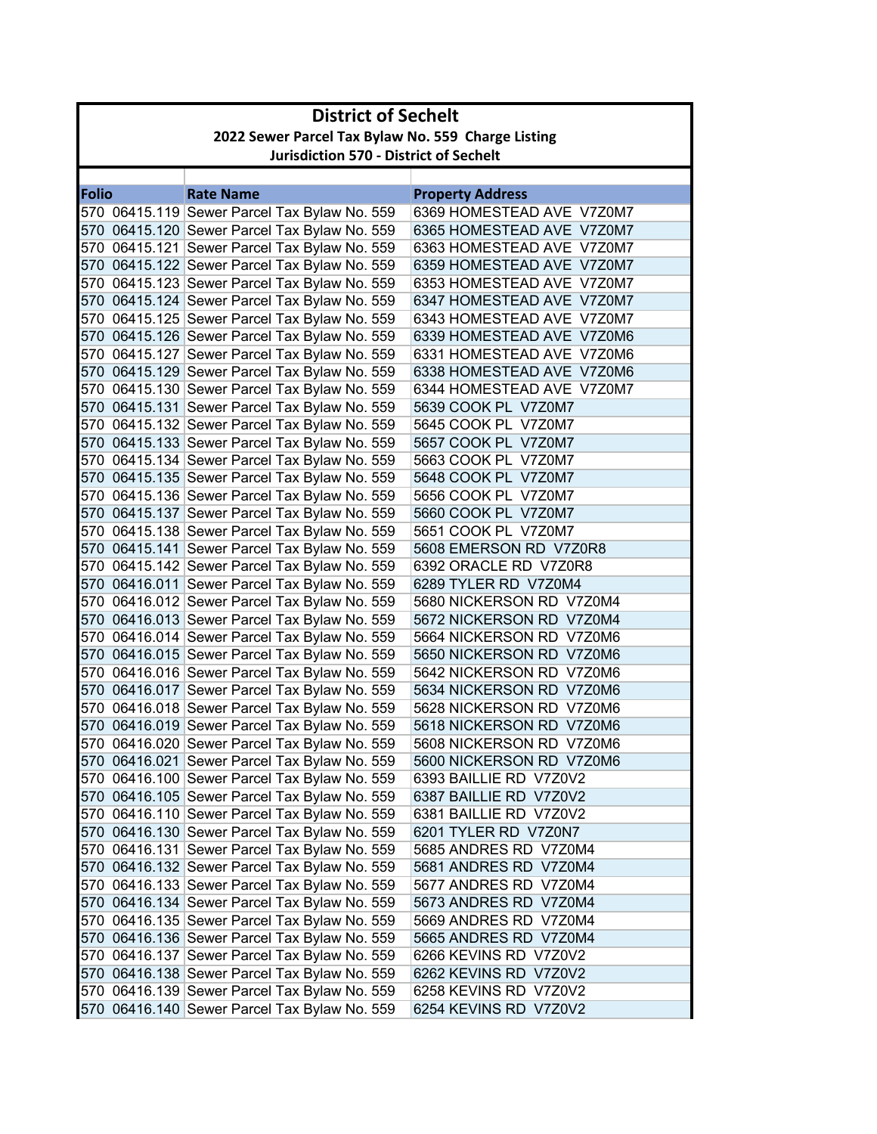| <b>District of Sechelt</b>                         |                                               |                           |  |
|----------------------------------------------------|-----------------------------------------------|---------------------------|--|
| 2022 Sewer Parcel Tax Bylaw No. 559 Charge Listing |                                               |                           |  |
|                                                    | <b>Jurisdiction 570 - District of Sechelt</b> |                           |  |
|                                                    |                                               |                           |  |
| <b>Folio</b>                                       | <b>Rate Name</b>                              | <b>Property Address</b>   |  |
|                                                    | 570 06415.119 Sewer Parcel Tax Bylaw No. 559  | 6369 HOMESTEAD AVE V7Z0M7 |  |
|                                                    | 570 06415.120 Sewer Parcel Tax Bylaw No. 559  | 6365 HOMESTEAD AVE V7Z0M7 |  |
|                                                    | 570 06415.121 Sewer Parcel Tax Bylaw No. 559  | 6363 HOMESTEAD AVE V7Z0M7 |  |
|                                                    | 570 06415.122 Sewer Parcel Tax Bylaw No. 559  | 6359 HOMESTEAD AVE V7Z0M7 |  |
|                                                    | 570 06415.123 Sewer Parcel Tax Bylaw No. 559  | 6353 HOMESTEAD AVE V7Z0M7 |  |
|                                                    | 570 06415.124 Sewer Parcel Tax Bylaw No. 559  | 6347 HOMESTEAD AVE V7Z0M7 |  |
|                                                    | 570 06415.125 Sewer Parcel Tax Bylaw No. 559  | 6343 HOMESTEAD AVE V7Z0M7 |  |
|                                                    | 570 06415.126 Sewer Parcel Tax Bylaw No. 559  | 6339 HOMESTEAD AVE V7Z0M6 |  |
|                                                    | 570 06415.127 Sewer Parcel Tax Bylaw No. 559  | 6331 HOMESTEAD AVE V7Z0M6 |  |
|                                                    | 570 06415.129 Sewer Parcel Tax Bylaw No. 559  | 6338 HOMESTEAD AVE V7Z0M6 |  |
|                                                    | 570 06415.130 Sewer Parcel Tax Bylaw No. 559  | 6344 HOMESTEAD AVE V7Z0M7 |  |
|                                                    | 570 06415.131 Sewer Parcel Tax Bylaw No. 559  | 5639 COOK PL V7Z0M7       |  |
|                                                    | 570 06415.132 Sewer Parcel Tax Bylaw No. 559  | 5645 COOK PL V7Z0M7       |  |
|                                                    | 570 06415.133 Sewer Parcel Tax Bylaw No. 559  | 5657 COOK PL V7Z0M7       |  |
|                                                    | 570 06415.134 Sewer Parcel Tax Bylaw No. 559  | 5663 COOK PL V7Z0M7       |  |
|                                                    | 570 06415.135 Sewer Parcel Tax Bylaw No. 559  | 5648 COOK PL V7Z0M7       |  |
|                                                    | 570 06415.136 Sewer Parcel Tax Bylaw No. 559  | 5656 COOK PL V7Z0M7       |  |
|                                                    | 570 06415.137 Sewer Parcel Tax Bylaw No. 559  | 5660 COOK PL V7Z0M7       |  |
|                                                    | 570 06415.138 Sewer Parcel Tax Bylaw No. 559  | 5651 COOK PL V7Z0M7       |  |
|                                                    | 570 06415.141 Sewer Parcel Tax Bylaw No. 559  | 5608 EMERSON RD V7Z0R8    |  |
|                                                    | 570 06415.142 Sewer Parcel Tax Bylaw No. 559  | 6392 ORACLE RD V7Z0R8     |  |
|                                                    | 570 06416.011 Sewer Parcel Tax Bylaw No. 559  | 6289 TYLER RD V7Z0M4      |  |
|                                                    | 570 06416.012 Sewer Parcel Tax Bylaw No. 559  | 5680 NICKERSON RD V7Z0M4  |  |
|                                                    | 570 06416.013 Sewer Parcel Tax Bylaw No. 559  | 5672 NICKERSON RD V7Z0M4  |  |
|                                                    | 570 06416.014 Sewer Parcel Tax Bylaw No. 559  | 5664 NICKERSON RD V7Z0M6  |  |
|                                                    | 570 06416.015 Sewer Parcel Tax Bylaw No. 559  | 5650 NICKERSON RD V7Z0M6  |  |
|                                                    | 570 06416.016 Sewer Parcel Tax Bylaw No. 559  | 5642 NICKERSON RD V7Z0M6  |  |
|                                                    | 570 06416.017 Sewer Parcel Tax Bylaw No. 559  | 5634 NICKERSON RD V7Z0M6  |  |
|                                                    | 570 06416.018 Sewer Parcel Tax Bylaw No. 559  | 5628 NICKERSON RD V7Z0M6  |  |
|                                                    | 570 06416.019 Sewer Parcel Tax Bylaw No. 559  | 5618 NICKERSON RD V7Z0M6  |  |
|                                                    | 570 06416.020 Sewer Parcel Tax Bylaw No. 559  | 5608 NICKERSON RD V7Z0M6  |  |
|                                                    | 570 06416.021 Sewer Parcel Tax Bylaw No. 559  | 5600 NICKERSON RD V7Z0M6  |  |
|                                                    | 570 06416.100 Sewer Parcel Tax Bylaw No. 559  | 6393 BAILLIE RD V7Z0V2    |  |
|                                                    | 570 06416.105 Sewer Parcel Tax Bylaw No. 559  | 6387 BAILLIE RD V7Z0V2    |  |
|                                                    | 570 06416.110 Sewer Parcel Tax Bylaw No. 559  | 6381 BAILLIE RD V7Z0V2    |  |
|                                                    | 570 06416.130 Sewer Parcel Tax Bylaw No. 559  | 6201 TYLER RD V7Z0N7      |  |
|                                                    | 570 06416.131 Sewer Parcel Tax Bylaw No. 559  | 5685 ANDRES RD V7Z0M4     |  |
|                                                    | 570 06416.132 Sewer Parcel Tax Bylaw No. 559  | 5681 ANDRES RD V7Z0M4     |  |
|                                                    | 570 06416.133 Sewer Parcel Tax Bylaw No. 559  | 5677 ANDRES RD V7Z0M4     |  |
|                                                    | 570 06416.134 Sewer Parcel Tax Bylaw No. 559  | 5673 ANDRES RD V7Z0M4     |  |
|                                                    | 570 06416.135 Sewer Parcel Tax Bylaw No. 559  | 5669 ANDRES RD V7Z0M4     |  |
|                                                    | 570 06416.136 Sewer Parcel Tax Bylaw No. 559  | 5665 ANDRES RD V7Z0M4     |  |
|                                                    | 570 06416.137 Sewer Parcel Tax Bylaw No. 559  | 6266 KEVINS RD V7Z0V2     |  |
|                                                    | 570 06416.138 Sewer Parcel Tax Bylaw No. 559  | 6262 KEVINS RD V7Z0V2     |  |
|                                                    | 570 06416.139 Sewer Parcel Tax Bylaw No. 559  | 6258 KEVINS RD V7Z0V2     |  |
|                                                    | 570 06416.140 Sewer Parcel Tax Bylaw No. 559  | 6254 KEVINS RD V7Z0V2     |  |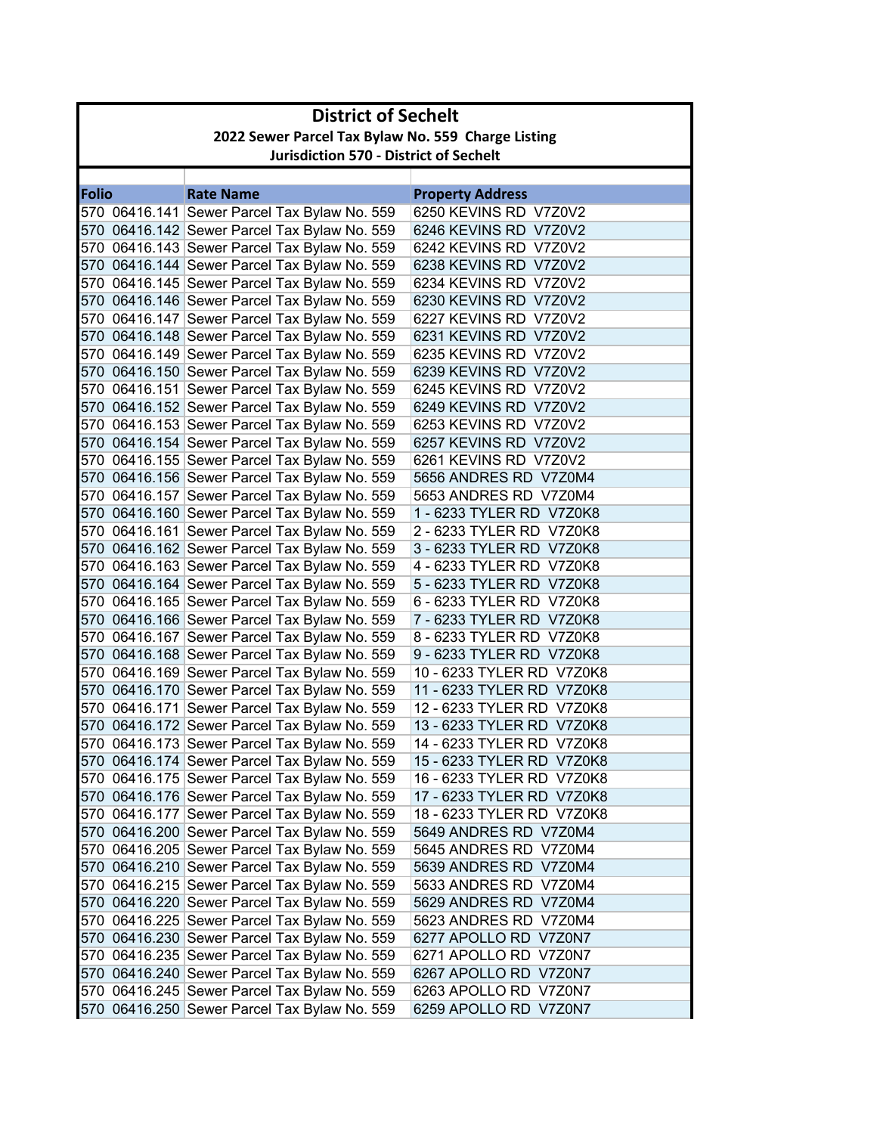|              | <b>District of Sechelt</b>                         |                                                                                              |                                                |  |
|--------------|----------------------------------------------------|----------------------------------------------------------------------------------------------|------------------------------------------------|--|
|              | 2022 Sewer Parcel Tax Bylaw No. 559 Charge Listing |                                                                                              |                                                |  |
|              | <b>Jurisdiction 570 - District of Sechelt</b>      |                                                                                              |                                                |  |
|              |                                                    |                                                                                              |                                                |  |
| <b>Folio</b> |                                                    | <b>Rate Name</b>                                                                             | <b>Property Address</b>                        |  |
|              |                                                    | 570 06416.141 Sewer Parcel Tax Bylaw No. 559                                                 | 6250 KEVINS RD V7Z0V2                          |  |
|              |                                                    | 570 06416.142 Sewer Parcel Tax Bylaw No. 559                                                 | 6246 KEVINS RD V7Z0V2                          |  |
|              |                                                    | 570 06416.143 Sewer Parcel Tax Bylaw No. 559                                                 | 6242 KEVINS RD V7Z0V2                          |  |
|              |                                                    | 570 06416.144 Sewer Parcel Tax Bylaw No. 559                                                 | 6238 KEVINS RD V7Z0V2                          |  |
|              |                                                    | 570 06416.145 Sewer Parcel Tax Bylaw No. 559                                                 | 6234 KEVINS RD V7Z0V2                          |  |
|              |                                                    | 570 06416.146 Sewer Parcel Tax Bylaw No. 559                                                 | 6230 KEVINS RD V7Z0V2                          |  |
|              |                                                    | 570 06416.147 Sewer Parcel Tax Bylaw No. 559                                                 | 6227 KEVINS RD V7Z0V2                          |  |
|              |                                                    | 570 06416.148 Sewer Parcel Tax Bylaw No. 559                                                 | 6231 KEVINS RD V7Z0V2                          |  |
|              |                                                    | 570 06416.149 Sewer Parcel Tax Bylaw No. 559                                                 | 6235 KEVINS RD V7Z0V2                          |  |
|              |                                                    | 570 06416.150 Sewer Parcel Tax Bylaw No. 559                                                 | 6239 KEVINS RD V7Z0V2                          |  |
|              |                                                    | 570 06416.151 Sewer Parcel Tax Bylaw No. 559                                                 | 6245 KEVINS RD V7Z0V2                          |  |
|              |                                                    | 570 06416.152 Sewer Parcel Tax Bylaw No. 559                                                 | 6249 KEVINS RD V7Z0V2                          |  |
|              |                                                    | 570 06416.153 Sewer Parcel Tax Bylaw No. 559                                                 | 6253 KEVINS RD V7Z0V2                          |  |
|              |                                                    | 570 06416.154 Sewer Parcel Tax Bylaw No. 559                                                 | 6257 KEVINS RD V7Z0V2                          |  |
|              |                                                    | 570 06416.155 Sewer Parcel Tax Bylaw No. 559                                                 | 6261 KEVINS RD V7Z0V2                          |  |
|              |                                                    | 570 06416.156 Sewer Parcel Tax Bylaw No. 559                                                 | 5656 ANDRES RD V7Z0M4                          |  |
|              |                                                    | 570 06416.157 Sewer Parcel Tax Bylaw No. 559                                                 | 5653 ANDRES RD V7Z0M4                          |  |
|              |                                                    | 570 06416.160 Sewer Parcel Tax Bylaw No. 559                                                 | 1 - 6233 TYLER RD V7Z0K8                       |  |
|              |                                                    | 570 06416.161 Sewer Parcel Tax Bylaw No. 559                                                 | 2 - 6233 TYLER RD V7Z0K8                       |  |
|              |                                                    | 570 06416.162 Sewer Parcel Tax Bylaw No. 559                                                 | 3 - 6233 TYLER RD V7Z0K8                       |  |
|              |                                                    | 570 06416.163 Sewer Parcel Tax Bylaw No. 559                                                 | 4 - 6233 TYLER RD V7Z0K8                       |  |
|              |                                                    | 570 06416.164 Sewer Parcel Tax Bylaw No. 559                                                 | 5 - 6233 TYLER RD V7Z0K8                       |  |
|              |                                                    | 570 06416.165 Sewer Parcel Tax Bylaw No. 559                                                 | 6 - 6233 TYLER RD V7Z0K8                       |  |
|              |                                                    | 570 06416.166 Sewer Parcel Tax Bylaw No. 559                                                 | 7 - 6233 TYLER RD V7Z0K8                       |  |
|              |                                                    | 570 06416.167 Sewer Parcel Tax Bylaw No. 559                                                 | 8 - 6233 TYLER RD V7Z0K8                       |  |
|              |                                                    | 570 06416.168 Sewer Parcel Tax Bylaw No. 559                                                 | 9 - 6233 TYLER RD V7Z0K8                       |  |
|              |                                                    | 570 06416.169 Sewer Parcel Tax Bylaw No. 559                                                 | 10 - 6233 TYLER RD V7Z0K8                      |  |
|              |                                                    | 570 06416.170 Sewer Parcel Tax Bylaw No. 559                                                 | 11 - 6233 TYLER RD V7Z0K8                      |  |
|              |                                                    | 570 06416.171 Sewer Parcel Tax Bylaw No. 559                                                 | 12 - 6233 TYLER RD V7Z0K8                      |  |
|              |                                                    | 570 06416.172 Sewer Parcel Tax Bylaw No. 559                                                 | 13 - 6233 TYLER RD V7Z0K8                      |  |
|              |                                                    | 570 06416.173 Sewer Parcel Tax Bylaw No. 559                                                 | 14 - 6233 TYLER RD V7Z0K8                      |  |
|              |                                                    | 570 06416.174 Sewer Parcel Tax Bylaw No. 559                                                 | 15 - 6233 TYLER RD V7Z0K8                      |  |
|              |                                                    | 570 06416.175 Sewer Parcel Tax Bylaw No. 559                                                 | 16 - 6233 TYLER RD V7Z0K8                      |  |
|              |                                                    | 570 06416.176 Sewer Parcel Tax Bylaw No. 559                                                 | 17 - 6233 TYLER RD V7Z0K8                      |  |
|              |                                                    | 570 06416.177 Sewer Parcel Tax Bylaw No. 559                                                 | 18 - 6233 TYLER RD V7Z0K8                      |  |
|              |                                                    | 570 06416.200 Sewer Parcel Tax Bylaw No. 559<br>570 06416.205 Sewer Parcel Tax Bylaw No. 559 | 5649 ANDRES RD V7Z0M4                          |  |
|              |                                                    |                                                                                              | 5645 ANDRES RD V7Z0M4<br>5639 ANDRES RD V7Z0M4 |  |
|              |                                                    | 570 06416.210 Sewer Parcel Tax Bylaw No. 559<br>570 06416.215 Sewer Parcel Tax Bylaw No. 559 | 5633 ANDRES RD V7Z0M4                          |  |
|              |                                                    | 570 06416.220 Sewer Parcel Tax Bylaw No. 559                                                 | 5629 ANDRES RD V7Z0M4                          |  |
|              |                                                    | 570 06416.225 Sewer Parcel Tax Bylaw No. 559                                                 | 5623 ANDRES RD V7Z0M4                          |  |
|              |                                                    | 570 06416.230 Sewer Parcel Tax Bylaw No. 559                                                 | 6277 APOLLO RD V7Z0N7                          |  |
|              |                                                    | 570 06416.235 Sewer Parcel Tax Bylaw No. 559                                                 | 6271 APOLLO RD V7Z0N7                          |  |
|              |                                                    | 570 06416.240 Sewer Parcel Tax Bylaw No. 559                                                 | 6267 APOLLO RD V7Z0N7                          |  |
|              |                                                    | 570 06416.245 Sewer Parcel Tax Bylaw No. 559                                                 | 6263 APOLLO RD V7Z0N7                          |  |
|              |                                                    | 570 06416.250 Sewer Parcel Tax Bylaw No. 559                                                 | 6259 APOLLO RD V7Z0N7                          |  |
|              |                                                    |                                                                                              |                                                |  |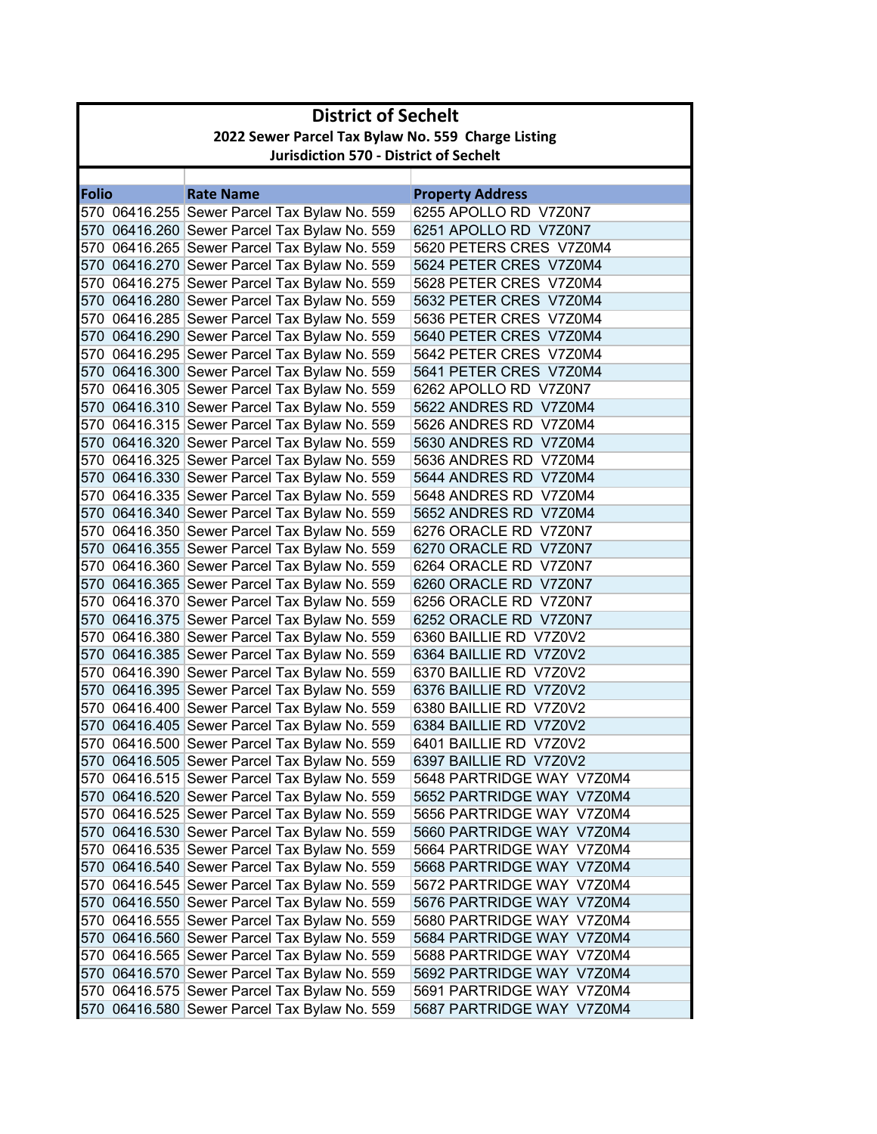| <b>District of Sechelt</b>                    |                                                    |                                                                                              |                                                |  |
|-----------------------------------------------|----------------------------------------------------|----------------------------------------------------------------------------------------------|------------------------------------------------|--|
|                                               | 2022 Sewer Parcel Tax Bylaw No. 559 Charge Listing |                                                                                              |                                                |  |
| <b>Jurisdiction 570 - District of Sechelt</b> |                                                    |                                                                                              |                                                |  |
|                                               |                                                    |                                                                                              |                                                |  |
| Folio                                         |                                                    | <b>Rate Name</b>                                                                             | <b>Property Address</b>                        |  |
|                                               |                                                    | 570 06416.255 Sewer Parcel Tax Bylaw No. 559                                                 | 6255 APOLLO RD V7Z0N7                          |  |
|                                               |                                                    | 570 06416.260 Sewer Parcel Tax Bylaw No. 559                                                 | 6251 APOLLO RD V7Z0N7                          |  |
|                                               |                                                    | 570 06416.265 Sewer Parcel Tax Bylaw No. 559                                                 | 5620 PETERS CRES V7Z0M4                        |  |
|                                               |                                                    | 570 06416.270 Sewer Parcel Tax Bylaw No. 559                                                 | 5624 PETER CRES V7Z0M4                         |  |
|                                               |                                                    | 570 06416.275 Sewer Parcel Tax Bylaw No. 559                                                 | 5628 PETER CRES V7Z0M4                         |  |
|                                               |                                                    | 570 06416.280 Sewer Parcel Tax Bylaw No. 559                                                 | 5632 PETER CRES V7Z0M4                         |  |
|                                               |                                                    | 570 06416.285 Sewer Parcel Tax Bylaw No. 559                                                 | 5636 PETER CRES V7Z0M4                         |  |
|                                               |                                                    | 570 06416.290 Sewer Parcel Tax Bylaw No. 559                                                 | 5640 PETER CRES V7Z0M4                         |  |
|                                               |                                                    | 570 06416.295 Sewer Parcel Tax Bylaw No. 559                                                 | 5642 PETER CRES V7Z0M4                         |  |
|                                               |                                                    | 570 06416.300 Sewer Parcel Tax Bylaw No. 559                                                 | 5641 PETER CRES V7Z0M4                         |  |
|                                               |                                                    | 570 06416.305 Sewer Parcel Tax Bylaw No. 559                                                 | 6262 APOLLO RD V7Z0N7                          |  |
|                                               |                                                    | 570 06416.310 Sewer Parcel Tax Bylaw No. 559                                                 | 5622 ANDRES RD V7Z0M4<br>5626 ANDRES RD V7Z0M4 |  |
|                                               |                                                    | 570 06416.315 Sewer Parcel Tax Bylaw No. 559<br>570 06416.320 Sewer Parcel Tax Bylaw No. 559 | 5630 ANDRES RD V7Z0M4                          |  |
|                                               |                                                    | 570 06416.325 Sewer Parcel Tax Bylaw No. 559                                                 | 5636 ANDRES RD V7Z0M4                          |  |
|                                               |                                                    | 570 06416.330 Sewer Parcel Tax Bylaw No. 559                                                 | 5644 ANDRES RD V7Z0M4                          |  |
|                                               |                                                    | 570 06416.335 Sewer Parcel Tax Bylaw No. 559                                                 | 5648 ANDRES RD V7Z0M4                          |  |
|                                               |                                                    | 570 06416.340 Sewer Parcel Tax Bylaw No. 559                                                 | 5652 ANDRES RD V7Z0M4                          |  |
|                                               |                                                    | 570 06416.350 Sewer Parcel Tax Bylaw No. 559                                                 | 6276 ORACLE RD V7Z0N7                          |  |
|                                               |                                                    | 570 06416.355 Sewer Parcel Tax Bylaw No. 559                                                 | 6270 ORACLE RD V7Z0N7                          |  |
|                                               |                                                    | 570 06416.360 Sewer Parcel Tax Bylaw No. 559                                                 | 6264 ORACLE RD V7Z0N7                          |  |
|                                               |                                                    | 570 06416.365 Sewer Parcel Tax Bylaw No. 559                                                 | 6260 ORACLE RD V7Z0N7                          |  |
|                                               |                                                    | 570 06416.370 Sewer Parcel Tax Bylaw No. 559                                                 | 6256 ORACLE RD V7Z0N7                          |  |
|                                               |                                                    | 570 06416.375 Sewer Parcel Tax Bylaw No. 559                                                 | 6252 ORACLE RD V7Z0N7                          |  |
|                                               |                                                    | 570 06416.380 Sewer Parcel Tax Bylaw No. 559                                                 | 6360 BAILLIE RD V7Z0V2                         |  |
|                                               |                                                    | 570 06416.385 Sewer Parcel Tax Bylaw No. 559                                                 | 6364 BAILLIE RD V7Z0V2                         |  |
|                                               |                                                    | 570 06416.390 Sewer Parcel Tax Bylaw No. 559                                                 | 6370 BAILLIE RD V7Z0V2                         |  |
|                                               |                                                    | 570 06416.395 Sewer Parcel Tax Bylaw No. 559                                                 | 6376 BAILLIE RD V7Z0V2                         |  |
|                                               |                                                    | 570 06416.400 Sewer Parcel Tax Bylaw No. 559                                                 | 6380 BAILLIE RD V7Z0V2                         |  |
|                                               |                                                    | 570 06416.405 Sewer Parcel Tax Bylaw No. 559                                                 | 6384 BAILLIE RD V7Z0V2                         |  |
|                                               |                                                    | 570 06416.500 Sewer Parcel Tax Bylaw No. 559                                                 | 6401 BAILLIE RD V7Z0V2                         |  |
|                                               |                                                    | 570 06416.505 Sewer Parcel Tax Bylaw No. 559                                                 | 6397 BAILLIE RD V7Z0V2                         |  |
|                                               |                                                    | 570 06416.515 Sewer Parcel Tax Bylaw No. 559                                                 | 5648 PARTRIDGE WAY V7Z0M4                      |  |
|                                               |                                                    | 570 06416.520 Sewer Parcel Tax Bylaw No. 559                                                 | 5652 PARTRIDGE WAY V7Z0M4                      |  |
|                                               |                                                    | 570 06416.525 Sewer Parcel Tax Bylaw No. 559                                                 | 5656 PARTRIDGE WAY V7Z0M4                      |  |
|                                               |                                                    | 570 06416.530 Sewer Parcel Tax Bylaw No. 559                                                 | 5660 PARTRIDGE WAY V7Z0M4                      |  |
|                                               |                                                    | 570 06416.535 Sewer Parcel Tax Bylaw No. 559                                                 | 5664 PARTRIDGE WAY V7Z0M4                      |  |
|                                               |                                                    | 570 06416.540 Sewer Parcel Tax Bylaw No. 559                                                 | 5668 PARTRIDGE WAY V7Z0M4                      |  |
|                                               |                                                    | 570 06416.545 Sewer Parcel Tax Bylaw No. 559                                                 | 5672 PARTRIDGE WAY V7Z0M4                      |  |
|                                               |                                                    | 570 06416.550 Sewer Parcel Tax Bylaw No. 559                                                 | 5676 PARTRIDGE WAY V7Z0M4                      |  |
|                                               |                                                    | 570 06416.555 Sewer Parcel Tax Bylaw No. 559                                                 | 5680 PARTRIDGE WAY V7Z0M4                      |  |
|                                               |                                                    | 570 06416.560 Sewer Parcel Tax Bylaw No. 559                                                 | 5684 PARTRIDGE WAY V7Z0M4                      |  |
|                                               |                                                    | 570 06416.565 Sewer Parcel Tax Bylaw No. 559                                                 | 5688 PARTRIDGE WAY V7Z0M4                      |  |
|                                               |                                                    | 570 06416.570 Sewer Parcel Tax Bylaw No. 559                                                 | 5692 PARTRIDGE WAY V7Z0M4                      |  |
|                                               |                                                    | 570 06416.575 Sewer Parcel Tax Bylaw No. 559                                                 | 5691 PARTRIDGE WAY V7Z0M4                      |  |
|                                               |                                                    | 570 06416.580 Sewer Parcel Tax Bylaw No. 559                                                 | 5687 PARTRIDGE WAY V7Z0M4                      |  |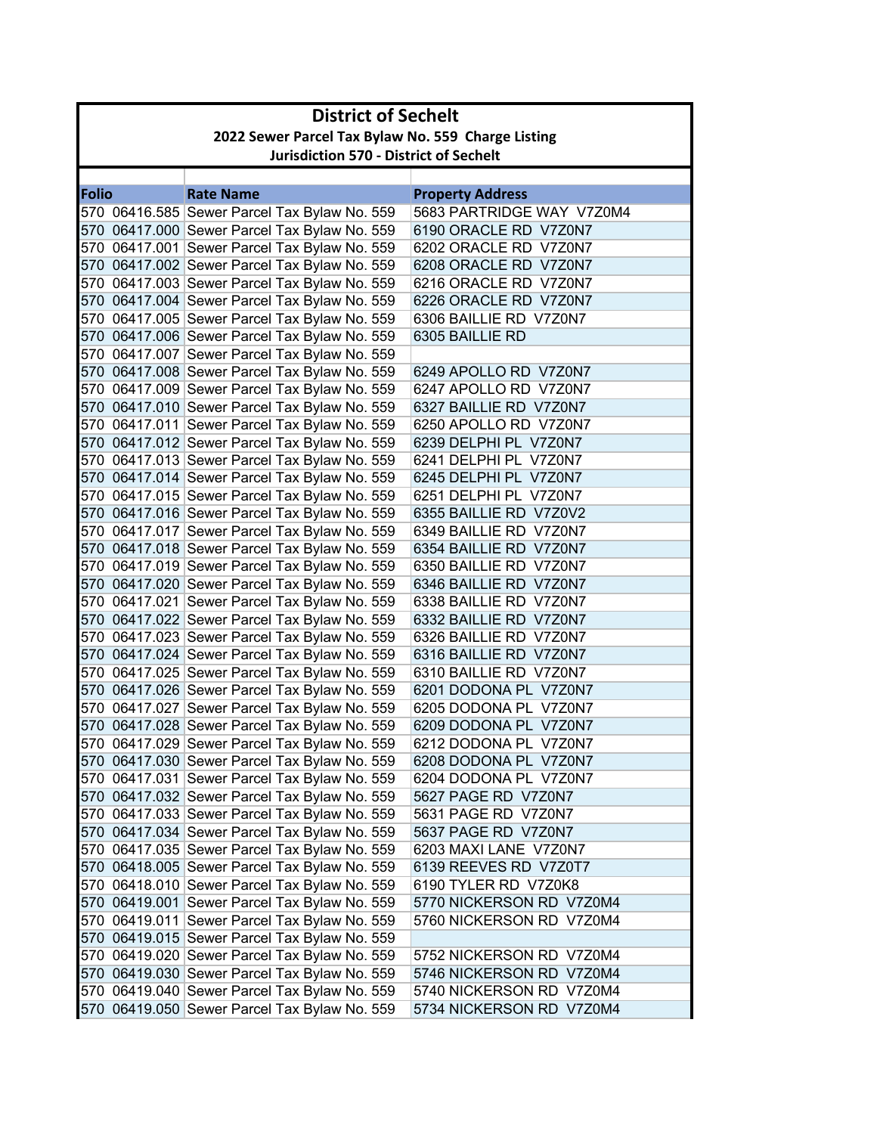| <b>District of Sechelt</b>                         |                                               |                           |  |  |
|----------------------------------------------------|-----------------------------------------------|---------------------------|--|--|
| 2022 Sewer Parcel Tax Bylaw No. 559 Charge Listing |                                               |                           |  |  |
|                                                    | <b>Jurisdiction 570 - District of Sechelt</b> |                           |  |  |
|                                                    |                                               |                           |  |  |
| <b>Folio</b>                                       | <b>Rate Name</b>                              | <b>Property Address</b>   |  |  |
|                                                    | 570 06416.585 Sewer Parcel Tax Bylaw No. 559  | 5683 PARTRIDGE WAY V7Z0M4 |  |  |
|                                                    | 570 06417.000 Sewer Parcel Tax Bylaw No. 559  | 6190 ORACLE RD V7Z0N7     |  |  |
|                                                    | 570 06417.001 Sewer Parcel Tax Bylaw No. 559  | 6202 ORACLE RD V7Z0N7     |  |  |
|                                                    | 570 06417.002 Sewer Parcel Tax Bylaw No. 559  | 6208 ORACLE RD V7Z0N7     |  |  |
|                                                    | 570 06417.003 Sewer Parcel Tax Bylaw No. 559  | 6216 ORACLE RD V7Z0N7     |  |  |
|                                                    | 570 06417.004 Sewer Parcel Tax Bylaw No. 559  | 6226 ORACLE RD V7Z0N7     |  |  |
|                                                    | 570 06417.005 Sewer Parcel Tax Bylaw No. 559  | 6306 BAILLIE RD V7Z0N7    |  |  |
|                                                    | 570 06417.006 Sewer Parcel Tax Bylaw No. 559  | 6305 BAILLIE RD           |  |  |
|                                                    | 570 06417.007 Sewer Parcel Tax Bylaw No. 559  |                           |  |  |
|                                                    | 570 06417.008 Sewer Parcel Tax Bylaw No. 559  | 6249 APOLLO RD V7Z0N7     |  |  |
|                                                    | 570 06417.009 Sewer Parcel Tax Bylaw No. 559  | 6247 APOLLO RD V7Z0N7     |  |  |
|                                                    | 570 06417.010 Sewer Parcel Tax Bylaw No. 559  | 6327 BAILLIE RD V7Z0N7    |  |  |
|                                                    | 570 06417.011 Sewer Parcel Tax Bylaw No. 559  | 6250 APOLLO RD V7Z0N7     |  |  |
|                                                    | 570 06417.012 Sewer Parcel Tax Bylaw No. 559  | 6239 DELPHI PL V7Z0N7     |  |  |
|                                                    | 570 06417.013 Sewer Parcel Tax Bylaw No. 559  | 6241 DELPHI PL V7Z0N7     |  |  |
|                                                    | 570 06417.014 Sewer Parcel Tax Bylaw No. 559  | 6245 DELPHI PL V7Z0N7     |  |  |
|                                                    | 570 06417.015 Sewer Parcel Tax Bylaw No. 559  | 6251 DELPHI PL V7Z0N7     |  |  |
|                                                    | 570 06417.016 Sewer Parcel Tax Bylaw No. 559  | 6355 BAILLIE RD V7Z0V2    |  |  |
|                                                    | 570 06417.017 Sewer Parcel Tax Bylaw No. 559  | 6349 BAILLIE RD V7Z0N7    |  |  |
|                                                    | 570 06417.018 Sewer Parcel Tax Bylaw No. 559  | 6354 BAILLIE RD V7Z0N7    |  |  |
|                                                    | 570 06417.019 Sewer Parcel Tax Bylaw No. 559  | 6350 BAILLIE RD V7Z0N7    |  |  |
|                                                    | 570 06417.020 Sewer Parcel Tax Bylaw No. 559  | 6346 BAILLIE RD V7Z0N7    |  |  |
|                                                    | 570 06417.021 Sewer Parcel Tax Bylaw No. 559  | 6338 BAILLIE RD V7Z0N7    |  |  |
|                                                    | 570 06417.022 Sewer Parcel Tax Bylaw No. 559  | 6332 BAILLIE RD V7Z0N7    |  |  |
|                                                    | 570 06417.023 Sewer Parcel Tax Bylaw No. 559  | 6326 BAILLIE RD V7Z0N7    |  |  |
|                                                    | 570 06417.024 Sewer Parcel Tax Bylaw No. 559  | 6316 BAILLIE RD V7Z0N7    |  |  |
|                                                    | 570 06417.025 Sewer Parcel Tax Bylaw No. 559  | 6310 BAILLIE RD V7Z0N7    |  |  |
|                                                    | 570 06417.026 Sewer Parcel Tax Bylaw No. 559  | 6201 DODONA PL V7Z0N7     |  |  |
|                                                    | 570 06417.027 Sewer Parcel Tax Bylaw No. 559  | 6205 DODONA PL V7Z0N7     |  |  |
|                                                    | 570 06417.028 Sewer Parcel Tax Bylaw No. 559  | 6209 DODONA PL V7Z0N7     |  |  |
|                                                    | 570 06417.029 Sewer Parcel Tax Bylaw No. 559  | 6212 DODONA PL V7Z0N7     |  |  |
|                                                    | 570 06417.030 Sewer Parcel Tax Bylaw No. 559  | 6208 DODONA PL V7Z0N7     |  |  |
|                                                    | 570 06417.031 Sewer Parcel Tax Bylaw No. 559  | 6204 DODONA PL V7Z0N7     |  |  |
|                                                    | 570 06417.032 Sewer Parcel Tax Bylaw No. 559  | 5627 PAGE RD V7Z0N7       |  |  |
|                                                    | 570 06417.033 Sewer Parcel Tax Bylaw No. 559  | 5631 PAGE RD V7Z0N7       |  |  |
|                                                    | 570 06417.034 Sewer Parcel Tax Bylaw No. 559  | 5637 PAGE RD V7Z0N7       |  |  |
|                                                    | 570 06417.035 Sewer Parcel Tax Bylaw No. 559  | 6203 MAXI LANE V7Z0N7     |  |  |
|                                                    | 570 06418.005 Sewer Parcel Tax Bylaw No. 559  | 6139 REEVES RD V7Z0T7     |  |  |
|                                                    | 570 06418.010 Sewer Parcel Tax Bylaw No. 559  | 6190 TYLER RD V7Z0K8      |  |  |
|                                                    | 570 06419.001 Sewer Parcel Tax Bylaw No. 559  | 5770 NICKERSON RD V7Z0M4  |  |  |
|                                                    | 570 06419.011 Sewer Parcel Tax Bylaw No. 559  | 5760 NICKERSON RD V7Z0M4  |  |  |
|                                                    | 570 06419.015 Sewer Parcel Tax Bylaw No. 559  |                           |  |  |
|                                                    | 570 06419.020 Sewer Parcel Tax Bylaw No. 559  | 5752 NICKERSON RD V7Z0M4  |  |  |
|                                                    | 570 06419.030 Sewer Parcel Tax Bylaw No. 559  | 5746 NICKERSON RD V7Z0M4  |  |  |
|                                                    | 570 06419.040 Sewer Parcel Tax Bylaw No. 559  | 5740 NICKERSON RD V7Z0M4  |  |  |
|                                                    | 570 06419.050 Sewer Parcel Tax Bylaw No. 559  | 5734 NICKERSON RD V7Z0M4  |  |  |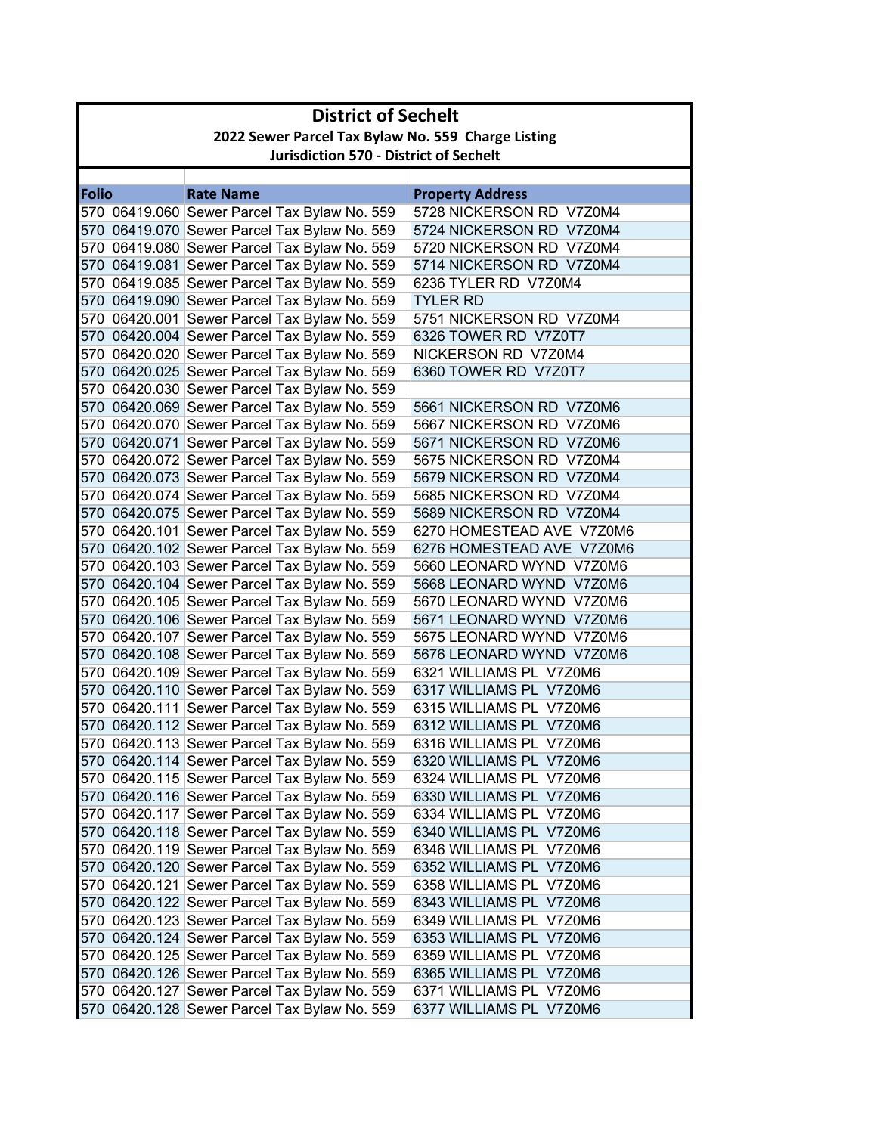|              | <b>District of Sechelt</b>                         |                                              |                           |  |
|--------------|----------------------------------------------------|----------------------------------------------|---------------------------|--|
|              | 2022 Sewer Parcel Tax Bylaw No. 559 Charge Listing |                                              |                           |  |
|              | <b>Jurisdiction 570 - District of Sechelt</b>      |                                              |                           |  |
|              |                                                    |                                              |                           |  |
| <b>Folio</b> |                                                    | <b>Rate Name</b>                             | <b>Property Address</b>   |  |
|              |                                                    | 570 06419.060 Sewer Parcel Tax Bylaw No. 559 | 5728 NICKERSON RD V7Z0M4  |  |
|              |                                                    | 570 06419.070 Sewer Parcel Tax Bylaw No. 559 | 5724 NICKERSON RD V7Z0M4  |  |
|              |                                                    | 570 06419.080 Sewer Parcel Tax Bylaw No. 559 | 5720 NICKERSON RD V7Z0M4  |  |
|              |                                                    | 570 06419.081 Sewer Parcel Tax Bylaw No. 559 | 5714 NICKERSON RD V7Z0M4  |  |
|              |                                                    | 570 06419.085 Sewer Parcel Tax Bylaw No. 559 | 6236 TYLER RD V7Z0M4      |  |
|              |                                                    | 570 06419.090 Sewer Parcel Tax Bylaw No. 559 | <b>TYLER RD</b>           |  |
|              |                                                    | 570 06420.001 Sewer Parcel Tax Bylaw No. 559 | 5751 NICKERSON RD V7Z0M4  |  |
|              |                                                    | 570 06420.004 Sewer Parcel Tax Bylaw No. 559 | 6326 TOWER RD V7Z0T7      |  |
|              |                                                    | 570 06420.020 Sewer Parcel Tax Bylaw No. 559 | NICKERSON RD V7Z0M4       |  |
|              |                                                    | 570 06420.025 Sewer Parcel Tax Bylaw No. 559 | 6360 TOWER RD V7Z0T7      |  |
|              |                                                    | 570 06420.030 Sewer Parcel Tax Bylaw No. 559 |                           |  |
|              |                                                    | 570 06420.069 Sewer Parcel Tax Bylaw No. 559 | 5661 NICKERSON RD V7Z0M6  |  |
|              |                                                    | 570 06420.070 Sewer Parcel Tax Bylaw No. 559 | 5667 NICKERSON RD V7Z0M6  |  |
|              |                                                    | 570 06420.071 Sewer Parcel Tax Bylaw No. 559 | 5671 NICKERSON RD V7Z0M6  |  |
|              |                                                    | 570 06420.072 Sewer Parcel Tax Bylaw No. 559 | 5675 NICKERSON RD V7Z0M4  |  |
|              |                                                    | 570 06420.073 Sewer Parcel Tax Bylaw No. 559 | 5679 NICKERSON RD V7Z0M4  |  |
|              |                                                    | 570 06420.074 Sewer Parcel Tax Bylaw No. 559 | 5685 NICKERSON RD V7Z0M4  |  |
|              |                                                    | 570 06420.075 Sewer Parcel Tax Bylaw No. 559 | 5689 NICKERSON RD V7Z0M4  |  |
|              |                                                    | 570 06420.101 Sewer Parcel Tax Bylaw No. 559 | 6270 HOMESTEAD AVE V7Z0M6 |  |
|              |                                                    | 570 06420.102 Sewer Parcel Tax Bylaw No. 559 | 6276 HOMESTEAD AVE V7Z0M6 |  |
|              |                                                    | 570 06420.103 Sewer Parcel Tax Bylaw No. 559 | 5660 LEONARD WYND V7Z0M6  |  |
|              |                                                    | 570 06420.104 Sewer Parcel Tax Bylaw No. 559 | 5668 LEONARD WYND V7Z0M6  |  |
|              |                                                    | 570 06420.105 Sewer Parcel Tax Bylaw No. 559 | 5670 LEONARD WYND V7Z0M6  |  |
|              |                                                    | 570 06420.106 Sewer Parcel Tax Bylaw No. 559 | 5671 LEONARD WYND V7Z0M6  |  |
|              |                                                    | 570 06420.107 Sewer Parcel Tax Bylaw No. 559 | 5675 LEONARD WYND V7Z0M6  |  |
|              |                                                    | 570 06420.108 Sewer Parcel Tax Bylaw No. 559 | 5676 LEONARD WYND V7Z0M6  |  |
|              |                                                    | 570 06420.109 Sewer Parcel Tax Bylaw No. 559 | 6321 WILLIAMS PL V7Z0M6   |  |
|              |                                                    | 570 06420.110 Sewer Parcel Tax Bylaw No. 559 | 6317 WILLIAMS PL V7Z0M6   |  |
|              |                                                    | 570 06420.111 Sewer Parcel Tax Bylaw No. 559 | 6315 WILLIAMS PL V7Z0M6   |  |
|              |                                                    | 570 06420.112 Sewer Parcel Tax Bylaw No. 559 | 6312 WILLIAMS PL V7Z0M6   |  |
|              |                                                    | 570 06420.113 Sewer Parcel Tax Bylaw No. 559 | 6316 WILLIAMS PL V7Z0M6   |  |
|              |                                                    | 570 06420.114 Sewer Parcel Tax Bylaw No. 559 | 6320 WILLIAMS PL V7Z0M6   |  |
|              |                                                    | 570 06420.115 Sewer Parcel Tax Bylaw No. 559 | 6324 WILLIAMS PL V7Z0M6   |  |
|              |                                                    | 570 06420.116 Sewer Parcel Tax Bylaw No. 559 | 6330 WILLIAMS PL V7Z0M6   |  |
|              |                                                    | 570 06420.117 Sewer Parcel Tax Bylaw No. 559 | 6334 WILLIAMS PL V7Z0M6   |  |
|              |                                                    | 570 06420.118 Sewer Parcel Tax Bylaw No. 559 | 6340 WILLIAMS PL V7Z0M6   |  |
|              |                                                    | 570 06420.119 Sewer Parcel Tax Bylaw No. 559 | 6346 WILLIAMS PL V7Z0M6   |  |
|              |                                                    | 570 06420.120 Sewer Parcel Tax Bylaw No. 559 | 6352 WILLIAMS PL V7Z0M6   |  |
|              |                                                    | 570 06420.121 Sewer Parcel Tax Bylaw No. 559 | 6358 WILLIAMS PL V7Z0M6   |  |
|              |                                                    | 570 06420.122 Sewer Parcel Tax Bylaw No. 559 | 6343 WILLIAMS PL V7Z0M6   |  |
|              |                                                    | 570 06420.123 Sewer Parcel Tax Bylaw No. 559 | 6349 WILLIAMS PL V7Z0M6   |  |
|              |                                                    | 570 06420.124 Sewer Parcel Tax Bylaw No. 559 | 6353 WILLIAMS PL V7Z0M6   |  |
|              |                                                    | 570 06420.125 Sewer Parcel Tax Bylaw No. 559 | 6359 WILLIAMS PL V7Z0M6   |  |
|              |                                                    | 570 06420.126 Sewer Parcel Tax Bylaw No. 559 | 6365 WILLIAMS PL V7Z0M6   |  |
|              |                                                    | 570 06420.127 Sewer Parcel Tax Bylaw No. 559 | 6371 WILLIAMS PL V7Z0M6   |  |
|              |                                                    | 570 06420.128 Sewer Parcel Tax Bylaw No. 559 | 6377 WILLIAMS PL V7Z0M6   |  |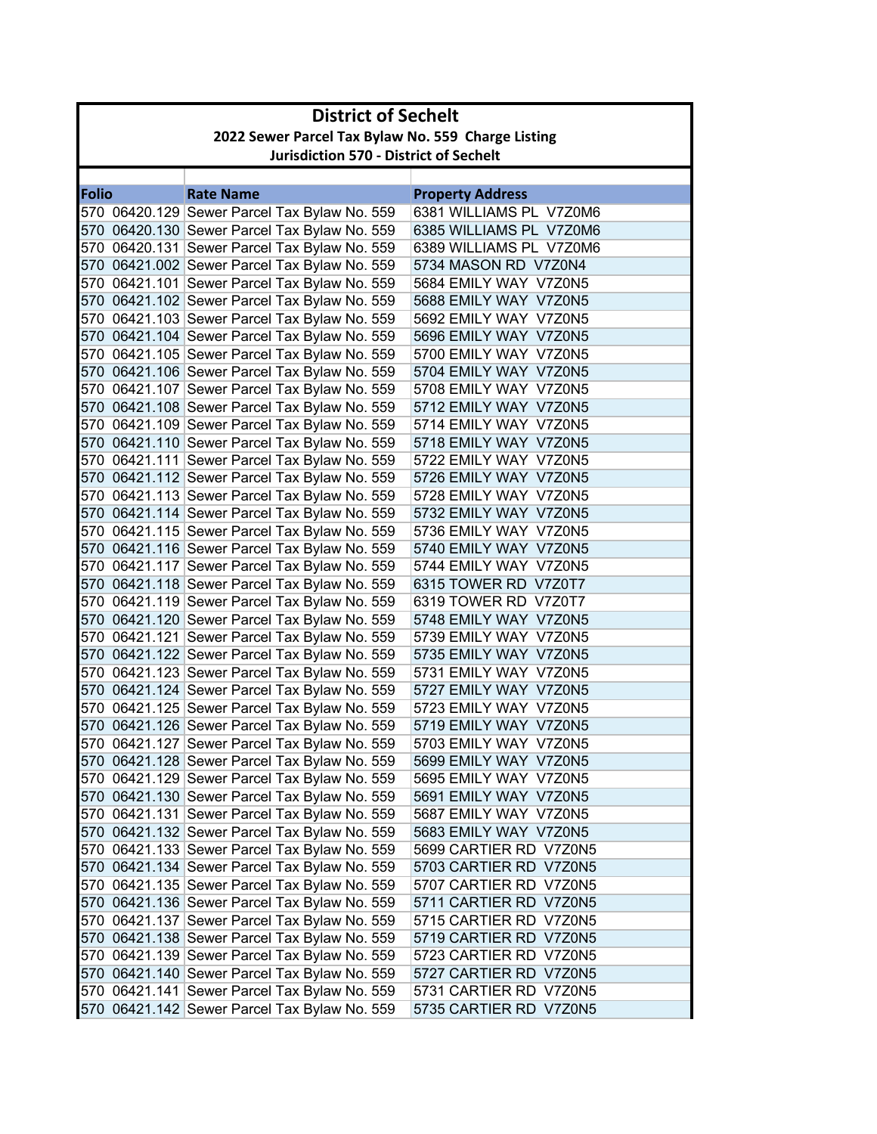| <b>District of Sechelt</b> |                                                    |                                              |                         |  |
|----------------------------|----------------------------------------------------|----------------------------------------------|-------------------------|--|
|                            | 2022 Sewer Parcel Tax Bylaw No. 559 Charge Listing |                                              |                         |  |
|                            | <b>Jurisdiction 570 - District of Sechelt</b>      |                                              |                         |  |
|                            |                                                    |                                              |                         |  |
| <b>Folio</b>               |                                                    | <b>Rate Name</b>                             | <b>Property Address</b> |  |
|                            |                                                    | 570 06420.129 Sewer Parcel Tax Bylaw No. 559 | 6381 WILLIAMS PL V7Z0M6 |  |
|                            |                                                    | 570 06420.130 Sewer Parcel Tax Bylaw No. 559 | 6385 WILLIAMS PL V7Z0M6 |  |
|                            |                                                    | 570 06420.131 Sewer Parcel Tax Bylaw No. 559 | 6389 WILLIAMS PL V7Z0M6 |  |
|                            |                                                    | 570 06421.002 Sewer Parcel Tax Bylaw No. 559 | 5734 MASON RD V7Z0N4    |  |
|                            |                                                    | 570 06421.101 Sewer Parcel Tax Bylaw No. 559 | 5684 EMILY WAY V7Z0N5   |  |
|                            |                                                    | 570 06421.102 Sewer Parcel Tax Bylaw No. 559 | 5688 EMILY WAY V7Z0N5   |  |
|                            |                                                    | 570 06421.103 Sewer Parcel Tax Bylaw No. 559 | 5692 EMILY WAY V7Z0N5   |  |
|                            |                                                    | 570 06421.104 Sewer Parcel Tax Bylaw No. 559 | 5696 EMILY WAY V7Z0N5   |  |
|                            |                                                    | 570 06421.105 Sewer Parcel Tax Bylaw No. 559 | 5700 EMILY WAY V7Z0N5   |  |
|                            |                                                    | 570 06421.106 Sewer Parcel Tax Bylaw No. 559 | 5704 EMILY WAY V7Z0N5   |  |
|                            |                                                    | 570 06421.107 Sewer Parcel Tax Bylaw No. 559 | 5708 EMILY WAY V7Z0N5   |  |
|                            |                                                    | 570 06421.108 Sewer Parcel Tax Bylaw No. 559 | 5712 EMILY WAY V7Z0N5   |  |
|                            |                                                    | 570 06421.109 Sewer Parcel Tax Bylaw No. 559 | 5714 EMILY WAY V7Z0N5   |  |
|                            |                                                    | 570 06421.110 Sewer Parcel Tax Bylaw No. 559 | 5718 EMILY WAY V7Z0N5   |  |
|                            |                                                    | 570 06421.111 Sewer Parcel Tax Bylaw No. 559 | 5722 EMILY WAY V7Z0N5   |  |
|                            |                                                    | 570 06421.112 Sewer Parcel Tax Bylaw No. 559 | 5726 EMILY WAY V7Z0N5   |  |
|                            |                                                    | 570 06421.113 Sewer Parcel Tax Bylaw No. 559 | 5728 EMILY WAY V7Z0N5   |  |
|                            |                                                    | 570 06421.114 Sewer Parcel Tax Bylaw No. 559 | 5732 EMILY WAY V7Z0N5   |  |
|                            |                                                    | 570 06421.115 Sewer Parcel Tax Bylaw No. 559 | 5736 EMILY WAY V7Z0N5   |  |
|                            |                                                    | 570 06421.116 Sewer Parcel Tax Bylaw No. 559 | 5740 EMILY WAY V7Z0N5   |  |
|                            |                                                    | 570 06421.117 Sewer Parcel Tax Bylaw No. 559 | 5744 EMILY WAY V7Z0N5   |  |
|                            |                                                    | 570 06421.118 Sewer Parcel Tax Bylaw No. 559 | 6315 TOWER RD V7Z0T7    |  |
|                            |                                                    | 570 06421.119 Sewer Parcel Tax Bylaw No. 559 | 6319 TOWER RD V7Z0T7    |  |
|                            |                                                    | 570 06421.120 Sewer Parcel Tax Bylaw No. 559 | 5748 EMILY WAY V7Z0N5   |  |
|                            |                                                    | 570 06421.121 Sewer Parcel Tax Bylaw No. 559 | 5739 EMILY WAY V7Z0N5   |  |
|                            |                                                    | 570 06421.122 Sewer Parcel Tax Bylaw No. 559 | 5735 EMILY WAY V7Z0N5   |  |
|                            |                                                    | 570 06421.123 Sewer Parcel Tax Bylaw No. 559 | 5731 EMILY WAY V7Z0N5   |  |
|                            |                                                    | 570 06421.124 Sewer Parcel Tax Bylaw No. 559 | 5727 EMILY WAY V7Z0N5   |  |
|                            |                                                    | 570 06421.125 Sewer Parcel Tax Bylaw No. 559 | 5723 EMILY WAY V7Z0N5   |  |
|                            |                                                    | 570 06421.126 Sewer Parcel Tax Bylaw No. 559 | 5719 EMILY WAY V7Z0N5   |  |
|                            |                                                    | 570 06421.127 Sewer Parcel Tax Bylaw No. 559 | 5703 EMILY WAY V7Z0N5   |  |
|                            |                                                    | 570 06421.128 Sewer Parcel Tax Bylaw No. 559 | 5699 EMILY WAY V7Z0N5   |  |
|                            |                                                    | 570 06421.129 Sewer Parcel Tax Bylaw No. 559 | 5695 EMILY WAY V7Z0N5   |  |
|                            |                                                    | 570 06421.130 Sewer Parcel Tax Bylaw No. 559 | 5691 EMILY WAY V7Z0N5   |  |
|                            |                                                    | 570 06421.131 Sewer Parcel Tax Bylaw No. 559 | 5687 EMILY WAY V7Z0N5   |  |
|                            |                                                    | 570 06421.132 Sewer Parcel Tax Bylaw No. 559 | 5683 EMILY WAY V7Z0N5   |  |
|                            |                                                    | 570 06421.133 Sewer Parcel Tax Bylaw No. 559 | 5699 CARTIER RD V7Z0N5  |  |
|                            |                                                    | 570 06421.134 Sewer Parcel Tax Bylaw No. 559 | 5703 CARTIER RD V7Z0N5  |  |
|                            |                                                    | 570 06421.135 Sewer Parcel Tax Bylaw No. 559 | 5707 CARTIER RD V7Z0N5  |  |
|                            |                                                    | 570 06421.136 Sewer Parcel Tax Bylaw No. 559 | 5711 CARTIER RD V7Z0N5  |  |
|                            |                                                    | 570 06421.137 Sewer Parcel Tax Bylaw No. 559 | 5715 CARTIER RD V7Z0N5  |  |
|                            |                                                    | 570 06421.138 Sewer Parcel Tax Bylaw No. 559 | 5719 CARTIER RD V7Z0N5  |  |
|                            |                                                    | 570 06421.139 Sewer Parcel Tax Bylaw No. 559 | 5723 CARTIER RD V7Z0N5  |  |
|                            |                                                    | 570 06421.140 Sewer Parcel Tax Bylaw No. 559 | 5727 CARTIER RD V7Z0N5  |  |
|                            |                                                    | 570 06421.141 Sewer Parcel Tax Bylaw No. 559 | 5731 CARTIER RD V7Z0N5  |  |
|                            |                                                    | 570 06421.142 Sewer Parcel Tax Bylaw No. 559 | 5735 CARTIER RD V7Z0N5  |  |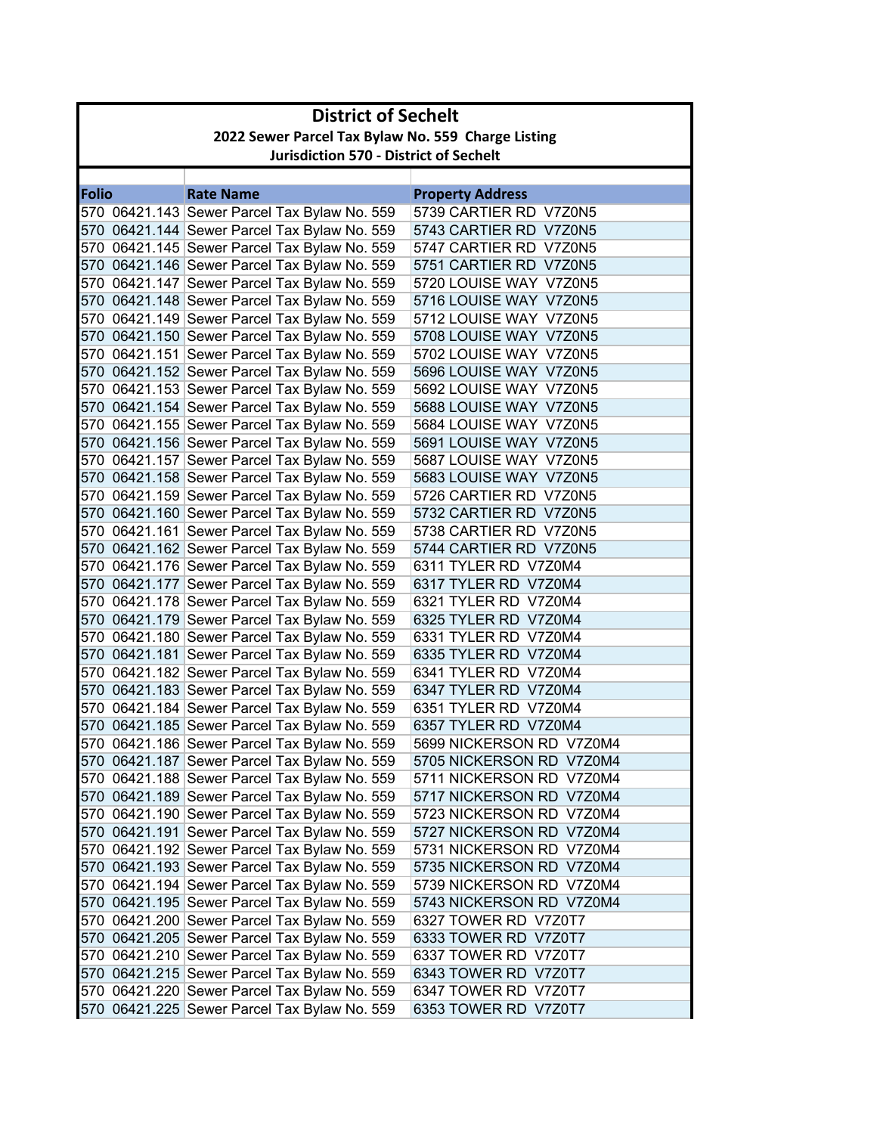| <b>District of Sechelt</b>                         |                                               |                                              |                          |  |  |  |
|----------------------------------------------------|-----------------------------------------------|----------------------------------------------|--------------------------|--|--|--|
| 2022 Sewer Parcel Tax Bylaw No. 559 Charge Listing |                                               |                                              |                          |  |  |  |
|                                                    | <b>Jurisdiction 570 - District of Sechelt</b> |                                              |                          |  |  |  |
|                                                    |                                               |                                              |                          |  |  |  |
| <b>Folio</b>                                       |                                               | <b>Rate Name</b>                             | <b>Property Address</b>  |  |  |  |
|                                                    |                                               | 570 06421.143 Sewer Parcel Tax Bylaw No. 559 | 5739 CARTIER RD V7Z0N5   |  |  |  |
|                                                    |                                               | 570 06421.144 Sewer Parcel Tax Bylaw No. 559 | 5743 CARTIER RD V7Z0N5   |  |  |  |
|                                                    |                                               | 570 06421.145 Sewer Parcel Tax Bylaw No. 559 | 5747 CARTIER RD V7Z0N5   |  |  |  |
|                                                    |                                               | 570 06421.146 Sewer Parcel Tax Bylaw No. 559 | 5751 CARTIER RD V7Z0N5   |  |  |  |
|                                                    |                                               | 570 06421.147 Sewer Parcel Tax Bylaw No. 559 | 5720 LOUISE WAY V7Z0N5   |  |  |  |
|                                                    |                                               | 570 06421.148 Sewer Parcel Tax Bylaw No. 559 | 5716 LOUISE WAY V7Z0N5   |  |  |  |
|                                                    |                                               | 570 06421.149 Sewer Parcel Tax Bylaw No. 559 | 5712 LOUISE WAY V7Z0N5   |  |  |  |
|                                                    |                                               | 570 06421.150 Sewer Parcel Tax Bylaw No. 559 | 5708 LOUISE WAY V7Z0N5   |  |  |  |
|                                                    |                                               | 570 06421.151 Sewer Parcel Tax Bylaw No. 559 | 5702 LOUISE WAY V7Z0N5   |  |  |  |
|                                                    |                                               | 570 06421.152 Sewer Parcel Tax Bylaw No. 559 | 5696 LOUISE WAY V7Z0N5   |  |  |  |
|                                                    |                                               | 570 06421.153 Sewer Parcel Tax Bylaw No. 559 | 5692 LOUISE WAY V7Z0N5   |  |  |  |
|                                                    |                                               | 570 06421.154 Sewer Parcel Tax Bylaw No. 559 | 5688 LOUISE WAY V7Z0N5   |  |  |  |
|                                                    |                                               | 570 06421.155 Sewer Parcel Tax Bylaw No. 559 | 5684 LOUISE WAY V7Z0N5   |  |  |  |
|                                                    |                                               | 570 06421.156 Sewer Parcel Tax Bylaw No. 559 | 5691 LOUISE WAY V7Z0N5   |  |  |  |
|                                                    |                                               | 570 06421.157 Sewer Parcel Tax Bylaw No. 559 | 5687 LOUISE WAY V7Z0N5   |  |  |  |
|                                                    |                                               | 570 06421.158 Sewer Parcel Tax Bylaw No. 559 | 5683 LOUISE WAY V7Z0N5   |  |  |  |
|                                                    |                                               | 570 06421.159 Sewer Parcel Tax Bylaw No. 559 | 5726 CARTIER RD V7Z0N5   |  |  |  |
|                                                    |                                               | 570 06421.160 Sewer Parcel Tax Bylaw No. 559 | 5732 CARTIER RD V7Z0N5   |  |  |  |
|                                                    |                                               | 570 06421.161 Sewer Parcel Tax Bylaw No. 559 | 5738 CARTIER RD V7Z0N5   |  |  |  |
|                                                    |                                               | 570 06421.162 Sewer Parcel Tax Bylaw No. 559 | 5744 CARTIER RD V7Z0N5   |  |  |  |
|                                                    |                                               | 570 06421.176 Sewer Parcel Tax Bylaw No. 559 | 6311 TYLER RD V7Z0M4     |  |  |  |
|                                                    |                                               | 570 06421.177 Sewer Parcel Tax Bylaw No. 559 | 6317 TYLER RD V7Z0M4     |  |  |  |
|                                                    |                                               | 570 06421.178 Sewer Parcel Tax Bylaw No. 559 | 6321 TYLER RD V7Z0M4     |  |  |  |
|                                                    |                                               | 570 06421.179 Sewer Parcel Tax Bylaw No. 559 | 6325 TYLER RD V7Z0M4     |  |  |  |
|                                                    |                                               | 570 06421.180 Sewer Parcel Tax Bylaw No. 559 | 6331 TYLER RD V7Z0M4     |  |  |  |
|                                                    |                                               | 570 06421.181 Sewer Parcel Tax Bylaw No. 559 | 6335 TYLER RD V7Z0M4     |  |  |  |
|                                                    |                                               | 570 06421.182 Sewer Parcel Tax Bylaw No. 559 | 6341 TYLER RD V7Z0M4     |  |  |  |
|                                                    |                                               | 570 06421.183 Sewer Parcel Tax Bylaw No. 559 | 6347 TYLER RD V7Z0M4     |  |  |  |
|                                                    |                                               | 570 06421.184 Sewer Parcel Tax Bylaw No. 559 | 6351 TYLER RD V7Z0M4     |  |  |  |
|                                                    |                                               | 570 06421.185 Sewer Parcel Tax Bylaw No. 559 | 6357 TYLER RD V7Z0M4     |  |  |  |
|                                                    |                                               | 570 06421.186 Sewer Parcel Tax Bylaw No. 559 | 5699 NICKERSON RD V7Z0M4 |  |  |  |
|                                                    |                                               | 570 06421.187 Sewer Parcel Tax Bylaw No. 559 | 5705 NICKERSON RD V7Z0M4 |  |  |  |
|                                                    |                                               | 570 06421.188 Sewer Parcel Tax Bylaw No. 559 | 5711 NICKERSON RD V7Z0M4 |  |  |  |
|                                                    |                                               | 570 06421.189 Sewer Parcel Tax Bylaw No. 559 | 5717 NICKERSON RD V7Z0M4 |  |  |  |
|                                                    |                                               | 570 06421.190 Sewer Parcel Tax Bylaw No. 559 | 5723 NICKERSON RD V7Z0M4 |  |  |  |
|                                                    |                                               | 570 06421.191 Sewer Parcel Tax Bylaw No. 559 | 5727 NICKERSON RD V7Z0M4 |  |  |  |
|                                                    |                                               | 570 06421.192 Sewer Parcel Tax Bylaw No. 559 | 5731 NICKERSON RD V7Z0M4 |  |  |  |
|                                                    |                                               | 570 06421.193 Sewer Parcel Tax Bylaw No. 559 | 5735 NICKERSON RD V7Z0M4 |  |  |  |
|                                                    |                                               | 570 06421.194 Sewer Parcel Tax Bylaw No. 559 | 5739 NICKERSON RD V7Z0M4 |  |  |  |
|                                                    |                                               | 570 06421.195 Sewer Parcel Tax Bylaw No. 559 | 5743 NICKERSON RD V7Z0M4 |  |  |  |
|                                                    |                                               | 570 06421.200 Sewer Parcel Tax Bylaw No. 559 | 6327 TOWER RD V7Z0T7     |  |  |  |
|                                                    |                                               | 570 06421.205 Sewer Parcel Tax Bylaw No. 559 | 6333 TOWER RD V7Z0T7     |  |  |  |
|                                                    |                                               | 570 06421.210 Sewer Parcel Tax Bylaw No. 559 | 6337 TOWER RD V7Z0T7     |  |  |  |
|                                                    |                                               | 570 06421.215 Sewer Parcel Tax Bylaw No. 559 | 6343 TOWER RD V7Z0T7     |  |  |  |
|                                                    |                                               | 570 06421.220 Sewer Parcel Tax Bylaw No. 559 | 6347 TOWER RD V7Z0T7     |  |  |  |
|                                                    |                                               | 570 06421.225 Sewer Parcel Tax Bylaw No. 559 | 6353 TOWER RD V7Z0T7     |  |  |  |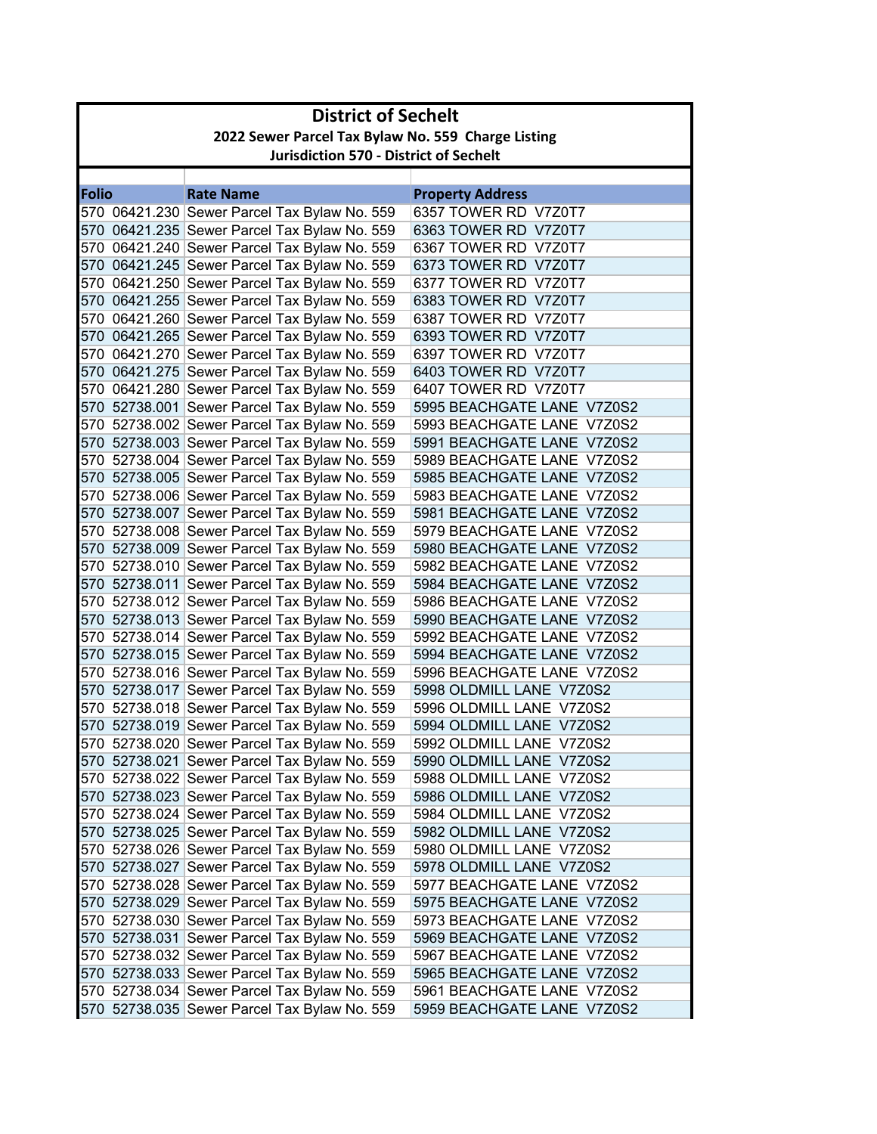| <b>District of Sechelt</b> |                                                    |                                              |                            |  |  |  |
|----------------------------|----------------------------------------------------|----------------------------------------------|----------------------------|--|--|--|
|                            | 2022 Sewer Parcel Tax Bylaw No. 559 Charge Listing |                                              |                            |  |  |  |
|                            | <b>Jurisdiction 570 - District of Sechelt</b>      |                                              |                            |  |  |  |
|                            |                                                    |                                              |                            |  |  |  |
| <b>Folio</b>               |                                                    | <b>Rate Name</b>                             | <b>Property Address</b>    |  |  |  |
|                            |                                                    | 570 06421.230 Sewer Parcel Tax Bylaw No. 559 | 6357 TOWER RD V7Z0T7       |  |  |  |
|                            |                                                    | 570 06421.235 Sewer Parcel Tax Bylaw No. 559 | 6363 TOWER RD V7Z0T7       |  |  |  |
|                            |                                                    | 570 06421.240 Sewer Parcel Tax Bylaw No. 559 | 6367 TOWER RD V7Z0T7       |  |  |  |
|                            |                                                    | 570 06421.245 Sewer Parcel Tax Bylaw No. 559 | 6373 TOWER RD V7Z0T7       |  |  |  |
|                            |                                                    | 570 06421.250 Sewer Parcel Tax Bylaw No. 559 | 6377 TOWER RD V7Z0T7       |  |  |  |
|                            |                                                    | 570 06421.255 Sewer Parcel Tax Bylaw No. 559 | 6383 TOWER RD V7Z0T7       |  |  |  |
|                            |                                                    | 570 06421.260 Sewer Parcel Tax Bylaw No. 559 | 6387 TOWER RD  V7Z0T7      |  |  |  |
|                            |                                                    | 570 06421.265 Sewer Parcel Tax Bylaw No. 559 | 6393 TOWER RD V7Z0T7       |  |  |  |
|                            |                                                    | 570 06421.270 Sewer Parcel Tax Bylaw No. 559 | 6397 TOWER RD V7Z0T7       |  |  |  |
|                            |                                                    | 570 06421.275 Sewer Parcel Tax Bylaw No. 559 | 6403 TOWER RD V7Z0T7       |  |  |  |
|                            |                                                    | 570 06421.280 Sewer Parcel Tax Bylaw No. 559 | 6407 TOWER RD V7Z0T7       |  |  |  |
|                            |                                                    | 570 52738.001 Sewer Parcel Tax Bylaw No. 559 | 5995 BEACHGATE LANE V7Z0S2 |  |  |  |
|                            |                                                    | 570 52738.002 Sewer Parcel Tax Bylaw No. 559 | 5993 BEACHGATE LANE V7Z0S2 |  |  |  |
|                            |                                                    | 570 52738.003 Sewer Parcel Tax Bylaw No. 559 | 5991 BEACHGATE LANE V7Z0S2 |  |  |  |
|                            |                                                    | 570 52738.004 Sewer Parcel Tax Bylaw No. 559 | 5989 BEACHGATE LANE V7Z0S2 |  |  |  |
|                            |                                                    | 570 52738.005 Sewer Parcel Tax Bylaw No. 559 | 5985 BEACHGATE LANE V7Z0S2 |  |  |  |
|                            |                                                    | 570 52738.006 Sewer Parcel Tax Bylaw No. 559 | 5983 BEACHGATE LANE V7Z0S2 |  |  |  |
|                            |                                                    | 570 52738.007 Sewer Parcel Tax Bylaw No. 559 | 5981 BEACHGATE LANE V7Z0S2 |  |  |  |
|                            |                                                    | 570 52738.008 Sewer Parcel Tax Bylaw No. 559 | 5979 BEACHGATE LANE V7Z0S2 |  |  |  |
|                            |                                                    | 570 52738.009 Sewer Parcel Tax Bylaw No. 559 | 5980 BEACHGATE LANE V7Z0S2 |  |  |  |
|                            |                                                    | 570 52738.010 Sewer Parcel Tax Bylaw No. 559 | 5982 BEACHGATE LANE V7Z0S2 |  |  |  |
|                            |                                                    | 570 52738.011 Sewer Parcel Tax Bylaw No. 559 | 5984 BEACHGATE LANE V7Z0S2 |  |  |  |
|                            |                                                    | 570 52738.012 Sewer Parcel Tax Bylaw No. 559 | 5986 BEACHGATE LANE V7Z0S2 |  |  |  |
|                            |                                                    | 570 52738.013 Sewer Parcel Tax Bylaw No. 559 | 5990 BEACHGATE LANE V7Z0S2 |  |  |  |
|                            |                                                    | 570 52738.014 Sewer Parcel Tax Bylaw No. 559 | 5992 BEACHGATE LANE V7Z0S2 |  |  |  |
|                            |                                                    | 570 52738.015 Sewer Parcel Tax Bylaw No. 559 | 5994 BEACHGATE LANE V7Z0S2 |  |  |  |
|                            |                                                    | 570 52738.016 Sewer Parcel Tax Bylaw No. 559 | 5996 BEACHGATE LANE V7Z0S2 |  |  |  |
|                            |                                                    | 570 52738.017 Sewer Parcel Tax Bylaw No. 559 | 5998 OLDMILL LANE V7Z0S2   |  |  |  |
|                            |                                                    | 570 52738.018 Sewer Parcel Tax Bylaw No. 559 | 5996 OLDMILL LANE V7Z0S2   |  |  |  |
|                            |                                                    | 570 52738.019 Sewer Parcel Tax Bylaw No. 559 | 5994 OLDMILL LANE V7Z0S2   |  |  |  |
|                            |                                                    | 570 52738.020 Sewer Parcel Tax Bylaw No. 559 | 5992 OLDMILL LANE V7Z0S2   |  |  |  |
|                            |                                                    | 570 52738.021 Sewer Parcel Tax Bylaw No. 559 | 5990 OLDMILL LANE V7Z0S2   |  |  |  |
|                            |                                                    | 570 52738.022 Sewer Parcel Tax Bylaw No. 559 | 5988 OLDMILL LANE V7Z0S2   |  |  |  |
|                            |                                                    | 570 52738.023 Sewer Parcel Tax Bylaw No. 559 | 5986 OLDMILL LANE V7Z0S2   |  |  |  |
|                            |                                                    | 570 52738.024 Sewer Parcel Tax Bylaw No. 559 | 5984 OLDMILL LANE V7Z0S2   |  |  |  |
|                            |                                                    | 570 52738.025 Sewer Parcel Tax Bylaw No. 559 | 5982 OLDMILL LANE V7Z0S2   |  |  |  |
|                            |                                                    | 570 52738.026 Sewer Parcel Tax Bylaw No. 559 | 5980 OLDMILL LANE V7Z0S2   |  |  |  |
|                            |                                                    | 570 52738.027 Sewer Parcel Tax Bylaw No. 559 | 5978 OLDMILL LANE V7Z0S2   |  |  |  |
|                            |                                                    | 570 52738.028 Sewer Parcel Tax Bylaw No. 559 | 5977 BEACHGATE LANE V7Z0S2 |  |  |  |
|                            |                                                    | 570 52738.029 Sewer Parcel Tax Bylaw No. 559 | 5975 BEACHGATE LANE V7Z0S2 |  |  |  |
|                            |                                                    | 570 52738.030 Sewer Parcel Tax Bylaw No. 559 | 5973 BEACHGATE LANE V7Z0S2 |  |  |  |
|                            |                                                    | 570 52738.031 Sewer Parcel Tax Bylaw No. 559 | 5969 BEACHGATE LANE V7Z0S2 |  |  |  |
|                            |                                                    | 570 52738.032 Sewer Parcel Tax Bylaw No. 559 | 5967 BEACHGATE LANE V7Z0S2 |  |  |  |
|                            |                                                    | 570 52738.033 Sewer Parcel Tax Bylaw No. 559 | 5965 BEACHGATE LANE V7Z0S2 |  |  |  |
|                            |                                                    | 570 52738.034 Sewer Parcel Tax Bylaw No. 559 | 5961 BEACHGATE LANE V7Z0S2 |  |  |  |
|                            |                                                    | 570 52738.035 Sewer Parcel Tax Bylaw No. 559 | 5959 BEACHGATE LANE V7Z0S2 |  |  |  |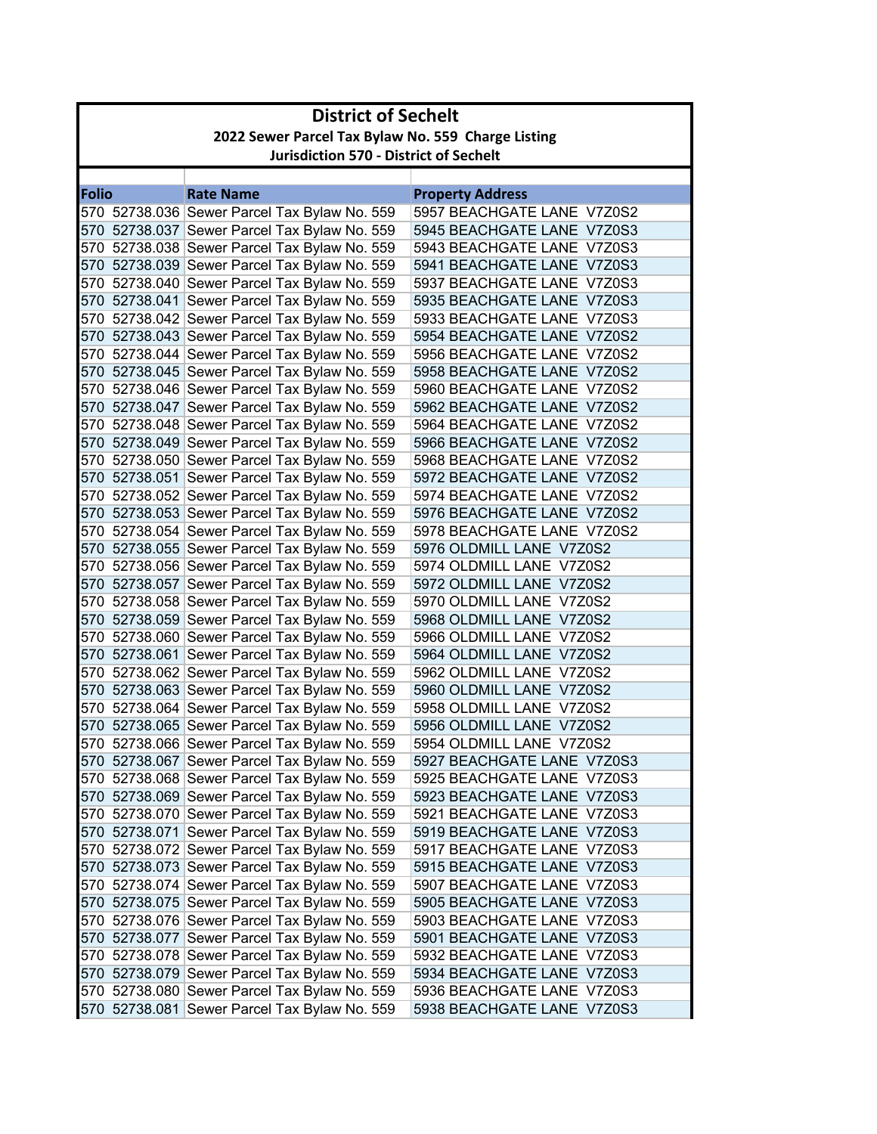| <b>District of Sechelt</b> |                                                    |                                                    |                            |  |  |  |
|----------------------------|----------------------------------------------------|----------------------------------------------------|----------------------------|--|--|--|
|                            | 2022 Sewer Parcel Tax Bylaw No. 559 Charge Listing |                                                    |                            |  |  |  |
|                            | <b>Jurisdiction 570 - District of Sechelt</b>      |                                                    |                            |  |  |  |
|                            |                                                    |                                                    |                            |  |  |  |
| <b>Folio</b>               |                                                    | <b>Rate Name</b>                                   | <b>Property Address</b>    |  |  |  |
|                            |                                                    | 570 52738.036 Sewer Parcel Tax Bylaw No. 559       | 5957 BEACHGATE LANE V7Z0S2 |  |  |  |
|                            |                                                    | 570 52738.037 Sewer Parcel Tax Bylaw No. 559       | 5945 BEACHGATE LANE V7Z0S3 |  |  |  |
|                            |                                                    | 570 52738.038 Sewer Parcel Tax Bylaw No. 559       | 5943 BEACHGATE LANE V7Z0S3 |  |  |  |
|                            |                                                    | 570 52738.039 Sewer Parcel Tax Bylaw No. 559       | 5941 BEACHGATE LANE V7Z0S3 |  |  |  |
|                            |                                                    | 570 52738.040 Sewer Parcel Tax Bylaw No. 559       | 5937 BEACHGATE LANE V7Z0S3 |  |  |  |
|                            |                                                    | 570 52738.041 Sewer Parcel Tax Bylaw No. 559       | 5935 BEACHGATE LANE V7Z0S3 |  |  |  |
|                            |                                                    | 570 52738.042 Sewer Parcel Tax Bylaw No. 559       | 5933 BEACHGATE LANE V7Z0S3 |  |  |  |
|                            |                                                    | 570 52738.043 Sewer Parcel Tax Bylaw No. 559       | 5954 BEACHGATE LANE V7Z0S2 |  |  |  |
|                            |                                                    | 570 52738.044 Sewer Parcel Tax Bylaw No. 559       | 5956 BEACHGATE LANE V7Z0S2 |  |  |  |
|                            |                                                    | 570 52738.045 Sewer Parcel Tax Bylaw No. 559       | 5958 BEACHGATE LANE V7Z0S2 |  |  |  |
|                            |                                                    | 570 52738.046 Sewer Parcel Tax Bylaw No. 559       | 5960 BEACHGATE LANE V7Z0S2 |  |  |  |
|                            |                                                    | 570 52738.047 Sewer Parcel Tax Bylaw No. 559       | 5962 BEACHGATE LANE V7Z0S2 |  |  |  |
|                            |                                                    | 570 52738.048 Sewer Parcel Tax Bylaw No. 559       | 5964 BEACHGATE LANE V7Z0S2 |  |  |  |
|                            |                                                    | 570 52738.049 Sewer Parcel Tax Bylaw No. 559       | 5966 BEACHGATE LANE V7Z0S2 |  |  |  |
|                            |                                                    | 570 52738.050 Sewer Parcel Tax Bylaw No. 559       | 5968 BEACHGATE LANE V7Z0S2 |  |  |  |
|                            |                                                    | 570 52738.051 Sewer Parcel Tax Bylaw No. 559       | 5972 BEACHGATE LANE V7Z0S2 |  |  |  |
|                            |                                                    | 570    52738.052    Sewer Parcel Tax Bylaw No. 559 | 5974 BEACHGATE LANE V7Z0S2 |  |  |  |
|                            |                                                    | 570 52738.053 Sewer Parcel Tax Bylaw No. 559       | 5976 BEACHGATE LANE V7Z0S2 |  |  |  |
|                            |                                                    | 570 52738.054 Sewer Parcel Tax Bylaw No. 559       | 5978 BEACHGATE LANE V7Z0S2 |  |  |  |
|                            |                                                    | 570 52738.055 Sewer Parcel Tax Bylaw No. 559       | 5976 OLDMILL LANE V7Z0S2   |  |  |  |
|                            |                                                    | 570 52738.056 Sewer Parcel Tax Bylaw No. 559       | 5974 OLDMILL LANE V7Z0S2   |  |  |  |
|                            |                                                    | 570 52738.057 Sewer Parcel Tax Bylaw No. 559       | 5972 OLDMILL LANE V7Z0S2   |  |  |  |
|                            |                                                    | 570 52738.058 Sewer Parcel Tax Bylaw No. 559       | 5970 OLDMILL LANE V7Z0S2   |  |  |  |
|                            |                                                    | 570 52738.059 Sewer Parcel Tax Bylaw No. 559       | 5968 OLDMILL LANE V7Z0S2   |  |  |  |
|                            |                                                    | 570 52738.060 Sewer Parcel Tax Bylaw No. 559       | 5966 OLDMILL LANE V7Z0S2   |  |  |  |
|                            |                                                    | 570 52738.061 Sewer Parcel Tax Bylaw No. 559       | 5964 OLDMILL LANE V7Z0S2   |  |  |  |
|                            |                                                    | 570 52738.062 Sewer Parcel Tax Bylaw No. 559       | 5962 OLDMILL LANE V7Z0S2   |  |  |  |
|                            |                                                    | 570 52738.063 Sewer Parcel Tax Bylaw No. 559       | 5960 OLDMILL LANE V7Z0S2   |  |  |  |
|                            |                                                    | 570 52738.064 Sewer Parcel Tax Bylaw No. 559       | 5958 OLDMILL LANE V7Z0S2   |  |  |  |
|                            |                                                    | 570 52738.065 Sewer Parcel Tax Bylaw No. 559       | 5956 OLDMILL LANE V7Z0S2   |  |  |  |
|                            |                                                    | 570 52738.066 Sewer Parcel Tax Bylaw No. 559       | 5954 OLDMILL LANE V7Z0S2   |  |  |  |
|                            |                                                    | 570 52738.067 Sewer Parcel Tax Bylaw No. 559       | 5927 BEACHGATE LANE V7Z0S3 |  |  |  |
|                            |                                                    | 570 52738.068 Sewer Parcel Tax Bylaw No. 559       | 5925 BEACHGATE LANE V7Z0S3 |  |  |  |
|                            |                                                    | 570 52738.069 Sewer Parcel Tax Bylaw No. 559       | 5923 BEACHGATE LANE V7Z0S3 |  |  |  |
|                            |                                                    | 570 52738.070 Sewer Parcel Tax Bylaw No. 559       | 5921 BEACHGATE LANE V7Z0S3 |  |  |  |
|                            |                                                    | 570 52738.071 Sewer Parcel Tax Bylaw No. 559       | 5919 BEACHGATE LANE V7Z0S3 |  |  |  |
|                            |                                                    | 570 52738.072 Sewer Parcel Tax Bylaw No. 559       | 5917 BEACHGATE LANE V7Z0S3 |  |  |  |
|                            |                                                    | 570 52738.073 Sewer Parcel Tax Bylaw No. 559       | 5915 BEACHGATE LANE V7Z0S3 |  |  |  |
|                            |                                                    | 570 52738.074 Sewer Parcel Tax Bylaw No. 559       | 5907 BEACHGATE LANE V7Z0S3 |  |  |  |
|                            |                                                    | 570 52738.075 Sewer Parcel Tax Bylaw No. 559       | 5905 BEACHGATE LANE V7Z0S3 |  |  |  |
|                            |                                                    | 570 52738.076 Sewer Parcel Tax Bylaw No. 559       | 5903 BEACHGATE LANE V7Z0S3 |  |  |  |
|                            |                                                    | 570 52738.077 Sewer Parcel Tax Bylaw No. 559       | 5901 BEACHGATE LANE V7Z0S3 |  |  |  |
|                            |                                                    | 570 52738.078 Sewer Parcel Tax Bylaw No. 559       | 5932 BEACHGATE LANE V7Z0S3 |  |  |  |
|                            |                                                    | 570 52738.079 Sewer Parcel Tax Bylaw No. 559       | 5934 BEACHGATE LANE V7Z0S3 |  |  |  |
|                            |                                                    | 570 52738.080 Sewer Parcel Tax Bylaw No. 559       | 5936 BEACHGATE LANE V7Z0S3 |  |  |  |
|                            |                                                    | 570 52738.081 Sewer Parcel Tax Bylaw No. 559       | 5938 BEACHGATE LANE V7Z0S3 |  |  |  |